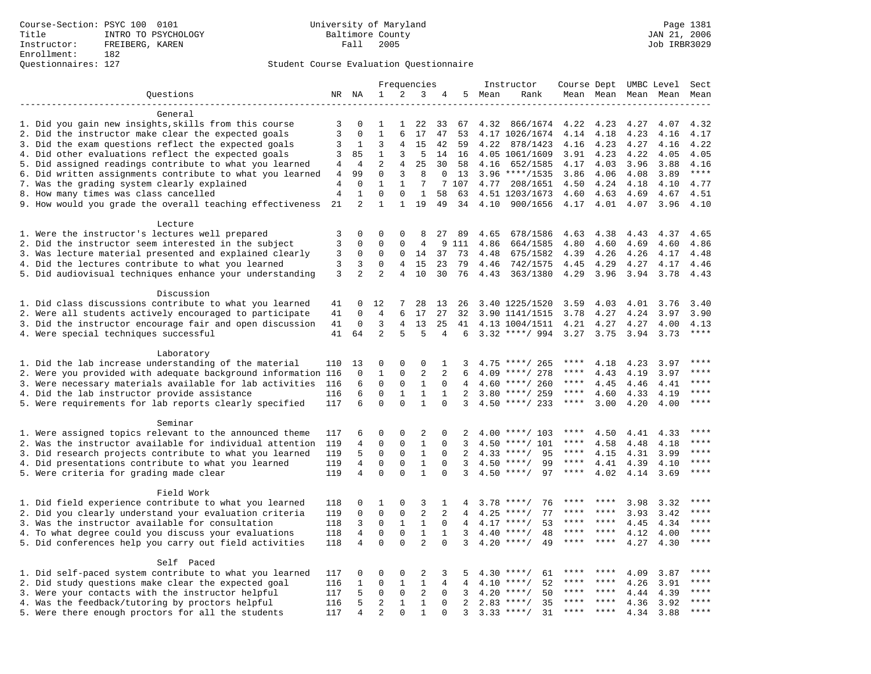## Questionnaires: 127 Student Course Evaluation Questionnaire

|                                                                       | Frequencies          |                   | Instructor                  | Course Dept              |                              |                          | UMBC Level          | Sect |                                      |              |              |              |              |              |
|-----------------------------------------------------------------------|----------------------|-------------------|-----------------------------|--------------------------|------------------------------|--------------------------|---------------------|------|--------------------------------------|--------------|--------------|--------------|--------------|--------------|
| Questions                                                             |                      | NR NA             | 1                           | 2                        | 3                            | 4                        | 5                   | Mean | Rank                                 |              | Mean Mean    |              | Mean Mean    | Mean         |
|                                                                       |                      |                   |                             |                          |                              |                          |                     |      |                                      |              |              |              |              |              |
| General                                                               |                      |                   |                             |                          |                              |                          |                     |      |                                      |              |              |              |              |              |
| 1. Did you gain new insights, skills from this course                 | 3                    | 0                 |                             |                          | 22                           | 33                       | 67                  | 4.32 | 866/1674                             | 4.22         | 4.23         | 4.27         | 4.07         | 4.32         |
| 2. Did the instructor make clear the expected goals                   | 3                    | $\Omega$          | $\mathbf{1}$                | 6                        | 17                           | 47                       | 53                  |      | 4.17 1026/1674                       | 4.14         | 4.18         | 4.23         | 4.16         | 4.17         |
| 3. Did the exam questions reflect the expected goals                  | 3                    | 1                 | 3                           | 4                        | 15                           | 42                       | 59                  | 4.22 | 878/1423                             | 4.16         | 4.23         | 4.27         | 4.16         | 4.22         |
| 4. Did other evaluations reflect the expected goals                   | 3                    | 85                | $\mathbf{1}$                | 3                        | 5                            | 14                       | 16                  |      | 4.05 1061/1609                       | 3.91         | 4.23         | 4.22         | 4.05         | 4.05         |
| 5. Did assigned readings contribute to what you learned               | $\overline{4}$       | $\overline{4}$    | $\overline{2}$              | 4                        | 25                           | 30                       | 58                  | 4.16 | 652/1585                             | 4.17         | 4.03         | 3.96         | 3.88         | 4.16         |
| 6. Did written assignments contribute to what you learned             | 4                    | 99                | 0                           | 3                        | 8                            | 0                        | 13                  |      | $3.96$ ****/1535                     | 3.86         | 4.06         | 4.08         | 3.89         | $***$        |
| 7. Was the grading system clearly explained                           | $\overline{4}$       | $\mathbf 0$       | $\mathbf 1$                 | $\mathbf{1}$             | 7                            |                          | 7 107               | 4.77 | 208/1651                             | 4.50         | 4.24         | 4.18         | 4.10         | 4.77         |
| 8. How many times was class cancelled                                 | $\overline{4}$<br>21 | $\mathbf{1}$<br>2 | $\mathbf 0$<br>$\mathbf{1}$ | $\Omega$<br>$\mathbf{1}$ | 1<br>19                      | 58<br>49                 | 63<br>34            | 4.10 | 4.51 1203/1673                       | 4.60         | 4.63<br>4.01 | 4.69<br>4.07 | 4.67<br>3.96 | 4.51<br>4.10 |
| 9. How would you grade the overall teaching effectiveness             |                      |                   |                             |                          |                              |                          |                     |      | 900/1656                             | 4.17         |              |              |              |              |
| Lecture                                                               |                      |                   |                             |                          |                              |                          |                     |      |                                      |              |              |              |              |              |
| 1. Were the instructor's lectures well prepared                       | 3                    | $\mathbf 0$       | 0                           | 0                        | 8                            | 27                       | 89                  | 4.65 | 678/1586                             | 4.63         | 4.38         | 4.43         | 4.37         | 4.65         |
| 2. Did the instructor seem interested in the subject                  | 3                    | $\mathbf 0$       | $\mathbf 0$                 | 0                        | 4                            | 9                        | 111                 | 4.86 | 664/1585                             | 4.80         | 4.60         | 4.69         | 4.60         | 4.86         |
| 3. Was lecture material presented and explained clearly               | 3                    | 0                 | 0                           | 0                        | 14                           | 37                       | 73                  | 4.48 | 675/1582                             | 4.39         | 4.26         | 4.26         | 4.17         | 4.48         |
| 4. Did the lectures contribute to what you learned                    | 3                    | 3                 | $\Omega$                    | 4                        | 15                           | 23                       | 79                  | 4.46 | 742/1575                             | 4.45         | 4.29         | 4.27         | 4.17         | 4.46         |
| 5. Did audiovisual techniques enhance your understanding              | 3                    | $\overline{2}$    | $\overline{2}$              | $\overline{4}$           | 10                           | 30                       | 76                  | 4.43 | 363/1380                             | 4.29         | 3.96         | 3.94         | 3.78         | 4.43         |
|                                                                       |                      |                   |                             |                          |                              |                          |                     |      |                                      |              |              |              |              |              |
| Discussion                                                            |                      |                   |                             |                          |                              |                          |                     |      |                                      |              |              |              |              |              |
| 1. Did class discussions contribute to what you learned               | 41                   | $\Omega$          | 12                          | 7                        | 28                           | 13                       | 26                  |      | 3.40 1225/1520                       | 3.59         | 4.03         | 4.01         | 3.76         | 3.40         |
| 2. Were all students actively encouraged to participate               | 41                   | $\mathbf 0$       | $\overline{4}$              | 6                        | 17                           | 27                       | 32                  |      | 3.90 1141/1515                       | 3.78         | 4.27         | 4.24         | 3.97         | 3.90         |
| 3. Did the instructor encourage fair and open discussion              | 41                   | $\mathbf 0$       | 3                           | 4                        | 13                           | 25                       | 41                  |      | 4.13 1004/1511                       | 4.21         | 4.27         | 4.27         | 4.00         | 4.13         |
| 4. Were special techniques successful                                 | 41                   | 64                | 2                           | 5                        | 5                            | 4                        | 6                   |      | $3.32$ ****/ 994                     | 3.27 3.75    |              | 3.94         | 3.73         | ****         |
|                                                                       |                      |                   |                             |                          |                              |                          |                     |      |                                      |              |              |              |              |              |
| Laboratory                                                            |                      |                   |                             |                          |                              |                          |                     |      |                                      |              |              |              |              |              |
| 1. Did the lab increase understanding of the material                 | 110                  | 13                | $\Omega$                    | $\Omega$                 | $\Omega$                     | 1                        | 3                   |      | $4.75$ ****/ 265                     | ****         | 4.18         | 4.23         | 3.97         | * * * *      |
| 2. Were you provided with adequate background information 116         |                      | $\mathbf 0$       | $\mathbf{1}$                | $\mathbf{0}$             | $\overline{2}$               | 2                        | 6                   | 4.09 | ****/ 278                            | ****<br>**** | 4.43         | 4.19         | 3.97         | ****         |
| 3. Were necessary materials available for lab activities              | 116                  | 6                 | 0<br>$\mathbf 0$            | $\mathsf 0$              | $\mathbf{1}$                 | $\Omega$                 | 4                   |      | $4.60$ ****/ 260                     | $***$ * * *  | 4.45         | 4.46         | 4.41         | ****         |
| 4. Did the lab instructor provide assistance                          | 116<br>117           | 6<br>6            | $\Omega$                    | $\mathbf{1}$<br>$\Omega$ | $\mathbf{1}$<br>$\mathbf{1}$ | $\mathbf{1}$<br>$\Omega$ | $\overline{a}$<br>3 |      | $3.80$ ****/ 259<br>$4.50$ ****/ 233 | ****         | 4.60<br>3.00 | 4.33<br>4.20 | 4.19<br>4.00 | ****         |
| 5. Were requirements for lab reports clearly specified                |                      |                   |                             |                          |                              |                          |                     |      |                                      |              |              |              |              |              |
| Seminar                                                               |                      |                   |                             |                          |                              |                          |                     |      |                                      |              |              |              |              |              |
| 1. Were assigned topics relevant to the announced theme               | 117                  | 6                 | 0                           | 0                        | 2                            | 0                        | 2                   |      | $4.00$ ****/ 103                     | ****         | 4.50         | 4.41         | 4.33         | ****         |
| 2. Was the instructor available for individual attention              | 119                  | 4                 | $\mathbf 0$                 | $\mathbf{0}$             | $\mathbf{1}$                 | $\Omega$                 | 3                   |      | $4.50$ ****/ 101                     | ****         | 4.58         | 4.48         | 4.18         | ****         |
| 3. Did research projects contribute to what you learned               | 119                  | 5                 | $\mathbf 0$                 | $\mathsf 0$              | $1\,$                        | $\Omega$                 | $\overline{a}$      |      | 95<br>$4.33$ ****/                   | $***$ * *    | 4.15         | 4.31         | 3.99         | $***$        |
| 4. Did presentations contribute to what you learned                   | 119                  | 4                 | $\mathbf 0$                 | $\mathsf 0$              | $1\,$                        | $\mathbf 0$              | 3                   | 4.50 | $***/$<br>99                         | $***$ * *    | 4.41         | 4.39         | 4.10         | $***$ * * *  |
| 5. Were criteria for grading made clear                               | 119                  | $\overline{4}$    | $\mathbf 0$                 | $\Omega$                 | $\mathbf{1}$                 | $\Omega$                 | 3                   |      | $4.50$ ****/<br>97                   | $***$ * * *  | 4.02         | 4.14         | 3.69         | $***$        |
|                                                                       |                      |                   |                             |                          |                              |                          |                     |      |                                      |              |              |              |              |              |
| Field Work                                                            |                      |                   |                             |                          |                              |                          |                     |      |                                      |              |              |              |              |              |
| 1. Did field experience contribute to what you learned                | 118                  | 0                 | 1                           | 0                        | 3                            | 1                        | 4                   |      | $3.78$ ****/<br>76                   |              |              | 3.98         | 3.32         | ****         |
| 2. Did you clearly understand your evaluation criteria                | 119                  | $\mathbf 0$       | $\mathbf 0$                 | $\mathbf 0$              | $\overline{2}$               | 2                        | 4                   | 4.25 | 77<br>$***$ /                        | ****         | ****         | 3.93         | 3.42         | ****         |
| 3. Was the instructor available for consultation                      | 118                  | 3                 | $\mathbf 0$                 | $\mathbf{1}$             | $\mathbf{1}$                 | $\Omega$                 | $\overline{4}$      | 4.17 | $***$ /<br>53                        | ****         | $***$ *      | 4.45         | 4.34         | ****         |
| 4. To what degree could you discuss your evaluations                  | 118                  | 4                 | $\mathbf 0$                 | $\mathsf 0$              | $\mathbf{1}$                 | $\mathbf{1}$             | 3                   | 4.40 | 48<br>$* * * * /$                    | ****         | ****         | 4.12         | 4.00         | ****         |
| 5. Did conferences help you carry out field activities                | 118                  | 4                 | $\mathbf 0$                 | $\Omega$                 | $\overline{2}$               | $\Omega$                 | 3                   | 4.20 | $***$ /<br>49                        |              |              | 4.27         | 4.30         | ****         |
|                                                                       |                      |                   |                             |                          |                              |                          |                     |      |                                      |              |              |              |              |              |
| Self Paced<br>1. Did self-paced system contribute to what you learned | 117                  | 0                 | 0                           | $\mathbf 0$              | 2                            | 3                        |                     |      | $4.30$ ****/<br>61                   | ****         |              | 4.09         | 3.87         | * * * *      |
| 2. Did study questions make clear the expected goal                   | 116                  | 1                 | $\mathbf 0$                 | $\mathbf{1}$             | $\mathbf{1}$                 | 4                        | 4                   | 4.10 | $***$ /<br>52                        | ****         | ****         | 4.26         | 3.91         | * * * *      |
| 3. Were your contacts with the instructor helpful                     | 117                  | 5                 | $\mathbf 0$                 | $\mathbf 0$              | 2                            | $\Omega$                 | 3                   | 4.20 | $***$ /<br>50                        | ****         | ****         | 4.44         | 4.39         | ****         |
| 4. Was the feedback/tutoring by proctors helpful                      | 116                  | 5                 | $\overline{\mathbf{c}}$     | $\mathbf{1}$             | $\mathbf{1}$                 | $\Omega$                 | $\overline{a}$      | 2.83 | $***/$<br>35                         | ****         | ****         | 4.36         | 3.92         | ****         |
| 5. Were there enough proctors for all the students                    | 117                  | $\overline{4}$    | $\overline{2}$              | $\Omega$                 | $\mathbf{1}$                 | $\Omega$                 | 3                   |      | 31<br>$3.33$ ****/                   | ****         | ****         | 4.34         | 3.88         | ****         |
|                                                                       |                      |                   |                             |                          |                              |                          |                     |      |                                      |              |              |              |              |              |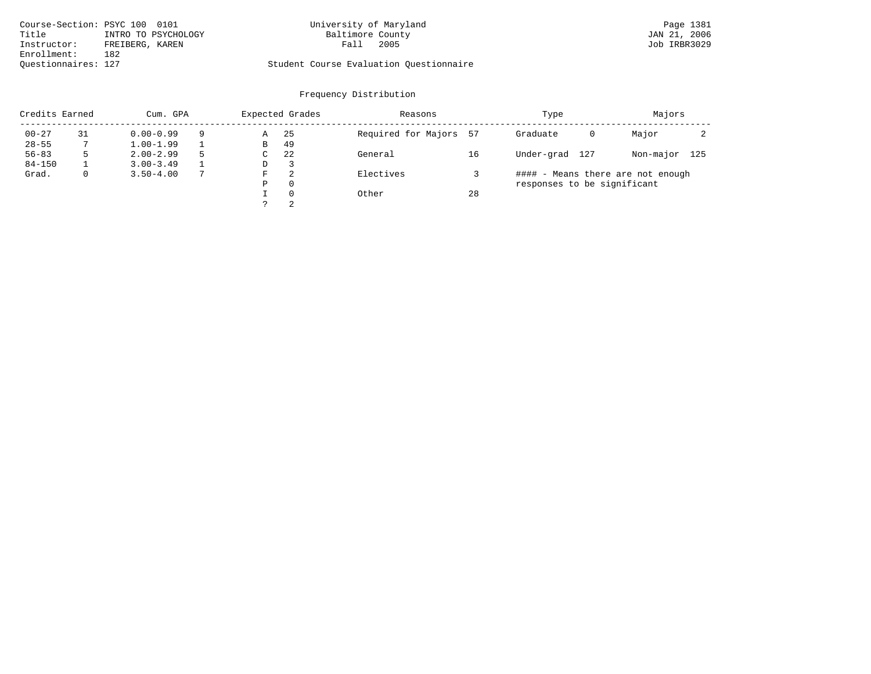| Course-Section: PSYC 100 0101 |                     | University of Maryland                  | Page 1381    |
|-------------------------------|---------------------|-----------------------------------------|--------------|
| Title                         | INTRO TO PSYCHOLOGY | Baltimore County                        | JAN 21, 2006 |
| Instructor:                   | FREIBERG, KAREN     | 2005<br>Fall                            | Job IRBR3029 |
| Enrollment:                   | 182                 |                                         |              |
| Ouestionnaires: 127           |                     | Student Course Evaluation Ouestionnaire |              |

# University of Maryland Page 1381 Page 1381 Page 1381

|            | Credits Earned<br>Cum. GPA |               |   |   | Expected Grades | Reasons                |    | Type                              | Majors    |     |
|------------|----------------------------|---------------|---|---|-----------------|------------------------|----|-----------------------------------|-----------|-----|
| $00 - 27$  | 31                         | $0.00 - 0.99$ | 9 | Α | -25             | Required for Majors 57 |    | Graduate<br>0                     | Major     |     |
| $28 - 55$  |                            | $1.00 - 1.99$ |   | B | 49              |                        |    |                                   |           |     |
| $56 - 83$  |                            | $2.00 - 2.99$ | 5 | C | 22              | General                | 16 | Under-grad<br>127                 | Non-major | 125 |
| $84 - 150$ |                            | $3.00 - 3.49$ |   | D | 3               |                        |    |                                   |           |     |
| Grad.      |                            | $3.50 - 4.00$ |   | F | 2               | Electives              |    | #### - Means there are not enough |           |     |
|            |                            |               |   | Ρ | $\Omega$        |                        |    | responses to be significant       |           |     |
|            |                            |               |   |   | $\Omega$        | Other                  | 28 |                                   |           |     |
|            |                            |               |   |   | 2               |                        |    |                                   |           |     |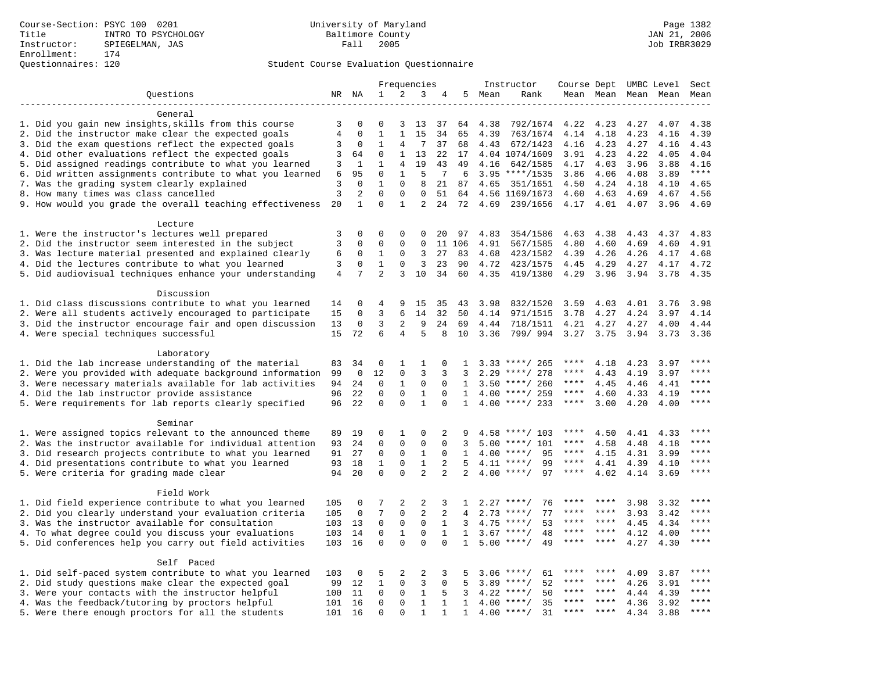## Questionnaires: 120 Student Course Evaluation Questionnaire

|                                                           |                | Frequencies  |                | Instructor     |                | Course Dept UMBC Level |                |              |                    | Sect |           |      |              |         |
|-----------------------------------------------------------|----------------|--------------|----------------|----------------|----------------|------------------------|----------------|--------------|--------------------|------|-----------|------|--------------|---------|
| Questions                                                 |                | NR NA        | $\mathbf{1}$   | 2              | 3              | 4                      | 5              | Mean         | Rank               |      | Mean Mean |      | Mean Mean    | Mean    |
|                                                           |                |              |                |                |                |                        |                |              |                    |      |           |      |              |         |
| General                                                   |                |              |                |                |                |                        |                |              |                    |      |           |      |              |         |
| 1. Did you gain new insights, skills from this course     | 3              | $\Omega$     | $\Omega$       | 3              | 13             | 37                     | 64             | 4.38         | 792/1674           | 4.22 | 4.23      | 4.27 | 4.07         | 4.38    |
| 2. Did the instructor make clear the expected goals       | $\,4$          | $\mathbf 0$  | $\mathbf{1}$   | $\mathbf{1}$   | 15             | 34                     | 65             | 4.39         | 763/1674           | 4.14 | 4.18      | 4.23 | 4.16         | 4.39    |
| 3. Did the exam questions reflect the expected goals      | 3              | 0            | 1              | 4              | 7              | 37                     | 68             | 4.43         | 672/1423           | 4.16 | 4.23      | 4.27 | 4.16         | 4.43    |
| 4. Did other evaluations reflect the expected goals       | 3              | 64           | $\Omega$       | $\mathbf{1}$   | 13             | 22                     | 17             |              | 4.04 1074/1609     | 3.91 | 4.23      | 4.22 | 4.05         | 4.04    |
| 5. Did assigned readings contribute to what you learned   | 3              | 1            | $\mathbf{1}$   | $\overline{4}$ | 19             | 43                     | 49             | 4.16         | 642/1585           | 4.17 | 4.03      | 3.96 | 3.88         | 4.16    |
| 6. Did written assignments contribute to what you learned | 6              | 95           | $\mathsf 0$    | $\mathbf{1}$   | 5              | 7                      | 6              |              | $3.95$ ****/1535   | 3.86 | 4.06      | 4.08 | 3.89         | $***$   |
| 7. Was the grading system clearly explained               | 3              | $\mathbf 0$  | $\mathbf{1}$   | $\mathsf 0$    | 8              | 21                     | 87             | 4.65         | 351/1651           | 4.50 | 4.24      | 4.18 | 4.10         | 4.65    |
| 8. How many times was class cancelled                     | $\overline{3}$ | 2            | $\mathbf 0$    | 0              | 0              | 51                     | 64             |              | 4.56 1169/1673     | 4.60 | 4.63      | 4.69 | 4.67         | 4.56    |
| 9. How would you grade the overall teaching effectiveness | 20             | $\mathbf{1}$ | $\Omega$       | 1              | 2              | 24                     | 72             | 4.69         | 239/1656           | 4.17 | 4.01      | 4.07 | 3.96         | 4.69    |
| Lecture                                                   |                |              |                |                |                |                        |                |              |                    |      |           |      |              |         |
| 1. Were the instructor's lectures well prepared           | 3              | $\mathbf 0$  | 0              | 0              | 0              | 20                     | 97             | 4.83         | 354/1586           | 4.63 | 4.38      | 4.43 | 4.37         | 4.83    |
| 2. Did the instructor seem interested in the subject      | 3              | 0            | 0              | 0              | 0              |                        | 11 106         | 4.91         | 567/1585           | 4.80 | 4.60      | 4.69 | 4.60         | 4.91    |
| 3. Was lecture material presented and explained clearly   | 6              | 0            | 1              | 0              | 3              | 27                     | 83             | 4.68         | 423/1582           | 4.39 | 4.26      | 4.26 | 4.17         | 4.68    |
| 4. Did the lectures contribute to what you learned        | 3              | 0            | 1              | 0              | 3              | 23                     | 90             | 4.72         | 423/1575           | 4.45 | 4.29      | 4.27 | 4.17         | 4.72    |
| 5. Did audiovisual techniques enhance your understanding  | $\overline{4}$ | 7            | $\overline{a}$ | 3              | 10             | 34                     | 60             | 4.35         | 419/1380           | 4.29 | 3.96      | 3.94 | 3.78         | 4.35    |
|                                                           |                |              |                |                |                |                        |                |              |                    |      |           |      |              |         |
| Discussion                                                |                |              |                |                |                |                        |                |              |                    |      |           |      |              |         |
| 1. Did class discussions contribute to what you learned   | 14             | 0            | 4              | 9              | 15             | 35                     | 43             | 3.98         | 832/1520           | 3.59 | 4.03      | 4.01 | 3.76         | 3.98    |
| 2. Were all students actively encouraged to participate   | 15             | $\Omega$     | 3              | 6              | 14             | 32                     | 50             | 4.14         | 971/1515           | 3.78 | 4.27      | 4.24 | 3.97         | 4.14    |
| 3. Did the instructor encourage fair and open discussion  | 13             | 0            | 3              | 2              | 9              | 24                     | 69             | 4.44         | 718/1511           | 4.21 | 4.27      | 4.27 | 4.00         | 4.44    |
| 4. Were special techniques successful                     | 15             | 72           | 6              | 4              | 5              | 8                      | 10             | 3.36         | 799/994            | 3.27 | 3.75      | 3.94 | 3.73         | 3.36    |
|                                                           |                |              |                |                |                |                        |                |              |                    |      |           |      |              |         |
| Laboratory                                                |                |              |                |                |                |                        |                |              |                    |      |           |      |              |         |
| 1. Did the lab increase understanding of the material     | 83             | 34           | $\mathbf 0$    | 1              | 1              | 0                      | 1              |              | $3.33$ ****/ 265   | **** | 4.18      | 4.23 | 3.97         | ****    |
| 2. Were you provided with adequate background information | 99             | 0            | 12             | 0              | 3              | 3                      | 3              | 2.29         | ****/ 278          | **** | 4.43      | 4.19 | 3.97         | ****    |
| 3. Were necessary materials available for lab activities  | 94             | 24           | 0              | 1              | $\mathbf 0$    | 0                      | $\mathbf{1}$   |              | $3.50$ ****/ 260   | **** | 4.45      | 4.46 | 4.41         | $***$   |
| 4. Did the lab instructor provide assistance              | 96             | 22           | $\Omega$       | 0              | 1              | $\Omega$               | $\mathbf{1}$   |              | 4.00 ****/ 259     | **** | 4.60      | 4.33 | 4.19         | ****    |
| 5. Were requirements for lab reports clearly specified    | 96             | 22           | $\mathbf 0$    | $\mathbf{0}$   | $\mathbf{1}$   | $\Omega$               | $\mathbf 1$    |              | $4.00$ ****/ 233   | **** | 3.00      | 4.20 | 4.00         | ****    |
|                                                           |                |              |                |                |                |                        |                |              |                    |      |           |      |              |         |
| Seminar                                                   |                |              |                |                |                |                        |                |              |                    |      |           |      |              |         |
| 1. Were assigned topics relevant to the announced theme   | 89             | 19           | 0              | 1              | $\Omega$       | 2                      | 9              |              | $4.58$ ****/ 103   | **** | 4.50      | 4.41 | 4.33         | ****    |
| 2. Was the instructor available for individual attention  | 93             | 24           | $\mathbf 0$    | $\mathsf 0$    | 0              | 0                      | 3              | 5.00         | ****/ 101          | **** | 4.58      | 4.48 | 4.18         |         |
| 3. Did research projects contribute to what you learned   | 91             | 27           | 0              | 0              | $\mathbf{1}$   | $\mathbf 0$            | 1              | 4.00         | $***/$<br>95       | **** | 4.15      | 4.31 | 3.99         | ****    |
| 4. Did presentations contribute to what you learned       | 93             | 18           | 1              | 0              | $\mathbf{1}$   | 2                      | 5              |              | $4.11$ ****/<br>99 | **** | 4.41      | 4.39 | 4.10         | $***$   |
| 5. Were criteria for grading made clear                   | 94             | 20           | $\Omega$       | $\Omega$       | $\overline{2}$ | $\overline{a}$         | $\overline{2}$ |              | $4.00$ ****/<br>97 | **** | 4.02      | 4.14 | 3.69         | $***$   |
|                                                           |                |              |                |                |                |                        |                |              |                    |      |           |      |              |         |
| Field Work                                                | 105            | 0            | 7              | 2              | 2              |                        |                |              | $2.27$ ****/<br>76 |      |           | 3.98 |              | * * * * |
| 1. Did field experience contribute to what you learned    |                |              | 7              | $\mathbf{0}$   | $\overline{c}$ | 3                      | 1              |              | 77<br>$***/$       | **** | ****      |      | 3.32         | ****    |
| 2. Did you clearly understand your evaluation criteria    | 105<br>103     | 0<br>13      | 0              | $\mathbf{0}$   | $\mathbf 0$    | 2<br>$\mathbf{1}$      | 4<br>3         | 2.73<br>4.75 | 53<br>$***/$       | **** | ****      | 3.93 | 3.42<br>4.34 | ****    |
| 3. Was the instructor available for consultation          |                |              | $\mathbf 0$    | $\mathbf{1}$   | $\mathbf 0$    | 1                      | $\mathbf{1}$   | 3.67         | $***$ /<br>48      | **** | $***$ *   | 4.45 |              | $***$   |
| 4. To what degree could you discuss your evaluations      | 103            | 14<br>16     | $\mathbf 0$    | $\Omega$       | $\Omega$       | $\Omega$               |                | 5.00         | $***/$<br>49       | **** | $***$     | 4.12 | 4.00         | ****    |
| 5. Did conferences help you carry out field activities    | 103            |              |                |                |                |                        | $\mathbf{1}$   |              |                    |      |           | 4.27 | 4.30         |         |
| Self Paced                                                |                |              |                |                |                |                        |                |              |                    |      |           |      |              |         |
| 1. Did self-paced system contribute to what you learned   | 103            | 0            | 5              | $\overline{2}$ | 2              | 3                      | 5              |              | 61<br>$3.06$ ****/ | **** | ****      | 4.09 | 3.87         | ****    |
| 2. Did study questions make clear the expected goal       | 99             | 12           | $\mathbf{1}$   | $\mathsf 0$    | 3              | $\mathbf 0$            | 5              | 3.89         | $***/$<br>52       | **** | ****      | 4.26 | 3.91         | ****    |
| 3. Were your contacts with the instructor helpful         | 100            | 11           | $\mathbf 0$    | 0              | $\mathbf{1}$   | 5                      | 3              | 4.22         | 50<br>$***/$       | **** | ****      | 4.44 | 4.39         | ****    |
| 4. Was the feedback/tutoring by proctors helpful          | 101            | 16           | 0              | 0              | $\mathbf{1}$   | 1                      | $\mathbf{1}$   | 4.00         | $***/$<br>35       |      |           | 4.36 | 3.92         | ****    |
| 5. Were there enough proctors for all the students        | 101            | 16           | $\Omega$       | $\Omega$       | $\mathbf{1}$   | 1                      | $\mathbf{1}$   |              | $4.00$ ****/<br>31 | **** | $***$     | 4.34 | 3.88         | ****    |
|                                                           |                |              |                |                |                |                        |                |              |                    |      |           |      |              |         |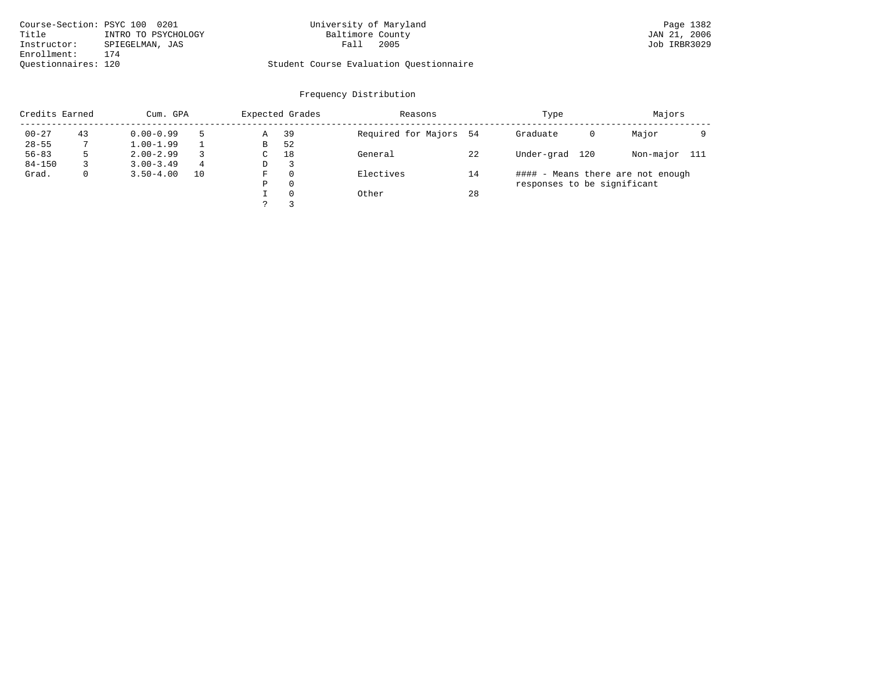| Course-Section: PSYC 100 0201 |                     | University of Maryland                  | Page 1382    |
|-------------------------------|---------------------|-----------------------------------------|--------------|
| Title                         | INTRO TO PSYCHOLOGY | Baltimore County                        | JAN 21, 2006 |
| Instructor:                   | SPIEGELMAN, JAS     | 2005<br>Fall                            | Job IRBR3029 |
| Enrollment:                   | 174                 |                                         |              |
| Ouestionnaires: 120           |                     | Student Course Evaluation Questionnaire |              |

# University of Maryland Page 1382<br>Baltimore County Bage 1382<br>
Page 1382

|            | Credits Earned<br>Cum. GPA |               |    |   | Expected Grades | Reasons                |    | Type                              | Majors    |       |  |
|------------|----------------------------|---------------|----|---|-----------------|------------------------|----|-----------------------------------|-----------|-------|--|
| $00 - 27$  | 43                         | $0.00 - 0.99$ |    | Α | 39              | Required for Majors 54 |    | Graduate<br>0                     | Major     |       |  |
| $28 - 55$  |                            | $1.00 - 1.99$ |    | В | 52              |                        |    |                                   |           |       |  |
| $56 - 83$  | 5                          | $2.00 - 2.99$ |    | C | 18              | General                | 22 | Under-grad<br>120                 | Non-major | - 111 |  |
| $84 - 150$ |                            | $3.00 - 3.49$ | 4  | D | 3               |                        |    |                                   |           |       |  |
| Grad.      | $\mathbf{0}$               | $3.50 - 4.00$ | 10 | F | $\Omega$        | Electives              | 14 | #### - Means there are not enough |           |       |  |
|            |                            |               |    | Ρ | $\Omega$        |                        |    | responses to be significant       |           |       |  |
|            |                            |               |    |   | $\Omega$        | Other                  | 28 |                                   |           |       |  |
|            |                            |               |    |   |                 |                        |    |                                   |           |       |  |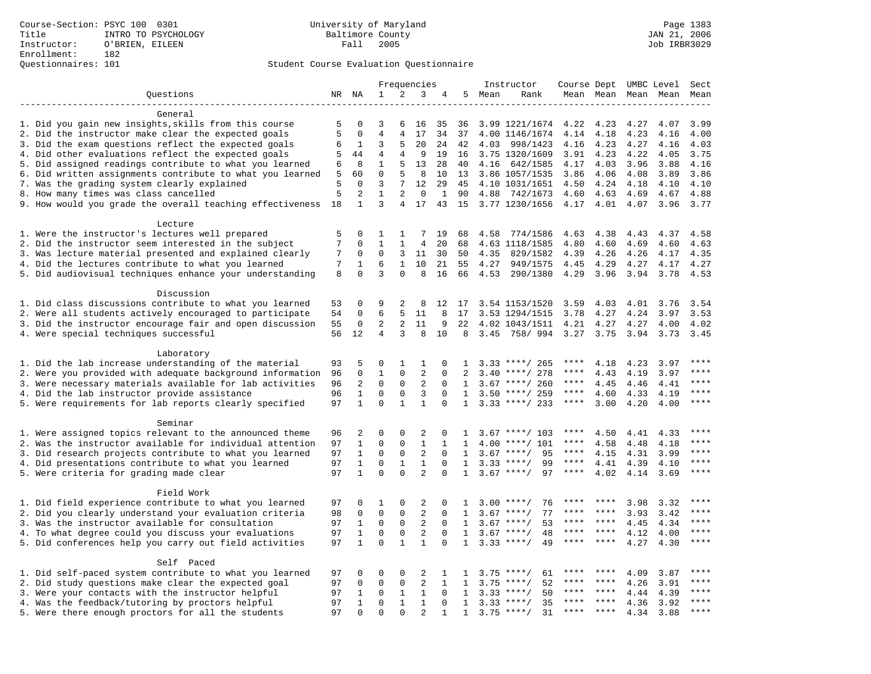## Questionnaires: 101 Student Course Evaluation Questionnaire

|                                                                                                                      | Frequencies |                  |                                | Instructor        |                |               | Course Dept UMBC Level |        | Sect                             |              |              |              |              |              |
|----------------------------------------------------------------------------------------------------------------------|-------------|------------------|--------------------------------|-------------------|----------------|---------------|------------------------|--------|----------------------------------|--------------|--------------|--------------|--------------|--------------|
| Ouestions                                                                                                            |             | NR NA            | $\mathbf{1}$                   | 2                 | 3              | 4             |                        | 5 Mean | Rank                             |              | Mean Mean    |              | Mean Mean    | Mean         |
|                                                                                                                      |             |                  |                                |                   |                |               |                        |        |                                  |              |              |              |              |              |
| General                                                                                                              |             |                  |                                |                   |                |               |                        |        |                                  |              |              |              |              |              |
| 1. Did you gain new insights, skills from this course                                                                | 5           | 0                | 3                              | 6                 | 16             | 35            | 36                     |        | 3.99 1221/1674 4.22              |              | 4.23         | 4.27         | 4.07         | 3.99         |
| 2. Did the instructor make clear the expected goals                                                                  | 5           | $\mathbf 0$      | $\overline{4}$                 | $\overline{4}$    | 17             | 34            | 37                     |        | 4.00 1146/1674                   | 4.14         | 4.18         | 4.23         | 4.16         | 4.00         |
| 3. Did the exam questions reflect the expected goals                                                                 | 6           | 1                | 3                              | 5                 | 20             | 24            | 42                     | 4.03   | 998/1423                         | 4.16         | 4.23         | 4.27         | 4.16         | 4.03         |
| 4. Did other evaluations reflect the expected goals                                                                  | 5           | 44<br>8          | $\overline{4}$<br>$\mathbf{1}$ | $\overline{4}$    | 9              | 19            | 16                     |        | 3.75 1320/1609                   | 3.91         | 4.23         | 4.22         | 4.05         | 3.75         |
| 5. Did assigned readings contribute to what you learned<br>6. Did written assignments contribute to what you learned | 6<br>5      | 60               | $\mathbf 0$                    | 5<br>5            | 13<br>8        | 28<br>10      | 40<br>13               | 4.16   | 642/1585                         | 4.17<br>3.86 | 4.03<br>4.06 | 3.96<br>4.08 | 3.88<br>3.89 | 4.16<br>3.86 |
| 7. Was the grading system clearly explained                                                                          | 5           | $\Omega$         | 3                              | 7                 | 12             | 29            | 45                     |        | 3.86 1057/1535<br>4.10 1031/1651 | 4.50         | 4.24         | 4.18         | 4.10         | 4.10         |
| 8. How many times was class cancelled                                                                                | 5           | 2                | 1                              | 2                 | $\Omega$       | 1             | 90                     | 4.88   | 742/1673                         | 4.60         | 4.63         | 4.69         | 4.67         | 4.88         |
| 9. How would you grade the overall teaching effectiveness                                                            | 18          | $\mathbf{1}$     | 3                              | $\overline{4}$    | 17             |               | 43 15                  |        | 3.77 1230/1656                   | 4.17         | 4.01         | 4.07         | 3.96         | 3.77         |
|                                                                                                                      |             |                  |                                |                   |                |               |                        |        |                                  |              |              |              |              |              |
| Lecture                                                                                                              |             |                  |                                |                   |                |               |                        |        |                                  |              |              |              |              |              |
| 1. Were the instructor's lectures well prepared                                                                      | 5           | $\Omega$         | 1                              | 1                 | 7              | 19            | 68                     | 4.58   | 774/1586                         | 4.63         | 4.38         | 4.43         | 4.37         | 4.58         |
| 2. Did the instructor seem interested in the subject                                                                 | 7           | $\Omega$         | $\mathbf{1}$                   | $\mathbf{1}$      | 4              | 20            | 68                     |        | 4.63 1118/1585                   | 4.80         | 4.60         | 4.69         | 4.60         | 4.63         |
| 3. Was lecture material presented and explained clearly                                                              | 7           | 0                | $\mathbf 0$                    | 3                 | 11             | 30            | 50                     | 4.35   | 829/1582                         | 4.39         | 4.26         | 4.26         | 4.17         | 4.35         |
| 4. Did the lectures contribute to what you learned                                                                   | 7           | 1                | 6                              | $\mathbf{1}$      | 10             | 21            | 55                     | 4.27   | 949/1575                         | 4.45         | 4.29         | 4.27         | 4.17         | 4.27         |
| 5. Did audiovisual techniques enhance your understanding                                                             | 8           | $\Omega$         | 3                              | $\Omega$          | 8              | 16            | 66                     | 4.53   | 290/1380                         | 4.29         | 3.96         | 3.94         | 3.78         | 4.53         |
|                                                                                                                      |             |                  |                                |                   |                |               |                        |        |                                  |              |              |              |              |              |
| Discussion                                                                                                           |             |                  |                                |                   |                |               |                        |        |                                  |              |              |              |              |              |
| 1. Did class discussions contribute to what you learned                                                              | 53          | $\Omega$         | 9                              | 2                 | 8              | 12            | 17                     |        | 3.54 1153/1520                   | 3.59         | 4.03         | 4.01         | 3.76         | 3.54         |
| 2. Were all students actively encouraged to participate                                                              | 54          | $\mathbf 0$      | 6                              | 5                 | 11             | 8             | 17                     |        | 3.53 1294/1515                   | 3.78         | 4.27         | 4.24         | 3.97         | 3.53         |
| 3. Did the instructor encourage fair and open discussion                                                             | 55          | 0                | 2                              | 2                 | 11             | 9             | 22                     |        | 4.02 1043/1511                   | 4.21         | 4.27         | 4.27         | 4.00         | 4.02         |
| 4. Were special techniques successful                                                                                | 56          | 12               | 4                              | 3                 | 8              | 10            | 8                      |        | 3.45 758/994                     | 3.27         | 3.75         | 3.94         | 3.73         | 3.45         |
|                                                                                                                      |             |                  |                                |                   |                |               |                        |        |                                  |              |              |              |              |              |
| Laboratory                                                                                                           |             |                  |                                |                   |                |               |                        |        |                                  | ****         |              |              |              | $* * * *$    |
| 1. Did the lab increase understanding of the material<br>2. Were you provided with adequate background information   | 93          | 5<br>$\mathbf 0$ | 0<br>1                         | $\mathbf{1}$<br>0 | 1<br>2         | 0<br>$\Omega$ | 1<br>2                 |        | $3.33$ ****/ 265<br>****/ 278    | ****         | 4.18<br>4.43 | 4.23<br>4.19 | 3.97<br>3.97 | ****         |
| 3. Were necessary materials available for lab activities                                                             | 96<br>96    | 2                | $\mathbf 0$                    | 0                 | 2              | $\Omega$      | $\mathbf{1}$           | 3.40   | $3.67$ ****/ 260                 | ****         | 4.45         | 4.46         | 4.41         | ****         |
| 4. Did the lab instructor provide assistance                                                                         | 96          | $\mathbf{1}$     | $\Omega$                       | $\Omega$          | $\overline{3}$ | $\Omega$      | 1                      |        | $3.50$ ****/ 259                 | $***$ * * *  | 4.60         | 4.33         | 4.19         | ****         |
| 5. Were requirements for lab reports clearly specified                                                               | 97          | $\mathbf{1}$     | $\mathbf 0$                    | $\mathbf{1}$      | $\mathbf{1}$   | $\mathbf 0$   | $\mathbf{1}$           |        | $3.33$ ****/ 233                 | $***$ * * *  | 3.00         | 4.20         | 4.00         | ****         |
|                                                                                                                      |             |                  |                                |                   |                |               |                        |        |                                  |              |              |              |              |              |
| Seminar                                                                                                              |             |                  |                                |                   |                |               |                        |        |                                  |              |              |              |              |              |
| 1. Were assigned topics relevant to the announced theme                                                              | 96          | 2                | $\Omega$                       | $\Omega$          | 2              | $\Omega$      | $\mathbf{1}$           |        | $3.67$ ****/ 103                 | ****         | 4.50         | 4.41         | 4.33         | ****         |
| 2. Was the instructor available for individual attention                                                             | 97          | $\mathbf{1}$     | $\mathbf 0$                    | $\mathbf 0$       | $\mathbf{1}$   | $\mathbf{1}$  | $\mathbf{1}$           |        | $4.00$ ****/ 101                 | ****         | 4.58         | 4.48         | 4.18         | ****         |
| 3. Did research projects contribute to what you learned                                                              | 97          | $\mathbf{1}$     | $\mathsf 0$                    | $\mathbf 0$       | 2              | $\mathbf 0$   | 1                      |        | $3.67$ ****/<br>95               | $***$ * *    | 4.15         | 4.31         | 3.99         | ****         |
| 4. Did presentations contribute to what you learned                                                                  | 97          | $\mathbf{1}$     | $\mathbf 0$                    | 1                 | $\mathbf{1}$   | $\mathbf 0$   | 1                      |        | $3.33$ ****/<br>99               | $***$ * * *  | 4.41         | 4.39         | 4.10         | $***$ *      |
| 5. Were criteria for grading made clear                                                                              | 97          | $\mathbf{1}$     | $\Omega$                       | $\Omega$          | $\overline{2}$ | $\Omega$      | $\mathbf{1}$           |        | $3.67$ ****/<br>97               | ****         | 4.02         | 4.14         | 3.69         | ****         |
|                                                                                                                      |             |                  |                                |                   |                |               |                        |        |                                  |              |              |              |              |              |
| Field Work                                                                                                           |             |                  |                                |                   |                |               |                        |        |                                  |              |              |              |              |              |
| 1. Did field experience contribute to what you learned                                                               | 97          | 0                | 1                              | 0                 | 2              | $\mathbf 0$   | 1                      |        | $3.00$ ****/<br>76               |              |              | 3.98         | 3.32         | ****         |
| 2. Did you clearly understand your evaluation criteria                                                               | 98          | 0                | $\mathbf 0$                    | 0                 | 2              | $\Omega$      | 1                      | 3.67   | 77<br>$***/$                     | ****         | $***$ *      | 3.93         | 3.42         | * * * *      |
| 3. Was the instructor available for consultation                                                                     | 97          | 1                | $\mathbf 0$                    | $\mathbf{0}$      | 2              | $\mathbf 0$   | $\mathbf{1}$           |        | 53<br>$3.67$ ****/               | ****<br>**** | ****         | 4.45         | 4.34         | ****<br>**** |
| 4. To what degree could you discuss your evaluations                                                                 | 97          | $\mathbf{1}$     | $\mathbf 0$                    | $\mathbf 0$       | $\overline{2}$ | $\Omega$      | 1                      | 3.67   | $***/$<br>48                     | ****         | $***$ *      | 4.12         | 4.00         | ****         |
| 5. Did conferences help you carry out field activities                                                               | 97          | $\mathbf{1}$     | $\mathbf 0$                    | $\mathbf{1}$      | $\mathbf{1}$   | $\mathbf 0$   | $\mathbf{1}$           | 3.33   | $***$ /<br>49                    |              | ****         | 4.27         | 4.30         |              |
| Self Paced                                                                                                           |             |                  |                                |                   |                |               |                        |        |                                  |              |              |              |              |              |
| 1. Did self-paced system contribute to what you learned                                                              | 97          | 0                | 0                              | 0                 | 2              | 1             | $\mathbf{1}$           |        | 61<br>$3.75$ ****/               | ****         | ****         | 4.09         | 3.87         | ****         |
| 2. Did study questions make clear the expected goal                                                                  | 97          | $\Omega$         | $\Omega$                       | $\mathsf{O}$      | 2              | 1             | $\mathbf{1}$           | 3.75   | $***/$<br>52                     | ****         | $***$ *      | 4.26         | 3.91         | ****         |
| 3. Were your contacts with the instructor helpful                                                                    | 97          | 1                | $\mathbf 0$                    | 1                 | $\mathbf{1}$   | $\Omega$      | 1                      | 3.33   | 50<br>$***/$                     | ****         | ****         | 4.44         | 4.39         | ****         |
| 4. Was the feedback/tutoring by proctors helpful                                                                     | 97          | $\mathbf{1}$     | 0                              | $\mathbf{1}$      | $\mathbf{1}$   | $\mathbf 0$   | $\mathbf{1}$           | 3.33   | $***/$<br>35                     | ***          |              | 4.36         | 3.92         | ****         |
| 5. Were there enough proctors for all the students                                                                   | 97          | $\Omega$         | $\Omega$                       | $\Omega$          | $\overline{2}$ | $\mathbf{1}$  | $\mathbf{1}$           |        | $3.75$ ****/<br>31               | ****         | $***$        | 4.34         | 3.88         | ****         |
|                                                                                                                      |             |                  |                                |                   |                |               |                        |        |                                  |              |              |              |              |              |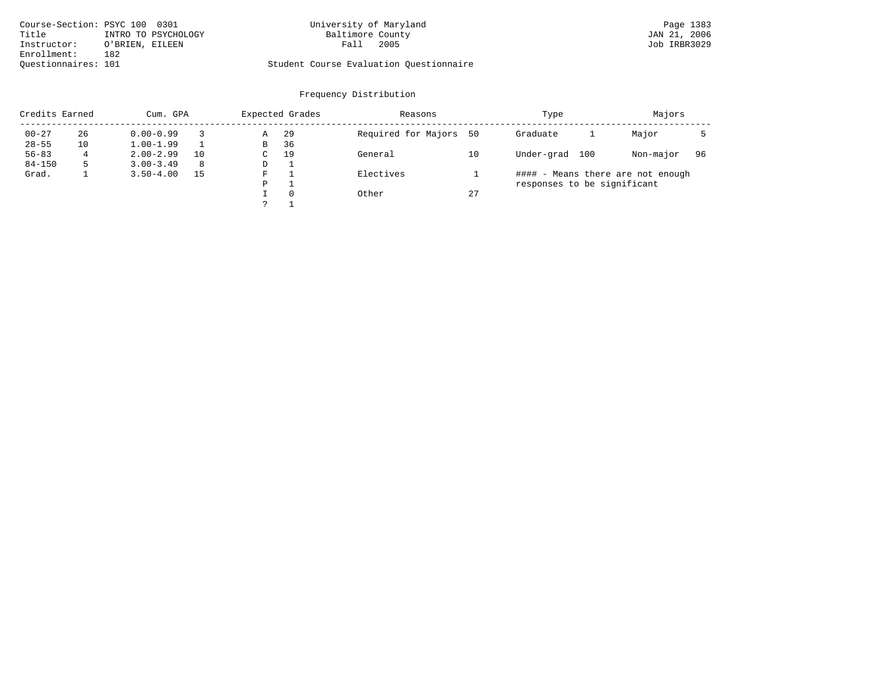| Course-Section: PSYC 100 0301 |                     | University of Maryland                  | Page 1383    |
|-------------------------------|---------------------|-----------------------------------------|--------------|
| Title                         | INTRO TO PSYCHOLOGY | Baltimore County                        | JAN 21, 2006 |
| Instructor:                   | O'BRIEN, EILEEN     | 2005<br>Fall                            | Job IRBR3029 |
| Enrollment:                   | 182                 |                                         |              |
| Ouestionnaires: 101           |                     | Student Course Evaluation Questionnaire |              |

# University of Maryland Page 1383<br>Baltimore County Bage 1383<br>
Page 1383<br>
JAN 21, 2006

|            | Credits Earned<br>Cum. GPA |               |    |    | Expected Grades | Reasons             |    | Type                              | Majors    |    |
|------------|----------------------------|---------------|----|----|-----------------|---------------------|----|-----------------------------------|-----------|----|
| $00 - 27$  | 26                         | $0.00 - 0.99$ |    | Α  | -29             | Required for Majors | 50 | Graduate                          | Major     |    |
| $28 - 55$  | 10                         | $1.00 - 1.99$ |    | B  | 36              |                     |    |                                   |           |    |
| $56 - 83$  | 4                          | $2.00 - 2.99$ | 10 | C. | 19              | General             | 10 | Under-grad<br>100                 | Non-major | 96 |
| $84 - 150$ |                            | $3.00 - 3.49$ | 8  | D  |                 |                     |    |                                   |           |    |
| Grad.      |                            | $3.50 - 4.00$ | 15 | F  |                 | Electives           |    | #### - Means there are not enough |           |    |
|            |                            |               |    | P  |                 |                     |    | responses to be significant       |           |    |
|            |                            |               |    |    | $\Omega$        | Other               | 27 |                                   |           |    |
|            |                            |               |    |    |                 |                     |    |                                   |           |    |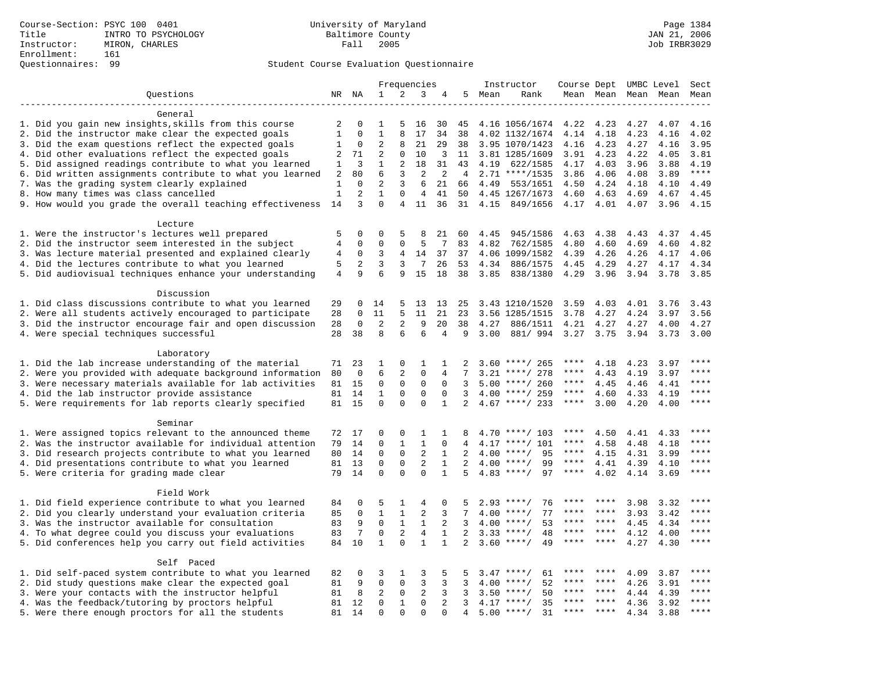## Questionnaires: 99 Student Course Evaluation Questionnaire

|                                                                                                                     |                |                | Frequencies  |                |                |              |                | Instructor | Course Dept UMBC Level     |              |              |              | Sect         |                        |
|---------------------------------------------------------------------------------------------------------------------|----------------|----------------|--------------|----------------|----------------|--------------|----------------|------------|----------------------------|--------------|--------------|--------------|--------------|------------------------|
| Questions                                                                                                           |                | NR NA          | $\mathbf{1}$ | 2              | 3              | 4            | 5              | Mean       | Rank                       |              | Mean Mean    |              | Mean Mean    | Mean                   |
|                                                                                                                     |                |                |              |                |                |              |                |            |                            |              |              |              |              |                        |
| General                                                                                                             |                |                |              |                |                |              |                |            |                            |              |              |              |              |                        |
| 1. Did you gain new insights, skills from this course                                                               | 2              | O              | 1            | 5              | 16             | 30           | 45             |            | 4.16 1056/1674             | 4.22         | 4.23         | 4.27         | 4.07         | 4.16                   |
| 2. Did the instructor make clear the expected goals                                                                 | $\mathbf{1}$   | 0              | $\mathbf{1}$ | 8              | 17             | 34           | 38             |            | 4.02 1132/1674             | 4.14         | 4.18         | 4.23         | 4.16         | 4.02                   |
| 3. Did the exam questions reflect the expected goals                                                                | 1              | 0              | 2            | 8              | 21             | 29           | 38             |            | 3.95 1070/1423             | 4.16         | 4.23         | 4.27         | 4.16         | 3.95                   |
| 4. Did other evaluations reflect the expected goals                                                                 | $\overline{2}$ | 71             | 2            | $\mathbf{0}$   | 10             | 3            | 11             |            | 3.81 1285/1609             | 3.91         | 4.23         | 4.22         | 4.05         | 3.81                   |
| 5. Did assigned readings contribute to what you learned                                                             | 1              | 3              | $\mathbf{1}$ | 2              | 18             | 31           | 43             | 4.19       | 622/1585                   | 4.17         | 4.03         | 3.96         | 3.88         | 4.19                   |
| 6. Did written assignments contribute to what you learned                                                           | 2              | 80             | 6            | 3              | $\overline{2}$ | 2            | 4              |            | $2.71$ ****/1535           | 3.86         | 4.06         | 4.08         | 3.89         | $***$                  |
| 7. Was the grading system clearly explained                                                                         | 1              | $\Omega$       | 2            | 3              | 6              | 21           | 66             | 4.49       | 553/1651                   | 4.50         | 4.24         | 4.18         | 4.10         | 4.49                   |
| 8. How many times was class cancelled                                                                               | $1\,$          | $\overline{c}$ | $\mathbf{1}$ | 0              | $\overline{4}$ | 41           | 50             |            | 4.45 1267/1673             | 4.60         | 4.63         | 4.69         | 4.67         | 4.45                   |
| 9. How would you grade the overall teaching effectiveness                                                           | 14             | 3              | $\Omega$     | $\overline{4}$ | 11             | 36           | 31             | 4.15       | 849/1656                   | 4.17         | 4.01         | 4.07         | 3.96         | 4.15                   |
|                                                                                                                     |                |                |              |                |                |              |                |            |                            |              |              |              |              |                        |
| Lecture                                                                                                             |                |                |              |                |                |              |                |            |                            |              |              |              |              |                        |
| 1. Were the instructor's lectures well prepared                                                                     | 5              | 0              | $\Omega$     | 5              | 8              | 21           | 60             | 4.45       | 945/1586                   | 4.63         | 4.38         | 4.43         | 4.37         | 4.45                   |
| 2. Did the instructor seem interested in the subject                                                                | $\overline{4}$ | 0              | $\Omega$     | 0              | 5              | 7            | 83             | 4.82       | 762/1585                   | 4.80         | 4.60         | 4.69         | 4.60         | 4.82                   |
| 3. Was lecture material presented and explained clearly                                                             | 4              | $\mathbf 0$    | 3            | 4              | 14             | 37           | 37             |            | 4.06 1099/1582             | 4.39         | 4.26         | 4.26         | 4.17         | 4.06                   |
| 4. Did the lectures contribute to what you learned                                                                  | 5              | 2              | 3            | 3              | 7              | 26           | 53             | 4.34       | 886/1575                   | 4.45         | 4.29         | 4.27         | 4.17         | 4.34                   |
| 5. Did audiovisual techniques enhance your understanding                                                            | $\overline{4}$ | 9              | 6            | 9              | 15             | 18           | 38             | 3.85       | 838/1380                   | 4.29         | 3.96         | 3.94         | 3.78         | 3.85                   |
|                                                                                                                     |                |                |              |                |                |              |                |            |                            |              |              |              |              |                        |
| Discussion                                                                                                          |                |                |              |                |                |              |                |            |                            |              |              |              |              |                        |
| 1. Did class discussions contribute to what you learned                                                             | 29             | 0<br>0         | 14<br>11     | 5<br>5         | 13<br>11       | 13<br>21     | 25<br>23       |            | 3.43 1210/1520             | 3.59<br>3.78 | 4.03<br>4.27 | 4.01<br>4.24 | 3.76<br>3.97 | 3.43<br>3.56           |
| 2. Were all students actively encouraged to participate<br>3. Did the instructor encourage fair and open discussion | 28<br>28       | 0              | 2            | 2              | 9              | 20           | 38             | 4.27       | 3.56 1285/1515<br>886/1511 | 4.21         | 4.27         | 4.27         | 4.00         | 4.27                   |
| 4. Were special techniques successful                                                                               | 28             | 38             | 8            | 6              | 6              | 4            | 9              | 3.00       | 881/994                    | 3.27         | 3.75         | 3.94         | 3.73         | 3.00                   |
|                                                                                                                     |                |                |              |                |                |              |                |            |                            |              |              |              |              |                        |
| Laboratory                                                                                                          |                |                |              |                |                |              |                |            |                            |              |              |              |              |                        |
| 1. Did the lab increase understanding of the material                                                               | 71             | 23             | 1            | 0              | 1              | 1            | $\mathfrak{D}$ |            | $3.60$ ****/ 265           | ****         | 4.18         | 4.23         | 3.97         |                        |
| 2. Were you provided with adequate background information                                                           | 80             | $\mathbf 0$    | 6            | 2              | $\mathbf 0$    | 4            | 7              | 3.21       | ****/ 278                  | ****         | 4.43         | 4.19         | 3.97         | ****                   |
| 3. Were necessary materials available for lab activities                                                            | 81             | 15             | $\mathbf 0$  | $\mathbf 0$    | $\mathbf 0$    | $\mathbf 0$  | 3              |            | $5.00$ ****/ 260           | ****         | 4.45         | 4.46         | 4.41         | $***$                  |
| 4. Did the lab instructor provide assistance                                                                        | 81             | 14             | $\mathbf{1}$ | $\Omega$       | $\Omega$       | $\Omega$     | 3              |            | $4.00$ ****/ 259           | ****         | 4.60         | 4.33         | 4.19         | $\star\star\star\star$ |
| 5. Were requirements for lab reports clearly specified                                                              |                | 81 15          | $\mathbf 0$  | $\Omega$       | $\mathbf 0$    | $\mathbf{1}$ | 2              |            | $4.67$ ****/ 233           | ****         | 3.00         | 4.20         | 4.00         | ****                   |
|                                                                                                                     |                |                |              |                |                |              |                |            |                            |              |              |              |              |                        |
| Seminar                                                                                                             |                |                |              |                |                |              |                |            |                            |              |              |              |              |                        |
| 1. Were assigned topics relevant to the announced theme                                                             | 72             | 17             | 0            | $\Omega$       | 1              | 1            | 8              |            | $4.70$ ****/ 103           | ****         | 4.50         | 4.41         | 4.33         | ****                   |
| 2. Was the instructor available for individual attention                                                            | 79             | 14             | 0            | $\mathbf{1}$   | $\mathbf{1}$   | $\mathbf 0$  | 4              |            | $4.17$ ****/ 101           | ****         | 4.58         | 4.48         | 4.18         | ****                   |
| 3. Did research projects contribute to what you learned                                                             | 80             | 14             | $\mathbf 0$  | $\mathsf 0$    | $\sqrt{2}$     | $\mathbf{1}$ | 2              | 4.00       | $***/$<br>95               | ****         | 4.15         | 4.31         | 3.99         | ****                   |
| 4. Did presentations contribute to what you learned                                                                 | 81             | 13             | $\mathbf 0$  | $\mathbf 0$    | $\overline{2}$ | $\mathbf{1}$ | 2              |            | 99<br>$4.00$ ****/         | $***$ * * *  | 4.41         | 4.39         | 4.10         | $***$                  |
| 5. Were criteria for grading made clear                                                                             | 79             | 14             | $\Omega$     | $\Omega$       | $\Omega$       | $\mathbf{1}$ | 5              |            | $4.83$ ****/<br>97         | $***$ * * *  | 4.02         | 4.14         | 3.69         | ****                   |
|                                                                                                                     |                |                |              |                |                |              |                |            |                            |              |              |              |              |                        |
| Field Work                                                                                                          |                |                |              |                |                |              |                |            |                            |              |              |              |              |                        |
| 1. Did field experience contribute to what you learned                                                              | 84             | 0              | 5            | 1              | 4              | 0            | 5              |            | $2.93$ ****/<br>76         | ****         | ****         | 3.98         | 3.32         | ****                   |
| 2. Did you clearly understand your evaluation criteria                                                              | 85             | $\mathbf 0$    | $\mathbf{1}$ | $\mathbf{1}$   | $\overline{a}$ | 3            | 7              | 4.00       | 77<br>$***$ /              | ****         | ****         | 3.93         | 3.42         | $***$ * * *            |
| 3. Was the instructor available for consultation                                                                    | 83             | 9              | $\mathbf 0$  | $\mathbf{1}$   | $\mathbf{1}$   | 2            | 3              |            | $4.00$ ****/<br>53         | ****         | ****         | 4.45         | 4.34         | ****                   |
| 4. To what degree could you discuss your evaluations                                                                | 83             | 7              | $\mathbf 0$  | $\overline{c}$ | $\,4$          | $\mathbf{1}$ | $\overline{a}$ | 3.33       | $***$ /<br>48              | ****         | ****         | 4.12         | 4.00         | ****                   |
| 5. Did conferences help you carry out field activities                                                              | 84             | 10             | $\mathbf{1}$ | $\Omega$       | $\mathbf{1}$   | $\mathbf{1}$ | $\overline{2}$ | 3.60       | $***/$<br>49               | ****         | $* * * *$    | 4.27         | 4.30         | ****                   |
|                                                                                                                     |                |                |              |                |                |              |                |            |                            |              |              |              |              |                        |
| Self Paced                                                                                                          |                |                |              |                |                |              |                |            |                            |              |              |              |              |                        |
| 1. Did self-paced system contribute to what you learned                                                             | 82             | 0              | 3            | 1              | 3              | 5            | 5              | 3.47       | ****/<br>61                |              |              | 4.09         | 3.87         | ****                   |
| 2. Did study questions make clear the expected goal                                                                 | 81             | 9              | $\mathbf 0$  | $\mathbf 0$    | 3              | 3            | 3              | 4.00       | 52<br>$***$ /              | ****         | ****         | 4.26         | 3.91         | ****                   |
| 3. Were your contacts with the instructor helpful                                                                   | 81             | 8              | 2            | $\mathbf 0$    | 2              | 3            | 3              | 3.50       | 50<br>$* * * * /$          | ****         | ****         | 4.44         | 4.39         | ****                   |
| 4. Was the feedback/tutoring by proctors helpful                                                                    | 81             | 12             | $\mathbf 0$  | $\mathbf{1}$   | $\mathbf 0$    | 2            | 3              |            | 35<br>$4.17$ ****/         | ****         | ****         | 4.36         | 3.92         | ****                   |
| 5. Were there enough proctors for all the students                                                                  | 81             | 14             | $\Omega$     | $\Omega$       | $\Omega$       | $\Omega$     | 4              | 5.00       | $***$ /<br>31              | ****         |              | 4.34         | 3.88         | $***$                  |
|                                                                                                                     |                |                |              |                |                |              |                |            |                            |              |              |              |              |                        |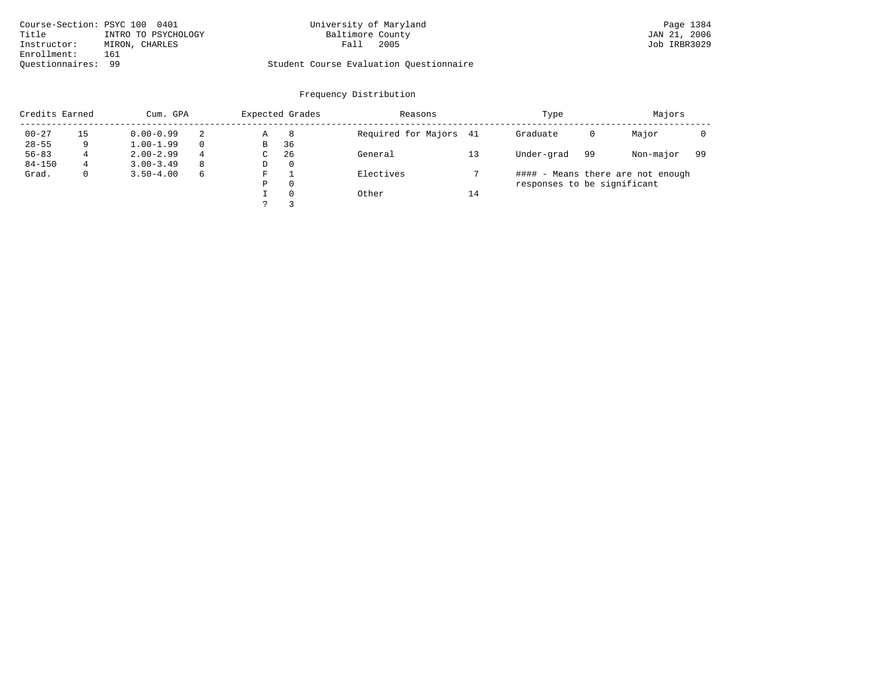| Course-Section: PSYC 100 0401 |                     | University of Maryland                  | Page 1384    |
|-------------------------------|---------------------|-----------------------------------------|--------------|
| Title                         | INTRO TO PSYCHOLOGY | Baltimore County                        | JAN 21, 2006 |
| Instructor:                   | MIRON, CHARLES      | 2005<br>Fall                            | Job IRBR3029 |
| Enrollment:                   | 161                 |                                         |              |
| Ouestionnaires: 99            |                     | Student Course Evaluation Questionnaire |              |

# University of Maryland Page 1384<br>Baltimore County Bage 1384<br>
Baltimore County County County Day 21, 2006

# Questionnaires: 99 Student Course Evaluation Questionnaire

|            | Credits Earned<br>Cum. GPA |               |          | Expected Grades |          | Reasons                |    | Type                        |    | Majors                            |     |  |
|------------|----------------------------|---------------|----------|-----------------|----------|------------------------|----|-----------------------------|----|-----------------------------------|-----|--|
| $00 - 27$  | 15                         | $0.00 - 0.99$ |          | Α               | 8        | Required for Majors 41 |    | Graduate                    | 0  | Major                             |     |  |
| $28 - 55$  | 9                          | $1.00 - 1.99$ | $\Omega$ | В               | 36       |                        |    |                             |    |                                   |     |  |
| $56 - 83$  | 4                          | $2.00 - 2.99$ | 4        | C               | 26       | General                | 13 | Under-grad                  | 99 | Non-major                         | -99 |  |
| $84 - 150$ | 4                          | $3.00 - 3.49$ | 8        | D               | 0        |                        |    |                             |    |                                   |     |  |
| Grad.      |                            | $3.50 - 4.00$ | 6        | F               |          | Electives              |    |                             |    | #### - Means there are not enough |     |  |
|            |                            |               |          | Ρ               | $\Omega$ |                        |    | responses to be significant |    |                                   |     |  |
|            |                            |               |          |                 | $\Omega$ | Other                  | 14 |                             |    |                                   |     |  |
|            |                            |               |          |                 |          |                        |    |                             |    |                                   |     |  |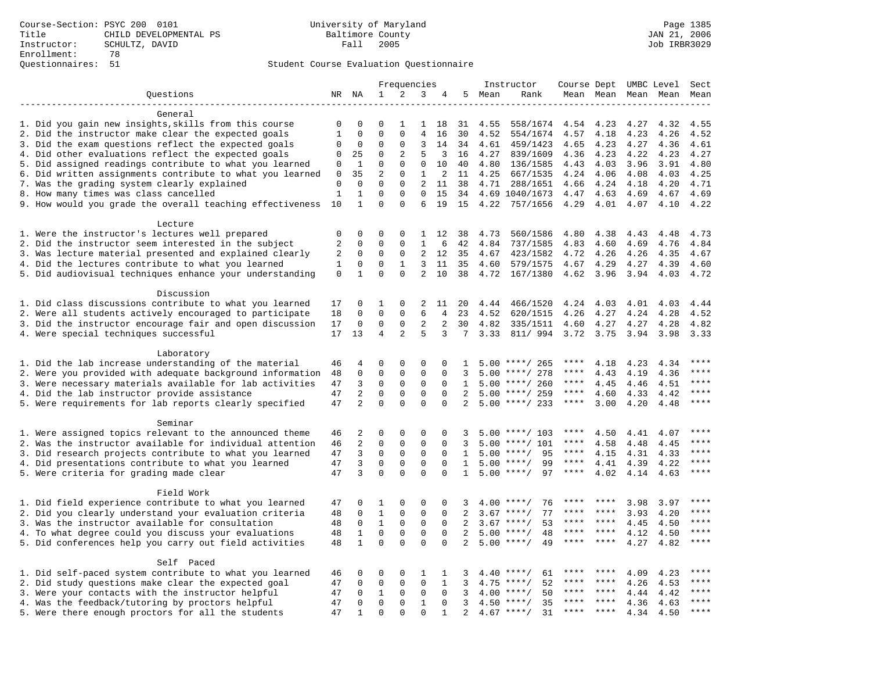|                                                                                      |                   |                          |                            | Frequencies                 |                   |                             |                     |      | Instructor                    | Course Dept UMBC Level |              |              |              | Sect                 |
|--------------------------------------------------------------------------------------|-------------------|--------------------------|----------------------------|-----------------------------|-------------------|-----------------------------|---------------------|------|-------------------------------|------------------------|--------------|--------------|--------------|----------------------|
| Questions                                                                            |                   | NR NA                    | $\mathbf 1$                | 2                           | 3                 | 4                           | 5                   | Mean | Rank                          |                        | Mean Mean    |              | Mean Mean    | Mean                 |
|                                                                                      |                   |                          |                            |                             |                   |                             |                     |      |                               |                        |              |              |              |                      |
| General                                                                              |                   |                          |                            |                             |                   |                             |                     |      |                               |                        |              |              |              |                      |
| 1. Did you gain new insights, skills from this course                                | 0                 | 0                        | $\Omega$                   | -1                          | 1                 | 18                          | 31                  | 4.55 | 558/1674                      | 4.54                   | 4.23         | 4.27         | 4.32         | 4.55                 |
| 2. Did the instructor make clear the expected goals                                  | $\mathbf{1}$      | $\Omega$                 | $\Omega$                   | $\Omega$                    | $\overline{4}$    | 16                          | 30                  | 4.52 | 554/1674                      | 4.57                   | 4.18         | 4.23         | 4.26         | 4.52                 |
| 3. Did the exam questions reflect the expected goals                                 | 0                 | 0                        | $\Omega$                   | $\Omega$                    | 3                 | 14                          | 34                  | 4.61 | 459/1423                      | 4.65                   | 4.23         | 4.27         | 4.36         | 4.61                 |
| 4. Did other evaluations reflect the expected goals                                  | 0                 | 25                       | $\Omega$                   | 2                           | 5                 | 3                           | 16                  | 4.27 | 839/1609                      | 4.36                   | 4.23         | 4.22         | 4.23         | 4.27                 |
| 5. Did assigned readings contribute to what you learned                              | 0                 | $\mathbf{1}$             | $\mathbf 0$                | $\mathbf{0}$                | $\mathbf 0$       | 10                          | 40                  | 4.80 | 136/1585                      | 4.43                   | 4.03         | 3.96         | 3.91         | 4.80                 |
| 6. Did written assignments contribute to what you learned                            | $\mathbf 0$       | 35                       | $\overline{2}$<br>$\Omega$ | $\mathbf{0}$                | $\mathbf{1}$<br>2 | 2                           | 11                  | 4.25 | 667/1535                      | 4.24                   | 4.06         | 4.08         | 4.03         | 4.25                 |
| 7. Was the grading system clearly explained<br>8. How many times was class cancelled | 0<br>$\mathbf{1}$ | $\Omega$<br>$\mathbf{1}$ | $\mathbf 0$                | $\mathbf 0$<br>$\mathbf{0}$ | 0                 | 11<br>15                    | 38<br>34            | 4.71 | 288/1651<br>4.69 1040/1673    | 4.66<br>4.47           | 4.24<br>4.63 | 4.18<br>4.69 | 4.20<br>4.67 | 4.71<br>4.69         |
| 9. How would you grade the overall teaching effectiveness                            | 10                | $\mathbf{1}$             | $\Omega$                   | $\Omega$                    | 6                 | 19                          | 15                  | 4.22 | 757/1656                      | 4.29                   | 4.01         | 4.07         | 4.10         | 4.22                 |
|                                                                                      |                   |                          |                            |                             |                   |                             |                     |      |                               |                        |              |              |              |                      |
| Lecture                                                                              |                   |                          |                            |                             |                   |                             |                     |      |                               |                        |              |              |              |                      |
| 1. Were the instructor's lectures well prepared                                      | 0                 | $\mathbf 0$              | $\Omega$                   | $\mathbf 0$                 | 1                 | 12                          | 38                  | 4.73 | 560/1586                      | 4.80                   | 4.38         | 4.43         | 4.48         | 4.73                 |
| 2. Did the instructor seem interested in the subject                                 | 2                 | $\mathbf 0$              | $\mathbf 0$                | $\mathbf{0}$                | $\mathbf{1}$      | 6                           | 42                  | 4.84 | 737/1585                      | 4.83                   | 4.60         | 4.69         | 4.76         | 4.84                 |
| 3. Was lecture material presented and explained clearly                              | 2                 | 0                        | 0                          | $\mathbf 0$                 | 2                 | 12                          | 35                  | 4.67 | 423/1582                      | 4.72                   | 4.26         | 4.26         | 4.35         | 4.67                 |
| 4. Did the lectures contribute to what you learned                                   | 1                 | 0                        | 0                          | 1                           | 3                 | 11                          | 35                  | 4.60 | 579/1575                      | 4.67                   | 4.29         | 4.27         | 4.39         | 4.60                 |
| 5. Did audiovisual techniques enhance your understanding                             | $\mathbf 0$       | $\mathbf{1}$             | $\Omega$                   | $\Omega$                    | $\overline{a}$    | 10                          | 38                  | 4.72 | 167/1380                      | 4.62                   | 3.96         | 3.94         | 4.03         | 4.72                 |
|                                                                                      |                   |                          |                            |                             |                   |                             |                     |      |                               |                        |              |              |              |                      |
| Discussion                                                                           |                   |                          |                            |                             |                   |                             |                     |      |                               |                        |              |              |              |                      |
| 1. Did class discussions contribute to what you learned                              | 17                | 0                        | 1                          | $\mathbf{0}$                | 2                 | 11                          | 20                  | 4.44 | 466/1520                      | 4.24                   | 4.03         | 4.01         | 4.03         | 4.44                 |
| 2. Were all students actively encouraged to participate                              | 18                | $\mathbf 0$              | $\mathbf 0$                | $\mathbf 0$                 | 6                 | $\overline{4}$              | 23                  | 4.52 | 620/1515                      | 4.26                   | 4.27         | 4.24         | 4.28         | 4.52                 |
| 3. Did the instructor encourage fair and open discussion                             | 17                | 0                        | $\mathsf 0$                | $\mathbf 0$                 | $\overline{2}$    | 2                           | 30                  | 4.82 | 335/1511                      | 4.60                   | 4.27         | 4.27         | 4.28         | 4.82                 |
| 4. Were special techniques successful                                                | 17                | 13                       | 4                          | 2                           | 5                 | 3                           | 7                   | 3.33 | 811/ 994                      | 3.72                   | 3.75         | 3.94         | 3.98         | 3.33                 |
|                                                                                      |                   |                          |                            |                             |                   |                             |                     |      |                               |                        |              |              |              |                      |
| Laboratory                                                                           |                   |                          |                            |                             |                   |                             |                     |      |                               |                        |              |              |              |                      |
| 1. Did the lab increase understanding of the material                                | 46                | 4                        | 0                          | $\Omega$                    | 0                 | $\Omega$                    | $\mathbf{1}$        |      | $5.00$ ****/ 265              | ****                   | 4.18         | 4.23         | 4.34         | $***$                |
| 2. Were you provided with adequate background information                            | 48                | 0                        | $\mathbf 0$                | $\mathsf 0$                 | $\mathbf 0$       | $\mathbf 0$                 | 3                   |      | $5.00$ ****/ 278              | ****                   | 4.43         | 4.19         | 4.36         | ****                 |
| 3. Were necessary materials available for lab activities                             | 47                | 3                        | $\mathbf 0$                | $\mathbf 0$                 | $\mathbf 0$       | $\mathbf 0$                 | 1                   |      | $5.00$ ****/ 260              | $***$ * * *            | 4.45         | 4.46         | 4.51         | $***$<br>$***$ * * * |
| 4. Did the lab instructor provide assistance                                         | 47                | $\overline{2}$           | $\mathbf 0$                | $\mathbf{0}$                | $\mathbf 0$       | $\Omega$                    | 2                   |      | $5.00$ ****/ 259              | ****                   | 4.60         | 4.33         | 4.42         |                      |
| 5. Were requirements for lab reports clearly specified                               | 47                | $\overline{2}$           | $\Omega$                   | $\Omega$                    | $\Omega$          | $\Omega$                    | 2                   |      | $5.00$ ****/ 233              | ****                   | 3.00         | 4.20         | 4.48         | $***$                |
| Seminar                                                                              |                   |                          |                            |                             |                   |                             |                     |      |                               |                        |              |              |              |                      |
| 1. Were assigned topics relevant to the announced theme                              | 46                | 2                        | $\mathbf 0$                | $\mathsf 0$                 | $\Omega$          | $\Omega$                    |                     |      | $5.00$ ****/ 103              | ****                   | 4.50         | 4.41         | 4.07         | $***$                |
| 2. Was the instructor available for individual attention                             | 46                | 2                        | $\mathbf 0$                | $\mathsf 0$                 | $\mathbf 0$       | 0                           | 3                   | 5.00 | $***/101$                     | ****                   | 4.58         | 4.48         | 4.45         | ****                 |
| 3. Did research projects contribute to what you learned                              | 47                | 3                        | $\mathsf 0$                | 0                           | $\mathbf 0$       | 0                           | 1                   |      | $5.00$ ****/<br>95            | $***$ * * *            | 4.15         | 4.31         | 4.33         | ****                 |
| 4. Did presentations contribute to what you learned                                  | 47                | 3                        | $\mathbf 0$                | 0                           | 0                 | $\Omega$                    | 1                   |      | $5.00$ ****/<br>99            | $***$ * * *            | 4.41         | 4.39         | 4.22         | ****                 |
| 5. Were criteria for grading made clear                                              | 47                | 3                        | $\Omega$                   | $\Omega$                    | $\Omega$          | $\Omega$                    | $\mathbf{1}$        |      | $5.00$ ****/<br>97            | ****                   | 4.02         | 4.14         | 4.63         | ****                 |
|                                                                                      |                   |                          |                            |                             |                   |                             |                     |      |                               |                        |              |              |              |                      |
| Field Work                                                                           |                   |                          |                            |                             |                   |                             |                     |      |                               |                        |              |              |              |                      |
| 1. Did field experience contribute to what you learned                               | 47                | $\Omega$                 | 1                          | $\Omega$                    | $\Omega$          | $\Omega$                    | 3                   |      | $4.00$ ****/<br>76            |                        |              | 3.98         | 3.97         | * * * *              |
| 2. Did you clearly understand your evaluation criteria                               | 48                | $\mathbf 0$              | $\mathbf{1}$               | $\mathbf{0}$                | $\mathbf 0$       | $\mathbf 0$                 | $\overline{2}$      | 3.67 | 77<br>$***$ /                 | ****                   | ****         | 3.93         | 4.20         | ****                 |
| 3. Was the instructor available for consultation                                     | 48                | $\mathbf 0$              | $\mathbf{1}$               | 0                           | 0                 | $\mathbf 0$                 | 2                   |      | $3.67$ ****/<br>53            | ****                   | ****         | 4.45         | 4.50         | ****                 |
| 4. To what degree could you discuss your evaluations                                 | 48                | $\mathbf{1}$             | $\mathbf 0$                | $\mathbf{0}$                | $\mathbf 0$       | $\Omega$                    | 2                   |      | $5.00$ ****/<br>48            | ****                   | $***$ *      | 4.12         | 4.50         | $***$ *              |
| 5. Did conferences help you carry out field activities                               | 48                | $\mathbf{1}$             | $\Omega$                   | $\Omega$                    | $\Omega$          | $\Omega$                    | 2                   | 5.00 | 49<br>$***/$                  | ****                   | ****         | 4.27         | 4.82         | $***$                |
|                                                                                      |                   |                          |                            |                             |                   |                             |                     |      |                               |                        |              |              |              |                      |
| Self Paced                                                                           |                   |                          |                            |                             |                   |                             |                     |      |                               |                        |              |              |              | $***$ * * *          |
| 1. Did self-paced system contribute to what you learned                              | 46                | 0                        | 0                          | $\Omega$                    | $\mathbf{1}$      | 1                           | 3                   | 4.40 | 61<br>****/                   | ****<br>****           | ****         | 4.09         | 4.23         | ****                 |
| 2. Did study questions make clear the expected goal                                  | 47                | $\mathbf 0$              | $\mathbf 0$                | $\mathbf 0$                 | $\mathbf 0$       | $\mathbf{1}$                | 3                   | 4.75 | $***/$<br>52                  | ****                   | ****         | 4.26         | 4.53         | ****                 |
| 3. Were your contacts with the instructor helpful                                    | 47                | 0                        | 1<br>$\mathbf 0$           | 0<br>$\mathbf{0}$           | 0<br>$\mathbf{1}$ | $\mathbf 0$                 | 3                   | 4.00 | 50<br>$***$ /<br>35<br>$***/$ |                        |              | 4.44         | 4.42         | * * * *              |
| 4. Was the feedback/tutoring by proctors helpful                                     | 47<br>47          | 0<br>$\mathbf{1}$        | $\Omega$                   | $\Omega$                    | $\Omega$          | $\mathbf 0$<br>$\mathbf{1}$ | 3<br>$\overline{a}$ | 4.50 | $4.67$ ****/<br>31            | ****                   | $***$        | 4.36         | 4.63         | ****                 |
| 5. Were there enough proctors for all the students                                   |                   |                          |                            |                             |                   |                             |                     |      |                               |                        |              | 4.34         | 4.50         |                      |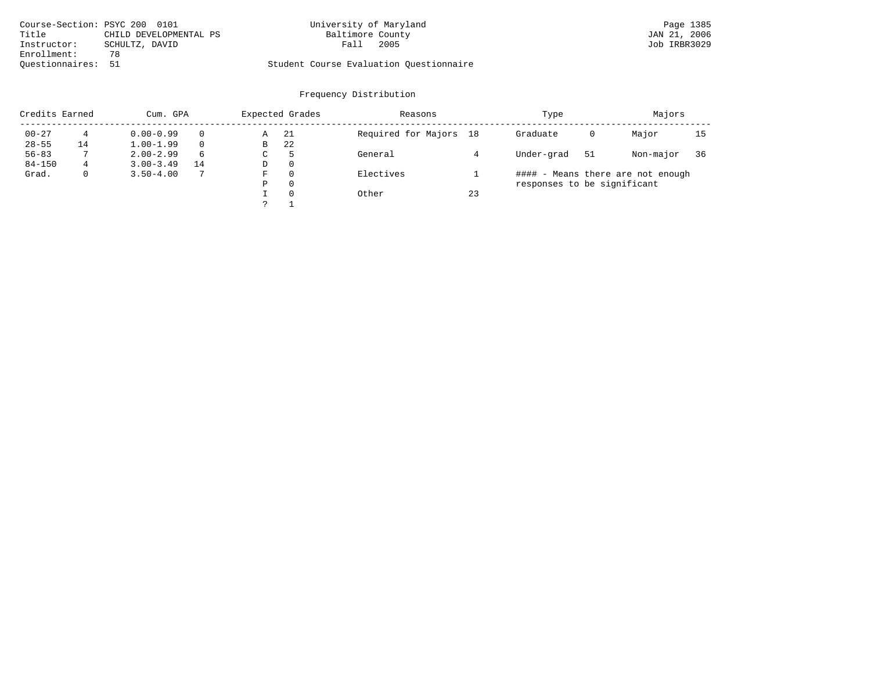| Course-Section: PSYC 200 0101   | University of Maryland                  | Page 1385    |
|---------------------------------|-----------------------------------------|--------------|
| Title<br>CHILD DEVELOPMENTAL PS | Baltimore County                        | JAN 21, 2006 |
| Instructor:<br>SCHULTZ, DAVID   | 2005<br>Fall                            | Job IRBR3029 |
| Enrollment:<br>78               |                                         |              |
| Ouestionnaires: 51              | Student Course Evaluation Ouestionnaire |              |

| Credits Earned |    | Cum. GPA      |          |    | Expected Grades | Reasons                |    | Type                        | Majors |                                   |    |
|----------------|----|---------------|----------|----|-----------------|------------------------|----|-----------------------------|--------|-----------------------------------|----|
| $00 - 27$      | 4  | $0.00 - 0.99$ | $\Omega$ | Α  | -21             | Required for Majors 18 |    | Graduate                    | 0      | Major                             | 15 |
| $28 - 55$      | 14 | $1.00 - 1.99$ | $\Omega$ | В  | -22             |                        |    |                             |        |                                   |    |
| $56 - 83$      |    | $2.00 - 2.99$ | 6        | C  | 5               | General                |    | Under-grad                  | 51     | Non-major                         | 36 |
| $84 - 150$     | 4  | $3.00 - 3.49$ | 14       | D  | 0               |                        |    |                             |        |                                   |    |
| Grad.          | 0  | $3.50 - 4.00$ |          | F. | 0               | Electives              |    |                             |        | #### - Means there are not enough |    |
|                |    |               |          | Ρ  | 0               |                        |    | responses to be significant |        |                                   |    |
|                |    |               |          |    | $\Omega$        | Other                  | 23 |                             |        |                                   |    |
|                |    |               |          |    |                 |                        |    |                             |        |                                   |    |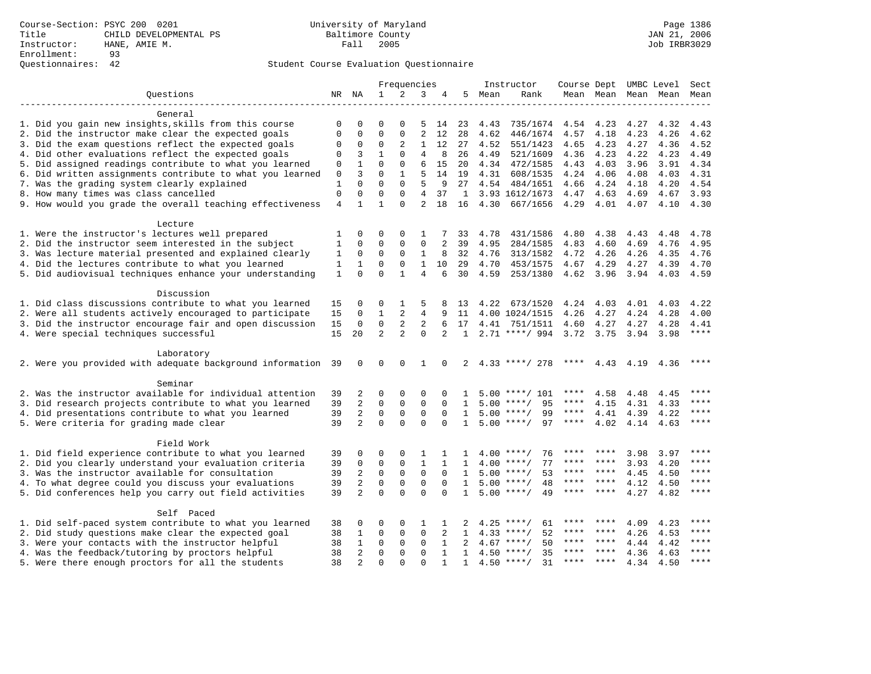|                                                              |              |                |                | Frequencies    |                |                |              |        | Instructor          | Course Dept UMBC Level Sect |                |      |                          |             |
|--------------------------------------------------------------|--------------|----------------|----------------|----------------|----------------|----------------|--------------|--------|---------------------|-----------------------------|----------------|------|--------------------------|-------------|
| Ouestions                                                    |              | NR NA          | $\mathbf{1}$   | 2              | 3              | 4              |              | 5 Mean | Rank                |                             |                |      | Mean Mean Mean Mean Mean |             |
|                                                              |              |                |                |                |                |                |              |        |                     |                             |                |      |                          |             |
| General                                                      |              |                |                |                |                |                |              |        |                     |                             |                |      |                          |             |
| 1. Did you gain new insights, skills from this course        | $\Omega$     | $\Omega$       | $\Omega$       | $\Omega$       | 5              | 14             | 23           | 4.43   | 735/1674            | 4.54                        | 4.23           | 4.27 | 4.32                     | 4.43        |
| 2. Did the instructor make clear the expected goals          | $\Omega$     | 0              | $\Omega$       | 0              | $\overline{2}$ | 12             | 28           | 4.62   | 446/1674            | 4.57                        | 4.18           | 4.23 | 4.26                     | 4.62        |
| 3. Did the exam questions reflect the expected goals         | 0            | 0              | $\Omega$       | 2              | 1              | 12             | 27           | 4.52   | 551/1423            | 4.65                        | 4.23           | 4.27 | 4.36                     | 4.52        |
| 4. Did other evaluations reflect the expected goals          | $\Omega$     | 3              | $\mathbf{1}$   | $\Omega$       | $\overline{4}$ | 8              | 26           | 4.49   | 521/1609            | 4.36                        | 4.23           | 4.22 | 4.23                     | 4.49        |
| 5. Did assigned readings contribute to what you learned      | 0            | $\mathbf{1}$   | $\Omega$       | $\Omega$       | 6              | 15             | 20           | 4.34   | 472/1585            | 4.43                        | 4.03           | 3.96 | 3.91                     | 4.34        |
| 6. Did written assignments contribute to what you learned    | 0            | 3              | $\Omega$       | $\mathbf{1}$   | 5              | 14             | 19           | 4.31   | 608/1535            | 4.24                        | 4.06           | 4.08 | 4.03                     | 4.31        |
| 7. Was the grading system clearly explained                  | 1            | $\Omega$       | $\Omega$       | $\Omega$       | 5              | 9              | 27           | 4.54   | 484/1651            | 4.66                        | 4.24           | 4.18 | 4.20                     | 4.54        |
| 8. How many times was class cancelled                        | $\mathbf 0$  | $\Omega$       | $\Omega$       | $\Omega$       | 4              | 37             | 1            |        | 3.93 1612/1673      | 4.47                        | 4.63           | 4.69 | 4.67                     | 3.93        |
| 9. How would you grade the overall teaching effectiveness    | 4            | $\mathbf{1}$   | $\mathbf{1}$   | $\Omega$       | $\overline{a}$ | 18             | 16           | 4.30   | 667/1656            | 4.29                        | 4.01           | 4.07 | 4.10                     | 4.30        |
| Lecture                                                      |              |                |                |                |                |                |              |        |                     |                             |                |      |                          |             |
| 1. Were the instructor's lectures well prepared              | 1            | 0              | 0              | $\mathbf 0$    | 1              |                | 33           | 4.78   | 431/1586            | 4.80                        | 4.38           | 4.43 | 4.48                     | 4.78        |
| 2. Did the instructor seem interested in the subject         | 1            | 0              | $\mathbf 0$    | 0              | 0              | 2              | 39           | 4.95   | 284/1585            | 4.83                        | 4.60           | 4.69 | 4.76                     | 4.95        |
| 3. Was lecture material presented and explained clearly      | 1            | $\mathbf 0$    | 0              | $\mathbf 0$    | 1              | 8              | 32           | 4.76   | 313/1582            | 4.72                        | 4.26           | 4.26 | 4.35                     | 4.76        |
| 4. Did the lectures contribute to what you learned           | 1            | 1              | $\mathbf 0$    | $\mathbf 0$    | $\mathbf{1}$   | 10             | 29           | 4.70   | 453/1575            | 4.67                        | 4.29           | 4.27 | 4.39                     | 4.70        |
| 5. Did audiovisual techniques enhance your understanding     | $\mathbf{1}$ | $\Omega$       | $\Omega$       | $\mathbf{1}$   | $\overline{4}$ | 6              | 30           | 4.59   | 253/1380            |                             | 4.62 3.96      | 3.94 | 4.03                     | 4.59        |
|                                                              |              |                |                |                |                |                |              |        |                     |                             |                |      |                          |             |
| Discussion                                                   |              |                |                |                |                |                |              |        |                     |                             |                |      |                          |             |
| 1. Did class discussions contribute to what you learned      | 15           | 0              | 0              | 1              | 5              | 8              | 13           | 4.22   | 673/1520            | 4.24                        | 4.03           | 4.01 | 4.03                     | 4.22        |
| 2. Were all students actively encouraged to participate      | 15           | 0              | $\mathbf{1}$   | 2              | $\overline{4}$ | 9              | 11           |        | 4.00 1024/1515      | 4.26                        | 4.27           | 4.24 | 4.28                     | 4.00        |
| 3. Did the instructor encourage fair and open discussion     | 15           | 0              | 0              | 2              | 2              | 6              | 17           | 4.41   | 751/1511            | 4.60                        | 4.27           | 4.27 | 4.28                     | 4.41        |
| 4. Were special techniques successful                        | 15           | 20             | $\overline{a}$ | $\overline{a}$ | $\Omega$       | $\overline{a}$ | 1            |        | $2.71$ ****/ 994    | 3.72                        | 3.75           | 3.94 | 3.98                     | $***$ * * * |
| Laboratory                                                   |              |                |                |                |                |                |              |        |                     |                             |                |      |                          |             |
| 2. Were you provided with adequate background information 39 |              | $\mathbf 0$    | 0              | $\Omega$       | $\mathbf{1}$   | $\Omega$       |              |        | $2, 4.33$ ****/ 278 | ****                        | 4.43 4.19 4.36 |      |                          | ****        |
|                                                              |              |                |                |                |                |                |              |        |                     |                             |                |      |                          |             |
| Seminar                                                      |              |                |                |                |                |                |              |        |                     |                             |                |      |                          |             |
| 2. Was the instructor available for individual attention     | 39           | 2              | 0              | $\Omega$       | $\Omega$       | $\Omega$       | п.           |        | $5.00$ ****/ 101    | ****                        | 4.58           | 4.48 | 4.45                     |             |
| 3. Did research projects contribute to what you learned      | 39           | 2              | $\mathbf 0$    | $\mathbf 0$    | $\mathbf 0$    | $\Omega$       | $\mathbf{1}$ |        | $5.00$ ****/<br>95  | ****                        | 4.15           | 4.31 | 4.33                     | ****        |
| 4. Did presentations contribute to what you learned          | 39           | $\overline{2}$ | $\mathbf 0$    | 0              | 0              | $\Omega$       | $\mathbf{1}$ |        | $5.00$ ****/<br>99  | ****                        | 4.41           | 4.39 | 4.22                     | ****        |
| 5. Were criteria for grading made clear                      | 39           | $\overline{a}$ | $\mathbf 0$    | $\Omega$       | $\mathbf 0$    | $\Omega$       | $\mathbf{1}$ |        | $5.00$ ****/<br>97  | $***$ * * *                 | 4.02           | 4.14 | 4.63                     | ****        |
| Field Work                                                   |              |                |                |                |                |                |              |        |                     |                             |                |      |                          |             |
| 1. Did field experience contribute to what you learned       | 39           | 0              | 0              | 0              | 1              | 1              | 1            |        | 76<br>$4.00$ ****/  |                             |                | 3.98 | 3.97                     |             |
| 2. Did you clearly understand your evaluation criteria       | 39           | $\mathbf 0$    | 0              | 0              | 1              | $\mathbf{1}$   | $\mathbf{1}$ | 4.00   | $***$ /<br>77       |                             |                | 3.93 | 4.20                     | ****        |
| 3. Was the instructor available for consultation             | 39           | $\overline{a}$ | $\mathbf 0$    | $\mathbf{0}$   | $\mathbf 0$    | $\Omega$       | $\mathbf{1}$ | 5.00   | $***$ /<br>53       |                             | ****           | 4.45 | 4.50                     | ****        |
| 4. To what degree could you discuss your evaluations         | 39           | 2              | $\mathbf 0$    | $\mathbf{0}$   | $\mathbf 0$    | $\mathbf 0$    | $\mathbf{1}$ |        | 48<br>$5.00$ ****/  |                             | ****           | 4.12 | 4.50                     | ****        |
| 5. Did conferences help you carry out field activities       | 39           | $\overline{2}$ | $\Omega$       | $\Omega$       | $\Omega$       | $\Omega$       | $\mathbf{1}$ |        | $5.00$ ****/<br>49  | ****                        | ****           | 4.27 | 4.82                     | ****        |
|                                                              |              |                |                |                |                |                |              |        |                     |                             |                |      |                          |             |
| Self Paced                                                   |              |                |                |                |                |                |              |        |                     |                             |                |      |                          |             |
| 1. Did self-paced system contribute to what you learned      | 38           | 0              | $\Omega$       | $\Omega$       | 1              | 1              |              |        | 61<br>$4.25$ ****/  | ****                        | ****           | 4.09 | 4.23                     | $***$       |
| 2. Did study questions make clear the expected goal          | 38           | 1              | $\Omega$       | 0              | $\mathbf 0$    | 2              | $\mathbf{1}$ | 4.33   | 52<br>$***/$        | ****                        | ****           | 4.26 | 4.53                     | ****        |
| 3. Were your contacts with the instructor helpful            | 38           | $\mathbf{1}$   | $\mathbf 0$    | $\mathbf 0$    | $\mathbf 0$    | $\mathbf{1}$   |              | 4.67   | 50<br>$***$ /       | ****                        | $***$ *        | 4.44 | 4.42                     | ****        |
| 4. Was the feedback/tutoring by proctors helpful             | 38           | 2              | $\Omega$       | $\mathbf{0}$   | $\Omega$       | $\mathbf{1}$   | $\mathbf{1}$ |        | $4.50$ ****/<br>35  | ****                        | ****           | 4.36 | 4.63                     | ****        |
| 5. Were there enough proctors for all the students           | 38           | 2              | $\Omega$       | $\Omega$       | $\Omega$       |                | $\mathbf{1}$ |        | $4.50$ ****/<br>31  | ****                        | $***$ *        | 4.34 | 4.50                     | $***$       |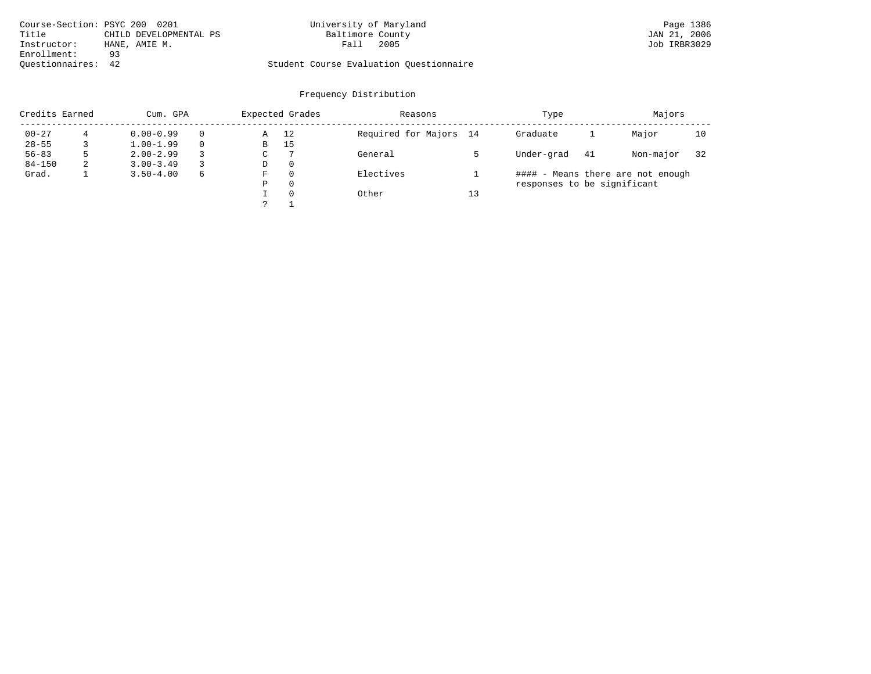|                    | Course-Section: PSYC 200 0201 | University of Maryland                  | Page 1386    |
|--------------------|-------------------------------|-----------------------------------------|--------------|
| Title              | CHILD DEVELOPMENTAL PS        | Baltimore County                        | JAN 21, 2006 |
| Instructor:        | HANE, AMIE M.                 | 2005<br>Fall                            | Job IRBR3029 |
| Enrollment:        | 93                            |                                         |              |
| Ouestionnaires: 42 |                               | Student Course Evaluation Ouestionnaire |              |

| Credits Earned | Expected Grades<br>Cum. GPA |               | Reasons |               | Type     | Majors                 |    |                             |    |                                   |    |
|----------------|-----------------------------|---------------|---------|---------------|----------|------------------------|----|-----------------------------|----|-----------------------------------|----|
| $00 - 27$      |                             | $0.00 - 0.99$ |         | Α             | 12       | Required for Majors 14 |    | Graduate                    |    | Major                             | 10 |
| $28 - 55$      |                             | $1.00 - 1.99$ |         | В             | 15       |                        |    |                             |    |                                   |    |
| $56 - 83$      | 5                           | $2.00 - 2.99$ |         | $\sim$<br>◡   |          | General                |    | Under-grad                  | 41 | Non-major                         | 32 |
| $84 - 150$     | 2                           | $3.00 - 3.49$ |         | D             | 0        |                        |    |                             |    |                                   |    |
| Grad.          |                             | $3.50 - 4.00$ | 6       | F             |          | Electives              |    |                             |    | #### - Means there are not enough |    |
|                |                             |               |         | Ρ             | 0        |                        |    | responses to be significant |    |                                   |    |
|                |                             |               |         |               | $\Omega$ | Other                  | 13 |                             |    |                                   |    |
|                |                             |               |         | $\mathcal{D}$ |          |                        |    |                             |    |                                   |    |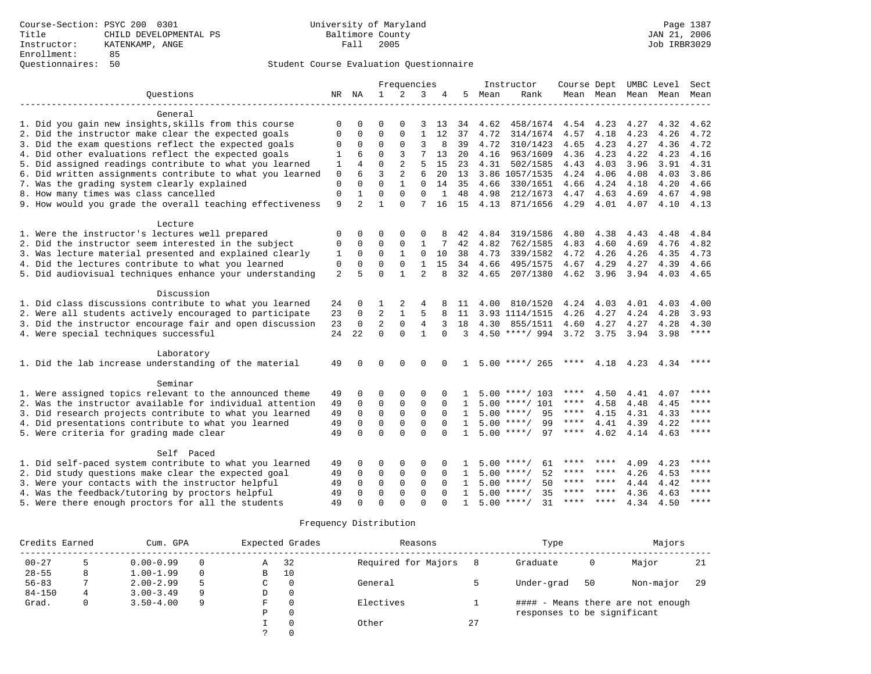|                                                           |                |                |                | Frequencies  |                |              |              |      | Instructor         | Course Dept |           |           | UMBC Level | Sect  |
|-----------------------------------------------------------|----------------|----------------|----------------|--------------|----------------|--------------|--------------|------|--------------------|-------------|-----------|-----------|------------|-------|
| Ouestions                                                 |                | NR NA          | $\mathbf{1}$   | 2            | 3              |              | 5            | Mean | Rank               |             | Mean Mean | Mean      | Mean       | Mean  |
|                                                           |                |                |                |              |                |              |              |      |                    |             |           |           |            |       |
| General                                                   |                |                |                |              |                |              |              |      |                    |             |           |           |            |       |
| 1. Did you gain new insights, skills from this course     | $\mathbf 0$    | $\Omega$       | $\Omega$       | $\Omega$     | 3              | 13           | 34           | 4.62 | 458/1674           | 4.54 4.23   |           | 4.27      | 4.32       | 4.62  |
| 2. Did the instructor make clear the expected goals       | $\Omega$       | 0              | $\Omega$       | 0            | 1              | 12           | 37           | 4.72 | 314/1674           | 4.57        | 4.18      | 4.23      | 4.26       | 4.72  |
| 3. Did the exam questions reflect the expected goals      | $\Omega$       | $\Omega$       | $\Omega$       | $\Omega$     | 3              | 8            | 39           | 4.72 | 310/1423           | 4.65        | 4.23      | 4.27      | 4.36       | 4.72  |
| 4. Did other evaluations reflect the expected goals       | $\mathbf{1}$   | 6              | $\Omega$       | 3            | 7              | 13           | 20           | 4.16 | 963/1609           | 4.36        | 4.23      | 4.22      | 4.23       | 4.16  |
| 5. Did assigned readings contribute to what you learned   | 1              | 4              | $\Omega$       | 2            | 5              | 15           | 23           | 4.31 | 502/1585           | 4.43        | 4.03      | 3.96      | 3.91       | 4.31  |
| 6. Did written assignments contribute to what you learned | $\mathbf 0$    | 6              | 3              | 2            | 6              | 20           | 13           |      | 3.86 1057/1535     | 4.24        | 4.06      | 4.08      | 4.03       | 3.86  |
| 7. Was the grading system clearly explained               | $\Omega$       | $\Omega$       | $\Omega$       | $\mathbf{1}$ | $\Omega$       | 14           | 35           | 4.66 | 330/1651           | 4.66        | 4.24      | 4.18      | 4.20       | 4.66  |
| 8. How many times was class cancelled                     | $\mathbf 0$    | 1              | $\Omega$       | $\Omega$     | 0              | $\mathbf{1}$ | 48           | 4.98 | 212/1673           | 4.47        | 4.63      | 4.69      | 4.67       | 4.98  |
| 9. How would you grade the overall teaching effectiveness | 9              | $\overline{2}$ | $\mathbf{1}$   | $\Omega$     | 7              | 16           | 15           | 4.13 | 871/1656           | 4.29        | 4.01      | 4.07      | 4.10       | 4.13  |
| Lecture                                                   |                |                |                |              |                |              |              |      |                    |             |           |           |            |       |
| 1. Were the instructor's lectures well prepared           | $\mathbf 0$    | 0              | 0              | $\Omega$     | $\Omega$       |              | 42           | 4.84 | 319/1586           | 4.80        | 4.38      | 4.43      | 4.48       | 4.84  |
| 2. Did the instructor seem interested in the subject      | 0              | 0              | 0              | 0            | 1              |              | 42           | 4.82 | 762/1585           | 4.83        | 4.60      | 4.69      | 4.76       | 4.82  |
| 3. Was lecture material presented and explained clearly   | $\mathbf{1}$   | $\Omega$       | $\Omega$       | $\mathbf{1}$ | $\Omega$       | 10           | 38           | 4.73 | 339/1582           | 4.72        | 4.26      | 4.26      | 4.35       | 4.73  |
| 4. Did the lectures contribute to what you learned        | $\mathbf 0$    | $\Omega$       | $\Omega$       | $\Omega$     | $\mathbf{1}$   | 15           | 34           | 4.66 | 495/1575           |             | 4.29      |           |            |       |
|                                                           | $\overline{2}$ | 5              | $\Omega$       | $\mathbf{1}$ | $\overline{a}$ | $\mathsf{R}$ |              |      | 207/1380           | 4.67        |           | 4.27      | 4.39       | 4.66  |
| 5. Did audiovisual techniques enhance your understanding  |                |                |                |              |                |              | 32           | 4.65 |                    | 4.62 3.96   |           | 3.94      | 4.03       | 4.65  |
| Discussion                                                |                |                |                |              |                |              |              |      |                    |             |           |           |            |       |
| 1. Did class discussions contribute to what you learned   | 24             | 0              |                | 2            | 4              | 8            | -11          | 4.00 | 810/1520           | 4.24        | 4.03      | 4.01      | 4.03       | 4.00  |
| 2. Were all students actively encouraged to participate   | 23             | $\mathbf 0$    | 2              | 1            | 5              | 8            | 11           |      | 3.93 1114/1515     | 4.26        | 4.27      | 4.24      | 4.28       | 3.93  |
| 3. Did the instructor encourage fair and open discussion  | 23             | $\mathbf 0$    | $\overline{2}$ | $\mathbf 0$  | 4              | 3            | 18           | 4.30 | 855/1511           | 4.60        | 4.27      | 4.27      | 4.28       | 4.30  |
| 4. Were special techniques successful                     | 24             | 22             | $\Omega$       | $\Omega$     | $\mathbf{1}$   | $\Omega$     | 3            |      | $4.50$ ****/ 994   | 3.72 3.75   |           | 3.94      | 3.98       | $***$ |
|                                                           |                |                |                |              |                |              |              |      |                    |             |           |           |            |       |
| Laboratory                                                |                |                |                |              |                |              |              |      |                    |             |           |           |            |       |
| 1. Did the lab increase understanding of the material     | 49             | U              | $\Omega$       | $\Omega$     | $\Omega$       | $\Omega$     | 1            |      | $5.00$ ****/ 265   | ****        |           | 4.18 4.23 | 4.34       | ****  |
| Seminar                                                   |                |                |                |              |                |              |              |      |                    |             |           |           |            |       |
| 1. Were assigned topics relevant to the announced theme   | 49             | $\Omega$       | $\Omega$       | $\Omega$     | $\Omega$       |              |              |      | $5.00$ ****/ 103   | ****        | 4.50      | 4.41      | 4.07       | ****  |
| 2. Was the instructor available for individual attention  | 49             | $\Omega$       | $\Omega$       | $\Omega$     | $\mathbf 0$    | $\Omega$     | $\mathbf{1}$ |      | $5.00$ ****/ 101   | $***$ * * * | 4.58      | 4.48      | 4.45       | ****  |
|                                                           |                | $\Omega$       | $\Omega$       | $\mathbf 0$  | $\Omega$       | $\Omega$     |              |      | $5.00$ ****/       | ****        |           |           |            | ****  |
| 3. Did research projects contribute to what you learned   | 49             |                |                |              |                |              | $\mathbf{1}$ |      | 95                 |             | 4.15      | 4.31      | 4.33       | $***$ |
| 4. Did presentations contribute to what you learned       | 49             | $\mathbf 0$    | $\mathbf 0$    | $\mathbf 0$  | $\mathbf 0$    | $\Omega$     | $\mathbf{1}$ |      | $5.00$ ****/<br>99 | ****        | 4.41      | 4.39      | 4.22       | $***$ |
| 5. Were criteria for grading made clear                   | 49             | $\Omega$       | $\Omega$       | $\Omega$     | $\Omega$       | $\Omega$     | $\mathbf{1}$ |      | $5.00$ ****/<br>97 | ****        | 4.02      | 4.14      | 4.63       |       |
| Self Paced                                                |                |                |                |              |                |              |              |      |                    |             |           |           |            |       |
| 1. Did self-paced system contribute to what you learned   | 49             | 0              | $\Omega$       | $\Omega$     | $\Omega$       |              |              |      | 61<br>$5.00$ ****/ | ****        | ****      | 4.09      | 4.23       | $***$ |
| 2. Did study questions make clear the expected goal       | 49             | $\Omega$       | $\Omega$       | $\Omega$     | $\mathbf 0$    | $\Omega$     | 1            |      | $5.00$ ****/<br>52 | ****        | ****      | 4.26      | 4.53       | ****  |
| 3. Were your contacts with the instructor helpful         | 49             | $\Omega$       | $\mathbf 0$    | $\mathbf 0$  | $\Omega$       | $\Omega$     | $\mathbf{1}$ |      | 50<br>$5.00$ ****/ | ****        | ****      | 4.44      | 4.42       | ****  |
| 4. Was the feedback/tutoring by proctors helpful          | 49             | 0              | $\mathbf 0$    | $\mathbf 0$  | $\mathbf 0$    | $\Omega$     | $\mathbf{1}$ | 5.00 | $* * * * /$<br>35  | ****        | ****      | 4.36      | 4.63       | ****  |
| 5. Were there enough proctors for all the students        | 49             | <sup>0</sup>   | $\Omega$       | $\Omega$     | $\Omega$       | $\Omega$     | $\mathbf{1}$ |      | $5.00$ ****/<br>31 | ****        | ****      | 4.34      | 4.50       | ****  |
|                                                           |                |                |                |              |                |              |              |      |                    |             |           |           |            |       |

| Credits Earned |   | Cum. GPA      |          |   | Expected Grades | Reasons             |    | Type                        |    | Majors                            |     |  |
|----------------|---|---------------|----------|---|-----------------|---------------------|----|-----------------------------|----|-----------------------------------|-----|--|
| $00 - 27$      |   | $0.00 - 0.99$ |          | Α | 32              | Required for Majors |    | Graduate                    | 0  | Major                             | -21 |  |
| $28 - 55$      | 8 | $1.00 - 1.99$ | $\Omega$ | B | 10              |                     |    |                             |    |                                   |     |  |
| $56 - 83$      |   | $2.00 - 2.99$ | 5        | C | $\Omega$        | General             |    | Under-grad                  | 50 | Non-major                         | -29 |  |
| $84 - 150$     | 4 | $3.00 - 3.49$ | 9        | D | $\Omega$        |                     |    |                             |    |                                   |     |  |
| Grad.          |   | $3.50 - 4.00$ | 9        | F | $\Omega$        | Electives           |    |                             |    | #### - Means there are not enough |     |  |
|                |   |               |          | P | $\Omega$        |                     |    | responses to be significant |    |                                   |     |  |
|                |   |               |          |   | $\Omega$        | Other               | 27 |                             |    |                                   |     |  |
|                |   |               |          |   |                 |                     |    |                             |    |                                   |     |  |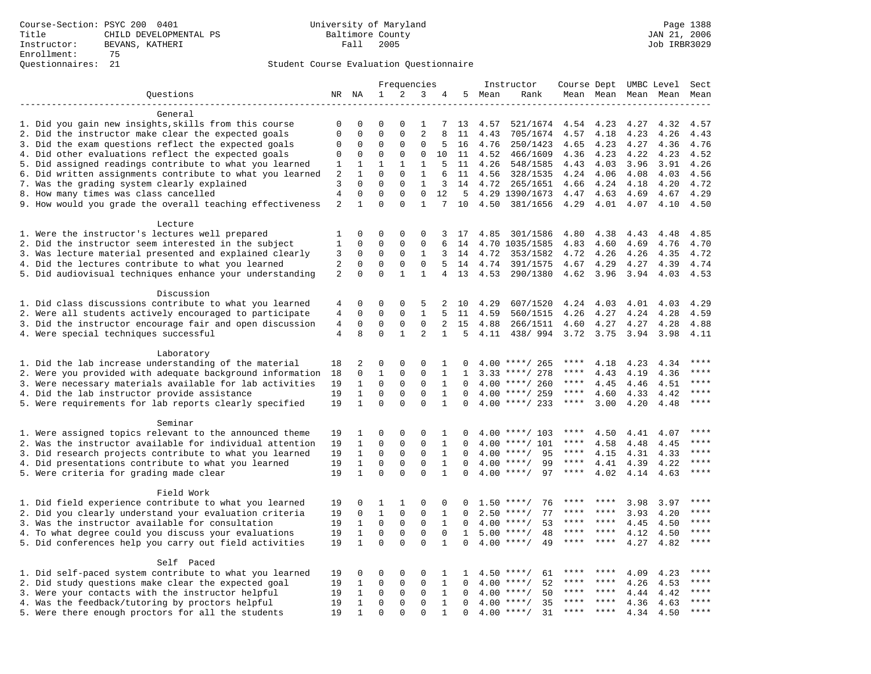|                                                                                                | Frequencies     |                              | 4                          |                              |                              | Instructor        | Course Dept          |      |                                     | UMBC Level        | Sect         |              |              |              |
|------------------------------------------------------------------------------------------------|-----------------|------------------------------|----------------------------|------------------------------|------------------------------|-------------------|----------------------|------|-------------------------------------|-------------------|--------------|--------------|--------------|--------------|
| Questions                                                                                      | NR              | ΝA                           | $\mathbf{1}$               | 2                            | 3                            |                   | 5                    | Mean | Rank                                | Mean Mean         |              | Mean         | Mean         | Mean         |
|                                                                                                |                 |                              |                            |                              |                              |                   |                      |      |                                     |                   |              |              |              |              |
| General                                                                                        |                 |                              |                            |                              |                              |                   |                      |      |                                     |                   |              |              |              |              |
| 1. Did you gain new insights, skills from this course                                          | 0               | 0                            | $\Omega$                   |                              | 1                            |                   | 13                   | 4.57 | 521/1674                            | 4.54              | 4.23         | 4.27         | 4.32         | 4.57         |
| 2. Did the instructor make clear the expected goals                                            | $\mathbf 0$     | $\mathbf 0$                  | $\Omega$                   | $\Omega$                     | $\overline{2}$               | 8                 | 11                   | 4.43 | 705/1674                            | 4.57              | 4.18         | 4.23         | 4.26         | 4.43         |
| 3. Did the exam questions reflect the expected goals                                           | $\mathbf 0$     | $\mathbf 0$                  | $\Omega$                   | 0                            | 0                            | 5                 | 16                   | 4.76 | 250/1423                            | 4.65              | 4.23         | 4.27         | 4.36         | 4.76         |
| 4. Did other evaluations reflect the expected goals                                            | $\mathbf 0$     | $\mathbf 0$                  | $\mathbf 0$                | $\mathbf{0}$                 | $\mathbf 0$                  | 10                | 11                   | 4.52 | 466/1609                            | 4.36              | 4.23         | 4.22         | 4.23         | 4.52         |
| 5. Did assigned readings contribute to what you learned                                        | 1               | 1                            | $\mathbf 1$<br>$\Omega$    | $\mathbf{1}$<br>$\Omega$     | $\mathbf{1}$                 | 5                 | 11                   | 4.26 | 548/1585                            | 4.43              | 4.03         | 3.96         | 3.91         | 4.26         |
| 6. Did written assignments contribute to what you learned                                      | $\sqrt{2}$      | $\mathbf{1}$<br>$\mathbf 0$  | $\mathbf 0$                |                              | 1                            | 6                 | 11                   | 4.56 | 328/1535                            | 4.24              | 4.06         | 4.08         | 4.03         | 4.56         |
| 7. Was the grading system clearly explained<br>8. How many times was class cancelled           | 3<br>$\sqrt{4}$ | $\mathbf{0}$                 | $\mathbf 0$                | $\mathbf{0}$<br>$\mathbf{0}$ | $\mathbf{1}$<br>$\mathbf{0}$ | 3<br>12           | 14<br>5              | 4.72 | 265/1651<br>4.29 1390/1673          | 4.66<br>4.47      | 4.24<br>4.63 | 4.18<br>4.69 | 4.20<br>4.67 | 4.72<br>4.29 |
| 9. How would you grade the overall teaching effectiveness                                      | $\overline{2}$  | 1                            | $\mathbf 0$                | $\Omega$                     | $\mathbf{1}$                 | 7                 | 10                   | 4.50 | 381/1656                            | 4.29              | 4.01         | 4.07         | 4.10         | 4.50         |
|                                                                                                |                 |                              |                            |                              |                              |                   |                      |      |                                     |                   |              |              |              |              |
| Lecture                                                                                        |                 |                              |                            |                              |                              |                   |                      |      |                                     |                   |              |              |              |              |
| 1. Were the instructor's lectures well prepared                                                | 1               | $\mathbf 0$                  | 0                          | 0                            | 0                            | 3                 | 17                   | 4.85 | 301/1586                            | 4.80              | 4.38         | 4.43         | 4.48         | 4.85         |
| 2. Did the instructor seem interested in the subject                                           | 1               | $\mathbf 0$                  | $\mathbf 0$                | 0                            | $\mathbf 0$                  | 6                 | 14                   |      | 4.70 1035/1585                      | 4.83              | 4.60         | 4.69         | 4.76         | 4.70         |
| 3. Was lecture material presented and explained clearly                                        | 3               | $\mathbf 0$                  | $\mathbf 0$                | $\Omega$                     | 1                            | 3                 | 14                   | 4.72 | 353/1582                            | 4.72              | 4.26         | 4.26         | 4.35         | 4.72         |
| 4. Did the lectures contribute to what you learned                                             | $\overline{2}$  | $\mathbf 0$                  | $\mathbf 0$                | $\mathbf{0}$                 | $\mathbf 0$                  | 5                 | 14                   | 4.74 | 391/1575                            | 4.67              | 4.29         | 4.27         | 4.39         | 4.74         |
| 5. Did audiovisual techniques enhance your understanding                                       | 2               | $\mathbf 0$                  | $\Omega$                   | $\mathbf{1}$                 | $\mathbf{1}$                 | $\overline{4}$    | 13                   | 4.53 | 290/1380                            | 4.62              | 3.96         | 3.94         | 4.03         | 4.53         |
|                                                                                                |                 |                              |                            |                              |                              |                   |                      |      |                                     |                   |              |              |              |              |
| Discussion                                                                                     |                 |                              |                            |                              |                              |                   |                      |      |                                     |                   |              |              |              |              |
| 1. Did class discussions contribute to what you learned                                        | 4               | $\mathbf 0$                  | 0                          | $\Omega$                     | 5                            | 2                 | 10                   | 4.29 | 607/1520                            | 4.24              | 4.03         | 4.01         | 4.03         | 4.29         |
| 2. Were all students actively encouraged to participate                                        | $\overline{4}$  | $\mathbf 0$                  | $\mathbf 0$                | $\mathbf 0$                  | $\mathbf{1}$                 | 5                 | 11                   | 4.59 | 560/1515                            | 4.26              | 4.27         | 4.24         | 4.28         | 4.59         |
| 3. Did the instructor encourage fair and open discussion                                       | $\overline{4}$  | $\mathbf 0$                  | $\mathbf 0$                | $\mathbf{0}$                 | $\mathbf 0$                  | $\overline{a}$    | 15                   | 4.88 | 266/1511                            | 4.60              | 4.27         | 4.27         | 4.28         | 4.88         |
| 4. Were special techniques successful                                                          | $\overline{4}$  | 8                            | $\Omega$                   | $\mathbf{1}$                 | $\overline{2}$               | $\mathbf{1}$      | $5^{\circ}$          | 4.11 | 438/ 994                            | 3.72              | 3.75         | 3.94         | 3.98         | 4.11         |
|                                                                                                |                 |                              |                            |                              |                              |                   |                      |      |                                     |                   |              |              |              |              |
| Laboratory                                                                                     |                 |                              |                            |                              |                              |                   |                      |      |                                     |                   |              |              |              |              |
| 1. Did the lab increase understanding of the material                                          | 18              | 2                            | 0                          | 0                            | 0                            | 1                 | <sup>0</sup>         |      | $4.00$ ****/ 265                    | ****              | 4.18         | 4.23         | 4.34         | ****         |
| 2. Were you provided with adequate background information                                      | 18              | 0                            | $\mathbf{1}$               | $\mathbf 0$                  | $\mathbf{0}$                 | 1                 | 1                    |      | $3.33$ ****/ 278                    | ****              | 4.43         | 4.19         | 4.36         | ****         |
| 3. Were necessary materials available for lab activities                                       | 19              | $\mathbf{1}$                 | $\mathbf 0$                | 0                            | 0                            | $\mathbf{1}$      | $\Omega$             |      | $4.00$ ****/ 260                    | ****              | 4.45         | 4.46         | 4.51         | $***$        |
| 4. Did the lab instructor provide assistance                                                   | 19              | $\mathbf{1}$                 | $\mathbf 0$                | $\mathbf{0}$                 | $\Omega$                     | $\mathbf{1}$      | $\Omega$             |      | $4.00$ ****/ 259                    | $***$ * * *       | 4.60         | 4.33         | 4.42         | ****         |
| 5. Were requirements for lab reports clearly specified                                         | 19              | $\mathbf{1}$                 | $\Omega$                   | $\Omega$                     | $\Omega$                     | $\mathbf{1}$      | $\Omega$             |      | $4.00$ ****/ 233                    | ****              | 3.00         | 4.20         | 4.48         | ****         |
|                                                                                                |                 |                              |                            |                              |                              |                   |                      |      |                                     |                   |              |              |              |              |
| Seminar                                                                                        |                 |                              |                            |                              |                              |                   |                      |      |                                     |                   |              |              |              | ****         |
| 1. Were assigned topics relevant to the announced theme                                        | 19              | 1                            | 0                          | 0                            | $\Omega$                     | 1                 | 0                    |      | $4.00$ ****/ 103                    | ****              | 4.50         | 4.41         | 4.07         | ****         |
| 2. Was the instructor available for individual attention                                       | 19              | $\mathbf{1}$                 | $\mathbf 0$                | $\mathbf 0$                  | $\mathbf 0$                  | $\mathbf{1}$      | $\Omega$             | 4.00 | $***/101$                           | ****<br>$***$ * * | 4.58         | 4.48         | 4.45         | $***$        |
| 3. Did research projects contribute to what you learned                                        | 19              | $\mathbf{1}$<br>$\mathbf{1}$ | $\mathbf 0$<br>$\mathbf 0$ | $\mathbf{0}$<br>$\mathbf 0$  | $\mathbf 0$<br>$\mathbf 0$   | 1<br>$\mathbf{1}$ | $\Omega$<br>$\Omega$ | 4.00 | 95<br>$4.00$ ****/<br>$***$ /<br>99 | $***$ * *         | 4.15         | 4.31         | 4.33         | $***$        |
| 4. Did presentations contribute to what you learned<br>5. Were criteria for grading made clear | 19<br>19        | $\mathbf{1}$                 | $\Omega$                   | $\Omega$                     | $\Omega$                     | $\mathbf{1}$      | $\Omega$             |      | $4.00$ ****/<br>97                  | ****              | 4.41<br>4.02 | 4.39<br>4.14 | 4.22<br>4.63 | ****         |
|                                                                                                |                 |                              |                            |                              |                              |                   |                      |      |                                     |                   |              |              |              |              |
| Field Work                                                                                     |                 |                              |                            |                              |                              |                   |                      |      |                                     |                   |              |              |              |              |
| 1. Did field experience contribute to what you learned                                         | 19              | $\mathbf 0$                  | 1                          | 1                            | $\Omega$                     | 0                 | n                    | 1.50 | $***/$<br>76                        |                   |              | 3.98         | 3.97         | ****         |
| 2. Did you clearly understand your evaluation criteria                                         | 19              | $\mathbf 0$                  | $\mathbf{1}$               | $\mathbf 0$                  | $\mathbf{0}$                 | $\mathbf{1}$      | $\Omega$             | 2.50 | 77<br>$***/$                        | ****              | ****         | 3.93         | 4.20         | ****         |
| 3. Was the instructor available for consultation                                               | 19              | 1                            | $\mathbf 0$                | $\mathbf 0$                  | $\mathbf 0$                  | $\mathbf{1}$      | $\mathbf 0$          | 4.00 | 53<br>$***/$                        | ****              | ****         | 4.45         | 4.50         | ****         |
| 4. To what degree could you discuss your evaluations                                           | 19              | $\mathbf{1}$                 | $\mathbf 0$                | $\mathbf{0}$                 | $\mathbf 0$                  | $\mathbf 0$       | $\mathbf{1}$         | 5.00 | $***$ /<br>48                       | ****              | $***$ *      | 4.12         | 4.50         | $***$        |
| 5. Did conferences help you carry out field activities                                         | 19              | $\mathbf{1}$                 | $\Omega$                   | $\Omega$                     | $\Omega$                     | $\mathbf{1}$      | $\Omega$             | 4.00 | 49<br>$***$ /                       | ****              | ****         | 4.27         | 4.82         | $***$        |
|                                                                                                |                 |                              |                            |                              |                              |                   |                      |      |                                     |                   |              |              |              |              |
| Self Paced                                                                                     |                 |                              |                            |                              |                              |                   |                      |      |                                     |                   |              |              |              |              |
| 1. Did self-paced system contribute to what you learned                                        | 19              | 0                            | 0                          | $\mathbf{0}$                 | 0                            | 1                 | 1                    |      | $4.50$ ****/<br>61                  | ****              |              | 4.09         | 4.23         | $***$ * * *  |
| 2. Did study questions make clear the expected goal                                            | 19              | 1                            | 0                          | $\mathbf 0$                  | 0                            | 1                 | $\Omega$             | 4.00 | $***/$<br>52                        | ****              | ****         | 4.26         | 4.53         | ****         |
| 3. Were your contacts with the instructor helpful                                              | 19              | 1                            | $\mathbf 0$                | $\mathbf 0$                  | 0                            | $\mathbf{1}$      | $\Omega$             | 4.00 | 50<br>$***/$                        | ****              | ****         | 4.44         | 4.42         | ****         |
| 4. Was the feedback/tutoring by proctors helpful                                               | 19              | $\mathbf{1}$                 | $\mathbf 0$                | $\mathbf 0$                  | $\mathbf 0$                  | $\mathbf{1}$      | $\Omega$             | 4.00 | 35<br>$***/$                        |                   |              | 4.36         | 4.63         | * * * *      |
| 5. Were there enough proctors for all the students                                             | 19              | $\mathbf{1}$                 | $\Omega$                   | $\Omega$                     | $\Omega$                     | $\mathbf{1}$      | $\Omega$             |      | $4.00$ ****/<br>31                  | $***$ * * *       | $***$        | 4.34         | 4.50         | ****         |
|                                                                                                |                 |                              |                            |                              |                              |                   |                      |      |                                     |                   |              |              |              |              |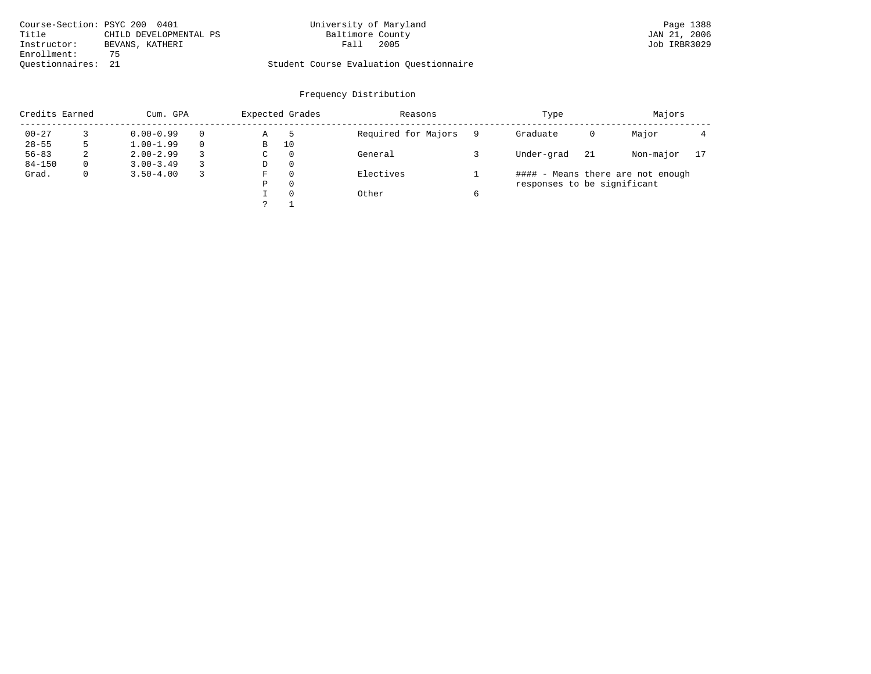|                    | Course-Section: PSYC 200 0401 | University of Maryland                  | Page 1388    |
|--------------------|-------------------------------|-----------------------------------------|--------------|
| Title              | CHILD DEVELOPMENTAL PS        | Baltimore County                        | JAN 21, 2006 |
| Instructor:        | BEVANS, KATHERI               | 2005<br>Fall                            | Job IRBR3029 |
| Enrollment:        | 75                            |                                         |              |
| Ouestionnaires: 21 |                               | Student Course Evaluation Ouestionnaire |              |

| Credits Earned |          | Cum. GPA      |          | Expected Grades |              | Reasons             |   |                             |     | Majors                            |    |
|----------------|----------|---------------|----------|-----------------|--------------|---------------------|---|-----------------------------|-----|-----------------------------------|----|
| $00 - 27$      |          | $0.00 - 0.99$ | $\Omega$ | Α               |              | Required for Majors |   | Graduate                    | 0   | Major                             |    |
| $28 - 55$      |          | $1.00 - 1.99$ | $\Omega$ | В               | 10           |                     |   |                             |     |                                   |    |
| $56 - 83$      | 2        | $2.00 - 2.99$ | 3        | С               | $\mathbf{0}$ | General             |   | Under-grad                  | -21 | Non-major                         | 17 |
| $84 - 150$     | $\Omega$ | $3.00 - 3.49$ |          | D               | 0            |                     |   |                             |     |                                   |    |
| Grad.          | 0        | $3.50 - 4.00$ | 3        | F               | 0            | Electives           |   |                             |     | #### - Means there are not enough |    |
|                |          |               |          | Ρ               | 0            |                     |   | responses to be significant |     |                                   |    |
|                |          |               |          |                 | 0            | Other               | b |                             |     |                                   |    |
|                |          |               |          |                 |              |                     |   |                             |     |                                   |    |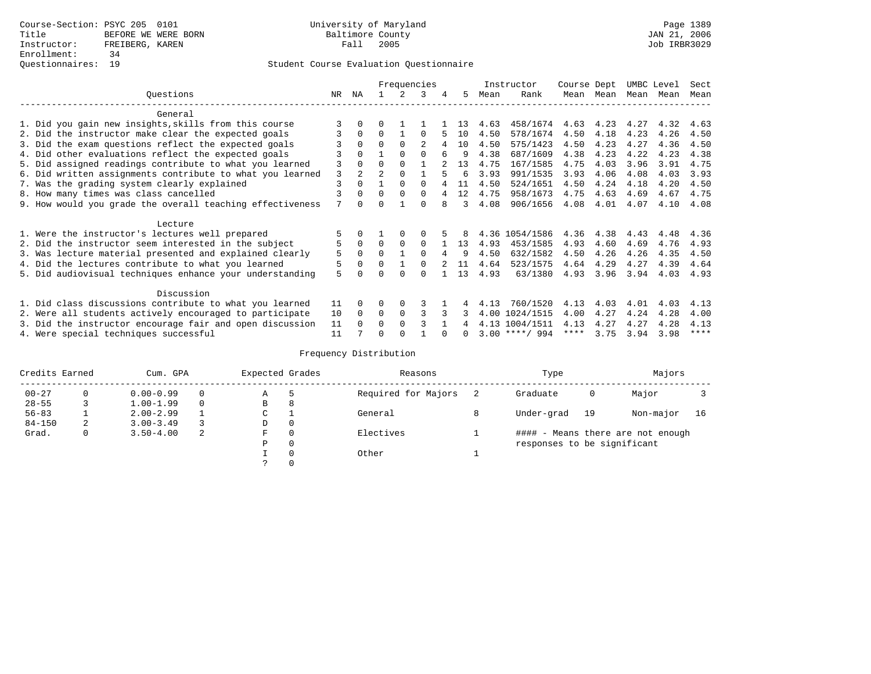## Questionnaires: 19 Student Course Evaluation Questionnaire

|                                                          |                                                           |    |             |                |             | Frequencies    |   |    |      | Instructor       | Course Dept |           | UMBC Level |      | Sect        |
|----------------------------------------------------------|-----------------------------------------------------------|----|-------------|----------------|-------------|----------------|---|----|------|------------------|-------------|-----------|------------|------|-------------|
|                                                          | Ouestions                                                 | NR | ΝA          |                | 2           | 3              | 4 | 5. | Mean | Rank             |             | Mean Mean | Mean Mean  |      | Mean        |
|                                                          | General                                                   |    |             |                |             |                |   |    |      |                  |             |           |            |      |             |
|                                                          | 1. Did you gain new insights, skills from this course     |    |             | 0              |             |                |   | 13 | 4.63 | 458/1674         | 4.63        | 4.23      | 4.27       | 4.32 | 4.63        |
|                                                          | 2. Did the instructor make clear the expected goals       |    | $\Omega$    | $\Omega$       |             | <sup>0</sup>   |   | 10 | 4.50 | 578/1674         | 4.50        | 4.18      | 4.23       | 4.26 | 4.50        |
|                                                          | 3. Did the exam questions reflect the expected goals      |    | $\Omega$    | $\Omega$       | $\Omega$    | $\mathfrak{D}$ | 4 | 10 | 4.50 | 575/1423         | 4.50        | 4.23      | 4.27       | 4.36 | 4.50        |
|                                                          | 4. Did other evaluations reflect the expected goals       |    | $\Omega$    |                | $\Omega$    | $\Omega$       | 6 | 9  | 4.38 | 687/1609         | 4.38        | 4.23      | 4.22       | 4.23 | 4.38        |
|                                                          | 5. Did assigned readings contribute to what you learned   | 3  | $\Omega$    | 0              | $\Omega$    |                |   | 13 | 4.75 | 167/1585         | 4.75        | 4.03      | 3.96       | 3.91 | 4.75        |
|                                                          | 6. Did written assignments contribute to what you learned | 3  | $2^{\circ}$ | $\mathfrak{D}$ | $\Omega$    |                |   | 6  | 3.93 | 991/1535         | 3.93        | 4.06      | 4.08       | 4.03 | 3.93        |
|                                                          | 7. Was the grading system clearly explained               | 3  | $\Omega$    |                | $\Omega$    | <sup>0</sup>   |   | 11 | 4.50 | 524/1651         | 4.50        | 4.24      | 4.18       | 4.20 | 4.50        |
|                                                          | 8. How many times was class cancelled                     |    | $\Omega$    | $\Omega$       | $\Omega$    | 0              |   | 12 | 4.75 | 958/1673         | 4.75        | 4.63      | 4.69       | 4.67 | 4.75        |
|                                                          | 9. How would you grade the overall teaching effectiveness | 7  | $\cap$      |                |             | U              |   | 3  | 4.08 | 906/1656         | 4.08        | 4.01      | 4.07       | 4.10 | 4.08        |
|                                                          | Lecture                                                   |    |             |                |             |                |   |    |      |                  |             |           |            |      |             |
|                                                          | 1. Were the instructor's lectures well prepared           |    |             |                |             |                |   |    |      | 4.36 1054/1586   | 4.36        | 4.38      | 4.43       | 4.48 | 4.36        |
|                                                          | 2. Did the instructor seem interested in the subject      | 5  | $\Omega$    | $\Omega$       | $\Omega$    | $\Omega$       |   | 13 | 4.93 | 453/1585         | 4.93        | 4.60      | 4.69       | 4.76 | 4.93        |
|                                                          | 3. Was lecture material presented and explained clearly   | 5  | $\Omega$    | 0              |             | <sup>0</sup>   |   | 9  | 4.50 | 632/1582         | 4.50        | 4.26      | 4.26       | 4.35 | 4.50        |
|                                                          | 4. Did the lectures contribute to what you learned        | 5  | $\Omega$    | U              |             | <sup>0</sup>   |   | 11 | 4.64 | 523/1575         | 4.64        | 4.29      | 4.27       | 4.39 | 4.64        |
|                                                          | 5. Did audiovisual techniques enhance your understanding  | 5  |             |                |             |                |   | 13 | 4.93 | 63/1380          | 4.93        | 3.96      | 3.94       | 4.03 | 4.93        |
|                                                          | Discussion                                                |    |             |                |             |                |   |    |      |                  |             |           |            |      |             |
|                                                          | 1. Did class discussions contribute to what you learned   | 11 | $\Omega$    | U              | $\Omega$    | 3              |   |    | 4.13 | 760/1520         | 4.13        | 4.03      | 4.01       | 4.03 | 4.13        |
|                                                          | 2. Were all students actively encouraged to participate   | 10 | $\Omega$    | 0              | $\mathbf 0$ | ς              |   |    | 4.00 | 1024/1515        | 4.00        | 4.27      | 4.24       | 4.28 | 4.00        |
| 3. Did the instructor encourage fair and open discussion |                                                           |    | $\Omega$    | 0              | $\Omega$    |                |   |    |      | 4.13 1004/1511   | 4.13        | 4.27      | 4.27       | 4.28 | 4.13        |
|                                                          | 4. Were special techniques successful                     | 11 |             |                |             |                |   |    |      | $3.00$ ****/ 994 | ****        | 3.75      | 3.94       | 3.98 | $***$ * * * |

| Credits Earned |          | Cum. GPA      |   | Expected Grades |          | Reasons             |   | Type                        |    | Majors                            |    |
|----------------|----------|---------------|---|-----------------|----------|---------------------|---|-----------------------------|----|-----------------------------------|----|
| $00 - 27$      | $\Omega$ | $0.00 - 0.99$ |   | Α               | 5        | Required for Majors |   | Graduate                    | 0  | Major                             |    |
| $28 - 55$      | 3        | $1.00 - 1.99$ |   | В               | 8        |                     |   |                             |    |                                   |    |
| $56 - 83$      |          | $2.00 - 2.99$ |   | $\sim$<br>◡     |          | General             | 8 | Under-grad                  | 19 | Non-major                         | 16 |
| $84 - 150$     | 2        | $3.00 - 3.49$ |   | D               | 0        |                     |   |                             |    |                                   |    |
| Grad.          | 0        | $3.50 - 4.00$ | 2 | F               | 0        | Electives           |   |                             |    | #### - Means there are not enough |    |
|                |          |               |   | Ρ               | 0        |                     |   | responses to be significant |    |                                   |    |
|                |          |               |   |                 | $\Omega$ | Other               |   |                             |    |                                   |    |
|                |          |               |   |                 |          |                     |   |                             |    |                                   |    |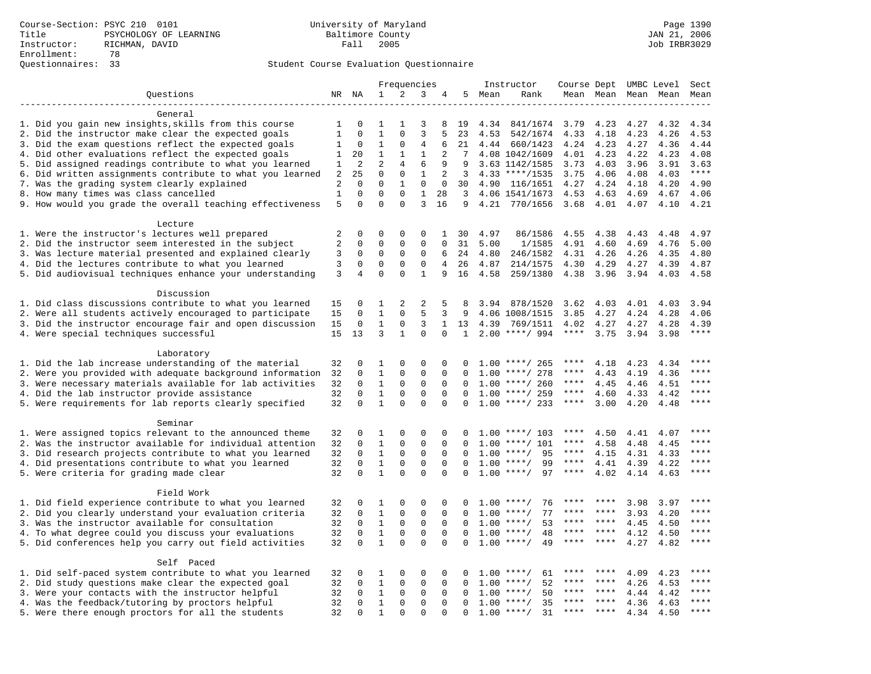|                                                           |                |                |              |              | Frequencies    |                |              |      | Instructor         | Course Dept UMBC Level |             |      |           | Sect        |
|-----------------------------------------------------------|----------------|----------------|--------------|--------------|----------------|----------------|--------------|------|--------------------|------------------------|-------------|------|-----------|-------------|
| Questions                                                 |                | NR NA          | 1            | 2            | 3              | 4              | 5            | Mean | Rank               |                        | Mean Mean   |      | Mean Mean | Mean        |
|                                                           |                |                |              |              |                |                |              |      |                    |                        |             |      |           |             |
| General                                                   |                |                |              |              |                |                |              |      |                    |                        |             |      |           |             |
| 1. Did you gain new insights, skills from this course     | 1              | $\mathbf 0$    | 1            | -1           | 3              | 8              | 19           | 4.34 | 841/1674           | 3.79                   | 4.23        | 4.27 | 4.32      | 4.34        |
| 2. Did the instructor make clear the expected goals       | $1\,$          | $\mathbf 0$    | $\mathbf{1}$ | $\mathbf 0$  | $\overline{3}$ | 5              | 23           | 4.53 | 542/1674           | 4.33                   | 4.18        | 4.23 | 4.26      | 4.53        |
| 3. Did the exam questions reflect the expected goals      | 1              | $\mathbf{0}$   | $\mathbf{1}$ | 0            | 4              | 6              | 21           |      | 4.44 660/1423      | 4.24 4.23              |             | 4.27 | 4.36      | 4.44        |
| 4. Did other evaluations reflect the expected goals       | 1              | 20             | $\mathbf 1$  | 1            | $\mathbf{1}$   | 2              | 7            |      | 4.08 1042/1609     | 4.01                   | 4.23        | 4.22 | 4.23      | 4.08        |
| 5. Did assigned readings contribute to what you learned   | 1              | 2              | 2            | 4            | 6              | 9              | 9            |      | 3.63 1142/1585     | 3.73                   | 4.03        | 3.96 | 3.91      | 3.63        |
| 6. Did written assignments contribute to what you learned | 2              | 25             | $\mathbf 0$  | $\mathbf 0$  | $\mathbf{1}$   | 2              | 3            |      | 4.33 ****/1535     | 3.75                   | 4.06        | 4.08 | 4.03      | $***$       |
| 7. Was the grading system clearly explained               | 2              | $\Omega$       | $\Omega$     | $\mathbf{1}$ | $\mathbf{0}$   | $\mathbf 0$    | 30           |      | 4.90 116/1651      | 4.27                   | 4.24        | 4.18 | 4.20      | 4.90        |
| 8. How many times was class cancelled                     | $\mathbf{1}$   | $\mathbf 0$    | $\Omega$     | $\Omega$     | $\mathbf{1}$   | 28             | 3            |      | 4.06 1541/1673     | 4.53                   | 4.63        | 4.69 | 4.67      | 4.06        |
| 9. How would you grade the overall teaching effectiveness | 5              | $\Omega$       | $\Omega$     | $\Omega$     | 3              | 16             | 9            |      | 4.21 770/1656 3.68 |                        | 4.01 4.07   |      | 4.10      | 4.21        |
|                                                           |                |                |              |              |                |                |              |      |                    |                        |             |      |           |             |
| Lecture                                                   |                |                |              |              |                |                |              |      |                    |                        |             |      |           |             |
| 1. Were the instructor's lectures well prepared           | 2              | $\Omega$       | $\Omega$     | $\Omega$     | $\Omega$       | $\mathbf{1}$   | 30           | 4.97 | 86/1586            | 4.55                   | 4.38        | 4.43 | 4.48      | 4.97        |
| 2. Did the instructor seem interested in the subject      | $\overline{2}$ | $\mathbf 0$    | 0            | $\mathbf{0}$ | $\mathbf{0}$   | $\mathbf 0$    | 31           | 5.00 | 1/1585             | 4.91                   | 4.60        | 4.69 | 4.76      | 5.00        |
| 3. Was lecture material presented and explained clearly   | 3              | 0              | 0            | $\mathsf 0$  | $\mathbf 0$    | 6              | 24           | 4.80 | 246/1582           | 4.31                   | 4.26        | 4.26 | 4.35      | 4.80        |
| 4. Did the lectures contribute to what you learned        | 3              | $\mathbf 0$    | $\mathbf 0$  | $\mathbf{0}$ | $\mathbf 0$    | $\overline{4}$ | 26           | 4.87 | 214/1575           | 4.30                   | 4.29        | 4.27 | 4.39      | 4.87        |
| 5. Did audiovisual techniques enhance your understanding  | 3              | $\overline{4}$ | $\Omega$     | $\Omega$     | $\mathbf{1}$   | 9              | 16           | 4.58 | 259/1380           | 4.38                   | 3.96        | 3.94 | 4.03      | 4.58        |
|                                                           |                |                |              |              |                |                |              |      |                    |                        |             |      |           |             |
| Discussion                                                |                |                |              |              |                |                |              |      |                    |                        |             |      |           |             |
| 1. Did class discussions contribute to what you learned   | 15             | 0              | 1            | 2            | 2              | 5              | 8            | 3.94 | 878/1520           | 3.62                   | 4.03        | 4.01 | 4.03      | 3.94        |
| 2. Were all students actively encouraged to participate   | 15             | $\Omega$       | $\mathbf 1$  | $\Omega$     | 5              | 3              | 9            |      | 4.06 1008/1515     | 3.85                   | 4.27        | 4.24 | 4.28      | 4.06        |
| 3. Did the instructor encourage fair and open discussion  | 15             | $\mathbf 0$    | $\mathbf{1}$ | $\mathbf{0}$ | 3              | $\mathbf{1}$   | 13           | 4.39 | 769/1511           | 4.02                   | 4.27        | 4.27 | 4.28      | 4.39        |
| 4. Were special techniques successful                     | 15             | 13             | 3            | $\mathbf{1}$ | $\Omega$       | $\Omega$       | $\mathbf{1}$ |      | $2.00$ ****/ 994   | ****                   | 3.75        | 3.94 | 3.98      | $***$       |
|                                                           |                |                |              |              |                |                |              |      |                    |                        |             |      |           |             |
| Laboratory                                                |                |                |              |              |                |                |              |      |                    |                        |             |      |           |             |
| 1. Did the lab increase understanding of the material     | 32             | $\Omega$       | $\mathbf{1}$ | $\Omega$     | $\Omega$       | $\Omega$       |              |      | $1.00$ ****/ 265   | $***$ * * *            | 4.18        | 4.23 | 4.34      | ****        |
| 2. Were you provided with adequate background information | 32             | $\mathbf 0$    | $\mathbf{1}$ | $\mathbf{0}$ | $\mathbf 0$    | 0              | 0            |      | $1.00$ ****/ 278   | ****                   | 4.43        | 4.19 | 4.36      | ****        |
| 3. Were necessary materials available for lab activities  | 32             | $\mathbf 0$    | $\mathbf{1}$ | $\mathbf 0$  | $\mathbf 0$    | $\mathbf 0$    | $\mathbf 0$  |      | $1.00$ ****/ 260   | $***$ * * *            | 4.45        | 4.46 | 4.51      | $***$       |
| 4. Did the lab instructor provide assistance              | 32             | $\Omega$       | $\mathbf{1}$ | 0            | $\mathbf 0$    | $\Omega$       | $\Omega$     |      | $1.00$ ****/ 259   | $***$ * * *            | 4.60        | 4.33 | 4.42      | $***$ * * * |
| 5. Were requirements for lab reports clearly specified    | 32             | $\mathbf 0$    | $\mathbf{1}$ | $\Omega$     | $\Omega$       | $\Omega$       | $\Omega$     |      | $1.00$ ****/ 233   | ****                   | 3.00        | 4.20 | 4.48      | $***$       |
|                                                           |                |                |              |              |                |                |              |      |                    |                        |             |      |           |             |
| Seminar                                                   |                |                |              |              |                |                |              |      |                    |                        |             |      |           |             |
| 1. Were assigned topics relevant to the announced theme   | 32             | $\Omega$       | 1            | $\Omega$     | $\Omega$       | $\Omega$       | <sup>0</sup> |      | $1.00$ ****/ 103   | ****                   | 4.50        | 4.41 | 4.07      |             |
| 2. Was the instructor available for individual attention  | 32             | $\mathbf 0$    | $\mathbf{1}$ | $\mathbf 0$  | $\mathbf{0}$   | 0              |              |      | $1.00$ ****/ 101   | ****                   | 4.58        | 4.48 | 4.45      | ****        |
| 3. Did research projects contribute to what you learned   | 32             | $\mathbf 0$    | $\mathbf{1}$ | $\mathbf 0$  | $\mathbf 0$    | $\mathbf 0$    | $\Omega$     |      | 95<br>$1.00$ ****/ | $***$ * *              | 4.15        | 4.31 | 4.33      | ****        |
| 4. Did presentations contribute to what you learned       | 32             | $\Omega$       | $\mathbf{1}$ | $\mathbf 0$  | $\mathbf 0$    | $\Omega$       | $\Omega$     | 1.00 | $***/$<br>99       | $***$ * * *            | 4.41        | 4.39 | 4.22      | $***$       |
| 5. Were criteria for grading made clear                   | 32             | $\Omega$       | $\mathbf{1}$ | $\Omega$     | $\Omega$       | $\Omega$       | $\Omega$     |      | $1.00$ ****/<br>97 | $***$ * *              | 4.02        | 4.14 | 4.63      | ****        |
|                                                           |                |                |              |              |                |                |              |      |                    |                        |             |      |           |             |
| Field Work                                                |                |                |              |              |                |                |              |      |                    |                        |             |      |           |             |
| 1. Did field experience contribute to what you learned    | 32             | 0              | 1            | 0            | 0              | 0              | 0            |      | $1.00$ ****/<br>76 | ****                   | ****        | 3.98 | 3.97      | ****        |
| 2. Did you clearly understand your evaluation criteria    | 32             | 0              | $\mathbf{1}$ | $\mathbf 0$  | $\mathbf 0$    | 0              | $\Omega$     |      | 77<br>$1.00$ ****/ | ****                   | ****        | 3.93 | 4.20      | ****        |
| 3. Was the instructor available for consultation          | 32             | $\Omega$       | $\mathbf{1}$ | $\mathbf 0$  | 0              | $\Omega$       | $\Omega$     |      | $1.00$ ****/<br>53 | ****                   | ****        | 4.45 | 4.50      | ****        |
| 4. To what degree could you discuss your evaluations      | 32             | $\mathbf 0$    | $\mathbf{1}$ | $\mathbf 0$  | $\mathbf 0$    | $\mathbf 0$    | $\Omega$     |      | 48<br>$1.00$ ****/ | ****                   | ****        | 4.12 | 4.50      | $***$       |
|                                                           | 32             | $\Omega$       | $\mathbf{1}$ | $\Omega$     | $\Omega$       | $\Omega$       |              | 1.00 | $***/$<br>49       |                        | ****        |      |           | ****        |
| 5. Did conferences help you carry out field activities    |                |                |              |              |                |                | $\Omega$     |      |                    |                        |             | 4.27 | 4.82      |             |
| Self Paced                                                |                |                |              |              |                |                |              |      |                    |                        |             |      |           |             |
| 1. Did self-paced system contribute to what you learned   | 32             | $\mathbf 0$    | 1            | $\mathbf 0$  | $\Omega$       | 0              | $\Omega$     |      | 61<br>$1.00$ ****/ |                        |             | 4.09 | 4.23      | ****        |
| 2. Did study questions make clear the expected goal       | 32             | $\mathbf 0$    | $\mathbf{1}$ | $\mathbf 0$  | $\mathbf 0$    | $\mathbf 0$    | $\Omega$     | 1.00 | 52<br>$* * * * /$  | ****                   | ****        | 4.26 | 4.53      | ****        |
| 3. Were your contacts with the instructor helpful         | 32             | $\Omega$       | $\mathbf{1}$ | $\mathbf 0$  | $\mathbf 0$    | $\Omega$       | $\Omega$     | 1.00 | 50<br>$***/$       | ****                   | ****        | 4.44 | 4.42      | ****        |
| 4. Was the feedback/tutoring by proctors helpful          | 32             | $\Omega$       | $\mathbf{1}$ | $\Omega$     | $\Omega$       | $\Omega$       | $\Omega$     |      | $1.00$ ****/<br>35 | ****                   | $***$ * * * | 4.36 | 4.63      | ****        |
| 5. Were there enough proctors for all the students        | 32             | $\Omega$       | $\mathbf{1}$ | $\Omega$     | $\Omega$       | $\Omega$       | $\Omega$     |      | 31<br>$1.00$ ****/ | ****                   | ****        | 4.34 | 4.50      | ****        |
|                                                           |                |                |              |              |                |                |              |      |                    |                        |             |      |           |             |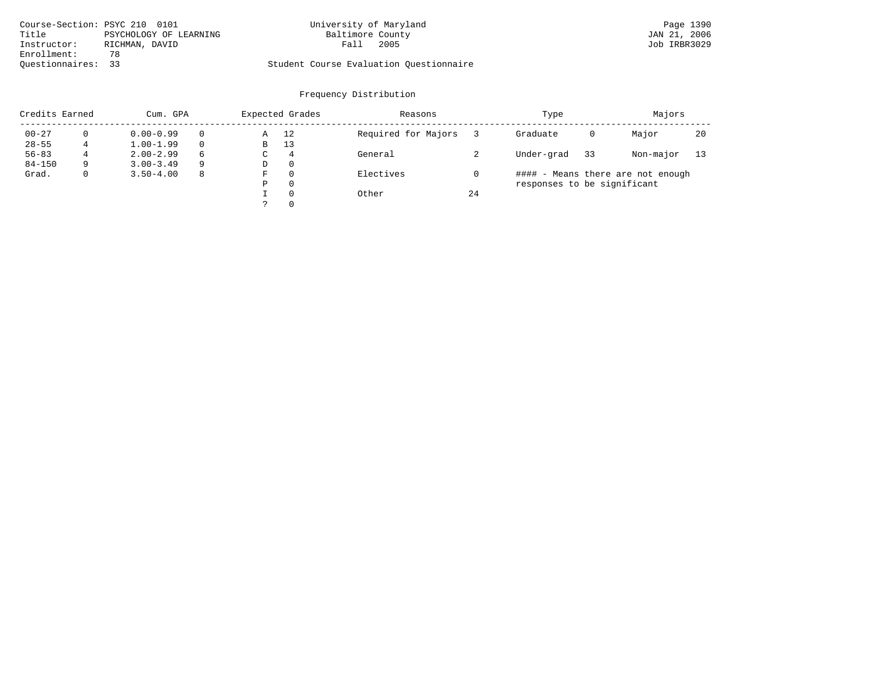| Course-Section: PSYC 210 0101 |                        | University of Maryland                  |      | Page 1390    |
|-------------------------------|------------------------|-----------------------------------------|------|--------------|
| Title                         | PSYCHOLOGY OF LEARNING | Baltimore County                        |      | JAN 21, 2006 |
| Instructor:                   | RICHMAN, DAVID         | Fall                                    | 2005 | Job IRBR3029 |
| Enrollment:                   | 78                     |                                         |      |              |
| Ouestionnaires: 33            |                        | Student Course Evaluation Questionnaire |      |              |

| Credits Earned |             | Cum. GPA      |    |   | Expected Grades | Reasons             |    | Type                        |    | Majors                            |    |
|----------------|-------------|---------------|----|---|-----------------|---------------------|----|-----------------------------|----|-----------------------------------|----|
| $00 - 27$      |             | $0.00 - 0.99$ |    | Α | 12              | Required for Majors |    | Graduate                    | 0  | Major                             | 20 |
| $28 - 55$      |             | $1.00 - 1.99$ |    | В | 13              |                     |    |                             |    |                                   |    |
| $56 - 83$      | 4           | $2.00 - 2.99$ | 6  | C | $\overline{4}$  | General             |    | Under-grad                  | 33 | Non-major                         | 13 |
| $84 - 150$     | 9           | $3.00 - 3.49$ | 9  | D | $\Omega$        |                     |    |                             |    |                                   |    |
| Grad.          | $\mathbf 0$ | $3.50 - 4.00$ | -8 | F | $\Omega$        | Electives           |    |                             |    | #### - Means there are not enough |    |
|                |             |               |    | Ρ | $\Omega$        |                     |    | responses to be significant |    |                                   |    |
|                |             |               |    |   | $\Omega$        | Other               | 24 |                             |    |                                   |    |
|                |             |               |    |   | $\Omega$        |                     |    |                             |    |                                   |    |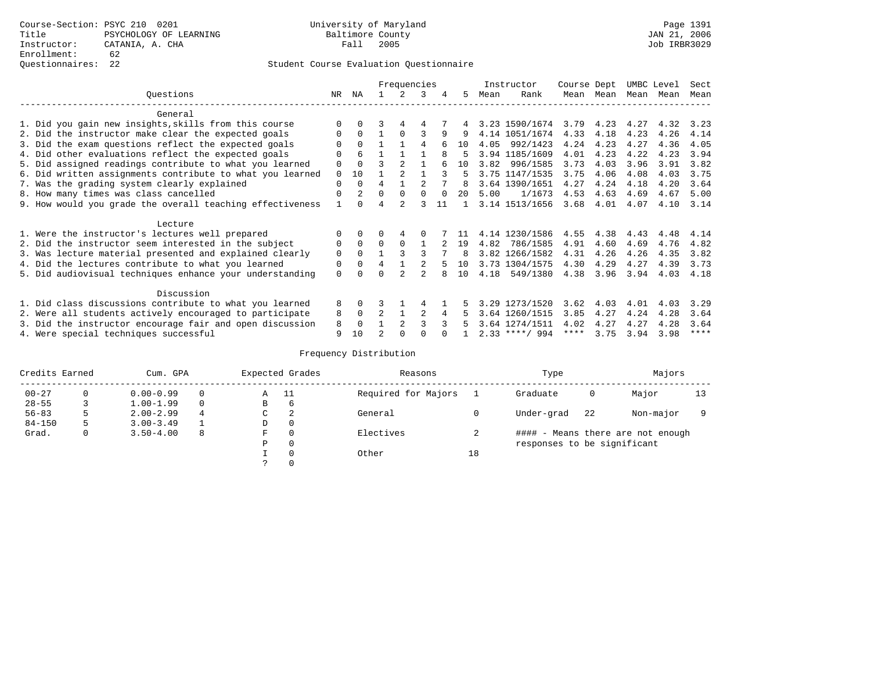## Questionnaires: 22 Student Course Evaluation Questionnaire

|                                                           |          |              |                | Frequencies    |                |          |              |      | Instructor       | Course Dept |           | UMBC Level |           | Sect        |
|-----------------------------------------------------------|----------|--------------|----------------|----------------|----------------|----------|--------------|------|------------------|-------------|-----------|------------|-----------|-------------|
| Ouestions                                                 | NR       | ΝA           |                | $\mathcal{L}$  | 3              | 4        | .5           | Mean | Rank             |             | Mean Mean |            | Mean Mean | Mean        |
| General                                                   |          |              |                |                |                |          |              |      |                  |             |           |            |           |             |
| 1. Did you gain new insights, skills from this course     |          | $\Omega$     |                | 4              | 4              |          |              |      | 3.23 1590/1674   | 3.79        | 4.23      | 4.27       | 4.32      | 3.23        |
| 2. Did the instructor make clear the expected goals       | 0        | $\Omega$     |                | $\Omega$       | 3              | 9        | 9            |      | 4.14 1051/1674   | 4.33        | 4.18      | 4.23       | 4.26      | 4.14        |
| 3. Did the exam questions reflect the expected goals      |          | $\Omega$     |                |                | 4              |          | 10           | 4.05 | 992/1423         | 4.24        | 4.23      | 4.27       | 4.36      | 4.05        |
| 4. Did other evaluations reflect the expected goals       |          | 6            |                |                |                |          | 5            |      | 3.94 1185/1609   | 4.01        | 4.23      | 4.22       | 4.23      | 3.94        |
| 5. Did assigned readings contribute to what you learned   | 0        | $\Omega$     | ς              | $\mathfrak{D}$ |                |          | 1 O          |      | 3.82 996/1585    | 3.73        | 4.03      | 3.96       | 3.91      | 3.82        |
| 6. Did written assignments contribute to what you learned | $\Omega$ | 10           |                |                |                |          | 5            |      | 3.75 1147/1535   | 3.75        | 4.06      | 4.08       | 4.03      | 3.75        |
| 7. Was the grading system clearly explained               | $\Omega$ | $\Omega$     | 4              |                | $\mathfrak{D}$ |          | 8            |      | 3.64 1390/1651   | 4.27        | 4.24      | 4.18       | 4.20      | 3.64        |
| 8. How many times was class cancelled                     | 0        |              | $\Omega$       | $\Omega$       | $\cap$         | $\Omega$ | $20^{\circ}$ | 5.00 | 1/1673           | 4.53        | 4.63      | 4.69       | 4.67      | 5.00        |
| 9. How would you grade the overall teaching effectiveness |          | <sup>n</sup> | 4              | $\mathfrak{D}$ |                | 11       |              |      | 3.14 1513/1656   | 3.68        | 4.01      | 4.07       | 4.10      | 3.14        |
| Lecture                                                   |          |              |                |                |                |          |              |      |                  |             |           |            |           |             |
| 1. Were the instructor's lectures well prepared           |          | $\Omega$     |                | 4              |                |          |              |      | 4.14 1230/1586   | 4.55        | 4.38      | 4.43       | 4.48      | 4.14        |
| 2. Did the instructor seem interested in the subject      | 0        | $\Omega$     | $\Omega$       | $\Omega$       |                |          | 19           | 4.82 | 786/1585         | 4.91        | 4.60      | 4.69       | 4.76      | 4.82        |
| 3. Was lecture material presented and explained clearly   | 0        | $\Omega$     |                |                |                |          | 8            |      | 3.82 1266/1582   | 4.31        | 4.26      | 4.26       | 4.35      | 3.82        |
| 4. Did the lectures contribute to what you learned        | 0        | $\Omega$     | 4              |                |                |          | 10           |      | 3.73 1304/1575   | 4.30        | 4.29      | 4.27       | 4.39      | 3.73        |
| 5. Did audiovisual techniques enhance your understanding  | 0        |              |                |                |                |          | 1 O          |      | 4.18 549/1380    | 4.38        | 3.96      | 3.94       | 4.03      | 4.18        |
| Discussion                                                |          |              |                |                |                |          |              |      |                  |             |           |            |           |             |
| 1. Did class discussions contribute to what you learned   | 8        | $\Omega$     |                |                |                |          |              |      | 3.29 1273/1520   | 3.62        | 4.03      | 4.01       | 4.03      | 3.29        |
| 2. Were all students actively encouraged to participate   | 8        | 0            | $\overline{a}$ |                |                | 4        |              |      | 3.64 1260/1515   | 3.85        | 4.27      | 4.24       | 4.28      | 3.64        |
| 3. Did the instructor encourage fair and open discussion  | 8        | $\Omega$     |                | $\mathfrak{D}$ |                |          |              |      | 3.64 1274/1511   | 4.02        | 4.27      | 4.27       | 4.28      | 3.64        |
| 4. Were special techniques successful                     | 9        | 10           |                |                |                |          |              |      | $2.33$ ****/ 994 | $***$ * *   | 3.75      | 3.94       | 3.98      | $***$ * * * |

| Credits Earned |          | Cum. GPA      |   |   | Expected Grades | Reasons             |    | Type                        |    | Majors                            |    |
|----------------|----------|---------------|---|---|-----------------|---------------------|----|-----------------------------|----|-----------------------------------|----|
| $00 - 27$      | $\Omega$ | $0.00 - 0.99$ |   | Α | - 11            | Required for Majors |    | Graduate                    | 0  | Major                             | 13 |
| $28 - 55$      | 3        | $1.00 - 1.99$ |   | В | 6               |                     |    |                             |    |                                   |    |
| $56 - 83$      | 5        | $2.00 - 2.99$ | 4 | C | 2               | General             |    | Under-grad                  | 22 | Non-major                         |    |
| $84 - 150$     | 5        | $3.00 - 3.49$ |   | D | 0               |                     |    |                             |    |                                   |    |
| Grad.          | 0        | $3.50 - 4.00$ | 8 | F | 0               | Electives           |    |                             |    | #### - Means there are not enough |    |
|                |          |               |   | Ρ | 0               |                     |    | responses to be significant |    |                                   |    |
|                |          |               |   |   | $\Omega$        | Other               | 18 |                             |    |                                   |    |
|                |          |               |   |   |                 |                     |    |                             |    |                                   |    |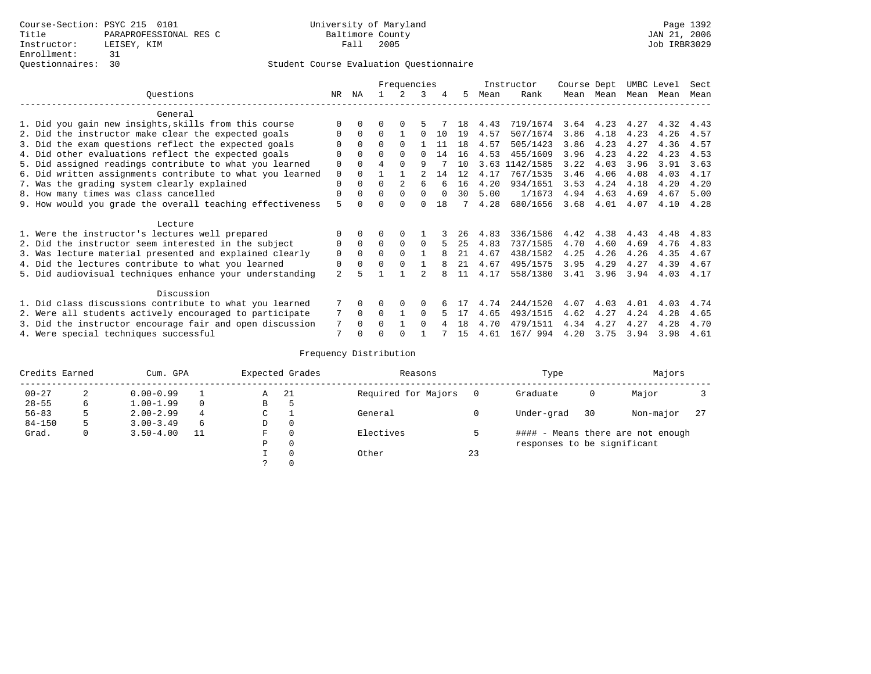|                                                           |                |              |          | Frequencies |          |        |     |      | Instructor | Course Dept |      | UMBC Level |      | Sect |
|-----------------------------------------------------------|----------------|--------------|----------|-------------|----------|--------|-----|------|------------|-------------|------|------------|------|------|
| Ouestions                                                 | NR.            | ΝA           |          |             | 3        |        | 5.  | Mean | Rank       | Mean        | Mean | Mean       | Mean | Mean |
| General                                                   |                |              |          |             |          |        |     |      |            |             |      |            |      |      |
| 1. Did you gain new insights, skills from this course     | $\Omega$       | $\Omega$     | O        | $\Omega$    |          |        | 18  | 4.43 | 719/1674   | 3.64        | 4.23 | 4.27       | 4.32 | 4.43 |
| 2. Did the instructor make clear the expected goals       | 0              | $\Omega$     | $\Omega$ |             | U        | 10     | 19  | 4.57 | 507/1674   | 3.86        | 4.18 | 4.23       | 4.26 | 4.57 |
| 3. Did the exam questions reflect the expected goals      |                | $\Omega$     | $\Omega$ | $\Omega$    |          | 11     | 18  | 4.57 | 505/1423   | 3.86        | 4.23 | 4.27       | 4.36 | 4.57 |
| 4. Did other evaluations reflect the expected goals       | O              | $\Omega$     | $\Omega$ | $\Omega$    | $\cap$   | 14     | 16  | 4.53 | 455/1609   | 3.96        | 4.23 | 4.22       | 4.23 | 4.53 |
| 5. Did assigned readings contribute to what you learned   | $\mathbf 0$    | $\Omega$     |          |             | q        |        | 10  | 3.63 | 1142/1585  | 3.22        | 4.03 | 3.96       | 3.91 | 3.63 |
| 6. Did written assignments contribute to what you learned | $\mathbf 0$    | $\Omega$     |          |             |          | 14     | 12  | 4.17 | 767/1535   | 3.46        | 4.06 | 4.08       | 4.03 | 4.17 |
| 7. Was the grading system clearly explained               | $\Omega$       | $\Omega$     | $\Omega$ |             | 6        |        | 16  | 4.20 | 934/1651   | 3.53        | 4.24 | 4.18       | 4.20 | 4.20 |
| 8. How many times was class cancelled                     | 0              | $\Omega$     | $\Omega$ | $\Omega$    | $\Omega$ | $\cap$ | 30  | 5.00 | 1/1673     | 4.94        | 4.63 | 4.69       | 4.67 | 5.00 |
| 9. How would you grade the overall teaching effectiveness | 5              | <sup>n</sup> | U        | $\cap$      | $\cap$   | 18     |     | 4.28 | 680/1656   | 3.68        | 4.01 | 4.07       | 4.10 | 4.28 |
|                                                           |                |              |          |             |          |        |     |      |            |             |      |            |      |      |
| Lecture                                                   |                |              |          |             |          |        |     |      |            |             |      |            |      |      |
| 1. Were the instructor's lectures well prepared           | 0              |              |          |             |          |        | 26  | 4.83 | 336/1586   | 4.42        | 4.38 | 4.43       | 4.48 | 4.83 |
| 2. Did the instructor seem interested in the subject      | 0              | $\Omega$     | $\Omega$ | $\Omega$    | $\Omega$ |        | 25  | 4.83 | 737/1585   | 4.70        | 4.60 | 4.69       | 4.76 | 4.83 |
| 3. Was lecture material presented and explained clearly   | $\mathbf 0$    | $\Omega$     | $\Omega$ | $\Omega$    |          |        | 21  | 4.67 | 438/1582   | 4.25        | 4.26 | 4.26       | 4.35 | 4.67 |
| 4. Did the lectures contribute to what you learned        | 0              | $\Omega$     | $\Omega$ | $\Omega$    |          |        | 21  | 4.67 | 495/1575   | 3.95        | 4.29 | 4.27       | 4.39 | 4.67 |
| 5. Did audiovisual techniques enhance your understanding  | $\overline{a}$ |              |          |             |          |        | 11  | 4.17 | 558/1380   | 3.41        | 3.96 | 3.94       | 4.03 | 4.17 |
|                                                           |                |              |          |             |          |        |     |      |            |             |      |            |      |      |
| Discussion                                                |                |              |          |             |          |        |     |      |            |             |      |            |      |      |
| 1. Did class discussions contribute to what you learned   |                | $\Omega$     | U        | $\Omega$    | $\Omega$ |        |     | 4.74 | 244/1520   | 4.07        | 4.03 | 4.01       | 4.03 | 4.74 |
| 2. Were all students actively encouraged to participate   |                | $\Omega$     | $\Omega$ |             | $\Omega$ |        |     | 4.65 | 493/1515   | 4.62        | 4.27 | 4.24       | 4.28 | 4.65 |
| 3. Did the instructor encourage fair and open discussion  | 7              | $\Omega$     | O        |             | $\Omega$ |        | 1 R | 4.70 | 479/1511   | 4.34        | 4.27 | 4.27       | 4.28 | 4.70 |
| 4. Were special techniques successful                     | 7              |              |          |             |          |        | 15  | 4.61 | 167/ 994   | 4.20        | 3.75 | 3.94       | 3.98 | 4.61 |

| Credits Earned |   | Cum. GPA      |    |             | Expected Grades | Reasons             |          | Type                        |    | Majors                            |     |
|----------------|---|---------------|----|-------------|-----------------|---------------------|----------|-----------------------------|----|-----------------------------------|-----|
| $00 - 27$      | 2 | $0.00 - 0.99$ |    | Α           | -21             | Required for Majors | $\Omega$ | Graduate                    | 0  | Major                             |     |
| $28 - 55$      | 6 | $1.00 - 1.99$ |    | В           | 5               |                     |          |                             |    |                                   |     |
| $56 - 83$      | 5 | $2.00 - 2.99$ | 4  | $\sim$<br>◡ |                 | General             |          | Under-grad                  | 30 | Non-major                         | -27 |
| $84 - 150$     | 5 | $3.00 - 3.49$ | 6  | D           | 0               |                     |          |                             |    |                                   |     |
| Grad.          | 0 | $3.50 - 4.00$ | 11 | F           | 0               | Electives           |          |                             |    | #### - Means there are not enough |     |
|                |   |               |    | Ρ           | 0               |                     |          | responses to be significant |    |                                   |     |
|                |   |               |    |             | $\Omega$        | Other               | 23       |                             |    |                                   |     |
|                |   |               |    |             |                 |                     |          |                             |    |                                   |     |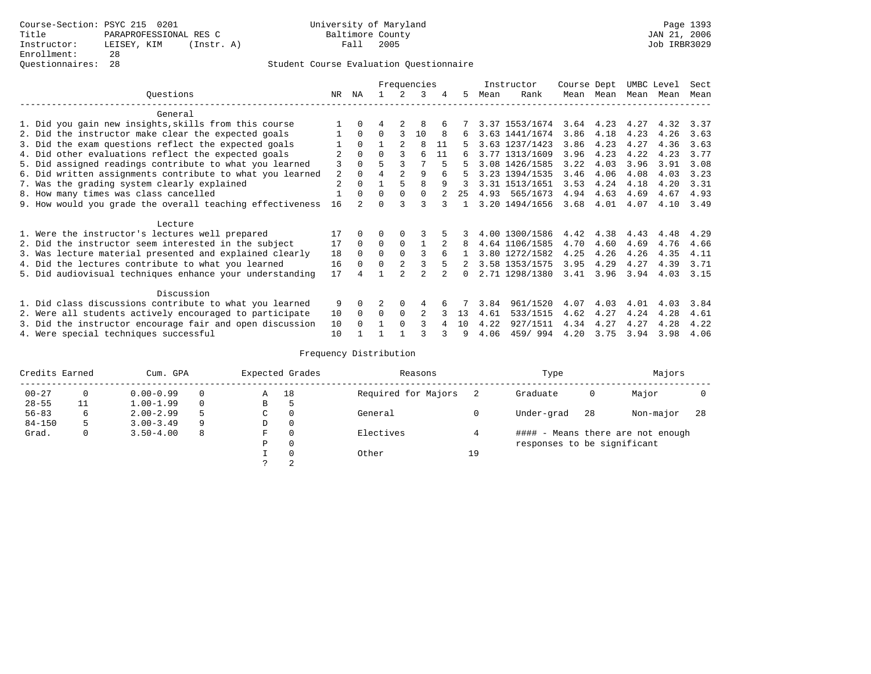## Questionnaires: 28 Student Course Evaluation Questionnaire

|                                                           |     |                |          |                | Frequencies    |    |          |      | Instructor     | Course Dept |           | UMBC Level |           | Sect |
|-----------------------------------------------------------|-----|----------------|----------|----------------|----------------|----|----------|------|----------------|-------------|-----------|------------|-----------|------|
| Ouestions                                                 | NR. | ΝA             |          | 2              | 3              | 4  | 5.       | Mean | Rank           |             | Mean Mean |            | Mean Mean | Mean |
| General                                                   |     |                |          |                |                |    |          |      |                |             |           |            |           |      |
| 1. Did you gain new insights, skills from this course     |     | $\Omega$       | 4        | 2              | 8              |    |          |      | 3.37 1553/1674 |             | 3.64 4.23 | 4.27       | 4.32      | 3.37 |
| 2. Did the instructor make clear the expected goals       |     | $\Omega$       | $\Omega$ | 3              | 10             | 8  | ნ.       |      | 3.63 1441/1674 | 3.86        | 4.18      | 4.23       | 4.26      | 3.63 |
| 3. Did the exam questions reflect the expected goals      |     | $\Omega$       |          | $\overline{a}$ | 8              | 11 | 5.       |      | 3.63 1237/1423 | 3.86        | 4.23      | 4.27       | 4.36      | 3.63 |
| 4. Did other evaluations reflect the expected goals       | 2   | $\Omega$       | $\Omega$ | ζ              | 6              | 11 |          |      | 3.77 1313/1609 | 3.96        | 4.23      | 4.22       | 4.23      | 3.77 |
| 5. Did assigned readings contribute to what you learned   | 3   | $\Omega$       |          | 3              |                | 5  | 5.       |      | 3.08 1426/1585 | 3.22        | 4.03      | 3.96       | 3.91      | 3.08 |
| 6. Did written assignments contribute to what you learned | 2   | $\Omega$       |          | $\overline{a}$ | 9              | 6  | 5        |      | 3.23 1394/1535 | 3.46        | 4.06      | 4.08       | 4.03      | 3.23 |
| 7. Was the grading system clearly explained               | 2   |                |          |                | 8              | 9  | 3        |      | 3.31 1513/1651 | 3.53        | 4.24      | 4.18       | 4.20      | 3.31 |
| 8. How many times was class cancelled                     |     | $\Omega$       | $\Omega$ | $\Omega$       | $\Omega$       | 2  | $25 -$   |      | 4.93 565/1673  | 4.94        | 4.63      | 4.69       | 4.67      | 4.93 |
| 9. How would you grade the overall teaching effectiveness | 16  | $\mathfrak{D}$ | $\cap$   |                | २              |    |          |      | 3.20 1494/1656 | 3.68        | 4.01      | 4.07       | 4.10      | 3.49 |
| Lecture                                                   |     |                |          |                |                |    |          |      |                |             |           |            |           |      |
| 1. Were the instructor's lectures well prepared           | 17  |                |          |                |                |    |          |      | 4.00 1300/1586 | 4.42        | 4.38      | 4.43       | 4.48      | 4.29 |
| 2. Did the instructor seem interested in the subject      | 17  | $\Omega$       | 0        | $\Omega$       |                |    | 8        |      | 4.64 1106/1585 | 4.70        | 4.60      | 4.69       | 4.76      | 4.66 |
| 3. Was lecture material presented and explained clearly   | 18  | $\Omega$       | 0        | $\Omega$       | 3              | 6  |          |      | 3.80 1272/1582 | 4.25        | 4.26      | 4.26       | 4.35      | 4.11 |
| 4. Did the lectures contribute to what you learned        | 16  | $\Omega$       | 0        | $\overline{a}$ | 3              | 5  |          |      | 3.58 1353/1575 | 3.95        | 4.29      | 4.27       | 4.39      | 3.71 |
| 5. Did audiovisual techniques enhance your understanding  | 17  |                |          | っ              | $\mathfrak{D}$ |    | $\Omega$ |      | 2.71 1298/1380 | 3.41        | 3.96      | 3.94       | 4.03      | 3.15 |
| Discussion                                                |     |                |          |                |                |    |          |      |                |             |           |            |           |      |
| 1. Did class discussions contribute to what you learned   | 9   |                |          | $\Omega$       |                |    |          | 3.84 | 961/1520       | 4.07        | 4.03      | 4.01       | 4.03      | 3.84 |
| 2. Were all students actively encouraged to participate   | 10  | $\Omega$       | 0        | $\Omega$       | $\mathfrak{D}$ |    | 13       | 4.61 | 533/1515       | 4.62        | 4.27      | 4.24       | 4.28      | 4.61 |
| 3. Did the instructor encourage fair and open discussion  | 10  |                |          | $\Omega$       |                |    | 10       | 4.22 | 927/1511       | 4.34        | 4.27      | 4.27       | 4.28      | 4.22 |
| 4. Were special techniques successful                     | 10  |                |          |                |                |    | 9        | 4.06 | 459/994        | 4.20        | 3.75      | 3.94       | 3.98      | 4.06 |

| Credits Earned |              | Cum. GPA      |          |    | Expected Grades | Reasons             |    | Type                        |     | Majors                            |     |
|----------------|--------------|---------------|----------|----|-----------------|---------------------|----|-----------------------------|-----|-----------------------------------|-----|
| $00 - 27$      | $\mathbf{0}$ | $0.00 - 0.99$ |          | Α  | 18              | Required for Majors |    | Graduate                    | 0   | Major                             |     |
| $28 - 55$      | 11           | $1.00 - 1.99$ | $\Omega$ | В  | c               |                     |    |                             |     |                                   |     |
| $56 - 83$      | 6            | $2.00 - 2.99$ |          | C. | $\Omega$        | General             |    | Under-grad                  | -28 | Non-major                         | -28 |
| $84 - 150$     |              | $3.00 - 3.49$ | 9        | D  | 0               |                     |    |                             |     |                                   |     |
| Grad.          | 0            | $3.50 - 4.00$ | -8       | F  | $\Omega$        | Electives           |    |                             |     | #### - Means there are not enough |     |
|                |              |               |          | Ρ  | 0               |                     |    | responses to be significant |     |                                   |     |
|                |              |               |          |    | $\Omega$        | Other               | 19 |                             |     |                                   |     |
|                |              |               |          |    |                 |                     |    |                             |     |                                   |     |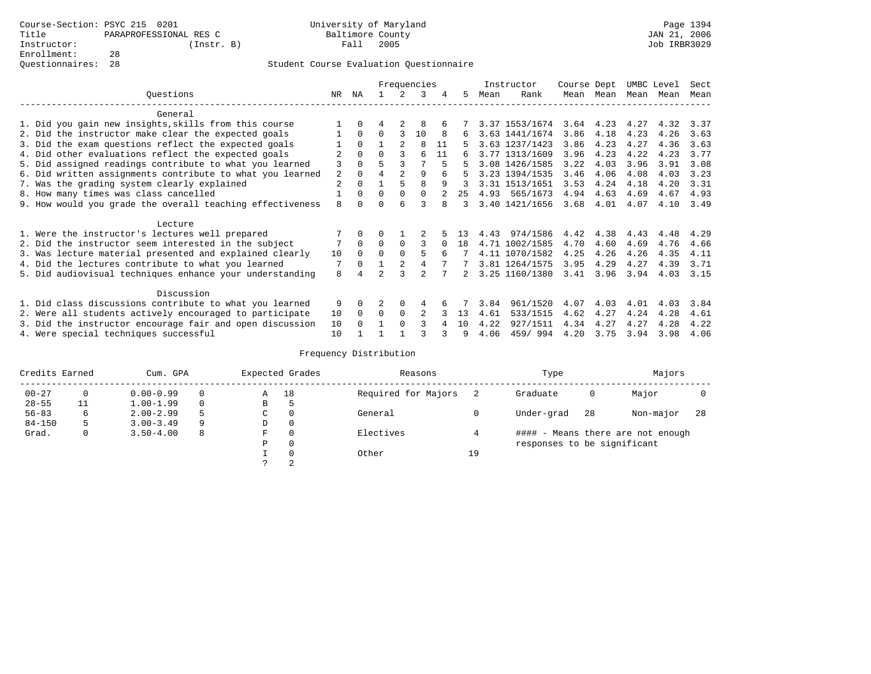|                                                           |     |              |          |                | Frequencies    |    |    |      | Instructor     | Course Dept |      | UMBC Level |      | Sect |
|-----------------------------------------------------------|-----|--------------|----------|----------------|----------------|----|----|------|----------------|-------------|------|------------|------|------|
| Questions                                                 | NR. | ΝA           |          |                | 3              | 4  | 5. | Mean | Rank           | Mean        | Mean | Mean       | Mean | Mean |
| General                                                   |     |              |          |                |                |    |    |      |                |             |      |            |      |      |
| 1. Did you gain new insights, skills from this course     |     | $\Omega$     |          |                | 8              |    |    |      | 3.37 1553/1674 | 3.64        | 4.23 | 4.27       | 4.32 | 3.37 |
| 2. Did the instructor make clear the expected goals       |     | $\Omega$     | $\Omega$ | 3              | 10             | 8  | 6  |      | 3.63 1441/1674 | 3.86        | 4.18 | 4.23       | 4.26 | 3.63 |
| 3. Did the exam questions reflect the expected goals      |     | $\Omega$     |          | $\mathfrak{D}$ | 8              | 11 |    |      | 3.63 1237/1423 | 3.86        | 4.23 | 4.27       | 4.36 | 3.63 |
| 4. Did other evaluations reflect the expected goals       |     | $\Omega$     | U        |                | 6              | 11 | 6  |      | 3.77 1313/1609 | 3.96        | 4.23 | 4.22       | 4.23 | 3.77 |
| 5. Did assigned readings contribute to what you learned   | 3   |              |          |                |                |    |    |      | 3.08 1426/1585 | 3.22        | 4.03 | 3.96       | 3.91 | 3.08 |
| 6. Did written assignments contribute to what you learned | 2   | $\Omega$     |          |                | 9              |    |    |      | 3.23 1394/1535 | 3.46        | 4.06 | 4.08       | 4.03 | 3.23 |
| 7. Was the grading system clearly explained               | 2   | $\Omega$     |          |                | 8              | 9  |    |      | 3.31 1513/1651 | 3.53        | 4.24 | 4.18       | 4.20 | 3.31 |
| 8. How many times was class cancelled                     |     | $\Omega$     | $\Omega$ | $\Omega$       | 0              |    | 25 |      | 4.93 565/1673  | 4.94        | 4.63 | 4.69       | 4.67 | 4.93 |
| 9. How would you grade the overall teaching effectiveness | 8   | <sup>n</sup> |          | F              |                |    | 3  |      | 3.40 1421/1656 | 3.68        | 4.01 | 4.07       | 4.10 | 3.49 |
| Lecture                                                   |     |              |          |                |                |    |    |      |                |             |      |            |      |      |
| 1. Were the instructor's lectures well prepared           |     |              |          |                |                |    |    | 4.43 | 974/1586       | 4.42        | 4.38 | 4.43       | 4.48 | 4.29 |
| 2. Did the instructor seem interested in the subject      | 7   | $\Omega$     | $\Omega$ | $\Omega$       |                |    | 18 |      | 4.71 1002/1585 | 4.70        | 4.60 | 4.69       | 4.76 | 4.66 |
| 3. Was lecture material presented and explained clearly   | 10  | $\Omega$     | 0        |                | 5              | б. |    |      | 4.11 1070/1582 | 4.25        | 4.26 | 4.26       | 4.35 | 4.11 |
| 4. Did the lectures contribute to what you learned        |     | $\Omega$     |          |                | 4              |    |    |      | 3.81 1264/1575 | 3.95        | 4.29 | 4.27       | 4.39 | 3.71 |
| 5. Did audiovisual techniques enhance your understanding  | 8   |              |          |                | $\mathfrak{D}$ |    |    |      | 3.25 1160/1380 | 3.41        | 3.96 | 3.94       | 4.03 | 3.15 |
| Discussion                                                |     |              |          |                |                |    |    |      |                |             |      |            |      |      |
| 1. Did class discussions contribute to what you learned   | 9   | $\Omega$     |          | $\Omega$       | 4              |    |    | 3.84 | 961/1520       | 4.07        | 4.03 | 4.01       | 4.03 | 3.84 |
| 2. Were all students actively encouraged to participate   | 10  | $\Omega$     | $\Omega$ | 0              |                |    | 13 | 4.61 | 533/1515       | 4.62        | 4.27 | 4.24       | 4.28 | 4.61 |
| 3. Did the instructor encourage fair and open discussion  | 10  | $\Omega$     |          | $\Omega$       |                |    | 10 | 4.22 | 927/1511       | 4.34        | 4.27 | 4.27       | 4.28 | 4.22 |
| 4. Were special techniques successful                     | 10  |              |          |                |                |    | q  | 4.06 | 459/994        | 4.20        | 3.75 | 3.94       | 3.98 | 4.06 |

| Credits Earned |    | Cum. GPA      |   |             | Expected Grades | Reasons             |    | Type                        |     | Majors                            |     |
|----------------|----|---------------|---|-------------|-----------------|---------------------|----|-----------------------------|-----|-----------------------------------|-----|
| $00 - 27$      | 0  | $0.00 - 0.99$ |   | Α           | 18              | Required for Majors |    | Graduate                    | 0   | Major                             |     |
| $28 - 55$      | 11 | $1.00 - 1.99$ |   | В           | 5               |                     |    |                             |     |                                   |     |
| $56 - 83$      | 6  | $2.00 - 2.99$ |   | $\sim$<br>◡ | 0               | General             |    | Under-grad                  | -28 | Non-major                         | -28 |
| $84 - 150$     | 5  | $3.00 - 3.49$ | 9 | D           | 0               |                     |    |                             |     |                                   |     |
| Grad.          | 0  | $3.50 - 4.00$ | 8 | F           | 0               | Electives           |    |                             |     | #### - Means there are not enough |     |
|                |    |               |   | Ρ           | 0               |                     |    | responses to be significant |     |                                   |     |
|                |    |               |   |             | $\Omega$        | Other               | 19 |                             |     |                                   |     |
|                |    |               |   | C           | 2               |                     |    |                             |     |                                   |     |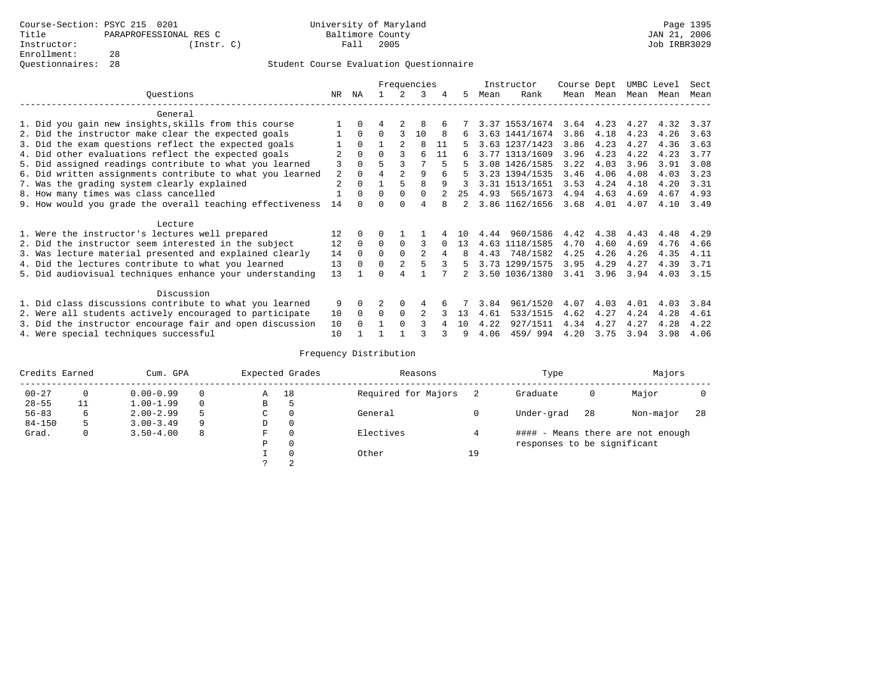|                                                          |                                                           | Frequencies    |          |          |                |          | Instructor |     | Course Dept |                | UMBC Level |             | Sect |           |      |
|----------------------------------------------------------|-----------------------------------------------------------|----------------|----------|----------|----------------|----------|------------|-----|-------------|----------------|------------|-------------|------|-----------|------|
|                                                          | Ouestions                                                 | NR.            | ΝA       |          | 2              | 3        | 4          | 5.  | Mean        | Rank           |            | Mean Mean   |      | Mean Mean | Mean |
|                                                          | General                                                   |                |          |          |                |          |            |     |             |                |            |             |      |           |      |
|                                                          | 1. Did you gain new insights, skills from this course     |                | $\Omega$ | 4        | 2              | 8        |            |     |             | 3.37 1553/1674 |            | $3.64$ 4.23 | 4.27 | 4.32      | 3.37 |
|                                                          | 2. Did the instructor make clear the expected goals       |                | $\Omega$ | $\Omega$ | 3              | 10       | 8          | 6.  |             | 3.63 1441/1674 | 3.86       | 4.18        | 4.23 | 4.26      | 3.63 |
|                                                          | 3. Did the exam questions reflect the expected goals      |                | $\Omega$ |          | $\overline{a}$ | 8        | 11         | 5.  |             | 3.63 1237/1423 | 3.86       | 4.23        | 4.27 | 4.36      | 3.63 |
|                                                          | 4. Did other evaluations reflect the expected goals       | 2              | $\Omega$ | $\Omega$ | 3              | 6        | 11         |     |             | 3.77 1313/1609 | 3.96       | 4.23        | 4.22 | 4.23      | 3.77 |
|                                                          | 5. Did assigned readings contribute to what you learned   | 3              |          |          | 3              |          | 5          | 5   |             | 3.08 1426/1585 | 3.22       | 4.03        | 3.96 | 3.91      | 3.08 |
|                                                          | 6. Did written assignments contribute to what you learned | 2              | $\Omega$ | 4        | $\overline{2}$ | 9        | 6          | 5   |             | 3.23 1394/1535 | 3.46       | 4.06        | 4.08 | 4.03      | 3.23 |
|                                                          | 7. Was the grading system clearly explained               | $\overline{2}$ |          |          | 5              | 8        | 9          |     |             | 3.31 1513/1651 | 3.53       | 4.24        | 4.18 | 4.20      | 3.31 |
|                                                          | 8. How many times was class cancelled                     |                | $\Omega$ | $\Omega$ | $\Omega$       | $\Omega$ |            | 25  |             | 4.93 565/1673  | 4.94       | 4.63        | 4.69 | 4.67      | 4.93 |
|                                                          | 9. How would you grade the overall teaching effectiveness | 14             |          | $\Omega$ |                | 4        |            |     |             | 3.86 1162/1656 | 3.68       | 4.01        | 4.07 | 4.10      | 3.49 |
|                                                          | Lecture                                                   |                |          |          |                |          |            |     |             |                |            |             |      |           |      |
|                                                          | 1. Were the instructor's lectures well prepared           | 12             |          |          |                |          |            | 1 O | 4.44        | 960/1586       | 4.42       | 4.38        | 4.43 | 4.48      | 4.29 |
|                                                          | 2. Did the instructor seem interested in the subject      | 12             | $\Omega$ | $\Omega$ | $\Omega$       | 3        |            | 13  |             | 4.63 1118/1585 | 4.70       | 4.60        | 4.69 | 4.76      | 4.66 |
|                                                          | 3. Was lecture material presented and explained clearly   | 14             | $\Omega$ | $\Omega$ | $\Omega$       | 2        | 4          | 8   |             | 4.43 748/1582  | 4.25       | 4.26        | 4.26 | 4.35      | 4.11 |
|                                                          | 4. Did the lectures contribute to what you learned        | 13             | $\Omega$ | $\Omega$ | $\overline{2}$ | 5        | 3          | 5.  |             | 3.73 1299/1575 | 3.95       | 4.29        | 4.27 | 4.39      | 3.71 |
|                                                          | 5. Did audiovisual techniques enhance your understanding  | 13             |          |          |                |          |            |     |             | 3.50 1036/1380 | 3.41       | 3.96        | 3.94 | 4.03      | 3.15 |
|                                                          | Discussion                                                |                |          |          |                |          |            |     |             |                |            |             |      |           |      |
|                                                          | 1. Did class discussions contribute to what you learned   | 9              |          |          | 0              | 4        |            |     | 3.84        | 961/1520       | 4.07       | 4.03        | 4.01 | 4.03      | 3.84 |
| 2. Were all students actively encouraged to participate  |                                                           |                |          | $\Omega$ | $\Omega$       | 2        |            | 13  | 4.61        | 533/1515       | 4.62       | 4.27        | 4.24 | 4.28      | 4.61 |
| 3. Did the instructor encourage fair and open discussion |                                                           |                |          |          | $\cap$         | २        |            | 10  | 4.22        | 927/1511       | 4.34       | 4.27        | 4.27 | 4.28      | 4.22 |
|                                                          | 4. Were special techniques successful                     | 10             |          |          |                |          |            | 9   | 4.06        | 459/994        | 4.20       | 3.75        | 3.94 | 3.98      | 4.06 |

| Credits Earned |    | Cum. GPA      |   | Expected Grades | Reasons  |                     | Type | Majors                      |     |                                   |     |
|----------------|----|---------------|---|-----------------|----------|---------------------|------|-----------------------------|-----|-----------------------------------|-----|
| $00 - 27$      | 0  | $0.00 - 0.99$ |   | Α               | 18       | Required for Majors |      | Graduate                    | 0   | Major                             |     |
| $28 - 55$      | 11 | $1.00 - 1.99$ |   | В               | 5        |                     |      |                             |     |                                   |     |
| $56 - 83$      | 6  | $2.00 - 2.99$ |   | $\sim$<br>◡     | 0        | General             |      | Under-grad                  | -28 | Non-major                         | -28 |
| $84 - 150$     | 5  | $3.00 - 3.49$ | 9 | D               | 0        |                     |      |                             |     |                                   |     |
| Grad.          | 0  | $3.50 - 4.00$ | 8 | F               | 0        | Electives           |      |                             |     | #### - Means there are not enough |     |
|                |    |               |   | Ρ               | 0        |                     |      | responses to be significant |     |                                   |     |
|                |    |               |   |                 | $\Omega$ | Other               | 19   |                             |     |                                   |     |
|                |    |               |   | C               | 2        |                     |      |                             |     |                                   |     |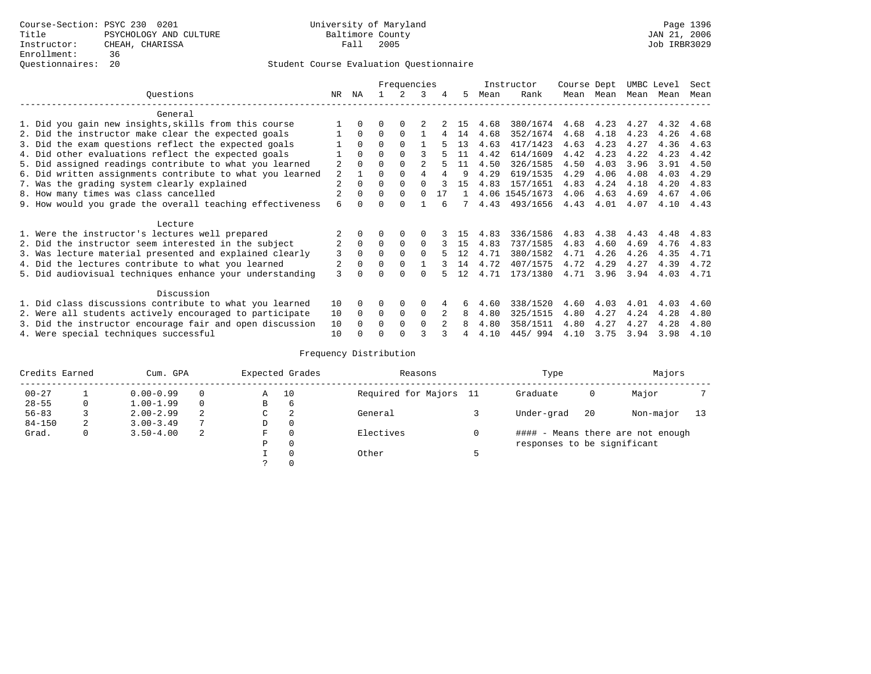|                                                           | Frequencies    |              |          |             |                |    | Instructor | Course Dept |                | UMBC Level |      | Sect |      |      |
|-----------------------------------------------------------|----------------|--------------|----------|-------------|----------------|----|------------|-------------|----------------|------------|------|------|------|------|
| Ouestions                                                 | NR.            | ΝA           |          |             | 3              | 4  | 5.         | Mean        | Rank           | Mean       | Mean | Mean | Mean | Mean |
| General                                                   |                |              |          |             |                |    |            |             |                |            |      |      |      |      |
| 1. Did you gain new insights, skills from this course     |                | $\Omega$     | O        | $\Omega$    |                |    | 15         | 4.68        | 380/1674       | 4.68       | 4.23 | 4.27 | 4.32 | 4.68 |
| 2. Did the instructor make clear the expected goals       |                | $\Omega$     | $\Omega$ | $\Omega$    |                | 4  | 14         | 4.68        | 352/1674       | 4.68       | 4.18 | 4.23 | 4.26 | 4.68 |
| 3. Did the exam questions reflect the expected goals      |                | $\Omega$     | $\Omega$ | $\Omega$    |                |    | 13         | 4.63        | 417/1423       | 4.63       | 4.23 | 4.27 | 4.36 | 4.63 |
| 4. Did other evaluations reflect the expected goals       |                | $\Omega$     | $\Omega$ | $\Omega$    |                |    | 11         | 4.42        | 614/1609       | 4.42       | 4.23 | 4.22 | 4.23 | 4.42 |
| 5. Did assigned readings contribute to what you learned   | $\overline{a}$ | $\Omega$     |          |             | $\mathfrak{D}$ |    | 11         | 4.50        | 326/1585       | 4.50       | 4.03 | 3.96 | 3.91 | 4.50 |
| 6. Did written assignments contribute to what you learned | 2              |              |          |             | 4              |    | 9          | 4.29        | 619/1535       | 4.29       | 4.06 | 4.08 | 4.03 | 4.29 |
| 7. Was the grading system clearly explained               | $\overline{a}$ | $\Omega$     | $\Omega$ | $\Omega$    |                |    | 15         | 4.83        | 157/1651       | 4.83       | 4.24 | 4.18 | 4.20 | 4.83 |
| 8. How many times was class cancelled                     |                | $\Omega$     | $\Omega$ | $\Omega$    | $\Omega$       | 17 |            |             | 4.06 1545/1673 | 4.06       | 4.63 | 4.69 | 4.67 | 4.06 |
| 9. How would you grade the overall teaching effectiveness | 6              | <sup>n</sup> | U        | $\cap$      |                |    |            | 4.43        | 493/1656       | 4.43       | 4.01 | 4.07 | 4.10 | 4.43 |
| Lecture                                                   |                |              |          |             |                |    |            |             |                |            |      |      |      |      |
| 1. Were the instructor's lectures well prepared           |                |              |          |             | $\Omega$       |    | 15         | 4.83        | 336/1586       | 4.83       | 4.38 | 4.43 | 4.48 | 4.83 |
| 2. Did the instructor seem interested in the subject      | $\overline{2}$ | $\Omega$     | $\Omega$ | $\Omega$    | $\Omega$       |    | 15         | 4.83        | 737/1585       | 4.83       | 4.60 | 4.69 | 4.76 | 4.83 |
| 3. Was lecture material presented and explained clearly   | 3              | $\Omega$     | $\Omega$ | $\Omega$    | $\Omega$       |    | 12         | 4.71        | 380/1582       | 4.71       | 4.26 | 4.26 | 4.35 | 4.71 |
| 4. Did the lectures contribute to what you learned        |                | $\Omega$     | $\Omega$ | $\Omega$    |                |    | 14         | 4.72        | 407/1575       | 4.72       | 4.29 | 4.27 | 4.39 | 4.72 |
| 5. Did audiovisual techniques enhance your understanding  | 3              |              |          |             |                |    | 12         | 4.71        | 173/1380       | 4.71       | 3.96 | 3.94 | 4.03 | 4.71 |
|                                                           |                |              |          |             |                |    |            |             |                |            |      |      |      |      |
| Discussion                                                |                |              |          |             |                |    |            |             |                |            |      |      |      |      |
| 1. Did class discussions contribute to what you learned   | 10<br>10       | $\Omega$     | O        | $\Omega$    | $\Omega$       |    | 6          | 4.60        | 338/1520       | 4.60       | 4.03 | 4.01 | 4.03 | 4.60 |
| 2. Were all students actively encouraged to participate   |                |              | $\Omega$ | $\mathbf 0$ | $\Omega$       |    | 8          | 4.80        | 325/1515       | 4.80       | 4.27 | 4.24 | 4.28 | 4.80 |
| 3. Did the instructor encourage fair and open discussion  | 10             |              | 0        | $\Omega$    | $\Omega$       |    | 8          | 4.80        | 358/1511       | 4.80       | 4.27 | 4.27 | 4.28 | 4.80 |
| 4. Were special techniques successful                     | 10             |              |          |             |                |    |            | 4.10        | 445/994        | 4.10       | 3.75 | 3.94 | 3.98 | 4.10 |

| Credits Earned |   | Cum. GPA      |          |   | Expected Grades | Reasons                | Type                        | Majors |                                   |    |
|----------------|---|---------------|----------|---|-----------------|------------------------|-----------------------------|--------|-----------------------------------|----|
| $00 - 27$      |   | $0.00 - 0.99$ | $\Omega$ | Α | 10              | Required for Majors 11 | Graduate                    | 0      | Major                             |    |
| $28 - 55$      | 0 | $1.00 - 1.99$ | $\Omega$ | В | 6               |                        |                             |        |                                   |    |
| $56 - 83$      |   | $2.00 - 2.99$ | 2        | С | 2               | General                | Under-grad                  | 20     | Non-major                         | 13 |
| $84 - 150$     | 2 | $3.00 - 3.49$ |          | D | 0               |                        |                             |        |                                   |    |
| Grad.          | 0 | $3.50 - 4.00$ | -2       | F | 0               | Electives              |                             |        | #### - Means there are not enough |    |
|                |   |               |          | Ρ | 0               |                        | responses to be significant |        |                                   |    |
|                |   |               |          |   | $\Omega$        | Other                  |                             |        |                                   |    |
|                |   |               |          | っ | 0               |                        |                             |        |                                   |    |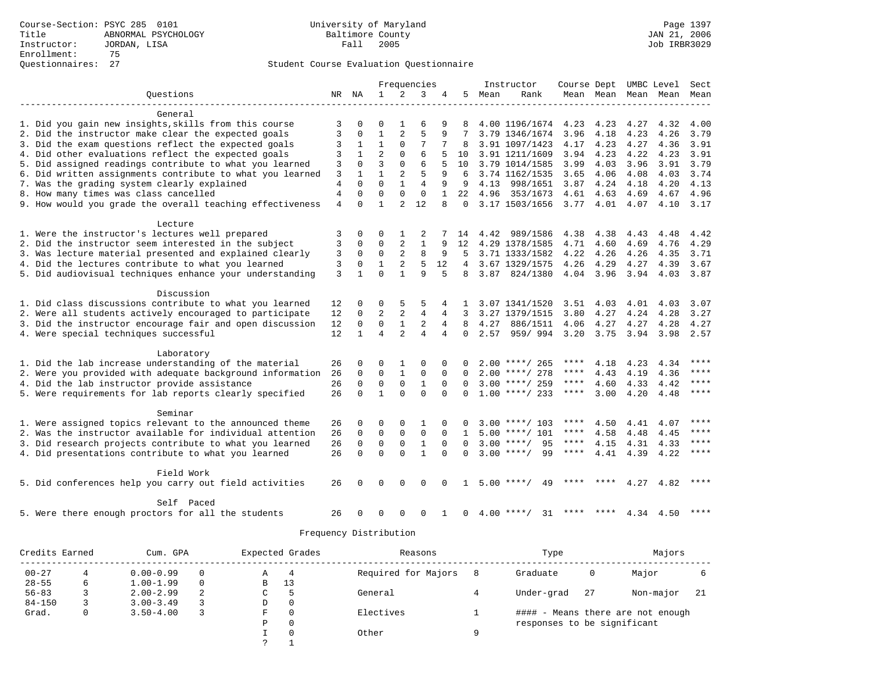|                                                           |                |             | Frequencies    |                |                | Instructor   |              | Course Dept |                    |           | UMBC Level          | Sect |           |             |
|-----------------------------------------------------------|----------------|-------------|----------------|----------------|----------------|--------------|--------------|-------------|--------------------|-----------|---------------------|------|-----------|-------------|
| Ouestions                                                 |                | NR NA       | $\mathbf{1}$   | $\overline{2}$ | 3              | 4            | 5.           | Mean        | Rank               |           | Mean Mean Mean Mean |      |           | Mean        |
|                                                           |                |             |                |                |                |              |              |             |                    |           |                     |      |           |             |
| General                                                   |                |             |                |                |                |              |              |             |                    |           |                     |      |           |             |
| 1. Did you gain new insights, skills from this course     | 3              | $\Omega$    | O              |                | 6              | 9            | 8            |             | 4.00 1196/1674     | 4.23 4.23 |                     | 4.27 | 4.32      | 4.00        |
| 2. Did the instructor make clear the expected goals       | 3              | 0           | 1              | 2              | 5              | 9            |              |             | 3.79 1346/1674     | 3.96      | 4.18                | 4.23 | 4.26      | 3.79        |
| 3. Did the exam questions reflect the expected goals      | 3              | 1           | $\mathbf{1}$   | $\mathbf 0$    | 7              |              | 8            |             | 3.91 1097/1423     | 4.17      | 4.23                | 4.27 | 4.36      | 3.91        |
| 4. Did other evaluations reflect the expected goals       | 3              | 1           | $\overline{2}$ | $\Omega$       | 6              |              | 10           |             | 3.91 1211/1609     | 3.94      | 4.23                | 4.22 | 4.23      | 3.91        |
| 5. Did assigned readings contribute to what you learned   | 3              | $\Omega$    | 3              | $\Omega$       | 6              | 5            | 10           |             | 3.79 1014/1585     | 3.99      | 4.03                | 3.96 | 3.91      | 3.79        |
| 6. Did written assignments contribute to what you learned | 3              |             | $\mathbf{1}$   | 2              | 5              | 9            |              |             | 3.74 1162/1535     | 3.65      | 4.06                | 4.08 | 4.03      | 3.74        |
| 7. Was the grading system clearly explained               | $\overline{4}$ | $\Omega$    | $\Omega$       | $\mathbf{1}$   | $\overline{4}$ | 9            | 9            | 4.13        | 998/1651           | 3.87      | 4.24                | 4.18 | 4.20      | 4.13        |
| 8. How many times was class cancelled                     | 4              | $\Omega$    | $\Omega$       | $\Omega$       | $\mathbf 0$    | $\mathbf{1}$ | 22           | 4.96        | 353/1673           | 4.61      | 4.63                | 4.69 | 4.67      | 4.96        |
| 9. How would you grade the overall teaching effectiveness | $\overline{4}$ | $\Omega$    | $\mathbf{1}$   | $\overline{2}$ | 12             | 8            | $\Omega$     |             | 3.17 1503/1656     | 3.77 4.01 |                     | 4.07 | 4.10      | 3.17        |
| Lecture                                                   |                |             |                |                |                |              |              |             |                    |           |                     |      |           |             |
| 1. Were the instructor's lectures well prepared           | 3              | $\Omega$    | O              |                | 2              |              | 14           | 4.42        | 989/1586           | 4.38      | 4.38                | 4.43 | 4.48      | 4.42        |
| 2. Did the instructor seem interested in the subject      | 3              | $\Omega$    | $\Omega$       | $\overline{2}$ | $\mathbf{1}$   | 9            | 12           |             | 4.29 1378/1585     | 4.71      | 4.60                | 4.69 | 4.76      | 4.29        |
| 3. Was lecture material presented and explained clearly   | 3              | $\Omega$    | $\Omega$       | $\overline{a}$ | 8              | 9            | 5            |             | 3.71 1333/1582     | 4.22      | 4.26                | 4.26 | 4.35      | 3.71        |
| 4. Did the lectures contribute to what you learned        | 3              | $\mathbf 0$ | $\mathbf{1}$   | 2              | 5              | 12           | 4            |             | 3.67 1329/1575     | 4.26      | 4.29                | 4.27 | 4.39      | 3.67        |
| 5. Did audiovisual techniques enhance your understanding  | 3              |             | $\Omega$       | 1              | 9              | 5            | 8            | 3.87        | 824/1380           | 4.04 3.96 |                     | 3.94 | 4.03      | 3.87        |
|                                                           |                |             |                |                |                |              |              |             |                    |           |                     |      |           |             |
| Discussion                                                |                |             |                |                |                |              |              |             |                    |           |                     |      |           |             |
| 1. Did class discussions contribute to what you learned   | 12             | 0           | 0              | 5              | 5              | 4            | -1.          |             | 3.07 1341/1520     | 3.51      | 4.03                | 4.01 | 4.03      | 3.07        |
| 2. Were all students actively encouraged to participate   | 12             | $\Omega$    | $\overline{2}$ | $\overline{2}$ | $\overline{4}$ | 4            | 3            |             | 3.27 1379/1515     | 3.80      | 4.27                | 4.24 | 4.28      | 3.27        |
| 3. Did the instructor encourage fair and open discussion  | 12             | $\Omega$    | $\Omega$       | $\mathbf{1}$   | 2              | 4            | 8            | 4.27        | 886/1511           | 4.06      | 4.27                | 4.27 | 4.28      | 4.27        |
| 4. Were special techniques successful                     | 12             | 1           | 4              | $\overline{a}$ | 4              | 4            | $\Omega$     | 2.57        | 959/994            | 3.20      | 3.75                | 3.94 | 3.98      | 2.57        |
|                                                           |                |             |                |                |                |              |              |             |                    |           |                     |      |           |             |
| Laboratory                                                |                |             |                |                |                |              |              |             |                    |           |                     |      |           |             |
| 1. Did the lab increase understanding of the material     | 26             | 0           | O              | 1              | $\Omega$       | $\Omega$     | <sup>0</sup> |             | $2.00$ ****/ 265   | ****      | 4.18                | 4.23 | 4.34      | ****        |
| 2. Were you provided with adequate background information | 26             | $\Omega$    | $\Omega$       | $\mathbf{1}$   | $\Omega$       | $\Omega$     | <sup>0</sup> |             | $2.00$ ****/ 278   | ****      | 4.43                | 4.19 | 4.36      | ****        |
| 4. Did the lab instructor provide assistance              | 26             | $\Omega$    | $\mathbf 0$    | $\Omega$       | $\mathbf{1}$   | $\Omega$     | $\Omega$     |             | $3.00$ ****/ 259   | ****      | 4.60                | 4.33 | 4.42      | $***$ * * * |
| 5. Were requirements for lab reports clearly specified    | 26             | $\Omega$    | $\mathbf{1}$   | $\Omega$       | $\Omega$       | $\Omega$     | $\Omega$     |             | $1.00$ ****/ 233   | ****      | 3.00                | 4.20 | 4.48      | ****        |
| Seminar                                                   |                |             |                |                |                |              |              |             |                    |           |                     |      |           |             |
| 1. Were assigned topics relevant to the announced theme   | 26             | $\Omega$    | $\Omega$       | $\Omega$       | 1              | $\Omega$     | U            |             | $3.00$ ****/ 103   | ****      | 4.50                | 4.41 | 4.07      |             |
| 2. Was the instructor available for individual attention  | 26             | $\mathbf 0$ | $\mathbf 0$    | $\mathbf 0$    | $\mathbf 0$    | $\Omega$     | 1            |             | $5.00$ ****/ 101   | ****      | 4.58                | 4.48 | 4.45      | ****        |
| 3. Did research projects contribute to what you learned   | 26             | $\mathbf 0$ | $\mathbf 0$    | $\mathbf 0$    | $\mathbf{1}$   | $\Omega$     | $\Omega$     |             | $3.00$ ****/<br>95 | ****      | 4.15                | 4.31 | 4.33      | ****        |
| 4. Did presentations contribute to what you learned       | 26             | $\Omega$    | $\Omega$       | $\Omega$       | $\mathbf{1}$   | $\cap$       | $\Omega$     |             | $3.00$ ****/<br>99 | ****      | 4.41                |      | 4.39 4.22 | ****        |
|                                                           |                |             |                |                |                |              |              |             |                    |           |                     |      |           |             |
| Field Work                                                |                |             |                |                |                |              |              |             |                    |           |                     |      |           |             |
| 5. Did conferences help you carry out field activities    | 26             | $\Omega$    | $\Omega$       | $\Omega$       | $\Omega$       |              |              |             | $5.00$ ****/<br>49 |           |                     | 4.27 | 4.82      | ****        |
| Self Paced                                                |                |             |                |                |                |              |              |             |                    |           |                     |      |           |             |
| 5. Were there enough proctors for all the students        | 26             | 0           | 0              | 0              | 0              |              | 0            |             | $4.00$ ****/<br>31 | ****      | ****                |      | 4.34 4.50 |             |
|                                                           |                |             |                |                |                |              |              |             |                    |           |                     |      |           |             |

|            | Credits Earned |               | Cum. GPA |   |          | Reasons             |   | Type                        | Majors |                              |     |
|------------|----------------|---------------|----------|---|----------|---------------------|---|-----------------------------|--------|------------------------------|-----|
| $00 - 27$  | 4              | $0.00 - 0.99$ | $\Omega$ | А | 4        | Required for Majors |   | Graduate                    | 0      | Major                        |     |
| $28 - 55$  | 6              | $1.00 - 1.99$ | $\Omega$ | В | 13       |                     |   |                             |        |                              |     |
| $56 - 83$  |                | $2.00 - 2.99$ | 2        | C |          | General             |   | Under-grad                  | 27     | Non-major                    | -21 |
| $84 - 150$ |                | $3.00 - 3.49$ | 3        | D | 0        |                     |   |                             |        |                              |     |
| Grad.      | 0              | $3.50 - 4.00$ | 3        | F | $\Omega$ | Electives           |   | ####                        |        | - Means there are not enough |     |
|            |                |               |          | Ρ | 0        |                     |   | responses to be significant |        |                              |     |
|            |                |               |          |   | 0        | Other               | Q |                             |        |                              |     |
|            |                |               |          |   |          |                     |   |                             |        |                              |     |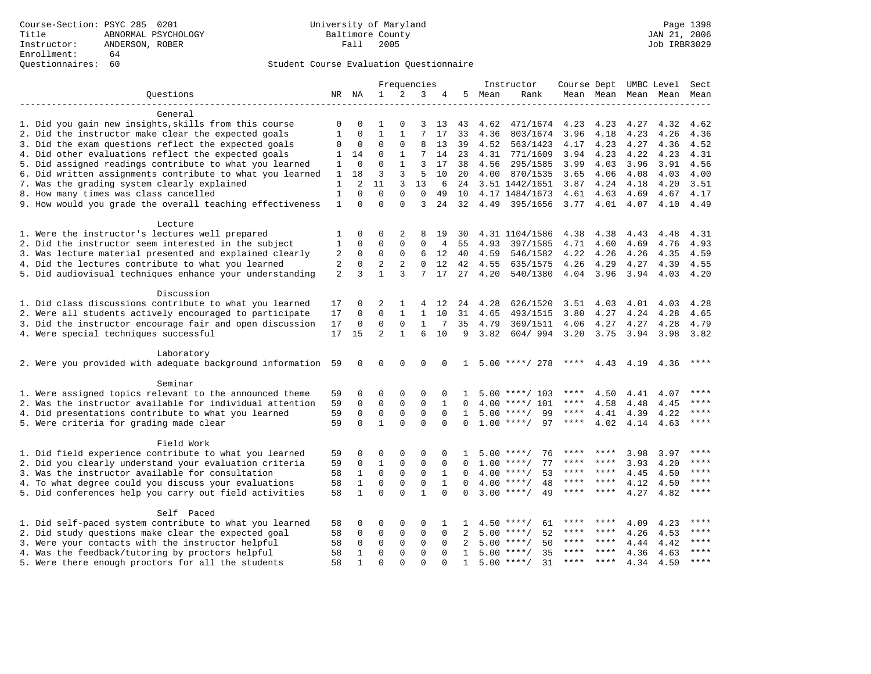## Questionnaires: 60 Student Course Evaluation Questionnaire

| $\mathbf{1}$<br>2<br>3<br>Ouestions<br>NR NA<br>5<br>Mean<br>Rank<br>Mean Mean<br>Mean Mean<br>4<br>Mean<br>General<br>1. Did you gain new insights, skills from this course<br>0<br>$\mathbf 0$<br>$\mathbf 0$<br>13<br>4.62<br>471/1674<br>4.23<br>4.23<br>4.27<br>4.32<br>1<br>3<br>43<br>4.62<br>2. Did the instructor make clear the expected goals<br>$\mathbf 1$<br>7<br>17<br>1<br>$\mathbf 0$<br>1<br>33<br>4.36<br>803/1674<br>3.96<br>4.18<br>4.23<br>4.26<br>4.36<br>$\Omega$<br>$\Omega$<br>3. Did the exam questions reflect the expected goals<br>$\mathbf 0$<br>$\mathbf 0$<br>8<br>13<br>39<br>4.52<br>563/1423<br>4.23<br>4.27<br>4.17<br>4.36<br>4.52<br>7<br>4. Did other evaluations reflect the expected goals<br>$\mathbf 0$<br>$\mathbf{1}$<br>14<br>771/1609<br>3.94<br>4.23<br>4.22<br>4.31<br>14<br>23<br>4.31<br>4.23<br>1<br>$\Omega$<br>$\mathbf{1}$<br>5. Did assigned readings contribute to what you learned<br>$\mathbf{0}$<br>3<br>17<br>38<br>4.56<br>295/1585<br>3.99<br>4.03<br>3.96<br>3.91<br>4.56<br>1<br>6. Did written assignments contribute to what you learned<br>3<br>3<br>5<br>18<br>10<br>20<br>4.00<br>870/1535<br>3.65<br>4.06<br>4.08<br>4.03<br>4.00<br>1<br>7. Was the grading system clearly explained<br>$\overline{a}$<br>11<br>3<br>13<br>3.51 1442/1651<br>3.87<br>4.24<br>1<br>6<br>24<br>4.18<br>4.20<br>3.51<br>8. How many times was class cancelled<br>$\Omega$<br>$\Omega$<br>$\Omega$<br>$\mathbf 0$<br>4.17 1484/1673<br>4.63<br>1<br>49<br>10<br>4.61<br>4.69<br>4.67<br>4.17<br>9. How would you grade the overall teaching effectiveness<br>$\Omega$<br>$\Omega$<br>$\mathbf{1}$<br>$\Omega$<br>3<br>24<br>32<br>4.49<br>395/1656<br>3.77<br>4.01<br>4.07<br>4.10<br>4.49<br>Lecture<br>1. Were the instructor's lectures well prepared<br>1<br>0<br>0<br>2<br>8<br>19<br>30<br>4.31 1104/1586<br>4.38<br>4.38<br>4.43<br>4.48<br>4.31<br>2. Did the instructor seem interested in the subject<br>$\Omega$<br>$\Omega$<br>$\Omega$<br>0<br>4.93<br>4.71<br>1<br>4<br>55<br>397/1585<br>4.60<br>4.69<br>4.76<br>4.93<br>3. Was lecture material presented and explained clearly<br>2<br>4.26<br>0<br>$\mathbf 0$<br>$\mathbf 0$<br>6<br>12<br>40<br>4.59<br>546/1582<br>4.22<br>4.26<br>4.35<br>4.59<br>4. Did the lectures contribute to what you learned<br>2<br>$\mathbf 0$<br>2<br>2<br>0<br>12<br>42<br>4.55<br>635/1575<br>4.26<br>4.29<br>4.27<br>4.39<br>4.55<br>5. Did audiovisual techniques enhance your understanding<br>2<br>3<br>$\mathbf{1}$<br>3<br>7<br>17<br>27<br>4.20<br>540/1380<br>4.04 3.96<br>3.94<br>4.03<br>4.20<br>Discussion<br>1. Did class discussions contribute to what you learned<br>4.28<br>17<br>0<br>2<br>1<br>12<br>626/1520<br>3.51<br>4.03<br>4.01<br>4.03<br>4.28<br>24<br>$\Omega$<br>$\mathbf{1}$<br>2. Were all students actively encouraged to participate<br>$\Omega$<br>$\mathbf{1}$<br>10<br>31<br>4.65<br>493/1515<br>3.80<br>4.27<br>4.24<br>4.28<br>4.65<br>17<br>3. Did the instructor encourage fair and open discussion<br>17<br>$\mathbf{0}$<br>$\Omega$<br>$\mathbf 0$<br>$\mathbf{1}$<br>7<br>35<br>4.79<br>369/1511<br>4.27<br>4.06<br>4.27<br>4.28<br>4.79<br>$\overline{2}$<br>4. Were special techniques successful<br>$\mathbf{1}$<br>6<br>3.82<br>3.20<br>17<br>15<br>10<br>9<br>604/994<br>3.75<br>3.94<br>3.98<br>3.82<br>Laboratory<br>$5.00$ ****/ 278<br>2. Were you provided with adequate background information<br>59<br>0<br>$\mathbf 0$<br>0<br>****<br>4.43 4.19<br>****<br>0<br>$\Omega$<br>$\mathbf{1}$<br>4.36<br>Seminar<br>1. Were assigned topics relevant to the announced theme<br>0<br>$5.00$ ****/ 103<br>****<br>59<br>0<br>0<br>$\Omega$<br>0<br>4.50<br>4.41<br>4.07<br>2. Was the instructor available for individual attention<br>$\mathbf 0$<br>$\Omega$<br>$\Omega$<br>****<br>59<br>$\Omega$<br>$\mathbf{1}$<br>$4.00$ ****/ 101<br>****<br>4.58<br>4.48<br>$\Omega$<br>4.45<br>$\mathbf 0$<br>99<br>$***$ * * *<br>$***$<br>4. Did presentations contribute to what you learned<br>$\Omega$<br>$\mathbf{0}$<br>$\mathbf 0$<br>$5.00$ ****/<br>4.41<br>4.22<br>59<br>$\Omega$<br>$\mathbf{1}$<br>4.39<br>$\mathbf{1}$<br>$\Omega$<br>$\Omega$<br>$\Omega$<br>$1.00$ ****/<br>97<br>$***$<br>5. Were criteria for grading made clear<br>59<br>$\Omega$<br>$\Omega$<br>****<br>4.02<br>4.14<br>4.63<br>Field Work<br>1. Did field experience contribute to what you learned<br>****<br>0<br>$\Omega$<br>0<br>$\Omega$<br>76<br>3.98<br>59<br>$\Omega$<br>$5.00$ ****/<br>****<br>3.97<br>1<br>2. Did you clearly understand your evaluation criteria<br>$\mathbf 0$<br>$\mathbf{1}$<br>$\mathbf{0}$<br>$\mathbf{0}$<br>77<br>****<br>59<br>0<br>1.00<br>3.93<br>4.20<br>$\Omega$<br>$***$ /<br>****<br>****<br>$\Omega$<br>$\mathbf 0$<br>$\Omega$<br>****<br>3. Was the instructor available for consultation<br>58<br>1<br>1<br>4.00<br>53<br>****<br>****<br>4.45<br>4.50<br>$\Omega$<br>$***/$<br>$\mathbf{1}$<br>$\mathbf 0$<br>$\mathbf 0$<br>$\mathbf 0$<br>$***$<br>4. To what degree could you discuss your evaluations<br>58<br>$\mathbf{1}$<br>$4.00$ ****/<br>48<br>$***$ * *<br>****<br>4.12<br>4.50<br>$\Omega$<br>$\Omega$<br>$\mathbf{1}$<br>5. Did conferences help you carry out field activities<br>58<br>$\mathbf{1}$<br>$\Omega$<br>$\Omega$<br>$3.00$ ****/<br>49<br>$***$ * *<br>4.27<br>4.82<br>$***$<br>$\Omega$<br>****<br>Self Paced<br>1. Did self-paced system contribute to what you learned<br>58<br>0<br>0<br>4.50<br>$***$ /<br>4.09<br>0<br>0<br>61<br>4.23<br>2. Did study questions make clear the expected goal<br>58<br>$\Omega$<br>0<br>$\Omega$<br>0<br>5.00<br>$***$ /<br>52<br>****<br>****<br>4.26<br>4.53<br>****<br>$\Omega$<br>2<br>****<br>3. Were your contacts with the instructor helpful<br>$\mathbf 0$<br>$\mathbf 0$<br>$\mathbf 0$<br>$\mathbf 0$<br>5.00<br>$***$ /<br>50<br>****<br>$***$ *<br>4.44<br>58<br>$\Omega$<br>2<br>4.42<br>****<br>4. Was the feedback/tutoring by proctors helpful<br>58<br>$\mathbf 0$<br>$\mathbf{0}$<br>$\mathbf{0}$<br>$5.00$ ****/<br>35<br>****<br>$***$ *<br>4.36<br>4.63<br>1<br>$\Omega$<br>1<br>31<br>58<br>$\mathbf{1}$<br>$\Omega$<br>$\Omega$<br>$\Omega$<br>$5.00$ ****/<br>****<br>$***$ * * *<br>4.34<br>4.50<br>****<br>$\Omega$<br>$\mathbf{1}$ |                                                    | Frequencies |  |  |  | Instructor |  | Course Dept UMBC Level |  | Sect |  |  |
|----------------------------------------------------------------------------------------------------------------------------------------------------------------------------------------------------------------------------------------------------------------------------------------------------------------------------------------------------------------------------------------------------------------------------------------------------------------------------------------------------------------------------------------------------------------------------------------------------------------------------------------------------------------------------------------------------------------------------------------------------------------------------------------------------------------------------------------------------------------------------------------------------------------------------------------------------------------------------------------------------------------------------------------------------------------------------------------------------------------------------------------------------------------------------------------------------------------------------------------------------------------------------------------------------------------------------------------------------------------------------------------------------------------------------------------------------------------------------------------------------------------------------------------------------------------------------------------------------------------------------------------------------------------------------------------------------------------------------------------------------------------------------------------------------------------------------------------------------------------------------------------------------------------------------------------------------------------------------------------------------------------------------------------------------------------------------------------------------------------------------------------------------------------------------------------------------------------------------------------------------------------------------------------------------------------------------------------------------------------------------------------------------------------------------------------------------------------------------------------------------------------------------------------------------------------------------------------------------------------------------------------------------------------------------------------------------------------------------------------------------------------------------------------------------------------------------------------------------------------------------------------------------------------------------------------------------------------------------------------------------------------------------------------------------------------------------------------------------------------------------------------------------------------------------------------------------------------------------------------------------------------------------------------------------------------------------------------------------------------------------------------------------------------------------------------------------------------------------------------------------------------------------------------------------------------------------------------------------------------------------------------------------------------------------------------------------------------------------------------------------------------------------------------------------------------------------------------------------------------------------------------------------------------------------------------------------------------------------------------------------------------------------------------------------------------------------------------------------------------------------------------------------------------------------------------------------------------------------------------------------------------------------------------------------------------------------------------------------------------------------------------------------------------------------------------------------------------------------------------------------------------------------------------------------------------------------------------------------------------------------------------------------------------------------------------------------------------------------------------------------------------------------------------------------------------------------------------------------------------------------------------------------------------------------------------------------------------------------------------------------------------------------------------------------------------------------------------------------------------------------------------------------------------------------------------------------------------------------------------------------------------------------------------------------------------------------------------------------------------------------------------------------------------------------------------------------------------------------------------------------------------------------------------------------------------------------------------------------------------------------------------------------------------------------------------------------------------------------------------------------------------------------------------------------------------------------------------------------------------------------------------------------------------------------------------------------------------------------------------------------------------------------------------------------------------------------------------------------------------------------------------------------------------------------------------------------------------------------------------------------------------------------------------------------------------------|----------------------------------------------------|-------------|--|--|--|------------|--|------------------------|--|------|--|--|
|                                                                                                                                                                                                                                                                                                                                                                                                                                                                                                                                                                                                                                                                                                                                                                                                                                                                                                                                                                                                                                                                                                                                                                                                                                                                                                                                                                                                                                                                                                                                                                                                                                                                                                                                                                                                                                                                                                                                                                                                                                                                                                                                                                                                                                                                                                                                                                                                                                                                                                                                                                                                                                                                                                                                                                                                                                                                                                                                                                                                                                                                                                                                                                                                                                                                                                                                                                                                                                                                                                                                                                                                                                                                                                                                                                                                                                                                                                                                                                                                                                                                                                                                                                                                                                                                                                                                                                                                                                                                                                                                                                                                                                                                                                                                                                                                                                                                                                                                                                                                                                                                                                                                                                                                                                                                                                                                                                                                                                                                                                                                                                                                                                                                                                                                                                                                                                                                                                                                                                                                                                                                                                                                                                                                                                                                                                                      |                                                    |             |  |  |  |            |  |                        |  |      |  |  |
|                                                                                                                                                                                                                                                                                                                                                                                                                                                                                                                                                                                                                                                                                                                                                                                                                                                                                                                                                                                                                                                                                                                                                                                                                                                                                                                                                                                                                                                                                                                                                                                                                                                                                                                                                                                                                                                                                                                                                                                                                                                                                                                                                                                                                                                                                                                                                                                                                                                                                                                                                                                                                                                                                                                                                                                                                                                                                                                                                                                                                                                                                                                                                                                                                                                                                                                                                                                                                                                                                                                                                                                                                                                                                                                                                                                                                                                                                                                                                                                                                                                                                                                                                                                                                                                                                                                                                                                                                                                                                                                                                                                                                                                                                                                                                                                                                                                                                                                                                                                                                                                                                                                                                                                                                                                                                                                                                                                                                                                                                                                                                                                                                                                                                                                                                                                                                                                                                                                                                                                                                                                                                                                                                                                                                                                                                                                      |                                                    |             |  |  |  |            |  |                        |  |      |  |  |
|                                                                                                                                                                                                                                                                                                                                                                                                                                                                                                                                                                                                                                                                                                                                                                                                                                                                                                                                                                                                                                                                                                                                                                                                                                                                                                                                                                                                                                                                                                                                                                                                                                                                                                                                                                                                                                                                                                                                                                                                                                                                                                                                                                                                                                                                                                                                                                                                                                                                                                                                                                                                                                                                                                                                                                                                                                                                                                                                                                                                                                                                                                                                                                                                                                                                                                                                                                                                                                                                                                                                                                                                                                                                                                                                                                                                                                                                                                                                                                                                                                                                                                                                                                                                                                                                                                                                                                                                                                                                                                                                                                                                                                                                                                                                                                                                                                                                                                                                                                                                                                                                                                                                                                                                                                                                                                                                                                                                                                                                                                                                                                                                                                                                                                                                                                                                                                                                                                                                                                                                                                                                                                                                                                                                                                                                                                                      |                                                    |             |  |  |  |            |  |                        |  |      |  |  |
|                                                                                                                                                                                                                                                                                                                                                                                                                                                                                                                                                                                                                                                                                                                                                                                                                                                                                                                                                                                                                                                                                                                                                                                                                                                                                                                                                                                                                                                                                                                                                                                                                                                                                                                                                                                                                                                                                                                                                                                                                                                                                                                                                                                                                                                                                                                                                                                                                                                                                                                                                                                                                                                                                                                                                                                                                                                                                                                                                                                                                                                                                                                                                                                                                                                                                                                                                                                                                                                                                                                                                                                                                                                                                                                                                                                                                                                                                                                                                                                                                                                                                                                                                                                                                                                                                                                                                                                                                                                                                                                                                                                                                                                                                                                                                                                                                                                                                                                                                                                                                                                                                                                                                                                                                                                                                                                                                                                                                                                                                                                                                                                                                                                                                                                                                                                                                                                                                                                                                                                                                                                                                                                                                                                                                                                                                                                      |                                                    |             |  |  |  |            |  |                        |  |      |  |  |
|                                                                                                                                                                                                                                                                                                                                                                                                                                                                                                                                                                                                                                                                                                                                                                                                                                                                                                                                                                                                                                                                                                                                                                                                                                                                                                                                                                                                                                                                                                                                                                                                                                                                                                                                                                                                                                                                                                                                                                                                                                                                                                                                                                                                                                                                                                                                                                                                                                                                                                                                                                                                                                                                                                                                                                                                                                                                                                                                                                                                                                                                                                                                                                                                                                                                                                                                                                                                                                                                                                                                                                                                                                                                                                                                                                                                                                                                                                                                                                                                                                                                                                                                                                                                                                                                                                                                                                                                                                                                                                                                                                                                                                                                                                                                                                                                                                                                                                                                                                                                                                                                                                                                                                                                                                                                                                                                                                                                                                                                                                                                                                                                                                                                                                                                                                                                                                                                                                                                                                                                                                                                                                                                                                                                                                                                                                                      |                                                    |             |  |  |  |            |  |                        |  |      |  |  |
|                                                                                                                                                                                                                                                                                                                                                                                                                                                                                                                                                                                                                                                                                                                                                                                                                                                                                                                                                                                                                                                                                                                                                                                                                                                                                                                                                                                                                                                                                                                                                                                                                                                                                                                                                                                                                                                                                                                                                                                                                                                                                                                                                                                                                                                                                                                                                                                                                                                                                                                                                                                                                                                                                                                                                                                                                                                                                                                                                                                                                                                                                                                                                                                                                                                                                                                                                                                                                                                                                                                                                                                                                                                                                                                                                                                                                                                                                                                                                                                                                                                                                                                                                                                                                                                                                                                                                                                                                                                                                                                                                                                                                                                                                                                                                                                                                                                                                                                                                                                                                                                                                                                                                                                                                                                                                                                                                                                                                                                                                                                                                                                                                                                                                                                                                                                                                                                                                                                                                                                                                                                                                                                                                                                                                                                                                                                      |                                                    |             |  |  |  |            |  |                        |  |      |  |  |
|                                                                                                                                                                                                                                                                                                                                                                                                                                                                                                                                                                                                                                                                                                                                                                                                                                                                                                                                                                                                                                                                                                                                                                                                                                                                                                                                                                                                                                                                                                                                                                                                                                                                                                                                                                                                                                                                                                                                                                                                                                                                                                                                                                                                                                                                                                                                                                                                                                                                                                                                                                                                                                                                                                                                                                                                                                                                                                                                                                                                                                                                                                                                                                                                                                                                                                                                                                                                                                                                                                                                                                                                                                                                                                                                                                                                                                                                                                                                                                                                                                                                                                                                                                                                                                                                                                                                                                                                                                                                                                                                                                                                                                                                                                                                                                                                                                                                                                                                                                                                                                                                                                                                                                                                                                                                                                                                                                                                                                                                                                                                                                                                                                                                                                                                                                                                                                                                                                                                                                                                                                                                                                                                                                                                                                                                                                                      |                                                    |             |  |  |  |            |  |                        |  |      |  |  |
|                                                                                                                                                                                                                                                                                                                                                                                                                                                                                                                                                                                                                                                                                                                                                                                                                                                                                                                                                                                                                                                                                                                                                                                                                                                                                                                                                                                                                                                                                                                                                                                                                                                                                                                                                                                                                                                                                                                                                                                                                                                                                                                                                                                                                                                                                                                                                                                                                                                                                                                                                                                                                                                                                                                                                                                                                                                                                                                                                                                                                                                                                                                                                                                                                                                                                                                                                                                                                                                                                                                                                                                                                                                                                                                                                                                                                                                                                                                                                                                                                                                                                                                                                                                                                                                                                                                                                                                                                                                                                                                                                                                                                                                                                                                                                                                                                                                                                                                                                                                                                                                                                                                                                                                                                                                                                                                                                                                                                                                                                                                                                                                                                                                                                                                                                                                                                                                                                                                                                                                                                                                                                                                                                                                                                                                                                                                      |                                                    |             |  |  |  |            |  |                        |  |      |  |  |
|                                                                                                                                                                                                                                                                                                                                                                                                                                                                                                                                                                                                                                                                                                                                                                                                                                                                                                                                                                                                                                                                                                                                                                                                                                                                                                                                                                                                                                                                                                                                                                                                                                                                                                                                                                                                                                                                                                                                                                                                                                                                                                                                                                                                                                                                                                                                                                                                                                                                                                                                                                                                                                                                                                                                                                                                                                                                                                                                                                                                                                                                                                                                                                                                                                                                                                                                                                                                                                                                                                                                                                                                                                                                                                                                                                                                                                                                                                                                                                                                                                                                                                                                                                                                                                                                                                                                                                                                                                                                                                                                                                                                                                                                                                                                                                                                                                                                                                                                                                                                                                                                                                                                                                                                                                                                                                                                                                                                                                                                                                                                                                                                                                                                                                                                                                                                                                                                                                                                                                                                                                                                                                                                                                                                                                                                                                                      |                                                    |             |  |  |  |            |  |                        |  |      |  |  |
|                                                                                                                                                                                                                                                                                                                                                                                                                                                                                                                                                                                                                                                                                                                                                                                                                                                                                                                                                                                                                                                                                                                                                                                                                                                                                                                                                                                                                                                                                                                                                                                                                                                                                                                                                                                                                                                                                                                                                                                                                                                                                                                                                                                                                                                                                                                                                                                                                                                                                                                                                                                                                                                                                                                                                                                                                                                                                                                                                                                                                                                                                                                                                                                                                                                                                                                                                                                                                                                                                                                                                                                                                                                                                                                                                                                                                                                                                                                                                                                                                                                                                                                                                                                                                                                                                                                                                                                                                                                                                                                                                                                                                                                                                                                                                                                                                                                                                                                                                                                                                                                                                                                                                                                                                                                                                                                                                                                                                                                                                                                                                                                                                                                                                                                                                                                                                                                                                                                                                                                                                                                                                                                                                                                                                                                                                                                      |                                                    |             |  |  |  |            |  |                        |  |      |  |  |
|                                                                                                                                                                                                                                                                                                                                                                                                                                                                                                                                                                                                                                                                                                                                                                                                                                                                                                                                                                                                                                                                                                                                                                                                                                                                                                                                                                                                                                                                                                                                                                                                                                                                                                                                                                                                                                                                                                                                                                                                                                                                                                                                                                                                                                                                                                                                                                                                                                                                                                                                                                                                                                                                                                                                                                                                                                                                                                                                                                                                                                                                                                                                                                                                                                                                                                                                                                                                                                                                                                                                                                                                                                                                                                                                                                                                                                                                                                                                                                                                                                                                                                                                                                                                                                                                                                                                                                                                                                                                                                                                                                                                                                                                                                                                                                                                                                                                                                                                                                                                                                                                                                                                                                                                                                                                                                                                                                                                                                                                                                                                                                                                                                                                                                                                                                                                                                                                                                                                                                                                                                                                                                                                                                                                                                                                                                                      |                                                    |             |  |  |  |            |  |                        |  |      |  |  |
|                                                                                                                                                                                                                                                                                                                                                                                                                                                                                                                                                                                                                                                                                                                                                                                                                                                                                                                                                                                                                                                                                                                                                                                                                                                                                                                                                                                                                                                                                                                                                                                                                                                                                                                                                                                                                                                                                                                                                                                                                                                                                                                                                                                                                                                                                                                                                                                                                                                                                                                                                                                                                                                                                                                                                                                                                                                                                                                                                                                                                                                                                                                                                                                                                                                                                                                                                                                                                                                                                                                                                                                                                                                                                                                                                                                                                                                                                                                                                                                                                                                                                                                                                                                                                                                                                                                                                                                                                                                                                                                                                                                                                                                                                                                                                                                                                                                                                                                                                                                                                                                                                                                                                                                                                                                                                                                                                                                                                                                                                                                                                                                                                                                                                                                                                                                                                                                                                                                                                                                                                                                                                                                                                                                                                                                                                                                      |                                                    |             |  |  |  |            |  |                        |  |      |  |  |
|                                                                                                                                                                                                                                                                                                                                                                                                                                                                                                                                                                                                                                                                                                                                                                                                                                                                                                                                                                                                                                                                                                                                                                                                                                                                                                                                                                                                                                                                                                                                                                                                                                                                                                                                                                                                                                                                                                                                                                                                                                                                                                                                                                                                                                                                                                                                                                                                                                                                                                                                                                                                                                                                                                                                                                                                                                                                                                                                                                                                                                                                                                                                                                                                                                                                                                                                                                                                                                                                                                                                                                                                                                                                                                                                                                                                                                                                                                                                                                                                                                                                                                                                                                                                                                                                                                                                                                                                                                                                                                                                                                                                                                                                                                                                                                                                                                                                                                                                                                                                                                                                                                                                                                                                                                                                                                                                                                                                                                                                                                                                                                                                                                                                                                                                                                                                                                                                                                                                                                                                                                                                                                                                                                                                                                                                                                                      |                                                    |             |  |  |  |            |  |                        |  |      |  |  |
|                                                                                                                                                                                                                                                                                                                                                                                                                                                                                                                                                                                                                                                                                                                                                                                                                                                                                                                                                                                                                                                                                                                                                                                                                                                                                                                                                                                                                                                                                                                                                                                                                                                                                                                                                                                                                                                                                                                                                                                                                                                                                                                                                                                                                                                                                                                                                                                                                                                                                                                                                                                                                                                                                                                                                                                                                                                                                                                                                                                                                                                                                                                                                                                                                                                                                                                                                                                                                                                                                                                                                                                                                                                                                                                                                                                                                                                                                                                                                                                                                                                                                                                                                                                                                                                                                                                                                                                                                                                                                                                                                                                                                                                                                                                                                                                                                                                                                                                                                                                                                                                                                                                                                                                                                                                                                                                                                                                                                                                                                                                                                                                                                                                                                                                                                                                                                                                                                                                                                                                                                                                                                                                                                                                                                                                                                                                      |                                                    |             |  |  |  |            |  |                        |  |      |  |  |
|                                                                                                                                                                                                                                                                                                                                                                                                                                                                                                                                                                                                                                                                                                                                                                                                                                                                                                                                                                                                                                                                                                                                                                                                                                                                                                                                                                                                                                                                                                                                                                                                                                                                                                                                                                                                                                                                                                                                                                                                                                                                                                                                                                                                                                                                                                                                                                                                                                                                                                                                                                                                                                                                                                                                                                                                                                                                                                                                                                                                                                                                                                                                                                                                                                                                                                                                                                                                                                                                                                                                                                                                                                                                                                                                                                                                                                                                                                                                                                                                                                                                                                                                                                                                                                                                                                                                                                                                                                                                                                                                                                                                                                                                                                                                                                                                                                                                                                                                                                                                                                                                                                                                                                                                                                                                                                                                                                                                                                                                                                                                                                                                                                                                                                                                                                                                                                                                                                                                                                                                                                                                                                                                                                                                                                                                                                                      |                                                    |             |  |  |  |            |  |                        |  |      |  |  |
|                                                                                                                                                                                                                                                                                                                                                                                                                                                                                                                                                                                                                                                                                                                                                                                                                                                                                                                                                                                                                                                                                                                                                                                                                                                                                                                                                                                                                                                                                                                                                                                                                                                                                                                                                                                                                                                                                                                                                                                                                                                                                                                                                                                                                                                                                                                                                                                                                                                                                                                                                                                                                                                                                                                                                                                                                                                                                                                                                                                                                                                                                                                                                                                                                                                                                                                                                                                                                                                                                                                                                                                                                                                                                                                                                                                                                                                                                                                                                                                                                                                                                                                                                                                                                                                                                                                                                                                                                                                                                                                                                                                                                                                                                                                                                                                                                                                                                                                                                                                                                                                                                                                                                                                                                                                                                                                                                                                                                                                                                                                                                                                                                                                                                                                                                                                                                                                                                                                                                                                                                                                                                                                                                                                                                                                                                                                      |                                                    |             |  |  |  |            |  |                        |  |      |  |  |
|                                                                                                                                                                                                                                                                                                                                                                                                                                                                                                                                                                                                                                                                                                                                                                                                                                                                                                                                                                                                                                                                                                                                                                                                                                                                                                                                                                                                                                                                                                                                                                                                                                                                                                                                                                                                                                                                                                                                                                                                                                                                                                                                                                                                                                                                                                                                                                                                                                                                                                                                                                                                                                                                                                                                                                                                                                                                                                                                                                                                                                                                                                                                                                                                                                                                                                                                                                                                                                                                                                                                                                                                                                                                                                                                                                                                                                                                                                                                                                                                                                                                                                                                                                                                                                                                                                                                                                                                                                                                                                                                                                                                                                                                                                                                                                                                                                                                                                                                                                                                                                                                                                                                                                                                                                                                                                                                                                                                                                                                                                                                                                                                                                                                                                                                                                                                                                                                                                                                                                                                                                                                                                                                                                                                                                                                                                                      |                                                    |             |  |  |  |            |  |                        |  |      |  |  |
|                                                                                                                                                                                                                                                                                                                                                                                                                                                                                                                                                                                                                                                                                                                                                                                                                                                                                                                                                                                                                                                                                                                                                                                                                                                                                                                                                                                                                                                                                                                                                                                                                                                                                                                                                                                                                                                                                                                                                                                                                                                                                                                                                                                                                                                                                                                                                                                                                                                                                                                                                                                                                                                                                                                                                                                                                                                                                                                                                                                                                                                                                                                                                                                                                                                                                                                                                                                                                                                                                                                                                                                                                                                                                                                                                                                                                                                                                                                                                                                                                                                                                                                                                                                                                                                                                                                                                                                                                                                                                                                                                                                                                                                                                                                                                                                                                                                                                                                                                                                                                                                                                                                                                                                                                                                                                                                                                                                                                                                                                                                                                                                                                                                                                                                                                                                                                                                                                                                                                                                                                                                                                                                                                                                                                                                                                                                      |                                                    |             |  |  |  |            |  |                        |  |      |  |  |
|                                                                                                                                                                                                                                                                                                                                                                                                                                                                                                                                                                                                                                                                                                                                                                                                                                                                                                                                                                                                                                                                                                                                                                                                                                                                                                                                                                                                                                                                                                                                                                                                                                                                                                                                                                                                                                                                                                                                                                                                                                                                                                                                                                                                                                                                                                                                                                                                                                                                                                                                                                                                                                                                                                                                                                                                                                                                                                                                                                                                                                                                                                                                                                                                                                                                                                                                                                                                                                                                                                                                                                                                                                                                                                                                                                                                                                                                                                                                                                                                                                                                                                                                                                                                                                                                                                                                                                                                                                                                                                                                                                                                                                                                                                                                                                                                                                                                                                                                                                                                                                                                                                                                                                                                                                                                                                                                                                                                                                                                                                                                                                                                                                                                                                                                                                                                                                                                                                                                                                                                                                                                                                                                                                                                                                                                                                                      |                                                    |             |  |  |  |            |  |                        |  |      |  |  |
|                                                                                                                                                                                                                                                                                                                                                                                                                                                                                                                                                                                                                                                                                                                                                                                                                                                                                                                                                                                                                                                                                                                                                                                                                                                                                                                                                                                                                                                                                                                                                                                                                                                                                                                                                                                                                                                                                                                                                                                                                                                                                                                                                                                                                                                                                                                                                                                                                                                                                                                                                                                                                                                                                                                                                                                                                                                                                                                                                                                                                                                                                                                                                                                                                                                                                                                                                                                                                                                                                                                                                                                                                                                                                                                                                                                                                                                                                                                                                                                                                                                                                                                                                                                                                                                                                                                                                                                                                                                                                                                                                                                                                                                                                                                                                                                                                                                                                                                                                                                                                                                                                                                                                                                                                                                                                                                                                                                                                                                                                                                                                                                                                                                                                                                                                                                                                                                                                                                                                                                                                                                                                                                                                                                                                                                                                                                      |                                                    |             |  |  |  |            |  |                        |  |      |  |  |
|                                                                                                                                                                                                                                                                                                                                                                                                                                                                                                                                                                                                                                                                                                                                                                                                                                                                                                                                                                                                                                                                                                                                                                                                                                                                                                                                                                                                                                                                                                                                                                                                                                                                                                                                                                                                                                                                                                                                                                                                                                                                                                                                                                                                                                                                                                                                                                                                                                                                                                                                                                                                                                                                                                                                                                                                                                                                                                                                                                                                                                                                                                                                                                                                                                                                                                                                                                                                                                                                                                                                                                                                                                                                                                                                                                                                                                                                                                                                                                                                                                                                                                                                                                                                                                                                                                                                                                                                                                                                                                                                                                                                                                                                                                                                                                                                                                                                                                                                                                                                                                                                                                                                                                                                                                                                                                                                                                                                                                                                                                                                                                                                                                                                                                                                                                                                                                                                                                                                                                                                                                                                                                                                                                                                                                                                                                                      |                                                    |             |  |  |  |            |  |                        |  |      |  |  |
|                                                                                                                                                                                                                                                                                                                                                                                                                                                                                                                                                                                                                                                                                                                                                                                                                                                                                                                                                                                                                                                                                                                                                                                                                                                                                                                                                                                                                                                                                                                                                                                                                                                                                                                                                                                                                                                                                                                                                                                                                                                                                                                                                                                                                                                                                                                                                                                                                                                                                                                                                                                                                                                                                                                                                                                                                                                                                                                                                                                                                                                                                                                                                                                                                                                                                                                                                                                                                                                                                                                                                                                                                                                                                                                                                                                                                                                                                                                                                                                                                                                                                                                                                                                                                                                                                                                                                                                                                                                                                                                                                                                                                                                                                                                                                                                                                                                                                                                                                                                                                                                                                                                                                                                                                                                                                                                                                                                                                                                                                                                                                                                                                                                                                                                                                                                                                                                                                                                                                                                                                                                                                                                                                                                                                                                                                                                      |                                                    |             |  |  |  |            |  |                        |  |      |  |  |
|                                                                                                                                                                                                                                                                                                                                                                                                                                                                                                                                                                                                                                                                                                                                                                                                                                                                                                                                                                                                                                                                                                                                                                                                                                                                                                                                                                                                                                                                                                                                                                                                                                                                                                                                                                                                                                                                                                                                                                                                                                                                                                                                                                                                                                                                                                                                                                                                                                                                                                                                                                                                                                                                                                                                                                                                                                                                                                                                                                                                                                                                                                                                                                                                                                                                                                                                                                                                                                                                                                                                                                                                                                                                                                                                                                                                                                                                                                                                                                                                                                                                                                                                                                                                                                                                                                                                                                                                                                                                                                                                                                                                                                                                                                                                                                                                                                                                                                                                                                                                                                                                                                                                                                                                                                                                                                                                                                                                                                                                                                                                                                                                                                                                                                                                                                                                                                                                                                                                                                                                                                                                                                                                                                                                                                                                                                                      |                                                    |             |  |  |  |            |  |                        |  |      |  |  |
|                                                                                                                                                                                                                                                                                                                                                                                                                                                                                                                                                                                                                                                                                                                                                                                                                                                                                                                                                                                                                                                                                                                                                                                                                                                                                                                                                                                                                                                                                                                                                                                                                                                                                                                                                                                                                                                                                                                                                                                                                                                                                                                                                                                                                                                                                                                                                                                                                                                                                                                                                                                                                                                                                                                                                                                                                                                                                                                                                                                                                                                                                                                                                                                                                                                                                                                                                                                                                                                                                                                                                                                                                                                                                                                                                                                                                                                                                                                                                                                                                                                                                                                                                                                                                                                                                                                                                                                                                                                                                                                                                                                                                                                                                                                                                                                                                                                                                                                                                                                                                                                                                                                                                                                                                                                                                                                                                                                                                                                                                                                                                                                                                                                                                                                                                                                                                                                                                                                                                                                                                                                                                                                                                                                                                                                                                                                      |                                                    |             |  |  |  |            |  |                        |  |      |  |  |
|                                                                                                                                                                                                                                                                                                                                                                                                                                                                                                                                                                                                                                                                                                                                                                                                                                                                                                                                                                                                                                                                                                                                                                                                                                                                                                                                                                                                                                                                                                                                                                                                                                                                                                                                                                                                                                                                                                                                                                                                                                                                                                                                                                                                                                                                                                                                                                                                                                                                                                                                                                                                                                                                                                                                                                                                                                                                                                                                                                                                                                                                                                                                                                                                                                                                                                                                                                                                                                                                                                                                                                                                                                                                                                                                                                                                                                                                                                                                                                                                                                                                                                                                                                                                                                                                                                                                                                                                                                                                                                                                                                                                                                                                                                                                                                                                                                                                                                                                                                                                                                                                                                                                                                                                                                                                                                                                                                                                                                                                                                                                                                                                                                                                                                                                                                                                                                                                                                                                                                                                                                                                                                                                                                                                                                                                                                                      |                                                    |             |  |  |  |            |  |                        |  |      |  |  |
|                                                                                                                                                                                                                                                                                                                                                                                                                                                                                                                                                                                                                                                                                                                                                                                                                                                                                                                                                                                                                                                                                                                                                                                                                                                                                                                                                                                                                                                                                                                                                                                                                                                                                                                                                                                                                                                                                                                                                                                                                                                                                                                                                                                                                                                                                                                                                                                                                                                                                                                                                                                                                                                                                                                                                                                                                                                                                                                                                                                                                                                                                                                                                                                                                                                                                                                                                                                                                                                                                                                                                                                                                                                                                                                                                                                                                                                                                                                                                                                                                                                                                                                                                                                                                                                                                                                                                                                                                                                                                                                                                                                                                                                                                                                                                                                                                                                                                                                                                                                                                                                                                                                                                                                                                                                                                                                                                                                                                                                                                                                                                                                                                                                                                                                                                                                                                                                                                                                                                                                                                                                                                                                                                                                                                                                                                                                      |                                                    |             |  |  |  |            |  |                        |  |      |  |  |
|                                                                                                                                                                                                                                                                                                                                                                                                                                                                                                                                                                                                                                                                                                                                                                                                                                                                                                                                                                                                                                                                                                                                                                                                                                                                                                                                                                                                                                                                                                                                                                                                                                                                                                                                                                                                                                                                                                                                                                                                                                                                                                                                                                                                                                                                                                                                                                                                                                                                                                                                                                                                                                                                                                                                                                                                                                                                                                                                                                                                                                                                                                                                                                                                                                                                                                                                                                                                                                                                                                                                                                                                                                                                                                                                                                                                                                                                                                                                                                                                                                                                                                                                                                                                                                                                                                                                                                                                                                                                                                                                                                                                                                                                                                                                                                                                                                                                                                                                                                                                                                                                                                                                                                                                                                                                                                                                                                                                                                                                                                                                                                                                                                                                                                                                                                                                                                                                                                                                                                                                                                                                                                                                                                                                                                                                                                                      |                                                    |             |  |  |  |            |  |                        |  |      |  |  |
|                                                                                                                                                                                                                                                                                                                                                                                                                                                                                                                                                                                                                                                                                                                                                                                                                                                                                                                                                                                                                                                                                                                                                                                                                                                                                                                                                                                                                                                                                                                                                                                                                                                                                                                                                                                                                                                                                                                                                                                                                                                                                                                                                                                                                                                                                                                                                                                                                                                                                                                                                                                                                                                                                                                                                                                                                                                                                                                                                                                                                                                                                                                                                                                                                                                                                                                                                                                                                                                                                                                                                                                                                                                                                                                                                                                                                                                                                                                                                                                                                                                                                                                                                                                                                                                                                                                                                                                                                                                                                                                                                                                                                                                                                                                                                                                                                                                                                                                                                                                                                                                                                                                                                                                                                                                                                                                                                                                                                                                                                                                                                                                                                                                                                                                                                                                                                                                                                                                                                                                                                                                                                                                                                                                                                                                                                                                      |                                                    |             |  |  |  |            |  |                        |  |      |  |  |
|                                                                                                                                                                                                                                                                                                                                                                                                                                                                                                                                                                                                                                                                                                                                                                                                                                                                                                                                                                                                                                                                                                                                                                                                                                                                                                                                                                                                                                                                                                                                                                                                                                                                                                                                                                                                                                                                                                                                                                                                                                                                                                                                                                                                                                                                                                                                                                                                                                                                                                                                                                                                                                                                                                                                                                                                                                                                                                                                                                                                                                                                                                                                                                                                                                                                                                                                                                                                                                                                                                                                                                                                                                                                                                                                                                                                                                                                                                                                                                                                                                                                                                                                                                                                                                                                                                                                                                                                                                                                                                                                                                                                                                                                                                                                                                                                                                                                                                                                                                                                                                                                                                                                                                                                                                                                                                                                                                                                                                                                                                                                                                                                                                                                                                                                                                                                                                                                                                                                                                                                                                                                                                                                                                                                                                                                                                                      |                                                    |             |  |  |  |            |  |                        |  |      |  |  |
|                                                                                                                                                                                                                                                                                                                                                                                                                                                                                                                                                                                                                                                                                                                                                                                                                                                                                                                                                                                                                                                                                                                                                                                                                                                                                                                                                                                                                                                                                                                                                                                                                                                                                                                                                                                                                                                                                                                                                                                                                                                                                                                                                                                                                                                                                                                                                                                                                                                                                                                                                                                                                                                                                                                                                                                                                                                                                                                                                                                                                                                                                                                                                                                                                                                                                                                                                                                                                                                                                                                                                                                                                                                                                                                                                                                                                                                                                                                                                                                                                                                                                                                                                                                                                                                                                                                                                                                                                                                                                                                                                                                                                                                                                                                                                                                                                                                                                                                                                                                                                                                                                                                                                                                                                                                                                                                                                                                                                                                                                                                                                                                                                                                                                                                                                                                                                                                                                                                                                                                                                                                                                                                                                                                                                                                                                                                      |                                                    |             |  |  |  |            |  |                        |  |      |  |  |
|                                                                                                                                                                                                                                                                                                                                                                                                                                                                                                                                                                                                                                                                                                                                                                                                                                                                                                                                                                                                                                                                                                                                                                                                                                                                                                                                                                                                                                                                                                                                                                                                                                                                                                                                                                                                                                                                                                                                                                                                                                                                                                                                                                                                                                                                                                                                                                                                                                                                                                                                                                                                                                                                                                                                                                                                                                                                                                                                                                                                                                                                                                                                                                                                                                                                                                                                                                                                                                                                                                                                                                                                                                                                                                                                                                                                                                                                                                                                                                                                                                                                                                                                                                                                                                                                                                                                                                                                                                                                                                                                                                                                                                                                                                                                                                                                                                                                                                                                                                                                                                                                                                                                                                                                                                                                                                                                                                                                                                                                                                                                                                                                                                                                                                                                                                                                                                                                                                                                                                                                                                                                                                                                                                                                                                                                                                                      |                                                    |             |  |  |  |            |  |                        |  |      |  |  |
|                                                                                                                                                                                                                                                                                                                                                                                                                                                                                                                                                                                                                                                                                                                                                                                                                                                                                                                                                                                                                                                                                                                                                                                                                                                                                                                                                                                                                                                                                                                                                                                                                                                                                                                                                                                                                                                                                                                                                                                                                                                                                                                                                                                                                                                                                                                                                                                                                                                                                                                                                                                                                                                                                                                                                                                                                                                                                                                                                                                                                                                                                                                                                                                                                                                                                                                                                                                                                                                                                                                                                                                                                                                                                                                                                                                                                                                                                                                                                                                                                                                                                                                                                                                                                                                                                                                                                                                                                                                                                                                                                                                                                                                                                                                                                                                                                                                                                                                                                                                                                                                                                                                                                                                                                                                                                                                                                                                                                                                                                                                                                                                                                                                                                                                                                                                                                                                                                                                                                                                                                                                                                                                                                                                                                                                                                                                      |                                                    |             |  |  |  |            |  |                        |  |      |  |  |
|                                                                                                                                                                                                                                                                                                                                                                                                                                                                                                                                                                                                                                                                                                                                                                                                                                                                                                                                                                                                                                                                                                                                                                                                                                                                                                                                                                                                                                                                                                                                                                                                                                                                                                                                                                                                                                                                                                                                                                                                                                                                                                                                                                                                                                                                                                                                                                                                                                                                                                                                                                                                                                                                                                                                                                                                                                                                                                                                                                                                                                                                                                                                                                                                                                                                                                                                                                                                                                                                                                                                                                                                                                                                                                                                                                                                                                                                                                                                                                                                                                                                                                                                                                                                                                                                                                                                                                                                                                                                                                                                                                                                                                                                                                                                                                                                                                                                                                                                                                                                                                                                                                                                                                                                                                                                                                                                                                                                                                                                                                                                                                                                                                                                                                                                                                                                                                                                                                                                                                                                                                                                                                                                                                                                                                                                                                                      |                                                    |             |  |  |  |            |  |                        |  |      |  |  |
|                                                                                                                                                                                                                                                                                                                                                                                                                                                                                                                                                                                                                                                                                                                                                                                                                                                                                                                                                                                                                                                                                                                                                                                                                                                                                                                                                                                                                                                                                                                                                                                                                                                                                                                                                                                                                                                                                                                                                                                                                                                                                                                                                                                                                                                                                                                                                                                                                                                                                                                                                                                                                                                                                                                                                                                                                                                                                                                                                                                                                                                                                                                                                                                                                                                                                                                                                                                                                                                                                                                                                                                                                                                                                                                                                                                                                                                                                                                                                                                                                                                                                                                                                                                                                                                                                                                                                                                                                                                                                                                                                                                                                                                                                                                                                                                                                                                                                                                                                                                                                                                                                                                                                                                                                                                                                                                                                                                                                                                                                                                                                                                                                                                                                                                                                                                                                                                                                                                                                                                                                                                                                                                                                                                                                                                                                                                      |                                                    |             |  |  |  |            |  |                        |  |      |  |  |
|                                                                                                                                                                                                                                                                                                                                                                                                                                                                                                                                                                                                                                                                                                                                                                                                                                                                                                                                                                                                                                                                                                                                                                                                                                                                                                                                                                                                                                                                                                                                                                                                                                                                                                                                                                                                                                                                                                                                                                                                                                                                                                                                                                                                                                                                                                                                                                                                                                                                                                                                                                                                                                                                                                                                                                                                                                                                                                                                                                                                                                                                                                                                                                                                                                                                                                                                                                                                                                                                                                                                                                                                                                                                                                                                                                                                                                                                                                                                                                                                                                                                                                                                                                                                                                                                                                                                                                                                                                                                                                                                                                                                                                                                                                                                                                                                                                                                                                                                                                                                                                                                                                                                                                                                                                                                                                                                                                                                                                                                                                                                                                                                                                                                                                                                                                                                                                                                                                                                                                                                                                                                                                                                                                                                                                                                                                                      |                                                    |             |  |  |  |            |  |                        |  |      |  |  |
|                                                                                                                                                                                                                                                                                                                                                                                                                                                                                                                                                                                                                                                                                                                                                                                                                                                                                                                                                                                                                                                                                                                                                                                                                                                                                                                                                                                                                                                                                                                                                                                                                                                                                                                                                                                                                                                                                                                                                                                                                                                                                                                                                                                                                                                                                                                                                                                                                                                                                                                                                                                                                                                                                                                                                                                                                                                                                                                                                                                                                                                                                                                                                                                                                                                                                                                                                                                                                                                                                                                                                                                                                                                                                                                                                                                                                                                                                                                                                                                                                                                                                                                                                                                                                                                                                                                                                                                                                                                                                                                                                                                                                                                                                                                                                                                                                                                                                                                                                                                                                                                                                                                                                                                                                                                                                                                                                                                                                                                                                                                                                                                                                                                                                                                                                                                                                                                                                                                                                                                                                                                                                                                                                                                                                                                                                                                      |                                                    |             |  |  |  |            |  |                        |  |      |  |  |
|                                                                                                                                                                                                                                                                                                                                                                                                                                                                                                                                                                                                                                                                                                                                                                                                                                                                                                                                                                                                                                                                                                                                                                                                                                                                                                                                                                                                                                                                                                                                                                                                                                                                                                                                                                                                                                                                                                                                                                                                                                                                                                                                                                                                                                                                                                                                                                                                                                                                                                                                                                                                                                                                                                                                                                                                                                                                                                                                                                                                                                                                                                                                                                                                                                                                                                                                                                                                                                                                                                                                                                                                                                                                                                                                                                                                                                                                                                                                                                                                                                                                                                                                                                                                                                                                                                                                                                                                                                                                                                                                                                                                                                                                                                                                                                                                                                                                                                                                                                                                                                                                                                                                                                                                                                                                                                                                                                                                                                                                                                                                                                                                                                                                                                                                                                                                                                                                                                                                                                                                                                                                                                                                                                                                                                                                                                                      |                                                    |             |  |  |  |            |  |                        |  |      |  |  |
|                                                                                                                                                                                                                                                                                                                                                                                                                                                                                                                                                                                                                                                                                                                                                                                                                                                                                                                                                                                                                                                                                                                                                                                                                                                                                                                                                                                                                                                                                                                                                                                                                                                                                                                                                                                                                                                                                                                                                                                                                                                                                                                                                                                                                                                                                                                                                                                                                                                                                                                                                                                                                                                                                                                                                                                                                                                                                                                                                                                                                                                                                                                                                                                                                                                                                                                                                                                                                                                                                                                                                                                                                                                                                                                                                                                                                                                                                                                                                                                                                                                                                                                                                                                                                                                                                                                                                                                                                                                                                                                                                                                                                                                                                                                                                                                                                                                                                                                                                                                                                                                                                                                                                                                                                                                                                                                                                                                                                                                                                                                                                                                                                                                                                                                                                                                                                                                                                                                                                                                                                                                                                                                                                                                                                                                                                                                      |                                                    |             |  |  |  |            |  |                        |  |      |  |  |
|                                                                                                                                                                                                                                                                                                                                                                                                                                                                                                                                                                                                                                                                                                                                                                                                                                                                                                                                                                                                                                                                                                                                                                                                                                                                                                                                                                                                                                                                                                                                                                                                                                                                                                                                                                                                                                                                                                                                                                                                                                                                                                                                                                                                                                                                                                                                                                                                                                                                                                                                                                                                                                                                                                                                                                                                                                                                                                                                                                                                                                                                                                                                                                                                                                                                                                                                                                                                                                                                                                                                                                                                                                                                                                                                                                                                                                                                                                                                                                                                                                                                                                                                                                                                                                                                                                                                                                                                                                                                                                                                                                                                                                                                                                                                                                                                                                                                                                                                                                                                                                                                                                                                                                                                                                                                                                                                                                                                                                                                                                                                                                                                                                                                                                                                                                                                                                                                                                                                                                                                                                                                                                                                                                                                                                                                                                                      |                                                    |             |  |  |  |            |  |                        |  |      |  |  |
|                                                                                                                                                                                                                                                                                                                                                                                                                                                                                                                                                                                                                                                                                                                                                                                                                                                                                                                                                                                                                                                                                                                                                                                                                                                                                                                                                                                                                                                                                                                                                                                                                                                                                                                                                                                                                                                                                                                                                                                                                                                                                                                                                                                                                                                                                                                                                                                                                                                                                                                                                                                                                                                                                                                                                                                                                                                                                                                                                                                                                                                                                                                                                                                                                                                                                                                                                                                                                                                                                                                                                                                                                                                                                                                                                                                                                                                                                                                                                                                                                                                                                                                                                                                                                                                                                                                                                                                                                                                                                                                                                                                                                                                                                                                                                                                                                                                                                                                                                                                                                                                                                                                                                                                                                                                                                                                                                                                                                                                                                                                                                                                                                                                                                                                                                                                                                                                                                                                                                                                                                                                                                                                                                                                                                                                                                                                      |                                                    |             |  |  |  |            |  |                        |  |      |  |  |
|                                                                                                                                                                                                                                                                                                                                                                                                                                                                                                                                                                                                                                                                                                                                                                                                                                                                                                                                                                                                                                                                                                                                                                                                                                                                                                                                                                                                                                                                                                                                                                                                                                                                                                                                                                                                                                                                                                                                                                                                                                                                                                                                                                                                                                                                                                                                                                                                                                                                                                                                                                                                                                                                                                                                                                                                                                                                                                                                                                                                                                                                                                                                                                                                                                                                                                                                                                                                                                                                                                                                                                                                                                                                                                                                                                                                                                                                                                                                                                                                                                                                                                                                                                                                                                                                                                                                                                                                                                                                                                                                                                                                                                                                                                                                                                                                                                                                                                                                                                                                                                                                                                                                                                                                                                                                                                                                                                                                                                                                                                                                                                                                                                                                                                                                                                                                                                                                                                                                                                                                                                                                                                                                                                                                                                                                                                                      |                                                    |             |  |  |  |            |  |                        |  |      |  |  |
|                                                                                                                                                                                                                                                                                                                                                                                                                                                                                                                                                                                                                                                                                                                                                                                                                                                                                                                                                                                                                                                                                                                                                                                                                                                                                                                                                                                                                                                                                                                                                                                                                                                                                                                                                                                                                                                                                                                                                                                                                                                                                                                                                                                                                                                                                                                                                                                                                                                                                                                                                                                                                                                                                                                                                                                                                                                                                                                                                                                                                                                                                                                                                                                                                                                                                                                                                                                                                                                                                                                                                                                                                                                                                                                                                                                                                                                                                                                                                                                                                                                                                                                                                                                                                                                                                                                                                                                                                                                                                                                                                                                                                                                                                                                                                                                                                                                                                                                                                                                                                                                                                                                                                                                                                                                                                                                                                                                                                                                                                                                                                                                                                                                                                                                                                                                                                                                                                                                                                                                                                                                                                                                                                                                                                                                                                                                      |                                                    |             |  |  |  |            |  |                        |  |      |  |  |
|                                                                                                                                                                                                                                                                                                                                                                                                                                                                                                                                                                                                                                                                                                                                                                                                                                                                                                                                                                                                                                                                                                                                                                                                                                                                                                                                                                                                                                                                                                                                                                                                                                                                                                                                                                                                                                                                                                                                                                                                                                                                                                                                                                                                                                                                                                                                                                                                                                                                                                                                                                                                                                                                                                                                                                                                                                                                                                                                                                                                                                                                                                                                                                                                                                                                                                                                                                                                                                                                                                                                                                                                                                                                                                                                                                                                                                                                                                                                                                                                                                                                                                                                                                                                                                                                                                                                                                                                                                                                                                                                                                                                                                                                                                                                                                                                                                                                                                                                                                                                                                                                                                                                                                                                                                                                                                                                                                                                                                                                                                                                                                                                                                                                                                                                                                                                                                                                                                                                                                                                                                                                                                                                                                                                                                                                                                                      |                                                    |             |  |  |  |            |  |                        |  |      |  |  |
|                                                                                                                                                                                                                                                                                                                                                                                                                                                                                                                                                                                                                                                                                                                                                                                                                                                                                                                                                                                                                                                                                                                                                                                                                                                                                                                                                                                                                                                                                                                                                                                                                                                                                                                                                                                                                                                                                                                                                                                                                                                                                                                                                                                                                                                                                                                                                                                                                                                                                                                                                                                                                                                                                                                                                                                                                                                                                                                                                                                                                                                                                                                                                                                                                                                                                                                                                                                                                                                                                                                                                                                                                                                                                                                                                                                                                                                                                                                                                                                                                                                                                                                                                                                                                                                                                                                                                                                                                                                                                                                                                                                                                                                                                                                                                                                                                                                                                                                                                                                                                                                                                                                                                                                                                                                                                                                                                                                                                                                                                                                                                                                                                                                                                                                                                                                                                                                                                                                                                                                                                                                                                                                                                                                                                                                                                                                      |                                                    |             |  |  |  |            |  |                        |  |      |  |  |
|                                                                                                                                                                                                                                                                                                                                                                                                                                                                                                                                                                                                                                                                                                                                                                                                                                                                                                                                                                                                                                                                                                                                                                                                                                                                                                                                                                                                                                                                                                                                                                                                                                                                                                                                                                                                                                                                                                                                                                                                                                                                                                                                                                                                                                                                                                                                                                                                                                                                                                                                                                                                                                                                                                                                                                                                                                                                                                                                                                                                                                                                                                                                                                                                                                                                                                                                                                                                                                                                                                                                                                                                                                                                                                                                                                                                                                                                                                                                                                                                                                                                                                                                                                                                                                                                                                                                                                                                                                                                                                                                                                                                                                                                                                                                                                                                                                                                                                                                                                                                                                                                                                                                                                                                                                                                                                                                                                                                                                                                                                                                                                                                                                                                                                                                                                                                                                                                                                                                                                                                                                                                                                                                                                                                                                                                                                                      |                                                    |             |  |  |  |            |  |                        |  |      |  |  |
|                                                                                                                                                                                                                                                                                                                                                                                                                                                                                                                                                                                                                                                                                                                                                                                                                                                                                                                                                                                                                                                                                                                                                                                                                                                                                                                                                                                                                                                                                                                                                                                                                                                                                                                                                                                                                                                                                                                                                                                                                                                                                                                                                                                                                                                                                                                                                                                                                                                                                                                                                                                                                                                                                                                                                                                                                                                                                                                                                                                                                                                                                                                                                                                                                                                                                                                                                                                                                                                                                                                                                                                                                                                                                                                                                                                                                                                                                                                                                                                                                                                                                                                                                                                                                                                                                                                                                                                                                                                                                                                                                                                                                                                                                                                                                                                                                                                                                                                                                                                                                                                                                                                                                                                                                                                                                                                                                                                                                                                                                                                                                                                                                                                                                                                                                                                                                                                                                                                                                                                                                                                                                                                                                                                                                                                                                                                      |                                                    |             |  |  |  |            |  |                        |  |      |  |  |
|                                                                                                                                                                                                                                                                                                                                                                                                                                                                                                                                                                                                                                                                                                                                                                                                                                                                                                                                                                                                                                                                                                                                                                                                                                                                                                                                                                                                                                                                                                                                                                                                                                                                                                                                                                                                                                                                                                                                                                                                                                                                                                                                                                                                                                                                                                                                                                                                                                                                                                                                                                                                                                                                                                                                                                                                                                                                                                                                                                                                                                                                                                                                                                                                                                                                                                                                                                                                                                                                                                                                                                                                                                                                                                                                                                                                                                                                                                                                                                                                                                                                                                                                                                                                                                                                                                                                                                                                                                                                                                                                                                                                                                                                                                                                                                                                                                                                                                                                                                                                                                                                                                                                                                                                                                                                                                                                                                                                                                                                                                                                                                                                                                                                                                                                                                                                                                                                                                                                                                                                                                                                                                                                                                                                                                                                                                                      |                                                    |             |  |  |  |            |  |                        |  |      |  |  |
|                                                                                                                                                                                                                                                                                                                                                                                                                                                                                                                                                                                                                                                                                                                                                                                                                                                                                                                                                                                                                                                                                                                                                                                                                                                                                                                                                                                                                                                                                                                                                                                                                                                                                                                                                                                                                                                                                                                                                                                                                                                                                                                                                                                                                                                                                                                                                                                                                                                                                                                                                                                                                                                                                                                                                                                                                                                                                                                                                                                                                                                                                                                                                                                                                                                                                                                                                                                                                                                                                                                                                                                                                                                                                                                                                                                                                                                                                                                                                                                                                                                                                                                                                                                                                                                                                                                                                                                                                                                                                                                                                                                                                                                                                                                                                                                                                                                                                                                                                                                                                                                                                                                                                                                                                                                                                                                                                                                                                                                                                                                                                                                                                                                                                                                                                                                                                                                                                                                                                                                                                                                                                                                                                                                                                                                                                                                      | 5. Were there enough proctors for all the students |             |  |  |  |            |  |                        |  |      |  |  |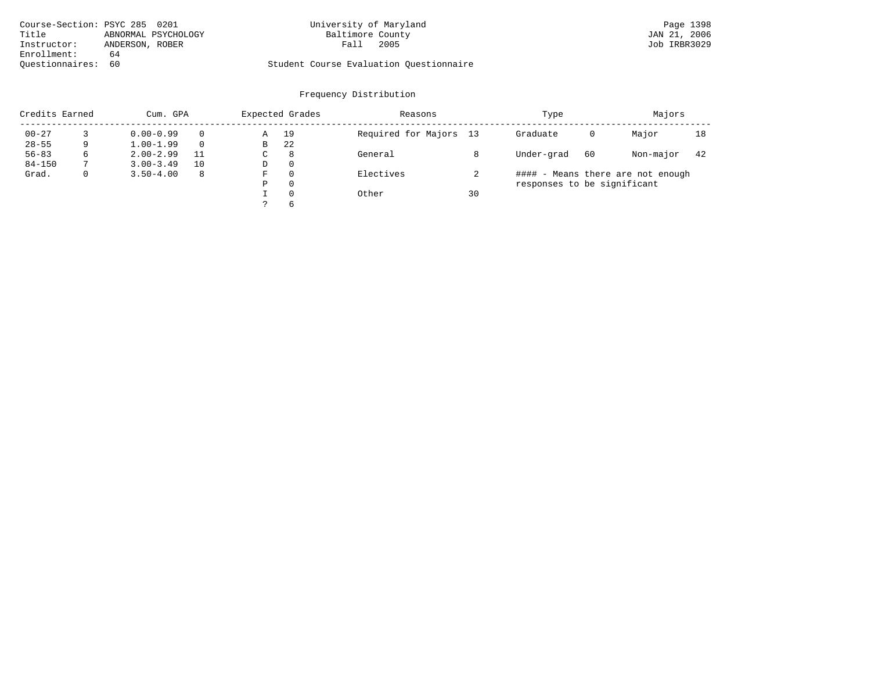| Course-Section: PSYC 285 0201 |                     | University of Maryland                  | Page 1398    |
|-------------------------------|---------------------|-----------------------------------------|--------------|
| Title                         | ABNORMAL PSYCHOLOGY | Baltimore County                        | JAN 21, 2006 |
| Instructor:                   | ANDERSON, ROBER     | 2005<br>Fall                            | Job IRBR3029 |
| Enrollment:                   | 64                  |                                         |              |
| Ouestionnaires: 60            |                     | Student Course Evaluation Ouestionnaire |              |

# University of Maryland Page 1398<br>Baltimore County Band Page 1398<br>JAN 21, 2006

| Credits Earned |              | Cum. GPA      |    |    | Expected Grades | Reasons                |    | Type                        |    | Majors                            |     |
|----------------|--------------|---------------|----|----|-----------------|------------------------|----|-----------------------------|----|-----------------------------------|-----|
| $00 - 27$      |              | $0.00 - 0.99$ |    | Α  | 19              | Required for Majors 13 |    | Graduate                    | 0  | Major                             | 18  |
| $28 - 55$      | 9            | $1.00 - 1.99$ |    | В  | 22              |                        |    |                             |    |                                   |     |
| $56 - 83$      | 6            | $2.00 - 2.99$ | 11 | C. | 8               | General                |    | Under-grad                  | 60 | Non-major                         | -42 |
| $84 - 150$     |              | $3.00 - 3.49$ | 10 | D  | $\Omega$        |                        |    |                             |    |                                   |     |
| Grad.          | $\mathbf{0}$ | $3.50 - 4.00$ | -8 | F  | $\Omega$        | Electives              |    |                             |    | #### - Means there are not enough |     |
|                |              |               |    | Ρ  | $\Omega$        |                        |    | responses to be significant |    |                                   |     |
|                |              |               |    |    | $\Omega$        | Other                  | 30 |                             |    |                                   |     |
|                |              |               |    |    | $\sigma$        |                        |    |                             |    |                                   |     |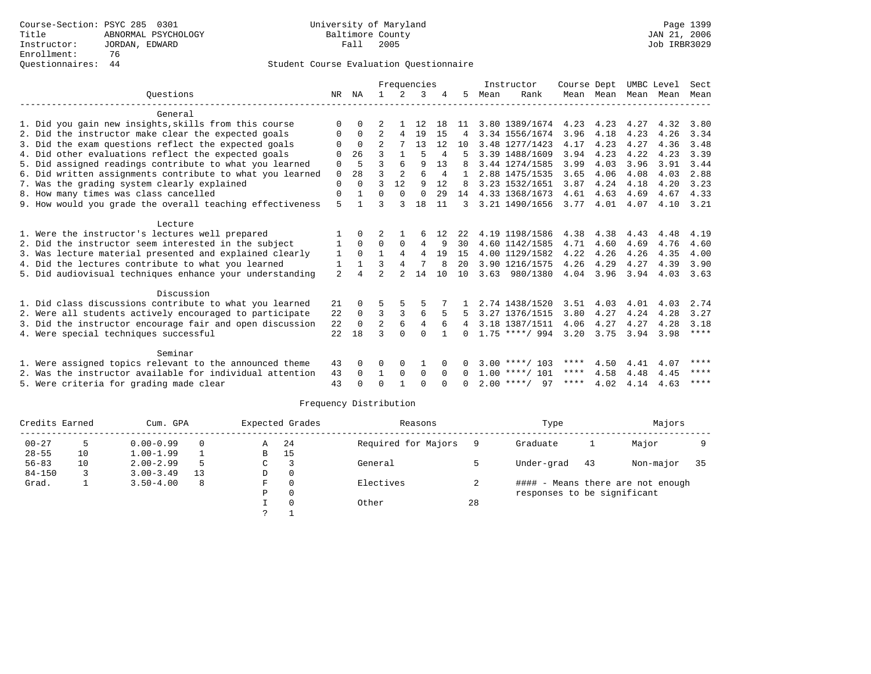| UMBC Level<br>Sect  |
|---------------------|
| Mean<br>Mean        |
|                     |
| 4.32<br>3.80        |
| 4.26<br>3.34        |
| 3.48<br>4.36        |
| 4.23<br>3.39        |
| 3.91<br>3.44        |
| 2.88<br>4.03        |
| 4.20<br>3.23        |
| 4.67<br>4.33        |
| 4.10<br>3.21        |
|                     |
| 4.48<br>4.19        |
| 4.60<br>4.76        |
| 4.35<br>4.00        |
| 3.90<br>4.39        |
| 4.03<br>3.63        |
|                     |
| 4.03<br>2.74        |
| 4.28<br>3.27        |
| 4.28<br>3.18        |
| $***$ * * *<br>3.98 |
|                     |
| ****<br>4.07        |
| ****<br>4.45        |
| $***$ * * *<br>4.63 |
|                     |

| Credits Earned |    | Cum. GPA      |    |   | Expected Grades | Reasons             |    | Type                        | Majors |                                   |    |
|----------------|----|---------------|----|---|-----------------|---------------------|----|-----------------------------|--------|-----------------------------------|----|
| $00 - 27$      |    | $0.00 - 0.99$ | 0  | Α | 24              | Required for Majors |    | Graduate                    |        | Major                             |    |
| $28 - 55$      | 10 | $1.00 - 1.99$ |    | В | 15              |                     |    |                             |        |                                   |    |
| $56 - 83$      | 10 | $2.00 - 2.99$ |    | C |                 | General             |    | Under-grad                  | 43     | Non-major                         | 35 |
| $84 - 150$     |    | $3.00 - 3.49$ | 13 | D | 0               |                     |    |                             |        |                                   |    |
| Grad.          |    | $3.50 - 4.00$ | 8  | F | $\Omega$        | Electives           |    |                             |        | #### - Means there are not enough |    |
|                |    |               |    | Ρ | 0               |                     |    | responses to be significant |        |                                   |    |
|                |    |               |    |   |                 | Other               | 28 |                             |        |                                   |    |
|                |    |               |    |   |                 |                     |    |                             |        |                                   |    |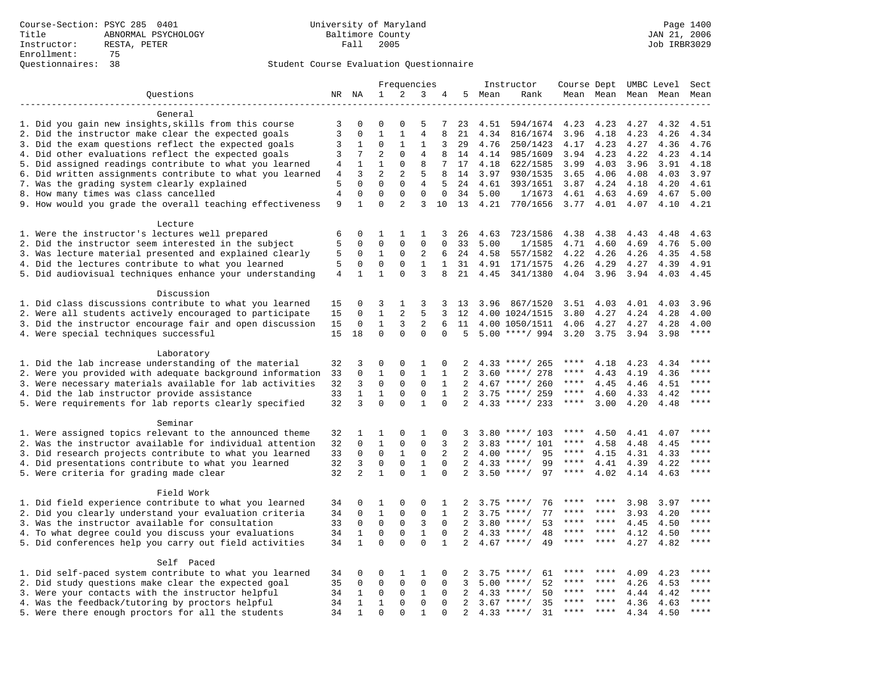|                                                                                                                     |                 |                         | Frequencies             |                         |                               | Instructor       |                |              |                                      | Course Dept UMBC Level |              | Sect         |              |                        |
|---------------------------------------------------------------------------------------------------------------------|-----------------|-------------------------|-------------------------|-------------------------|-------------------------------|------------------|----------------|--------------|--------------------------------------|------------------------|--------------|--------------|--------------|------------------------|
| Questions                                                                                                           |                 | NR NA                   | $\mathbf{1}$            | 2                       | 3                             | 4                | 5              | Mean         | Rank                                 |                        | Mean Mean    |              | Mean Mean    | Mean                   |
|                                                                                                                     |                 |                         |                         |                         |                               |                  |                |              |                                      |                        |              |              |              |                        |
| General                                                                                                             |                 |                         |                         |                         |                               |                  |                |              |                                      |                        |              |              |              |                        |
| 1. Did you gain new insights, skills from this course                                                               | 3               | 0                       | $\Omega$                | $\Omega$                | 5                             | 7                | 23             | 4.51         | 594/1674                             | 4.23                   | 4.23         | 4.27         | 4.32         | 4.51                   |
| 2. Did the instructor make clear the expected goals                                                                 | 3               | $\mathbf 0$             | $\mathbf{1}$            | $\mathbf{1}$            | 4                             | 8                | 21             | 4.34         | 816/1674                             | 3.96                   | 4.18         | 4.23         | 4.26         | 4.34                   |
| 3. Did the exam questions reflect the expected goals                                                                | 3               | 1                       | $\Omega$                | 1                       | 1                             | 3                | 29             | 4.76         | 250/1423                             | 4.17                   | 4.23         | 4.27         | 4.36         | 4.76                   |
| 4. Did other evaluations reflect the expected goals                                                                 | 3               | 7                       | $\overline{a}$          | $\Omega$                | $\overline{4}$                | 8                | 14             | 4.14         | 985/1609                             | 3.94                   | 4.23         | 4.22         | 4.23         | 4.14                   |
| 5. Did assigned readings contribute to what you learned                                                             | 4               | $\mathbf{1}$            | $\mathbf{1}$            | $\mathbf 0$             | 8                             | 7                | 17             | 4.18         | 622/1585                             | 3.99                   | 4.03         | 3.96         | 3.91         | 4.18                   |
| 6. Did written assignments contribute to what you learned                                                           | $\overline{4}$  | 3                       | $\overline{a}$          | 2                       | 5                             | 8                | 14             | 3.97         | 930/1535                             | 3.65                   | 4.06         | 4.08         | 4.03         | 3.97                   |
| 7. Was the grading system clearly explained                                                                         | 5<br>$\sqrt{4}$ | $\Omega$<br>$\mathbf 0$ | $\Omega$<br>$\mathbf 0$ | $\Omega$<br>$\mathbf 0$ | $\overline{4}$<br>$\mathbf 0$ | 5<br>$\mathbf 0$ | 24             | 4.61         | 393/1651                             | 3.87                   | 4.24         | 4.18         | 4.20         | 4.61                   |
| 8. How many times was class cancelled                                                                               | 9               | $\mathbf{1}$            | $\Omega$                | $\overline{2}$          | 3                             | 10               | 34<br>13       | 5.00<br>4.21 | 1/1673<br>770/1656                   | 4.61<br>3.77           | 4.63<br>4.01 | 4.69<br>4.07 | 4.67<br>4.10 | 5.00<br>4.21           |
| 9. How would you grade the overall teaching effectiveness                                                           |                 |                         |                         |                         |                               |                  |                |              |                                      |                        |              |              |              |                        |
| Lecture                                                                                                             |                 |                         |                         |                         |                               |                  |                |              |                                      |                        |              |              |              |                        |
| 1. Were the instructor's lectures well prepared                                                                     | 6               | $\mathbf 0$             | 1                       | 1                       | 1                             | 3                | 26             | 4.63         | 723/1586                             | 4.38                   | 4.38         | 4.43         | 4.48         | 4.63                   |
| 2. Did the instructor seem interested in the subject                                                                | 5               | $\mathbf 0$             | $\Omega$                | $\Omega$                | $\mathbf{0}$                  | $\Omega$         | 33             | 5.00         | 1/1585                               | 4.71                   | 4.60         | 4.69         | 4.76         | 5.00                   |
| 3. Was lecture material presented and explained clearly                                                             | 5               | 0                       | $\mathbf{1}$            | $\mathbf 0$             | 2                             | 6                | 24             | 4.58         | 557/1582                             | 4.22                   | 4.26         | 4.26         | 4.35         | 4.58                   |
| 4. Did the lectures contribute to what you learned                                                                  | 5               | $\Omega$                | $\Omega$                | $\Omega$                | $\mathbf{1}$                  | $\mathbf{1}$     | 31             | 4.91         | 171/1575                             | 4.26                   | 4.29         | 4.27         | 4.39         | 4.91                   |
| 5. Did audiovisual techniques enhance your understanding                                                            | $\overline{4}$  | $\mathbf{1}$            | $\mathbf{1}$            | $\Omega$                | 3                             | 8                | 21             | 4.45         | 341/1380                             | 4.04                   | 3.96         | 3.94         | 4.03         | 4.45                   |
|                                                                                                                     |                 |                         |                         |                         |                               |                  |                |              |                                      |                        |              |              |              |                        |
| Discussion                                                                                                          |                 |                         |                         |                         |                               |                  |                |              |                                      |                        |              |              |              |                        |
| 1. Did class discussions contribute to what you learned                                                             | 15              | 0                       | 3                       | 1                       | 3                             | 3                | 13             | 3.96         | 867/1520                             | 3.51                   | 4.03         | 4.01         | 4.03         | 3.96                   |
| 2. Were all students actively encouraged to participate                                                             | 15              | $\mathbf 0$             | $\mathbf 1$             | $\overline{2}$          | 5                             | 3                | 12             |              | 4.00 1024/1515                       | 3.80                   | 4.27         | 4.24         | 4.28         | 4.00                   |
| 3. Did the instructor encourage fair and open discussion                                                            | 15              | $\mathbf 0$             | $\mathbf{1}$            | 3                       | 2                             | 6                | 11             |              | 4.00 1050/1511                       | 4.06                   | 4.27         | 4.27         | 4.28         | 4.00                   |
| 4. Were special techniques successful                                                                               | 15              | 18                      | $\Omega$                | $\Omega$                | $\Omega$                      | $\Omega$         | 5              |              | $5.00$ ****/ 994                     | 3.20                   | 3.75         | 3.94         | 3.98         | $***$ * * *            |
|                                                                                                                     |                 |                         |                         |                         |                               |                  |                |              |                                      |                        |              |              |              |                        |
| Laboratory                                                                                                          |                 |                         |                         |                         |                               |                  |                |              |                                      |                        |              |              |              |                        |
| 1. Did the lab increase understanding of the material                                                               | 32              | 3                       | 0                       | $\Omega$                | $\mathbf{1}$                  | $\Omega$         | 2              |              | $4.33$ ****/ 265                     | ****                   | 4.18         | 4.23         | 4.34         |                        |
| 2. Were you provided with adequate background information                                                           | 33              | $\mathbf 0$             | $\mathbf{1}$            | $\mathbf{0}$            | $\mathbf{1}$                  | 1                | 2              | 3.60         | ****/ 278                            | ****                   | 4.43         | 4.19         | 4.36         | ****                   |
| 3. Were necessary materials available for lab activities                                                            | 32              | 3                       | $\mathbf 0$             | $\mathbf 0$             | $\mathbf 0$                   | $\mathbf{1}$     | 2              |              | $4.67$ ****/ 260                     | $***$ * * *            | 4.45         | 4.46         | 4.51         | $***$                  |
| 4. Did the lab instructor provide assistance                                                                        | 33              | $\mathbf 1$             | $\mathbf{1}$            | $\Omega$                | $\mathbf 0$                   | $\mathbf{1}$     | 2              |              | $3.75$ ****/ 259                     | ****                   | 4.60         | 4.33         | 4.42         | $\star\star\star\star$ |
| 5. Were requirements for lab reports clearly specified                                                              | 32              | 3                       | $\Omega$                | $\Omega$                | $\mathbf{1}$                  | $\Omega$         | 2              |              | $4.33$ ****/ 233                     | ****                   | 3.00         | 4.20         | 4.48         | ****                   |
|                                                                                                                     |                 |                         |                         |                         |                               |                  |                |              |                                      |                        |              |              |              |                        |
| Seminar                                                                                                             |                 |                         |                         |                         |                               |                  |                |              |                                      | ****                   |              |              |              | ****                   |
| 1. Were assigned topics relevant to the announced theme                                                             | 32              | 1<br>$\mathbf 0$        | 1<br>$\mathbf{1}$       | $\Omega$<br>$\mathbf 0$ | $\mathbf{1}$<br>$\Omega$      | $\Omega$<br>3    | 3<br>2         |              | $3.80$ ****/ 103<br>$3.83$ ****/ 101 | ****                   | 4.50<br>4.58 | 4.41         | 4.07<br>4.45 |                        |
| 2. Was the instructor available for individual attention<br>3. Did research projects contribute to what you learned | 32<br>33        | $\mathbf 0$             | $\mathbf 0$             | $\mathbf{1}$            | $\mathbf 0$                   | 2                | 2              |              | $4.00$ ****/<br>95                   | $***$ * *              | 4.15         | 4.48         | 4.33         | ****                   |
| 4. Did presentations contribute to what you learned                                                                 | 32              | 3                       | $\mathbf 0$             | $\mathbf 0$             | $\mathbf{1}$                  | $\mathbf{0}$     | 2              |              | 99<br>$4.33$ ****/                   | $***$ * * *            | 4.41         | 4.31<br>4.39 | 4.22         | $***$                  |
| 5. Were criteria for grading made clear                                                                             | 32              | 2                       | $\mathbf{1}$            | $\Omega$                | $\mathbf{1}$                  | $\Omega$         | $\overline{2}$ |              | $3.50$ ****/<br>97                   | ****                   | 4.02         | 4.14         | 4.63         | ****                   |
|                                                                                                                     |                 |                         |                         |                         |                               |                  |                |              |                                      |                        |              |              |              |                        |
| Field Work                                                                                                          |                 |                         |                         |                         |                               |                  |                |              |                                      |                        |              |              |              |                        |
| 1. Did field experience contribute to what you learned                                                              | 34              | $\mathbf 0$             | 1                       | 0                       | 0                             | 1                | 2              | 3.75         | $***/$<br>76                         |                        | ****         | 3.98         | 3.97         | ****                   |
| 2. Did you clearly understand your evaluation criteria                                                              | 34              | $\Omega$                | $\mathbf{1}$            | $\Omega$                | $\mathbf 0$                   | $\mathbf{1}$     | 2              | 3.75         | 77<br>$***$ /                        | ****                   | ****         | 3.93         | 4.20         | ****                   |
| 3. Was the instructor available for consultation                                                                    | 33              | $\mathbf 0$             | $\mathbf 0$             | $\mathbf 0$             | 3                             | $\Omega$         | $\overline{2}$ |              | $3.80$ ****/<br>53                   | ****                   | ****         | 4.45         | 4.50         | ****                   |
| 4. To what degree could you discuss your evaluations                                                                | 34              | $\mathbf{1}$            | $\mathbf 0$             | $\mathbf 0$             | $\mathbf{1}$                  | $\Omega$         | 2              | 4.33         | $***$ /<br>48                        |                        | $***$ * * *  | 4.12         | 4.50         | ****                   |
| 5. Did conferences help you carry out field activities                                                              | 34              | $\mathbf{1}$            | $\Omega$                | $\Omega$                | $\Omega$                      | $\mathbf{1}$     | $\overline{2}$ | 4.67         | 49<br>$***$ /                        | ****                   | ****         | 4.27         | 4.82         | ****                   |
|                                                                                                                     |                 |                         |                         |                         |                               |                  |                |              |                                      |                        |              |              |              |                        |
| Self Paced                                                                                                          |                 |                         |                         |                         |                               |                  |                |              |                                      |                        |              |              |              |                        |
| 1. Did self-paced system contribute to what you learned                                                             | 34              | 0                       | 0                       | 1                       | 1                             | 0                | 2              |              | $3.75$ ****/<br>61                   |                        |              | 4.09         | 4.23         | ****                   |
| 2. Did study questions make clear the expected goal                                                                 | 35              | $\mathbf 0$             | $\mathbf 0$             | $\mathbf 0$             | $\mathbf{0}$                  | 0                | 3              | 5.00         | 52<br>$***/$                         | ****                   | ****         | 4.26         | 4.53         | ****                   |
| 3. Were your contacts with the instructor helpful                                                                   | 34              | $\mathbf{1}$            | $\Omega$                | $\Omega$                | 1                             | $\Omega$         | 2              | 4.33         | 50<br>$***$ /                        | ****                   | ****         | 4.44         | 4.42         | $***$ * * *            |
| 4. Was the feedback/tutoring by proctors helpful                                                                    | 34              | $\mathbf{1}$            | $\mathbf{1}$            | $\Omega$                | $\Omega$                      | $\Omega$         | 2              |              | $3.67$ ****/<br>35                   | ****                   | ****         | 4.36         | 4.63         | ****                   |
| 5. Were there enough proctors for all the students                                                                  | 34              | $\mathbf{1}$            | $\Omega$                | $\Omega$                | $\mathbf{1}$                  | $\Omega$         | 2              |              | $4.33$ ****/<br>31                   | ****                   |              | 4.34         | 4.50         | $***$                  |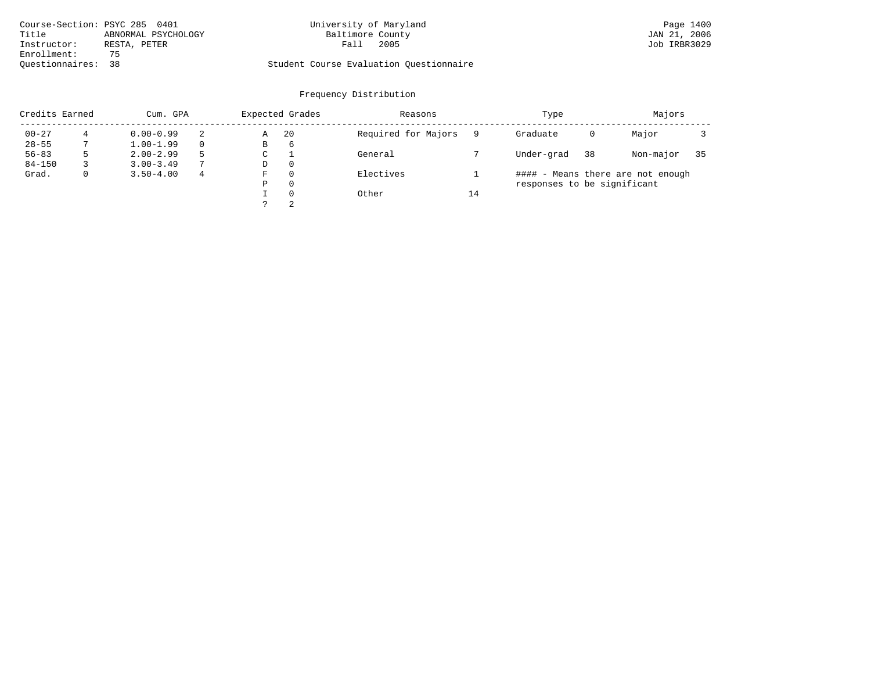| Course-Section: PSYC 285 0401 |                     | University of Maryland                  | Page 1400    |
|-------------------------------|---------------------|-----------------------------------------|--------------|
| Title                         | ABNORMAL PSYCHOLOGY | Baltimore County                        | JAN 21, 2006 |
| Instructor:                   | RESTA, PETER        | 2005<br>Fall                            | Job IRBR3029 |
| Enrollment:                   | 75                  |                                         |              |
| Ouestionnaires: 38            |                     | Student Course Evaluation Questionnaire |              |

# University of Maryland Page 1400<br>Baltimore County Bage 1400<br>
Baltimore County County County Day 21, 2006

| Credits Earned |   | Cum. GPA      |               |   | Expected Grades | Reasons             |    | Type                        | Majors |                                   |    |
|----------------|---|---------------|---------------|---|-----------------|---------------------|----|-----------------------------|--------|-----------------------------------|----|
| $00 - 27$      |   | $0.00 - 0.99$ |               | Α | 20              | Required for Majors |    | Graduate                    | 0      | Major                             |    |
| $28 - 55$      |   | $1.00 - 1.99$ |               | В | 6               |                     |    |                             |        |                                   |    |
| $56 - 83$      |   | $2.00 - 2.99$ |               | C |                 | General             |    | Under-grad                  | 38     | Non-major                         | 35 |
| $84 - 150$     |   | $3.00 - 3.49$ | $\mathcal{L}$ | D | $\Omega$        |                     |    |                             |        |                                   |    |
| Grad.          | 0 | $3.50 - 4.00$ | 4             | F | $\Omega$        | Electives           |    |                             |        | #### - Means there are not enough |    |
|                |   |               |               | Ρ | $\Omega$        |                     |    | responses to be significant |        |                                   |    |
|                |   |               |               |   | $\Omega$        | Other               | 14 |                             |        |                                   |    |
|                |   |               |               |   | 2               |                     |    |                             |        |                                   |    |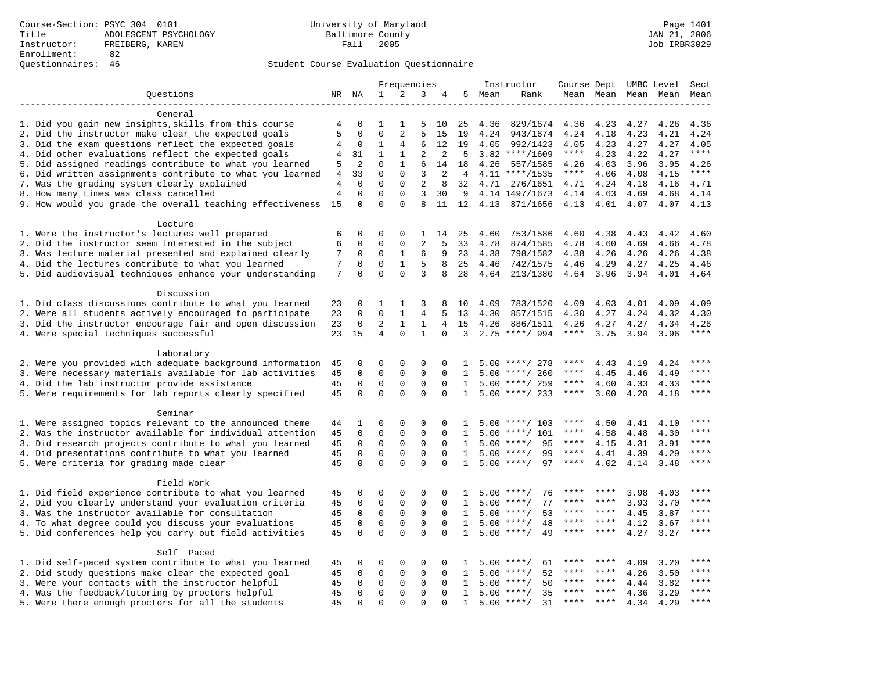## Questionnaires: 46 Student Course Evaluation Questionnaire

|                                                                                                        |                |                         | Frequencies                |                              |                             |               | Instructor     |              | Course Dept UMBC Level Sect  |             |                     |              |              |             |
|--------------------------------------------------------------------------------------------------------|----------------|-------------------------|----------------------------|------------------------------|-----------------------------|---------------|----------------|--------------|------------------------------|-------------|---------------------|--------------|--------------|-------------|
| Questions                                                                                              |                | NR NA                   | 1                          | 2                            | 3                           | 4             |                | 5 Mean       | Rank                         |             | Mean Mean Mean Mean |              |              | Mean        |
|                                                                                                        |                |                         |                            |                              |                             |               |                |              |                              |             |                     |              |              |             |
| General                                                                                                |                |                         |                            |                              |                             |               |                |              |                              |             |                     |              |              |             |
| 1. Did you gain new insights, skills from this course                                                  | 4              | $\Omega$                | 1                          | 1                            | 5                           | 10            | 25             | 4.36         | 829/1674                     | 4.36        | 4.23                | 4.27         | 4.26         | 4.36        |
| 2. Did the instructor make clear the expected goals                                                    | 5              | $\mathbf{0}$            | $\mathbf 0$                | $\overline{2}$               | 5                           | 15            | 19             | 4.24         | 943/1674                     | 4.24        | 4.18                | 4.23         | 4.21         | 4.24        |
| 3. Did the exam questions reflect the expected goals                                                   | 4              | $\mathbf 0$             | $\mathbf 1$                | $\overline{4}$               | 6                           | 12            | 19             | 4.05         | 992/1423                     | 4.05        | 4.23                | 4.27         | 4.27         | 4.05        |
| 4. Did other evaluations reflect the expected goals                                                    | 4              | 31                      | $\mathbf{1}$               | $\mathbf{1}$                 | $\overline{2}$              | 2             | 5              |              | $3.82$ ****/1609             | $***$ * *   | 4.23                | 4.22         | 4.27         | $***$       |
| 5. Did assigned readings contribute to what you learned                                                | 5              | $\overline{2}$          | $\Omega$                   | $\mathbf{1}$                 | 6                           | 14            | 18             | 4.26         | 557/1585                     | 4.26        | 4.03                | 3.96         | 3.95         | 4.26        |
| 6. Did written assignments contribute to what you learned                                              | $\overline{4}$ | 33                      | $\Omega$                   | $\Omega$                     | 3                           | 2             | $\overline{4}$ |              | $4.11$ ****/1535             | $***$ * * * | 4.06                | 4.08         | 4.15         | $***$       |
| 7. Was the grading system clearly explained                                                            | 4              | $\mathbf{0}$            | $\mathbf 0$                | $\mathbf 0$                  | $\overline{2}$              | 8             | 32             |              | 4.71 276/1651                | 4.71        | 4.24                | 4.18         | 4.16         | 4.71        |
| 8. How many times was class cancelled                                                                  | $\overline{4}$ | $\mathbf 0$             | $\mathbf 0$                | $\mathbf{0}$                 | 3                           | 30            | -9             |              | 4.14 1497/1673               | 4.14        | 4.63                | 4.69         | 4.68         | 4.14        |
| 9. How would you grade the overall teaching effectiveness                                              | 15             | $\Omega$                | $\Omega$                   | $\Omega$                     | 8                           | 11            | 12             |              | 4.13 871/1656                | 4.13 4.01   |                     | 4.07         | 4.07         | 4.13        |
| Lecture                                                                                                |                |                         |                            |                              |                             |               |                |              |                              |             |                     |              |              |             |
| 1. Were the instructor's lectures well prepared                                                        | 6              | $\Omega$                | $\Omega$                   | $\Omega$                     | 1                           | 14            | 25             | 4.60         | 753/1586                     | 4.60        | 4.38                | 4.43         | 4.42         | 4.60        |
| 2. Did the instructor seem interested in the subject                                                   | 6              | $\mathbf 0$             | $\mathbf 0$                | $\mathbf 0$                  | 2                           | 5             | 33             | 4.78         | 874/1585                     | 4.78        | 4.60                | 4.69         | 4.66         | 4.78        |
| 3. Was lecture material presented and explained clearly                                                | 7              | 0                       | 0                          | 1                            | 6                           | 9             | 23             | 4.38         | 798/1582                     | 4.38        | 4.26                | 4.26         | 4.26         | 4.38        |
| 4. Did the lectures contribute to what you learned                                                     | 7              | $\mathbf 0$             | 0                          | $\mathbf{1}$                 | 5                           | 8             | 25             | 4.46         | 742/1575                     | 4.46        | 4.29                | 4.27         | 4.25         | 4.46        |
| 5. Did audiovisual techniques enhance your understanding                                               | 7              | $\mathbf 0$             | $\mathbf 0$                | $\Omega$                     | 3                           | 8             | 28             | 4.64         | 213/1380                     |             | 4.64 3.96           | 3.94         | 4.01         | 4.64        |
| Discussion                                                                                             |                |                         |                            |                              |                             |               |                |              |                              |             |                     |              |              |             |
| 1. Did class discussions contribute to what you learned                                                | 23             | $\mathbf 0$             | 1                          | $\mathbf{1}$                 | 3                           | 8             | 10             | 4.09         | 783/1520                     | 4.09        | 4.03                | 4.01         | 4.09         | 4.09        |
| 2. Were all students actively encouraged to participate                                                | 23             | $\mathbf{0}$            | $\Omega$                   | $\mathbf{1}$                 | $\overline{4}$              | 5             | 13             | 4.30         | 857/1515                     | 4.30        | 4.27                | 4.24         | 4.32         | 4.30        |
| 3. Did the instructor encourage fair and open discussion                                               | 23             | $\mathbf{0}$            | $\overline{2}$             | $\mathbf{1}$                 | $\mathbf{1}$                | 4             | 15             | 4.26         | 886/1511                     | 4.26        | 4.27                | 4.27         | 4.34         | 4.26        |
| 4. Were special techniques successful                                                                  | 23             | 15                      | 4                          | $\Omega$                     | $\mathbf{1}$                | $\Omega$      | 3              |              | $2.75$ ****/ 994             | $***$ * * * | 3.75                | 3.94         | 3.96         | $***$       |
|                                                                                                        |                |                         |                            |                              |                             |               |                |              |                              |             |                     |              |              |             |
| Laboratory                                                                                             |                |                         |                            |                              |                             |               |                |              |                              |             |                     |              |              |             |
| 2. Were you provided with adequate background information                                              | 45             | $\mathbf 0$             | 0                          | $\mathbf 0$                  | $\Omega$                    | 0             | 1              |              | $5.00$ ****/ 278             | ****        | 4.43                | 4.19         | 4.24         | ****        |
| 3. Were necessary materials available for lab activities                                               | 45             | $\mathbf 0$             | $\mathbf 0$                | $\mathbf{0}$                 | $\mathbf 0$                 | $\Omega$      | $\mathbf{1}$   |              | $5.00$ ****/ 260             | ****        | 4.45                | 4.46         | 4.49         | ****        |
| 4. Did the lab instructor provide assistance                                                           | 45             | $\mathbf 0$             | 0                          | 0                            | $\mathbf 0$                 | 0             | 1              |              | $5.00$ ****/ 259             | $***$ * *   | 4.60                | 4.33         | 4.33         | $***$       |
| 5. Were requirements for lab reports clearly specified                                                 | 45             | $\Omega$                | $\Omega$                   | $\Omega$                     | $\Omega$                    | $\Omega$      | $\mathbf{1}$   |              | $5.00$ ****/ 233             | $***$ * * * | 3.00                | 4.20         | 4.18         | $***$       |
| Seminar                                                                                                |                |                         |                            |                              |                             |               |                |              |                              |             |                     |              |              |             |
| 1. Were assigned topics relevant to the announced theme                                                | 44             | 1                       | $\mathbf 0$                | $\mathbf{0}$                 | $\Omega$                    | 0             | 1.             |              | $5.00$ ****/ 103             | ****        | 4.50                | 4.41         | 4.10         |             |
| 2. Was the instructor available for individual attention                                               | 45             | 0                       | 0                          | 0                            | $\mathsf 0$                 | 0             | 1              | 5.00         | $***/101$                    | ****        | 4.58                | 4.48         | 4.30         | ****        |
| 3. Did research projects contribute to what you learned                                                | 45             | $\mathbf 0$             | $\mathbf 0$                | $\mathbf{0}$                 | $\mathbf 0$                 | $\Omega$      | $\mathbf{1}$   |              | $5.00$ ****/<br>95           | $***$ * *   | 4.15                | 4.31         | 3.91         | $***$       |
| 4. Did presentations contribute to what you learned                                                    | 45             | $\mathbf 0$             | 0                          | $\mathbf 0$                  | $\mathbf 0$                 | 0             | $\mathbf{1}$   |              | $5.00$ ****/<br>99           | $***$ * *   | 4.41                | 4.39         | 4.29         | ****        |
| 5. Were criteria for grading made clear                                                                | 45             | $\Omega$                | $\Omega$                   | $\Omega$                     | $\Omega$                    | $\Omega$      | $\mathbf{1}$   |              | $5.00$ ****/<br>97           | $***$ * *   | 4.02                | 4.14         | 3.48         | ****        |
| Field Work                                                                                             |                |                         |                            |                              |                             |               |                |              |                              |             |                     |              |              |             |
| 1. Did field experience contribute to what you learned                                                 | 45             | 0                       | 0                          | 0                            | 0                           | 0             | -1.            |              | $5.00$ ****/<br>76           |             |                     | 3.98         | 4.03         | $***$       |
| 2. Did you clearly understand your evaluation criteria                                                 | 45             | 0                       | 0                          | $\mathsf 0$                  | $\mathsf 0$                 | 0             | 1              |              | 77<br>$5.00$ ****/           | ****        | ****                | 3.93         | 3.70         | ****        |
| 3. Was the instructor available for consultation                                                       | 45             | $\mathbf 0$             | $\mathbf 0$                | $\mathbf{0}$                 | $\mathbf 0$                 | $\Omega$      | $\mathbf{1}$   |              | $5.00$ ****/<br>53           | ****        | $***$ *             | 4.45         | 3.87         | $***$ * * * |
| 4. To what degree could you discuss your evaluations                                                   | 45             | $\mathbf 0$             | $\mathbf 0$                | $\mathbf{0}$                 | $\mathbf 0$                 | $\Omega$      | 1              | 5.00         | $***/$<br>48                 | ****        | ****                | 4.12         | 3.67         | ****        |
| 5. Did conferences help you carry out field activities                                                 | 45             | $\Omega$                | $\Omega$                   | $\Omega$                     | $\Omega$                    | $\Omega$      | $\mathbf{1}$   |              | $5.00$ ****/<br>49           | ****        | ****                | 4.27         | 3.27         | ****        |
|                                                                                                        |                |                         |                            |                              |                             |               |                |              |                              |             |                     |              |              |             |
| Self Paced<br>1. Did self-paced system contribute to what you learned                                  | 45             | $\mathbf 0$             | 0                          | 0                            | 0                           | 0             |                |              | $5.00$ ****/<br>61           |             | ****                | 4.09         | 3.20         | ****        |
|                                                                                                        |                | $\Omega$                |                            | $\Omega$                     |                             | $\Omega$      | 1              |              | $***/$<br>52                 | ****        | ****                |              |              | ****        |
| 2. Did study questions make clear the expected goal                                                    | 45             |                         | 0                          |                              | 0                           |               |                | 5.00<br>5.00 | 50                           | ****        | ****                | 4.26         | 3.50         | ****        |
| 3. Were your contacts with the instructor helpful                                                      | 45<br>45       | $\Omega$<br>$\mathbf 0$ | $\mathbf 0$<br>$\mathbf 0$ | $\mathbf{0}$<br>$\mathbf{0}$ | $\mathbf 0$<br>$\mathbf{0}$ | $\Omega$<br>0 | 1<br>1         |              | $***/$<br>$5.00$ ****/<br>35 | ****        | ****                | 4.44         | 3.82         | ****        |
| 4. Was the feedback/tutoring by proctors helpful<br>5. Were there enough proctors for all the students | 45             | $\Omega$                | $\Omega$                   | $\Omega$                     | $\Omega$                    | $\Omega$      | $\mathbf{1}$   |              | $5.00$ ****/<br>31           | ****        | $* * * *$           | 4.36<br>4.34 | 3.29<br>4.29 | ****        |
|                                                                                                        |                |                         |                            |                              |                             |               |                |              |                              |             |                     |              |              |             |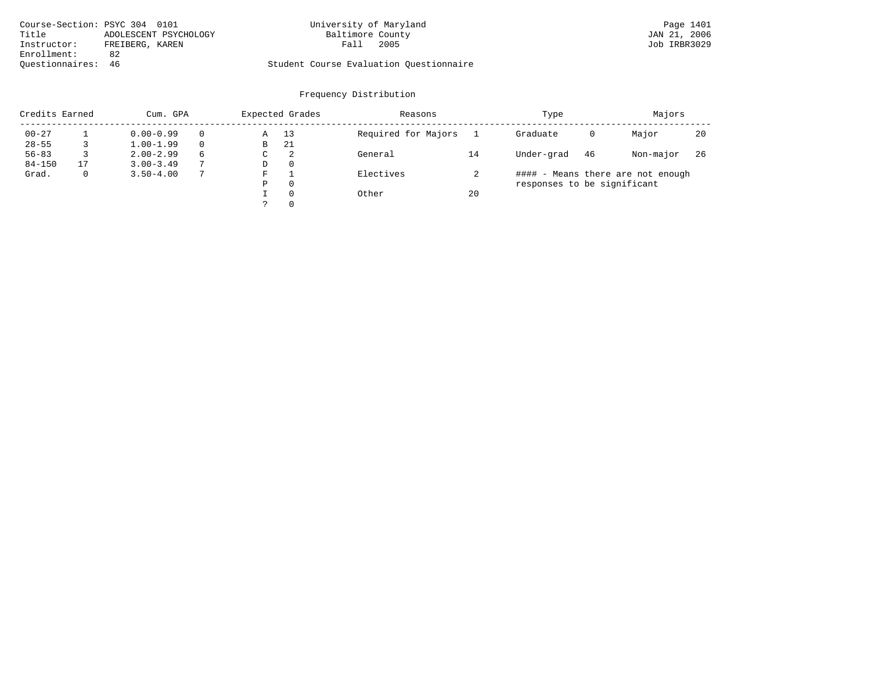| Course-Section: PSYC 304 0101  | University of Maryland                  | Page 1401    |
|--------------------------------|-----------------------------------------|--------------|
| Title<br>ADOLESCENT PSYCHOLOGY | Baltimore County                        | JAN 21, 2006 |
| Instructor:<br>FREIBERG, KAREN | 2005<br>Fall                            | Job IRBR3029 |
| Enrollment:<br>82              |                                         |              |
| Ouestionnaires: 46             | Student Course Evaluation Questionnaire |              |

| Credits Earned |    | Cum. GPA      |          |   | Expected Grades | Reasons             |    | Type                        | Majors |                                   |     |
|----------------|----|---------------|----------|---|-----------------|---------------------|----|-----------------------------|--------|-----------------------------------|-----|
| $00 - 27$      |    | $0.00 - 0.99$ | $\Omega$ | Α | 13              | Required for Majors |    | Graduate                    | 0      | Major                             | 20  |
| $28 - 55$      |    | $1.00 - 1.99$ | $\Omega$ | В | 21              |                     |    |                             |        |                                   |     |
| $56 - 83$      |    | $2.00 - 2.99$ | 6        | С | 2               | General             | 14 | Under-grad                  | 46     | Non-major                         | -26 |
| $84 - 150$     | 17 | $3.00 - 3.49$ |          | D | 0               |                     |    |                             |        |                                   |     |
| Grad.          | 0  | $3.50 - 4.00$ |          | F |                 | Electives           |    |                             |        | #### - Means there are not enough |     |
|                |    |               |          | Ρ | 0               |                     |    | responses to be significant |        |                                   |     |
|                |    |               |          |   | $\Omega$        | Other               | 20 |                             |        |                                   |     |
|                |    |               |          |   | 0               |                     |    |                             |        |                                   |     |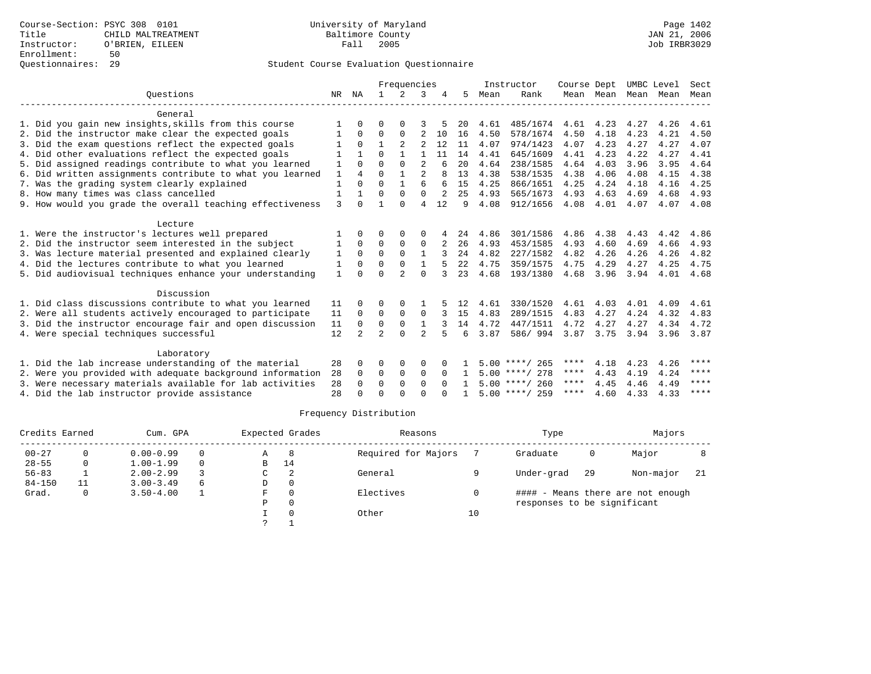|                                                           |              |                | Frequencies    |               |                |              |                | Instructor |                     | Course Dept |           | UMBC Level |           | Sect        |
|-----------------------------------------------------------|--------------|----------------|----------------|---------------|----------------|--------------|----------------|------------|---------------------|-------------|-----------|------------|-----------|-------------|
| Ouestions                                                 | NR.          | ΝA             |                | $2^{1}$       | κ              |              | 5.             | Mean       | Rank                |             | Mean Mean | Mean Mean  |           | Mean        |
| General                                                   |              |                |                |               |                |              |                |            |                     |             |           |            |           |             |
| 1. Did you gain new insights, skills from this course     |              |                | O              |               |                |              | 20             | 4.61       | 485/1674            | 4.61        | 4.23      | 4.27       | 4.26      | 4.61        |
| 2. Did the instructor make clear the expected goals       |              | 0              | 0              | $\Omega$      | 2              | 10           | 16             | 4.50       | 578/1674            | 4.50        | 4.18      | 4.23       | 4.21      | 4.50        |
| 3. Did the exam questions reflect the expected goals      | 1            | $\Omega$       | $\mathbf{1}$   | 2             | 2              | 12           | 11             | 4.07       | 974/1423            | 4.07        | 4.23      | 4.27       | 4.27      | 4.07        |
| 4. Did other evaluations reflect the expected goals       |              |                | $\Omega$       |               |                | 11           | 14             | 4.41       | 645/1609            | 4.41        | 4.23      | 4.22       | 4.27      | 4.41        |
| 5. Did assigned readings contribute to what you learned   | 1            | $\Omega$       | $\Omega$       | $\Omega$      | 2              | 6            | 20             | 4.64       | 238/1585            | 4.64        | 4.03      | 3.96       | 3.95      | 4.64        |
| 6. Did written assignments contribute to what you learned | $\mathbf{1}$ | $\overline{4}$ | $\Omega$       |               |                |              | 13             | 4.38       | 538/1535            | 4.38        | 4.06      | 4.08       | 4.15      | 4.38        |
| 7. Was the grading system clearly explained               | $\mathbf{1}$ | $\Omega$       | 0              |               | б              |              | 15             | 4.25       | 866/1651            | 4.25        | 4.24      | 4.18       | 4.16      | 4.25        |
| 8. How many times was class cancelled                     | 1            | $\mathbf{1}$   | $\Omega$       | $\Omega$      | $\Omega$       | 2            | 25             | 4.93       | 565/1673            | 4.93        | 4.63      | 4.69       | 4.68      | 4.93        |
| 9. How would you grade the overall teaching effectiveness | 3            | $\Omega$       |                | $\cap$        | 4              | 12           | 9              | 4.08       | 912/1656            | 4.08        | 4.01      | 4.07       | 4.07 4.08 |             |
| Lecture                                                   |              |                |                |               |                |              |                |            |                     |             |           |            |           |             |
| 1. Were the instructor's lectures well prepared           |              | $\Omega$       | 0              | $\Omega$      | 0              |              | 24             | 4.86       | 301/1586            | 4.86        | 4.38      | 4.43       | 4.42      | 4.86        |
| 2. Did the instructor seem interested in the subject      | 1            | $\Omega$       | 0              | 0             | $\mathbf 0$    |              | 26             | 4.93       | 453/1585            | 4.93        | 4.60      | 4.69       | 4.66      | 4.93        |
| 3. Was lecture material presented and explained clearly   | 1            | $\Omega$       | $\Omega$       | $\Omega$      | $\mathbf{1}$   |              | 2.4            | 4.82       | 227/1582            | 4.82        | 4.26      | 4.26       | 4.26      | 4.82        |
| 4. Did the lectures contribute to what you learned        | 1            | $\Omega$       | $\Omega$       | $\Omega$      | $\mathbf{1}$   |              | 2.2.           | 4.75       | 359/1575            | 4.75        | 4.29      | 4.27       | 4.25      | 4.75        |
| 5. Did audiovisual techniques enhance your understanding  | $\mathbf{1}$ | $\cap$         | $\Omega$       | $\mathcal{D}$ | $\Omega$       |              | 23             | 4.68       | 193/1380            | 4.68        | 3.96      | 3.94       | 4.01      | 4.68        |
|                                                           |              |                |                |               |                |              |                |            |                     |             |           |            |           |             |
| Discussion                                                |              |                |                |               |                |              |                |            |                     |             |           |            |           |             |
| 1. Did class discussions contribute to what you learned   | 11           | $\Omega$       | 0              | $\Omega$      |                |              | 12             | 4.61       | 330/1520            | 4.61        | 4.03      | 4.01       | 4.09      | 4.61        |
| 2. Were all students actively encouraged to participate   | 11           | 0              | 0              | 0             | 0              |              | 15             | 4.83       | 289/1515            | 4.83        | 4.27      | 4.24       | 4.32      | 4.83        |
| 3. Did the instructor encourage fair and open discussion  | 11           | $\mathbf 0$    | $\mathbf 0$    | $\mathbf 0$   | $\mathbf{1}$   | २            | 14             | 4.72       | 447/1511            | 4.72        | 4.27      | 4.27       | 4.34      | 4.72        |
| 4. Were special techniques successful                     | 12           | $\overline{2}$ | $\overline{a}$ | $\Omega$      | $\mathfrak{D}$ |              | 6              | 3.87       | 586/994             | 3.87        | 3.75      | 3.94       | 3.96 3.87 |             |
| Laboratory                                                |              |                |                |               |                |              |                |            |                     |             |           |            |           |             |
| 1. Did the lab increase understanding of the material     | 28           | $\Omega$       | O              | $\Omega$      | $\Omega$       | <sup>0</sup> |                |            | $5.00$ ****/<br>265 | ****        | 4.18      | 4.23       | 4.26      | ****        |
| 2. Were you provided with adequate background information | 28           | $\Omega$       | 0              | $\mathbf 0$   | $\mathbf 0$    | $\Omega$     |                |            | $5.00$ ****/ 278    | ****        | 4.43      | 4.19       | 4.24      | $***$ * * * |
| 3. Were necessary materials available for lab activities  | 28           | $\Omega$       | $\Omega$       | $\Omega$      | $\Omega$       | $\Omega$     | $\overline{1}$ |            | $5.00$ ****/ 260    | ****        | 4.45      | 4.46       | 4.49      | ****        |
| 4. Did the lab instructor provide assistance              | 28           | $\cap$         | $\Omega$       | ∩             | $\cap$         |              |                |            | $5.00$ ****/ 259    | ****        | 4.60      | 4.33       | 4.33      | ****        |

| Credits Earned<br>Cum. GPA |    |               | Expected Grades |    |          | Reasons             |    | Type                        |      | Majors                            |     |
|----------------------------|----|---------------|-----------------|----|----------|---------------------|----|-----------------------------|------|-----------------------------------|-----|
| $00 - 27$                  | 0  | $0.00 - 0.99$ | 0               | Α  | 8        | Required for Majors |    | Graduate                    | 0    | Major                             |     |
| $28 - 55$                  | 0  | $1.00 - 1.99$ | 0               | В  | 14       |                     |    |                             |      |                                   |     |
| $56 - 83$                  |    | $2.00 - 2.99$ |                 | C  |          | General             |    | Under-grad                  | - 29 | Non-major                         | -21 |
| $84 - 150$                 | 11 | $3.00 - 3.49$ | 6               | D  | 0        |                     |    |                             |      |                                   |     |
| Grad.                      | 0  | $3.50 - 4.00$ |                 | F. | $\Omega$ | Electives           |    |                             |      | #### - Means there are not enough |     |
|                            |    |               |                 | Ρ  | 0        |                     |    | responses to be significant |      |                                   |     |
|                            |    |               |                 |    |          | Other               | 10 |                             |      |                                   |     |
|                            |    |               |                 |    |          |                     |    |                             |      |                                   |     |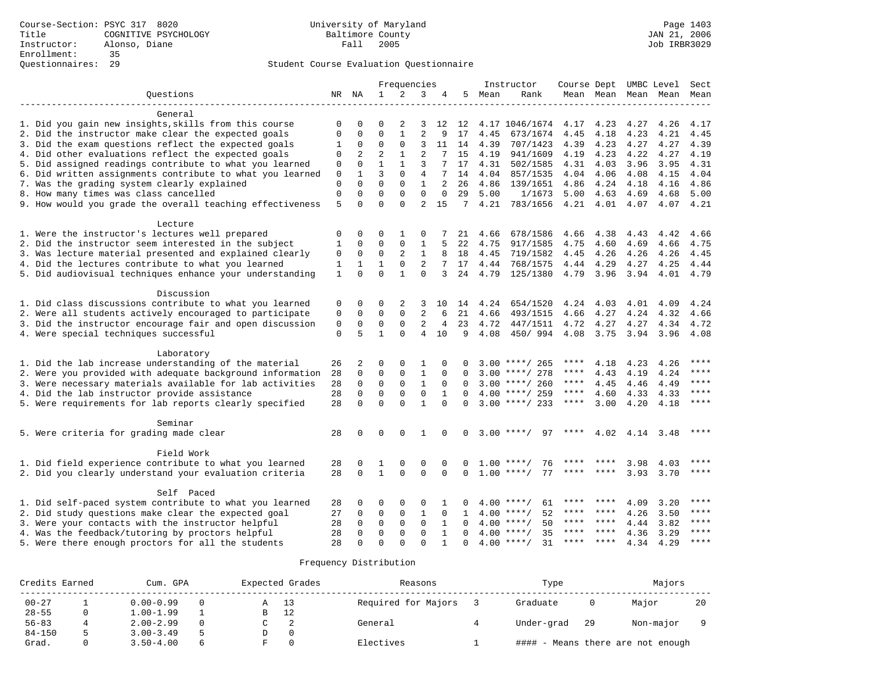|                                                           | Frequencies  |             |                |              |                | Instructor     | Course Dept UMBC Level |      |                    |           | Sect        |                     |      |       |
|-----------------------------------------------------------|--------------|-------------|----------------|--------------|----------------|----------------|------------------------|------|--------------------|-----------|-------------|---------------------|------|-------|
| Questions                                                 |              | NR NA       | $\mathbf{1}$   | 2            | 3              | 4              | 5                      | Mean | Rank               |           |             | Mean Mean Mean Mean |      | Mean  |
| General                                                   |              |             |                |              |                |                |                        |      |                    |           |             |                     |      |       |
| 1. Did you gain new insights, skills from this course     | 0            | $\Omega$    | 0              | 2            | 3              | 12             | 12                     |      | 4.17 1046/1674     | 4.17      | 4.23        | 4.27                | 4.26 | 4.17  |
| 2. Did the instructor make clear the expected goals       | $\mathbf 0$  | 0           | $\Omega$       | $\mathbf{1}$ | $\overline{a}$ | 9              | 17                     | 4.45 | 673/1674           | 4.45      | 4.18        | 4.23                | 4.21 | 4.45  |
| 3. Did the exam questions reflect the expected goals      | 1            | $\mathbf 0$ | $\mathbf{0}$   | $\mathbf 0$  | 3              | 11             | 14                     | 4.39 | 707/1423           | 4.39      | 4.23        | 4.27                | 4.27 | 4.39  |
| 4. Did other evaluations reflect the expected goals       | 0            | 2           | $\overline{2}$ | $\mathbf{1}$ | $\overline{2}$ |                | 15                     | 4.19 | 941/1609           | 4.19      | 4.23        | 4.22                | 4.27 | 4.19  |
| 5. Did assigned readings contribute to what you learned   | $\mathbf 0$  | $\Omega$    | $\mathbf{1}$   | $\mathbf{1}$ | 3              | 7              | 17                     | 4.31 | 502/1585           | 4.31      | 4.03        | 3.96                | 3.95 | 4.31  |
| 6. Did written assignments contribute to what you learned | 0            | 1           | 3              | $\Omega$     | 4              |                | 14                     | 4.04 | 857/1535           | 4.04      | 4.06        | 4.08                | 4.15 | 4.04  |
| 7. Was the grading system clearly explained               | $\mathbf 0$  | $\Omega$    | $\Omega$       | $\Omega$     | $\mathbf{1}$   | $\overline{2}$ | 26                     | 4.86 | 139/1651           | 4.86      | 4.24        | 4.18                | 4.16 | 4.86  |
| 8. How many times was class cancelled                     | $\mathbf 0$  | $\Omega$    | $\Omega$       | $\Omega$     | $\Omega$       | $\Omega$       | 29                     | 5.00 | 1/1673             | 5.00      | 4.63        | 4.69                | 4.68 | 5.00  |
| 9. How would you grade the overall teaching effectiveness | 5            | $\Omega$    | $\Omega$       | $\Omega$     | $\overline{2}$ | 15             | 7                      | 4.21 | 783/1656           | 4.21 4.01 |             | 4.07                | 4.07 | 4.21  |
| Lecture                                                   |              |             |                |              |                |                |                        |      |                    |           |             |                     |      |       |
| 1. Were the instructor's lectures well prepared           | 0            | 0           | $\mathbf 0$    | 1            | 0              |                | 21                     | 4.66 | 678/1586           | 4.66      | 4.38        | 4.43                | 4.42 | 4.66  |
| 2. Did the instructor seem interested in the subject      | 1            | $\Omega$    | $\mathbf{0}$   | $\mathbf 0$  | $\mathbf 1$    |                | 22                     | 4.75 | 917/1585           | 4.75      | 4.60        | 4.69                | 4.66 | 4.75  |
| 3. Was lecture material presented and explained clearly   | 0            | $\mathbf 0$ | $\mathbf 0$    | 2            | 1              | 8              | 18                     | 4.45 | 719/1582           | 4.45      | 4.26        | 4.26                | 4.26 | 4.45  |
| 4. Did the lectures contribute to what you learned        | 1            | 1           | $\mathbf{1}$   | $\mathbf 0$  | 2              | 7              | 17                     | 4.44 | 768/1575           | 4.44 4.29 |             | 4.27                | 4.25 | 4.44  |
| 5. Did audiovisual techniques enhance your understanding  | $\mathbf{1}$ | $\Omega$    | $\Omega$       | $\mathbf{1}$ | $\Omega$       | 3              | 24                     | 4.79 | 125/1380           |           | 4.79 3.96   | 3.94                | 4.01 | 4.79  |
| Discussion                                                |              |             |                |              |                |                |                        |      |                    |           |             |                     |      |       |
| 1. Did class discussions contribute to what you learned   | 0            | 0           | 0              | 2            | 3              | 10             | 14                     | 4.24 | 654/1520           | 4.24      | 4.03        | 4.01                | 4.09 | 4.24  |
| 2. Were all students actively encouraged to participate   | $\mathbf 0$  | 0           | $\mathbf{0}$   | $\mathbf 0$  | 2              | 6              | 21                     | 4.66 | 493/1515           | 4.66      | 4.27        | 4.24                | 4.32 | 4.66  |
| 3. Did the instructor encourage fair and open discussion  | 0            | $\mathbf 0$ | $\mathbf{0}$   | $\mathbf 0$  | 2              | 4              | 23                     | 4.72 | 447/1511           | 4.72      | 4.27        | 4.27                | 4.34 | 4.72  |
| 4. Were special techniques successful                     | $\mathbf 0$  | 5           | $\mathbf{1}$   | $\Omega$     | 4              | 10             | 9                      | 4.08 | 450/994            | 4.08      | 3.75        | 3.94                | 3.96 | 4.08  |
| Laboratory                                                |              |             |                |              |                |                |                        |      |                    |           |             |                     |      |       |
| 1. Did the lab increase understanding of the material     | 26           | 2           | $\mathbf 0$    | $\mathbf 0$  | 1              |                |                        |      | $3.00$ ****/ 265   | ****      | 4.18        | 4.23                | 4.26 | ****  |
| 2. Were you provided with adequate background information | 28           | $\mathbf 0$ | $\mathbf 0$    | $\mathbf 0$  | 1              | $\Omega$       | $\Omega$               |      | $3.00$ ****/ 278   | ****      | 4.43        | 4.19                | 4.24 | ****  |
| 3. Were necessary materials available for lab activities  | 28           | $\mathbf 0$ | $\mathbf 0$    | $\mathbf 0$  | $\mathbf{1}$   | 0              | $\Omega$               |      | $3.00$ ****/ 260   | ****      | 4.45        | 4.46                | 4.49 | ****  |
| 4. Did the lab instructor provide assistance              | 28           | $\Omega$    | $\Omega$       | $\mathbf 0$  | $\mathbf 0$    | $\mathbf{1}$   | $\Omega$               |      | $4.00$ ****/ 259   | $***$ * * | 4.60        | 4.33                | 4.33 | $***$ |
| 5. Were requirements for lab reports clearly specified    | 28           | $\Omega$    | $\Omega$       | $\Omega$     | $\mathbf{1}$   | $\Omega$       | $\Omega$               |      | $3.00$ ****/ 233   | $***$ * * | 3.00        | 4.20                | 4.18 | $***$ |
| Seminar                                                   |              |             |                |              |                |                |                        |      |                    |           |             |                     |      |       |
| 5. Were criteria for grading made clear                   | 28           | $\Omega$    | $\mathbf 0$    | $\Omega$     | 1              | $\Omega$       | $\Omega$               |      | 97<br>$3.00$ ****/ | ****      | 4.02        | 4.14                | 3.48 | ****  |
|                                                           |              |             |                |              |                |                |                        |      |                    |           |             |                     |      |       |
| Field Work                                                |              |             |                |              |                |                |                        |      |                    |           |             |                     |      |       |
| 1. Did field experience contribute to what you learned    | 28           | 0           | 1              | $\mathbf 0$  | $\mathbf 0$    | 0              |                        |      | $1.00$ ****/<br>76 |           |             | 3.98                | 4.03 | ****  |
| 2. Did you clearly understand your evaluation criteria    | 28           | $\Omega$    | $\mathbf{1}$   | $\Omega$     | $\Omega$       | $\Omega$       | $\Omega$               |      | $1.00$ ****/<br>77 | **** **** |             | 3.93                | 3.70 | ****  |
| Self Paced                                                |              |             |                |              |                |                |                        |      |                    |           |             |                     |      |       |
| 1. Did self-paced system contribute to what you learned   | 28           | 0           | $\mathbf 0$    | $\mathbf 0$  | $\Omega$       | 1              |                        |      | 61<br>$4.00$ ****/ | ****      | ****        | 4.09                | 3.20 | ****  |
| 2. Did study questions make clear the expected goal       | 27           | 0           | 0              | $\mathbf 0$  | 1              | $\mathbf 0$    | 1                      | 4.00 | 52<br>$***$ /      | ****      | ****        | 4.26                | 3.50 | ****  |
| 3. Were your contacts with the instructor helpful         | 28           | $\Omega$    | $\mathbf 0$    | $\Omega$     | $\Omega$       | 1              | $\Omega$               |      | $4.00$ ****/<br>50 | ****      | $***$ * * * | 4.44                | 3.82 | ****  |
| 4. Was the feedback/tutoring by proctors helpful          | 28           | $\Omega$    | $\mathbf{0}$   | $\Omega$     | $\Omega$       | 1              | $\Omega$               |      | $4.00$ ****/<br>35 | $***$ * * | $***$ *     | 4.36                | 3.29 | ****  |
| 5. Were there enough proctors for all the students        | 28           | $\cap$      | $\Omega$       | $\Omega$     | $\cap$         | $\mathbf{1}$   | $\Omega$               |      | 31<br>$4.00$ ****/ | ****      | $* * * *$   | 4.34                | 4.29 | ****  |

| Credits Earned | Cum. GPA      | Expected Grades |    | Reasons             | Type       |    | Majors                            |    |  |
|----------------|---------------|-----------------|----|---------------------|------------|----|-----------------------------------|----|--|
| $00 - 27$      | $0.00 - 0.99$ | A               | 13 | Required for Majors | Graduate   |    | Major                             | 20 |  |
| $28 - 55$      | $1.00 - 1.99$ | В               | 12 |                     |            |    |                                   |    |  |
| $56 - 83$      | $2.00 - 2.99$ |                 |    | General             | Under-grad | 29 | Non-major                         |    |  |
| $84 - 150$     | $3.00 - 3.49$ |                 |    |                     |            |    |                                   |    |  |
| Grad.          | $3.50 - 4.00$ |                 |    | Electives           |            |    | #### - Means there are not enough |    |  |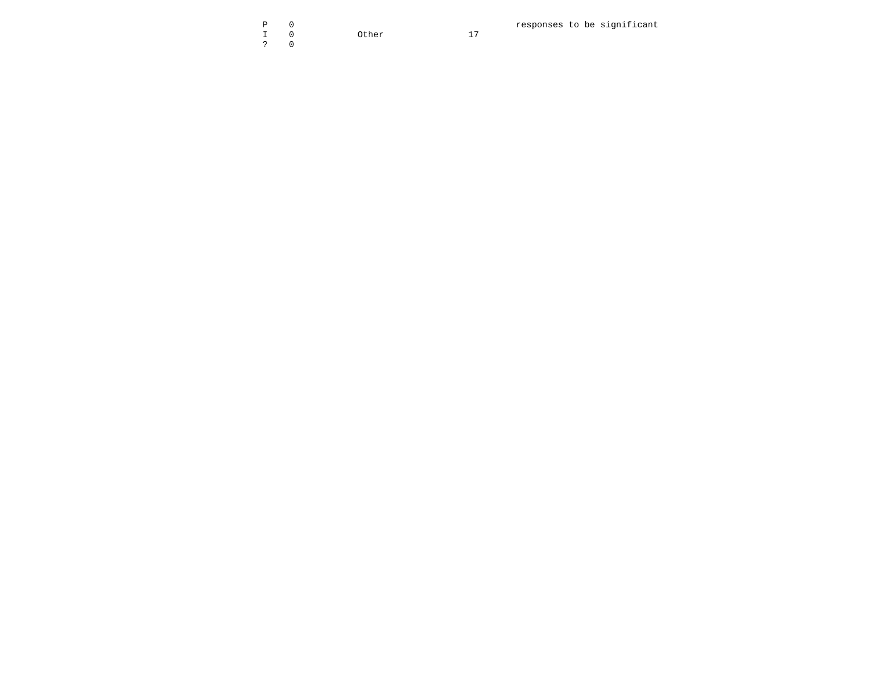I 0 Other 17 ? 0

P 0 responses to be significant

 $17$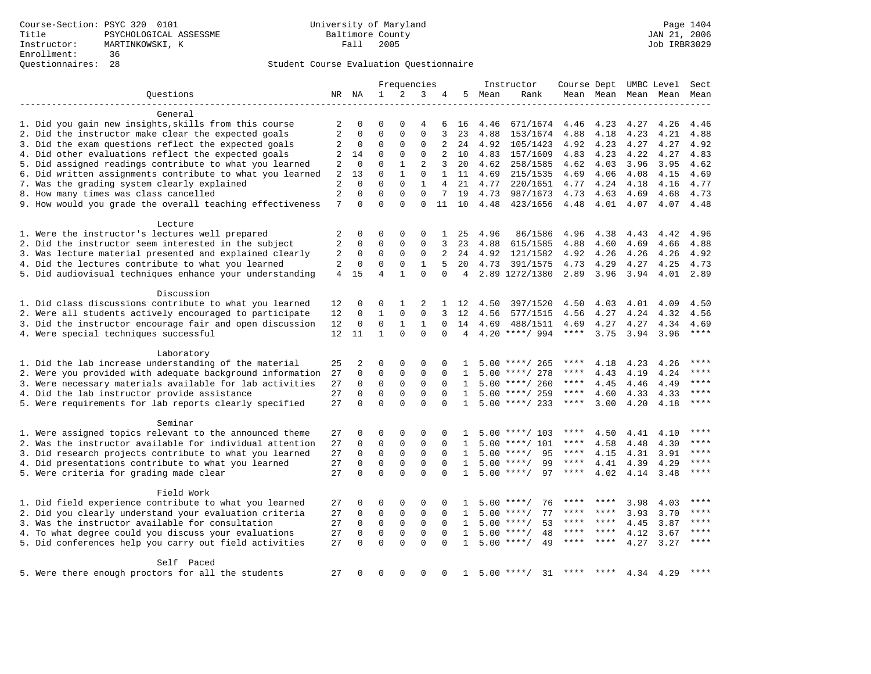|                                                           |                 |             | Frequencies    |              | Instructor     |                |                |        | Course Dept UMBC Level |             | Sect    |                     |      |       |
|-----------------------------------------------------------|-----------------|-------------|----------------|--------------|----------------|----------------|----------------|--------|------------------------|-------------|---------|---------------------|------|-------|
| Ouestions                                                 |                 | NR NA       | $\mathbf{1}$   | 2            | 3              | 4              |                | 5 Mean | Rank                   |             |         | Mean Mean Mean Mean |      | Mean  |
|                                                           |                 |             |                |              |                |                |                |        |                        |             |         |                     |      |       |
| General                                                   |                 |             |                |              |                |                |                |        |                        |             |         |                     |      |       |
| 1. Did you gain new insights, skills from this course     | 2               | 0           | 0              | $\Omega$     | 4              | 6              | 16             | 4.46   | 671/1674               | 4.46        | 4.23    | 4.27                | 4.26 | 4.46  |
| 2. Did the instructor make clear the expected goals       | 2               | 0           | $\mathbf 0$    | 0            | 0              | 3              | 23             | 4.88   | 153/1674               | 4.88        | 4.18    | 4.23                | 4.21 | 4.88  |
| 3. Did the exam questions reflect the expected goals      | 2               | 0           | 0              | 0            | 0              | 2              | 24             | 4.92   | 105/1423               | 4.92        | 4.23    | 4.27                | 4.27 | 4.92  |
| 4. Did other evaluations reflect the expected goals       | 2               | 14          | $\mathbf 0$    | $\mathbf{0}$ | $\mathbf 0$    | 2              | 10             | 4.83   | 157/1609               | 4.83        | 4.23    | 4.22                | 4.27 | 4.83  |
| 5. Did assigned readings contribute to what you learned   | 2               | $\mathbf 0$ | $\Omega$       | $\mathbf{1}$ | $\overline{a}$ | 3              | 20             | 4.62   | 258/1585               | 4.62        | 4.03    | 3.96                | 3.95 | 4.62  |
| 6. Did written assignments contribute to what you learned | 2               | 13          | 0              | 1            | 0              | 1              | 11             | 4.69   | 215/1535               | 4.69        | 4.06    | 4.08                | 4.15 | 4.69  |
| 7. Was the grading system clearly explained               | 2               | 0           | $\mathbf 0$    | $\mathbf 0$  | $\mathbf{1}$   | $\overline{4}$ | 21             | 4.77   | 220/1651               | 4.77        | 4.24    | 4.18                | 4.16 | 4.77  |
| 8. How many times was class cancelled                     | 2               | $\Omega$    | $\mathbf 0$    | $\Omega$     | $\Omega$       | 7              | 19             | 4.73   | 987/1673               | 4.73        | 4.63    | 4.69                | 4.68 | 4.73  |
| 9. How would you grade the overall teaching effectiveness | 7               | $\Omega$    | $\Omega$       | $\Omega$     | $\Omega$       | 11             | 10             | 4.48   | 423/1656               | 4.48        | 4.01    | 4.07                | 4.07 | 4.48  |
|                                                           |                 |             |                |              |                |                |                |        |                        |             |         |                     |      |       |
| Lecture                                                   |                 |             |                |              |                |                |                |        |                        |             |         |                     |      |       |
| 1. Were the instructor's lectures well prepared           | 2               | $\mathbf 0$ | 0              | 0            | 0              | 1              | 25             | 4.96   | 86/1586                | 4.96        | 4.38    | 4.43                | 4.42 | 4.96  |
| 2. Did the instructor seem interested in the subject      | 2               | 0           | 0              | $\mathbf{0}$ | $\Omega$       | 3              | 23             | 4.88   | 615/1585               | 4.88        | 4.60    | 4.69                | 4.66 | 4.88  |
| 3. Was lecture material presented and explained clearly   | 2               | $\mathbf 0$ | $\mathbf 0$    | $\mathbf{0}$ | 0              | 2              | 24             | 4.92   | 121/1582               | 4.92        | 4.26    | 4.26                | 4.26 | 4.92  |
| 4. Did the lectures contribute to what you learned        | 2               | $\mathbf 0$ | $\mathbf 0$    | $\mathbf{0}$ | $\mathbf{1}$   | 5              | 20             | 4.73   | 391/1575               | 4.73        | 4.29    | 4.27                | 4.25 | 4.73  |
| 5. Did audiovisual techniques enhance your understanding  | 4               | 15          | $\overline{4}$ | $\mathbf{1}$ | $\mathbf 0$    | $\Omega$       | $\overline{4}$ |        | 2.89 1272/1380         | 2.89        | 3.96    | 3.94                | 4.01 | 2.89  |
|                                                           |                 |             |                |              |                |                |                |        |                        |             |         |                     |      |       |
| Discussion                                                |                 |             |                |              |                |                |                |        |                        |             |         |                     |      |       |
| 1. Did class discussions contribute to what you learned   | 12              | 0           | 0              | 1            | 2              | $\mathbf{1}$   | 12             | 4.50   | 397/1520               | 4.50        | 4.03    | 4.01                | 4.09 | 4.50  |
| 2. Were all students actively encouraged to participate   | 12              | 0           | 1              | 0            | 0              | 3              | 12             | 4.56   | 577/1515               | 4.56        | 4.27    | 4.24                | 4.32 | 4.56  |
| 3. Did the instructor encourage fair and open discussion  | 12              | 0           | 0              | 1            | 1              | $\Omega$       | 14             | 4.69   | 488/1511               | 4.69        | 4.27    | 4.27                | 4.34 | 4.69  |
| 4. Were special techniques successful                     | 12 <sup>°</sup> | 11          | $\mathbf{1}$   | $\Omega$     | $\Omega$       | $\Omega$       | 4              |        | $4.20$ ****/ 994       | $***$ * * * | 3.75    | 3.94                | 3.96 | $***$ |
|                                                           |                 |             |                |              |                |                |                |        |                        |             |         |                     |      |       |
| Laboratory                                                |                 |             |                |              |                |                |                |        |                        |             |         |                     |      |       |
| 1. Did the lab increase understanding of the material     | 25              | 2           | 0              | 0            | $\Omega$       | 0              | ı              |        | $5.00$ ****/ 265       | ****        | 4.18    | 4.23                | 4.26 |       |
| 2. Were you provided with adequate background information | 27              | 0           | $\mathbf 0$    | 0            | 0              | 0              | 1              |        | $5.00$ ****/ 278       | ****        | 4.43    | 4.19                | 4.24 |       |
| 3. Were necessary materials available for lab activities  | 27              | $\Omega$    | $\mathbf 0$    | 0            | $\mathbf 0$    | $\Omega$       | $\mathbf{1}$   |        | $5.00$ ****/ 260       | ****        | 4.45    | 4.46                | 4.49 | ****  |
| 4. Did the lab instructor provide assistance              | 27              | $\Omega$    | $\mathbf 0$    | $\mathbf 0$  | $\Omega$       | $\Omega$       | $\mathbf{1}$   |        | $5.00$ ****/ 259       | $***$ * *   | 4.60    |                     |      | ****  |
|                                                           |                 |             |                | $\Omega$     |                |                |                |        |                        | ****        |         | 4.33                | 4.33 | ****  |
| 5. Were requirements for lab reports clearly specified    | 27              | 0           | $\mathbf 0$    |              | $\Omega$       | $\Omega$       | $\mathbf{1}$   |        | $5.00$ ****/ 233       |             | 3.00    | 4.20                | 4.18 |       |
|                                                           |                 |             |                |              |                |                |                |        |                        |             |         |                     |      |       |
| Seminar                                                   |                 |             | $\Omega$       | $\Omega$     | $\Omega$       |                |                |        |                        | ****        |         |                     |      | ****  |
| 1. Were assigned topics relevant to the announced theme   | 27              | $\Omega$    |                |              |                | $\Omega$       | п.             |        | $5.00$ ****/ 103       | ****        | 4.50    | 4.41                | 4.10 | ****  |
| 2. Was the instructor available for individual attention  | 27              | 0           | $\mathbf 0$    | $\mathsf 0$  | $\mathbf 0$    | $\Omega$       | 1              |        | $5.00$ ****/ 101       |             | 4.58    | 4.48                | 4.30 | $***$ |
| 3. Did research projects contribute to what you learned   | 27              | 0           | $\mathbf 0$    | 0            | $\mathbf 0$    | $\Omega$       | $\mathbf{1}$   |        | $5.00$ ****/<br>95     | ****        | 4.15    | 4.31                | 3.91 |       |
| 4. Did presentations contribute to what you learned       | 27              | $\Omega$    | $\mathbf 0$    | 0            | $\mathbf 0$    | $\Omega$       | $\mathbf{1}$   |        | $5.00$ ****/<br>99     | $***$ * *   | 4.41    | 4.39                | 4.29 | ****  |
| 5. Were criteria for grading made clear                   | 27              | $\Omega$    | $\Omega$       | $\Omega$     | $\Omega$       | $\Omega$       | $\mathbf{1}$   |        | $5.00$ ****/<br>97     | ****        | 4.02    | 4.14                | 3.48 | ****  |
|                                                           |                 |             |                |              |                |                |                |        |                        |             |         |                     |      |       |
| Field Work                                                |                 |             |                |              |                |                |                |        |                        |             |         |                     |      |       |
| 1. Did field experience contribute to what you learned    | 27              | 0           | 0              | 0            | 0              | $\Omega$       | Т.             |        | $5.00$ ****/<br>76     | ****        |         | 3.98                | 4.03 | ****  |
| 2. Did you clearly understand your evaluation criteria    | 27              | 0           | $\mathbf 0$    | $\mathbf{0}$ | $\mathbf 0$    | $\Omega$       | $\mathbf{1}$   | 5.00   | 77<br>$***$ /          | ****        | ****    | 3.93                | 3.70 | ****  |
| 3. Was the instructor available for consultation          | 27              | $\Omega$    | $\mathbf 0$    | $\mathbf 0$  | $\mathbf 0$    | $\Omega$       | 1              |        | $5.00$ ****/<br>53     | ****        | $***$ * | 4.45                | 3.87 | ****  |
| 4. To what degree could you discuss your evaluations      | 27              | $\mathbf 0$ | $\mathsf 0$    | $\mathbf 0$  | $\mathbf 0$    | $\Omega$       | $\mathbf{1}$   | 5.00   | $***$ /<br>48          | ****        | ****    | 4.12                | 3.67 | $***$ |
| 5. Did conferences help you carry out field activities    | 27              | $\Omega$    | $\mathbf 0$    | $\Omega$     | $\Omega$       | $\Omega$       | $\mathbf{1}$   |        | $5.00$ ****/<br>49     | ****        | ****    | 4.27                | 3.27 | ****  |
|                                                           |                 |             |                |              |                |                |                |        |                        |             |         |                     |      |       |
| Self Paced                                                |                 |             |                |              |                |                |                |        |                        |             |         |                     |      |       |
| 5. Were there enough proctors for all the students        | 27              | $\Omega$    | $\Omega$       | $\Omega$     | $\Omega$       | $\Omega$       | $\mathbf{1}$   |        | $5.00$ ****/<br>31     | ****        |         | 4.34                | 4.29 | ****  |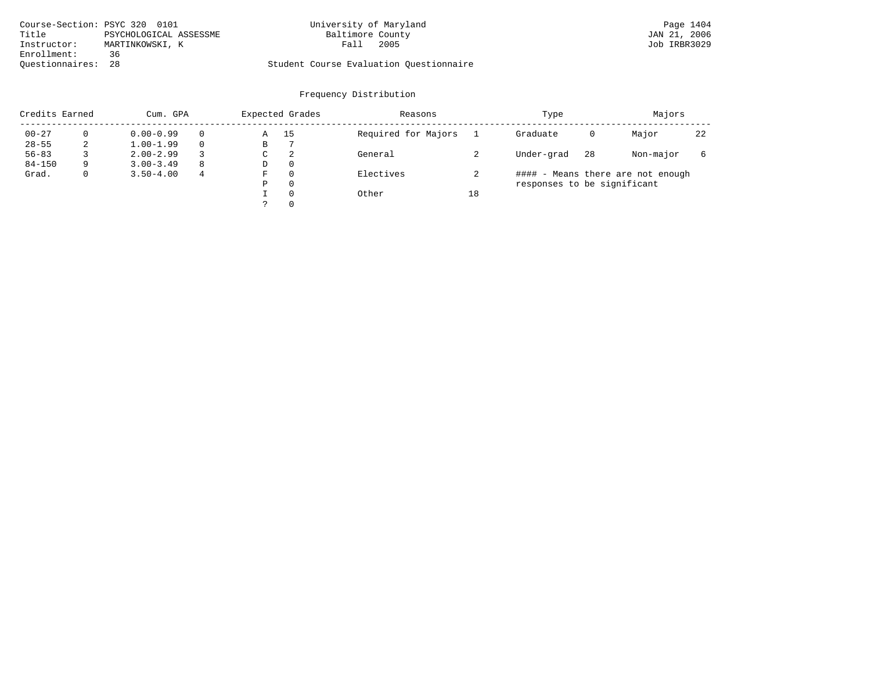|                    | Course-Section: PSYC 320 0101 | University of Maryland                  | Page 1404    |
|--------------------|-------------------------------|-----------------------------------------|--------------|
| Title              | PSYCHOLOGICAL ASSESSME        | Baltimore County                        | JAN 21, 2006 |
| Instructor:        | MARTINKOWSKI, K               | 2005<br>Fall                            | Job IRBR3029 |
| Enrollment:        | 36                            |                                         |              |
| Ouestionnaires: 28 |                               | Student Course Evaluation Ouestionnaire |              |

| Credits Earned |          | Cum. GPA      |   |             | Expected Grades | Reasons             | Type |                             |    |                                   | Majors |  |
|----------------|----------|---------------|---|-------------|-----------------|---------------------|------|-----------------------------|----|-----------------------------------|--------|--|
| $00 - 27$      | $\Omega$ | $0.00 - 0.99$ |   | Α           | 15              | Required for Majors |      | Graduate                    | 0  | Major                             | 22     |  |
| $28 - 55$      | 2        | $1.00 - 1.99$ |   | В           |                 |                     |      |                             |    |                                   |        |  |
| $56 - 83$      |          | $2.00 - 2.99$ |   | $\sim$<br>◡ | 2               | General             |      | Under-grad                  | 28 | Non-major                         | 6      |  |
| $84 - 150$     | 9        | $3.00 - 3.49$ | 8 | D           | 0               |                     |      |                             |    |                                   |        |  |
| Grad.          | 0        | $3.50 - 4.00$ | 4 | F           | 0               | Electives           |      |                             |    | #### - Means there are not enough |        |  |
|                |          |               |   | Ρ           | 0               |                     |      | responses to be significant |    |                                   |        |  |
|                |          |               |   |             | $\Omega$        | Other               | 18   |                             |    |                                   |        |  |
|                |          |               |   | っ           |                 |                     |      |                             |    |                                   |        |  |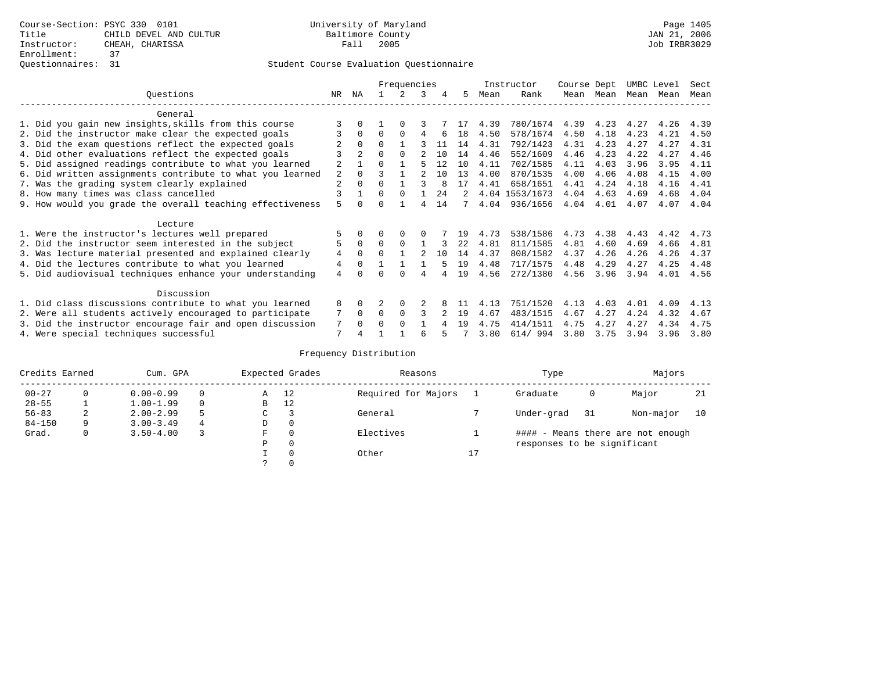|                                                           |                |                | Frequencies  |          | Instructor |     | Course Dept |      | UMBC Level     |      | Sect |      |      |      |
|-----------------------------------------------------------|----------------|----------------|--------------|----------|------------|-----|-------------|------|----------------|------|------|------|------|------|
| Ouestions                                                 | NR.            | ΝA             |              |          | 3          |     | 5.          | Mean | Rank           | Mean | Mean | Mean | Mean | Mean |
| General                                                   |                |                |              |          |            |     |             |      |                |      |      |      |      |      |
| 1. Did you gain new insights, skills from this course     |                |                |              | $\Omega$ |            |     |             | 4.39 | 780/1674       | 4.39 | 4.23 | 4.27 | 4.26 | 4.39 |
| 2. Did the instructor make clear the expected goals       |                | $\Omega$       | $\Omega$     | $\Omega$ | 4          | 6   | 18          | 4.50 | 578/1674       | 4.50 | 4.18 | 4.23 | 4.21 | 4.50 |
| 3. Did the exam questions reflect the expected goals      |                | $\Omega$       | $\Omega$     |          |            | 11  | 14          | 4.31 | 792/1423       | 4.31 | 4.23 | 4.27 | 4.27 | 4.31 |
| 4. Did other evaluations reflect the expected goals       |                | $\mathfrak{D}$ |              | $\Omega$ |            | 10  | 14          | 4.46 | 552/1609       | 4.46 | 4.23 | 4.22 | 4.27 | 4.46 |
| 5. Did assigned readings contribute to what you learned   | $\overline{2}$ |                | $\Omega$     |          |            | 12  | 1 O         | 4.11 | 702/1585       | 4.11 | 4.03 | 3.96 | 3.95 | 4.11 |
| 6. Did written assignments contribute to what you learned | 2              | $\Omega$       |              |          |            | 1 O | 13          | 4.00 | 870/1535       | 4.00 | 4.06 | 4.08 | 4.15 | 4.00 |
| 7. Was the grading system clearly explained               | $\overline{2}$ | $\Omega$       | $\Omega$     |          |            | 8   | 17          | 4.41 | 658/1651       | 4.41 | 4.24 | 4.18 | 4.16 | 4.41 |
| 8. How many times was class cancelled                     |                |                | $\Omega$     | $\Omega$ |            | 24  | 2           |      | 4.04 1553/1673 | 4.04 | 4.63 | 4.69 | 4.68 | 4.04 |
| 9. How would you grade the overall teaching effectiveness | 5              | <sup>n</sup>   | <sup>n</sup> |          | 4          | 14  | 7           | 4.04 | 936/1656       | 4.04 | 4.01 | 4.07 | 4.07 | 4.04 |
| Lecture                                                   |                |                |              |          |            |     |             |      |                |      |      |      |      |      |
| 1. Were the instructor's lectures well prepared           |                |                |              |          |            |     | 19          | 4.73 | 538/1586       | 4.73 | 4.38 | 4.43 | 4.42 | 4.73 |
| 2. Did the instructor seem interested in the subject      | 5              | $\Omega$       | $\Omega$     | $\Omega$ |            |     | 2.2.        | 4.81 | 811/1585       | 4.81 | 4.60 | 4.69 | 4.66 | 4.81 |
| 3. Was lecture material presented and explained clearly   | 4              | $\Omega$       |              |          |            | 10  | 14          | 4.37 | 808/1582       | 4.37 | 4.26 | 4.26 | 4.26 | 4.37 |
| 4. Did the lectures contribute to what you learned        | 4              | $\Omega$       |              |          |            |     | 19          | 4.48 | 717/1575       | 4.48 | 4.29 | 4.27 | 4.25 | 4.48 |
| 5. Did audiovisual techniques enhance your understanding  | $\overline{4}$ |                |              |          |            |     | 19          | 4.56 | 272/1380       | 4.56 | 3.96 | 3.94 | 4.01 | 4.56 |
| Discussion                                                |                |                |              |          |            |     |             |      |                |      |      |      |      |      |
| 1. Did class discussions contribute to what you learned   | 8              | $\Omega$       |              | $\Omega$ |            |     |             | 4.13 | 751/1520       | 4.13 | 4.03 | 4.01 | 4.09 | 4.13 |
| 2. Were all students actively encouraged to participate   |                | $\Omega$       | $\Omega$     | $\Omega$ |            |     | 19          | 4.67 | 483/1515       | 4.67 | 4.27 | 4.24 | 4.32 | 4.67 |
| 3. Did the instructor encourage fair and open discussion  | 7              | $\Omega$       | O            | $\Omega$ |            |     | 19          | 4.75 | 414/1511       | 4.75 | 4.27 | 4.27 | 4.34 | 4.75 |
| 4. Were special techniques successful                     | 7              |                |              |          | 6          |     |             | 3.80 | 614/994        | 3.80 | 3.75 | 3.94 | 3.96 | 3.80 |

| Credits Earned |          | Cum. GPA      |   |             | Expected Grades | Reasons             | Type |                             |     |                                   |    |
|----------------|----------|---------------|---|-------------|-----------------|---------------------|------|-----------------------------|-----|-----------------------------------|----|
| $00 - 27$      | $\Omega$ | $0.00 - 0.99$ |   | Α           | 12              | Required for Majors |      | Graduate                    | 0   | Major                             | 21 |
| $28 - 55$      | ᅩ        | $1.00 - 1.99$ |   | B           | 12              |                     |      |                             |     |                                   |    |
| $56 - 83$      | 2        | $2.00 - 2.99$ |   | $\sim$<br>J |                 | General             |      | Under-grad                  | -31 | Non-major                         | 10 |
| $84 - 150$     | 9        | $3.00 - 3.49$ | 4 | D           | 0               |                     |      |                             |     |                                   |    |
| Grad.          | 0        | $3.50 - 4.00$ |   | F           | 0               | Electives           |      |                             |     | #### - Means there are not enough |    |
|                |          |               |   | Ρ           | 0               |                     |      | responses to be significant |     |                                   |    |
|                |          |               |   |             | $\Omega$        | Other               | 17   |                             |     |                                   |    |
|                |          |               |   |             |                 |                     |      |                             |     |                                   |    |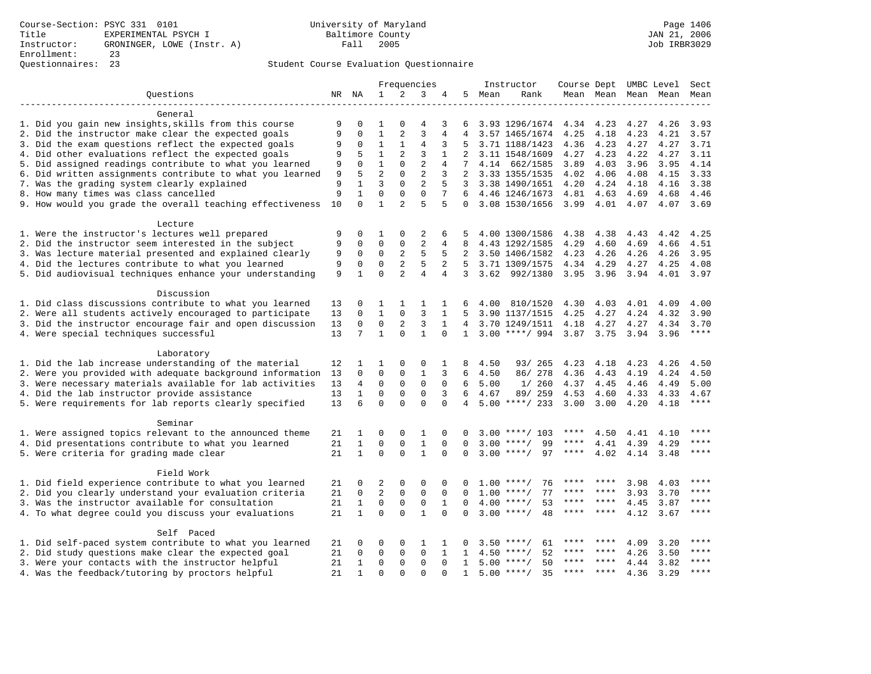|                                                                    | Frequencies |              |                  | Instructor     | Course Dept UMBC Level |                     |                |      | Sect               |           |       |      |                          |             |
|--------------------------------------------------------------------|-------------|--------------|------------------|----------------|------------------------|---------------------|----------------|------|--------------------|-----------|-------|------|--------------------------|-------------|
| Questions                                                          |             | NR NA        | $\mathbf{1}$     | 2              | 3                      |                     | 5.             | Mean | Rank               |           |       |      | Mean Mean Mean Mean Mean |             |
| General                                                            |             |              |                  |                |                        |                     |                |      |                    |           |       |      |                          |             |
| 1. Did you gain new insights, skills from this course              | 9           | 0            | 1                | $\Omega$       | 4                      | 3                   | 6              |      | 3.93 1296/1674     | 4.34      | 4.23  | 4.27 | 4.26                     | 3.93        |
| 2. Did the instructor make clear the expected goals                | 9           | $\mathbf 0$  | $\mathbf{1}$     | 2              | 3                      | $\overline{4}$      | $\overline{4}$ |      | 3.57 1465/1674     | 4.25      | 4.18  | 4.23 | 4.21                     | 3.57        |
| 3. Did the exam questions reflect the expected goals               |             | 0            | $\mathbf{1}$     | $\mathbf{1}$   | 4                      | 3                   | 5              |      | 3.71 1188/1423     | 4.36      | 4.23  | 4.27 | 4.27                     | 3.71        |
| 4. Did other evaluations reflect the expected goals                | 9<br>9      | 5            | $\mathbf{1}$     | $\overline{2}$ | 3                      | $\mathbf{1}$        | $\overline{a}$ |      | 3.11 1548/1609     | 4.27      | 4.23  | 4.22 | 4.27                     | 3.11        |
| 5. Did assigned readings contribute to what you learned            | 9           | $\Omega$     | $\mathbf{1}$     | $\Omega$       | $\overline{2}$         | $\overline{4}$      | 7              |      | 4.14 662/1585      | 3.89      | 4.03  | 3.96 | 3.95                     | 4.14        |
| 6. Did written assignments contribute to what you learned          | 9           | 5            | $\overline{2}$   | $\Omega$       | $\overline{2}$         | 3                   | $\overline{2}$ |      | 3.33 1355/1535     | 4.02      | 4.06  | 4.08 | 4.15                     | 3.33        |
| 7. Was the grading system clearly explained                        | 9           | 1            | 3                | $\mathbf 0$    | 2                      | 5                   | 3              |      | 3.38 1490/1651     | 4.20      | 4.24  | 4.18 | 4.16                     | 3.38        |
| 8. How many times was class cancelled                              | 9           | $\mathbf{1}$ | $\mathbf 0$      | $\mathbf 0$    | $\mathbf 0$            | 7                   | 6              |      | 4.46 1246/1673     | 4.81      | 4.63  | 4.69 | 4.68                     | 4.46        |
| 9. How would you grade the overall teaching effectiveness          | 10          | $\mathbf 0$  | $\mathbf{1}$     | $\mathfrak{D}$ | 5                      | 5                   | $\Omega$       |      | 3.08 1530/1656     | 3.99      | 4.01  | 4.07 | 4.07                     | 3.69        |
|                                                                    |             |              |                  |                |                        |                     |                |      |                    |           |       |      |                          |             |
| Lecture                                                            |             |              |                  |                |                        |                     |                |      |                    |           |       |      |                          |             |
| 1. Were the instructor's lectures well prepared                    | 9           | 0            | 1                | 0              | 2                      | 6                   | 5              |      | 4.00 1300/1586     | 4.38      | 4.38  | 4.43 | 4.42                     | 4.25        |
| 2. Did the instructor seem interested in the subject               | 9           | 0            | $\mathbf 0$      | $\mathbf 0$    | $\overline{2}$         | 4                   | 8              |      | 4.43 1292/1585     | 4.29      | 4.60  | 4.69 | 4.66                     | 4.51        |
| 3. Was lecture material presented and explained clearly            | 9           | $\mathbf 0$  | 0<br>$\mathbf 0$ | 2              | 5<br>5                 | 5<br>$\overline{a}$ | 2              |      | 3.50 1406/1582     | 4.23      | 4.26  | 4.26 | 4.26                     | 3.95        |
| 4. Did the lectures contribute to what you learned                 | 9           | 0            | $\Omega$         | $\overline{c}$ |                        |                     | 5              |      | 3.71 1309/1575     | 4.34      | 4.29  | 4.27 | 4.25                     | 4.08        |
| 5. Did audiovisual techniques enhance your understanding           | 9           | $\mathbf{1}$ |                  | $\overline{a}$ | $\overline{4}$         | 4                   | 3              |      | 3.62 992/1380      | 3.95      | 3.96  | 3.94 | 4.01                     | 3.97        |
| Discussion                                                         |             |              |                  |                |                        |                     |                |      |                    |           |       |      |                          |             |
| 1. Did class discussions contribute to what you learned            | 13          | 0            | 1                | 1              | 1                      | 1                   | 6              | 4.00 | 810/1520           | 4.30      | 4.03  | 4.01 | 4.09                     | 4.00        |
| 2. Were all students actively encouraged to participate            | 13          | 0            | $\mathbf{1}$     | $\mathbf{0}$   | 3                      | 1                   | 5              |      | 3.90 1137/1515     | 4.25      | 4.27  | 4.24 | 4.32                     | 3.90        |
| 3. Did the instructor encourage fair and open discussion           | 13          | 0            | 0                | 2              | 3                      | $\mathbf{1}$        | 4              |      | 3.70 1249/1511     | 4.18      | 4.27  | 4.27 | 4.34                     | 3.70        |
| 4. Were special techniques successful                              | 13          | 7            | $\mathbf{1}$     | $\Omega$       | $\mathbf{1}$           | $\Omega$            | $\mathbf{1}$   |      | $3.00$ ****/ 994   | 3.87 3.75 |       | 3.94 | 3.96                     | $***$       |
| Laboratory                                                         |             |              |                  |                |                        |                     |                |      |                    |           |       |      |                          |             |
| 1. Did the lab increase understanding of the material              | 12          | 1            | 1                | 0              | 0                      | 1                   | 8              | 4.50 | 93/ 265            | 4.23      | 4.18  | 4.23 | 4.26                     | 4.50        |
| 2. Were you provided with adequate background information          | 13          | $\Omega$     | $\mathbf 0$      | 0              | $\mathbf{1}$           | 3                   | 6              | 4.50 | 86/ 278            | 4.36      | 4.43  | 4.19 | 4.24                     | 4.50        |
| 3. Were necessary materials available for lab activities           | 13          | 4            | 0                | $\mathsf 0$    | $\mathsf 0$            | $\mathbf 0$         | 6              | 5.00 | 1/260              | 4.37      | 4.45  | 4.46 | 4.49                     | 5.00        |
| 4. Did the lab instructor provide assistance                       | 13          | $\mathbf{1}$ | 0                | 0              | $\mathsf 0$            | 3                   | 6              | 4.67 | 89/ 259            | 4.53      | 4.60  | 4.33 | 4.33                     | 4.67        |
| 5. Were requirements for lab reports clearly specified             | 13          | 6            | $\mathbf 0$      | $\Omega$       | $\mathbf 0$            | $\mathbf 0$         | 4              |      | $5.00$ ****/ 233   | 3.00      | 3.00  | 4.20 | 4.18                     | ****        |
|                                                                    |             |              |                  |                |                        |                     |                |      |                    |           |       |      |                          |             |
| Seminar<br>1. Were assigned topics relevant to the announced theme | 21          | 1            | 0                | 0              | 1                      | 0                   | $\Omega$       | 3.00 | ****/ 103          | ****      | 4.50  | 4.41 | 4.10                     |             |
| 4. Did presentations contribute to what you learned                | 21          | $\mathbf{1}$ | $\mathsf 0$      | $\mathbf{0}$   | $\mathbf{1}$           | $\mathbf 0$         | $\mathbf 0$    | 3.00 | $***/$<br>99       | ****      | 4.41  | 4.39 | 4.29                     | ****        |
| 5. Were criteria for grading made clear                            | 21          | $\mathbf{1}$ | $\mathbf 0$      | $\mathbf 0$    | $\mathbf{1}$           | $\Omega$            | $\Omega$       | 3.00 | 97<br>$***$ /      | ****      | 4.02  |      |                          | ****        |
|                                                                    |             |              |                  |                |                        |                     |                |      |                    |           |       | 4.14 | 3.48                     |             |
| Field Work                                                         |             |              |                  |                |                        |                     |                |      |                    |           |       |      |                          |             |
| 1. Did field experience contribute to what you learned             | 21          | 0            | 2                | 0              | 0                      | 0                   | 0              | 1.00 | ****/<br>76        |           |       | 3.98 | 4.03                     |             |
| 2. Did you clearly understand your evaluation criteria             | 21          | 0            | $\overline{2}$   | 0              | $\mathsf 0$            | 0                   | 0              | 1.00 | 77<br>$***$ /      | ****      |       | 3.93 | 3.70                     | ****        |
| 3. Was the instructor available for consultation                   | 21          | $\mathbf{1}$ | 0                | 0              | $\mathsf 0$            | 1                   | $\mathbf 0$    | 4.00 | 53<br>$***$ /      |           | ****  | 4.45 | 3.87                     | ****        |
| 4. To what degree could you discuss your evaluations               | 21          | $\mathbf{1}$ | $\mathbf 0$      | $\Omega$       | $\mathbf{1}$           | $\Omega$            | $\Omega$       |      | $3.00$ ****/<br>48 | ****      | ****  | 4.12 | 3.67                     | ****        |
| Self Paced                                                         |             |              |                  |                |                        |                     |                |      |                    |           |       |      |                          |             |
| 1. Did self-paced system contribute to what you learned            | 21          | 0            | 0                | 0              | 1                      | 1                   | 0              | 3.50 | 61<br>$* * * * /$  |           |       | 4.09 | 3.20                     |             |
| 2. Did study questions make clear the expected goal                | 21          | 0            | $\mathbf 0$      | 0              | $\mathbf{0}$           | $\mathbf{1}$        | $\mathbf{1}$   | 4.50 | 52<br>$***$ /      |           |       | 4.26 | 3.50                     |             |
| 3. Were your contacts with the instructor helpful                  | 21          | $\mathbf{1}$ | $\mathbf 0$      | $\Omega$       | $\mathbf{0}$           | $\Omega$            | $\mathbf{1}$   | 5.00 | $***$ /<br>50      |           |       | 4.44 | 3.82                     | ****        |
| 4. Was the feedback/tutoring by proctors helpful                   | 21          | $\mathbf{1}$ | $\Omega$         | $\cap$         | $\cap$                 | $\cap$              | $\mathbf{1}$   | 5.00 | 35<br>$* * * * /$  | ****      | $***$ | 4.36 | 3.29                     | $***$ * * * |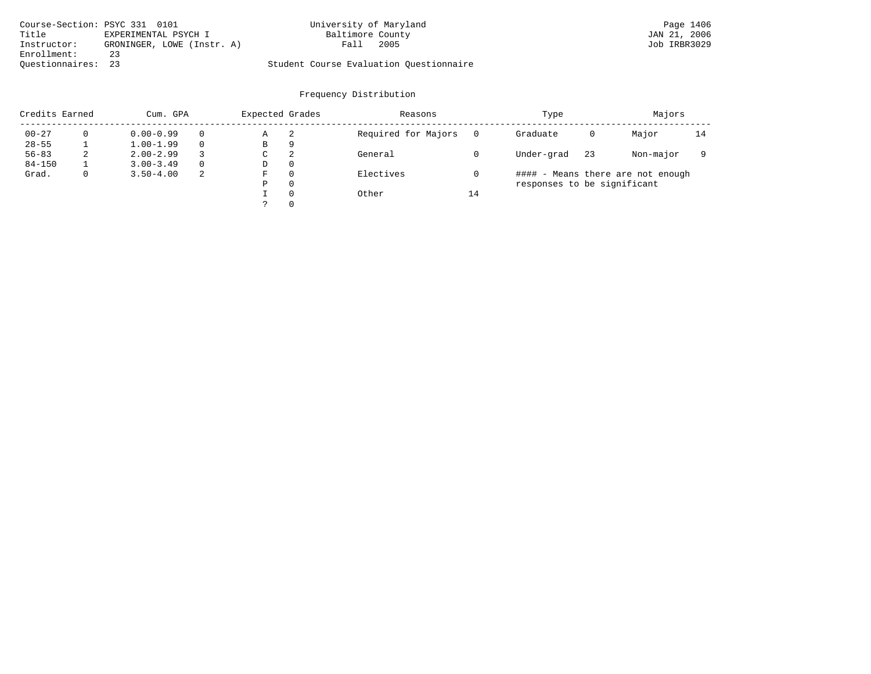| Course-Section: PSYC 331 0101 |                            | University of Maryland                  | Page 1406    |
|-------------------------------|----------------------------|-----------------------------------------|--------------|
| Title                         | EXPERIMENTAL PSYCH I       | Baltimore County                        | JAN 21, 2006 |
| Instructor:                   | GRONINGER, LOWE (Instr. A) | 2005<br>Fall                            | Job IRBR3029 |
| Enrollment:                   | 23                         |                                         |              |
| Ouestionnaires: 23            |                            | Student Course Evaluation Ouestionnaire |              |

| Credits Earned |   | Cum. GPA      |          | Expected Grades |    | Reasons             | Type |                             | Majors |                                   |    |
|----------------|---|---------------|----------|-----------------|----|---------------------|------|-----------------------------|--------|-----------------------------------|----|
| $00 - 27$      |   | $0.00 - 0.99$ | $\Omega$ | Α               | -2 | Required for Majors |      | Graduate                    | 0      | Major                             | 14 |
| $28 - 55$      |   | $1.00 - 1.99$ | $\Omega$ | В               | 9  |                     |      |                             |        |                                   |    |
| $56 - 83$      | 2 | $2.00 - 2.99$ | 3        | С               | 2  | General             |      | Under-grad                  | 23     | Non-major                         |    |
| $84 - 150$     |   | $3.00 - 3.49$ | $\Omega$ | D               | 0  |                     |      |                             |        |                                   |    |
| Grad.          | 0 | $3.50 - 4.00$ | -2       | F               | 0  | Electives           |      |                             |        | #### - Means there are not enough |    |
|                |   |               |          | Ρ               | 0  |                     |      | responses to be significant |        |                                   |    |
|                |   |               |          |                 | 0  | Other               | 14   |                             |        |                                   |    |
|                |   |               |          |                 | 0  |                     |      |                             |        |                                   |    |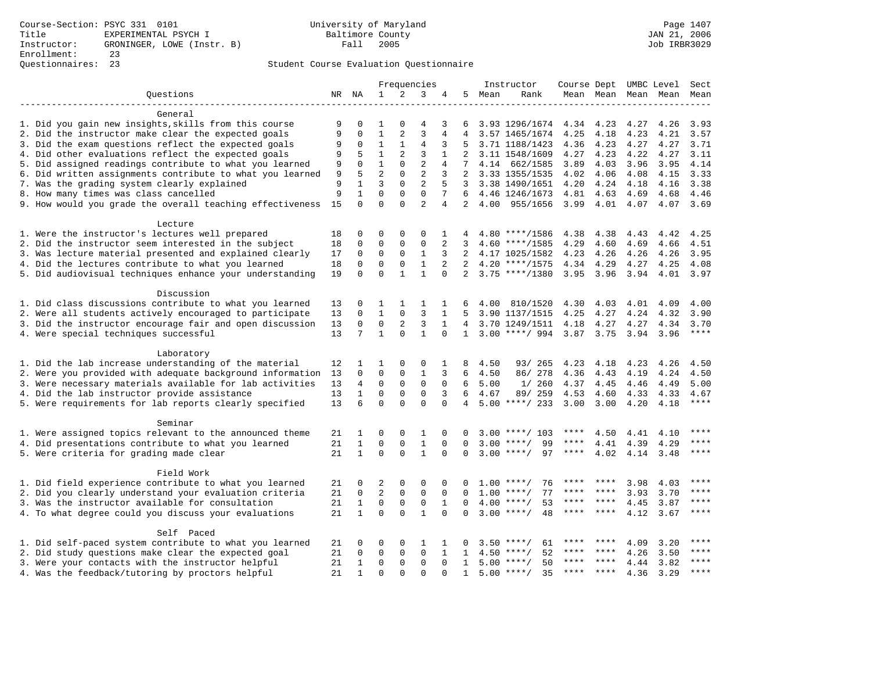|                                                           |        | Frequencies  |                | Instructor     |                |                 |                 |      | Course Dept UMBC Level   | Sect      |       |      |                          |       |
|-----------------------------------------------------------|--------|--------------|----------------|----------------|----------------|-----------------|-----------------|------|--------------------------|-----------|-------|------|--------------------------|-------|
| Questions                                                 |        | NR NA        | $\mathbf{1}$   | 2              | 3              | 4               | 5               | Mean | Rank                     |           |       |      | Mean Mean Mean Mean Mean |       |
| General                                                   |        |              |                |                |                |                 |                 |      |                          |           |       |      |                          |       |
| 1. Did you gain new insights, skills from this course     | 9      | $\mathbf 0$  | 1              | $\Omega$       | 4              | 3               | 6               |      | 3.93 1296/1674 4.34      |           | 4.23  | 4.27 | 4.26                     | 3.93  |
| 2. Did the instructor make clear the expected goals       | 9      | $\mathbf 0$  | $\mathbf{1}$   | $\overline{a}$ | $\overline{3}$ | 4               |                 |      | 3.57 1465/1674           | 4.25      | 4.18  | 4.23 | 4.21                     | 3.57  |
| 3. Did the exam questions reflect the expected goals      |        | $\mathbf 0$  | $\mathbf{1}$   | $\mathbf{1}$   | $\overline{4}$ | 3               | 5               |      | 3.71 1188/1423           | 4.36      | 4.23  | 4.27 | 4.27                     | 3.71  |
| 4. Did other evaluations reflect the expected goals       | 9<br>9 | 5            | $\mathbf{1}$   | 2              | 3              | $\mathbf{1}$    | 2               |      | 3.11 1548/1609           | 4.27      | 4.23  | 4.22 | 4.27                     | 3.11  |
| 5. Did assigned readings contribute to what you learned   | 9      | $\Omega$     | $\mathbf{1}$   | $\Omega$       | $\overline{2}$ | 4               | $7\overline{ }$ |      | 4.14 662/1585            | 3.89      | 4.03  | 3.96 | 3.95                     | 4.14  |
| 6. Did written assignments contribute to what you learned | 9      | 5            | $\overline{a}$ | $\Omega$       | $\overline{2}$ | 3               |                 |      | 2 3.33 1355/1535         | 4.02      | 4.06  | 4.08 | 4.15                     | 3.33  |
| 7. Was the grading system clearly explained               | 9      | 1            | 3              | $\mathbf 0$    | 2              | 5               |                 |      | 3 3.38 1490/1651         | 4.20      | 4.24  | 4.18 | 4.16                     | 3.38  |
| 8. How many times was class cancelled                     | 9      | $\mathbf{1}$ | $\mathbf 0$    | $\mathbf 0$    | $\mathbf{0}$   | $7\overline{ }$ | 6               |      | 4.46 1246/1673           | 4.81      | 4.63  | 4.69 | 4.68                     | 4.46  |
| 9. How would you grade the overall teaching effectiveness | 15     | $\Omega$     | $\Omega$       | $\Omega$       | $\overline{2}$ | 4               | 2               | 4.00 | 955/1656                 | 3.99      | 4.01  | 4.07 | 4.07                     | 3.69  |
|                                                           |        |              |                |                |                |                 |                 |      |                          |           |       |      |                          |       |
| Lecture                                                   |        |              |                |                |                |                 |                 |      |                          |           |       |      |                          |       |
| 1. Were the instructor's lectures well prepared           | 18     | $\mathbf 0$  | 0              | $\Omega$       | $\Omega$       | 1               |                 |      | $4.80$ ****/1586         | 4.38      | 4.38  | 4.43 | 4.42                     | 4.25  |
| 2. Did the instructor seem interested in the subject      | 18     | $\mathbf 0$  | $\mathbf 0$    | $\mathbf{0}$   | $\mathbf{0}$   | 2               | 3               |      | $4.60$ ****/1585         | 4.29      | 4.60  | 4.69 | 4.66                     | 4.51  |
| 3. Was lecture material presented and explained clearly   | 17     | $\mathbf 0$  | $\mathbf 0$    | $\mathbf 0$    | $\mathbf{1}$   | 3               | 2               |      | 4.17 1025/1582           | 4.23      | 4.26  | 4.26 | 4.26                     | 3.95  |
| 4. Did the lectures contribute to what you learned        | 18     | $\mathbf 0$  | $\mathbf 0$    | $\mathbf 0$    | $\mathbf{1}$   | 2               | 2               |      | $4.20$ ****/1575         | 4.34 4.29 |       | 4.27 | 4.25                     | 4.08  |
| 5. Did audiovisual techniques enhance your understanding  | 19     | $\Omega$     | $\Omega$       | $\mathbf{1}$   | $\mathbf{1}$   | $\Omega$        |                 |      | $2, 3.75$ ****/1380      | 3.95 3.96 |       | 3.94 | 4.01                     | 3.97  |
| Discussion                                                |        |              |                |                |                |                 |                 |      |                          |           |       |      |                          |       |
| 1. Did class discussions contribute to what you learned   | 13     | 0            | 1              | 1              | 1              | 1               | 6               | 4.00 | 810/1520                 | 4.30      | 4.03  | 4.01 | 4.09                     | 4.00  |
| 2. Were all students actively encouraged to participate   | 13     | $\mathbf 0$  | $\mathbf 1$    | $\mathbf{0}$   | 3              | 1               | 5               |      | 3.90 1137/1515           | 4.25      | 4.27  | 4.24 | 4.32                     | 3.90  |
| 3. Did the instructor encourage fair and open discussion  | 13     | $\mathbf 0$  | 0              | 2              | 3              | 1               | 4               |      | 3.70 1249/1511           | 4.18      | 4.27  | 4.27 | 4.34                     | 3.70  |
| 4. Were special techniques successful                     | 13     | 7            | $\mathbf{1}$   | $\Omega$       | $\mathbf{1}$   |                 | $\mathbf{1}$    |      | 3.00 ****/ 994 3.87 3.75 |           |       | 3.94 | 3.96                     | $***$ |
| Laboratory                                                |        |              |                |                |                |                 |                 |      |                          |           |       |      |                          |       |
| 1. Did the lab increase understanding of the material     | 12     | 1            | 1              | 0              | 0              | 1               | 8               | 4.50 | 93/ 265                  | 4.23      | 4.18  | 4.23 | 4.26                     | 4.50  |
| 2. Were you provided with adequate background information | 13     | $\Omega$     | $\mathbf 0$    | $\mathbf{0}$   | $\mathbf{1}$   | 3               | 6               | 4.50 | 86/278                   | 4.36      | 4.43  | 4.19 | 4.24                     | 4.50  |
| 3. Were necessary materials available for lab activities  | 13     | 4            | $\mathbf 0$    | $\mathsf 0$    | $\mathbf 0$    | $\mathbf 0$     | 6               | 5.00 | 1/260                    | 4.37      | 4.45  | 4.46 | 4.49                     | 5.00  |
| 4. Did the lab instructor provide assistance              | 13     | $\mathbf{1}$ | 0              | 0              | $\mathbf 0$    | 3               | 6               | 4.67 | 89/ 259                  | 4.53      | 4.60  | 4.33 | 4.33                     | 4.67  |
| 5. Were requirements for lab reports clearly specified    | 13     | 6            | $\Omega$       | $\Omega$       | $\Omega$       | $\Omega$        | 4               |      | $5.00$ ****/ 233         | 3.00      | 3.00  | 4.20 | 4.18                     | ****  |
| Seminar                                                   |        |              |                |                |                |                 |                 |      |                          |           |       |      |                          |       |
| 1. Were assigned topics relevant to the announced theme   | 21     | 1            | 0              | 0              | 1              | 0               | $\Omega$        | 3.00 | ****/ 103                | ****      | 4.50  | 4.41 | 4.10                     |       |
| 4. Did presentations contribute to what you learned       | 21     | $\mathbf{1}$ | $\mathbf 0$    | $\mathbf{0}$   | $\mathbf{1}$   | $\mathbf 0$     | $\mathbf 0$     | 3.00 | 99<br>$* * * * /$        | ****      | 4.41  | 4.39 | 4.29                     | ****  |
| 5. Were criteria for grading made clear                   | 21     | $\mathbf{1}$ | $\Omega$       | $\Omega$       | $\mathbf{1}$   | $\Omega$        | $\Omega$        | 3.00 | 97<br>$* * * * /$        | ****      | 4.02  | 4.14 | 3.48                     | ****  |
|                                                           |        |              |                |                |                |                 |                 |      |                          |           |       |      |                          |       |
| Field Work                                                |        |              |                |                |                |                 |                 |      |                          |           |       |      |                          |       |
| 1. Did field experience contribute to what you learned    | 21     | 0            | 2              | 0              | 0              | 0               | 0               | 1.00 | ****/<br>76              |           |       | 3.98 | 4.03                     | ****  |
| 2. Did you clearly understand your evaluation criteria    | 21     | $\mathbf 0$  | $\overline{2}$ | $\mathsf 0$    | $\mathbf 0$    | $\mathbf 0$     | 0               | 1.00 | 77<br>$***/$             | ****      | ****  | 3.93 | 3.70                     | ****  |
| 3. Was the instructor available for consultation          | 21     | $\mathbf{1}$ | $\mathbf 0$    | $\mathsf 0$    | $\mathbf 0$    | $\mathbf{1}$    | $\mathbf 0$     | 4.00 | 53<br>$***$ /            | ****      | ****  | 4.45 | 3.87                     | ****  |
| 4. To what degree could you discuss your evaluations      | 21     | $\mathbf{1}$ | $\Omega$       | $\Omega$       | $\mathbf{1}$   | $\Omega$        | $\Omega$        |      | $3.00$ ****/<br>48       | ****      | ****  | 4.12 | 3.67                     | $***$ |
| Self Paced                                                |        |              |                |                |                |                 |                 |      |                          |           |       |      |                          |       |
| 1. Did self-paced system contribute to what you learned   | 21     | $\mathbf 0$  | 0              | 0              | $\mathbf{1}$   |                 |                 | 3.50 | $***$ /<br>61            |           |       | 4.09 | 3.20                     |       |
| 2. Did study questions make clear the expected goal       | 21     | $\mathbf 0$  | $\mathbf 0$    | $\mathbf 0$    | $\Omega$       | $\mathbf{1}$    | 1               | 4.50 | $***$ /<br>52            |           |       | 4.26 | 3.50                     | ****  |
| 3. Were your contacts with the instructor helpful         | 21     | $\mathbf{1}$ | $\Omega$       | $\Omega$       | $\Omega$       | $\Omega$        | $\mathbf{1}$    |      | $5.00$ ****/<br>50       |           | ****  | 4.44 | 3.82                     | ****  |
| 4. Was the feedback/tutoring by proctors helpful          | 21     | $\mathbf{1}$ | $\Omega$       | $\cap$         | $\cap$         | $\cap$          | $\mathbf{1}$    |      | $5.00$ ****/<br>35       | ****      | $***$ | 4.36 | 3.29                     | ****  |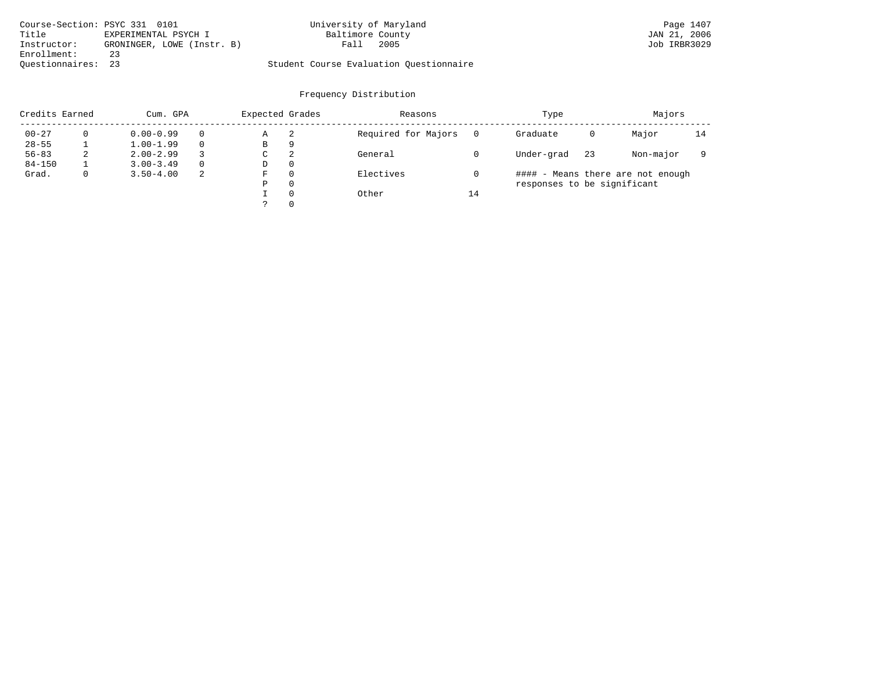| Course-Section: PSYC 331 0101 |                            | University of Maryland                  | Page 1407    |
|-------------------------------|----------------------------|-----------------------------------------|--------------|
| Title                         | EXPERIMENTAL PSYCH I       | Baltimore County                        | JAN 21, 2006 |
| Instructor:                   | GRONINGER, LOWE (Instr. B) | 2005<br>Fall                            | Job IRBR3029 |
| Enrollment:                   | 23                         |                                         |              |
| Ouestionnaires: 23            |                            | Student Course Evaluation Ouestionnaire |              |

| Credits Earned |              | Cum. GPA      |          | Expected Grades |          | Reasons             | Type |                             |    |                                   |    |  |  | Majors |  |
|----------------|--------------|---------------|----------|-----------------|----------|---------------------|------|-----------------------------|----|-----------------------------------|----|--|--|--------|--|
| $00 - 27$      |              | $0.00 - 0.99$ |          | Α               | 2        | Required for Majors |      | Graduate                    | 0  | Major                             | 14 |  |  |        |  |
| $28 - 55$      |              | $1.00 - 1.99$ |          | В               | 9        |                     |      |                             |    |                                   |    |  |  |        |  |
| $56 - 83$      | 2            | $2.00 - 2.99$ |          | C               | 2        | General             |      | Under-grad                  | 23 | Non-major                         |    |  |  |        |  |
| $84 - 150$     |              | $3.00 - 3.49$ | $\Omega$ | D               | $\Omega$ |                     |      |                             |    |                                   |    |  |  |        |  |
| Grad.          | $\mathbf{0}$ | $3.50 - 4.00$ | -2       | F               | $\Omega$ | Electives           |      |                             |    | #### - Means there are not enough |    |  |  |        |  |
|                |              |               |          | Ρ               | $\Omega$ |                     |      | responses to be significant |    |                                   |    |  |  |        |  |
|                |              |               |          |                 | $\Omega$ | Other               | 14   |                             |    |                                   |    |  |  |        |  |
|                |              |               |          |                 | $\Omega$ |                     |      |                             |    |                                   |    |  |  |        |  |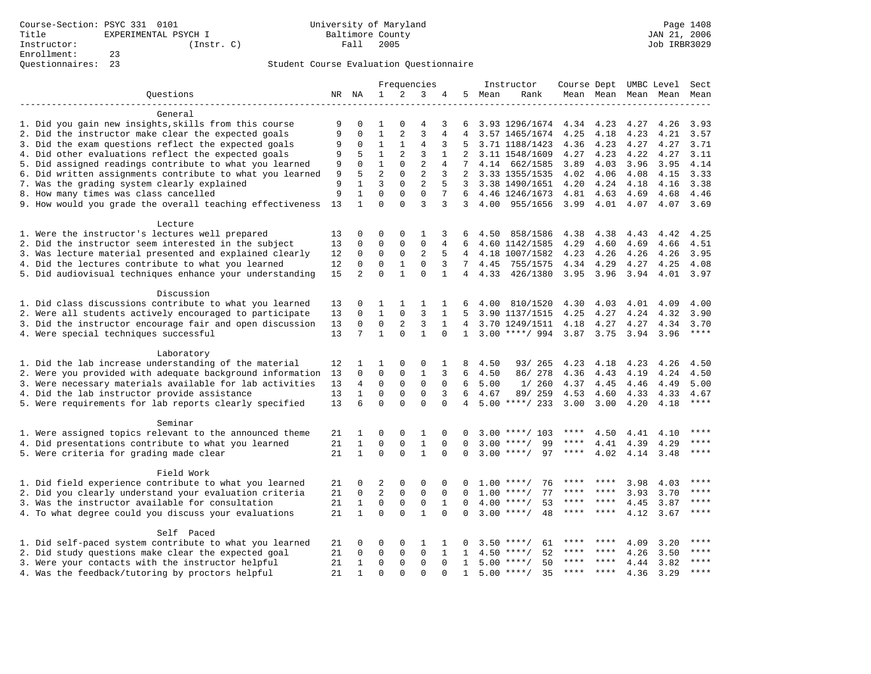|                                                           |    | Frequencies    |                | Instructor     |                |                 |                 |      | Course Dept UMBC Level   | Sect      |       |      |                     |             |
|-----------------------------------------------------------|----|----------------|----------------|----------------|----------------|-----------------|-----------------|------|--------------------------|-----------|-------|------|---------------------|-------------|
| Questions                                                 |    | NR NA          | $\mathbf{1}$   | 2              | 3              | 4               | 5               | Mean | Rank                     |           |       |      | Mean Mean Mean Mean | Mean        |
| General                                                   |    |                |                |                |                |                 |                 |      |                          |           |       |      |                     |             |
| 1. Did you gain new insights, skills from this course     | 9  | $\mathbf 0$    | 1              | $\Omega$       | 4              | 3               | 6               |      | 3.93 1296/1674 4.34      |           | 4.23  | 4.27 | 4.26                | 3.93        |
| 2. Did the instructor make clear the expected goals       | 9  | $\mathbf 0$    | $\mathbf{1}$   | $\overline{a}$ | $\overline{3}$ | 4               |                 |      | 3.57 1465/1674           | 4.25      | 4.18  | 4.23 | 4.21                | 3.57        |
| 3. Did the exam questions reflect the expected goals      | 9  | $\mathbf 0$    | $\mathbf{1}$   | $\mathbf{1}$   | $\overline{4}$ | 3               | 5               |      | 3.71 1188/1423           | 4.36      | 4.23  | 4.27 | 4.27                | 3.71        |
| 4. Did other evaluations reflect the expected goals       | 9  | 5              | $\mathbf{1}$   | 2              | 3              | $\mathbf{1}$    | 2               |      | 3.11 1548/1609           | 4.27      | 4.23  | 4.22 | 4.27                | 3.11        |
| 5. Did assigned readings contribute to what you learned   | 9  | $\Omega$       | $\mathbf{1}$   | $\Omega$       | $\overline{2}$ | 4               | $7\overline{ }$ |      | 4.14 662/1585            | 3.89      | 4.03  | 3.96 | 3.95                | 4.14        |
| 6. Did written assignments contribute to what you learned | 9  | 5              | $\overline{a}$ | $\Omega$       | $\overline{2}$ | 3               | 2               |      | 3.33 1355/1535           | 4.02      | 4.06  | 4.08 | 4.15                | 3.33        |
| 7. Was the grading system clearly explained               | 9  | 1              | 3              | $\mathbf 0$    | 2              | 5               |                 |      | 3 3.38 1490/1651         | 4.20      | 4.24  | 4.18 | 4.16                | 3.38        |
| 8. How many times was class cancelled                     | 9  | $\mathbf{1}$   | $\mathbf 0$    | $\mathbf 0$    | $\mathbf 0$    | $7\overline{ }$ | 6               |      | 4.46 1246/1673           | 4.81      | 4.63  | 4.69 | 4.68                | 4.46        |
| 9. How would you grade the overall teaching effectiveness | 13 | $\mathbf{1}$   | $\Omega$       | $\Omega$       | 3              | 3               | 3               | 4.00 | 955/1656                 | 3.99      | 4.01  | 4.07 | 4.07                | 3.69        |
| Lecture                                                   |    |                |                |                |                |                 |                 |      |                          |           |       |      |                     |             |
| 1. Were the instructor's lectures well prepared           | 13 | $\mathbf 0$    | 0              | $\mathbf 0$    | $\mathbf{1}$   | 3               | 6               | 4.50 | 858/1586                 | 4.38      | 4.38  | 4.43 | 4.42                | 4.25        |
| 2. Did the instructor seem interested in the subject      | 13 | $\mathbf 0$    | $\mathbf 0$    | $\mathbf{0}$   | $\mathbf 0$    | 4               | 6               |      | 4.60 1142/1585           | 4.29      | 4.60  | 4.69 | 4.66                | 4.51        |
| 3. Was lecture material presented and explained clearly   | 12 | $\mathbf 0$    | $\mathbf 0$    | $\mathbf 0$    | $\overline{2}$ | 5               | $\overline{4}$  |      | 4.18 1007/1582           | 4.23      | 4.26  | 4.26 | 4.26                | 3.95        |
| 4. Did the lectures contribute to what you learned        | 12 | $\mathbf 0$    | $\mathbf 0$    | $1\,$          | $\mathbf 0$    | 3               | $7^{\circ}$     | 4.45 | 755/1575                 | 4.34      | 4.29  | 4.27 | 4.25                | 4.08        |
| 5. Did audiovisual techniques enhance your understanding  | 15 | $\overline{2}$ | $\Omega$       | $\mathbf{1}$   | $\Omega$       | $\mathbf{1}$    | $\overline{4}$  | 4.33 | 426/1380                 | 3.95 3.96 |       | 3.94 | 4.01                | 3.97        |
|                                                           |    |                |                |                |                |                 |                 |      |                          |           |       |      |                     |             |
| Discussion                                                |    |                |                |                |                |                 |                 |      |                          |           |       |      |                     |             |
| 1. Did class discussions contribute to what you learned   | 13 | 0              | 1              | 1              | 1              | 1               | 6               | 4.00 | 810/1520                 | 4.30      | 4.03  | 4.01 | 4.09                | 4.00        |
| 2. Were all students actively encouraged to participate   | 13 | $\mathbf 0$    | $\mathbf 1$    | $\mathbf{0}$   | 3              | 1               | 5               |      | 3.90 1137/1515           | 4.25      | 4.27  | 4.24 | 4.32                | 3.90        |
| 3. Did the instructor encourage fair and open discussion  | 13 | $\mathbf 0$    | 0              | 2              | 3              | 1               | 4               |      | 3.70 1249/1511           | 4.18      | 4.27  | 4.27 | 4.34                | 3.70        |
| 4. Were special techniques successful                     | 13 | 7              | $\mathbf{1}$   | $\Omega$       | $\mathbf{1}$   |                 | 1               |      | 3.00 ****/ 994 3.87 3.75 |           |       | 3.94 | 3.96                | $***$       |
| Laboratory                                                |    |                |                |                |                |                 |                 |      |                          |           |       |      |                     |             |
| 1. Did the lab increase understanding of the material     | 12 | 1              | 1              | 0              | 0              | 1               | 8               | 4.50 | 93/ 265                  | 4.23      | 4.18  | 4.23 | 4.26                | 4.50        |
| 2. Were you provided with adequate background information | 13 | $\Omega$       | $\mathbf 0$    | 0              | $\mathbf{1}$   | 3               | 6               | 4.50 | 86/278                   | 4.36      | 4.43  | 4.19 | 4.24                | 4.50        |
| 3. Were necessary materials available for lab activities  | 13 | 4              | $\mathbf 0$    | $\mathsf 0$    | $\mathbf 0$    | $\mathbf 0$     | 6               | 5.00 | 1/260                    | 4.37      | 4.45  | 4.46 | 4.49                | 5.00        |
| 4. Did the lab instructor provide assistance              | 13 | $\mathbf{1}$   | 0              | 0              | $\mathbf 0$    | 3               | 6               | 4.67 | 89/ 259                  | 4.53      | 4.60  | 4.33 | 4.33                | 4.67        |
| 5. Were requirements for lab reports clearly specified    | 13 | 6              | $\Omega$       | $\Omega$       | $\Omega$       | $\Omega$        | 4               |      | $5.00$ ****/ 233         | 3.00      | 3.00  | 4.20 | 4.18                | ****        |
| Seminar                                                   |    |                |                |                |                |                 |                 |      |                          |           |       |      |                     |             |
| 1. Were assigned topics relevant to the announced theme   | 21 | 1              | 0              | 0              | 1              | 0               | $\Omega$        | 3.00 | ****/ 103                |           | 4.50  | 4.41 | 4.10                |             |
| 4. Did presentations contribute to what you learned       | 21 | $\mathbf{1}$   | $\mathbf 0$    | $\mathbf{0}$   | $\mathbf{1}$   | $\mathbf 0$     | $\mathbf 0$     | 3.00 | 99<br>$***$ /            | ****      | 4.41  | 4.39 | 4.29                | ****        |
| 5. Were criteria for grading made clear                   | 21 | $\mathbf{1}$   | $\Omega$       | $\Omega$       | $\mathbf{1}$   | $\Omega$        | $\Omega$        | 3.00 | 97<br>$* * * * /$        | ****      | 4.02  | 4.14 | 3.48                | ****        |
| Field Work                                                |    |                |                |                |                |                 |                 |      |                          |           |       |      |                     |             |
| 1. Did field experience contribute to what you learned    | 21 | 0              | 2              | 0              | 0              | 0               | 0               | 1.00 | ****/<br>76              |           |       | 3.98 | 4.03                | ****        |
| 2. Did you clearly understand your evaluation criteria    | 21 | $\mathbf 0$    | $\overline{2}$ | $\mathsf 0$    | $\mathbf 0$    | $\mathbf 0$     | 0               | 1.00 | 77<br>$***/$             | ****      |       | 3.93 | 3.70                | ****        |
| 3. Was the instructor available for consultation          | 21 | $\mathbf{1}$   | $\mathbf 0$    | $\mathsf 0$    | $\mathbf 0$    | $\mathbf{1}$    | $\mathbf 0$     | 4.00 | 53<br>$***$ /            |           | ****  | 4.45 | 3.87                | ****        |
| 4. To what degree could you discuss your evaluations      | 21 | $\mathbf{1}$   | $\Omega$       | $\Omega$       | $\mathbf{1}$   | $\Omega$        | $\Omega$        |      | $3.00$ ****/<br>48       | ****      | ****  | 4.12 | 3.67                | $***$       |
| Self Paced                                                |    |                |                |                |                |                 |                 |      |                          |           |       |      |                     |             |
| 1. Did self-paced system contribute to what you learned   | 21 | 0              | 0              | $\mathbf 0$    | $\mathbf{1}$   |                 |                 | 3.50 | $***$ /<br>61            |           |       | 4.09 | 3.20                |             |
| 2. Did study questions make clear the expected goal       | 21 | $\mathbf 0$    | $\mathbf 0$    | $\mathbf 0$    | $\mathbf 0$    | $\mathbf{1}$    | 1               | 4.50 | $***$ /<br>52            |           |       | 4.26 | 3.50                | ****        |
| 3. Were your contacts with the instructor helpful         | 21 | $\mathbf{1}$   | $\Omega$       | $\Omega$       | $\Omega$       | $\Omega$        | $\mathbf{1}$    | 5.00 | $***$ /<br>50            |           | ****  | 4.44 | 3.82                | ****        |
| 4. Was the feedback/tutoring by proctors helpful          | 21 | $\mathbf{1}$   | $\Omega$       | $\cap$         | $\cap$         | $\cap$          | $\mathbf{1}$    |      | $5.00$ ****/<br>35       | ****      | $***$ | 4.36 | 3.29                | $***$ * * * |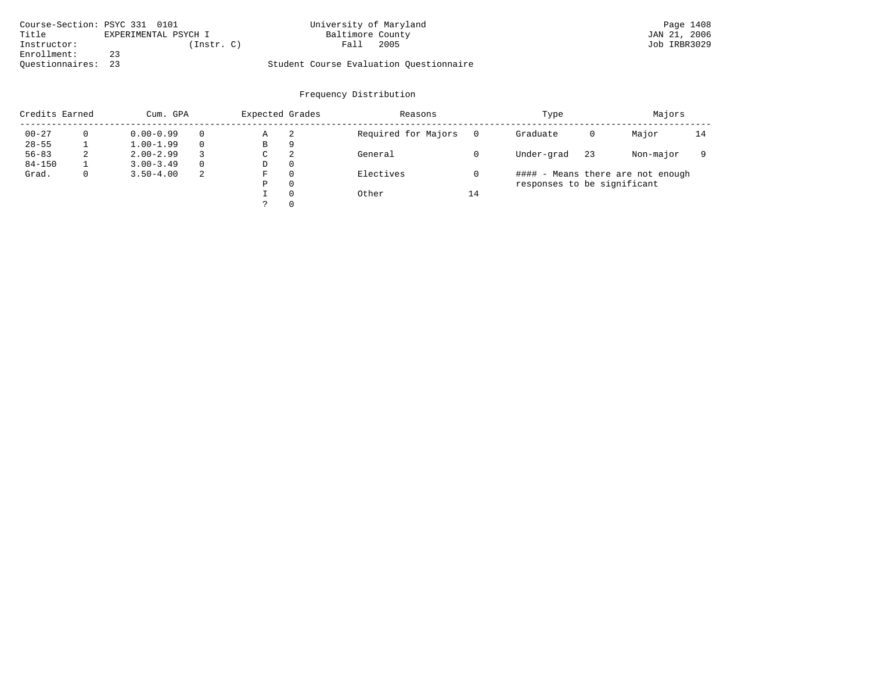| Course-Section: PSYC 331 0101 |                      | University of Maryland                  | Page 1408    |
|-------------------------------|----------------------|-----------------------------------------|--------------|
| Title                         | EXPERIMENTAL PSYCH I | Baltimore County                        | JAN 21, 2006 |
| Instructor:                   | (Instr. C)           | 2005<br>Fall                            | Job IRBR3029 |
| Enrollment:                   |                      |                                         |              |
| Ouestionnaires: 23            |                      | Student Course Evaluation Ouestionnaire |              |

| Credits Earned |              | Cum. GPA      | Expected Grades |    | Reasons  | Type                | Majors |                             |    |                                   |    |
|----------------|--------------|---------------|-----------------|----|----------|---------------------|--------|-----------------------------|----|-----------------------------------|----|
| $00 - 27$      |              | $0.00 - 0.99$ |                 | Α  | -2       | Required for Majors |        | Graduate                    | 0  | Major                             | 14 |
| $28 - 55$      |              | $1.00 - 1.99$ |                 | В  | 9        |                     |        |                             |    |                                   |    |
| $56 - 83$      | 2            | $2.00 - 2.99$ |                 | C. | 2        | General             |        | Under-grad                  | 23 | Non-major                         |    |
| $84 - 150$     |              | $3.00 - 3.49$ | $\Omega$        | D  | 0        |                     |        |                             |    |                                   |    |
| Grad.          | $\mathbf{0}$ | $3.50 - 4.00$ | -2              | F  | $\Omega$ | Electives           |        |                             |    | #### - Means there are not enough |    |
|                |              |               |                 | P  | $\Omega$ |                     |        | responses to be significant |    |                                   |    |
|                |              |               |                 |    | $\Omega$ | Other               | 14     |                             |    |                                   |    |
|                |              |               |                 |    | $\Omega$ |                     |        |                             |    |                                   |    |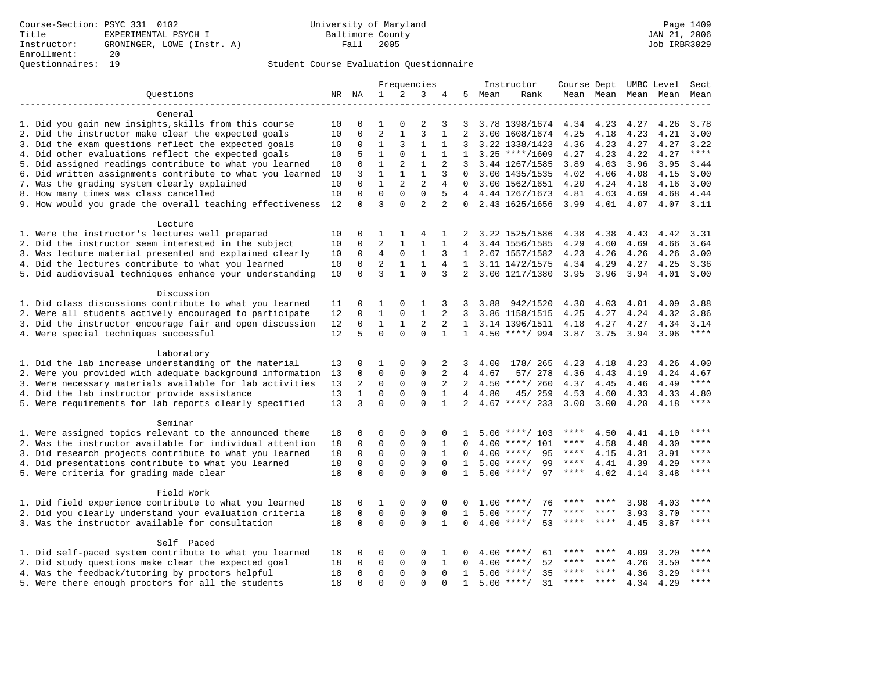|                                                           | Frequencies |                         |                | Instructor                     |                |                   |                     | Course Dept UMBC Level |                                 | Sect          |       |      |                          |               |
|-----------------------------------------------------------|-------------|-------------------------|----------------|--------------------------------|----------------|-------------------|---------------------|------------------------|---------------------------------|---------------|-------|------|--------------------------|---------------|
| Questions                                                 |             | NR NA                   | $\mathbf{1}$   | 2                              | 3              | 4                 |                     | 5 Mean                 | Rank                            |               |       |      | Mean Mean Mean Mean Mean |               |
|                                                           |             |                         |                |                                |                |                   |                     |                        |                                 |               |       |      |                          |               |
| General                                                   |             |                         | $\mathbf{1}$   |                                |                |                   |                     |                        |                                 |               |       |      |                          |               |
| 1. Did you gain new insights, skills from this course     | 10          | 0                       | $\overline{2}$ | $\mathbf 0$<br>$\mathbf{1}$    | 2<br>3         | 3                 | 3<br>$\overline{a}$ |                        | 3.78 1398/1674                  | 4.34 4.23     |       | 4.27 | 4.26                     | 3.78          |
| 2. Did the instructor make clear the expected goals       | 10          | 0                       | $\mathbf{1}$   | 3                              | $\mathbf{1}$   | 1<br>$\mathbf{1}$ | 3                   |                        | 3.00 1608/1674                  | 4.25          | 4.18  | 4.23 | 4.21                     | 3.00          |
| 3. Did the exam questions reflect the expected goals      | 10          | 0                       | $\mathbf{1}$   | $\Omega$                       | $\mathbf{1}$   | $\mathbf{1}$      |                     |                        | 3.22 1338/1423                  | 4.36          | 4.23  | 4.27 | 4.27                     | 3.22<br>$***$ |
| 4. Did other evaluations reflect the expected goals       | 10          | 5                       | $\mathbf{1}$   |                                | $\mathbf{1}$   |                   | $\mathbf{1}$<br>3   |                        | $3.25$ ****/1609                | 4.27          | 4.23  | 4.22 | 4.27                     |               |
| 5. Did assigned readings contribute to what you learned   | 10          | $\mathbf 0$             | $\mathbf{1}$   | $\overline{2}$<br>$\mathbf{1}$ | $\mathbf{1}$   | $\overline{2}$    |                     |                        | 3.44 1267/1585                  | 3.89          | 4.03  | 3.96 | 3.95                     | 3.44          |
| 6. Did written assignments contribute to what you learned | 10          | 3                       | $\mathbf{1}$   | $\overline{2}$                 | $\overline{a}$ | 3                 | $\Omega$            |                        | 3.00 1435/1535                  | 4.02          | 4.06  | 4.08 | 4.15                     | 3.00          |
| 7. Was the grading system clearly explained               | 10          | $\mathbf 0$<br>$\Omega$ | $\Omega$       | $\Omega$                       | $\Omega$       | 4<br>5            | $\Omega$            |                        | 3.00 1562/1651                  | 4.20          | 4.24  | 4.18 | 4.16                     | 3.00          |
| 8. How many times was class cancelled                     | 10          |                         | 3              | $\Omega$                       | $\overline{2}$ |                   | 4                   |                        | 4.44 1267/1673                  | 4.81 4.63     |       | 4.69 | 4.68                     | 4.44          |
| 9. How would you grade the overall teaching effectiveness | 12          | $\Omega$                |                |                                |                | 2                 | $\Omega$            |                        | 2.43 1625/1656                  |               |       |      | 3.99 4.01 4.07 4.07      | 3.11          |
| Lecture                                                   |             |                         |                |                                |                |                   |                     |                        |                                 |               |       |      |                          |               |
| 1. Were the instructor's lectures well prepared           | 10          | $\mathbf 0$             | 1              | $\mathbf{1}$                   | 4              | 1                 | 2                   |                        | 3.22 1525/1586                  | 4.38          | 4.38  | 4.43 | 4.42                     | 3.31          |
| 2. Did the instructor seem interested in the subject      | 10          | 0                       | $\overline{2}$ | $\mathbf{1}$                   | $\mathbf{1}$   | $\mathbf{1}$      | 4                   |                        | 3.44 1556/1585                  | 4.29          | 4.60  | 4.69 | 4.66                     | 3.64          |
| 3. Was lecture material presented and explained clearly   | 10          | $\mathbf 0$             | $\overline{4}$ | $\mathbf 0$                    | $\mathbf{1}$   | 3                 | $\mathbf{1}$        |                        | 2.67 1557/1582                  | 4.23          | 4.26  | 4.26 | 4.26                     | 3.00          |
| 4. Did the lectures contribute to what you learned        | 10          | $\mathbf 0$             | $\overline{2}$ | $\mathbf{1}$                   | $\mathbf{1}$   | 4                 | $\mathbf{1}$        |                        | 3.11 1472/1575                  | 4.34          | 4.29  | 4.27 | 4.25                     | 3.36          |
| 5. Did audiovisual techniques enhance your understanding  | 10          | $\Omega$                | 3              | $\mathbf{1}$                   | $\Omega$       | 3                 | $\overline{2}$      |                        | 3.00 1217/1380                  | 3.95 3.96     |       | 3.94 | 4.01                     | 3.00          |
|                                                           |             |                         |                |                                |                |                   |                     |                        |                                 |               |       |      |                          |               |
| Discussion                                                |             |                         |                |                                |                |                   |                     |                        |                                 |               |       |      |                          |               |
| 1. Did class discussions contribute to what you learned   | 11          | 0                       | 1              | 0                              | 1              | 3                 | 3                   | 3.88                   | 942/1520                        | 4.30          | 4.03  | 4.01 | 4.09                     | 3.88          |
| 2. Were all students actively encouraged to participate   | 12          | 0                       | $\mathbf{1}$   | $\mathsf 0$                    | $\mathbf{1}$   | 2                 | 3                   |                        | 3.86 1158/1515                  | 4.25          | 4.27  | 4.24 | 4.32                     | 3.86          |
| 3. Did the instructor encourage fair and open discussion  | 12          | 0                       | $\mathbf{1}$   | 1                              | 2              | 2                 |                     |                        | 1 3.14 1396/1511                | 4.18          | 4.27  | 4.27 | 4.34                     | 3.14          |
| 4. Were special techniques successful                     | 12          | 5                       | $\Omega$       | $\Omega$                       | $\Omega$       | $\mathbf{1}$      |                     |                        | 1 4.50 ****/ 994 3.87 3.75 3.94 |               |       |      | 3.96                     | $***$         |
| Laboratory                                                |             |                         |                |                                |                |                   |                     |                        |                                 |               |       |      |                          |               |
| 1. Did the lab increase understanding of the material     | 13          | $\Omega$                | 1              | $\Omega$                       | $\Omega$       | 2                 | 3                   | 4.00                   | 178/ 265                        | 4.23          | 4.18  | 4.23 | 4.26                     | 4.00          |
| 2. Were you provided with adequate background information | 13          | 0                       | $\mathbf 0$    | $\mathbf 0$                    | 0              | 2                 | 4                   | 4.67                   | 57/ 278                         | 4.36          | 4.43  | 4.19 | 4.24                     | 4.67          |
| 3. Were necessary materials available for lab activities  | 13          | 2                       | $\mathsf 0$    | $\mathbf 0$                    | 0              | 2                 | 2                   |                        | $4.50$ ****/ 260                | 4.37          | 4.45  | 4.46 | 4.49                     | $***$         |
| 4. Did the lab instructor provide assistance              | 13          | $\mathbf{1}$            | $\mathbf 0$    | $\mathbf 0$                    | $\mathbf 0$    | $\mathbf{1}$      | $\overline{4}$      | 4.80                   | 45/ 259                         | 4.53          | 4.60  | 4.33 | 4.33                     | 4.80          |
| 5. Were requirements for lab reports clearly specified    | 13          | 3                       | $\mathbf 0$    | $\Omega$                       | $\mathbf 0$    | $\mathbf{1}$      | $\overline{a}$      |                        | $4.67$ ****/ 233                | $3.00$ $3.00$ |       | 4.20 | 4.18                     | $***$         |
|                                                           |             |                         |                |                                |                |                   |                     |                        |                                 |               |       |      |                          |               |
| Seminar                                                   |             |                         |                |                                |                |                   |                     |                        |                                 |               |       |      |                          |               |
| 1. Were assigned topics relevant to the announced theme   | 18          | 0                       | 0              | $\mathbf 0$                    | 0              | 0                 | 1                   |                        | $5.00$ ****/ 103                | ****          | 4.50  | 4.41 | 4.10                     | ****          |
| 2. Was the instructor available for individual attention  | 18          | $\mathbf 0$             | $\mathbf 0$    | $\mathbf{0}$                   | $\mathbf 0$    | $\mathbf{1}$      | $\Omega$            |                        | 4.00 ****/ 101                  | ****          | 4.58  | 4.48 | 4.30                     | ****          |
| 3. Did research projects contribute to what you learned   | 18          | $\mathbf 0$             | $\mathbf 0$    | $\mathbf 0$                    | $\mathbf 0$    | $\mathbf{1}$      | $\Omega$            |                        | $4.00$ ****/<br>95              | $***$ * * *   | 4.15  | 4.31 | 3.91                     | $***$         |
| 4. Did presentations contribute to what you learned       | 18          | $\mathbf 0$             | $\mathbf 0$    | $\mathbf{0}$                   | $\mathbf 0$    | $\Omega$          | 1                   |                        | 99<br>$5.00$ ****/              | $***$ * * *   | 4.41  | 4.39 | 4.29                     | ****          |
| 5. Were criteria for grading made clear                   | 18          | $\mathbf 0$             | $\mathbf 0$    | $\Omega$                       | $\Omega$       | $\Omega$          | $\mathbf{1}$        |                        | 97<br>$5.00$ ****/              | $***$ * * *   | 4.02  | 4.14 | 3.48                     | ****          |
| Field Work                                                |             |                         |                |                                |                |                   |                     |                        |                                 |               |       |      |                          |               |
| 1. Did field experience contribute to what you learned    | 18          | 0                       | 1              | $\mathsf 0$                    | 0              | 0                 | 0                   |                        | $1.00$ ****/<br>76              |               |       | 3.98 | 4.03                     | ****          |
| 2. Did you clearly understand your evaluation criteria    | 18          | $\mathbf 0$             | $\mathbf 0$    | $\mathbf 0$                    | $\mathbf{0}$   | $\mathbf 0$       | 1                   |                        | $5.00$ ****/<br>77              | ****          | ****  | 3.93 | 3.70                     | ****          |
| 3. Was the instructor available for consultation          | 18          | $\Omega$                | $\mathbf 0$    | $\Omega$                       | $\Omega$       | 1                 | 0                   |                        | $4.00$ ****/<br>53              | ****          | ****  | 4.45 | 3.87                     | ****          |
|                                                           |             |                         |                |                                |                |                   |                     |                        |                                 |               |       |      |                          |               |
| Self Paced                                                |             |                         |                |                                |                |                   |                     |                        |                                 |               |       |      |                          |               |
| 1. Did self-paced system contribute to what you learned   | 18          | 0                       | 0              | $\mathbf 0$                    | 0              | 1                 | 0                   | 4.00                   | 61<br>$***$ /                   | ****          | ****  | 4.09 | 3.20                     | ****          |
| 2. Did study questions make clear the expected goal       | 18          | $\Omega$                | $\mathbf 0$    | $\mathbf 0$                    | 0              | $\mathbf{1}$      | $\Omega$            |                        | 52<br>$4.00$ ****/              | ****          | ****  | 4.26 | 3.50                     | ****          |
| 4. Was the feedback/tutoring by proctors helpful          | 18          | $\mathbf 0$             | $\mathbf 0$    | $\mathbf 0$                    | 0              | $\mathbf 0$       | $\mathbf{1}$        |                        | 35<br>$5.00$ ****/              | ****          | $***$ | 4.36 | 3.29                     | $***$         |
| 5. Were there enough proctors for all the students        | 18          | $\Omega$                | $\Omega$       | $\Omega$                       | $\Omega$       | $\Omega$          | $\mathbf{1}$        |                        | $5.00$ ****/<br>31              | ****          | ****  | 4.34 | 4.29                     | $***$ * * *   |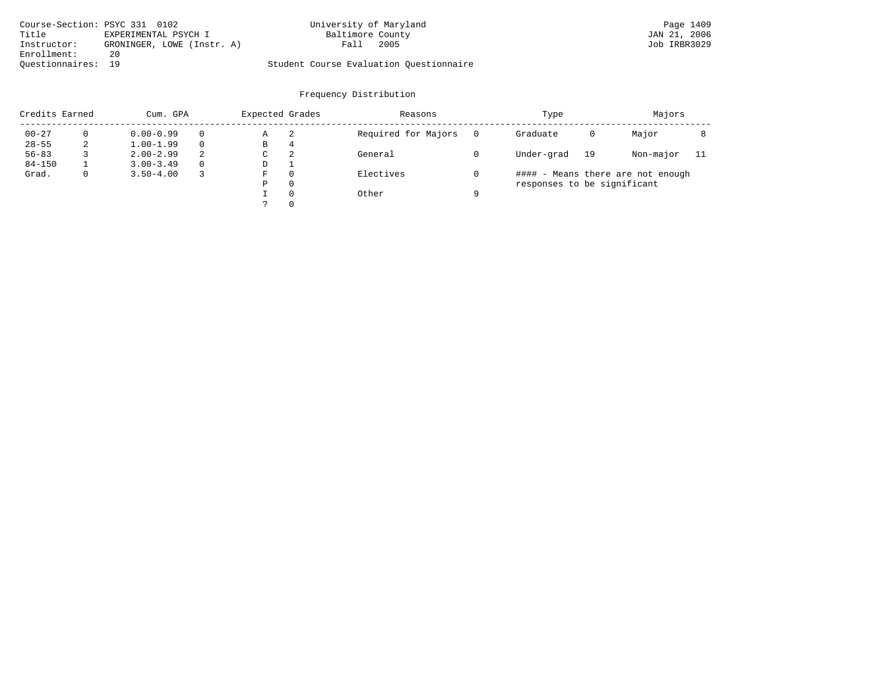| Course-Section: PSYC 331 0102 |                            | University of Maryland                  | Page 1409    |
|-------------------------------|----------------------------|-----------------------------------------|--------------|
| Title                         | EXPERIMENTAL PSYCH I       | Baltimore County                        | JAN 21, 2006 |
| Instructor:                   | GRONINGER, LOWE (Instr. A) | 2005<br>Fall                            | Job IRBR3029 |
| Enrollment:                   | 20                         |                                         |              |
| Ouestionnaires: 19            |                            | Student Course Evaluation Questionnaire |              |

| Credits Earned<br>Cum. GPA |  | Expected Grades |          | Reasons | Type     | Majors              |  |                             |    |                                   |     |
|----------------------------|--|-----------------|----------|---------|----------|---------------------|--|-----------------------------|----|-----------------------------------|-----|
| $00 - 27$                  |  | $0.00 - 0.99$   | $\Omega$ | Α       | 2        | Required for Majors |  | Graduate                    | 0  | Major                             |     |
| $28 - 55$                  |  | $1.00 - 1.99$   | $\Omega$ | В       | 4        |                     |  |                             |    |                                   |     |
| $56 - 83$                  |  | $2.00 - 2.99$   | 2        | C       | 2        | General             |  | Under-grad                  | 19 | Non-major                         | -11 |
| $84 - 150$                 |  | $3.00 - 3.49$   | $\Omega$ | D       |          |                     |  |                             |    |                                   |     |
| Grad.                      |  | $3.50 - 4.00$   |          | F       | $\Omega$ | Electives           |  |                             |    | #### - Means there are not enough |     |
|                            |  |                 |          | Ρ       | 0        |                     |  | responses to be significant |    |                                   |     |
|                            |  |                 |          |         | $\Omega$ | Other               |  |                             |    |                                   |     |
|                            |  |                 |          |         | $\Omega$ |                     |  |                             |    |                                   |     |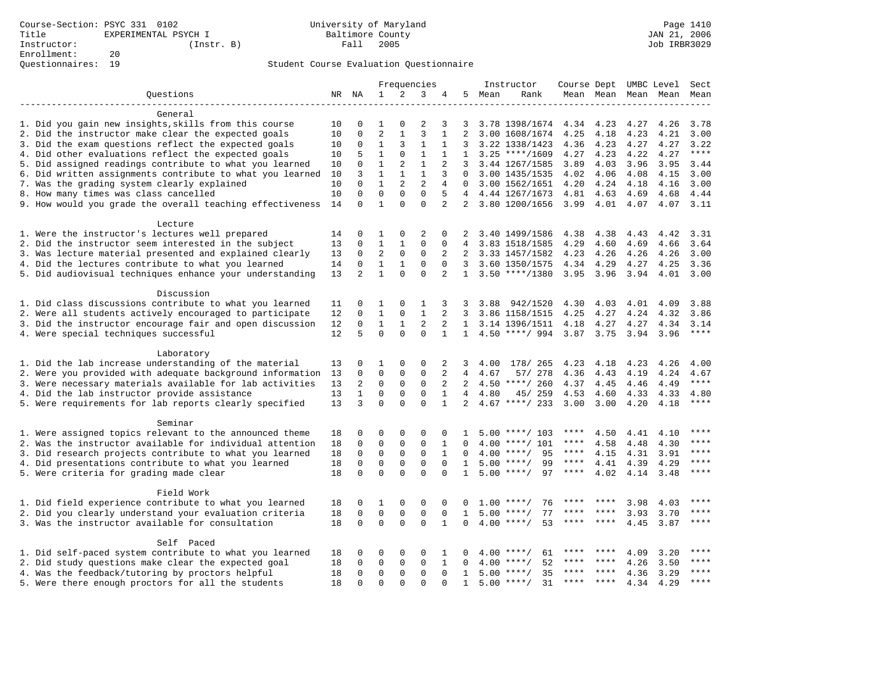|                                                                                                         | Frequencies |                |                   | Instructor     |                |                  | Course Dept UMBC Level Sect |        |                                  |              |              |              |                          |              |
|---------------------------------------------------------------------------------------------------------|-------------|----------------|-------------------|----------------|----------------|------------------|-----------------------------|--------|----------------------------------|--------------|--------------|--------------|--------------------------|--------------|
| Questions                                                                                               | NR NA       |                | $\mathbf{1}$      | 2              | 3              | 4                |                             | 5 Mean | Rank                             |              |              |              | Mean Mean Mean Mean Mean |              |
|                                                                                                         |             |                |                   |                |                |                  |                             |        |                                  |              |              |              |                          |              |
| General                                                                                                 |             |                |                   |                |                |                  |                             |        |                                  |              |              |              |                          |              |
| 1. Did you gain new insights, skills from this course                                                   | 10          | 0              | 1                 | $\Omega$       | $\overline{2}$ | 3                | 3                           |        | 3.78 1398/1674                   | 4.34         | 4.23         | 4.27         | 4.26                     | 3.78         |
| 2. Did the instructor make clear the expected goals                                                     | 10          | 0              | 2                 | 1              | 3              | 1                | 2                           |        | 3.00 1608/1674                   | 4.25         | 4.18         | 4.23         | 4.21                     | 3.00         |
| 3. Did the exam questions reflect the expected goals                                                    | 10          | 0              | $\mathbf{1}$      | 3              | $\mathbf{1}$   | 1                | 3                           |        | 3.22 1338/1423                   | 4.36         | 4.23         | 4.27         | 4.27                     | 3.22         |
| 4. Did other evaluations reflect the expected goals                                                     | 10          | 5              | $\mathbf{1}$      | $\Omega$       | $\mathbf{1}$   | 1                | $\mathbf{1}$                |        | $3.25$ ****/1609                 | 4.27         | 4.23         | 4.22         | 4.27                     | $***$        |
| 5. Did assigned readings contribute to what you learned                                                 | 10          | 0              | $\mathbf{1}$      | $\overline{c}$ | $1\,$          | $\overline{2}$   | 3                           |        | 3.44 1267/1585                   | 3.89         | 4.03         | 3.96         | 3.95                     | 3.44         |
| 6. Did written assignments contribute to what you learned                                               | 10          | 3              | $\mathbf{1}$      | $\mathbf{1}$   | $\mathbf{1}$   | 3                | $\Omega$                    |        | 3.00 1435/1535                   | 4.02         | 4.06         | 4.08         | 4.15                     | 3.00         |
| 7. Was the grading system clearly explained                                                             | 10          | $\Omega$       | $\mathbf{1}$      | 2              | $\overline{2}$ | 4                | $\Omega$                    |        | 3.00 1562/1651                   | 4.20         | 4.24         | 4.18         | 4.16                     | 3.00         |
| 8. How many times was class cancelled                                                                   | 10          | 0              | $\mathbf 0$       | $\mathbf 0$    | $\mathbf 0$    | 5                | $4\overline{ }$             |        | 4.44 1267/1673                   | 4.81         | 4.63         | 4.69         | 4.68                     | 4.44         |
| 9. How would you grade the overall teaching effectiveness                                               | 14          | $\Omega$       | $\mathbf{1}$      | $\Omega$       | $\Omega$       | $\overline{2}$   | 2                           |        | 3.80 1200/1656                   | 3.99         | 4.01         | 4.07         | 4.07                     | 3.11         |
|                                                                                                         |             |                |                   |                |                |                  |                             |        |                                  |              |              |              |                          |              |
| Lecture                                                                                                 |             |                |                   | 0              | 2              |                  |                             |        |                                  |              |              |              |                          |              |
| 1. Were the instructor's lectures well prepared<br>2. Did the instructor seem interested in the subject | 14<br>13    | 0<br>0         | 1<br>$\mathbf{1}$ | $\mathbf{1}$   | $\mathbf 0$    | 0<br>$\mathbf 0$ | 2<br>4                      |        | 3.40 1499/1586                   | 4.38<br>4.29 | 4.38         | 4.43         | 4.42<br>4.66             | 3.31<br>3.64 |
| 3. Was lecture material presented and explained clearly                                                 | 13          | 0              | 2                 | $\mathbf 0$    | $\mathbf 0$    | 2                | 2                           |        | 3.83 1518/1585<br>3.33 1457/1582 | 4.23         | 4.60<br>4.26 | 4.69<br>4.26 | 4.26                     | 3.00         |
| 4. Did the lectures contribute to what you learned                                                      | 14          | 0              | $\mathbf{1}$      | 1              | $\mathbf 0$    | $\mathbf 0$      | 3                           |        | 3.60 1350/1575                   | 4.34         | 4.29         |              | 4.25                     | 3.36         |
| 5. Did audiovisual techniques enhance your understanding                                                | 13          | $\overline{2}$ | $\mathbf{1}$      | $\Omega$       | $\mathbf 0$    | 2                | $\mathbf{1}$                |        | $3.50$ ****/1380                 | 3.95         | 3.96         | 4.27<br>3.94 | 4.01                     | 3.00         |
|                                                                                                         |             |                |                   |                |                |                  |                             |        |                                  |              |              |              |                          |              |
| Discussion                                                                                              |             |                |                   |                |                |                  |                             |        |                                  |              |              |              |                          |              |
| 1. Did class discussions contribute to what you learned                                                 | 11          | 0              | 1                 | $\Omega$       | 1              | 3                | 3                           | 3.88   | 942/1520                         | 4.30         | 4.03         | 4.01         | 4.09                     | 3.88         |
| 2. Were all students actively encouraged to participate                                                 | 12          | 0              | $\mathbf{1}$      | 0              | $\mathbf{1}$   | 2                | 3                           |        | 3.86 1158/1515                   | 4.25         | 4.27         | 4.24         | 4.32                     | 3.86         |
| 3. Did the instructor encourage fair and open discussion                                                | 12          | 0              | $\mathbf{1}$      | $\mathbf{1}$   | 2              | 2                |                             |        | 1 3.14 1396/1511                 | 4.18         | 4.27         | 4.27         | 4.34                     | 3.14         |
| 4. Were special techniques successful                                                                   | 12          | 5              | $\Omega$          | $\Omega$       | $\Omega$       | $\mathbf{1}$     |                             |        | 1 4.50 ****/ 994 3.87 3.75 3.94  |              |              |              | 3.96                     | ****         |
|                                                                                                         |             |                |                   |                |                |                  |                             |        |                                  |              |              |              |                          |              |
| Laboratory                                                                                              |             |                |                   |                |                |                  |                             |        |                                  |              |              |              |                          |              |
| 1. Did the lab increase understanding of the material                                                   | 13          | 0              | 1                 | $\Omega$       | $\Omega$       | 2                | 3                           | 4.00   | 178/ 265                         | 4.23         | 4.18         | 4.23         | 4.26                     | 4.00         |
| 2. Were you provided with adequate background information                                               | 13          | 0              | $\mathbf{0}$      | 0              | $\mathbf 0$    | 2                | 4                           | 4.67   | 57/ 278                          | 4.36         | 4.43         | 4.19         | 4.24                     | 4.67         |
| 3. Were necessary materials available for lab activities                                                | 13          | $\overline{2}$ | $\mathbf 0$       | $\mathbf 0$    | $\mathbf 0$    | 2                | 2                           |        | $4.50$ ****/ 260                 | 4.37         | 4.45         | 4.46         | 4.49                     | $***$        |
| 4. Did the lab instructor provide assistance                                                            | 13          | $\mathbf{1}$   | $\mathbf 0$       | $\mathbf 0$    | $\mathbf 0$    | $\mathbf{1}$     | 4                           | 4.80   | 45/ 259                          | 4.53         | 4.60         | 4.33         | 4.33                     | 4.80         |
| 5. Were requirements for lab reports clearly specified                                                  | 13          | 3              | $\Omega$          | $\Omega$       | $\Omega$       | $\mathbf{1}$     | $\overline{a}$              |        | $4.67$ ****/ 233                 | 3.00         | 3.00         | 4.20         | 4.18                     | ****         |
|                                                                                                         |             |                |                   |                |                |                  |                             |        |                                  |              |              |              |                          |              |
| Seminar                                                                                                 |             |                |                   |                |                |                  |                             |        |                                  |              |              |              |                          |              |
| 1. Were assigned topics relevant to the announced theme                                                 | 18          | 0              | $\Omega$          | $\Omega$       | $\Omega$       | $\Omega$         | 1                           |        | $5.00$ ****/ 103                 |              | 4.50         | 4.41         | 4.10                     |              |
| 2. Was the instructor available for individual attention                                                | 18          | 0              | $\mathbf 0$       | 0              | $\mathbf 0$    | 1                | 0                           | 4.00   | ****/ 101                        | ****         | 4.58         | 4.48         | 4.30                     | ****         |
| 3. Did research projects contribute to what you learned                                                 | 18          | 0              | $\mathsf 0$       | $\mathsf 0$    | $\mathsf 0$    | $\mathbf{1}$     | $\Omega$                    |        | $4.00$ ****/<br>95               | ****         | 4.15         | 4.31         | 3.91                     | ****         |
| 4. Did presentations contribute to what you learned                                                     | 18          | 0              | $\mathbf 0$       | 0              | $\mathbf 0$    | $\Omega$         | $\mathbf{1}$                |        | $5.00$ ****/<br>99               | $***$ * * *  | 4.41         | 4.39         | 4.29                     | ****         |
| 5. Were criteria for grading made clear                                                                 | 18          | 0              | $\mathbf 0$       | $\Omega$       | $\Omega$       | $\Omega$         | $\mathbf{1}$                |        | 97<br>$5.00$ ****/               | $***$ * * *  | 4.02         | 4.14         | 3.48                     | $***$        |
| Field Work                                                                                              |             |                |                   |                |                |                  |                             |        |                                  |              |              |              |                          |              |
| 1. Did field experience contribute to what you learned                                                  | 18          | 0              | 1                 | 0              | 0              | $\mathbf 0$      | 0                           |        | $1.00$ ****/<br>76               |              |              | 3.98         | 4.03                     | ****         |
| 2. Did you clearly understand your evaluation criteria                                                  | 18          | 0              | $\mathbf 0$       | $\mathbf 0$    | $\mathbf 0$    | $\mathbf 0$      | $\mathbf{1}$                |        | $5.00$ ****/<br>77               | ****         | ****         | 3.93         | 3.70                     | ****         |
| 3. Was the instructor available for consultation                                                        | 18          | $\Omega$       | $\mathbf 0$       | $\Omega$       | $\Omega$       | $\mathbf{1}$     | $\Omega$                    |        | $4.00$ ****/<br>53               | ****         | $***$        | 4.45         | 3.87                     | ****         |
|                                                                                                         |             |                |                   |                |                |                  |                             |        |                                  |              |              |              |                          |              |
| Self Paced                                                                                              |             |                |                   |                |                |                  |                             |        |                                  |              |              |              |                          |              |
| 1. Did self-paced system contribute to what you learned                                                 | 18          | 0              | 0                 | $\Omega$       | $\mathbf 0$    | 1                | 0                           | 4.00   | 61<br>$***$ /                    | ****         | ****         | 4.09         | 3.20                     | $***$ * * *  |
| 2. Did study questions make clear the expected goal                                                     | 18          | $\Omega$       | $\mathbf{0}$      | 0              | $\mathbf 0$    | 1                | $\Omega$                    | 4.00   | 52<br>$***$ /                    | ****         | ****         | 4.26         | 3.50                     | ****         |
| 4. Was the feedback/tutoring by proctors helpful                                                        | 18          | 0              | $\mathbf 0$       | 0              | $\mathbf 0$    | $\mathbf 0$      | 1                           |        | $5.00$ ****/<br>35               | ****         | ****         | 4.36         | 3.29                     | $***$        |
| 5. Were there enough proctors for all the students                                                      | 18          | $\Omega$       | $\Omega$          | $\Omega$       | $\Omega$       | $\Omega$         | $\mathbf{1}$                |        | $5.00$ ****/<br>31               | ****         | $***$        | 4.34         | 4.29                     | $***$ * * *  |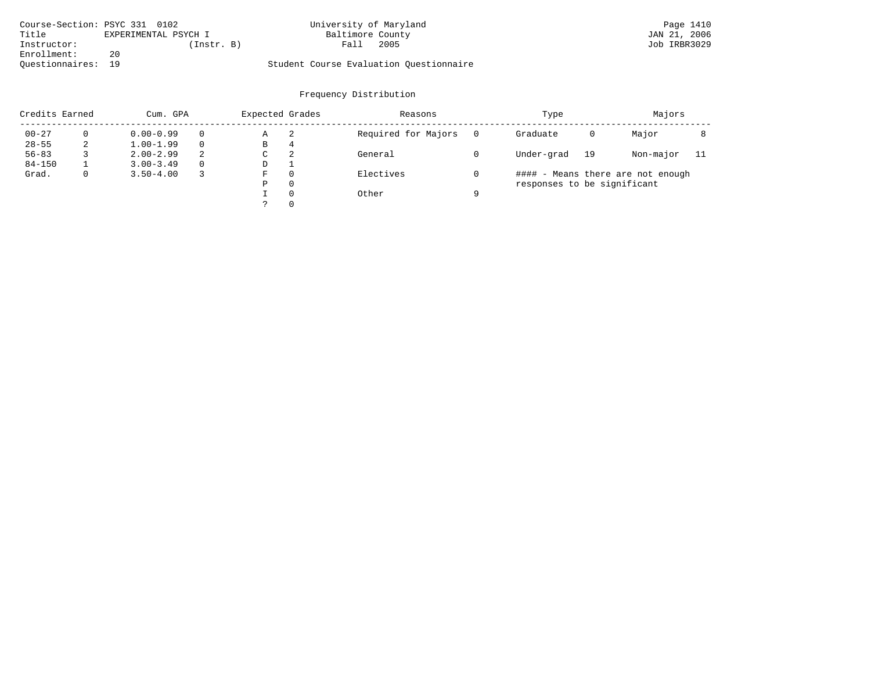| Course-Section: PSYC 331 0102 |                      | University of Maryland                  | Page 1410    |
|-------------------------------|----------------------|-----------------------------------------|--------------|
| Title                         | EXPERIMENTAL PSYCH I | Baltimore County                        | JAN 21, 2006 |
| Instructor:                   | (Instr. B)           | 2005<br>Fall                            | Job IRBR3029 |
| Enrollment:                   | 20                   |                                         |              |
| Ouestionnaires: 19            |                      | Student Course Evaluation Ouestionnaire |              |

| Credits Earned |          | Cum. GPA      |   |   | Expected Grades<br>Reasons |                     |          | Type                        |    | Majors                            |     |
|----------------|----------|---------------|---|---|----------------------------|---------------------|----------|-----------------------------|----|-----------------------------------|-----|
| $00 - 27$      | $\Omega$ | $0.00 - 0.99$ |   | Α | -2                         | Required for Majors | $\Omega$ | Graduate                    | 0  | Major                             |     |
| $28 - 55$      | 2        | $1.00 - 1.99$ |   | В | 4                          |                     |          |                             |    |                                   |     |
| $56 - 83$      |          | $2.00 - 2.99$ | 2 | C | 2                          | General             |          | Under-grad                  | 19 | Non-major                         | -11 |
| $84 - 150$     |          | $3.00 - 3.49$ |   | D |                            |                     |          |                             |    |                                   |     |
| Grad.          | 0        | $3.50 - 4.00$ |   | F | 0                          | Electives           |          |                             |    | #### - Means there are not enough |     |
|                |          |               |   | Ρ | 0                          |                     |          | responses to be significant |    |                                   |     |
|                |          |               |   |   | $\Omega$                   | Other               | a        |                             |    |                                   |     |
|                |          |               |   |   |                            |                     |          |                             |    |                                   |     |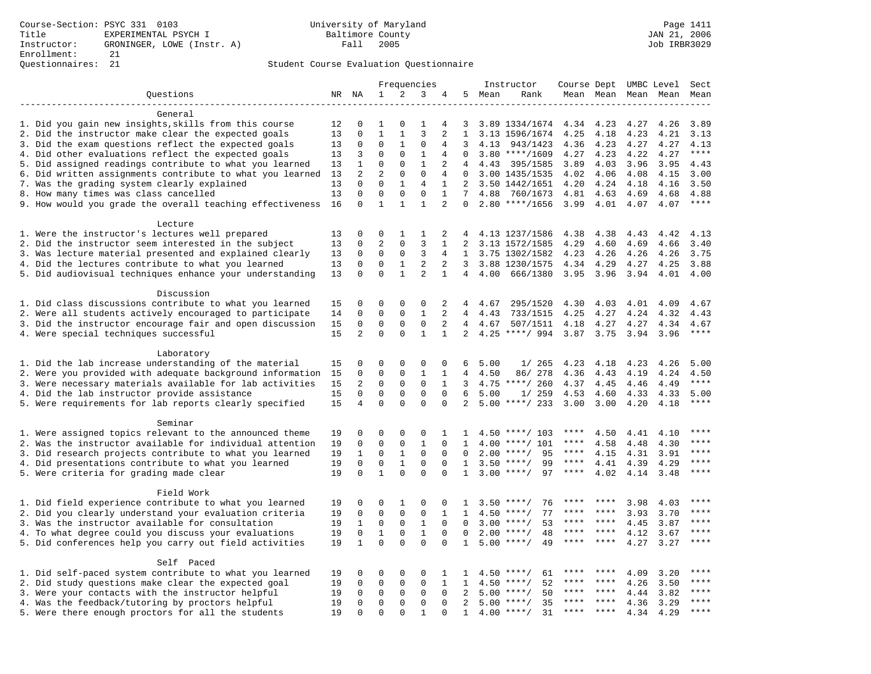|                                                           | Frequencies |                | Instructor     |              |                |                | Course Dept UMBC Level |      | Sect               |             |           |      |           |                  |
|-----------------------------------------------------------|-------------|----------------|----------------|--------------|----------------|----------------|------------------------|------|--------------------|-------------|-----------|------|-----------|------------------|
| Questions                                                 |             | NR NA          | $\mathbf{1}$   | 2            | 3              | 4              | 5                      | Mean | Rank               |             | Mean Mean |      | Mean Mean | Mean             |
|                                                           |             |                |                |              |                |                |                        |      |                    |             |           |      |           |                  |
| General                                                   |             |                |                |              |                |                |                        |      |                    |             |           |      |           |                  |
| 1. Did you gain new insights, skills from this course     | 12          | 0              | 1              | O            | 1              | 4              | 3                      |      | 3.89 1334/1674     | 4.34        | 4.23      | 4.27 | 4.26      | 3.89             |
| 2. Did the instructor make clear the expected goals       | 13          | 0              | $\mathbf{1}$   | $\mathbf{1}$ | 3              | $\overline{a}$ | $\mathbf{1}$           |      | 3.13 1596/1674     | 4.25        | 4.18      | 4.23 | 4.21      | 3.13             |
| 3. Did the exam questions reflect the expected goals      | 13          | $\mathbf 0$    | $\mathbf{0}$   | 1            | $\Omega$       | 4              | 3                      | 4.13 | 943/1423           | 4.36        | 4.23      | 4.27 | 4.27      | 4.13             |
| 4. Did other evaluations reflect the expected goals       | 13          | 3              | $\Omega$       | 0            | $\mathbf{1}$   | 4              | $\Omega$               |      | $3.80$ ****/1609   | 4.27        | 4.23      | 4.22 | 4.27      | $***$            |
| 5. Did assigned readings contribute to what you learned   | 13          | $\mathbf{1}$   | $\Omega$       | $\mathbf 0$  | $\mathbf{1}$   | 2              | 4                      | 4.43 | 395/1585           | 3.89        | 4.03      | 3.96 | 3.95      | 4.43             |
| 6. Did written assignments contribute to what you learned | 13          | $\overline{2}$ | $\overline{2}$ | 0            | $\mathbf 0$    | 4              | $\Omega$               |      | 3.00 1435/1535     | 4.02        | 4.06      | 4.08 | 4.15      | 3.00             |
| 7. Was the grading system clearly explained               | 13          | $\Omega$       | $\Omega$       | $\mathbf{1}$ | 4              | 1              | 2                      |      | 3.50 1442/1651     | 4.20        | 4.24      | 4.18 | 4.16      | 3.50             |
| 8. How many times was class cancelled                     | 13          | $\Omega$       | $\mathbf{0}$   | $\mathbf 0$  | $\mathbf 0$    | $\mathbf{1}$   | 7                      | 4.88 | 760/1673           | 4.81        | 4.63      | 4.69 | 4.68      | 4.88             |
| 9. How would you grade the overall teaching effectiveness | 16          | $\Omega$       | $\mathbf{1}$   | $\mathbf{1}$ | $\mathbf{1}$   | $\overline{2}$ | $\Omega$               |      | $2.80$ ****/1656   | 3.99        | 4.01      | 4.07 | 4.07      | $***$            |
| Lecture                                                   |             |                |                |              |                |                |                        |      |                    |             |           |      |           |                  |
| 1. Were the instructor's lectures well prepared           | 13          | $\Omega$       | $\Omega$       | 1            | 1              | 2              | 4                      |      | 4.13 1237/1586     | 4.38        | 4.38      | 4.43 | 4.42      | 4.13             |
| 2. Did the instructor seem interested in the subject      | 13          | 0              | $\overline{c}$ | 0            | 3              | $\mathbf{1}$   | $\overline{2}$         |      | 3.13 1572/1585     | 4.29        | 4.60      | 4.69 | 4.66      | 3.40             |
| 3. Was lecture material presented and explained clearly   | 13          | 0              | $\mathsf 0$    | $\mathsf 0$  | 3              | 4              | $\mathbf{1}$           |      | 3.75 1302/1582     | 4.23        | 4.26      | 4.26 | 4.26      | 3.75             |
| 4. Did the lectures contribute to what you learned        | 13          | 0              | $\mathbf 0$    | $\mathbf{1}$ | $\overline{c}$ | 2              | 3                      |      | 3.88 1230/1575     | 4.34        | 4.29      | 4.27 | 4.25      | 3.88             |
| 5. Did audiovisual techniques enhance your understanding  | 13          | $\Omega$       | $\Omega$       | $\mathbf{1}$ | $\overline{a}$ | $\mathbf{1}$   | $\overline{4}$         | 4.00 | 666/1380           | 3.95        | 3.96      | 3.94 | 4.01      | 4.00             |
|                                                           |             |                |                |              |                |                |                        |      |                    |             |           |      |           |                  |
| Discussion                                                |             |                |                |              |                |                |                        |      |                    |             |           |      |           |                  |
| 1. Did class discussions contribute to what you learned   | 15          | 0              | $\Omega$       | 0            | $\mathbf 0$    | 2              | 4                      | 4.67 | 295/1520           | 4.30        | 4.03      | 4.01 | 4.09      | 4.67             |
| 2. Were all students actively encouraged to participate   | 14          | $\Omega$       | $\Omega$       | $\Omega$     | $\mathbf{1}$   | $\overline{2}$ | $\overline{4}$         | 4.43 | 733/1515           | 4.25        | 4.27      | 4.24 | 4.32      | 4.43             |
| 3. Did the instructor encourage fair and open discussion  | 15          | 0              | $\mathbf{0}$   | 0            | $\mathbf 0$    | $\overline{2}$ | 4                      | 4.67 | 507/1511           | 4.18        | 4.27      | 4.27 | 4.34      | 4.67             |
| 4. Were special techniques successful                     | 15          | $\overline{a}$ | $\Omega$       | $\Omega$     | $\mathbf{1}$   | $\mathbf{1}$   | $\overline{a}$         |      | $4.25$ ****/ 994   | 3.87 3.75   |           | 3.94 | 3.96      | $***$            |
|                                                           |             |                |                |              |                |                |                        |      |                    |             |           |      |           |                  |
| Laboratory                                                |             |                |                |              |                |                |                        |      |                    |             |           |      |           |                  |
| 1. Did the lab increase understanding of the material     | 15          | $\Omega$       | $\Omega$       | $\Omega$     | $\Omega$       | $\Omega$       | 6                      | 5.00 | 1/265              | 4.23        | 4.18      | 4.23 | 4.26      | 5.00             |
| 2. Were you provided with adequate background information | 15          | 0              | $\mathbf 0$    | 0            | $\mathbf{1}$   | 1              | 4                      | 4.50 | 86/ 278            | 4.36        | 4.43      | 4.19 | 4.24      | 4.50             |
| 3. Were necessary materials available for lab activities  | 15          | $\overline{2}$ | $\mathsf 0$    | $\mathsf 0$  | $\mathsf 0$    | $\mathbf{1}$   | 3                      |      | $4.75$ ****/ 260   | 4.37        | 4.45      | 4.46 | 4.49      | $***$            |
| 4. Did the lab instructor provide assistance              | 15          | $\Omega$       | $\mathbf 0$    | 0            | $\mathbf 0$    | $\Omega$       | 6                      | 5.00 | 1/259              | 4.53        | 4.60      | 4.33 | 4.33      | 5.00             |
| 5. Were requirements for lab reports clearly specified    | 15          | 4              | $\mathbf 0$    | $\Omega$     | $\Omega$       | $\Omega$       | 2                      |      | $5.00$ ****/ 233   | 3.00        | 3.00      | 4.20 | 4.18      | $***$            |
|                                                           |             |                |                |              |                |                |                        |      |                    |             |           |      |           |                  |
| Seminar                                                   |             |                |                |              |                |                |                        |      |                    |             |           |      |           |                  |
| 1. Were assigned topics relevant to the announced theme   | 19          | 0              | $\mathbf 0$    | $\mathbf 0$  | $\mathbf 0$    | 1              | 1.                     |      | $4.50$ ****/ 103   | ****        | 4.50      | 4.41 | 4.10      |                  |
| 2. Was the instructor available for individual attention  | 19          | 0              | $\Omega$       | $\mathbf 0$  | $\mathbf{1}$   | $\Omega$       | $\mathbf{1}$           |      | $4.00$ ****/ 101   | ****        | 4.58      | 4.48 | 4.30      | ****             |
| 3. Did research projects contribute to what you learned   | 19          | $\mathbf{1}$   | $\mathbf 0$    | $\mathbf{1}$ | $\mathbf 0$    | $\mathbf 0$    | $\Omega$               | 2.00 | 95<br>$***$ /      | $***$ * *   | 4.15      | 4.31 | 3.91      | ****             |
| 4. Did presentations contribute to what you learned       | 19          | $\Omega$       | $\mathbf 0$    | $\mathbf{1}$ | $\mathbf 0$    | $\Omega$       | $\mathbf{1}$           | 3.50 | $***/$<br>99       | $***$ * * * | 4.41      | 4.39 | 4.29      | $***$            |
| 5. Were criteria for grading made clear                   | 19          | $\Omega$       | $\mathbf{1}$   | $\Omega$     | $\Omega$       | $\Omega$       | $\mathbf{1}$           |      | $3.00$ ****/<br>97 | ****        | 4.02      | 4.14 | 3.48      | ****             |
| Field Work                                                |             |                |                |              |                |                |                        |      |                    |             |           |      |           |                  |
| 1. Did field experience contribute to what you learned    | 19          | 0              | 0              | 1            | 0              | 0              | 1                      |      | $3.50$ ****/<br>76 |             |           | 3.98 | 4.03      | $***$ * * *      |
|                                                           |             |                | $\mathsf 0$    |              | $\mathsf 0$    |                |                        |      | 77                 | ****        | ****      |      |           | ****             |
| 2. Did you clearly understand your evaluation criteria    | 19          | 0              |                | 0            |                | 1              | 1                      |      | $4.50$ ****/       | ****        |           | 3.93 | 3.70      | ****             |
| 3. Was the instructor available for consultation          | 19          | 1              | $\mathbf 0$    | $\mathbf 0$  | $\mathbf{1}$   | $\Omega$       | $\Omega$               |      | $3.00$ ****/<br>53 | ****        | ****      | 4.45 | 3.87      |                  |
| 4. To what degree could you discuss your evaluations      | 19          | $\mathbf 0$    | $\mathbf{1}$   | $\mathbf 0$  | $\mathbf{1}$   | $\mathbf 0$    | 0                      | 2.00 | 48<br>$***$ /      |             | ****      | 4.12 | 3.67      | $***$<br>* * * * |
| 5. Did conferences help you carry out field activities    | 19          | $\mathbf{1}$   | $\Omega$       | $\Omega$     | $\Omega$       | $\Omega$       | $\mathbf{1}$           | 5.00 | 49<br>$* * * * /$  |             |           | 4.27 | 3.27      |                  |
| Self Paced                                                |             |                |                |              |                |                |                        |      |                    |             |           |      |           |                  |
| 1. Did self-paced system contribute to what you learned   | 19          | 0              | $\mathbf 0$    | 0            | $\mathbf 0$    | 1              | 1                      |      | 61<br>$4.50$ ****/ |             |           | 4.09 | 3.20      | ****             |
| 2. Did study questions make clear the expected goal       | 19          | 0              | $\mathbf 0$    | $\mathbf 0$  | $\mathbf 0$    | 1              | 1                      | 4.50 | 52<br>$***$ /      |             |           | 4.26 | 3.50      | $***$            |
| 3. Were your contacts with the instructor helpful         | 19          | $\Omega$       | $\mathbf 0$    | $\mathbf 0$  | $\mathbf 0$    | $\Omega$       | 2                      | 5.00 | 50<br>$***/$       | ****        | ****      | 4.44 | 3.82      | ****             |
| 4. Was the feedback/tutoring by proctors helpful          | 19          | $\Omega$       | $\Omega$       | $\Omega$     | $\Omega$       | $\Omega$       | $\overline{2}$         | 5.00 | $***/$<br>35       | ****        | ****      | 4.36 | 3.29      | ****             |
| 5. Were there enough proctors for all the students        | 19          | $\Omega$       | $\Omega$       | $\Omega$     | $\mathbf{1}$   | $\Omega$       | $\mathbf{1}$           |      | 31<br>$4.00$ ****/ | ****        | ****      | 4.34 | 4.29      | ****             |
|                                                           |             |                |                |              |                |                |                        |      |                    |             |           |      |           |                  |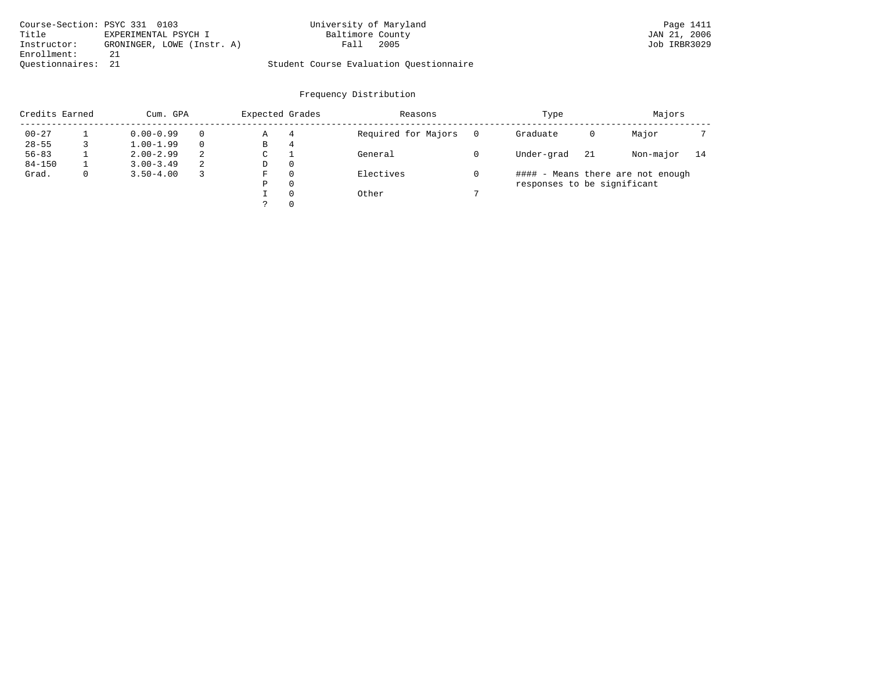| Course-Section: PSYC 331 0103 |                            | University of Maryland                  | Page 1411    |
|-------------------------------|----------------------------|-----------------------------------------|--------------|
| Title                         | EXPERIMENTAL PSYCH I       | Baltimore County                        | JAN 21, 2006 |
| Instructor:                   | GRONINGER, LOWE (Instr. A) | 2005<br>Fall                            | Job IRBR3029 |
| Enrollment:                   | 21                         |                                         |              |
| Ouestionnaires: 21            |                            | Student Course Evaluation Questionnaire |              |

| Credits Earned |             |               | Expected Grades<br>Cum. GPA |   |          | Reasons             | Type | Majors                      |    |                                   |    |
|----------------|-------------|---------------|-----------------------------|---|----------|---------------------|------|-----------------------------|----|-----------------------------------|----|
| $00 - 27$      |             | $0.00 - 0.99$ |                             | Α | 4        | Required for Majors |      | Graduate                    | 0  | Major                             |    |
| $28 - 55$      |             | $1.00 - 1.99$ |                             | В | 4        |                     |      |                             |    |                                   |    |
| $56 - 83$      |             | $2.00 - 2.99$ | 2                           | C |          | General             |      | Under-grad                  | 21 | Non-major                         | 14 |
| $84 - 150$     |             | $3.00 - 3.49$ | -2                          | D | $\Omega$ |                     |      |                             |    |                                   |    |
| Grad.          | $\mathbf 0$ | $3.50 - 4.00$ |                             | F | $\Omega$ | Electives           |      |                             |    | #### - Means there are not enough |    |
|                |             |               |                             | Ρ | $\Omega$ |                     |      | responses to be significant |    |                                   |    |
|                |             |               |                             |   | $\Omega$ | Other               |      |                             |    |                                   |    |
|                |             |               |                             |   | $\Omega$ |                     |      |                             |    |                                   |    |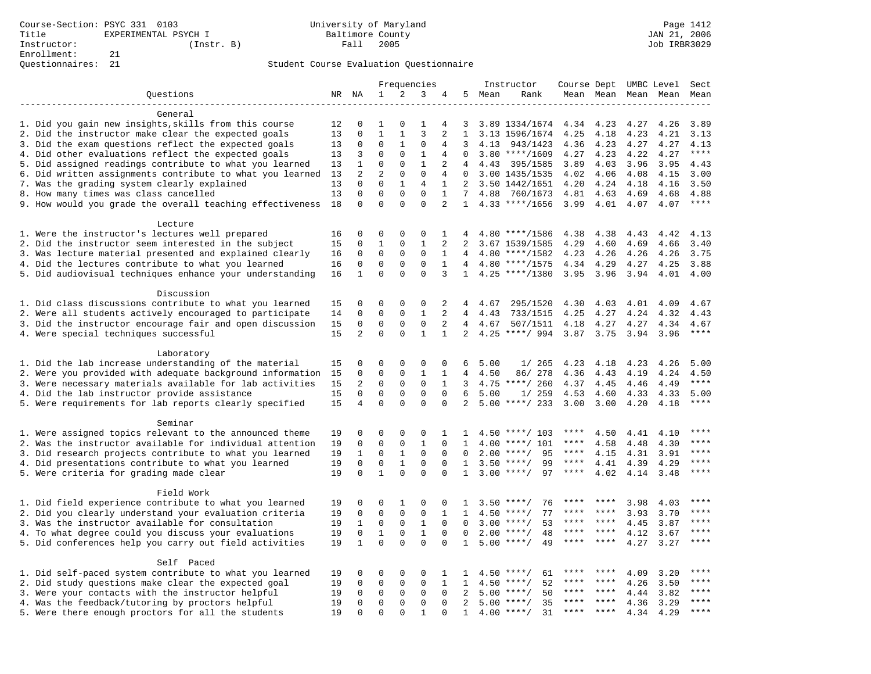| $\mathbf{1}$<br>2<br>3<br>Questions<br>NR NA<br>5<br>Mean<br>Rank<br>Mean Mean<br>4                                                                                                                                                                                                                |              | Mean Mean    | Mean            |
|----------------------------------------------------------------------------------------------------------------------------------------------------------------------------------------------------------------------------------------------------------------------------------------------------|--------------|--------------|-----------------|
|                                                                                                                                                                                                                                                                                                    |              |              |                 |
|                                                                                                                                                                                                                                                                                                    |              |              |                 |
| General                                                                                                                                                                                                                                                                                            |              |              |                 |
| 1. Did you gain new insights, skills from this course<br>3.89 1334/1674<br>4.23<br>12<br>0<br>1<br>$\Omega$<br>1<br>4<br>3<br>4.34                                                                                                                                                                 | 4.27         | 4.26         | 3.89            |
| 2. Did the instructor make clear the expected goals<br>13<br>$\mathbf 0$<br>$\mathbf{1}$<br>$\mathbf{1}$<br>3<br>2<br>$\mathbf{1}$<br>3.13 1596/1674<br>4.25<br>4.18                                                                                                                               | 4.23         | 4.21         | 3.13            |
| 3. Did the exam questions reflect the expected goals<br>13<br>0<br>0<br>1<br>0<br>3<br>943/1423<br>4.36<br>4.23<br>4<br>4.13                                                                                                                                                                       | 4.27         | 4.27         | 4.13            |
| 4. Did other evaluations reflect the expected goals<br>3<br>$\mathbf 0$<br>$\mathbf 0$<br>$\mathbf{1}$<br>$\Omega$<br>$3.80$ ****/1609<br>4.27<br>4.23<br>13<br>$\overline{4}$                                                                                                                     | 4.22         | 4.27         | $***$           |
| $\mathbf{1}$<br>5. Did assigned readings contribute to what you learned<br>$\mathbf{1}$<br>$\mathbf 0$<br>$\mathbf{0}$<br>2<br>3.89<br>13<br>4<br>4.43<br>395/1585<br>4.03                                                                                                                         | 3.96         | 3.95         | 4.43            |
| $\overline{2}$<br>$\overline{a}$<br>$\Omega$<br>6. Did written assignments contribute to what you learned<br>$\mathbf{0}$<br>13<br>4<br>$\Omega$<br>3.00 1435/1535<br>4.02<br>4.06                                                                                                                 | 4.08         | 4.15         | 3.00            |
| 7. Was the grading system clearly explained<br>13<br>$\Omega$<br>$\Omega$<br>$\mathbf{1}$<br>$\overline{4}$<br>$\mathbf{1}$<br>2<br>3.50 1442/1651<br>4.20<br>4.24<br>$\mathbf 0$<br>$\mathbf 0$<br>$\mathbf 0$                                                                                    | 4.18         | 4.16         | 3.50            |
| 8. How many times was class cancelled<br>13<br>$\mathbf 0$<br>$\mathbf{1}$<br>7<br>760/1673<br>4.81<br>4.88<br>4.63<br>$\Omega$<br>$\Omega$<br>$\overline{2}$<br>18<br>$\Omega$<br>$\Omega$<br>$4.33$ ****/1656<br>3.99<br>$\mathbf{1}$                                                            | 4.69<br>4.07 | 4.68<br>4.07 | 4.88<br>****    |
| 9. How would you grade the overall teaching effectiveness<br>4.01                                                                                                                                                                                                                                  |              |              |                 |
| Lecture                                                                                                                                                                                                                                                                                            |              |              |                 |
| 1. Were the instructor's lectures well prepared<br>0<br>0<br>0<br>0<br>$\mathbf 1$<br>16<br>4<br>$4.80$ ****/1586<br>4.38<br>4.38                                                                                                                                                                  | 4.43         | 4.42         | 4.13            |
| 2. Did the instructor seem interested in the subject<br>$\mathbf{1}$<br>$\mathbf{1}$<br>15<br>0<br>0<br>2<br>2<br>4.29<br>4.60<br>3.67 1539/1585                                                                                                                                                   | 4.69         | 4.66         | 3.40            |
| 3. Was lecture material presented and explained clearly<br>0<br>$\mathbf 0$<br>$\mathbf 0$<br>$\mathbf{1}$<br>0<br>$4.80$ ****/1582<br>4.23<br>4.26<br>16<br>$\overline{4}$                                                                                                                        | 4.26         | 4.26         | 3.75            |
| 4. Did the lectures contribute to what you learned<br>$\mathbf 0$<br>$\mathbf 0$<br>$\mathbf 0$<br>$\Omega$<br>$\mathbf{1}$<br>4.34<br>4.29<br>16<br>$\overline{4}$<br>$4.80$ ****/1575                                                                                                            | 4.27         | 4.25         | 3.88            |
| 5. Did audiovisual techniques enhance your understanding<br>$\mathbf{1}$<br>$\Omega$<br>$\Omega$<br>$\Omega$<br>3<br>$4.25$ ****/1380<br>3.95<br>3.96<br>16<br>$\mathbf{1}$                                                                                                                        | 3.94         | 4.01         | 4.00            |
|                                                                                                                                                                                                                                                                                                    |              |              |                 |
| Discussion                                                                                                                                                                                                                                                                                         |              |              |                 |
| 1. Did class discussions contribute to what you learned<br>0<br>0<br>0<br>0<br>2<br>4.30<br>4.03<br>15<br>4<br>4.67<br>295/1520                                                                                                                                                                    | 4.01         | 4.09         | 4.67            |
| $\mathbf 0$<br>$\mathbf 0$<br>$\mathbf{1}$<br>2<br>2. Were all students actively encouraged to participate<br>0<br>4<br>4.43<br>733/1515<br>4.25<br>4.27<br>14                                                                                                                                     | 4.24         | 4.32         | 4.43            |
| 3. Did the instructor encourage fair and open discussion<br>0<br>$\mathbf{0}$<br>$\mathbf 0$<br>2<br>15<br>0<br>4<br>507/1511<br>4.18<br>4.27<br>4.67                                                                                                                                              | 4.27         | 4.34         | 4.67            |
| 4. Were special techniques successful<br>15<br>$\overline{a}$<br>$\Omega$<br>$\Omega$<br>$\mathbf{1}$<br>$\mathbf{1}$<br>$\overline{2}$<br>$4.25$ ****/ 994<br>3.87<br>3.75                                                                                                                        | 3.94         | 3.96         | $***$           |
|                                                                                                                                                                                                                                                                                                    |              |              |                 |
| Laboratory                                                                                                                                                                                                                                                                                         |              |              |                 |
| 1. Did the lab increase understanding of the material<br>0<br>$\mathsf 0$<br>$\mathsf 0$<br>15<br>0<br>0<br>6<br>5.00<br>1/265<br>4.23<br>4.18                                                                                                                                                     | 4.23         | 4.26         | 5.00            |
| 2. Were you provided with adequate background information<br>0<br>$\mathbf{1}$<br>15<br>0<br>0<br>1<br>4<br>4.50<br>86/ 278<br>4.36<br>4.43                                                                                                                                                        | 4.19         | 4.24         | 4.50            |
| 3. Were necessary materials available for lab activities<br>15<br>2<br>$\mathbf 0$<br>$\mathbf 0$<br>$\mathbf 0$<br>$\mathbf{1}$<br>3<br>$4.75$ ****/ 260<br>4.37<br>4.45                                                                                                                          | 4.46         | 4.49         | $***$           |
| 4. Did the lab instructor provide assistance<br>$\mathbf 0$<br>$\mathbf 0$<br>$\mathbf{0}$<br>$\Omega$<br>15<br>0<br>6<br>5.00<br>1/259<br>4.53<br>4.60                                                                                                                                            | 4.33         | 4.33         | 5.00            |
| 15<br>$\mathbf 0$<br>$\Omega$<br>$\mathbf{0}$<br>$\mathbf 0$<br>2<br>5. Were requirements for lab reports clearly specified<br>4<br>$5.00$ ****/ 233<br>3.00<br>3.00                                                                                                                               | 4.20         | 4.18         | $***$           |
|                                                                                                                                                                                                                                                                                                    |              |              |                 |
| Seminar                                                                                                                                                                                                                                                                                            |              |              |                 |
| 1. Were assigned topics relevant to the announced theme<br>19<br>0<br>0<br>$\Omega$<br>0<br>1<br>****<br>4.50<br>$\mathbf{1}$<br>$4.50$ ****/ 103<br>****                                                                                                                                          | 4.41         | 4.10         | ****<br>* * * * |
| 2. Was the instructor available for individual attention<br>$\mathbf 0$<br>$\mathbf 0$<br>$\mathbf 0$<br>$\mathbf{1}$<br>$\mathbf 0$<br>19<br>1<br>$4.00$ ****/ 101<br>4.58<br>$***$ * *                                                                                                           | 4.48         | 4.30         | ****            |
| $\mathbf 0$<br>$\,1$<br>$\mathsf 0$<br>3. Did research projects contribute to what you learned<br>19<br>$\mathbf{1}$<br>$\mathbf 0$<br>$2.00$ ****/<br>95<br>4.15<br>$\mathbf 0$<br>$\mathbf 0$<br>$\mathsf 0$<br>$\mathbf{1}$<br>99<br>$***$ * * *<br>$\mathbf 0$<br>$\mathbf{1}$<br>$3.50$ ****/ | 4.31         | 3.91         | $***$           |
| 4. Did presentations contribute to what you learned<br>19<br>$\mathsf 0$<br>4.41<br>$\mathbf{1}$<br>$\Omega$<br>$\Omega$<br>5. Were criteria for grading made clear<br>19<br>$\Omega$<br>$\Omega$<br>$3.00$ ****/<br>97<br>$***$ * * *<br>4.02<br>1                                                | 4.39<br>4.14 | 4.29<br>3.48 | ****            |
|                                                                                                                                                                                                                                                                                                    |              |              |                 |
| Field Work                                                                                                                                                                                                                                                                                         |              |              |                 |
| 1. Did field experience contribute to what you learned<br>19<br>0<br>0<br>1<br>0<br>$\mathbf 0$<br>$3.50$ ****/<br>76<br>****<br>1<br>****                                                                                                                                                         | 3.98         | 4.03         | ****            |
| 2. Did you clearly understand your evaluation criteria<br>$\mathbf 0$<br>$\mathbf 0$<br>$\mathbf 0$<br>$\mathbf 0$<br>77<br>19<br>1<br>$\mathbf{1}$<br>$4.50$ ****/<br>****<br>****                                                                                                                | 3.93         | 3.70         | $***$ * * *     |
| $\mathbf{1}$<br>3. Was the instructor available for consultation<br>19<br>$\mathbf{1}$<br>$\mathbf 0$<br>$\mathbf 0$<br>$\Omega$<br>$3.00$ ****/<br>53<br>$\Omega$<br>****<br>****                                                                                                                 | 4.45         | 3.87         | ****            |
| $1\,$<br>$\,1$<br>4. To what degree could you discuss your evaluations<br>19<br>$\mathbf 0$<br>$\mathbf{0}$<br>$\Omega$<br>2.00<br>$***$ /<br>48<br>$***$<br>$***$ *<br>$\Omega$                                                                                                                   | 4.12         | 3.67         | $***$           |
| $\mathbf{1}$<br>$\Omega$<br>$\Omega$<br>$\Omega$<br>5. Did conferences help you carry out field activities<br>19<br>$\Omega$<br>$5.00$ ****/<br>49<br>****<br>$* * * *$<br>$\mathbf{1}$                                                                                                            | 4.27         | 3.27         | ****            |
|                                                                                                                                                                                                                                                                                                    |              |              |                 |
| Self Paced                                                                                                                                                                                                                                                                                         |              |              |                 |
| 1. Did self-paced system contribute to what you learned<br>0<br>0<br>0<br>61<br>19<br>0<br>1<br>1<br>$4.50$ ****/                                                                                                                                                                                  | 4.09         | 3.20         | ****            |
| 2. Did study questions make clear the expected goal<br>19<br>$\mathbf 0$<br>$\mathbf 0$<br>$\mathbf 0$<br>$\mathbf{1}$<br>52<br>0<br>1<br>$4.50$ ****/<br>****<br>****                                                                                                                             | 4.26         | 3.50         | ****            |
| 3. Were your contacts with the instructor helpful<br>$\mathbf 0$<br>50<br>19<br>$\Omega$<br>$\mathbf 0$<br>$\mathbf 0$<br>$\Omega$<br>2<br>5.00<br>$***/$<br>****<br>****                                                                                                                          | 4.44         | 3.82         | $***$ * * *     |
| $\mathbf 0$<br>$\mathbf 0$<br>$\mathbf{0}$<br>$\Omega$<br>$\overline{2}$<br>35<br>4. Was the feedback/tutoring by proctors helpful<br>19<br>0<br>$5.00$ ****/<br>****<br>****                                                                                                                      | 4.36         | 3.29         | ****            |
| 5. Were there enough proctors for all the students<br>19<br>$\Omega$<br>$\mathbf{1}$<br>4.00<br>$***$ /<br>31<br>$\Omega$<br>$\Omega$<br>$\Omega$<br>$\mathbf{1}$<br>****                                                                                                                          | 4.34         | 4.29         | $***$           |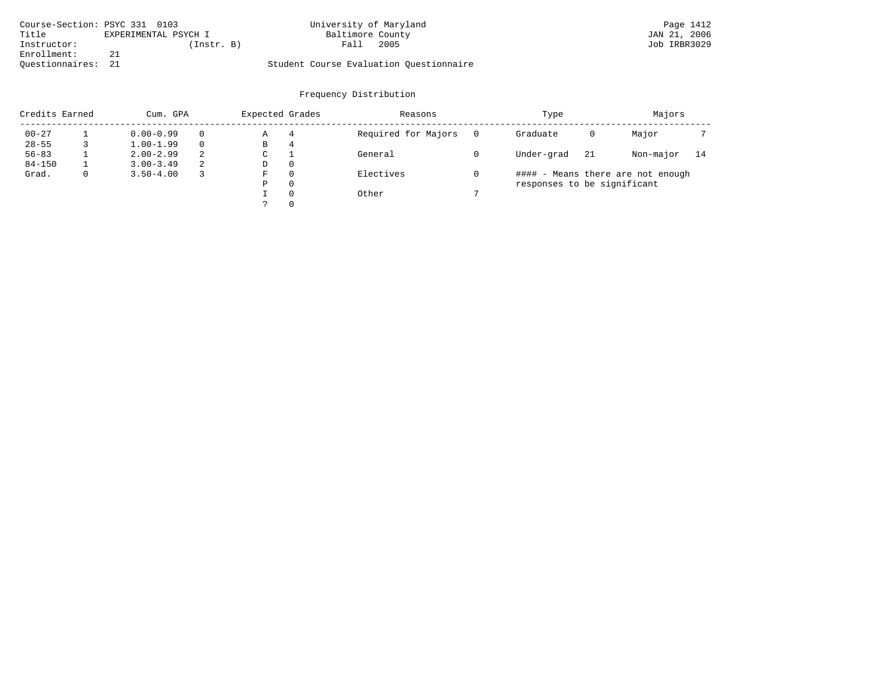| Course-Section: PSYC 331 0103 |                      | University of Maryland                  | Page 1412    |
|-------------------------------|----------------------|-----------------------------------------|--------------|
| Title                         | EXPERIMENTAL PSYCH I | Baltimore County                        | JAN 21, 2006 |
| Instructor:                   | (Instr. B)           | 2005<br>Fall                            | Job IRBR3029 |
| Enrollment:                   |                      |                                         |              |
| Ouestionnaires: 21            |                      | Student Course Evaluation Ouestionnaire |              |

| Credits Earned |   | Cum. GPA      |          | Expected Grades |   | Reasons             | Type                        |     | Majors                            |    |
|----------------|---|---------------|----------|-----------------|---|---------------------|-----------------------------|-----|-----------------------------------|----|
| $00 - 27$      |   | $0.00 - 0.99$ | $\Omega$ | Α               | 4 | Required for Majors | Graduate                    | 0   | Major                             |    |
| $28 - 55$      |   | $1.00 - 1.99$ | $\Omega$ | В               | 4 |                     |                             |     |                                   |    |
| $56 - 83$      |   | $2.00 - 2.99$ | 2        | С               |   | General             | Under-grad                  | -21 | Non-major                         | 14 |
| $84 - 150$     |   | $3.00 - 3.49$ | -2       | D               | 0 |                     |                             |     |                                   |    |
| Grad.          | 0 | $3.50 - 4.00$ | 3        | F               | 0 | Electives           |                             |     | #### - Means there are not enough |    |
|                |   |               |          | Ρ               | 0 |                     | responses to be significant |     |                                   |    |
|                |   |               |          |                 | 0 | Other               |                             |     |                                   |    |
|                |   |               |          |                 | 0 |                     |                             |     |                                   |    |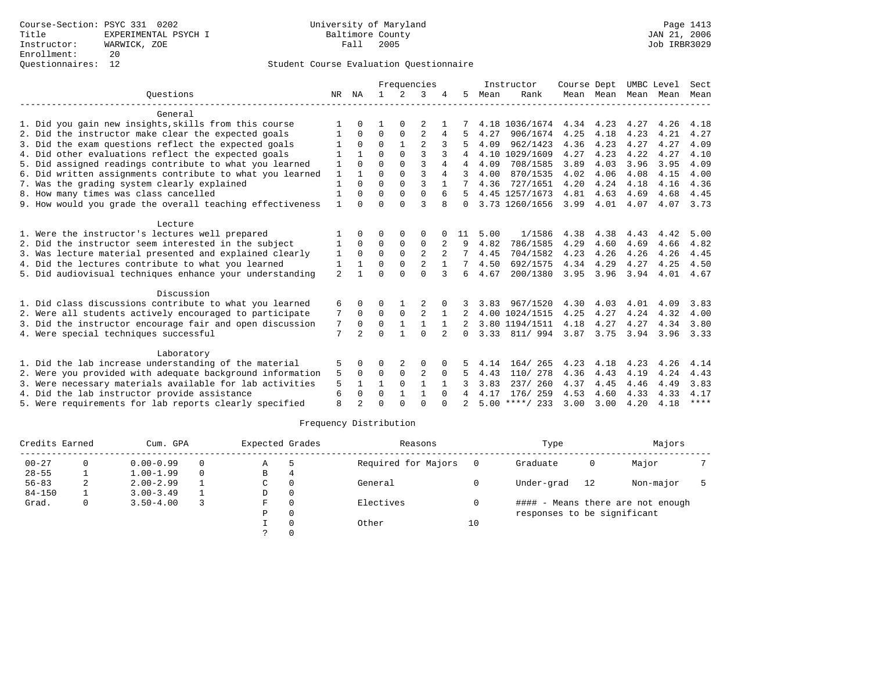|                                                           |                |                |              |                | Frequencies    |                |          |      | Instructor       | Course Dept |           |      | UMBC Level | Sect        |
|-----------------------------------------------------------|----------------|----------------|--------------|----------------|----------------|----------------|----------|------|------------------|-------------|-----------|------|------------|-------------|
| Ouestions                                                 | NR             | ΝA             | $\mathbf{1}$ | $\mathfrak{D}$ | ς              |                | 5        | Mean | Rank             |             | Mean Mean |      | Mean Mean  | Mean        |
| General                                                   |                |                |              |                |                |                |          |      |                  |             |           |      |            |             |
| 1. Did you gain new insights, skills from this course     |                | 0              |              | 0              |                |                |          |      | 4.18 1036/1674   | 4.34        | 4.23      | 4.27 | 4.26       | 4.18        |
| 2. Did the instructor make clear the expected goals       |                | $\Omega$       | 0            | 0              | $\overline{2}$ | 4              |          | 4.27 | 906/1674         | 4.25        | 4.18      | 4.23 | 4.21       | 4.27        |
| 3. Did the exam questions reflect the expected goals      |                | $\Omega$       | $\Omega$     |                | $\overline{a}$ |                |          | 4.09 | 962/1423         | 4.36        | 4.23      | 4.27 | 4.27       | 4.09        |
| 4. Did other evaluations reflect the expected goals       |                | $\mathbf{1}$   | $\Omega$     | $\Omega$       | 3              |                |          |      | 4.10 1029/1609   | 4.27        | 4.23      | 4.22 | 4.27       | 4.10        |
| 5. Did assigned readings contribute to what you learned   | 1              | $\Omega$       | $\Omega$     | $\Omega$       | ζ              | 4              | 4        | 4.09 | 708/1585         | 3.89        | 4.03      | 3.96 | 3.95       | 4.09        |
| 6. Did written assignments contribute to what you learned | $\mathbf{1}$   |                | $\Omega$     | $\Omega$       | ζ              | 4              |          | 4.00 | 870/1535         | 4.02        | 4.06      | 4.08 | 4.15       | 4.00        |
| 7. Was the grading system clearly explained               |                | $\Omega$       | $\Omega$     | $\Omega$       | ς              |                |          | 4.36 | 727/1651         | 4.20        | 4.24      | 4.18 | 4.16       | 4.36        |
| 8. How many times was class cancelled                     | 1              | $\Omega$       | $\Omega$     | $\Omega$       | $\Omega$       | 6              |          |      | 4.45 1257/1673   | 4.81        | 4.63      | 4.69 | 4.68       | 4.45        |
| 9. How would you grade the overall teaching effectiveness | $\mathbf{1}$   | $\Omega$       | $\Omega$     | $\cap$         | ς              | 8              | $\Omega$ |      | 3.73 1260/1656   | 3.99        | 4.01      | 4.07 | 4.07       | 3.73        |
| Lecture                                                   |                |                |              |                |                |                |          |      |                  |             |           |      |            |             |
| 1. Were the instructor's lectures well prepared           |                | 0              | 0            | $\Omega$       | 0              |                | 11       | 5.00 | 1/1586           | 4.38        | 4.38      | 4.43 | 4.42       | 5.00        |
| 2. Did the instructor seem interested in the subject      | 1              | $\Omega$       | $\Omega$     | 0              | $\Omega$       | 2              | 9        | 4.82 | 786/1585         | 4.29        | 4.60      | 4.69 | 4.66       | 4.82        |
| 3. Was lecture material presented and explained clearly   | 1              | $\Omega$       | $\Omega$     | $\Omega$       | $\mathfrak{D}$ |                |          | 4.45 | 704/1582         | 4.23        | 4.26      | 4.26 | 4.26       | 4.45        |
| 4. Did the lectures contribute to what you learned        | 1              |                | O            | 0              | $\overline{2}$ |                |          | 4.50 | 692/1575         | 4.34        | 4.29      | 4.27 | 4.25       | 4.50        |
| 5. Did audiovisual techniques enhance your understanding  | $\overline{a}$ |                | $\Omega$     | $\Omega$       | $\Omega$       | 3              | 6        | 4.67 | 200/1380         | 3.95        | 3.96      | 3.94 | 4.01       | 4.67        |
| Discussion                                                |                |                |              |                |                |                |          |      |                  |             |           |      |            |             |
| 1. Did class discussions contribute to what you learned   | 6              | 0              | O            |                |                |                |          | 3.83 | 967/1520         | 4.30        | 4.03      | 4.01 | 4.09       | 3.83        |
| 2. Were all students actively encouraged to participate   |                | $\Omega$       | $\Omega$     | $\mathbf 0$    | $\overline{2}$ |                |          |      | 4.00 1024/1515   | 4.25        | 4.27      | 4.24 | 4.32       | 4.00        |
| 3. Did the instructor encourage fair and open discussion  | 7              | 0              | 0            | $\mathbf{1}$   | 1              |                |          |      | 3.80 1194/1511   | 4.18        | 4.27      | 4.27 | 4.34       | 3.80        |
| 4. Were special techniques successful                     | 7              | $\mathfrak{D}$ | $\cap$       | 1              | $\cap$         | $\overline{2}$ | 0        |      | 3.33 811/994     | 3.87 3.75   |           | 3.94 | 3.96       | 3.33        |
| Laboratory                                                |                |                |              |                |                |                |          |      |                  |             |           |      |            |             |
| 1. Did the lab increase understanding of the material     | 5              | 0              | O            | 2              | 0              | 0              |          | 4.14 | 164/ 265         | 4.23        | 4.18      | 4.23 | 4.26       | 4.14        |
| 2. Were you provided with adequate background information | 5              | $\Omega$       | 0            | $\mathbf 0$    | $\overline{2}$ | 0              |          | 4.43 | 110/ 278         | 4.36        | 4.43      | 4.19 | 4.24       | 4.43        |
| 3. Were necessary materials available for lab activities  | 5              |                | $\mathbf{1}$ | $\Omega$       | $\mathbf{1}$   |                |          | 3.83 | 237/ 260         | 4.37        | 4.45      | 4.46 | 4.49       | 3.83        |
| 4. Did the lab instructor provide assistance              | 6              | $\Omega$       | $\Omega$     | $\mathbf{1}$   | $\mathbf{1}$   | $\Omega$       | 4        | 4.17 | 176/259          | 4.53        | 4.60      | 4.33 | 4.33       | 4.17        |
| 5. Were requirements for lab reports clearly specified    | $\mathsf{R}$   |                | $\cap$       | $\cap$         | $\cap$         | U              |          |      | $5.00$ ****/ 233 | 3.00        | 3.00      | 4.20 | 4.18       | $***$ * * * |

| Credits Earned |   | Cum. GPA      |          | Expected Grades |          | Reasons             |    | Type                        |    | Majors                            |  |
|----------------|---|---------------|----------|-----------------|----------|---------------------|----|-----------------------------|----|-----------------------------------|--|
| $00 - 27$      |   | $0.00 - 0.99$ | $\Omega$ | A               |          | Required for Majors |    | Graduate                    | 0  | Major                             |  |
| $28 - 55$      |   | $1.00 - 1.99$ | $\Omega$ | B               | 4        |                     |    |                             |    |                                   |  |
| $56 - 83$      | 2 | $2.00 - 2.99$ |          | C               |          | General             |    | Under-grad                  | 12 | Non-major                         |  |
| $84 - 150$     |   | $3.00 - 3.49$ |          | D               | $\Omega$ |                     |    |                             |    |                                   |  |
| Grad.          |   | $3.50 - 4.00$ |          | F               |          | Electives           |    |                             |    | #### - Means there are not enough |  |
|                |   |               |          | Ρ               |          |                     |    | responses to be significant |    |                                   |  |
|                |   |               |          |                 |          | Other               | 10 |                             |    |                                   |  |
|                |   |               |          |                 |          |                     |    |                             |    |                                   |  |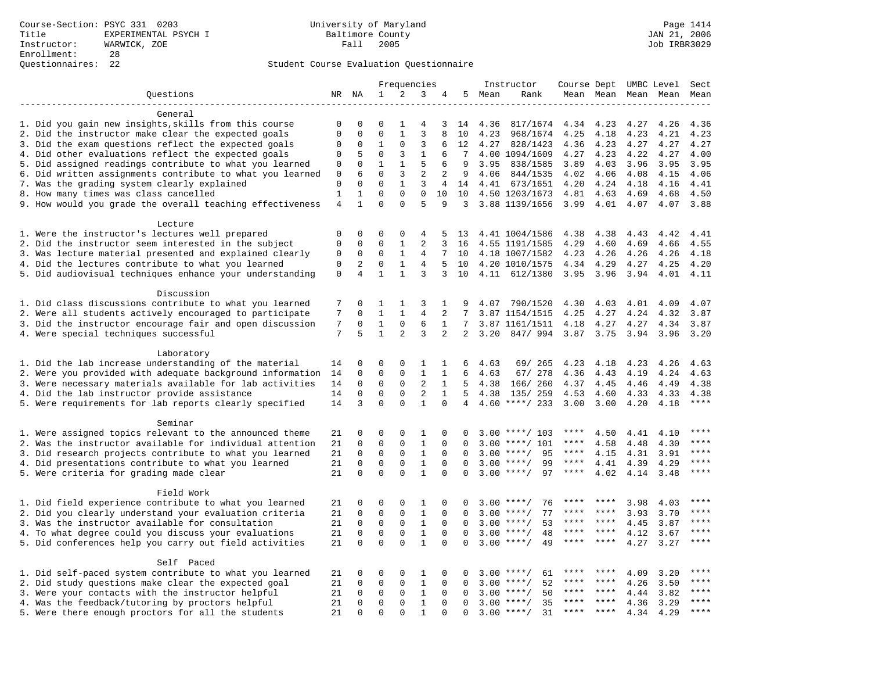|                                                                    |                             |                          |                         |                          | Frequencies    |                |                |        | Instructor         | Course Dept UMBC Level |             |                     |              | Sect         |
|--------------------------------------------------------------------|-----------------------------|--------------------------|-------------------------|--------------------------|----------------|----------------|----------------|--------|--------------------|------------------------|-------------|---------------------|--------------|--------------|
| Questions                                                          |                             | NR NA                    | 1                       | 2                        | 3              | 4              |                | 5 Mean | Rank               |                        |             | Mean Mean Mean Mean |              | Mean         |
|                                                                    |                             |                          |                         |                          |                |                |                |        |                    |                        |             |                     |              |              |
| General                                                            |                             |                          |                         |                          |                |                |                |        |                    |                        |             |                     |              |              |
| 1. Did you gain new insights, skills from this course              | 0                           | 0                        | $\Omega$                | 1                        | 4              | 3              | 14             | 4.36   | 817/1674           | 4.34                   | 4.23        | 4.27                | 4.26         | 4.36         |
| 2. Did the instructor make clear the expected goals                | $\mathbf{0}$                | $\mathbf 0$              | $\Omega$                | $\mathbf{1}$             | $\overline{3}$ | 8              | 10             | 4.23   | 968/1674           | 4.25                   | 4.18        | 4.23                | 4.21         | 4.23         |
| 3. Did the exam questions reflect the expected goals               | $\mathbf 0$                 | $\Omega$                 | $\mathbf{1}$            | $\Omega$                 | 3              | 6              | 12             | 4.27   | 828/1423           | 4.36                   | 4.23        | 4.27                | 4.27         | 4.27         |
| 4. Did other evaluations reflect the expected goals                | $\mathbf 0$                 | 5                        | $\mathbf 0$             | 3                        | $\mathbf{1}$   | 6              | 7              |        | 4.00 1094/1609     | 4.27                   | 4.23        | 4.22                | 4.27         | 4.00         |
| 5. Did assigned readings contribute to what you learned            | $\mathbf 0$                 | $\mathbf{0}$             | $\mathbf{1}$            | $\mathbf{1}$             | 5              | 6              | 9              | 3.95   | 838/1585           | 3.89                   | 4.03        | 3.96                | 3.95         | 3.95         |
| 6. Did written assignments contribute to what you learned          | 0                           | 6                        | $\mathbf 0$             | 3                        | 2              | 2              | 9              | 4.06   | 844/1535           | 4.02                   | 4.06        | 4.08                | 4.15         | 4.06         |
| 7. Was the grading system clearly explained                        | $\mathbf 0$<br>$\mathbf{1}$ | $\Omega$<br>$\mathbf{1}$ | $\Omega$<br>$\mathbf 0$ | $\mathbf{1}$<br>$\Omega$ | 3<br>$\Omega$  | 4              | 14             |        | 4.41 673/1651      | 4.20                   | 4.24        | 4.18                | 4.16         | 4.41         |
| 8. How many times was class cancelled                              | $\overline{4}$              | $\mathbf{1}$             | $\Omega$                | $\Omega$                 | 5              | 10<br>9        | 10<br>3        |        | 4.50 1203/1673     | 4.81                   | 4.63        | 4.69                | 4.68<br>4.07 | 4.50<br>3.88 |
| 9. How would you grade the overall teaching effectiveness          |                             |                          |                         |                          |                |                |                |        | 3.88 1139/1656     | 3.99                   | 4.01        | 4.07                |              |              |
| Lecture                                                            |                             |                          |                         |                          |                |                |                |        |                    |                        |             |                     |              |              |
| 1. Were the instructor's lectures well prepared                    | $\mathbf 0$                 | $\mathbf 0$              | 0                       | 0                        | 4              | 5              | 13             |        | 4.41 1004/1586     | 4.38                   | 4.38        | 4.43                | 4.42         | 4.41         |
| 2. Did the instructor seem interested in the subject               | $\mathbf 0$                 | $\mathbf 0$              | 0                       | 1                        | 2              | 3              | 16             |        | 4.55 1191/1585     | 4.29                   | 4.60        | 4.69                | 4.66         | 4.55         |
| 3. Was lecture material presented and explained clearly            | 0                           | $\mathbf 0$              | 0                       | 1                        | 4              | 7              | 10             |        | 4.18 1007/1582     | 4.23                   | 4.26        | 4.26                | 4.26         | 4.18         |
| 4. Did the lectures contribute to what you learned                 | $\mathbf{0}$                | $\overline{c}$           | $\mathbf 0$             | $\mathbf{1}$             | 4              | 5              | 10             |        | 4.20 1010/1575     | 4.34                   | 4.29        | 4.27                | 4.25         | 4.20         |
| 5. Did audiovisual techniques enhance your understanding           | $\mathsf 0$                 | $\overline{4}$           | $\mathbf{1}$            | $\mathbf{1}$             | 3              | 3              | 10             |        | 4.11 612/1380      | 3.95                   | 3.96        | 3.94                | 4.01         | 4.11         |
|                                                                    |                             |                          |                         |                          |                |                |                |        |                    |                        |             |                     |              |              |
| Discussion                                                         |                             |                          |                         |                          |                |                |                |        |                    |                        |             |                     |              |              |
| 1. Did class discussions contribute to what you learned            | 7                           | $\mathbf 0$              | 1                       | 1                        | 3              | 1              | 9              | 4.07   | 790/1520           | 4.30                   | 4.03        | 4.01                | 4.09         | 4.07         |
| 2. Were all students actively encouraged to participate            | 7                           | $\Omega$                 | $\mathbf{1}$            | $\mathbf{1}$             | $\overline{4}$ | 2              | 7              |        | 3.87 1154/1515     | 4.25                   | 4.27        | 4.24                | 4.32         | 3.87         |
| 3. Did the instructor encourage fair and open discussion           | 7                           | $\mathbf 0$              | $\mathbf{1}$            | $\mathbf 0$              | 6              | $\mathbf{1}$   | 7              |        | 3.87 1161/1511     | 4.18                   | 4.27        | 4.27                | 4.34         | 3.87         |
| 4. Were special techniques successful                              | 7                           | 5                        | $\mathbf{1}$            | $\overline{2}$           | 3              | $\overline{2}$ | $\overline{2}$ | 3.20   | 847/994            | 3.87                   | 3.75        | 3.94                | 3.96         | 3.20         |
|                                                                    |                             |                          |                         |                          |                |                |                |        |                    |                        |             |                     |              |              |
| Laboratory                                                         |                             |                          |                         |                          |                |                |                |        |                    |                        |             |                     |              |              |
| 1. Did the lab increase understanding of the material              | 14                          | $\mathbf 0$              | 0                       | $\mathbf 0$              | 1              | 1              | 6              | 4.63   | 69/ 265            | 4.23                   | 4.18        | 4.23                | 4.26         | 4.63         |
| 2. Were you provided with adequate background information          | 14                          | $\mathbf 0$              | $\mathbf 0$             | $\mathbf{0}$             | $\mathbf{1}$   | 1              | 6              | 4.63   | 67/ 278            | 4.36                   | 4.43        | 4.19                | 4.24         | 4.63         |
| 3. Were necessary materials available for lab activities           | 14                          | $\Omega$                 | $\Omega$                | $\Omega$                 | 2              | $\mathbf{1}$   | 5              | 4.38   | 166/ 260           | 4.37                   | 4.45        | 4.46                | 4.49         | 4.38         |
| 4. Did the lab instructor provide assistance                       | 14                          | $\mathbf 0$              | $\mathbf 0$             | $\mathbf{0}$             | $\overline{2}$ | $\mathbf{1}$   | 5              | 4.38   | 135/ 259           | 4.53                   | 4.60        | 4.33                | 4.33         | 4.38         |
| 5. Were requirements for lab reports clearly specified             | 14                          | 3                        | $\mathbf 0$             | $\Omega$                 | $\mathbf{1}$   | $\Omega$       | $\overline{4}$ |        | $4.60$ ****/ 233   | 3.00                   | 3.00        | 4.20                | 4.18         | $***$        |
|                                                                    |                             |                          |                         |                          |                |                |                |        |                    |                        |             |                     |              |              |
| Seminar<br>1. Were assigned topics relevant to the announced theme | 21                          | $\mathbf 0$              | 0                       | $\mathbf{0}$             | 1              | 0              |                |        | $3.00$ ****/ 103   | ****                   | 4.50        | 4.41                | 4.10         | ****         |
| 2. Was the instructor available for individual attention           | 21                          | $\mathbf 0$              | $\mathbf 0$             | $\mathbf{0}$             | $\mathbf{1}$   | 0              | $\Omega$       | 3.00   | $***/101$          | ****                   | 4.58        | 4.48                | 4.30         | ****         |
| 3. Did research projects contribute to what you learned            | 21                          | $\mathbf 0$              | $\mathbf 0$             | $\mathsf 0$              | $\mathbf{1}$   | $\mathbf 0$    | $\mathbf 0$    | 3.00   | $***/$<br>95       | $***$ * *              | 4.15        | 4.31                | 3.91         | ****         |
| 4. Did presentations contribute to what you learned                | 21                          | $\mathbf 0$              | $\mathbf 0$             | $\mathbf 0$              | $\mathbf{1}$   | $\mathbf 0$    | $\Omega$       | 3.00   | 99<br>$***/$       | $***$ * * *            | 4.41        | 4.39                | 4.29         | $***$        |
| 5. Were criteria for grading made clear                            | 21                          | $\mathbf 0$              | $\mathbf 0$             | $\Omega$                 | $\mathbf{1}$   | 0              | $\Omega$       |        | $3.00$ ****/<br>97 | $***$ * * *            | 4.02        | 4.14                | 3.48         | $***$        |
|                                                                    |                             |                          |                         |                          |                |                |                |        |                    |                        |             |                     |              |              |
| Field Work                                                         |                             |                          |                         |                          |                |                |                |        |                    |                        |             |                     |              |              |
| 1. Did field experience contribute to what you learned             | 21                          | $\mathbf 0$              | 0                       | $\Omega$                 | 1              | $\Omega$       | $\Omega$       |        | $3.00$ ****/<br>76 |                        |             | 3.98                | 4.03         | * * * *      |
| 2. Did you clearly understand your evaluation criteria             | 21                          | $\Omega$                 | $\mathbf 0$             | $\Omega$                 | $1\,$          | $\Omega$       | $\Omega$       | 3.00   | 77<br>$***$ /      | ****                   | ****        | 3.93                | 3.70         | $***$        |
| 3. Was the instructor available for consultation                   | 21                          | $\mathbf 0$              | 0                       | $\mathsf 0$              | $\mathbf{1}$   | $\mathbf 0$    | $\mathbf 0$    | 3.00   | $***/$<br>53       | ****                   | $***$ * * * | 4.45                | 3.87         | $***$        |
| 4. To what degree could you discuss your evaluations               | 21                          | $\mathbf 0$              | $\mathbf 0$             | $\mathbf 0$              | $1\,$          | 0              | $\Omega$       | 3.00   | $***$ /<br>48      | $***$ * * *            | $***$       | 4.12                | 3.67         | $***$        |
| 5. Did conferences help you carry out field activities             | 21                          | $\Omega$                 | $\Omega$                | $\Omega$                 | $\mathbf{1}$   | $\Omega$       | $\Omega$       | 3.00   | $***$ /<br>49      | ****                   | ****        | 4.27                | 3.27         | $***$        |
|                                                                    |                             |                          |                         |                          |                |                |                |        |                    |                        |             |                     |              |              |
| Self Paced                                                         |                             |                          |                         |                          |                |                |                |        |                    |                        |             |                     |              |              |
| 1. Did self-paced system contribute to what you learned            | 21                          | $\mathbf 0$              | $\mathbf 0$             | $\mathbf 0$              | 1              | 0              | $\Omega$       |        | 61<br>$3.00$ ****/ | ****                   |             | 4.09                | 3.20         | $***$        |
| 2. Did study questions make clear the expected goal                | 21                          | $\mathbf 0$              | $\mathbf 0$             | $\mathbf 0$              | $\mathbf{1}$   | $\mathbf 0$    | $\Omega$       | 3.00   | $***/$<br>52       | ****                   | $* * * * *$ | 4.26                | 3.50         | ****         |
| 3. Were your contacts with the instructor helpful                  | 21                          | $\mathbf 0$              | $\mathbf 0$             | $\mathbf 0$              | 1              | 0              | $\Omega$       | 3.00   | 50<br>$***/$       | ****                   | ****        | 4.44                | 3.82         | ****         |
| 4. Was the feedback/tutoring by proctors helpful                   | 21                          | $\mathbf 0$              | $\mathbf 0$             | $\mathbf{0}$             | $\mathbf{1}$   | $\Omega$       | $\Omega$       | 3.00   | 35<br>$***/$       |                        |             | 4.36                | 3.29         | ****         |
| 5. Were there enough proctors for all the students                 | 21                          | $\Omega$                 | $\Omega$                | $\Omega$                 | $\mathbf{1}$   | $\Omega$       | $\Omega$       |        | $3.00$ ****/<br>31 | ****                   | $***$       | 4.34                | 4.29         | ****         |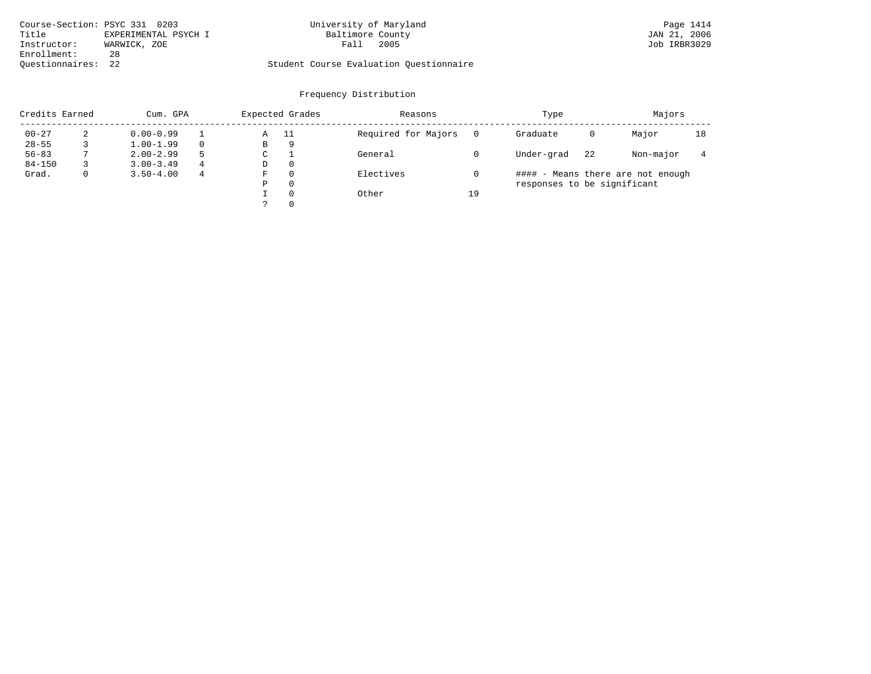| Course-Section: PSYC 331 0203 |                      | University of Maryland                  | Page 1414    |
|-------------------------------|----------------------|-----------------------------------------|--------------|
| Title                         | EXPERIMENTAL PSYCH I | Baltimore County                        | JAN 21, 2006 |
| Instructor:                   | WARWICK, ZOE         | 2005<br>Fall                            | Job IRBR3029 |
| Enrollment:                   | 28                   |                                         |              |
| Ouestionnaires: 22            |                      | Student Course Evaluation Questionnaire |              |

| Credits Earned |   | Cum. GPA      |          | Expected Grades |          | Reasons             |    | Type                        |    | Majors                            |    |
|----------------|---|---------------|----------|-----------------|----------|---------------------|----|-----------------------------|----|-----------------------------------|----|
| $00 - 27$      |   | $0.00 - 0.99$ |          | Α               | - 11     | Required for Majors |    | Graduate                    | 0  | Major                             | 18 |
| $28 - 55$      |   | $1.00 - 1.99$ | $\Omega$ | В               | 9        |                     |    |                             |    |                                   |    |
| $56 - 83$      |   | $2.00 - 2.99$ | .5       | C               |          | General             |    | Under-grad                  | 22 | Non-major                         |    |
| $84 - 150$     |   | $3.00 - 3.49$ | 4        | D               | 0        |                     |    |                             |    |                                   |    |
| Grad.          | 0 | $3.50 - 4.00$ | 4        | F               |          | Electives           |    |                             |    | #### - Means there are not enough |    |
|                |   |               |          | Ρ               | 0        |                     |    | responses to be significant |    |                                   |    |
|                |   |               |          |                 | $\Omega$ | Other               | 19 |                             |    |                                   |    |
|                |   |               |          |                 |          |                     |    |                             |    |                                   |    |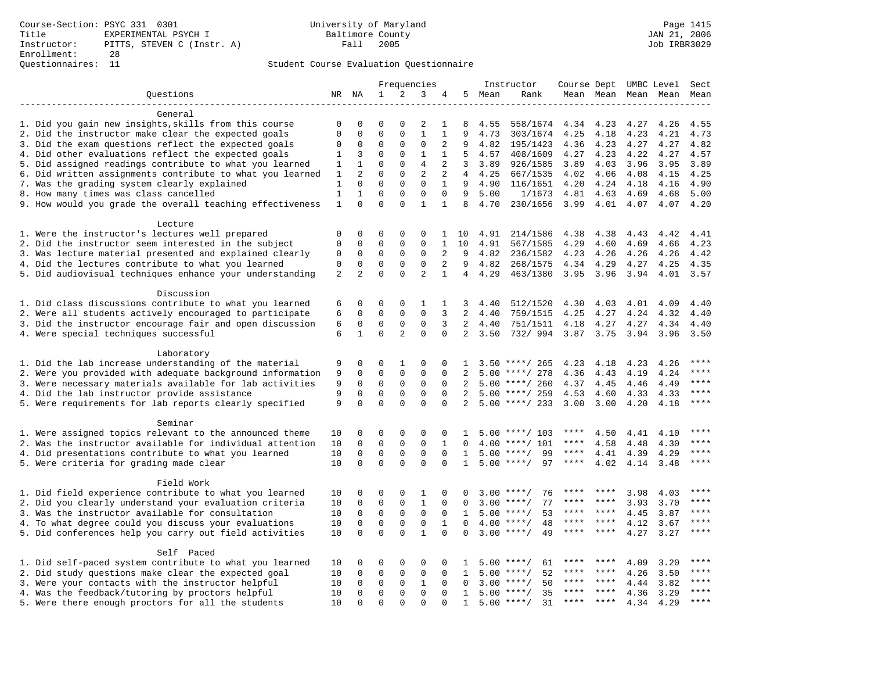|                                                           |                |                |              |             | Frequencies    |                |                |        | Instructor         |              |                      |      | Course Dept UMBC Level Sect |               |
|-----------------------------------------------------------|----------------|----------------|--------------|-------------|----------------|----------------|----------------|--------|--------------------|--------------|----------------------|------|-----------------------------|---------------|
| Questions                                                 |                | NR NA          | $\mathbf{1}$ | 2           | 3              | 4              |                | 5 Mean | Rank               |              |                      |      | Mean Mean Mean Mean Mean    |               |
|                                                           |                |                |              |             |                |                |                |        |                    |              |                      |      |                             |               |
| General                                                   |                |                |              |             |                |                |                |        |                    |              |                      |      |                             |               |
| 1. Did you gain new insights, skills from this course     | $\mathbf 0$    | $\Omega$       | $\Omega$     | $\Omega$    | 2              | 1              | 8              | 4.55   | 558/1674           | 4.34         | 4.23                 | 4.27 | 4.26                        | 4.55          |
| 2. Did the instructor make clear the expected goals       | $\Omega$       | 0              | $\Omega$     | $\Omega$    | $\mathbf{1}$   | $\mathbf{1}$   | 9              | 4.73   | 303/1674           | 4.25         | 4.18                 | 4.23 | 4.21                        | 4.73          |
| 3. Did the exam questions reflect the expected goals      | $\Omega$       | $\mathbf 0$    | $\Omega$     | 0           | $\mathbf 0$    | $\overline{2}$ | 9              | 4.82   | 195/1423           | 4.36         | 4.23                 | 4.27 | 4.27                        | 4.82          |
| 4. Did other evaluations reflect the expected goals       | 1              | 3              | $\Omega$     | $\Omega$    | $\mathbf{1}$   | $\mathbf{1}$   | 5              | 4.57   | 408/1609           | 4.27         | 4.23                 | 4.22 | 4.27                        | 4.57          |
| 5. Did assigned readings contribute to what you learned   | 1              | $\mathbf{1}$   | $\Omega$     | $\Omega$    | $\overline{4}$ | $\overline{2}$ | 3              | 3.89   | 926/1585           | 3.89         | 4.03                 | 3.96 | 3.95                        | 3.89          |
| 6. Did written assignments contribute to what you learned | 1              | $\overline{2}$ | $\Omega$     | $\Omega$    | $\overline{2}$ | 2              | $\overline{4}$ | 4.25   | 667/1535           | 4.02         | 4.06                 | 4.08 | 4.15                        | 4.25          |
| 7. Was the grading system clearly explained               | $1\,$          | 0              | $\mathbf 0$  | 0           | $\mathbf 0$    | $\mathbf{1}$   | 9              | 4.90   | 116/1651           | 4.20         | 4.24                 | 4.18 | 4.16                        | 4.90          |
| 8. How many times was class cancelled                     | $\mathbf{1}$   | $\mathbf{1}$   | 0            | 0           | $\mathbf 0$    | $\mathbf 0$    | 9              | 5.00   | 1/1673             | 4.81         | 4.63                 | 4.69 | 4.68                        | 5.00          |
| 9. How would you grade the overall teaching effectiveness | $\mathbf{1}$   | $\Omega$       | $\Omega$     | $\Omega$    | $\mathbf{1}$   | $\mathbf{1}$   | 8              | 4.70   | 230/1656           | 3.99 4.01    |                      | 4.07 | 4.07                        | 4.20          |
| Lecture                                                   |                |                |              |             |                |                |                |        |                    |              |                      |      |                             |               |
| 1. Were the instructor's lectures well prepared           | $\Omega$       | $\Omega$       | $\Omega$     | $\Omega$    | $\Omega$       | 1              | 10             | 4.91   | 214/1586           | 4.38         | 4.38                 | 4.43 | 4.42                        | 4.41          |
| 2. Did the instructor seem interested in the subject      | $\Omega$       | $\mathbf 0$    | $\mathbf{0}$ | 0           | $\mathbf 0$    | $\mathbf{1}$   | 10             | 4.91   | 567/1585           | 4.29         | 4.60                 | 4.69 | 4.66                        | 4.23          |
| 3. Was lecture material presented and explained clearly   | 0              | $\mathsf 0$    | $\mathsf 0$  | 0           | $\mathsf 0$    | $\overline{2}$ | 9              | 4.82   | 236/1582           | 4.23         | 4.26                 | 4.26 | 4.26                        | 4.42          |
| 4. Did the lectures contribute to what you learned        | 0              | $\mathbf 0$    | $\mathsf 0$  | 0           | $\mathbf 0$    | $\overline{2}$ | 9              | 4.82   | 268/1575           | 4.34         | 4.29                 | 4.27 | 4.25                        | 4.35          |
| 5. Did audiovisual techniques enhance your understanding  | $\overline{2}$ | $\overline{a}$ | $\Omega$     | $\Omega$    | $\overline{2}$ | $\mathbf{1}$   | $\overline{4}$ | 4.29   | 463/1380           |              | $3.95$ $3.96$        | 3.94 | 4.01                        | 3.57          |
| Discussion                                                |                |                |              |             |                |                |                |        |                    |              |                      |      |                             |               |
| 1. Did class discussions contribute to what you learned   | 6              | 0              | $\mathbf{0}$ | $\mathbf 0$ | $\mathbf{1}$   | 1              | 3              | 4.40   | 512/1520           | 4.30         | 4.03                 | 4.01 | 4.09                        | 4.40          |
| 2. Were all students actively encouraged to participate   | 6              | 0              | $\mathbf 0$  | 0           | $\mathbf 0$    | 3              | 2              | 4.40   | 759/1515           | 4.25         | 4.27                 | 4.24 | 4.32                        | 4.40          |
| 3. Did the instructor encourage fair and open discussion  | 6              | $\mathbf 0$    | $\mathbf 0$  | $\mathbf 0$ | $\mathbf 0$    | 3              | $\overline{a}$ | 4.40   | 751/1511           | 4.18         | 4.27                 | 4.27 | 4.34                        | 4.40          |
| 4. Were special techniques successful                     | 6              | $\mathbf{1}$   | $\mathbf 0$  | 2           | $\mathbf 0$    | $\Omega$       | $\overline{2}$ | 3.50   | 732/994            | 3.87 3.75    |                      | 3.94 | 3.96                        | 3.50          |
|                                                           |                |                |              |             |                |                |                |        |                    |              |                      |      |                             |               |
| Laboratory                                                |                |                |              |             |                |                |                |        |                    |              |                      |      |                             |               |
| 1. Did the lab increase understanding of the material     | 9              | 0              | $\Omega$     | 1           | $\Omega$       | 0              | 1              |        | $3.50$ ****/ 265   | 4.23         | 4.18                 | 4.23 | 4.26                        | $***$ * * *   |
| 2. Were you provided with adequate background information | 9              | 0              | $\mathbf{0}$ | $\mathbf 0$ | $\mathbf 0$    | $\Omega$       | $\overline{2}$ |        | $5.00$ ****/ 278   | 4.36         | 4.43                 | 4.19 | 4.24                        | $***$         |
| 3. Were necessary materials available for lab activities  | 9              | $\mathbf 0$    | $\mathbf 0$  | $\mathbf 0$ | $\mathbf 0$    | $\mathbf 0$    | 2              |        | $5.00$ ****/ 260   | 4.37         | 4.45                 | 4.46 | 4.49                        | $***$         |
| 4. Did the lab instructor provide assistance              | 9              | $\Omega$       | $\mathbf 0$  | $\Omega$    | $\mathbf 0$    | $\Omega$       | $\overline{2}$ |        | $5.00$ ****/ 259   | 4.53         | 4.60                 | 4.33 | 4.33                        | $***$         |
| 5. Were requirements for lab reports clearly specified    | 9              | $\Omega$       | $\Omega$     | $\Omega$    | $\Omega$       | $\Omega$       | 2              |        | $5.00$ ****/ 233   | 3.00         | 3.00                 | 4.20 | 4.18                        | $***$ * * *   |
| Seminar                                                   |                |                |              |             |                |                |                |        |                    |              |                      |      |                             |               |
| 1. Were assigned topics relevant to the announced theme   | 10             | 0              | 0            | $\Omega$    | 0              | 0              | 1              |        | $5.00$ ****/ 103   | ****         | 4.50                 | 4.41 | 4.10                        | ****          |
| 2. Was the instructor available for individual attention  | 10             | $\mathbf 0$    | $\mathbf 0$  | $\mathbf 0$ | $\mathbf 0$    | $\mathbf{1}$   | $\Omega$       |        | 4.00 ****/ 101     | $***$ * * *  | 4.58                 | 4.48 | 4.30                        | $***$         |
| 4. Did presentations contribute to what you learned       | 10             | 0              | $\mathbf 0$  | $\mathbf 0$ | $\mathbf 0$    | $\mathbf 0$    | 1              |        | $5.00$ ****/<br>99 | $***$ * * *  | 4.41                 | 4.39 | 4.29                        | ****          |
| 5. Were criteria for grading made clear                   | 10             | $\Omega$       | $\Omega$     | $\Omega$    | $\Omega$       | $\Omega$       | $\mathbf{1}$   |        | $5.00$ ****/<br>97 | $***$ * * *  | 4.02                 | 4.14 | 3.48                        | $***$         |
| Field Work                                                |                |                |              |             |                |                |                |        |                    |              |                      |      |                             |               |
| 1. Did field experience contribute to what you learned    | 10             | 0              | 0            | $\mathbf 0$ | 1              | 0              | 0              |        | $3.00$ ****/<br>76 | ****         | ****                 | 3.98 | 4.03                        | ****          |
| 2. Did you clearly understand your evaluation criteria    | 10             | 0              | $\mathbf 0$  | 0           | $\mathbf{1}$   | 0              | 0              |        | 77<br>$3.00$ ****/ | ****         | ****                 | 3.93 | 3.70                        | ****          |
| 3. Was the instructor available for consultation          | 10             | $\mathbf 0$    | $\mathbf 0$  | 0           | $\mathsf 0$    | $\mathbf 0$    | 1              |        | $5.00$ ****/<br>53 | ****         | $***$ *              | 4.45 | 3.87                        | $***$ * * *   |
| 4. To what degree could you discuss your evaluations      | 10             | $\mathbf 0$    | $\mathbf 0$  | $\mathbf 0$ | $\mathbf 0$    | $\mathbf{1}$   | $\Omega$       | 4.00   | 48<br>$***$ /      | ****         | ****                 | 4.12 | 3.67                        | $***$         |
| 5. Did conferences help you carry out field activities    | 10             | $\Omega$       | $\Omega$     | $\Omega$    | $\mathbf{1}$   | $\Omega$       | $\Omega$       |        | $3.00$ ****/<br>49 | ****         | ****                 | 4.27 | 3.27                        | ****          |
|                                                           |                |                |              |             |                |                |                |        |                    |              |                      |      |                             |               |
| Self Paced                                                |                |                |              |             |                |                |                |        |                    |              |                      |      |                             | ****          |
| 1. Did self-paced system contribute to what you learned   | 10             | 0              | $\Omega$     | 0           | 0              | 0              | 1              |        | $5.00$ ****/<br>61 | ****         | ****                 | 4.09 | 3.20                        | ****          |
| 2. Did study questions make clear the expected goal       | 10             | $\Omega$       | 0            | $\Omega$    | 0              | $\Omega$       | 1              | 5.00   | $* * * * /$<br>52  |              | ****                 | 4.26 | 3.50                        | ****          |
| 3. Were your contacts with the instructor helpful         | 10             | $\Omega$       | $\mathbf 0$  | $\mathbf 0$ | $\mathbf{1}$   | $\Omega$       | $\Omega$       |        | $3.00$ ****/<br>50 | ****         | ****                 | 4.44 | 3.82                        |               |
| 4. Was the feedback/tutoring by proctors helpful          | 10             | 0              | $\mathbf{0}$ | $\mathbf 0$ | $\mathbf 0$    | $\mathbf 0$    | 1              |        | $5.00$ ****/<br>35 | ****<br>**** | $***$ *<br>$* * * *$ | 4.36 | 3.29                        | ****<br>$***$ |
| 5. Were there enough proctors for all the students        | 10             | $\Omega$       | $\Omega$     | $\Omega$    | $\Omega$       | $\Omega$       | $\mathbf{1}$   |        | $5.00$ ****/<br>31 |              |                      | 4.34 | 4.29                        |               |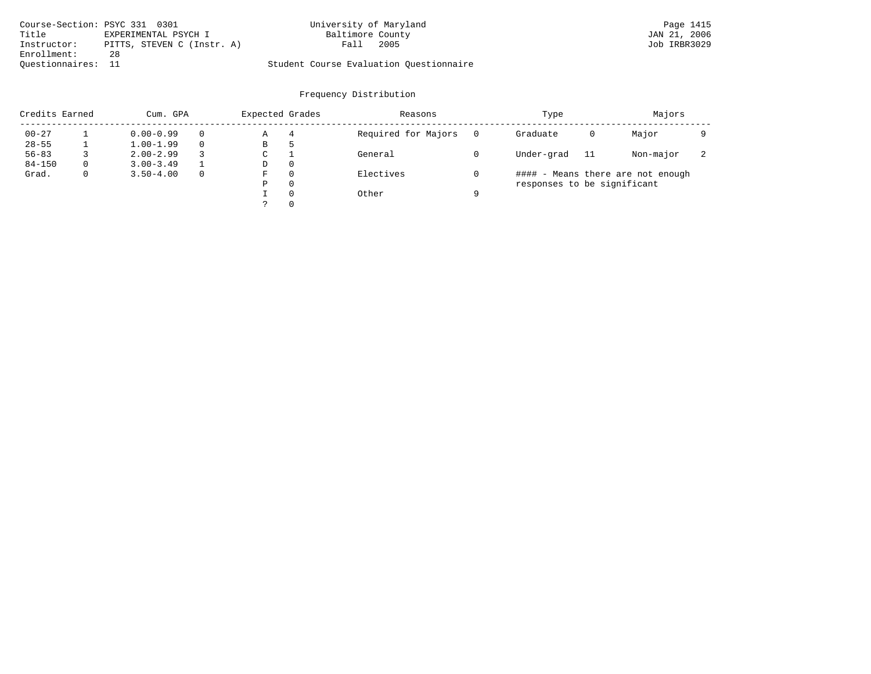| Course-Section: PSYC 331 0301 |                            | University of Maryland                  | Page 1415    |
|-------------------------------|----------------------------|-----------------------------------------|--------------|
| Title                         | EXPERIMENTAL PSYCH I       | Baltimore County                        | JAN 21, 2006 |
| Instructor:                   | PITTS, STEVEN C (Instr. A) | 2005<br>Fall                            | Job IRBR3029 |
| Enrollment:                   | 28                         |                                         |              |
| Ouestionnaires: 11            |                            | Student Course Evaluation Ouestionnaire |              |

| Credits Earned |          | Cum. GPA      |          | Expected Grades |          | Reasons             |   | Type                        |    | Majors                            |   |
|----------------|----------|---------------|----------|-----------------|----------|---------------------|---|-----------------------------|----|-----------------------------------|---|
| $00 - 27$      |          | $0.00 - 0.99$ | $\Omega$ | Α               | 4        | Required for Majors |   | Graduate                    | 0  | Major                             |   |
| $28 - 55$      |          | $1.00 - 1.99$ | $\Omega$ | В               | כ        |                     |   |                             |    |                                   |   |
| $56 - 83$      |          | $2.00 - 2.99$ | 3        | C               |          | General             |   | Under-grad                  | 11 | Non-major                         | z |
| $84 - 150$     | $\Omega$ | $3.00 - 3.49$ |          | D               | 0        |                     |   |                             |    |                                   |   |
| Grad.          | 0        | $3.50 - 4.00$ | 0        | F               | 0        | Electives           |   |                             |    | #### - Means there are not enough |   |
|                |          |               |          | Ρ               | 0        |                     |   | responses to be significant |    |                                   |   |
|                |          |               |          |                 | $\Omega$ | Other               | a |                             |    |                                   |   |
|                |          |               |          |                 | 0        |                     |   |                             |    |                                   |   |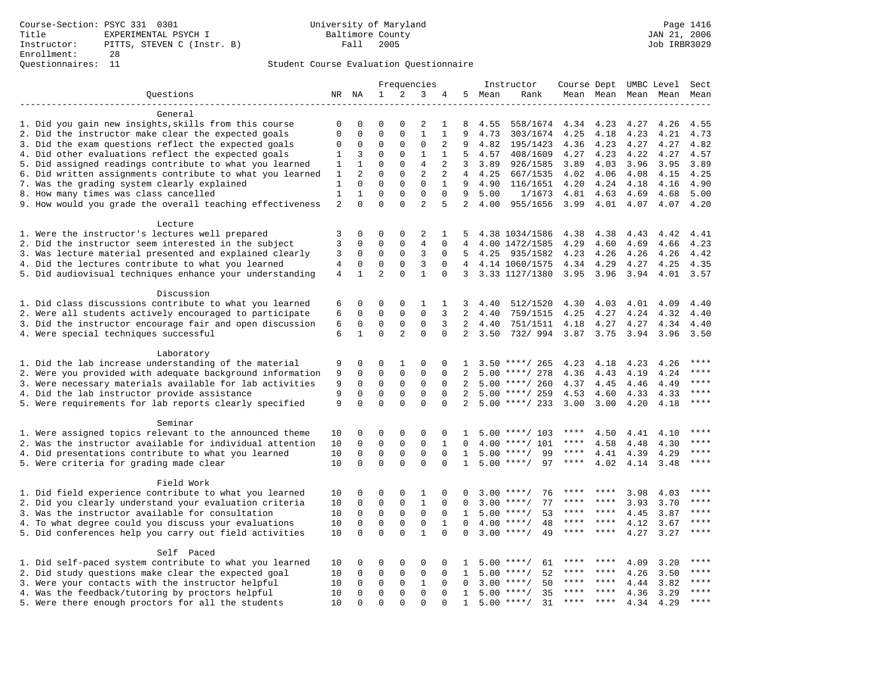|                                                           |                |                |                |                | Frequencies    |                |                |      | Instructor         |             |               |      | Course Dept UMBC Level Sect |             |
|-----------------------------------------------------------|----------------|----------------|----------------|----------------|----------------|----------------|----------------|------|--------------------|-------------|---------------|------|-----------------------------|-------------|
| Questions                                                 |                | NR NA          | $\mathbf{1}$   | 2              | 3              | 4              | 5              | Mean | Rank               |             |               |      | Mean Mean Mean Mean         | Mean        |
|                                                           |                |                |                |                |                |                |                |      |                    |             |               |      |                             |             |
| General                                                   |                |                |                |                |                |                |                |      |                    |             |               |      |                             |             |
| 1. Did you gain new insights, skills from this course     | $\mathbf 0$    | $\Omega$       | $\Omega$       | $\Omega$       | 2              | 1              | 8              | 4.55 | 558/1674           | 4.34        | 4.23          | 4.27 | 4.26                        | 4.55        |
| 2. Did the instructor make clear the expected goals       | $\Omega$       | 0              | $\Omega$       | $\Omega$       | $\mathbf{1}$   | $\mathbf{1}$   | 9              | 4.73 | 303/1674           | 4.25        | 4.18          | 4.23 | 4.21                        | 4.73        |
| 3. Did the exam questions reflect the expected goals      | $\Omega$       | $\mathbf 0$    | $\Omega$       | 0              | $\mathbf 0$    | $\overline{2}$ | 9              | 4.82 | 195/1423           | 4.36        | 4.23          | 4.27 | 4.27                        | 4.82        |
| 4. Did other evaluations reflect the expected goals       | $\mathbf{1}$   | 3              | $\Omega$       | $\Omega$       | $\mathbf{1}$   | $\mathbf{1}$   | 5              | 4.57 | 408/1609           | 4.27        | 4.23          | 4.22 | 4.27                        | 4.57        |
| 5. Did assigned readings contribute to what you learned   | 1              | $\mathbf{1}$   | $\Omega$       | 0              | 4              | 2              | 3              | 3.89 | 926/1585           | 3.89        | 4.03          | 3.96 | 3.95                        | 3.89        |
| 6. Did written assignments contribute to what you learned | 1              | $\overline{2}$ | $\Omega$       | $\Omega$       | $\overline{2}$ | 2              | $\overline{4}$ | 4.25 | 667/1535           | 4.02        | 4.06          | 4.08 | 4.15                        | 4.25        |
| 7. Was the grading system clearly explained               | $\mathbf{1}$   | 0              | $\mathbf{0}$   | 0              | $\mathbf 0$    | $\mathbf{1}$   | 9              | 4.90 | 116/1651           | 4.20        | 4.24          | 4.18 | 4.16                        | 4.90        |
| 8. How many times was class cancelled                     | $\mathbf{1}$   | $\mathbf{1}$   | 0              | $\Omega$       | $\mathbf 0$    | $\Omega$       | 9              | 5.00 | 1/1673             | 4.81        | 4.63          | 4.69 | 4.68                        | 5.00        |
| 9. How would you grade the overall teaching effectiveness | $\overline{2}$ | $\Omega$       | $\Omega$       | $\Omega$       | $\overline{a}$ | 5              | $\overline{a}$ | 4.00 | 955/1656           |             | $3.99$ 4.01   | 4.07 | 4.07                        | 4.20        |
| Lecture                                                   |                |                |                |                |                |                |                |      |                    |             |               |      |                             |             |
| 1. Were the instructor's lectures well prepared           | 3              | 0              | $\mathbf 0$    | $\mathbf 0$    | 2              | 1              | 5              |      | 4.38 1034/1586     | 4.38        | 4.38          | 4.43 | 4.42                        | 4.41        |
| 2. Did the instructor seem interested in the subject      | 3              | $\mathbf 0$    | $\Omega$       | 0              | $\overline{4}$ | $\mathbf 0$    | $\overline{4}$ |      | 4.00 1472/1585     | 4.29        | 4.60          | 4.69 | 4.66                        | 4.23        |
| 3. Was lecture material presented and explained clearly   | 3              | $\mathbf 0$    | $\mathbf 0$    | 0              | 3              | $\mathbf 0$    | 5              | 4.25 | 935/1582           | 4.23        | 4.26          | 4.26 | 4.26                        | 4.42        |
| 4. Did the lectures contribute to what you learned        | $\overline{4}$ | $\mathbf 0$    | $\mathbf 0$    | 0              | 3              | $\Omega$       |                |      | 4 4.14 1060/1575   | 4.34        | 4.29          | 4.27 | 4.25                        | 4.35        |
| 5. Did audiovisual techniques enhance your understanding  | $\overline{4}$ | $\mathbf{1}$   | $\overline{2}$ | $\Omega$       | $\mathbf{1}$   | $\Omega$       | $\overline{3}$ |      | 3.33 1127/1380     |             | $3.95$ $3.96$ | 3.94 | 4.01                        | 3.57        |
|                                                           |                |                |                |                |                |                |                |      |                    |             |               |      |                             |             |
| Discussion                                                |                |                |                |                |                |                |                |      |                    |             |               |      |                             |             |
| 1. Did class discussions contribute to what you learned   | 6              | 0              | $\mathbf 0$    | $\mathbf 0$    | 1              | 1              | 3              | 4.40 | 512/1520           | 4.30        | 4.03          | 4.01 | 4.09                        | 4.40        |
| 2. Were all students actively encouraged to participate   | 6              | $\Omega$       | $\Omega$       | 0              | $\mathbf 0$    | 3              | $\overline{2}$ | 4.40 | 759/1515           | 4.25        | 4.27          | 4.24 | 4.32                        | 4.40        |
| 3. Did the instructor encourage fair and open discussion  | 6              | $\mathbf 0$    | $\mathbf 0$    | $\mathsf 0$    | $\mathsf 0$    | 3              | $\overline{a}$ | 4.40 | 751/1511           | 4.18        | 4.27          | 4.27 | 4.34                        | 4.40        |
| 4. Were special techniques successful                     | 6              | $\mathbf{1}$   | $\Omega$       | $\overline{a}$ | $\Omega$       | $\Omega$       | $\overline{2}$ | 3.50 | 732/ 994 3.87 3.75 |             |               | 3.94 | 3.96                        | 3.50        |
|                                                           |                |                |                |                |                |                |                |      |                    |             |               |      |                             |             |
| Laboratory                                                |                |                |                |                |                |                |                |      |                    |             |               |      |                             |             |
| 1. Did the lab increase understanding of the material     | 9              | 0              | $\Omega$       | $\mathbf{1}$   | $\Omega$       | $\Omega$       | $\mathbf{1}$   |      | $3.50$ ****/ 265   | 4.23        | 4.18          | 4.23 | 4.26                        |             |
| 2. Were you provided with adequate background information | 9              | 0              | $\mathbf{0}$   | $\mathbf 0$    | $\mathbf 0$    | $\mathbf 0$    | 2              |      | $5.00$ ****/ 278   | 4.36        | 4.43          | 4.19 | 4.24                        | ****        |
| 3. Were necessary materials available for lab activities  | 9              | 0              | $\mathbf 0$    | $\mathbf 0$    | $\mathbf 0$    | $\Omega$       | 2              |      | $5.00$ ****/ 260   | 4.37        | 4.45          | 4.46 | 4.49                        | $***$       |
| 4. Did the lab instructor provide assistance              | 9              | 0              | $\mathbf 0$    | 0              | $\mathbf 0$    | $\Omega$       | 2              |      | $5.00$ ****/ 259   | 4.53        | 4.60          | 4.33 | 4.33                        | $***$ * * * |
| 5. Were requirements for lab reports clearly specified    | 9              | $\Omega$       | $\mathbf 0$    | $\Omega$       | $\Omega$       | $\Omega$       | 2              |      | $5.00$ ****/ 233   | 3.00        | 3.00          | 4.20 | 4.18                        | ****        |
| Seminar                                                   |                |                |                |                |                |                |                |      |                    |             |               |      |                             |             |
| 1. Were assigned topics relevant to the announced theme   | 10             | $\Omega$       | $\Omega$       | $\Omega$       | $\Omega$       | $\Omega$       | 1              |      | $5.00$ ****/ 103   | ****        | 4.50          | 4.41 | 4.10                        | $***$ * * * |
| 2. Was the instructor available for individual attention  | 10             | $\mathbf 0$    | $\mathbf 0$    | 0              | $\mathbf 0$    | $\mathbf{1}$   | 0              |      | 4.00 ****/ 101     | $***$ * * * | 4.58          | 4.48 | 4.30                        | $***$       |
| 4. Did presentations contribute to what you learned       | 10             | $\Omega$       | $\mathbf 0$    | $\mathbf 0$    | $\Omega$       | $\Omega$       | $\mathbf{1}$   |      | $5.00$ ****/<br>99 | $***$ * * * | 4.41          | 4.39 | 4.29                        | $***$       |
| 5. Were criteria for grading made clear                   | 10             | $\Omega$       | $\Omega$       | $\Omega$       | $\Omega$       | $\Omega$       | $\mathbf{1}$   |      | $5.00$ ****/<br>97 | $***$ * * * | 4.02          | 4.14 | 3.48                        | $***$       |
| Field Work                                                |                |                |                |                |                |                |                |      |                    |             |               |      |                             |             |
| 1. Did field experience contribute to what you learned    | 10             | 0              | 0              | 0              | 1              | 0              | 0              |      | $3.00$ ****/<br>76 | ****        | ****          | 3.98 | 4.03                        | $***$ * * * |
| 2. Did you clearly understand your evaluation criteria    | 10             | 0              | $\mathbf 0$    | 0              | $\mathbf{1}$   | $\Omega$       | $\Omega$       |      | 77<br>$3.00$ ****/ | $***$ * *   | $***$ *       | 3.93 | 3.70                        | $***$       |
| 3. Was the instructor available for consultation          | 10             | $\mathbf 0$    | $\mathbf 0$    | $\mathbf 0$    | $\mathsf 0$    | $\Omega$       | $\mathbf{1}$   |      | $5.00$ ****/<br>53 | ****        | $***$ *       | 4.45 | 3.87                        | ****        |
|                                                           |                | $\Omega$       | $\Omega$       | $\Omega$       | $\mathsf 0$    | $\mathbf{1}$   | $\Omega$       | 4.00 | $***$ /<br>48      | ****        | ****          |      |                             | ****        |
| 4. To what degree could you discuss your evaluations      | 10<br>10       | $\Omega$       | $\Omega$       | $\Omega$       | $\mathbf{1}$   | $\Omega$       | $\Omega$       | 3.00 | $***/$<br>49       |             | ****          | 4.12 | 3.67                        | $***$       |
| 5. Did conferences help you carry out field activities    |                |                |                |                |                |                |                |      |                    |             |               | 4.27 | 3.27                        |             |
| Self Paced                                                |                |                |                |                |                |                |                |      |                    |             |               |      |                             |             |
| 1. Did self-paced system contribute to what you learned   | 10             | 0              | $\Omega$       | 0              | 0              | 0              | 1              |      | $5.00$ ****/<br>61 |             |               | 4.09 | 3.20                        | * * * *     |
| 2. Did study questions make clear the expected goal       | 10             | $\Omega$       | $\mathbf 0$    | 0              | $\mathbf 0$    | $\Omega$       | $\mathbf{1}$   | 5.00 | 52<br>$***$ /      | ****        | ****          | 4.26 | 3.50                        | ****        |
| 3. Were your contacts with the instructor helpful         | 10             | 0              | $\mathbf 0$    | $\mathbf 0$    | $\mathbf{1}$   | $\mathbf 0$    | $\Omega$       | 3.00 | 50<br>$***/$       | ****        | ****          | 4.44 | 3.82                        | ****        |
| 4. Was the feedback/tutoring by proctors helpful          | 10             | 0              | $\mathbf 0$    | 0              | $\mathbf 0$    | 0              | 1              | 5.00 | $***$ /<br>35      |             | ****          | 4.36 | 3.29                        | ****        |
| 5. Were there enough proctors for all the students        | 10             | $\Omega$       | $\Omega$       | $\Omega$       | $\Omega$       | $\Omega$       | $\mathbf{1}$   |      | $5.00$ ****/<br>31 | $***$ * * * | ****          | 4.34 | 4.29                        | $***$       |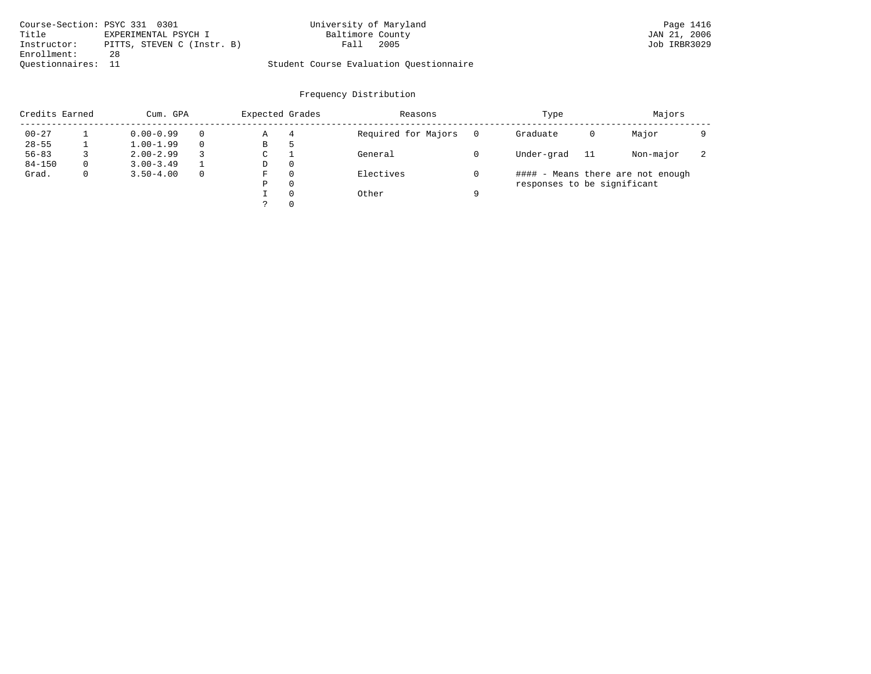|                    | Course-Section: PSYC 331 0301 | University of Maryland                  | Page 1416    |
|--------------------|-------------------------------|-----------------------------------------|--------------|
| Title              | EXPERIMENTAL PSYCH I          | Baltimore County                        | JAN 21, 2006 |
| Instructor:        | PITTS, STEVEN C (Instr. B)    | 2005<br>Fall                            | Job IRBR3029 |
| Enrollment:        | 28                            |                                         |              |
| Ouestionnaires: 11 |                               | Student Course Evaluation Questionnaire |              |

| Credits Earned |          | Cum. GPA      |              | Expected Grades |   | Reasons             |   | Type                        |     | Majors                            |   |
|----------------|----------|---------------|--------------|-----------------|---|---------------------|---|-----------------------------|-----|-----------------------------------|---|
| $00 - 27$      |          | $0.00 - 0.99$ | $\Omega$     | Α               | 4 | Required for Majors |   | Graduate                    | 0   | Major                             |   |
| $28 - 55$      |          | $1.00 - 1.99$ | $\Omega$     | В               | ל |                     |   |                             |     |                                   |   |
| $56 - 83$      |          | $2.00 - 2.99$ | 3            | С               |   | General             |   | Under-grad                  | -11 | Non-major                         | ∠ |
| $84 - 150$     | $\Omega$ | $3.00 - 3.49$ |              | D               | 0 |                     |   |                             |     |                                   |   |
| Grad.          | 0        | $3.50 - 4.00$ | $\mathbf{0}$ | F               | 0 | Electives           |   |                             |     | #### - Means there are not enough |   |
|                |          |               |              | Ρ               | 0 |                     |   | responses to be significant |     |                                   |   |
|                |          |               |              |                 | 0 | Other               | a |                             |     |                                   |   |
|                |          |               |              |                 | 0 |                     |   |                             |     |                                   |   |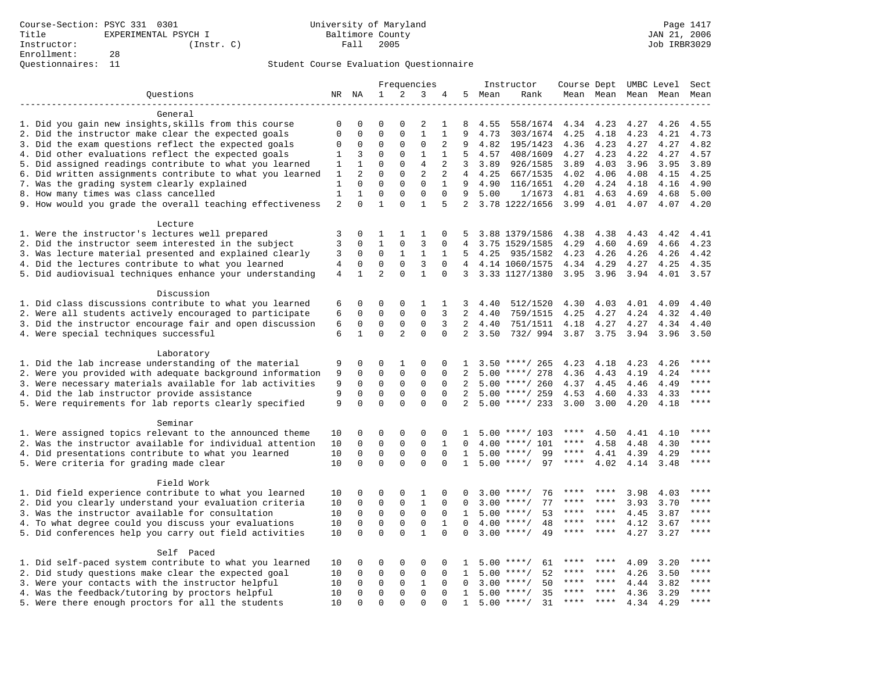|                                                           |                |                  | Frequencies      |                   |                   |                |                | Instructor | Course Dept UMBC Level        |             |                     |      | Sect      |             |
|-----------------------------------------------------------|----------------|------------------|------------------|-------------------|-------------------|----------------|----------------|------------|-------------------------------|-------------|---------------------|------|-----------|-------------|
| Questions                                                 |                | NR NA            | 1                | 2                 | 3                 | 4              |                | 5 Mean     | Rank                          |             | Mean Mean Mean Mean |      |           | Mean        |
|                                                           |                |                  |                  |                   |                   |                |                |            |                               |             |                     |      |           |             |
| General                                                   |                |                  |                  |                   |                   |                |                |            |                               |             |                     |      |           |             |
| 1. Did you gain new insights, skills from this course     | $\Omega$       | $\Omega$         | $\Omega$         | $\Omega$          | 2                 | 1              | 8              | 4.55       | 558/1674                      | 4.34        | 4.23                | 4.27 | 4.26      | 4.55        |
| 2. Did the instructor make clear the expected goals       | $\mathbf 0$    | $\mathbf 0$      | $\mathbf 0$      | $\mathbf{0}$      | $\mathbf{1}$      | $\mathbf{1}$   | 9              | 4.73       | 303/1674                      | 4.25        | 4.18                | 4.23 | 4.21      | 4.73        |
| 3. Did the exam questions reflect the expected goals      | $\Omega$       | 0                | $\Omega$         | 0                 | 0                 | 2              | 9              | 4.82       | 195/1423                      | 4.36        | 4.23                | 4.27 | 4.27      | 4.82        |
| 4. Did other evaluations reflect the expected goals       | 1              | 3                | $\mathbf 0$      | $\mathbf{0}$      | $\mathbf{1}$      | $\mathbf{1}$   | 5              | 4.57       | 408/1609                      | 4.27        | 4.23                | 4.22 | 4.27      | 4.57        |
| 5. Did assigned readings contribute to what you learned   | 1              | $\mathbf{1}$     | $\mathbf 0$      | $\mathbf{0}$      | $\overline{4}$    | 2              | 3              | 3.89       | 926/1585                      | 3.89        | 4.03                | 3.96 | 3.95      | 3.89        |
| 6. Did written assignments contribute to what you learned | 1              | $\overline{2}$   | $\Omega$         | $\Omega$          | $\overline{2}$    | $\overline{a}$ | $4 \quad$      | 4.25       | 667/1535                      | 4.02        | 4.06                | 4.08 | 4.15      | 4.25        |
| 7. Was the grading system clearly explained               | $\mathbf{1}$   | $\mathbf 0$      | $\mathbf 0$      | $\mathbf{0}$      | $\mathbf 0$       | $\mathbf{1}$   | 9              | 4.90       | 116/1651                      | 4.20        | 4.24                | 4.18 | 4.16      | 4.90        |
| 8. How many times was class cancelled                     | $\mathbf{1}$   | $\mathbf{1}$     | $\mathbf 0$      | $\Omega$          | $\mathbf 0$       | $\Omega$       | 9              | 5.00       | 1/1673                        | 4.81        | 4.63                | 4.69 | 4.68      | 5.00        |
| 9. How would you grade the overall teaching effectiveness | $\overline{c}$ | $\Omega$         | $\mathbf{1}$     | $\Omega$          | $\mathbf{1}$      | 5              |                |            | 2 3.78 1222/1656              | 3.99        | 4.01                | 4.07 | 4.07      | 4.20        |
| Lecture                                                   |                |                  |                  |                   |                   |                |                |            |                               |             |                     |      |           |             |
| 1. Were the instructor's lectures well prepared           | 3              | 0                | 1                | 1                 | 1                 | 0              | 5              |            | 3.88 1379/1586                | 4.38        | 4.38                | 4.43 | 4.42      | 4.41        |
| 2. Did the instructor seem interested in the subject      | 3              | $\mathbf 0$      | $\mathbf{1}$     | $\mathbf 0$       | 3                 | $\mathbf 0$    | $\overline{4}$ |            | 3.75 1529/1585                | 4.29        | 4.60                | 4.69 | 4.66      | 4.23        |
| 3. Was lecture material presented and explained clearly   | 3              | 0                | $\mathbf 0$      | $\mathbf{1}$      | $\mathbf{1}$      | 1              | .5             | 4.25       | 935/1582                      | 4.23        | 4.26                | 4.26 | 4.26      | 4.42        |
| 4. Did the lectures contribute to what you learned        | 4              | 0                | $\mathbf 0$      | $\mathbf 0$       | 3                 | $\mathbf 0$    |                |            | 4 4.14 1060/1575              | 4.34        | 4.29                | 4.27 | 4.25      | 4.35        |
| 5. Did audiovisual techniques enhance your understanding  | $\overline{4}$ | $\mathbf{1}$     | $\overline{2}$   | $\Omega$          | $\mathbf{1}$      | $\Omega$       |                |            | 3 3.33 1127/1380              |             | $3.95$ $3.96$       | 3.94 | 4.01 3.57 |             |
| Discussion                                                |                |                  |                  |                   |                   |                |                |            |                               |             |                     |      |           |             |
| 1. Did class discussions contribute to what you learned   | 6              | 0                | 0                | 0                 | 1                 | 1              | 3              | 4.40       | 512/1520                      | 4.30        | 4.03                | 4.01 | 4.09      | 4.40        |
| 2. Were all students actively encouraged to participate   | 6              | 0                | $\mathbf 0$      | $\mathbf{0}$      | $\mathbf 0$       | 3              | 2              | 4.40       | 759/1515                      | 4.25        | 4.27                | 4.24 | 4.32      | 4.40        |
| 3. Did the instructor encourage fair and open discussion  | 6              | $\mathbf 0$      | $\mathbf 0$      | $\mathbf{0}$      | $\mathbf 0$       | 3              | $\overline{a}$ | 4.40       | 751/1511                      | 4.18        | 4.27                | 4.27 | 4.34      | 4.40        |
| 4. Were special techniques successful                     | 6              | $\mathbf{1}$     | $\mathbf 0$      | 2                 | $\mathbf 0$       | $\Omega$       | 2              | 3.50       | 732/ 994 3.87 3.75            |             |                     | 3.94 | 3.96      | 3.50        |
|                                                           |                |                  |                  |                   |                   |                |                |            |                               |             |                     |      |           |             |
| Laboratory                                                |                |                  |                  |                   |                   |                |                |            |                               |             |                     |      |           |             |
| 1. Did the lab increase understanding of the material     | 9              | 0                | 0                | 1                 | $\Omega$          | 0              | 1              |            | $3.50$ ****/ 265              | 4.23        | 4.18                | 4.23 | 4.26      | $***$       |
| 2. Were you provided with adequate background information | 9              | $\mathbf 0$      | $\mathbf 0$      | $\mathbf 0$       | $\mathbf 0$       | $\Omega$       | 2              |            | $5.00$ ****/ 278              | 4.36        | 4.43                | 4.19 | 4.24      | $***$       |
| 3. Were necessary materials available for lab activities  | 9              | $\mathbf 0$      | $\mathbf 0$      | 0                 | 0                 | $\mathbf 0$    | 2              |            | $5.00$ ****/ 260              | 4.37        | 4.45                | 4.46 | 4.49      | $***$       |
| 4. Did the lab instructor provide assistance              | 9              | $\Omega$         | $\Omega$         | 0                 | $\Omega$          | $\Omega$       | 2              |            | $5.00$ ****/ 259              | 4.53        | 4.60                | 4.33 | 4.33      | $***$       |
| 5. Were requirements for lab reports clearly specified    | 9              | $\mathbf 0$      | $\mathbf 0$      | $\Omega$          | $\Omega$          | $\Omega$       | 2              |            | $5.00$ ****/ 233              | 3.00        | 3.00                | 4.20 | 4.18      | $***$       |
| Seminar                                                   |                |                  |                  |                   |                   |                |                |            |                               |             |                     |      |           |             |
| 1. Were assigned topics relevant to the announced theme   | 10             | 0                | 0                | 0                 | $\Omega$          | 0              | 1              |            | $5.00$ ****/ 103              | ****        | 4.50                | 4.41 | 4.10      | $***$ * * * |
| 2. Was the instructor available for individual attention  | 10             | $\Omega$         | $\Omega$         | $\mathbf 0$       | $\Omega$          | $\mathbf{1}$   | $\Omega$       |            | $4.00$ ****/ 101              | ****        | 4.58                | 4.48 | 4.30      | $***$       |
| 4. Did presentations contribute to what you learned       | 10             | $\mathbf 0$      | $\mathbf 0$      | $\mathbf 0$       | $\mathbf 0$       | $\Omega$       | 1              | 5.00       | 99<br>$***/$                  | $***$ * * * | 4.41                | 4.39 | 4.29      | $***$       |
| 5. Were criteria for grading made clear                   | 10             | $\mathbf 0$      | $\mathbf 0$      | $\Omega$          | $\mathbf 0$       | $\Omega$       | $\mathbf{1}$   |            | $5.00$ ****/<br>97            | ****        | 4.02                | 4.14 | 3.48      | ****        |
|                                                           |                |                  |                  |                   |                   |                |                |            |                               |             |                     |      |           |             |
| Field Work                                                |                |                  |                  |                   |                   | $\Omega$       |                |            | $3.00$ ****/<br>76            |             | ****                | 3.98 | 4.03      | ****        |
| 1. Did field experience contribute to what you learned    | 10             | 0<br>$\mathbf 0$ | 0<br>$\mathbf 0$ | 0<br>$\mathbf{0}$ | 1<br>$\mathbf{1}$ | 0              | 0<br>$\Omega$  | 3.00       | 77<br>$***/$                  | ****        | ****                |      |           | $***$       |
| 2. Did you clearly understand your evaluation criteria    | 10             |                  |                  |                   | $\mathbf 0$       |                |                |            |                               | ****        | ****                | 3.93 | 3.70      | $***$ * * * |
| 3. Was the instructor available for consultation          | 10             | $\mathbf 0$      | $\mathbf 0$      | $\mathbf{0}$      |                   | $\mathbf 0$    | $\mathbf{1}$   |            | $5.00$ ****/<br>53<br>$***$ / | ****        | ****                | 4.45 | 3.87      | $***$       |
| 4. To what degree could you discuss your evaluations      | 10             | $\mathbf 0$      | $\mathbf 0$      | $\mathbf 0$       | $\mathbf 0$       | $\mathbf{1}$   | $\Omega$       | 4.00       | 48                            | ****        | ****                | 4.12 | 3.67      | $***$       |
| 5. Did conferences help you carry out field activities    | 10             | $\Omega$         | $\mathbf 0$      | $\Omega$          | $\mathbf{1}$      | $\Omega$       | $\Omega$       | 3.00       | 49<br>$***$ /                 |             |                     | 4.27 | 3.27      |             |
| Self Paced                                                |                |                  |                  |                   |                   |                |                |            |                               |             |                     |      |           |             |
| 1. Did self-paced system contribute to what you learned   | 10             | 0                | $\Omega$         | 0                 | $\Omega$          | 0              |                | 5.00       | $***$ /<br>61                 |             | ****                | 4.09 | 3.20      | ****        |
| 2. Did study questions make clear the expected goal       | 10             | $\mathbf 0$      | $\mathbf 0$      | $\mathbf{0}$      | $\mathbf 0$       | $\mathbf 0$    | 1              | 5.00       | 52<br>$***$ /                 | ****        | ****                | 4.26 | 3.50      | ****        |
| 3. Were your contacts with the instructor helpful         | 10             | 0                | 0                | 0                 | $\mathbf{1}$      | $\mathbf 0$    | 0              | 3.00       | 50<br>$***$ /                 | ****        | ****                | 4.44 | 3.82      | ****        |
| 4. Was the feedback/tutoring by proctors helpful          | 10             | $\Omega$         | $\mathbf 0$      | $\Omega$          | $\Omega$          | $\Omega$       | 1              | 5.00       | 35<br>$***/$                  | $***$ * * * | $* * * *$           | 4.36 | 3.29      | $***$       |
| 5. Were there enough proctors for all the students        | 10             | $\Omega$         | $\Omega$         | $\Omega$          | $\Omega$          | $\Omega$       | $\mathbf{1}$   |            | $5.00$ ****/<br>31            | ****        | $***$ *             | 4.34 | 4.29      | $***$       |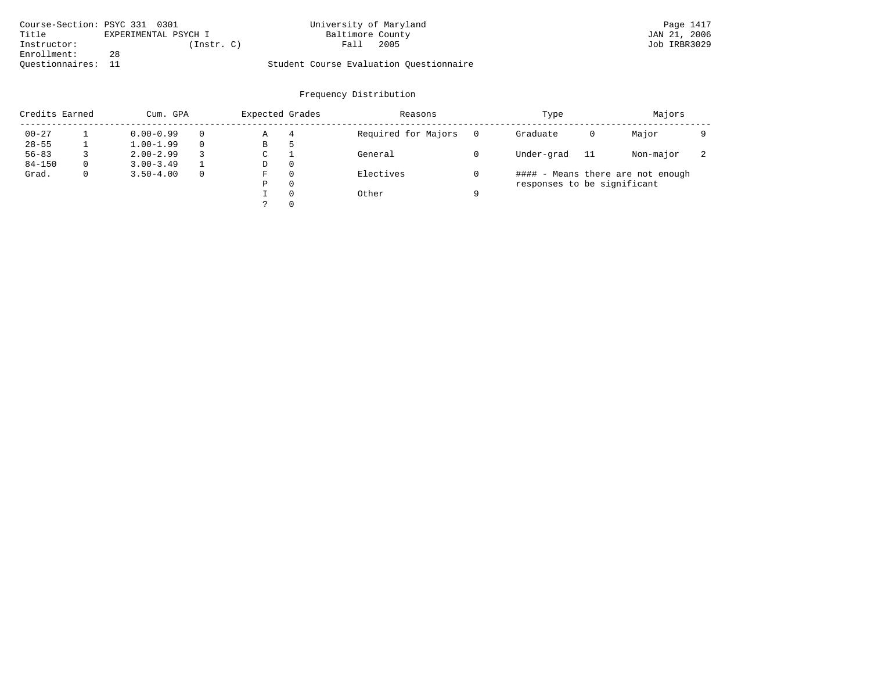| Course-Section: PSYC 331 0301 |                      | University of Maryland                  | Page 1417    |
|-------------------------------|----------------------|-----------------------------------------|--------------|
| Title                         | EXPERIMENTAL PSYCH I | Baltimore County                        | JAN 21, 2006 |
| Instructor:                   | (Instr. C)           | 2005<br>Fall                            | Job IRBR3029 |
| Enrollment:                   | 28                   |                                         |              |
| Ouestionnaires:               |                      | Student Course Evaluation Questionnaire |              |

| Credits Earned<br>Cum. GPA |   | Expected Grades |             | Reasons  |                     | Type     |                             | Majors |                                   |   |
|----------------------------|---|-----------------|-------------|----------|---------------------|----------|-----------------------------|--------|-----------------------------------|---|
| $00 - 27$                  |   | $0.00 - 0.99$   | Α           | 4        | Required for Majors | $\Omega$ | Graduate                    | 0      | Major                             |   |
| $28 - 55$                  |   | $1.00 - 1.99$   | В           | 5        |                     |          |                             |        |                                   |   |
| $56 - 83$                  |   | $2.00 - 2.99$   | $\sim$<br>◡ |          | General             |          | Under-grad                  | -11    | Non-major                         | ∠ |
| $84 - 150$                 | 0 | $3.00 - 3.49$   | D           | 0        |                     |          |                             |        |                                   |   |
| Grad.                      | 0 | $3.50 - 4.00$   | F           | 0        | Electives           |          |                             |        | #### - Means there are not enough |   |
|                            |   |                 | Ρ           | 0        |                     |          | responses to be significant |        |                                   |   |
|                            |   |                 |             | $\Omega$ | Other               | a        |                             |        |                                   |   |
|                            |   |                 |             |          |                     |          |                             |        |                                   |   |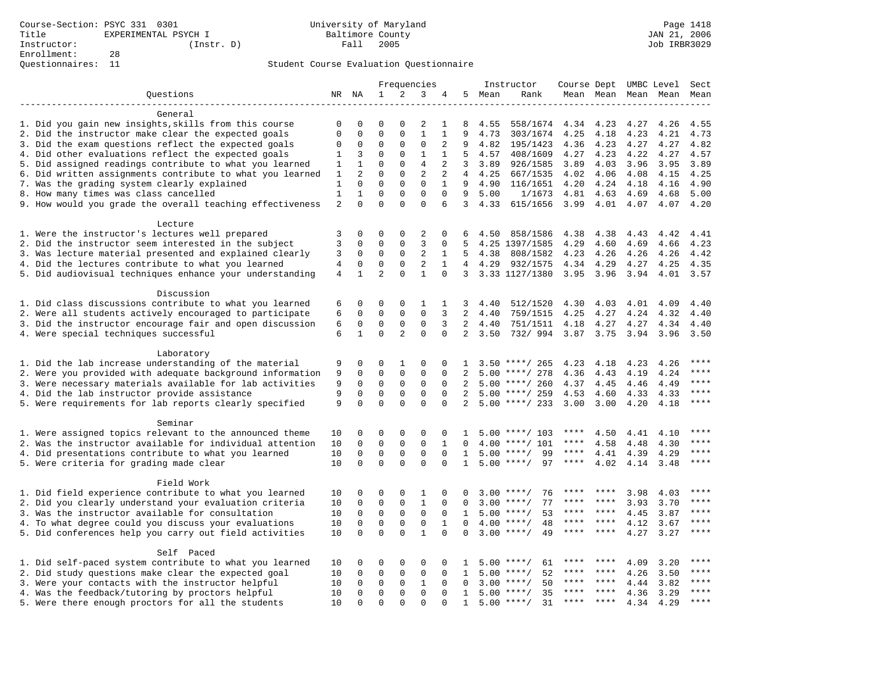|                                                           |                |                |                |                | Frequencies    |              |                 |        | Instructor         |             |               |      | Course Dept UMBC Level | Sect      |
|-----------------------------------------------------------|----------------|----------------|----------------|----------------|----------------|--------------|-----------------|--------|--------------------|-------------|---------------|------|------------------------|-----------|
| Ouestions                                                 |                |                | $\mathbf{1}$   | 2              | 3              | 4            |                 | 5 Mean | Rank               |             |               |      | Mean Mean Mean Mean    | Mean      |
|                                                           |                |                |                |                |                |              |                 |        |                    |             |               |      |                        |           |
| General                                                   |                |                |                |                |                |              |                 |        |                    |             |               |      |                        |           |
| 1. Did you gain new insights, skills from this course     | $\Omega$       | 0              | $\Omega$       | $\Omega$       | 2              | 1            | 8               | 4.55   | 558/1674           | 4.34        | 4.23          | 4.27 | 4.26                   | 4.55      |
| 2. Did the instructor make clear the expected goals       | $\mathbf 0$    | 0              | $\mathsf 0$    | $\Omega$       | $\mathbf{1}$   | 1            | 9               | 4.73   | 303/1674           | 4.25        | 4.18          | 4.23 | 4.21                   | 4.73      |
| 3. Did the exam questions reflect the expected goals      | 0              | 0              | $\mathbf 0$    | 0              | 0              | 2            | 9               | 4.82   | 195/1423           | 4.36        | 4.23          | 4.27 | 4.27                   | 4.82      |
| 4. Did other evaluations reflect the expected goals       | 1              | 3              | $\mathbf 0$    | $\mathbf{0}$   | $\mathbf{1}$   | 1            | 5               | 4.57   | 408/1609           | 4.27        | 4.23          | 4.22 | 4.27                   | 4.57      |
| 5. Did assigned readings contribute to what you learned   | 1              | $\mathbf{1}$   | $\Omega$       | $\Omega$       | $\overline{4}$ | 2            | 3               | 3.89   | 926/1585           | 3.89        | 4.03          | 3.96 | 3.95                   | 3.89      |
| 6. Did written assignments contribute to what you learned | 1              | $\overline{a}$ | $\Omega$       | $\mathbf{0}$   | $\overline{c}$ | 2            | $4\overline{ }$ | 4.25   | 667/1535           | 4.02        | 4.06          | 4.08 | 4.15                   | 4.25      |
| 7. Was the grading system clearly explained               | $\mathbf{1}$   | $\mathbf 0$    | $\mathbf 0$    | $\mathbf{0}$   | $\mathbf 0$    | $\mathbf{1}$ | 9               | 4.90   | 116/1651           | 4.20        | 4.24          | 4.18 | 4.16                   | 4.90      |
| 8. How many times was class cancelled                     | 1              | 1              | $\mathsf 0$    | $\mathbf{0}$   | 0              | $\mathbf 0$  | 9               | 5.00   | 1/1673             | 4.81        | 4.63          | 4.69 | 4.68                   | 5.00      |
| 9. How would you grade the overall teaching effectiveness | $\overline{a}$ | $\Omega$       | $\Omega$       | $\Omega$       | $\Omega$       | 6            | $\overline{3}$  | 4.33   | 615/1656           | 3.99        | 4.01          | 4.07 | 4.07                   | 4.20      |
|                                                           |                |                |                |                |                |              |                 |        |                    |             |               |      |                        |           |
| Lecture                                                   |                |                |                |                |                |              |                 |        |                    |             |               |      |                        |           |
| 1. Were the instructor's lectures well prepared           | 3              | $\mathbf 0$    | $\Omega$       | $\mathbf{0}$   | 2              | 0            | 6               | 4.50   | 858/1586           | 4.38        | 4.38          | 4.43 | 4.42                   | 4.41      |
| 2. Did the instructor seem interested in the subject      | 3              | 0              | $\mathsf 0$    | 0              | 3              | 0            | 5               |        | 4.25 1397/1585     | 4.29        | 4.60          | 4.69 | 4.66                   | 4.23      |
|                                                           | 3              |                | $\mathbf 0$    |                | 2              |              | 5               |        |                    |             |               |      |                        |           |
| 3. Was lecture material presented and explained clearly   |                | 0              |                | 0              |                | 1            |                 | 4.38   | 808/1582           | 4.23        | 4.26          | 4.26 | 4.26                   | 4.42      |
| 4. Did the lectures contribute to what you learned        | $\overline{4}$ | $\mathbf 0$    | $\mathbf 0$    | 0              | 2              | 1            |                 | 4 4.29 | 932/1575           | 4.34        | 4.29          | 4.27 | 4.25                   | 4.35      |
| 5. Did audiovisual techniques enhance your understanding  | 4              | $\mathbf{1}$   | $\overline{2}$ | $\Omega$       | $\mathbf{1}$   | $\Omega$     | $\overline{3}$  |        | 3.33 1127/1380     |             | $3.95$ $3.96$ | 3.94 | 4.01 3.57              |           |
| Discussion                                                |                |                |                |                |                |              |                 |        |                    |             |               |      |                        |           |
|                                                           |                |                |                |                |                |              |                 |        |                    |             |               |      |                        |           |
| 1. Did class discussions contribute to what you learned   | 6              | 0              | 0              | $\mathbf 0$    | 1              | 1            | 3               | 4.40   | 512/1520           | 4.30        | 4.03          | 4.01 | 4.09                   | 4.40      |
| 2. Were all students actively encouraged to participate   | 6              | $\Omega$       | $\mathbf 0$    | $\mathbf 0$    | $\mathbf 0$    | 3            | $\overline{2}$  | 4.40   | 759/1515           | 4.25        | 4.27          | 4.24 | 4.32                   | 4.40      |
| 3. Did the instructor encourage fair and open discussion  | 6              | $\mathbf 0$    | $\mathbf 0$    | 0              | $\mathbf 0$    | 3            | $2^{\circ}$     | 4.40   | 751/1511           | 4.18        | 4.27          | 4.27 | 4.34                   | 4.40      |
| 4. Were special techniques successful                     | 6              | $\mathbf{1}$   | $\Omega$       | $\overline{2}$ | $\Omega$       | $\Omega$     | $\overline{a}$  | 3.50   | 732/ 994 3.87 3.75 |             |               | 3.94 | 3.96                   | 3.50      |
|                                                           |                |                |                |                |                |              |                 |        |                    |             |               |      |                        |           |
| Laboratory                                                |                |                |                |                |                |              |                 |        |                    |             |               |      |                        | ****      |
| 1. Did the lab increase understanding of the material     | 9              | 0              | 0              | 1              | $\Omega$       | $\Omega$     | $\mathbf{1}$    |        | $3.50$ ****/ 265   | 4.23        | 4.18          | 4.23 | 4.26                   | ****      |
| 2. Were you provided with adequate background information | 9              | 0              | $\mathbf 0$    | $\mathsf 0$    | 0              | 0            | 2               |        | $5.00$ ****/ 278   | 4.36        | 4.43          | 4.19 | 4.24                   |           |
| 3. Were necessary materials available for lab activities  | 9              | $\mathbf 0$    | $\mathbf 0$    | $\mathbf 0$    | $\mathbf 0$    | $\Omega$     | 2               |        | $5.00$ ****/ 260   | 4.37        | 4.45          | 4.46 | 4.49                   | $***$     |
| 4. Did the lab instructor provide assistance              | 9              | 0              | $\mathbf 0$    | $\mathbf 0$    | $\mathbf 0$    | $\Omega$     | 2               |        | $5.00$ ****/ 259   | 4.53        | 4.60          | 4.33 | 4.33                   | ****      |
| 5. Were requirements for lab reports clearly specified    | 9              | $\Omega$       | $\Omega$       | $\Omega$       | $\Omega$       | $\Omega$     | 2               |        | $5.00$ ****/ 233   | 3.00        | 3.00          | 4.20 | 4.18                   | $***$     |
|                                                           |                |                |                |                |                |              |                 |        |                    |             |               |      |                        |           |
| Seminar                                                   |                |                | $\Omega$       |                | $\Omega$       |              |                 |        |                    | ****        |               |      |                        | $* * * *$ |
| 1. Were assigned topics relevant to the announced theme   | 10             | 0              |                | $\mathbf 0$    |                | 0            | $\mathbf{1}$    |        | $5.00$ ****/ 103   |             | 4.50          | 4.41 | 4.10                   | $***$     |
| 2. Was the instructor available for individual attention  | 10             | $\Omega$       | $\Omega$       | $\mathbf{0}$   | $\mathbf 0$    | $\mathbf{1}$ | $\Omega$        |        | $4.00$ ****/ 101   | ****        | 4.58          | 4.48 | 4.30                   |           |
| 4. Did presentations contribute to what you learned       | 10             | $\mathbf 0$    | $\mathbf 0$    | $\mathbf 0$    | $\mathbf 0$    | $\Omega$     | $\mathbf{1}$    |        | $5.00$ ****/<br>99 | $***$ * * * | 4.41          | 4.39 | 4.29                   | $***$     |
| 5. Were criteria for grading made clear                   | 10             | $\Omega$       | $\Omega$       | $\Omega$       | $\Omega$       | $\Omega$     | $\mathbf{1}$    |        | $5.00$ ****/<br>97 | ****        | 4.02          | 4.14 | 3.48                   | $***$     |
|                                                           |                |                |                |                |                |              |                 |        |                    |             |               |      |                        |           |
| Field Work                                                |                |                |                |                |                |              |                 |        |                    |             |               |      |                        | ****      |
| 1. Did field experience contribute to what you learned    | 10             | 0              | $\Omega$       | $\mathbf 0$    | 1              | 0            | 0               |        | 76<br>$3.00$ ****/ | ****        | ****          | 3.98 | 4.03                   |           |
| 2. Did you clearly understand your evaluation criteria    | 10             | 0              | $\mathbf 0$    | 0              | $\mathbf{1}$   | $\mathbf 0$  | 0               | 3.00   | 77<br>$***/$       | ****        | ****          | 3.93 | 3.70                   | ****      |
| 3. Was the instructor available for consultation          | 10             | $\mathbf 0$    | $\mathbf 0$    | $\mathbf 0$    | $\mathbf 0$    | $\Omega$     | $\mathbf{1}$    |        | $5.00$ ****/<br>53 | ****        | $***$ *       | 4.45 | 3.87                   | ****      |
| 4. To what degree could you discuss your evaluations      | 10             | $\mathbf 0$    | $\mathbf 0$    | $\mathbf 0$    | $\mathbf 0$    | $\mathbf{1}$ | $\Omega$        | 4.00   | 48<br>$***/$       | ****        | ****          | 4.12 | 3.67                   | $***$     |
| 5. Did conferences help you carry out field activities    |                | $\Omega$       | $\Omega$       | $\Omega$       | $\mathbf{1}$   | $\Omega$     | $\Omega$        | 3.00   | $***$ /<br>49      |             | * * * *       | 4.27 | 3.27                   | ****      |
|                                                           |                |                |                |                |                |              |                 |        |                    |             |               |      |                        |           |
| Self Paced                                                |                |                |                |                |                |              |                 |        |                    |             |               |      |                        |           |
| 1. Did self-paced system contribute to what you learned   | 10             | 0              | $\Omega$       | $\mathbf 0$    | $\Omega$       | $\Omega$     | 1               |        | $5.00$ ****/<br>61 |             |               | 4.09 | 3.20                   | * * * *   |
| 2. Did study questions make clear the expected goal       | 10             | $\Omega$       | 0              | 0              | $\mathbf 0$    | $\Omega$     | 1               | 5.00   | 52<br>$***$ /      | ****        | ****          | 4.26 | 3.50                   | ****      |
| 3. Were your contacts with the instructor helpful         | 10             | $\mathbf 0$    | $\mathbf 0$    | $\mathbf 0$    | $\mathbf{1}$   | $\Omega$     | $\Omega$        | 3.00   | 50<br>$***/$       | ****        | $* * * *$     | 4.44 | 3.82                   | ****      |
| 4. Was the feedback/tutoring by proctors helpful          | 10             | 0              | $\mathbf 0$    | $\mathbf{0}$   | $\mathbf 0$    | 0            | 1               | 5.00   | $***$ /<br>35      |             | ****          | 4.36 | 3.29                   | ****      |
| 5. Were there enough proctors for all the students        | 10             | $\Omega$       | $\Omega$       | $\Omega$       | $\Omega$       | $\Omega$     | $\mathbf{1}$    |        | $5.00$ ****/<br>31 | $***$ * * * | $* * * *$     | 4.34 | 4.29                   | $***$     |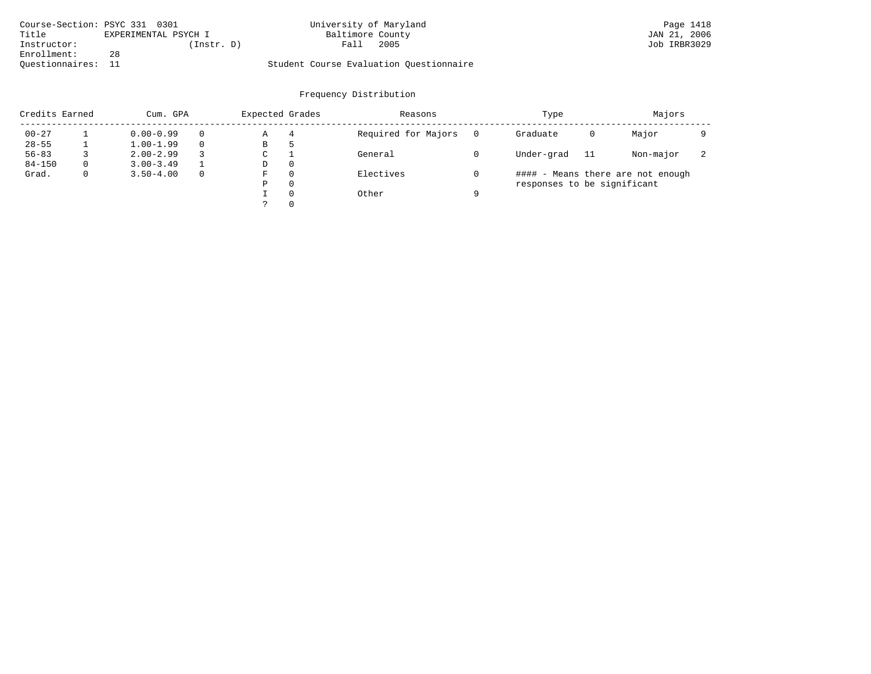| Course-Section: PSYC 331 0301 |                      | University of Maryland                  | Page 1418    |
|-------------------------------|----------------------|-----------------------------------------|--------------|
| Title                         | EXPERIMENTAL PSYCH I | Baltimore County                        | JAN 21, 2006 |
| Instructor:                   | (Instr. D)           | 2005<br>Fall                            | Job IRBR3029 |
| Enrollment:                   | 28                   |                                         |              |
| Ouestionnaires:               |                      | Student Course Evaluation Questionnaire |              |

|            | Credits Earned<br>Cum. GPA |               | Expected Grades |   | Reasons |                     | Type |                             | Majors |                                   |   |
|------------|----------------------------|---------------|-----------------|---|---------|---------------------|------|-----------------------------|--------|-----------------------------------|---|
| $00 - 27$  |                            | $0.00 - 0.99$ | $\Omega$        | Α | 4       | Required for Majors |      | Graduate                    | 0      | Major                             |   |
| $28 - 55$  |                            | $1.00 - 1.99$ | $\Omega$        | В | ל       |                     |      |                             |        |                                   |   |
| $56 - 83$  |                            | $2.00 - 2.99$ | 3               | С |         | General             |      | Under-grad                  | -11    | Non-major                         | ∠ |
| $84 - 150$ | $\Omega$                   | $3.00 - 3.49$ |                 | D | 0       |                     |      |                             |        |                                   |   |
| Grad.      | 0                          | $3.50 - 4.00$ | $\mathbf{0}$    | F | 0       | Electives           |      |                             |        | #### - Means there are not enough |   |
|            |                            |               |                 | Ρ | 0       |                     |      | responses to be significant |        |                                   |   |
|            |                            |               |                 |   | 0       | Other               | a    |                             |        |                                   |   |
|            |                            |               |                 |   | 0       |                     |      |                             |        |                                   |   |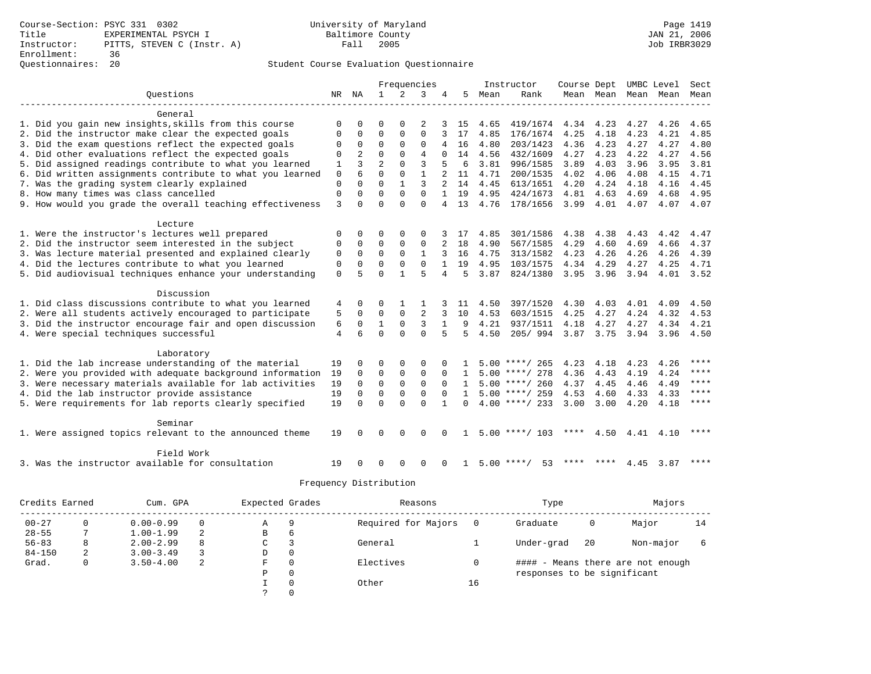|                                                           |             |                |                |              | Frequencies    |              |              |      | Instructor         | Course Dept UMBC Level |      |                     |      | Sect        |
|-----------------------------------------------------------|-------------|----------------|----------------|--------------|----------------|--------------|--------------|------|--------------------|------------------------|------|---------------------|------|-------------|
| Ouestions                                                 |             | NR NA          | 1              | 2            | 3              | 4            | 5            | Mean | Rank               |                        |      | Mean Mean Mean Mean |      | Mean        |
|                                                           |             |                |                |              |                |              |              |      |                    |                        |      |                     |      |             |
| General                                                   |             |                |                |              |                |              |              |      |                    |                        |      |                     |      |             |
| 1. Did you gain new insights, skills from this course     | $\Omega$    | O              | O              | $\Omega$     | 2              |              | 15           | 4.65 | 419/1674           | 4.34 4.23              |      | 4.27                | 4.26 | 4.65        |
| 2. Did the instructor make clear the expected goals       | $\Omega$    | $\Omega$       | $\Omega$       | 0            | $\Omega$       | 3            | 17           | 4.85 | 176/1674           | 4.25                   | 4.18 | 4.23                | 4.21 | 4.85        |
| 3. Did the exam questions reflect the expected goals      | $\Omega$    | $\Omega$       | $\Omega$       | $\Omega$     | $\Omega$       | 4            | 16           | 4.80 | 203/1423           | 4.36                   | 4.23 | 4.27                | 4.27 | 4.80        |
| 4. Did other evaluations reflect the expected goals       | $\Omega$    | $\overline{2}$ | $\Omega$       | $\Omega$     | $\overline{4}$ | $\Omega$     | 14           | 4.56 | 432/1609           | 4.27                   | 4.23 | 4.22                | 4.27 | 4.56        |
| 5. Did assigned readings contribute to what you learned   | 1           | 3              | $\overline{a}$ | $\Omega$     | 3              |              | 6            | 3.81 | 996/1585           | 3.89                   | 4.03 | 3.96                | 3.95 | 3.81        |
| 6. Did written assignments contribute to what you learned | 0           | 6              | $\Omega$       | $\mathbf 0$  | $\mathbf{1}$   |              | 11           | 4.71 | 200/1535           | 4.02                   | 4.06 | 4.08                | 4.15 | 4.71        |
| 7. Was the grading system clearly explained               | $\mathbf 0$ | $\Omega$       | $\Omega$       | $\mathbf{1}$ | 3              |              | 14           | 4.45 | 613/1651           | 4.20                   | 4.24 | 4.18                | 4.16 | 4.45        |
| 8. How many times was class cancelled                     | $\Omega$    | $\Omega$       | $\Omega$       | $\Omega$     | $\Omega$       | $\mathbf{1}$ | 19           | 4.95 | 424/1673           | 4.81                   | 4.63 | 4.69                | 4.68 | 4.95        |
| 9. How would you grade the overall teaching effectiveness | 3           | $\Omega$       | $\Omega$       | $\Omega$     | $\Omega$       | 4            | 13           | 4.76 | 178/1656           | 3.99                   | 4.01 | 4.07                | 4.07 | 4.07        |
|                                                           |             |                |                |              |                |              |              |      |                    |                        |      |                     |      |             |
| Lecture                                                   |             |                |                |              |                |              |              |      |                    |                        |      |                     |      |             |
| 1. Were the instructor's lectures well prepared           | 0           | $\Omega$       | O              | $\Omega$     | $\Omega$       |              | 17           | 4.85 | 301/1586           | 4.38                   | 4.38 | 4.43                | 4.42 | 4.47        |
| 2. Did the instructor seem interested in the subject      | $\Omega$    | $\Omega$       | $\Omega$       | $\Omega$     | $\Omega$       |              | 18           | 4.90 | 567/1585           | 4.29                   | 4.60 | 4.69                | 4.66 | 4.37        |
| 3. Was lecture material presented and explained clearly   | $\mathbf 0$ | $\Omega$       | $\Omega$       | $\Omega$     | $\mathbf{1}$   |              | 16           | 4.75 | 313/1582           | 4.23                   | 4.26 | 4.26                | 4.26 | 4.39        |
| 4. Did the lectures contribute to what you learned        | 0           | 0              | $\Omega$       | 0            | $\Omega$       |              | 19           | 4.95 | 103/1575           | 4.34                   | 4.29 | 4.27                | 4.25 | 4.71        |
| 5. Did audiovisual techniques enhance your understanding  | $\Omega$    | 5              | $\Omega$       | 1            | 5              | 4            | 5            | 3.87 | 824/1380           | 3.95                   | 3.96 | 3.94                | 4.01 | 3.52        |
|                                                           |             |                |                |              |                |              |              |      |                    |                        |      |                     |      |             |
| Discussion                                                |             |                |                |              |                |              |              |      |                    |                        |      |                     |      |             |
| 1. Did class discussions contribute to what you learned   | 4           | 0              | $\Omega$       |              |                |              | 11           | 4.50 | 397/1520           | 4.30                   | 4.03 | 4.01                | 4.09 | 4.50        |
| 2. Were all students actively encouraged to participate   | 5           | 0              | $\Omega$       | 0            | 2              | 3            | 10           | 4.53 | 603/1515           | 4.25                   | 4.27 | 4.24                | 4.32 | 4.53        |
| 3. Did the instructor encourage fair and open discussion  | 6           | 0              | 1              | $\Omega$     | 3              | $\mathbf{1}$ | 9            | 4.21 | 937/1511           | 4.18                   | 4.27 | 4.27                | 4.34 | 4.21        |
| 4. Were special techniques successful                     | 4           | 6              | $\Omega$       | $\Omega$     | $\Omega$       | 5            | 5            | 4.50 | 205/994            | 3.87                   | 3.75 | 3.94                | 3.96 | 4.50        |
|                                                           |             |                |                |              |                |              |              |      |                    |                        |      |                     |      |             |
| Laboratory                                                |             |                |                |              |                |              |              |      |                    |                        |      |                     |      |             |
| 1. Did the lab increase understanding of the material     | 19          | 0              | O              | $\Omega$     | $\Omega$       |              |              |      | $5.00$ ****/ 265   | 4.23                   | 4.18 | 4.23                | 4.26 | ****        |
| 2. Were you provided with adequate background information | 19          | $\Omega$       | $\Omega$       | 0            | $\Omega$       | $\Omega$     | $\mathbf{1}$ |      | $5.00$ ****/ 278   | 4.36                   | 4.43 | 4.19                | 4.24 | ****        |
| 3. Were necessary materials available for lab activities  | 19          | 0              | $\mathbf 0$    | $\mathbf 0$  | $\mathbf 0$    | $\Omega$     | $\mathbf{1}$ |      | $5.00$ ****/ 260   | 4.37                   | 4.45 | 4.46                | 4.49 | ****        |
| 4. Did the lab instructor provide assistance              | 19          | $\Omega$       | $\Omega$       | $\mathbf 0$  | $\mathbf 0$    | $\Omega$     | $\mathbf{1}$ |      | $5.00$ ****/ 259   | 4.53                   | 4.60 | 4.33                | 4.33 | ****        |
| 5. Were requirements for lab reports clearly specified    | 19          | $\Omega$       | $\Omega$       | $\Omega$     | $\Omega$       |              | $\Omega$     |      | $4.00$ ****/ 233   | 3.00                   | 3.00 | 4.20                | 4.18 | $***$ * * * |
|                                                           |             |                |                |              |                |              |              |      |                    |                        |      |                     |      |             |
| Seminar                                                   |             |                |                |              |                |              |              |      |                    |                        |      |                     |      |             |
| 1. Were assigned topics relevant to the announced theme   | 19          | <sup>0</sup>   | $\Omega$       | $\Omega$     | $\Omega$       | $\Omega$     |              |      | $5.00$ ****/ 103   | ****                   | 4.50 | 4.41                | 4.10 | ****        |
|                                                           |             |                |                |              |                |              |              |      |                    |                        |      |                     |      |             |
| Field Work                                                |             |                |                |              |                |              |              |      |                    | ****                   | **** |                     |      | ****        |
| 3. Was the instructor available for consultation          | 19          |                | O              | $\Omega$     | $\Omega$       | 0            | 1            |      | 53<br>$5.00$ ****/ |                        |      | 4.45                | 3.87 |             |

|            | Credits Earned<br>Cum. GPA |               |          | Expected Grades |          | Reasons             |     | Type                        |    | Majors                            |    |
|------------|----------------------------|---------------|----------|-----------------|----------|---------------------|-----|-----------------------------|----|-----------------------------------|----|
| $00 - 27$  | 0                          | $0.00 - 0.99$ | $\Omega$ | A               | 9        | Required for Majors | - 0 | Graduate                    | 0  | Major                             | 14 |
| $28 - 55$  |                            | $1.00 - 1.99$ | 2        | В               | b        |                     |     |                             |    |                                   |    |
| $56 - 83$  | 8                          | $2.00 - 2.99$ | 8        | C               |          | General             |     | Under-grad                  | 20 | Non-major                         |    |
| $84 - 150$ | 2                          | $3.00 - 3.49$ |          | D               | 0        |                     |     |                             |    |                                   |    |
| Grad.      | 0                          | $3.50 - 4.00$ | 2        | F               | $\Omega$ | Electives           |     |                             |    | #### - Means there are not enough |    |
|            |                            |               |          | Ρ               | 0        |                     |     | responses to be significant |    |                                   |    |
|            |                            |               |          |                 |          | Other               | 16  |                             |    |                                   |    |
|            |                            |               |          |                 |          |                     |     |                             |    |                                   |    |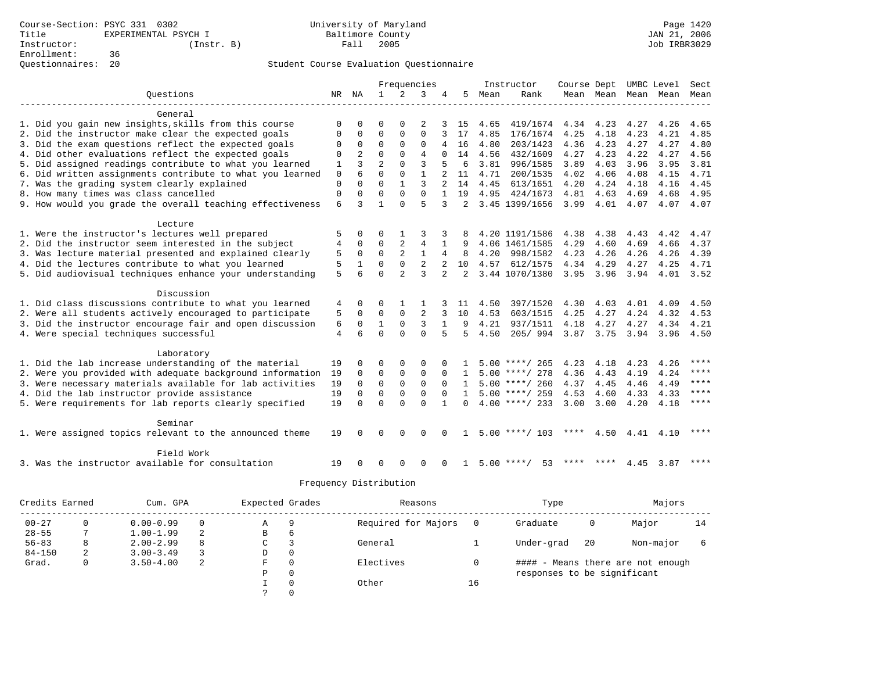|  |                                                                                                        |             |                         |                |                | Frequencies    |                |              |      | Instructor         | Course Dept UMBC Level |      |      |                          | Sect      |
|--|--------------------------------------------------------------------------------------------------------|-------------|-------------------------|----------------|----------------|----------------|----------------|--------------|------|--------------------|------------------------|------|------|--------------------------|-----------|
|  | Ouestions                                                                                              | NR NA       |                         | $\mathbf{1}$   |                | 3              |                | 5            | Mean | Rank               |                        |      |      | Mean Mean Mean Mean Mean |           |
|  |                                                                                                        |             |                         |                |                |                |                |              |      |                    |                        |      |      |                          |           |
|  | General                                                                                                |             |                         |                |                |                |                |              |      |                    |                        |      |      |                          |           |
|  | 1. Did you gain new insights, skills from this course                                                  | O           | O                       | U              | $\Omega$       | 2              |                | 15           | 4.65 | 419/1674           | 4.34 4.23              |      | 4.27 | 4.26                     | 4.65      |
|  | 2. Did the instructor make clear the expected goals                                                    | O           | $\Omega$                | $\Omega$       | $\Omega$       | $\Omega$       | 3              | 17           | 4.85 | 176/1674           | 4.25                   | 4.18 | 4.23 | 4.21                     | 4.85      |
|  | 3. Did the exam questions reflect the expected goals                                                   | $\Omega$    | $\Omega$                | $\Omega$       | $\Omega$       | $\Omega$       | 4              | 16           | 4.80 | 203/1423           | 4.36                   | 4.23 | 4.27 | 4.27                     | 4.80      |
|  | 4. Did other evaluations reflect the expected goals                                                    | $\Omega$    | $\overline{2}$          | $\Omega$       | $\Omega$       | $\overline{4}$ | $\Omega$       | 14           | 4.56 | 432/1609           | 4.27                   | 4.23 | 4.22 | 4.27                     | 4.56      |
|  | 5. Did assigned readings contribute to what you learned                                                | 1           | ζ                       | $\overline{2}$ | $\Omega$       | 3              |                | 6            | 3.81 | 996/1585           | 3.89                   | 4.03 | 3.96 | 3.95                     | 3.81      |
|  | 6. Did written assignments contribute to what you learned                                              | 0           | 6                       | $\Omega$       | $\mathbf 0$    | $\mathbf{1}$   |                | 11           | 4.71 | 200/1535           | 4.02                   | 4.06 | 4.08 | 4.15                     | 4.71      |
|  | 7. Was the grading system clearly explained                                                            | 0           | 0                       | $\Omega$       | $\mathbf{1}$   | 3              |                | 14           | 4.45 | 613/1651           | 4.20                   | 4.24 | 4.18 | 4.16                     | 4.45      |
|  | 8. How many times was class cancelled                                                                  | $\mathbf 0$ | 0                       | $\Omega$       | $\Omega$       | $\Omega$       | $\mathbf{1}$   | 19           | 4.95 | 424/1673           | 4.81                   | 4.63 | 4.69 | 4.68                     | 4.95      |
|  | 9. How would you grade the overall teaching effectiveness                                              | 6           | 3                       | 1              | $\Omega$       | 5              | 3              | 2            |      | 3.45 1399/1656     | 3.99                   | 4.01 | 4.07 | 4.07                     | 4.07      |
|  |                                                                                                        |             |                         |                |                |                |                |              |      |                    |                        |      |      |                          |           |
|  | Lecture                                                                                                |             |                         |                |                |                |                |              |      |                    |                        |      |      |                          |           |
|  | 1. Were the instructor's lectures well prepared                                                        | 5           | $\Omega$                | 0              |                | 3              |                |              |      | 4.20 1191/1586     | 4.38                   | 4.38 | 4.43 | 4.42                     | 4.47      |
|  | 2. Did the instructor seem interested in the subject                                                   | 4           | 0                       | $\mathbf 0$    |                | 4              | 1              | 9            |      | 4.06 1461/1585     | 4.29                   | 4.60 | 4.69 | 4.66                     | 4.37      |
|  | 3. Was lecture material presented and explained clearly                                                | 5           | $\mathbf 0$             | $\Omega$       | 2              | $\mathbf{1}$   | 4              | 8            | 4.20 | 998/1582           | 4.23                   | 4.26 | 4.26 | 4.26                     | 4.39      |
|  | 4. Did the lectures contribute to what you learned                                                     | 5           | $\mathbf{1}$            | $\Omega$       | $\Omega$       | $\overline{2}$ | $\overline{a}$ | 10           | 4.57 | 612/1575           | 4.34                   | 4.29 | 4.27 | 4.25                     | 4.71      |
|  | 5. Did audiovisual techniques enhance your understanding                                               | 5           | 6                       | $\Omega$       | $\overline{a}$ | 3              | $\overline{2}$ | 2            |      | 3.44 1070/1380     | 3.95                   | 3.96 | 3.94 | 4.01                     | 3.52      |
|  |                                                                                                        |             |                         |                |                |                |                |              |      |                    |                        |      |      |                          |           |
|  | Discussion                                                                                             |             |                         |                |                |                |                |              |      |                    |                        |      |      |                          |           |
|  | 1. Did class discussions contribute to what you learned                                                | 4           | 0                       | 0              | 1              |                |                | 11           | 4.50 | 397/1520           | 4.30                   | 4.03 | 4.01 | 4.09                     | 4.50      |
|  | 2. Were all students actively encouraged to participate                                                | 5           | $\mathbf 0$             | $\mathbf 0$    | $\mathbf{0}$   | $\overline{2}$ | 3              | 10           | 4.53 | 603/1515           | 4.25                   | 4.27 | 4.24 | 4.32                     | 4.53      |
|  | 3. Did the instructor encourage fair and open discussion                                               | 6           | 0                       | 1              | $\Omega$       | 3              | $\mathbf{1}$   | 9            | 4.21 | 937/1511           | 4.18                   | 4.27 | 4.27 | 4.34                     | 4.21      |
|  | 4. Were special techniques successful                                                                  | 4           | 6                       | $\Omega$       | $\Omega$       | $\Omega$       | 5              | 5            | 4.50 | 205/994            | 3.87                   | 3.75 | 3.94 | 3.96                     | 4.50      |
|  | Laboratory                                                                                             |             |                         |                |                |                |                |              |      |                    |                        |      |      |                          |           |
|  | 1. Did the lab increase understanding of the material                                                  | 19          | $\Omega$                | $\Omega$       | $\Omega$       | 0              | 0              |              |      | 5.00 ****/ 265     | 4.23                   | 4.18 | 4.23 | 4.26                     | ****      |
|  | 2. Were you provided with adequate background information                                              | 19          | $\Omega$                | $\mathbf 0$    | $\mathbf 0$    | 0              | $\Omega$       | $\mathbf{1}$ |      | $5.00$ ****/ 278   | 4.36                   | 4.43 | 4.19 | 4.24                     | ****      |
|  | 3. Were necessary materials available for lab activities                                               | 19          | $\Omega$                | $\Omega$       | $\mathbf{0}$   | $\Omega$       | $\Omega$       | $\mathbf{1}$ |      | $5.00$ ****/ 260   | 4.37                   | 4.45 | 4.46 | 4.49                     | ****      |
|  |                                                                                                        | 19          |                         | $\mathbf 0$    | $\mathbf{0}$   | 0              | $\Omega$       | $\mathbf{1}$ |      | $5.00$ ****/ 259   | 4.53                   | 4.60 | 4.33 | 4.33                     | ****      |
|  | 4. Did the lab instructor provide assistance<br>5. Were requirements for lab reports clearly specified | 19          | $\mathbf 0$<br>$\Omega$ | $\Omega$       | $\Omega$       | $\Omega$       | $\mathbf{1}$   | $\Omega$     |      | $4.00$ ****/ 233   | 3.00                   | 3.00 | 4.20 | 4.18                     | $* * * *$ |
|  |                                                                                                        |             |                         |                |                |                |                |              |      |                    |                        |      |      |                          |           |
|  | Seminar                                                                                                |             |                         |                |                |                |                |              |      |                    |                        |      |      |                          |           |
|  | 1. Were assigned topics relevant to the announced theme                                                | 19          | $\Omega$                | $\Omega$       | $\Omega$       | $\Omega$       | $\Omega$       | 1.           |      | $5.00$ ****/ 103   | ****                   | 4.50 | 4.41 | 4.10                     | ****      |
|  |                                                                                                        |             |                         |                |                |                |                |              |      |                    |                        |      |      |                          |           |
|  | Field Work                                                                                             |             |                         |                |                |                |                |              |      |                    |                        |      |      |                          |           |
|  | 3. Was the instructor available for consultation                                                       | 19          | $\Omega$                | $\Omega$       | $\Omega$       | 0              | $\Omega$       | $\mathbf{1}$ |      | $5.00$ ****/<br>53 | **** ****              |      | 4.45 | 3.87                     | ****      |
|  |                                                                                                        |             |                         |                |                |                |                |              |      |                    |                        |      |      |                          |           |

|            | Credits Earned<br>Cum. GPA |               |          | Expected Grades |          | Reasons             |     | Type                        |    | Majors                            |    |
|------------|----------------------------|---------------|----------|-----------------|----------|---------------------|-----|-----------------------------|----|-----------------------------------|----|
| $00 - 27$  | 0                          | $0.00 - 0.99$ | $\Omega$ | A               | 9        | Required for Majors | - 0 | Graduate                    | 0  | Major                             | 14 |
| $28 - 55$  |                            | $1.00 - 1.99$ | 2        | В               | b        |                     |     |                             |    |                                   |    |
| $56 - 83$  | 8                          | $2.00 - 2.99$ | 8        | C               |          | General             |     | Under-grad                  | 20 | Non-major                         |    |
| $84 - 150$ | 2                          | $3.00 - 3.49$ |          | D               | 0        |                     |     |                             |    |                                   |    |
| Grad.      | 0                          | $3.50 - 4.00$ | 2        | F               | $\Omega$ | Electives           |     |                             |    | #### - Means there are not enough |    |
|            |                            |               |          | Ρ               | 0        |                     |     | responses to be significant |    |                                   |    |
|            |                            |               |          |                 |          | Other               | 16  |                             |    |                                   |    |
|            |                            |               |          |                 |          |                     |     |                             |    |                                   |    |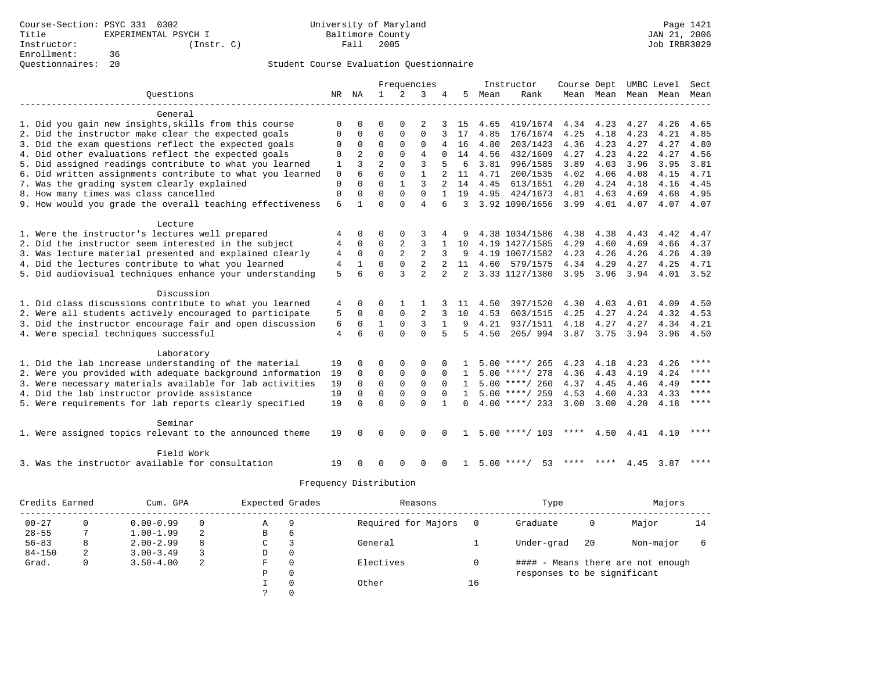|  |                                                           |             |              |                |                | Frequencies    |                |              |      | Instructor         | Course Dept UMBC Level |      |                     |           | Sect      |
|--|-----------------------------------------------------------|-------------|--------------|----------------|----------------|----------------|----------------|--------------|------|--------------------|------------------------|------|---------------------|-----------|-----------|
|  | Ouestions                                                 | NR          | NA           | 1              | $\mathfrak{D}$ | 3              |                | 5            | Mean | Rank               |                        |      | Mean Mean Mean Mean |           | Mean      |
|  |                                                           |             |              |                |                |                |                |              |      |                    |                        |      |                     |           |           |
|  | General                                                   |             |              |                |                |                |                |              |      |                    |                        |      |                     |           |           |
|  | 1. Did you gain new insights, skills from this course     | O           | U            | U              | O              | 2              |                | 15           | 4.65 | 419/1674           | 4.34                   | 4.23 | 4.27                | 4.26      | 4.65      |
|  | 2. Did the instructor make clear the expected goals       | 0           | $\mathbf 0$  | $\Omega$       | $\mathbf{0}$   | 0              |                | 17           | 4.85 | 176/1674           | 4.25                   | 4.18 | 4.23                | 4.21      | 4.85      |
|  | 3. Did the exam questions reflect the expected goals      | 0           | $\mathbf 0$  | $\Omega$       | $\Omega$       | $\Omega$       | 4              | 16           | 4.80 | 203/1423           | 4.36                   | 4.23 | 4.27                | 4.27      | 4.80      |
|  | 4. Did other evaluations reflect the expected goals       | 0           | 2            | $\Omega$       | $\Omega$       | $\overline{4}$ | $\Omega$       | 14           | 4.56 | 432/1609           | 4.27                   | 4.23 | 4.22                | 4.27      | 4.56      |
|  | 5. Did assigned readings contribute to what you learned   | 1           | ζ            | $\overline{a}$ | $\Omega$       | 3              | 5              | 6            | 3.81 | 996/1585           | 3.89                   | 4.03 | 3.96                | 3.95      | 3.81      |
|  | 6. Did written assignments contribute to what you learned | $\mathbf 0$ | 6            | $\Omega$       | $\mathbf{0}$   | $\mathbf{1}$   |                | 11           | 4.71 | 200/1535           | 4.02                   | 4.06 | 4.08                | 4.15      | 4.71      |
|  | 7. Was the grading system clearly explained               | $\mathbf 0$ | $\Omega$     | $\Omega$       | $\mathbf{1}$   | 3              | $\overline{2}$ | 14           | 4.45 | 613/1651           | 4.20                   | 4.24 | 4.18                | 4.16      | 4.45      |
|  | 8. How many times was class cancelled                     | 0           | $\Omega$     | $\Omega$       | $\Omega$       | $\Omega$       | $\mathbf{1}$   | 19           | 4.95 | 424/1673           | 4.81                   | 4.63 | 4.69                | 4.68      | 4.95      |
|  | 9. How would you grade the overall teaching effectiveness | 6           | $\mathbf{1}$ | $\Omega$       | $\Omega$       | 4              | 6              | 3            |      | 3.92 1090/1656     | 3.99                   | 4.01 | 4.07                | 4.07      | 4.07      |
|  | Lecture                                                   |             |              |                |                |                |                |              |      |                    |                        |      |                     |           |           |
|  | 1. Were the instructor's lectures well prepared           | 4           | 0            | 0              | $\mathbf 0$    | 3              |                |              |      | 4.38 1034/1586     | 4.38                   | 4.38 | 4.43                | 4.42      | 4.47      |
|  | 2. Did the instructor seem interested in the subject      | 4           | $\Omega$     | $\Omega$       | 2              | 3              | 1              | 10           |      | 4.19 1427/1585     | 4.29                   | 4.60 | 4.69                | 4.66      | 4.37      |
|  | 3. Was lecture material presented and explained clearly   | 4           | $\mathbf 0$  | $\Omega$       | 2              | $\overline{2}$ | 3              | 9            |      | 4.19 1007/1582     | 4.23                   | 4.26 | 4.26                | 4.26      | 4.39      |
|  | 4. Did the lectures contribute to what you learned        | 4           | $\mathbf{1}$ | $\Omega$       | $\Omega$       | $\overline{a}$ |                | 11           |      | 4.60 579/1575      | 4.34                   | 4.29 | 4.27                | 4.25      | 4.71      |
|  | 5. Did audiovisual techniques enhance your understanding  | 5           | 6            | $\Omega$       | ζ              | $\overline{2}$ | $\overline{a}$ | 2            |      | 3.33 1127/1380     | 3.95 3.96              |      | 3.94                | 4.01 3.52 |           |
|  |                                                           |             |              |                |                |                |                |              |      |                    |                        |      |                     |           |           |
|  | Discussion                                                |             |              |                |                |                |                |              |      |                    |                        |      |                     |           |           |
|  | 1. Did class discussions contribute to what you learned   | 4           | $\Omega$     | $\Omega$       | $\mathbf{1}$   | 1              |                | 11           | 4.50 | 397/1520           | 4.30                   | 4.03 | 4.01                | 4.09      | 4.50      |
|  | 2. Were all students actively encouraged to participate   | 5           | $\mathbf 0$  | 0              | $\Omega$       | $\overline{2}$ | 3              | 10           | 4.53 | 603/1515           | 4.25                   | 4.27 | 4.24                | 4.32      | 4.53      |
|  | 3. Did the instructor encourage fair and open discussion  | 6           | $\mathbf 0$  | $\mathbf{1}$   | $\Omega$       | 3              | $\mathbf{1}$   | 9            | 4.21 | 937/1511           | 4.18                   | 4.27 | 4.27                | 4.34      | 4.21      |
|  | 4. Were special techniques successful                     | 4           | 6            | $\Omega$       | $\Omega$       | $\Omega$       | 5              | 5            | 4.50 | 205/994            | 3.87 3.75              |      | 3.94                | 3.96      | 4.50      |
|  | Laboratory                                                |             |              |                |                |                |                |              |      |                    |                        |      |                     |           |           |
|  | 1. Did the lab increase understanding of the material     | 19          | $\Omega$     | $\Omega$       | $\Omega$       | $\Omega$       |                | -1.          |      | $5.00$ ****/ 265   | 4.23                   | 4.18 | 4.23                | 4.26      | ****      |
|  | 2. Were you provided with adequate background information | 19          | $\Omega$     | $\Omega$       | $\mathbf 0$    | 0              | $\Omega$       | $\mathbf{1}$ |      | $5.00$ ****/ 278   | 4.36                   | 4.43 | 4.19                | 4.24      | ****      |
|  | 3. Were necessary materials available for lab activities  | 19          | $\mathbf 0$  | $\mathbf 0$    | $\mathbf{0}$   | 0              | $\mathbf 0$    | 1            |      | $5.00$ ****/ 260   | 4.37                   | 4.45 | 4.46                | 4.49      | $* * * *$ |
|  | 4. Did the lab instructor provide assistance              | 19          | $\Omega$     | $\Omega$       | 0              | 0              | $\Omega$       | $\mathbf{1}$ |      | $5.00$ ****/ 259   | 4.53                   | 4.60 | 4.33                | 4.33      | ****      |
|  | 5. Were requirements for lab reports clearly specified    | 19          | $\Omega$     | $\Omega$       | $\Omega$       | $\Omega$       | $\mathbf{1}$   | $\Omega$     |      | $4.00$ ****/ 233   | 3.00                   | 3.00 | 4.20                | 4.18      | $* * * *$ |
|  |                                                           |             |              |                |                |                |                |              |      |                    |                        |      |                     |           |           |
|  | Seminar                                                   |             |              |                |                |                |                |              |      |                    |                        |      |                     |           |           |
|  | 1. Were assigned topics relevant to the announced theme   | 19          | $\Omega$     | 0              | $\Omega$       | $\Omega$       | $\Omega$       | 1            |      | $5.00$ ****/ 103   | ****                   | 4.50 |                     | 4.41 4.10 | ****      |
|  | Field Work                                                |             |              |                |                |                |                |              |      |                    |                        |      |                     |           |           |
|  | 3. Was the instructor available for consultation          | 19          |              | $\Omega$       | $\Omega$       | $\Omega$       | $\Omega$       | $\mathbf{1}$ |      | 53<br>$5.00$ ****/ | **** ****              |      | 4.45                | 3.87      | ****      |
|  |                                                           |             |              |                |                |                |                |              |      |                    |                        |      |                     |           |           |

|            | Credits Earned<br>Cum. GPA |               |   | Expected Grades |          | Reasons             |    | Type                        |    | Majors                            |    |
|------------|----------------------------|---------------|---|-----------------|----------|---------------------|----|-----------------------------|----|-----------------------------------|----|
| $00 - 27$  |                            | $0.00 - 0.99$ | 0 | Α               | 9        | Required for Majors |    | Graduate                    | 0  | Major                             | 14 |
| $28 - 55$  |                            | $1.00 - 1.99$ |   | B               | b        |                     |    |                             |    |                                   |    |
| $56 - 83$  | 8                          | $2.00 - 2.99$ | 8 | C               |          | General             |    | Under-grad                  | 20 | Non-major                         |    |
| $84 - 150$ | 2                          | $3.00 - 3.49$ |   | D               | $\Omega$ |                     |    |                             |    |                                   |    |
| Grad.      | 0                          | $3.50 - 4.00$ | 2 | F               |          | Electives           |    |                             |    | #### - Means there are not enough |    |
|            |                            |               |   | Ρ               |          |                     |    | responses to be significant |    |                                   |    |
|            |                            |               |   |                 |          | Other               | 16 |                             |    |                                   |    |
|            |                            |               |   |                 |          |                     |    |                             |    |                                   |    |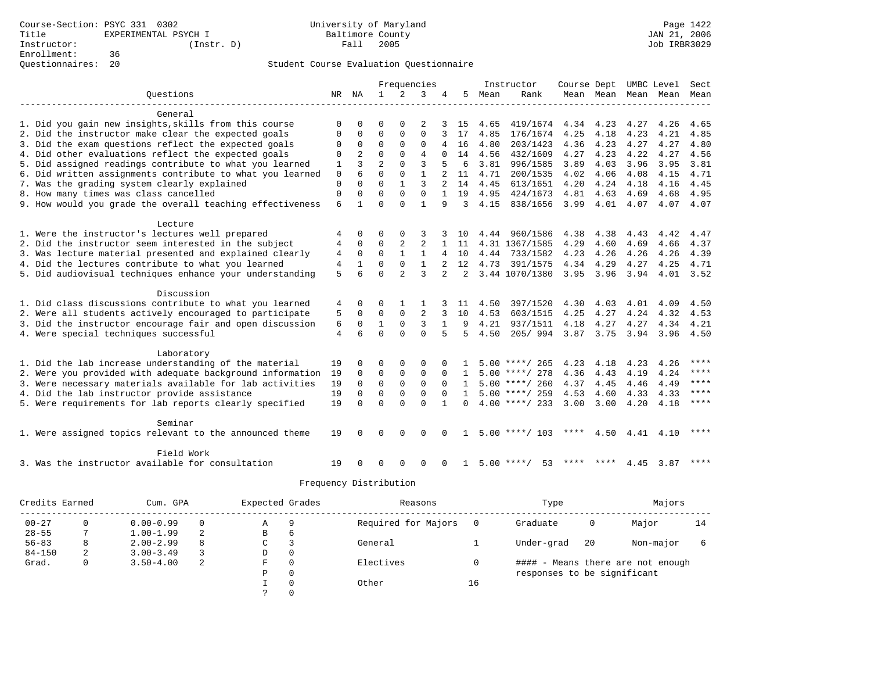|                                                           |             |                |                |                | Frequencies    |                |              |      | Instructor         | Course Dept |           |                     | UMBC Level | Sect      |
|-----------------------------------------------------------|-------------|----------------|----------------|----------------|----------------|----------------|--------------|------|--------------------|-------------|-----------|---------------------|------------|-----------|
| Ouestions                                                 | NR          | NA             | 1              |                | 3              |                | 5            | Mean | Rank               |             |           | Mean Mean Mean Mean |            | Mean      |
|                                                           |             |                |                |                |                |                |              |      |                    |             |           |                     |            |           |
| General                                                   |             |                |                |                |                |                |              |      |                    |             |           |                     |            |           |
| 1. Did you gain new insights, skills from this course     | O           | U              | U              | O              | 2              |                | 15           | 4.65 | 419/1674           | 4.34        | 4.23      | 4.27                | 4.26       | 4.65      |
| 2. Did the instructor make clear the expected goals       | 0           | 0              | $\Omega$       | $\mathbf{0}$   | 0              |                | 17           | 4.85 | 176/1674           | 4.25        | 4.18      | 4.23                | 4.21       | 4.85      |
| 3. Did the exam questions reflect the expected goals      | 0           | 0              | $\Omega$       | $\Omega$       | 0              | 4              | 16           | 4.80 | 203/1423           | 4.36        | 4.23      | 4.27                | 4.27       | 4.80      |
| 4. Did other evaluations reflect the expected goals       | 0           | $\overline{a}$ | $\Omega$       | $\Omega$       | $\overline{4}$ | $\Omega$       | 14           | 4.56 | 432/1609           | 4.27        | 4.23      | 4.22                | 4.27       | 4.56      |
| 5. Did assigned readings contribute to what you learned   | 1           | ζ              | $\overline{a}$ | $\Omega$       | 3              | 5              | 6            | 3.81 | 996/1585           | 3.89        | 4.03      | 3.96                | 3.95       | 3.81      |
| 6. Did written assignments contribute to what you learned | $\mathbf 0$ | 6              | $\Omega$       | $\Omega$       | $\mathbf{1}$   |                | 11           | 4.71 | 200/1535           | 4.02        | 4.06      | 4.08                | 4.15       | 4.71      |
| 7. Was the grading system clearly explained               | 0           | $\Omega$       | $\Omega$       | $\mathbf{1}$   | 3              |                | 14           | 4.45 | 613/1651           | 4.20        | 4.24      | 4.18                | 4.16       | 4.45      |
| 8. How many times was class cancelled                     | $\mathbf 0$ | $\Omega$       | $\Omega$       | $\Omega$       | $\Omega$       | $\mathbf{1}$   | 19           | 4.95 | 424/1673           | 4.81        | 4.63      | 4.69                | 4.68       | 4.95      |
| 9. How would you grade the overall teaching effectiveness | 6           | $\mathbf{1}$   | U              | $\Omega$       | $\mathbf{1}$   | 9              | 3            | 4.15 | 838/1656           | 3.99        | 4.01      | 4.07                | 4.07       | 4.07      |
| Lecture                                                   |             |                |                |                |                |                |              |      |                    |             |           |                     |            |           |
| 1. Were the instructor's lectures well prepared           | 4           | $\Omega$       | 0              | $\Omega$       | 3              |                | 10           |      | 4.44 960/1586      | 4.38        | 4.38      | 4.43                | 4.42       | 4.47      |
| 2. Did the instructor seem interested in the subject      | 4           | 0              | 0              | 2              | 2              |                | 11           |      | 4.31 1367/1585     | 4.29        | 4.60      | 4.69                | 4.66       | 4.37      |
| 3. Was lecture material presented and explained clearly   | 4           | $\Omega$       | $\Omega$       | $\mathbf{1}$   | $\mathbf{1}$   | 4              | 10           | 4.44 | 733/1582           | 4.23        | 4.26      | 4.26                | 4.26       | 4.39      |
| 4. Did the lectures contribute to what you learned        | 4           | $\mathbf{1}$   | O              | 0              | $\mathbf{1}$   |                | 12           | 4.73 | 391/1575           | 4.34        | 4.29      | 4.27                | 4.25       | 4.71      |
| 5. Did audiovisual techniques enhance your understanding  | 5           | 6              | O              | $\overline{a}$ | $\mathbf{z}$   | $\overline{a}$ | 2            |      | 3.44 1070/1380     | 3.95        | 3.96      | 3.94                | 4.01       | 3.52      |
|                                                           |             |                |                |                |                |                |              |      |                    |             |           |                     |            |           |
| Discussion                                                |             |                |                |                |                |                |              |      |                    |             |           |                     |            |           |
| 1. Did class discussions contribute to what you learned   | 4           | 0              | 0              | $\mathbf{1}$   | 1              |                | 11           | 4.50 | 397/1520           | 4.30        | 4.03      | 4.01                | 4.09       | 4.50      |
| 2. Were all students actively encouraged to participate   | 5           | $\mathbf 0$    | 0              | $\Omega$       | 2              | 3              | 10           | 4.53 | 603/1515           | 4.25        | 4.27      | 4.24                | 4.32       | 4.53      |
| 3. Did the instructor encourage fair and open discussion  | 6           | $\mathbf 0$    | $\mathbf{1}$   | $\mathbf 0$    | 3              | $\mathbf{1}$   | 9            | 4.21 | 937/1511           | 4.18        | 4.27      | 4.27                | 4.34       | 4.21      |
| 4. Were special techniques successful                     | 4           | 6              | $\Omega$       | $\Omega$       | $\Omega$       | 5              | 5            | 4.50 | 205/994            | 3.87        | 3.75      | 3.94                | 3.96       | 4.50      |
|                                                           |             |                |                |                |                |                |              |      |                    |             |           |                     |            |           |
| Laboratory                                                | 19          | U              | $\Omega$       |                |                | O              |              |      | $5.00$ ****/ 265   | 4.23        |           |                     |            | ****      |
| 1. Did the lab increase understanding of the material     |             |                | $\Omega$       | 0              | 0              |                |              |      |                    |             | 4.18      | 4.23                | 4.26       | ****      |
| 2. Were you provided with adequate background information | 19          | $\Omega$       |                | $\mathbf 0$    | $\Omega$       | $\Omega$       | $\mathbf{1}$ |      | $5.00$ ****/ 278   | 4.36        | 4.43      | 4.19                | 4.24       | ****      |
| 3. Were necessary materials available for lab activities  | 19          | $\mathbf 0$    | $\mathbf 0$    | $\mathbf{0}$   | 0              | $\Omega$       | $\mathbf{1}$ |      | $5.00$ ****/ 260   | 4.37        | 4.45      | 4.46                | 4.49       | ****      |
| 4. Did the lab instructor provide assistance              | 19          | $\Omega$       | $\Omega$       | 0              | 0              | $\Omega$       | $\mathbf{1}$ |      | $5.00$ ****/ 259   | 4.53        | 4.60      | 4.33                | 4.33       | $* * * *$ |
| 5. Were requirements for lab reports clearly specified    | 19          | $\Omega$       | $\Omega$       | $\Omega$       | $\Omega$       | -1             | $\Omega$     |      | $4.00$ ****/ 233   | 3.00        | 3.00      | 4.20                | 4.18       |           |
| Seminar                                                   |             |                |                |                |                |                |              |      |                    |             |           |                     |            |           |
| 1. Were assigned topics relevant to the announced theme   | 19          | $\Omega$       | $\Omega$       | $\Omega$       | $\Omega$       | $\Omega$       | 1            |      | $5.00$ ****/ 103   | ****        | 4.50      | 4.41                | 4.10       | ****      |
| Field Work                                                |             |                |                |                |                |                |              |      |                    |             |           |                     |            |           |
|                                                           |             |                |                |                |                |                |              |      |                    |             | **** **** |                     |            | ****      |
| 3. Was the instructor available for consultation          | 19          | $\Omega$       | $\Omega$       | $\Omega$       | 0              | $\Omega$       | $\mathbf{1}$ |      | $5.00$ ****/<br>53 |             |           | 4.45                | 3.87       |           |

| Credits Earned |   | Cum. GPA      |    | Expected Grades |          | Reasons             |     | Type                        |    | Majors                            |    |
|----------------|---|---------------|----|-----------------|----------|---------------------|-----|-----------------------------|----|-----------------------------------|----|
| $00 - 27$      | 0 | $0.00 - 0.99$ | 0  | Α               | 9        | Required for Majors | - 0 | Graduate                    | 0  | Major                             | 14 |
| $28 - 55$      |   | $1.00 - 1.99$ | -2 | в               | b        |                     |     |                             |    |                                   |    |
| $56 - 83$      | 8 | $2.00 - 2.99$ | 8  | C               |          | General             |     | Under-grad                  | 20 | Non-major                         |    |
| $84 - 150$     | 2 | $3.00 - 3.49$ |    | D               | 0        |                     |     |                             |    |                                   |    |
| Grad.          | 0 | $3.50 - 4.00$ | 2  | F               | $\Omega$ | Electives           |     |                             |    | #### - Means there are not enough |    |
|                |   |               |    | Ρ               | 0        |                     |     | responses to be significant |    |                                   |    |
|                |   |               |    |                 |          | Other               | 16  |                             |    |                                   |    |
|                |   |               |    |                 |          |                     |     |                             |    |                                   |    |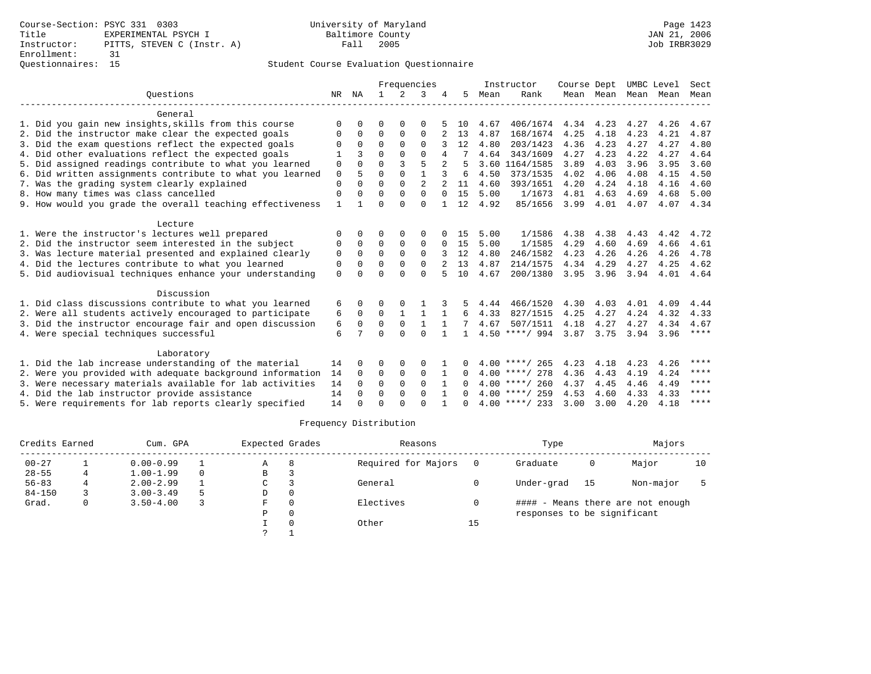|                                                           |              |          | Frequencies  |                |                |                |              | Instructor | Course Dept      |           | UMBC Level |      | Sect |             |
|-----------------------------------------------------------|--------------|----------|--------------|----------------|----------------|----------------|--------------|------------|------------------|-----------|------------|------|------|-------------|
| Ouestions                                                 | NR           | ΝA       | $\mathbf{1}$ | $\mathfrak{D}$ | 3              |                | 5            | Mean       | Rank             |           | Mean Mean  | Mean | Mean | Mean        |
| General                                                   |              |          |              |                |                |                |              |            |                  |           |            |      |      |             |
| 1. Did you gain new insights, skills from this course     | $\Omega$     | $\Omega$ | O            | $\Omega$       | $\Omega$       |                | 1 O          | 4.67       | 406/1674         | 4.34      | 4.23       | 4.27 | 4.26 | 4.67        |
| 2. Did the instructor make clear the expected goals       | $\Omega$     | $\Omega$ | $\Omega$     | $\Omega$       | $\Omega$       |                | 13           | 4.87       | 168/1674         | 4.25      | 4.18       | 4.23 | 4.21 | 4.87        |
| 3. Did the exam questions reflect the expected goals      |              | $\Omega$ | $\Omega$     | $\Omega$       | $\Omega$       |                | 12           | 4.80       | 203/1423         | 4.36      | 4.23       | 4.27 | 4.27 | 4.80        |
| 4. Did other evaluations reflect the expected goals       |              |          | $\Omega$     | $\Omega$       | $\Omega$       | 4              |              | 4.64       | 343/1609         | 4.27      | 4.23       | 4.22 | 4.27 | 4.64        |
| 5. Did assigned readings contribute to what you learned   | $\mathbf 0$  | $\Omega$ | $\Omega$     | 3              | 5              | $\overline{a}$ |              |            | 3.60 1164/1585   | 3.89      | 4.03       | 3.96 | 3.95 | 3.60        |
| 6. Did written assignments contribute to what you learned | $\mathsf 0$  | 5        | $\Omega$     | $\Omega$       | $\mathbf{1}$   | 3              | 6            | 4.50       | 373/1535         | 4.02      | 4.06       | 4.08 | 4.15 | 4.50        |
| 7. Was the grading system clearly explained               | $\mathbf{0}$ | $\Omega$ | $\Omega$     | $\Omega$       | $\overline{c}$ |                | 11           | 4.60       | 393/1651         | 4.20      | 4.24       | 4.18 | 4.16 | 4.60        |
| 8. How many times was class cancelled                     | $\mathbf 0$  | $\Omega$ | $\Omega$     | $\Omega$       | $\Omega$       | $\Omega$       | 15           | 5.00       | 1/1673           | 4.81      | 4.63       | 4.69 | 4.68 | 5.00        |
| 9. How would you grade the overall teaching effectiveness | $\mathbf{1}$ |          | $\Omega$     | $\cap$         | $\Omega$       |                | 12           | 4.92       | 85/1656          | 3.99      | 4.01       | 4.07 | 4.07 | 4.34        |
| Lecture                                                   |              |          |              |                |                |                |              |            |                  |           |            |      |      |             |
| 1. Were the instructor's lectures well prepared           | O            | $\cap$   | U            | $\Omega$       | $\Omega$       |                | 15           | 5.00       | 1/1586           | 4.38      | 4.38       | 4.43 | 4.42 | 4.72        |
| 2. Did the instructor seem interested in the subject      | 0            | $\Omega$ | $\Omega$     | $\mathbf 0$    | $\mathbf 0$    | $\Omega$       | 15           | 5.00       | 1/1585           | 4.29      | 4.60       | 4.69 | 4.66 | 4.61        |
| 3. Was lecture material presented and explained clearly   | 0            | $\Omega$ | $\Omega$     | $\Omega$       | $\Omega$       |                | 12           | 4.80       | 246/1582         | 4.23      | 4.26       | 4.26 | 4.26 | 4.78        |
| 4. Did the lectures contribute to what you learned        | 0            | $\Omega$ | $\Omega$     | $\Omega$       | $\Omega$       |                | 13           | 4.87       | 214/1575         | 4.34      | 4.29       | 4.27 | 4.25 | 4.62        |
| 5. Did audiovisual techniques enhance your understanding  | $\Omega$     | ∩        | U            | $\cap$         | $\Omega$       |                | 10           | 4.67       | 200/1380         | 3.95      | 3.96       | 3.94 | 4.01 | 4.64        |
| Discussion                                                |              |          |              |                |                |                |              |            |                  |           |            |      |      |             |
| 1. Did class discussions contribute to what you learned   | 6            | 0        | 0            |                |                |                | 5.           | 4.44       | 466/1520         | 4.30      | 4.03       | 4.01 | 4.09 | 4.44        |
| 2. Were all students actively encouraged to participate   | 6            | $\Omega$ | $\Omega$     | $\mathbf{1}$   | $\mathbf{1}$   | 1              | 6            | 4.33       | 827/1515         | 4.25      | 4.27       | 4.24 | 4.32 | 4.33        |
| 3. Did the instructor encourage fair and open discussion  | 6            | 0        | $\Omega$     | $\mathbf 0$    | $\mathbf{1}$   |                |              | 4.67       | 507/1511         | 4.18      | 4.27       | 4.27 | 4.34 | 4.67        |
| 4. Were special techniques successful                     | 6            | 7        | $\Omega$     | $\cap$         | $\cap$         | $\mathbf{1}$   | $\mathbf{1}$ |            | $4.50$ ****/ 994 | 3.87 3.75 |            | 3.94 | 3.96 | $***$ * * * |
| Laboratory                                                |              |          |              |                |                |                |              |            |                  |           |            |      |      |             |
| 1. Did the lab increase understanding of the material     | 14           | $\Omega$ | O            | $\Omega$       | 0              |                |              |            | $4.00$ ****/ 265 | 4.23      | 4.18       | 4.23 | 4.26 | $***$       |
| 2. Were you provided with adequate background information | 14           | $\Omega$ | $\Omega$     | $\mathbf 0$    | $\Omega$       | 1              | $\Omega$     |            | $4.00$ ****/ 278 | 4.36      | 4.43       | 4.19 | 4.24 | ****        |
| 3. Were necessary materials available for lab activities  | 14           | $\Omega$ | $\Omega$     | $\Omega$       | $\Omega$       |                | 0            |            | $4.00$ ****/ 260 | 4.37      | 4.45       | 4.46 | 4.49 | $* * * *$   |
| 4. Did the lab instructor provide assistance              | 14           | $\Omega$ | $\Omega$     | $\Omega$       | $\Omega$       | $\mathbf{1}$   | 0            |            | $4.00$ ****/ 259 | 4.53      | 4.60       | 4.33 | 4.33 | ****        |
| 5. Were requirements for lab reports clearly specified    | 14           | $\Omega$ | $\Omega$     | ∩              | $\cap$         |                | <sup>n</sup> |            | $4.00$ ****/ 233 | 3.00      | 3.00       | 4.20 | 4.18 | $***$ * * * |

| Credits Earned |   | Cum. GPA      |   | Expected Grades |          | Reasons             |    | Type                        |    | Majors                            |    |
|----------------|---|---------------|---|-----------------|----------|---------------------|----|-----------------------------|----|-----------------------------------|----|
| $00 - 27$      |   | $0.00 - 0.99$ |   | Α               | 8        | Required for Majors |    | Graduate                    | 0  | Major                             | 10 |
| $28 - 55$      | 4 | $1.00 - 1.99$ |   | В               |          |                     |    |                             |    |                                   |    |
| $56 - 83$      |   | $2.00 - 2.99$ |   | C               |          | General             |    | Under-grad                  | 15 | Non-major                         |    |
| $84 - 150$     |   | $3.00 - 3.49$ | 5 | D               | $\Omega$ |                     |    |                             |    |                                   |    |
| Grad.          | 0 | $3.50 - 4.00$ |   | F.              | $\Omega$ | Electives           |    |                             |    | #### - Means there are not enough |    |
|                |   |               |   | P               | $\Omega$ |                     |    | responses to be significant |    |                                   |    |
|                |   |               |   |                 |          | Other               | 15 |                             |    |                                   |    |
|                |   |               |   | $\mathcal{L}$   |          |                     |    |                             |    |                                   |    |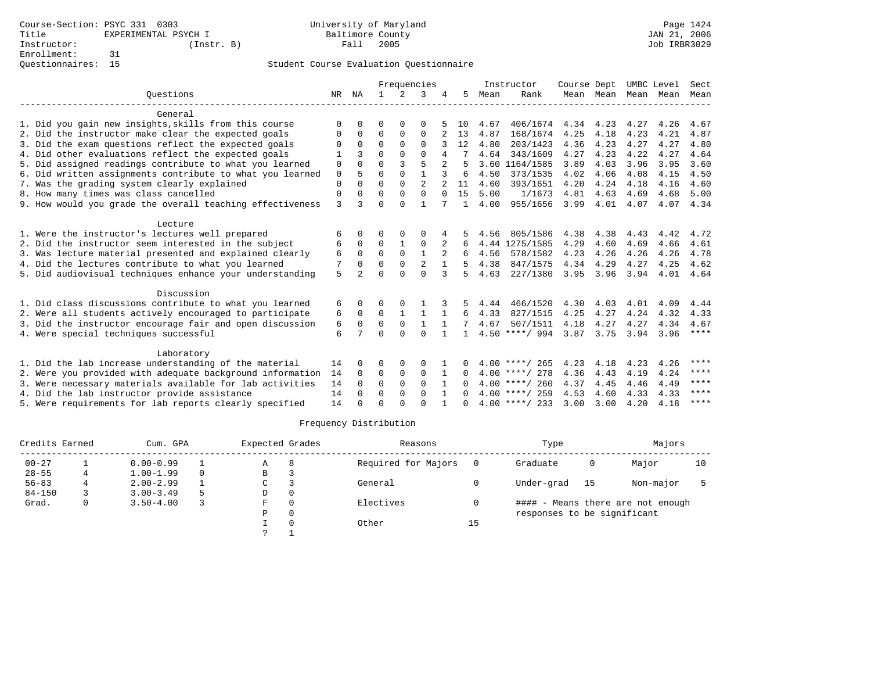|                                                           |    |                |          |              | Frequencies    |              |                |      | Instructor       | Course Dept |           | UMBC Level |      | Sect        |
|-----------------------------------------------------------|----|----------------|----------|--------------|----------------|--------------|----------------|------|------------------|-------------|-----------|------------|------|-------------|
| Ouestions                                                 | NR | ΝA             |          | 2            | 3              |              | 5.             | Mean | Rank             |             | Mean Mean | Mean Mean  |      | Mean        |
| General                                                   |    |                |          |              |                |              |                |      |                  |             |           |            |      |             |
| 1. Did you gain new insights, skills from this course     | 0  | 0              | U        | $\Omega$     | 0              |              | 10             | 4.67 | 406/1674         | 4.34        | 4.23      | 4.27       | 4.26 | 4.67        |
| 2. Did the instructor make clear the expected goals       | 0  | 0              | 0        | 0            | 0              | 2            | 13             | 4.87 | 168/1674         | 4.25        | 4.18      | 4.23       | 4.21 | 4.87        |
| 3. Did the exam questions reflect the expected goals      | U  | $\Omega$       | $\Omega$ | $\Omega$     | $\Omega$       |              | 12             | 4.80 | 203/1423         | 4.36        | 4.23      | 4.27       | 4.27 | 4.80        |
| 4. Did other evaluations reflect the expected goals       |    | ζ              | $\Omega$ | $\Omega$     | $\Omega$       | 4            |                | 4.64 | 343/1609         | 4.27        | 4.23      | 4.22       | 4.27 | 4.64        |
| 5. Did assigned readings contribute to what you learned   | 0  | $\Omega$       | 0        | 3            | 5              |              |                |      | 3.60 1164/1585   | 3.89        | 4.03      | 3.96       | 3.95 | 3.60        |
| 6. Did written assignments contribute to what you learned | 0  | 5              | $\Omega$ | $\Omega$     | $\mathbf{1}$   |              | 6              | 4.50 | 373/1535         | 4.02        | 4.06      | 4.08       | 4.15 | 4.50        |
| 7. Was the grading system clearly explained               | 0  | $\Omega$       | $\Omega$ | $\Omega$     | $\mathfrak{D}$ |              | 11             | 4.60 | 393/1651         | 4.20        | 4.24      | 4.18       | 4.16 | 4.60        |
| 8. How many times was class cancelled                     | 0  | $\Omega$       | $\Omega$ | $\Omega$     | 0              | $\Omega$     | 15             | 5.00 | 1/1673           | 4.81        | 4.63      | 4.69       | 4.68 | 5.00        |
| 9. How would you grade the overall teaching effectiveness | 3  | ζ              | 0        | $\Omega$     | $\mathbf{1}$   |              | $\overline{1}$ | 4.00 | 955/1656         | 3.99        | 4.01      | 4.07       | 4.07 | 4.34        |
| Lecture                                                   |    |                |          |              |                |              |                |      |                  |             |           |            |      |             |
| 1. Were the instructor's lectures well prepared           | 6  | <sup>0</sup>   | U        | O            | O              |              |                | 4.56 | 805/1586         | 4.38        | 4.38      | 4.43       | 4.42 | 4.72        |
| 2. Did the instructor seem interested in the subject      | 6  | 0              | 0        | $\mathbf{1}$ | 0              | 2            | 6              | 4.44 | 1275/1585        | 4.29        | 4.60      | 4.69       | 4.66 | 4.61        |
| 3. Was lecture material presented and explained clearly   | 6  | $\Omega$       | $\Omega$ | $\Omega$     | $\mathbf{1}$   | 2            |                | 4.56 | 578/1582         | 4.23        | 4.26      | 4.26       | 4.26 | 4.78        |
| 4. Did the lectures contribute to what you learned        | 7  | $\Omega$       | $\Omega$ | $\Omega$     | 2              |              |                | 4.38 | 847/1575         | 4.34        | 4.29      | 4.27       | 4.25 | 4.62        |
| 5. Did audiovisual techniques enhance your understanding  | 5  | $\mathfrak{D}$ | U        | $\Omega$     | $\Omega$       | 3            | 5              | 4.63 | 227/1380         | 3.95        | 3.96      | 3.94       | 4.01 | 4.64        |
| Discussion                                                |    |                |          |              |                |              |                |      |                  |             |           |            |      |             |
| 1. Did class discussions contribute to what you learned   | 6  | 0              | 0        |              |                |              | 5.             | 4.44 | 466/1520         | 4.30        | 4.03      | 4.01       | 4.09 | 4.44        |
| 2. Were all students actively encouraged to participate   | 6  | $\Omega$       | $\Omega$ | $\mathbf{1}$ | $\mathbf{1}$   | $\mathbf{1}$ | 6              | 4.33 | 827/1515         | 4.25        | 4.27      | 4.24       | 4.32 | 4.33        |
| 3. Did the instructor encourage fair and open discussion  | 6  | $\Omega$       | $\Omega$ | $\mathbf 0$  | $\mathbf{1}$   |              |                | 4.67 | 507/1511         | 4.18        | 4.27      | 4.27       | 4.34 | 4.67        |
| 4. Were special techniques successful                     | 6  | 7              | U        | $\Omega$     | $\cap$         |              | 1              |      | $4.50$ ****/ 994 | 3.87        | 3.75      | 3.94       | 3.96 | ****        |
| Laboratory                                                |    |                |          |              |                |              |                |      |                  |             |           |            |      |             |
| 1. Did the lab increase understanding of the material     | 14 | $\Omega$       | U        | 0            | 0              |              |                |      | $4.00$ ****/ 265 | 4.23        | 4.18      | 4.23       | 4.26 | ****        |
| 2. Were you provided with adequate background information | 14 | $\Omega$       | $\Omega$ | 0            | 0              | 1            | 0              |      | $4.00$ ****/ 278 | 4.36        | 4.43      | 4.19       | 4.24 | ****        |
| 3. Were necessary materials available for lab activities  | 14 | $\Omega$       | $\Omega$ | $\Omega$     | $\Omega$       |              |                |      | $4.00$ ****/ 260 | 4.37        | 4.45      | 4.46       | 4.49 | ****        |
| 4. Did the lab instructor provide assistance              | 14 | $\Omega$       | $\Omega$ | $\Omega$     | $\Omega$       | $\mathbf{1}$ | $\Omega$       |      | $4.00$ ****/ 259 | 4.53        | 4.60      | 4.33       | 4.33 | ****        |
| 5. Were requirements for lab reports clearly specified    | 14 | U              | U        | $\cap$       | $\cap$         |              |                |      | $4.00$ ****/ 233 | 3.00        | 3.00      | 4.20       | 4.18 | $***$ * * * |

| Credits Earned |   | Cum. GPA      |          | Expected Grades |   | Reasons             |    | Type                        |    | Majors                            |    |
|----------------|---|---------------|----------|-----------------|---|---------------------|----|-----------------------------|----|-----------------------------------|----|
| $00 - 27$      |   | $0.00 - 0.99$ |          | Α               | 8 | Required for Majors |    | Graduate                    | 0  | Major                             | 10 |
| $28 - 55$      |   | $1.00 - 1.99$ | $\Omega$ | В               |   |                     |    |                             |    |                                   |    |
| $56 - 83$      |   | $2.00 - 2.99$ |          | C               |   | General             |    | Under-grad                  | 15 | Non-major                         |    |
| $84 - 150$     |   | $3.00 - 3.49$ |          | D               |   |                     |    |                             |    |                                   |    |
| Grad.          | 0 | $3.50 - 4.00$ |          | F               |   | Electives           |    |                             |    | #### - Means there are not enough |    |
|                |   |               |          | P               |   |                     |    | responses to be significant |    |                                   |    |
|                |   |               |          |                 |   | Other               | 15 |                             |    |                                   |    |
|                |   |               |          |                 |   |                     |    |                             |    |                                   |    |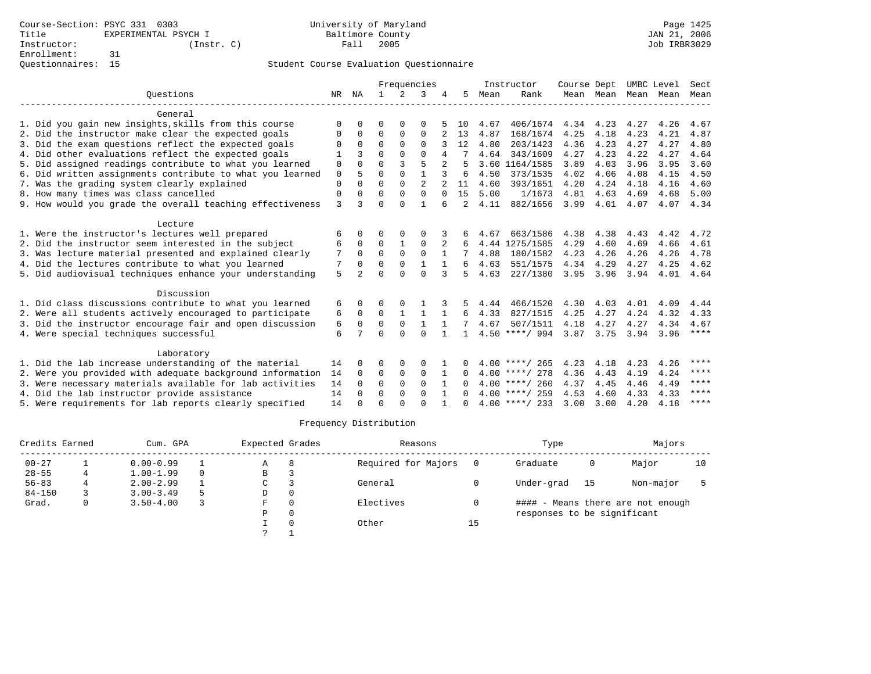|                                                           |             |                |              |              | Frequencies    |                |              |      | Instructor       | Course Dept |      | UMBC Level          |      | Sect        |
|-----------------------------------------------------------|-------------|----------------|--------------|--------------|----------------|----------------|--------------|------|------------------|-------------|------|---------------------|------|-------------|
| Ouestions                                                 | NR          | ΝA             | $\mathbf{1}$ | 2            | 3              |                | 5            | Mean | Rank             |             |      | Mean Mean Mean Mean |      | Mean        |
| General                                                   |             |                |              |              |                |                |              |      |                  |             |      |                     |      |             |
| 1. Did you gain new insights, skills from this course     | $\Omega$    | $\Omega$       | U            | $\Omega$     | 0              |                | 10           | 4.67 | 406/1674         | 4.34        | 4.23 | 4.27                | 4.26 | 4.67        |
| 2. Did the instructor make clear the expected goals       | 0           | $\Omega$       | 0            | 0            | 0              |                | 13           | 4.87 | 168/1674         | 4.25        | 4.18 | 4.23                | 4.21 | 4.87        |
| 3. Did the exam questions reflect the expected goals      | 0           | $\Omega$       | $\Omega$     | $\Omega$     | $\Omega$       |                | 12           | 4.80 | 203/1423         | 4.36        | 4.23 | 4.27                | 4.27 | 4.80        |
| 4. Did other evaluations reflect the expected goals       |             |                | U            | $\cap$       | $\Omega$       | 4              |              | 4.64 | 343/1609         | 4.27        | 4.23 | 4.22                | 4.27 | 4.64        |
| 5. Did assigned readings contribute to what you learned   | 0           | $\Omega$       | $\Omega$     | 3            | 5              | $\overline{a}$ | 5            |      | 3.60 1164/1585   | 3.89        | 4.03 | 3.96                | 3.95 | 3.60        |
| 6. Did written assignments contribute to what you learned | $\mathbf 0$ | 5              | $\Omega$     | $\Omega$     |                |                | 6            | 4.50 | 373/1535         | 4.02        | 4.06 | 4.08                | 4.15 | 4.50        |
| 7. Was the grading system clearly explained               | 0           | $\Omega$       | $\Omega$     | $\Omega$     | $\overline{a}$ |                | 11           | 4.60 | 393/1651         | 4.20        | 4.24 | 4.18                | 4.16 | 4.60        |
| 8. How many times was class cancelled                     | 0           | $\Omega$       | $\Omega$     | $\Omega$     | $\Omega$       | $\Omega$       | 15           | 5.00 | 1/1673           | 4.81        | 4.63 | 4.69                | 4.68 | 5.00        |
| 9. How would you grade the overall teaching effectiveness | 3           | ζ              | U            | $\Omega$     | $\mathbf{1}$   | 6              | 2            | 4.11 | 882/1656         | 3.99        | 4.01 | 4.07                | 4.07 | 4.34        |
| Lecture                                                   |             |                |              |              |                |                |              |      |                  |             |      |                     |      |             |
| 1. Were the instructor's lectures well prepared           | 6           | 0              | U            | $\Omega$     | O              |                | 6            | 4.67 | 663/1586         | 4.38        | 4.38 | 4.43                | 4.42 | 4.72        |
| 2. Did the instructor seem interested in the subject      | 6           | 0              | $\Omega$     | $\mathbf{1}$ | $\Omega$       |                | 6            |      | 4.44 1275/1585   | 4.29        | 4.60 | 4.69                | 4.66 | 4.61        |
| 3. Was lecture material presented and explained clearly   | 7           | $\Omega$       | $\Omega$     | $\Omega$     | $\Omega$       | $\mathbf{1}$   |              | 4.88 | 180/1582         | 4.23        | 4.26 | 4.26                | 4.26 | 4.78        |
| 4. Did the lectures contribute to what you learned        | 7           | $\Omega$       | $\Omega$     | $\Omega$     | $\mathbf{1}$   |                | 6            | 4.63 | 551/1575         | 4.34        | 4.29 | 4.27                | 4.25 | 4.62        |
| 5. Did audiovisual techniques enhance your understanding  | 5           | $\mathfrak{D}$ | U            | $\Omega$     | $\Omega$       | 3              | 5            | 4.63 | 227/1380         | 3.95        | 3.96 | 3.94                | 4.01 | 4.64        |
| Discussion                                                |             |                |              |              |                |                |              |      |                  |             |      |                     |      |             |
| 1. Did class discussions contribute to what you learned   | 6           | 0              | U            | O            |                |                | 5.           | 4.44 | 466/1520         | 4.30        | 4.03 | 4.01                | 4.09 | 4.44        |
| 2. Were all students actively encouraged to participate   | 6           | $\Omega$       | $\Omega$     | $\mathbf{1}$ | $\mathbf{1}$   | $\mathbf{1}$   | 6            | 4.33 | 827/1515         | 4.25        | 4.27 | 4.24                | 4.32 | 4.33        |
| 3. Did the instructor encourage fair and open discussion  | 6           | $\Omega$       | $\Omega$     | $\Omega$     | $\mathbf{1}$   | $\mathbf{1}$   |              | 4.67 | 507/1511         | 4.18        | 4.27 | 4.27                | 4.34 | 4.67        |
| 4. Were special techniques successful                     | 6           |                | U            | $\Omega$     | $\Omega$       |                |              |      | $4.50$ ****/ 994 | 3.87        | 3.75 | 3.94                | 3.96 | $***$ * * * |
| Laboratory                                                |             |                |              |              |                |                |              |      |                  |             |      |                     |      |             |
| 1. Did the lab increase understanding of the material     | 14          | 0              | 0            | $\Omega$     | $\Omega$       |                |              |      | $4.00$ ****/ 265 | 4.23        | 4.18 | 4.23                | 4.26 | ****        |
| 2. Were you provided with adequate background information | 14          | $\Omega$       | $\Omega$     | $\Omega$     | $\Omega$       | -1             | $\Omega$     |      | $4.00$ ****/ 278 | 4.36        | 4.43 | 4.19                | 4.24 | $* * * *$   |
| 3. Were necessary materials available for lab activities  | 14          | $\Omega$       | $\Omega$     | $\Omega$     | $\Omega$       | -1             | 0            |      | $4.00$ ****/ 260 | 4.37        | 4.45 | 4.46                | 4.49 | ****        |
| 4. Did the lab instructor provide assistance              | 14          | $\Omega$       | $\Omega$     | $\Omega$     | $\Omega$       | $\mathbf{1}$   | $\Omega$     |      | $4.00$ ****/ 259 | 4.53        | 4.60 | 4.33                | 4.33 | ****        |
| 5. Were requirements for lab reports clearly specified    | 14          | U              | U            | $\cap$       | $\cap$         |                | <sup>n</sup> |      | $4.00$ ****/ 233 | 3.00        | 3.00 | 4.20                | 4.18 | $***$ * * * |

| Credits Earned |   | Cum. GPA      |          | Expected Grades |          | Reasons             |    | Type                        |    | Majors                            |    |
|----------------|---|---------------|----------|-----------------|----------|---------------------|----|-----------------------------|----|-----------------------------------|----|
| $00 - 27$      |   | $0.00 - 0.99$ |          | Α               | 8        | Required for Majors |    | Graduate                    | 0  | Major                             | 10 |
| $28 - 55$      | 4 | $1.00 - 1.99$ | $\Omega$ | В               |          |                     |    |                             |    |                                   |    |
| $56 - 83$      |   | $2.00 - 2.99$ |          | C               |          | General             |    | Under-grad                  | 15 | Non-major                         |    |
| $84 - 150$     |   | $3.00 - 3.49$ | 5        | D               |          |                     |    |                             |    |                                   |    |
| Grad.          | 0 | $3.50 - 4.00$ |          | F               |          | Electives           |    |                             |    | #### - Means there are not enough |    |
|                |   |               |          | P               | $\Omega$ |                     |    | responses to be significant |    |                                   |    |
|                |   |               |          |                 |          | Other               | 15 |                             |    |                                   |    |
|                |   |               |          | っ               |          |                     |    |                             |    |                                   |    |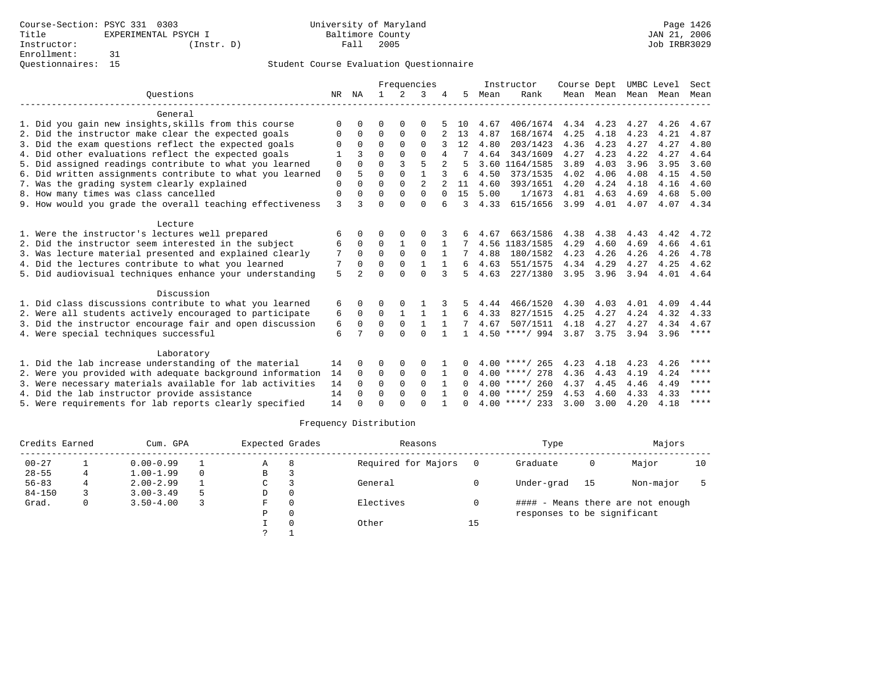|                                                           |              |               | Frequencies  |               |                |              |              | Instructor | Course Dept      |           | UMBC Level |      | Sect |             |
|-----------------------------------------------------------|--------------|---------------|--------------|---------------|----------------|--------------|--------------|------------|------------------|-----------|------------|------|------|-------------|
| Ouestions                                                 | NR           | ΝA            | $\mathbf{1}$ | $\mathcal{L}$ | 3              |              | 5.           | Mean       | Rank             |           | Mean Mean  | Mean | Mean | Mean        |
| General                                                   |              |               |              |               |                |              |              |            |                  |           |            |      |      |             |
| 1. Did you gain new insights, skills from this course     | $\Omega$     | $\Omega$      | O            | $\Omega$      | $\Omega$       |              | 10           | 4.67       | 406/1674         | 4.34      | 4.23       | 4.27 | 4.26 | 4.67        |
| 2. Did the instructor make clear the expected goals       | 0            | 0             | $\mathbf 0$  | 0             | $\mathbf{0}$   |              | 13           | 4.87       | 168/1674         | 4.25      | 4.18       | 4.23 | 4.21 | 4.87        |
| 3. Did the exam questions reflect the expected goals      | $\Omega$     | $\Omega$      | $\Omega$     | $\Omega$      | $\Omega$       |              | 12           | 4.80       | 203/1423         | 4.36      | 4.23       | 4.27 | 4.27 | 4.80        |
| 4. Did other evaluations reflect the expected goals       |              | ς             | $\Omega$     | $\Omega$      | $\Omega$       |              |              | 4.64       | 343/1609         | 4.27      | 4.23       | 4.22 | 4.27 | 4.64        |
| 5. Did assigned readings contribute to what you learned   | $\mathbf 0$  | $\Omega$      | $\Omega$     | 3             | 5              |              |              |            | 3.60 1164/1585   | 3.89      | 4.03       | 3.96 | 3.95 | 3.60        |
| 6. Did written assignments contribute to what you learned | 0            | 5             | $\Omega$     | $\Omega$      | $\mathbf{1}$   | 3            | 6            | 4.50       | 373/1535         | 4.02      | 4.06       | 4.08 | 4.15 | 4.50        |
| 7. Was the grading system clearly explained               | $\mathbf{0}$ | $\Omega$      | $\Omega$     | $\Omega$      | $\mathfrak{D}$ |              | 11           | 4.60       | 393/1651         | 4.20      | 4.24       | 4.18 | 4.16 | 4.60        |
| 8. How many times was class cancelled                     | $\mathbf 0$  | $\Omega$      | $\Omega$     | $\Omega$      | $\Omega$       | $\Omega$     | 15           | 5.00       | 1/1673           | 4.81      | 4.63       | 4.69 | 4.68 | 5.00        |
| 9. How would you grade the overall teaching effectiveness | $\mathbf{3}$ | ς             | $\Omega$     | $\Omega$      | $\Omega$       | б            | ζ            | 4.33       | 615/1656         | 3.99      | 4.01       | 4.07 | 4.07 | 4.34        |
| Lecture                                                   |              |               |              |               |                |              |              |            |                  |           |            |      |      |             |
| 1. Were the instructor's lectures well prepared           | 6            | U             | O            | $\Omega$      | O              |              |              | 4.67       | 663/1586         | 4.38      | 4.38       | 4.43 | 4.42 | 4.72        |
| 2. Did the instructor seem interested in the subject      | 6            | $\mathbf 0$   | $\mathbf 0$  | $\mathbf{1}$  | $\mathbf 0$    |              |              |            | 4.56 1183/1585   | 4.29      | 4.60       | 4.69 | 4.66 | 4.61        |
| 3. Was lecture material presented and explained clearly   | 7            | $\Omega$      | $\Omega$     | $\Omega$      | $\Omega$       | 1            | 7            | 4.88       | 180/1582         | 4.23      | 4.26       | 4.26 | 4.26 | 4.78        |
| 4. Did the lectures contribute to what you learned        | 7            | $\Omega$      | $\Omega$     | $\Omega$      |                |              | 6            | 4.63       | 551/1575         | 4.34      | 4.29       | 4.27 | 4.25 | 4.62        |
| 5. Did audiovisual techniques enhance your understanding  | 5            | $\mathcal{D}$ | $\cap$       | $\cap$        | $\Omega$       | 3            | 5            | 4.63       | 227/1380         | 3.95      | 3.96       | 3.94 | 4.01 | 4.64        |
| Discussion                                                |              |               |              |               |                |              |              |            |                  |           |            |      |      |             |
| 1. Did class discussions contribute to what you learned   | 6            | 0             | 0            |               |                |              | 5.           | 4.44       | 466/1520         | 4.30      | 4.03       | 4.01 | 4.09 | 4.44        |
| 2. Were all students actively encouraged to participate   | 6            | $\Omega$      | $\Omega$     | $\mathbf{1}$  | 1              | $\mathbf{1}$ | 6            | 4.33       | 827/1515         | 4.25      | 4.27       | 4.24 | 4.32 | 4.33        |
| 3. Did the instructor encourage fair and open discussion  | 6            | $\Omega$      | $\Omega$     | $\mathbf{0}$  | $\mathbf{1}$   |              |              | 4.67       | 507/1511         | 4.18      | 4.27       | 4.27 | 4.34 | 4.67        |
| 4. Were special techniques successful                     | 6            | 7             | $\cap$       | $\cap$        | $\cap$         | $\mathbf{1}$ | $\mathbf{1}$ |            | $4.50$ ****/ 994 | 3.87 3.75 |            | 3.94 | 3.96 | $***$ * * * |
| Laboratory                                                |              |               |              |               |                |              |              |            |                  |           |            |      |      |             |
| 1. Did the lab increase understanding of the material     | 14           | O             | O            | $\Omega$      | 0              |              |              |            | $4.00$ ****/ 265 | 4.23      | 4.18       | 4.23 | 4.26 | $***$       |
| 2. Were you provided with adequate background information | 14           | $\Omega$      | $\Omega$     | $\mathbf 0$   | $\Omega$       | 1            | $\Omega$     |            | $4.00$ ****/ 278 | 4.36      | 4.43       | 4.19 | 4.24 | ****        |
| 3. Were necessary materials available for lab activities  | 14           | $\Omega$      | $\Omega$     | $\Omega$      | $\Omega$       |              | 0            |            | $4.00$ ****/ 260 | 4.37      | 4.45       | 4.46 | 4.49 | ****        |
| 4. Did the lab instructor provide assistance              | 14           | $\Omega$      | $\Omega$     | $\Omega$      | $\Omega$       | $\mathbf{1}$ | 0            |            | $4.00$ ****/ 259 | 4.53      | 4.60       | 4.33 | 4.33 | ****        |
| 5. Were requirements for lab reports clearly specified    | 14           | $\Omega$      | $\Omega$     | $\cap$        | $\cap$         |              | <sup>n</sup> |            | $4.00$ ****/ 233 | 3.00      | 3.00       | 4.20 | 4.18 | $***$ * * * |

| Credits Earned |   | Cum. GPA      |   | Expected Grades |          | Reasons             |    | Type                        |    | Majors                            |    |
|----------------|---|---------------|---|-----------------|----------|---------------------|----|-----------------------------|----|-----------------------------------|----|
| $00 - 27$      |   | $0.00 - 0.99$ |   | Α               | 8        | Required for Majors |    | Graduate                    | 0  | Major                             | 10 |
| $28 - 55$      | 4 | $1.00 - 1.99$ |   | В               |          |                     |    |                             |    |                                   |    |
| $56 - 83$      |   | $2.00 - 2.99$ |   | C               |          | General             |    | Under-grad                  | 15 | Non-major                         |    |
| $84 - 150$     |   | $3.00 - 3.49$ | 5 | D               | $\Omega$ |                     |    |                             |    |                                   |    |
| Grad.          | 0 | $3.50 - 4.00$ |   | F.              | $\Omega$ | Electives           |    |                             |    | #### - Means there are not enough |    |
|                |   |               |   | P               | $\Omega$ |                     |    | responses to be significant |    |                                   |    |
|                |   |               |   |                 |          | Other               | 15 |                             |    |                                   |    |
|                |   |               |   | $\mathcal{L}$   |          |                     |    |                             |    |                                   |    |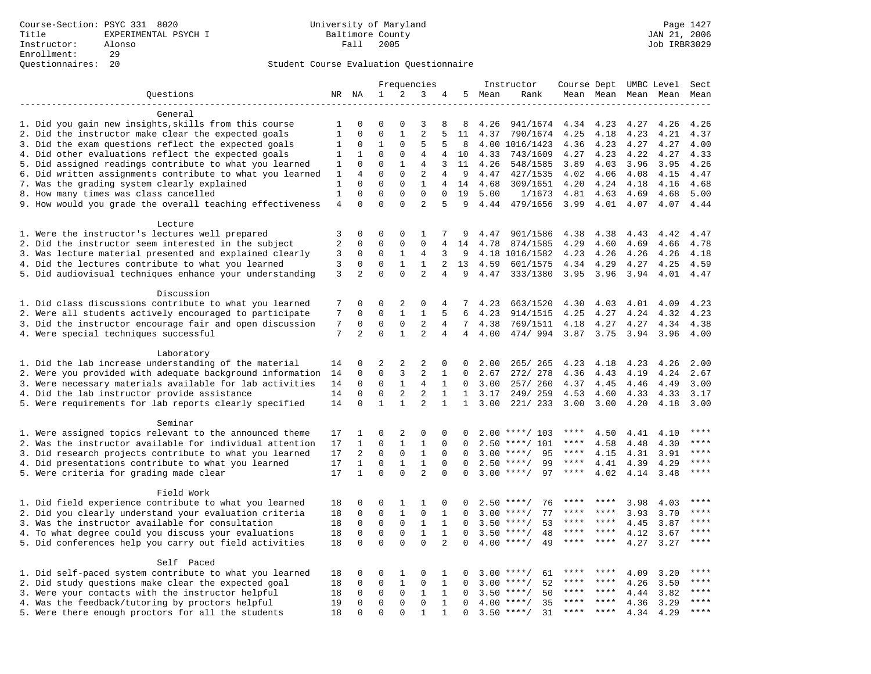|                                                           |                     |                            | Frequencies                 |                            |                   |                | Instructor   | Course Dept UMBC Level |                    |           |         | Sect                |      |             |
|-----------------------------------------------------------|---------------------|----------------------------|-----------------------------|----------------------------|-------------------|----------------|--------------|------------------------|--------------------|-----------|---------|---------------------|------|-------------|
| Questions                                                 |                     | NR NA                      | $\mathbf 1$                 | $\overline{a}$             | 3                 | 4              | 5            | Mean                   | Rank               |           |         | Mean Mean Mean Mean |      | Mean        |
|                                                           |                     |                            |                             |                            |                   |                |              |                        |                    |           |         |                     |      |             |
| General                                                   |                     |                            |                             |                            |                   |                |              |                        |                    |           |         |                     |      |             |
| 1. Did you gain new insights, skills from this course     | 1                   | $\Omega$                   | $\Omega$                    | $\Omega$                   | 3                 | 8              | 8            | 4.26                   | 941/1674           | 4.34      | 4.23    | 4.27                | 4.26 | 4.26        |
| 2. Did the instructor make clear the expected goals       | $\mathbf{1}$        | $\Omega$                   | $\mathbf{0}$                | $\mathbf{1}$               | $\overline{2}$    |                | 11           | 4.37                   | 790/1674           | 4.25      | 4.18    | 4.23                | 4.21 | 4.37        |
| 3. Did the exam questions reflect the expected goals      | 1                   | $\Omega$                   | $\mathbf 1$                 | $\Omega$                   | 5                 | 5              | 8            |                        | 4.00 1016/1423     | 4.36      | 4.23    | 4.27                | 4.27 | 4.00        |
| 4. Did other evaluations reflect the expected goals       | 1                   | $\mathbf{1}$               | $\mathbf{0}$                | $\mathbf 0$                | 4                 | 4              | 10           | 4.33                   | 743/1609           | 4.27      | 4.23    | 4.22                | 4.27 | 4.33        |
| 5. Did assigned readings contribute to what you learned   | 1                   | $\mathbf 0$                | $\mathbf{0}$                | $\mathbf{1}$               | $\overline{4}$    | 3              | 11           | 4.26                   | 548/1585           | 3.89      | 4.03    | 3.96                | 3.95 | 4.26        |
| 6. Did written assignments contribute to what you learned | 1                   | $\overline{4}$             | $\mathbf 0$                 | $\mathbf 0$                | 2                 | 4              | 9            | 4.47                   | 427/1535           | 4.02      | 4.06    | 4.08                | 4.15 | 4.47        |
| 7. Was the grading system clearly explained               | 1                   | $\Omega$                   | $\Omega$                    | $\Omega$                   | $\mathbf{1}$      | $\overline{4}$ | 14           | 4.68                   | 309/1651           | 4.20      | 4.24    | 4.18                | 4.16 | 4.68        |
| 8. How many times was class cancelled                     | $\mathbf{1}$        | $\Omega$                   | $\Omega$                    | $\Omega$                   | $\Omega$          | $\Omega$       | 19           | 5.00                   | 1/1673             | 4.81      | 4.63    | 4.69                | 4.68 | 5.00        |
| 9. How would you grade the overall teaching effectiveness | $\overline{4}$      | $\Omega$                   | $\Omega$                    | $\Omega$                   | $\overline{2}$    | 5              | 9            | 4.44                   | 479/1656           | 3.99      | 4.01    | 4.07                | 4.07 | 4.44        |
|                                                           |                     |                            |                             |                            |                   |                |              |                        |                    |           |         |                     |      |             |
| Lecture                                                   |                     |                            |                             |                            |                   |                |              |                        |                    |           |         |                     |      |             |
| 1. Were the instructor's lectures well prepared           | 3<br>$\overline{a}$ | $\mathbf 0$<br>$\mathbf 0$ | $\mathbf 0$<br>$\mathbf{0}$ | $\mathbf 0$<br>$\mathbf 0$ | 1<br>$\mathbf{0}$ | 7              | 9<br>14      | 4.47                   | 901/1586           | 4.38      | 4.38    | 4.43                | 4.42 | 4.47        |
| 2. Did the instructor seem interested in the subject      |                     |                            |                             |                            |                   | 4              |              | 4.78                   | 874/1585           | 4.29      | 4.60    | 4.69                | 4.66 | 4.78        |
| 3. Was lecture material presented and explained clearly   | 3                   | $\mathbf 0$                | $\mathbf 0$                 | 1                          | $\overline{4}$    | 3              | 9            |                        | 4.18 1016/1582     | 4.23      | 4.26    | 4.26                | 4.26 | 4.18        |
| 4. Did the lectures contribute to what you learned        | 3                   | $\mathbf 0$                | $\mathbf{0}$                | $\mathbf{1}$               | $\mathbf{1}$      | 2              | 13           | 4.59                   | 601/1575           | 4.34      | 4.29    | 4.27                | 4.25 | 4.59        |
| 5. Did audiovisual techniques enhance your understanding  | 3                   | $\overline{a}$             | $\Omega$                    | $\Omega$                   | $\overline{a}$    | $\overline{4}$ | 9            | 4.47                   | 333/1380           | 3.95      | 3.96    | 3.94                | 4.01 | 4.47        |
| Discussion                                                |                     |                            |                             |                            |                   |                |              |                        |                    |           |         |                     |      |             |
| 1. Did class discussions contribute to what you learned   | 7                   | $\Omega$                   | $\Omega$                    | 2                          | 0                 | 4              | 7            | 4.23                   | 663/1520           | 4.30      | 4.03    | 4.01                | 4.09 | 4.23        |
| 2. Were all students actively encouraged to participate   | 7                   | $\mathbf 0$                | $\mathbf 0$                 | $\mathbf{1}$               | $\mathbf{1}$      | 5              | 6            | 4.23                   | 914/1515           | 4.25      | 4.27    | 4.24                | 4.32 | 4.23        |
| 3. Did the instructor encourage fair and open discussion  | 7                   | $\mathsf 0$                | $\mathbf 0$                 | $\mathbf 0$                | $\overline{2}$    | $\overline{4}$ | 7            | 4.38                   | 769/1511           | 4.18      | 4.27    | 4.27                | 4.34 | 4.38        |
| 4. Were special techniques successful                     | 7                   | $\overline{2}$             | $\Omega$                    | $\mathbf{1}$               | 2                 | $\overline{4}$ | 4            | 4.00                   | 474/994            | 3.87      | 3.75    | 3.94                | 3.96 | 4.00        |
|                                                           |                     |                            |                             |                            |                   |                |              |                        |                    |           |         |                     |      |             |
| Laboratory                                                |                     |                            |                             |                            |                   |                |              |                        |                    |           |         |                     |      |             |
| 1. Did the lab increase understanding of the material     | 14                  | 0                          | $\overline{2}$              | 2                          | 2                 | $\Omega$       | $\Omega$     | 2.00                   | 265/ 265           | 4.23      | 4.18    | 4.23                | 4.26 | 2.00        |
| 2. Were you provided with adequate background information | 14                  | $\mathbf 0$                | $\mathbf 0$                 | 3                          | $\overline{2}$    | 1              | $\mathbf 0$  | 2.67                   | 272/ 278           | 4.36      | 4.43    | 4.19                | 4.24 | 2.67        |
| 3. Were necessary materials available for lab activities  | 14                  | 0                          | $\mathbf 0$                 | 1                          | 4                 | 1              | $\Omega$     | 3.00                   | 257/ 260           | 4.37      | 4.45    | 4.46                | 4.49 | 3.00        |
| 4. Did the lab instructor provide assistance              | 14                  | $\mathbf 0$                | $\mathbf 0$                 | 2                          | $\overline{2}$    | $\mathbf{1}$   | $\mathbf{1}$ | 3.17                   | 249/259            | 4.53      | 4.60    | 4.33                | 4.33 | 3.17        |
| 5. Were requirements for lab reports clearly specified    | 14                  | $\Omega$                   | $\mathbf{1}$                | $\mathbf{1}$               | $\overline{a}$    | $\mathbf{1}$   | $\mathbf{1}$ | 3.00                   | 221/ 233           | 3.00      | 3.00    | 4.20                | 4.18 | 3.00        |
|                                                           |                     |                            |                             |                            |                   |                |              |                        |                    |           |         |                     |      |             |
| Seminar                                                   |                     |                            |                             |                            |                   |                |              |                        |                    |           |         |                     |      |             |
| 1. Were assigned topics relevant to the announced theme   | 17                  | 1                          | $\mathbf{0}$                | $\overline{c}$             | $\mathsf 0$       | 0              |              |                        | $2.00$ ****/ 103   | ****      | 4.50    | 4.41                | 4.10 | $***$ * * * |
| 2. Was the instructor available for individual attention  | 17                  | 1                          | $\mathbf 0$                 | $\mathbf{1}$               | $\mathbf{1}$      | $\mathbf 0$    | $\Omega$     | 2.50                   | $***/101$          | ****      | 4.58    | 4.48                | 4.30 | ****        |
| 3. Did research projects contribute to what you learned   | 17                  | 2                          | $\mathbf{0}$                | $\mathbf 0$                | $\mathbf{1}$      | $\Omega$       | $\Omega$     | 3.00                   | 95<br>$***/$       | $***$ * * | 4.15    | 4.31                | 3.91 | $***$       |
| 4. Did presentations contribute to what you learned       | 17                  | $\mathbf{1}$               | $\Omega$                    | $\mathbf{1}$               | $\mathbf{1}$      | $\Omega$       | $\Omega$     | 2.50                   | $***/$<br>99       | $***$ * * | 4.41    | 4.39                | 4.29 | $***$ * * * |
| 5. Were criteria for grading made clear                   | 17                  | $\mathbf{1}$               | $\Omega$                    | $\Omega$                   | $\overline{a}$    | $\Omega$       | $\Omega$     |                        | $3.00$ ****/<br>97 | ****      | 4.02    | 4.14                | 3.48 | ****        |
|                                                           |                     |                            |                             |                            |                   |                |              |                        |                    |           |         |                     |      |             |
| Field Work                                                |                     |                            |                             |                            |                   |                |              |                        |                    |           |         |                     |      |             |
| 1. Did field experience contribute to what you learned    | 18                  | $\mathbf 0$                | $\mathbf 0$                 | 1                          | 1                 | 0              | $\Omega$     | 2.50                   | 76<br>$***$ /      |           |         | 3.98                | 4.03 | * * * *     |
| 2. Did you clearly understand your evaluation criteria    | 18                  | $\mathbf 0$                | $\mathbf 0$                 | $\mathbf{1}$               | $\mathbf 0$       | $\mathbf{1}$   | $\Omega$     | 3.00                   | 77<br>$***$ /      | ****      | ****    | 3.93                | 3.70 | ****        |
| 3. Was the instructor available for consultation          | 18                  | $\mathbf 0$                | $\mathbf 0$                 | $\mathbf 0$                | $\mathbf{1}$      | $\mathbf{1}$   | $\Omega$     | 3.50                   | $***/$<br>53       | ****      | $***$ * | 4.45                | 3.87 | ****        |
| 4. To what degree could you discuss your evaluations      | 18                  | $\mathbf 0$                | $\mathbf 0$                 | $\mathbf 0$                | $\mathbf{1}$      | $\mathbf{1}$   | $\mathbf 0$  | 3.50                   | $***/$<br>48       | ****      | $***$ * | 4.12                | 3.67 | $***$       |
| 5. Did conferences help you carry out field activities    | 18                  | $\Omega$                   | $\mathbf 0$                 | $\Omega$                   | $\Omega$          | 2              | $\Omega$     | 4.00                   | $***$ /<br>49      | ****      | $***$   | 4.27                | 3.27 | $***$       |
|                                                           |                     |                            |                             |                            |                   |                |              |                        |                    |           |         |                     |      |             |
| Self Paced                                                |                     |                            |                             |                            |                   |                |              |                        |                    |           |         |                     |      |             |
| 1. Did self-paced system contribute to what you learned   | 18                  | 0                          | $\mathbf 0$                 | 1                          | 0                 | 1              | $\Omega$     | 3.00                   | $***$ /<br>61      |           |         | 4.09                | 3.20 | ****        |
| 2. Did study questions make clear the expected goal       | 18                  | $\Omega$                   | $\mathsf 0$                 | $\mathbf 1$                | $\Omega$          | $\mathbf{1}$   | $\Omega$     | 3.00                   | $***/$<br>52       | ****      | $***$ * | 4.26                | 3.50 | ****        |
| 3. Were your contacts with the instructor helpful         | 18                  | $\mathsf{O}\xspace$        | $\mathsf 0$                 | $\mathsf{O}\xspace$        | $\mathbf{1}$      | $\mathbf{1}$   | $\mathbf 0$  | 3.50                   | 50<br>$***/$       | ****      | ****    | 4.44                | 3.82 | $***$       |
| 4. Was the feedback/tutoring by proctors helpful          | 19                  | 0                          | $\mathbf 0$                 | $\mathbf 0$                | $\mathbf 0$       | $\mathbf{1}$   | $\Omega$     | 4.00                   | $***/$<br>35       | ****      | ****    | 4.36                | 3.29 | ****        |
| 5. Were there enough proctors for all the students        | 18                  | $\Omega$                   | $\mathbf{0}$                | $\Omega$                   | $\mathbf{1}$      | 1              | $\Omega$     |                        | $3.50$ ****/<br>31 | $***$ * * | ****    | 4.34                | 4.29 | ****        |
|                                                           |                     |                            |                             |                            |                   |                |              |                        |                    |           |         |                     |      |             |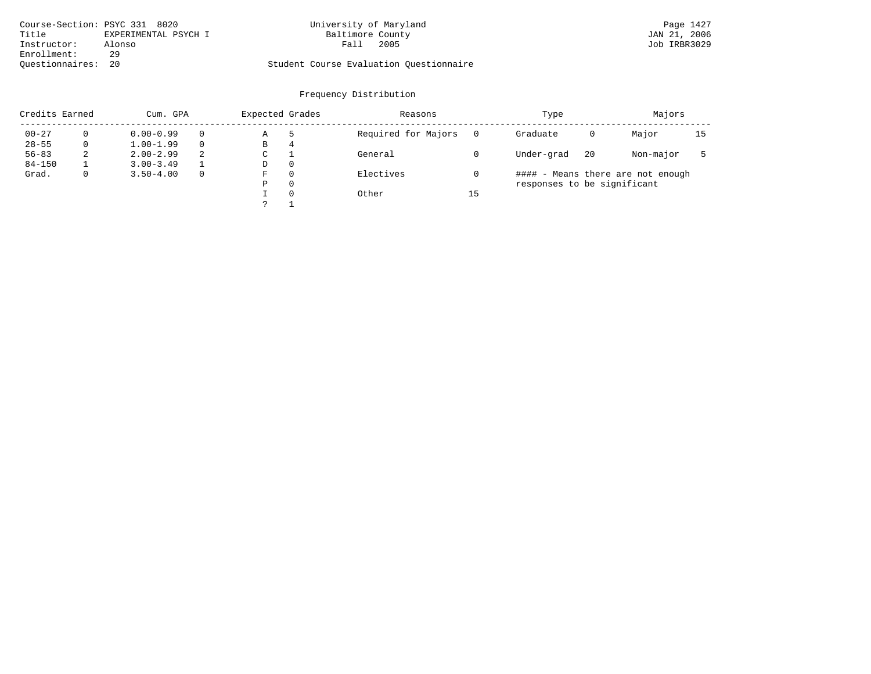| Course-Section: PSYC 331 8020 |                      | University of Maryland                  | Page 1427    |
|-------------------------------|----------------------|-----------------------------------------|--------------|
| Title                         | EXPERIMENTAL PSYCH I | Baltimore County                        | JAN 21, 2006 |
| Instructor:                   | Alonso               | 2005<br>Fall                            | Job IRBR3029 |
| Enrollment:                   | 29                   |                                         |              |
| Ouestionnaires: 20            |                      | Student Course Evaluation Questionnaire |              |

# University of Maryland Page 1427 Page 1427 8021 8020 Page 1427

| Credits Earned |             | Cum. GPA      |          | Expected Grades |          | Reasons             |    | Type                        |    | Majors                            |    |
|----------------|-------------|---------------|----------|-----------------|----------|---------------------|----|-----------------------------|----|-----------------------------------|----|
| $00 - 27$      |             | $0.00 - 0.99$ |          | Α               |          | Required for Majors |    | Graduate                    | 0  | Major                             | 15 |
| $28 - 55$      | 0           | $1.00 - 1.99$ |          | В               | 4        |                     |    |                             |    |                                   |    |
| $56 - 83$      | 2           | $2.00 - 2.99$ | 2        | C               |          | General             |    | Under-grad                  | 20 | Non-major                         |    |
| $84 - 150$     |             | $3.00 - 3.49$ |          | D               | $\Omega$ |                     |    |                             |    |                                   |    |
| Grad.          | $\mathbf 0$ | $3.50 - 4.00$ | $\Omega$ | F               | $\Omega$ | Electives           |    |                             |    | #### - Means there are not enough |    |
|                |             |               |          | Ρ               | $\Omega$ |                     |    | responses to be significant |    |                                   |    |
|                |             |               |          |                 | $\Omega$ | Other               | 15 |                             |    |                                   |    |
|                |             |               |          |                 |          |                     |    |                             |    |                                   |    |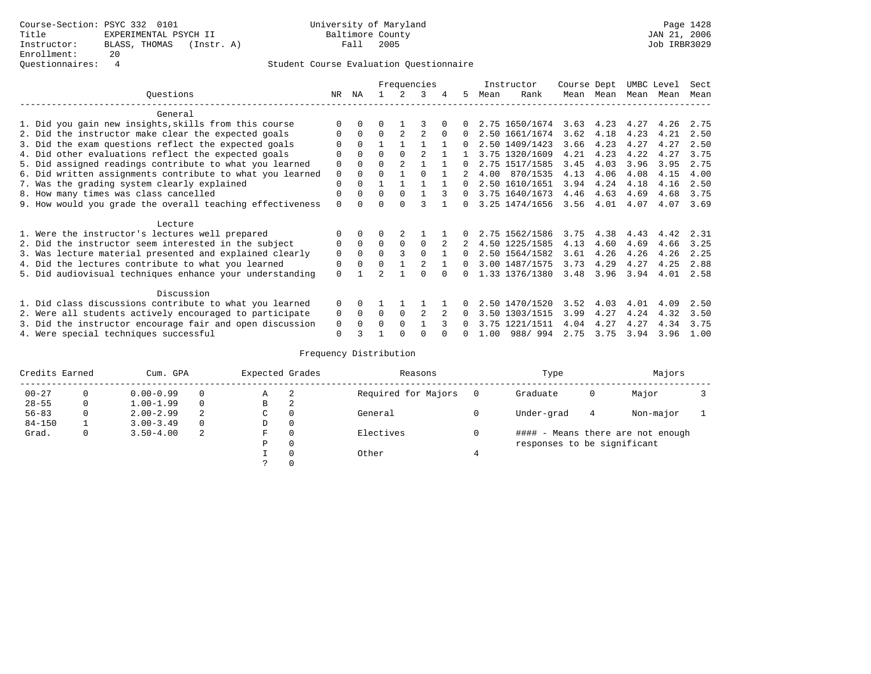# Questionnaires: 4 Student Course Evaluation Questionnaire

|                                                           |          |             |          |                | Frequencies |          |              |      | Instructor     | Course Dept |      | UMBC Level |      | Sect |
|-----------------------------------------------------------|----------|-------------|----------|----------------|-------------|----------|--------------|------|----------------|-------------|------|------------|------|------|
| Questions                                                 | NR.      | ΝA          |          |                | 3           | 4        | 5.           | Mean | Rank           | Mean        | Mean | Mean       | Mean | Mean |
| General                                                   |          |             |          |                |             |          |              |      |                |             |      |            |      |      |
| 1. Did you gain new insights, skills from this course     |          | $\Omega$    | O        |                |             |          |              |      | 2.75 1650/1674 | 3.63        | 4.23 | 4.27       | 4.26 | 2.75 |
| 2. Did the instructor make clear the expected goals       |          | $\Omega$    | $\Omega$ |                | 2           | $\Omega$ | 0            |      | 2.50 1661/1674 | 3.62        | 4.18 | 4.23       | 4.21 | 2.50 |
| 3. Did the exam questions reflect the expected goals      |          | $\Omega$    |          |                |             |          | 0            |      | 2.50 1409/1423 | 3.66        | 4.23 | 4.27       | 4.27 | 2.50 |
| 4. Did other evaluations reflect the expected goals       | O        | $\Omega$    | O        | $\Omega$       |             |          |              |      | 3.75 1320/1609 | 4.21        | 4.23 | 4.22       | 4.27 | 3.75 |
| 5. Did assigned readings contribute to what you learned   | 0        | $\Omega$    | 0        | $\mathfrak{D}$ |             |          | 0            |      | 2.75 1517/1585 | 3.45        | 4.03 | 3.96       | 3.95 | 2.75 |
| 6. Did written assignments contribute to what you learned | 0        |             | U        |                |             |          |              | 4.00 | 870/1535       | 4.13        | 4.06 | 4.08       | 4.15 | 4.00 |
| 7. Was the grading system clearly explained               | 0        |             |          |                |             |          |              |      | 2.50 1610/1651 | 3.94        | 4.24 | 4.18       | 4.16 | 2.50 |
| 8. How many times was class cancelled                     | $\Omega$ | $\Omega$    | $\Omega$ | $\Omega$       |             |          | $\Omega$     |      | 3.75 1640/1673 | 4.46        | 4.63 | 4.69       | 4.68 | 3.75 |
| 9. How would you grade the overall teaching effectiveness | $\Omega$ |             |          |                |             |          | <sup>n</sup> |      | 3.25 1474/1656 | 3.56        | 4.01 | 4.07       | 4.07 | 3.69 |
| Lecture                                                   |          |             |          |                |             |          |              |      |                |             |      |            |      |      |
| 1. Were the instructor's lectures well prepared           |          |             |          |                |             |          |              |      | 2.75 1562/1586 | 3.75        | 4.38 | 4.43       | 4.42 | 2.31 |
| 2. Did the instructor seem interested in the subject      | 0        | $\Omega$    | $\Omega$ | $\Omega$       | $\Omega$    |          |              |      | 4.50 1225/1585 | 4.13        | 4.60 | 4.69       | 4.66 | 3.25 |
| 3. Was lecture material presented and explained clearly   | 0        | $\Omega$    | 0        |                | $\Omega$    |          | 0            |      | 2.50 1564/1582 | 3.61        | 4.26 | 4.26       | 4.26 | 2.25 |
| 4. Did the lectures contribute to what you learned        | 0        | $\mathbf 0$ |          |                |             |          | $\Omega$     |      | 3.00 1487/1575 | 3.73        | 4.29 | 4.27       | 4.25 | 2.88 |
| 5. Did audiovisual techniques enhance your understanding  | $\Omega$ |             |          |                |             |          |              |      | 1.33 1376/1380 | 3.48        | 3.96 | 3.94       | 4.01 | 2.58 |
|                                                           |          |             |          |                |             |          |              |      |                |             |      |            |      |      |
| Discussion                                                |          |             |          |                |             |          |              |      |                |             |      |            |      |      |
| 1. Did class discussions contribute to what you learned   | $\Omega$ | $\Omega$    |          |                |             |          |              |      | 2.50 1470/1520 | 3.52        | 4.03 | 4.01       | 4.09 | 2.50 |
| 2. Were all students actively encouraged to participate   | 0        | $\Omega$    | $\Omega$ | $\Omega$       |             |          |              |      | 3.50 1303/1515 | 3.99        | 4.27 | 4.24       | 4.32 | 3.50 |
| 3. Did the instructor encourage fair and open discussion  | 0        |             | U        | $\Omega$       |             |          |              |      | 3.75 1221/1511 | 4.04        | 4.27 | 4.27       | 4.34 | 3.75 |
| 4. Were special techniques successful                     | $\Omega$ |             |          |                |             |          |              | 1.00 | 988/994        | 2.75        | 3.75 | 3.94       | 3.96 | 1.00 |

| Credits Earned |          | Cum. GPA      |          | Expected Grades |          | Reasons             |   | Type                        |   | Majors                            |  |
|----------------|----------|---------------|----------|-----------------|----------|---------------------|---|-----------------------------|---|-----------------------------------|--|
| $00 - 27$      | $\Omega$ | $0.00 - 0.99$ |          | А               | -2       | Required for Majors | 0 | Graduate                    | 0 | Major                             |  |
| $28 - 55$      | 0        | $1.00 - 1.99$ |          | В               | 2        |                     |   |                             |   |                                   |  |
| $56 - 83$      | 0        | $2.00 - 2.99$ | 2        | $\sim$<br>◡     | 0        | General             |   | Under-grad                  | 4 | Non-major                         |  |
| $84 - 150$     |          | $3.00 - 3.49$ | $\Omega$ | D               | 0        |                     |   |                             |   |                                   |  |
| Grad.          | 0        | $3.50 - 4.00$ | 2        | F               | 0        | Electives           | 0 |                             |   | #### - Means there are not enough |  |
|                |          |               |          | Ρ               | 0        |                     |   | responses to be significant |   |                                   |  |
|                |          |               |          |                 | $\Omega$ | Other               |   |                             |   |                                   |  |
|                |          |               |          |                 |          |                     |   |                             |   |                                   |  |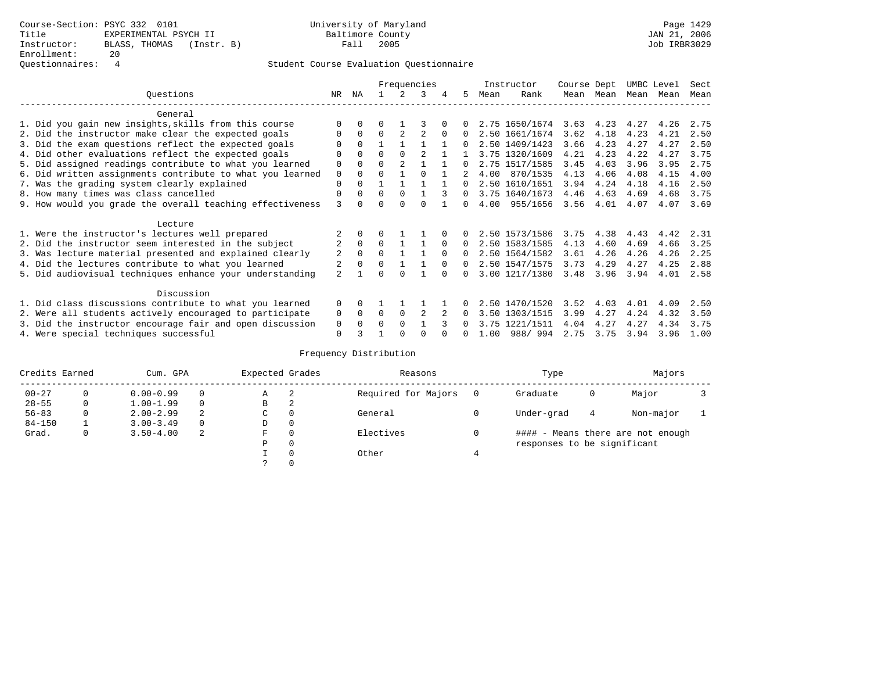# Questionnaires: 4 Student Course Evaluation Questionnaire

|                                                           |                          |          |          |          | Frequencies |          |              |      | Instructor     | Course Dept |           | UMBC Level |      | Sect |
|-----------------------------------------------------------|--------------------------|----------|----------|----------|-------------|----------|--------------|------|----------------|-------------|-----------|------------|------|------|
| Ouestions                                                 | NR.                      | ΝA       |          |          | २           |          | 5.           | Mean | Rank           |             | Mean Mean | Mean       | Mean | Mean |
| General                                                   |                          |          |          |          |             |          |              |      |                |             |           |            |      |      |
| 1. Did you gain new insights, skills from this course     |                          |          |          |          |             |          |              |      | 2.75 1650/1674 | 3.63        | 4.23      | 4.27       | 4.26 | 2.75 |
| 2. Did the instructor make clear the expected goals       | O                        | $\Omega$ | 0        |          |             |          | $\Omega$     |      | 2.50 1661/1674 | 3.62        | 4.18      | 4.23       | 4.21 | 2.50 |
| 3. Did the exam questions reflect the expected goals      |                          | $\Omega$ |          |          |             |          |              |      | 2.50 1409/1423 | 3.66        | 4.23      | 4.27       | 4.27 | 2.50 |
| 4. Did other evaluations reflect the expected goals       | U                        | $\Omega$ | $\Omega$ | $\cap$   |             |          |              |      | 3.75 1320/1609 | 4.21        | 4.23      | 4.22       | 4.27 | 3.75 |
| 5. Did assigned readings contribute to what you learned   | 0                        |          | $\Omega$ |          |             |          | 0            |      | 2.75 1517/1585 | 3.45        | 4.03      | 3.96       | 3.95 | 2.75 |
| 6. Did written assignments contribute to what you learned | $\mathbf 0$              | $\Omega$ | O        |          | $\Omega$    |          |              | 4.00 | 870/1535       | 4.13        | 4.06      | 4.08       | 4.15 | 4.00 |
| 7. Was the grading system clearly explained               | $\mathbf 0$              | $\Omega$ |          |          |             |          | 0            |      | 2.50 1610/1651 | 3.94        | 4.24      | 4.18       | 4.16 | 2.50 |
| 8. How many times was class cancelled                     | 0                        | $\Omega$ | $\Omega$ | $\Omega$ |             |          | $\Omega$     |      | 3.75 1640/1673 | 4.46        | 4.63      | 4.69       | 4.68 | 3.75 |
| 9. How would you grade the overall teaching effectiveness | 3                        |          |          |          |             |          | <sup>n</sup> | 4.00 | 955/1656       | 3.56        | 4.01      | 4.07       | 4.07 | 3.69 |
| Lecture                                                   |                          |          |          |          |             |          |              |      |                |             |           |            |      |      |
| 1. Were the instructor's lectures well prepared           |                          |          |          |          |             |          |              |      | 2.50 1573/1586 | 3.75        | 4.38      | 4.43       | 4.42 | 2.31 |
| 2. Did the instructor seem interested in the subject      | 2                        | $\Omega$ | 0        |          |             |          | $\Omega$     |      | 2.50 1583/1585 | 4.13        | 4.60      | 4.69       | 4.66 | 3.25 |
| 3. Was lecture material presented and explained clearly   | 2                        | $\Omega$ | $\Omega$ |          |             | $\Omega$ | 0            |      | 2.50 1564/1582 | 3.61        | 4.26      | 4.26       | 4.26 | 2.25 |
| 4. Did the lectures contribute to what you learned        | 2                        | $\Omega$ | $\Omega$ |          |             | $\Omega$ | $\Omega$     |      | 2.50 1547/1575 | 3.73        | 4.29      | 4.27       | 4.25 | 2.88 |
| 5. Did audiovisual techniques enhance your understanding  | $\overline{\mathcal{L}}$ |          |          |          |             |          | <sup>n</sup> |      | 3.00 1217/1380 | 3.48        | 3.96      | 3.94       | 4.01 | 2.58 |
| Discussion                                                |                          |          |          |          |             |          |              |      |                |             |           |            |      |      |
| 1. Did class discussions contribute to what you learned   | $\Omega$                 | 0        |          |          |             |          |              |      | 2.50 1470/1520 | 3.52        | 4.03      | 4.01       | 4.09 | 2.50 |
| 2. Were all students actively encouraged to participate   | 0                        | $\Omega$ | $\Omega$ | $\Omega$ |             |          |              | 3.50 | 1303/1515      | 3.99        | 4.27      | 4.24       | 4.32 | 3.50 |
| 3. Did the instructor encourage fair and open discussion  | 0                        |          | $\Omega$ | $\Omega$ |             |          |              |      | 3.75 1221/1511 | 4.04        | 4.27      | 4.27       | 4.34 | 3.75 |
| 4. Were special techniques successful                     | $\Omega$                 |          |          |          |             |          |              | 1.00 | 988/994        | 2.75        | 3.75      | 3.94       | 3.96 | 1.00 |

| Credits Earned |          | Cum. GPA      |          | Expected Grades |          | Reasons             |   | Type                        |   | Majors                            |  |
|----------------|----------|---------------|----------|-----------------|----------|---------------------|---|-----------------------------|---|-----------------------------------|--|
| $00 - 27$      | $\Omega$ | $0.00 - 0.99$ |          | А               | -2       | Required for Majors | 0 | Graduate                    | 0 | Major                             |  |
| $28 - 55$      | 0        | $1.00 - 1.99$ |          | В               | 2        |                     |   |                             |   |                                   |  |
| $56 - 83$      | 0        | $2.00 - 2.99$ | 2        | $\sim$<br>◡     | 0        | General             |   | Under-grad                  | 4 | Non-major                         |  |
| $84 - 150$     |          | $3.00 - 3.49$ | $\Omega$ | D               | 0        |                     |   |                             |   |                                   |  |
| Grad.          | 0        | $3.50 - 4.00$ | 2        | F               | 0        | Electives           | 0 |                             |   | #### - Means there are not enough |  |
|                |          |               |          | Ρ               | 0        |                     |   | responses to be significant |   |                                   |  |
|                |          |               |          |                 | $\Omega$ | Other               |   |                             |   |                                   |  |
|                |          |               |          |                 |          |                     |   |                             |   |                                   |  |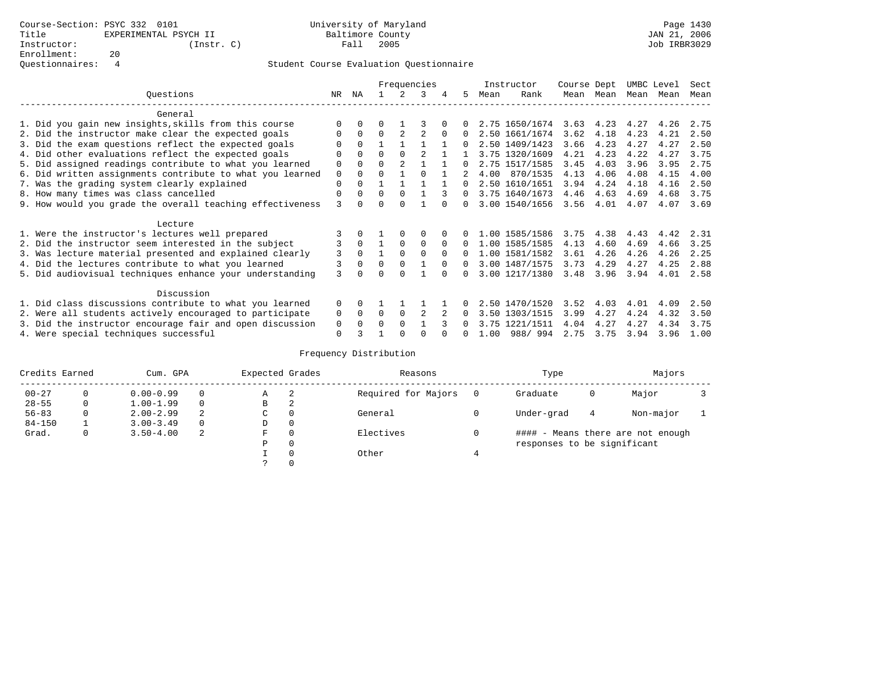|                                                           |          |          |          |                | Frequencies  |          |          |      | Instructor     | Course Dept |           | UMBC Level |      | Sect |
|-----------------------------------------------------------|----------|----------|----------|----------------|--------------|----------|----------|------|----------------|-------------|-----------|------------|------|------|
| Ouestions                                                 | NR       | ΝA       |          |                |              | 4        | 5.       | Mean | Rank           |             | Mean Mean | Mean       | Mean | Mean |
| General                                                   |          |          |          |                |              |          |          |      |                |             |           |            |      |      |
| 1. Did you gain new insights, skills from this course     |          |          |          |                |              |          |          |      | 2.75 1650/1674 | 3.63        | 4.23      | 4.27       | 4.26 | 2.75 |
| 2. Did the instructor make clear the expected goals       |          | $\Omega$ | $\Omega$ |                |              |          |          |      | 2.50 1661/1674 | 3.62        | 4.18      | 4.23       | 4.21 | 2.50 |
| 3. Did the exam questions reflect the expected goals      |          | $\Omega$ |          |                |              |          |          |      | 2.50 1409/1423 | 3.66        | 4.23      | 4.27       | 4.27 | 2.50 |
| 4. Did other evaluations reflect the expected goals       |          | $\Omega$ | U        | $\Omega$       |              |          |          |      | 3.75 1320/1609 | 4.21        | 4.23      | 4.22       | 4.27 | 3.75 |
| 5. Did assigned readings contribute to what you learned   | 0        | $\Omega$ | 0        | $\mathfrak{D}$ |              |          |          |      | 2.75 1517/1585 | 3.45        | 4.03      | 3.96       | 3.95 | 2.75 |
| 6. Did written assignments contribute to what you learned | 0        | $\Omega$ | U        |                | <sup>0</sup> |          |          | 4.00 | 870/1535       | 4.13        | 4.06      | 4.08       | 4.15 | 4.00 |
| 7. Was the grading system clearly explained               | 0        | $\Omega$ |          |                |              |          | $\Omega$ |      | 2.50 1610/1651 | 3.94        | 4.24      | 4.18       | 4.16 | 2.50 |
| 8. How many times was class cancelled                     | 0        | $\Omega$ | U        | $\Omega$       |              |          | 0        |      | 3.75 1640/1673 | 4.46        | 4.63      | 4.69       | 4.68 | 3.75 |
| 9. How would you grade the overall teaching effectiveness | ζ        |          |          |                |              |          |          |      | 3.00 1540/1656 | 3.56        | 4.01      | 4.07       | 4.07 | 3.69 |
| Lecture                                                   |          |          |          |                |              |          |          |      |                |             |           |            |      |      |
| 1. Were the instructor's lectures well prepared           |          |          |          |                | O            |          |          |      | 1.00 1585/1586 | 3.75        | 4.38      | 4.43       | 4.42 | 2.31 |
| 2. Did the instructor seem interested in the subject      | 3        | $\Omega$ |          | $\Omega$       | $\Omega$     |          | 0        |      | 1.00 1585/1585 | 4.13        | 4.60      | 4.69       | 4.66 | 3.25 |
| 3. Was lecture material presented and explained clearly   | 3        | $\Omega$ |          | $\Omega$       | $\Omega$     | $\Omega$ |          |      | 1.00 1581/1582 | 3.61        | 4.26      | 4.26       | 4.26 | 2.25 |
| 4. Did the lectures contribute to what you learned        | 3        | 0        | U        | $\Omega$       |              | $\Omega$ | 0        |      | 3.00 1487/1575 | 3.73        | 4.29      | 4.27       | 4.25 | 2.88 |
| 5. Did audiovisual techniques enhance your understanding  | 3        |          |          |                |              |          |          |      | 3.00 1217/1380 | 3.48        | 3.96      | 3.94       | 4.01 | 2.58 |
| Discussion                                                |          |          |          |                |              |          |          |      |                |             |           |            |      |      |
| 1. Did class discussions contribute to what you learned   | $\Omega$ | 0        |          |                |              |          |          |      | 2.50 1470/1520 | 3.52        | 4.03      | 4.01       | 4.09 | 2.50 |
| 2. Were all students actively encouraged to participate   | 0        | $\Omega$ | $\Omega$ | $\Omega$       |              |          |          |      | 3.50 1303/1515 | 3.99        | 4.27      | 4.24       | 4.32 | 3.50 |
| 3. Did the instructor encourage fair and open discussion  | 0        |          | O        | $\Omega$       |              |          |          |      | 3.75 1221/1511 | 4.04        | 4.27      | 4.27       | 4.34 | 3.75 |
| 4. Were special techniques successful                     | 0        |          |          |                |              |          |          | 1.00 | 988/994        | 2.75        | 3.75      | 3.94       | 3.96 | 1.00 |

| Credits Earned |          | Cum. GPA      |          | Expected Grades |          | Reasons             |   | Type                        |   | Majors                            |  |
|----------------|----------|---------------|----------|-----------------|----------|---------------------|---|-----------------------------|---|-----------------------------------|--|
| $00 - 27$      | $\Omega$ | $0.00 - 0.99$ |          | А               | -2       | Required for Majors | 0 | Graduate                    | 0 | Major                             |  |
| $28 - 55$      | 0        | $1.00 - 1.99$ |          | В               | 2        |                     |   |                             |   |                                   |  |
| $56 - 83$      | 0        | $2.00 - 2.99$ | 2        | $\sim$<br>◡     | 0        | General             |   | Under-grad                  | 4 | Non-major                         |  |
| $84 - 150$     |          | $3.00 - 3.49$ | $\Omega$ | D               | 0        |                     |   |                             |   |                                   |  |
| Grad.          | 0        | $3.50 - 4.00$ | 2        | F               | 0        | Electives           | 0 |                             |   | #### - Means there are not enough |  |
|                |          |               |          | Ρ               | 0        |                     |   | responses to be significant |   |                                   |  |
|                |          |               |          |                 | $\Omega$ | Other               |   |                             |   |                                   |  |
|                |          |               |          |                 |          |                     |   |                             |   |                                   |  |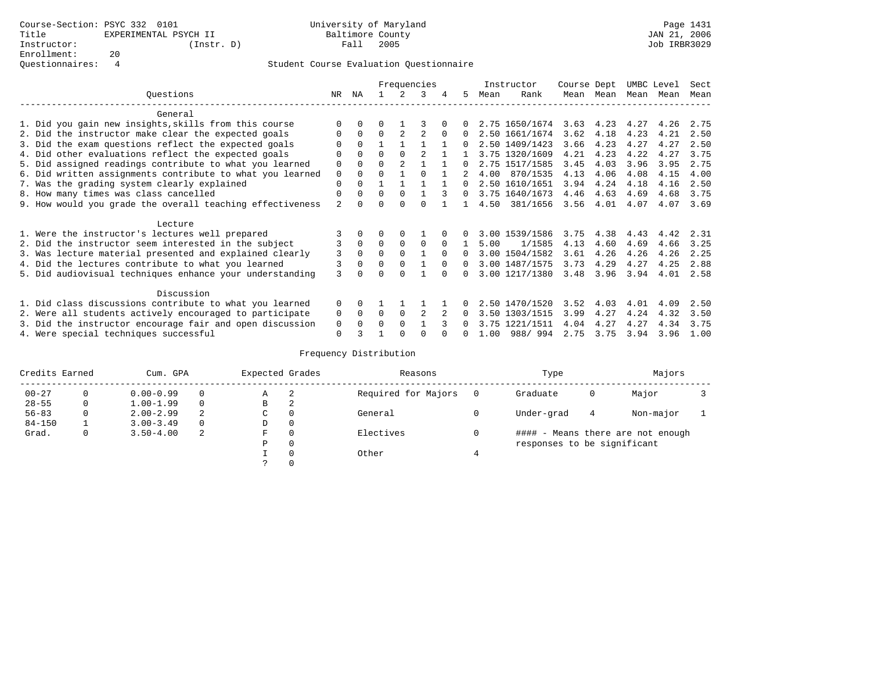|                                                           |                |          |          |          | Frequencies |          |          |      | Instructor     | Course Dept |      | UMBC Level |      | Sect |
|-----------------------------------------------------------|----------------|----------|----------|----------|-------------|----------|----------|------|----------------|-------------|------|------------|------|------|
| Ouestions                                                 | NR.            | ΝA       |          |          | 3           |          | 5.       | Mean | Rank           | Mean        | Mean | Mean       | Mean | Mean |
| General                                                   |                |          |          |          |             |          |          |      |                |             |      |            |      |      |
| 1. Did you gain new insights, skills from this course     | ∩              |          | O        |          |             |          |          |      | 2.75 1650/1674 | 3.63        | 4.23 | 4.27       | 4.26 | 2.75 |
| 2. Did the instructor make clear the expected goals       | $\Omega$       | $\Omega$ | $\Omega$ |          |             | $\Omega$ | 0        |      | 2.50 1661/1674 | 3.62        | 4.18 | 4.23       | 4.21 | 2.50 |
| 3. Did the exam questions reflect the expected goals      |                | $\Omega$ |          |          |             |          |          |      | 2.50 1409/1423 | 3.66        | 4.23 | 4.27       | 4.27 | 2.50 |
| 4. Did other evaluations reflect the expected goals       | $\Omega$       |          | $\Omega$ |          |             |          |          |      | 3.75 1320/1609 | 4.21        | 4.23 | 4.22       | 4.27 | 3.75 |
| 5. Did assigned readings contribute to what you learned   | $\Omega$       |          | $\Omega$ |          |             |          | 0        |      | 2.75 1517/1585 | 3.45        | 4.03 | 3.96       | 3.95 | 2.75 |
| 6. Did written assignments contribute to what you learned | $\mathbf 0$    |          | $\Omega$ |          |             |          |          | 4.00 | 870/1535       | 4.13        | 4.06 | 4.08       | 4.15 | 4.00 |
| 7. Was the grading system clearly explained               | $\Omega$       |          |          |          |             |          | 0        |      | 2.50 1610/1651 | 3.94        | 4.24 | 4.18       | 4.16 | 2.50 |
| 8. How many times was class cancelled                     | $\Omega$       | 0        | $\Omega$ | $\Omega$ |             |          | $\Omega$ |      | 3.75 1640/1673 | 4.46        | 4.63 | 4.69       | 4.68 | 3.75 |
| 9. How would you grade the overall teaching effectiveness | $\mathfrak{D}$ |          | U        | ∩        | $\cap$      |          |          | 4.50 | 381/1656       | 3.56        | 4.01 | 4.07       | 4.07 | 3.69 |
|                                                           |                |          |          |          |             |          |          |      |                |             |      |            |      |      |
| Lecture                                                   |                |          |          |          |             |          |          |      |                |             |      |            |      |      |
| 1. Were the instructor's lectures well prepared           |                |          |          |          |             |          |          |      | 3.00 1539/1586 | 3.75        | 4.38 | 4.43       | 4.42 | 2.31 |
| 2. Did the instructor seem interested in the subject      |                | $\Omega$ | $\Omega$ | $\Omega$ | $\Omega$    | $\Omega$ |          | 5.00 | 1/1585         | 4.13        | 4.60 | 4.69       | 4.66 | 3.25 |
| 3. Was lecture material presented and explained clearly   | 3              | $\Omega$ | $\Omega$ |          |             | $\cap$   | 0        |      | 3.00 1504/1582 | 3.61        | 4.26 | 4.26       | 4.26 | 2.25 |
| 4. Did the lectures contribute to what you learned        |                |          | $\Omega$ |          |             | $\Omega$ | 0        |      | 3.00 1487/1575 | 3.73        | 4.29 | 4.27       | 4.25 | 2.88 |
| 5. Did audiovisual techniques enhance your understanding  | 3              |          |          |          |             |          |          |      | 3.00 1217/1380 | 3.48        | 3.96 | 3.94       | 4.01 | 2.58 |
|                                                           |                |          |          |          |             |          |          |      |                |             |      |            |      |      |
| Discussion                                                |                |          |          |          |             |          |          |      |                |             |      |            |      |      |
| 1. Did class discussions contribute to what you learned   | $\Omega$       |          |          |          |             |          |          |      | 2.50 1470/1520 | 3.52        | 4.03 | 4.01       | 4.09 | 2.50 |
| 2. Were all students actively encouraged to participate   | 0              | 0        | $\Omega$ | $\Omega$ |             |          |          |      | 3.50 1303/1515 | 3.99        | 4.27 | 4.24       | 4.32 | 3.50 |
| 3. Did the instructor encourage fair and open discussion  | 0              |          | O        |          |             |          |          |      | 3.75 1221/1511 | 4.04        | 4.27 | 4.27       | 4.34 | 3.75 |
| 4. Were special techniques successful                     | $\Omega$       |          |          |          |             |          |          | 1.00 | 988/994        | 2.75        | 3.75 | 3.94       | 3.96 | 1.00 |

| Credits Earned |          | Cum. GPA      |          | Expected Grades |          | Reasons             |   | Type                        |   | Majors                            |  |
|----------------|----------|---------------|----------|-----------------|----------|---------------------|---|-----------------------------|---|-----------------------------------|--|
| $00 - 27$      | $\Omega$ | $0.00 - 0.99$ |          | А               | -2       | Required for Majors | 0 | Graduate                    | 0 | Major                             |  |
| $28 - 55$      | 0        | $1.00 - 1.99$ |          | В               | 2        |                     |   |                             |   |                                   |  |
| $56 - 83$      | 0        | $2.00 - 2.99$ | 2        | $\sim$<br>◡     | 0        | General             |   | Under-grad                  | 4 | Non-major                         |  |
| $84 - 150$     |          | $3.00 - 3.49$ | $\Omega$ | D               | 0        |                     |   |                             |   |                                   |  |
| Grad.          | 0        | $3.50 - 4.00$ | 2        | F               | 0        | Electives           | 0 |                             |   | #### - Means there are not enough |  |
|                |          |               |          | Ρ               | 0        |                     |   | responses to be significant |   |                                   |  |
|                |          |               |          |                 | $\Omega$ | Other               |   |                             |   |                                   |  |
|                |          |               |          |                 |          |                     |   |                             |   |                                   |  |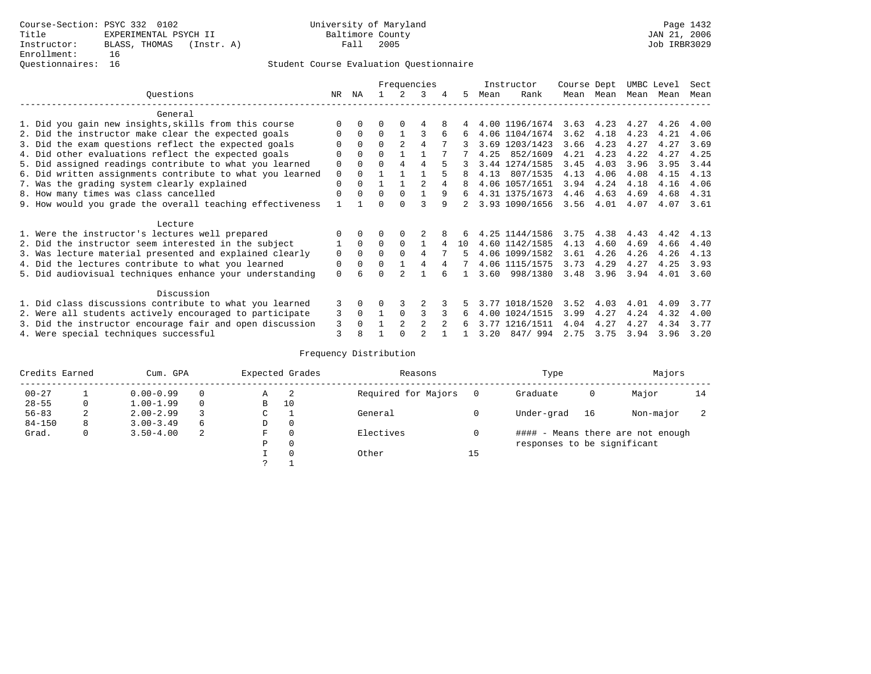# Questionnaires: 16 Student Course Evaluation Questionnaire

|                                                           |              |          |              |                | Frequencies    |   |    |      | Instructor     | Course Dept |                   | UMBC Level |      | Sect |
|-----------------------------------------------------------|--------------|----------|--------------|----------------|----------------|---|----|------|----------------|-------------|-------------------|------------|------|------|
| Ouestions                                                 | NR           | ΝA       |              | $\mathcal{L}$  | 3              | 4 | 5  | Mean | Rank           |             | Mean Mean         | Mean       | Mean | Mean |
| General                                                   |              |          |              |                |                |   |    |      |                |             |                   |            |      |      |
| 1. Did you gain new insights, skills from this course     |              | $\Omega$ | 0            | $\Omega$       | 4              |   |    |      | 4.00 1196/1674 |             | $3.63 \quad 4.23$ | 4.27       | 4.26 | 4.00 |
| 2. Did the instructor make clear the expected goals       | <sup>0</sup> | $\Omega$ | 0            |                |                | 6 | 6  |      | 4.06 1104/1674 | 3.62        | 4.18              | 4.23       | 4.21 | 4.06 |
| 3. Did the exam questions reflect the expected goals      |              | $\Omega$ | $\Omega$     | $\overline{2}$ | 4              |   |    |      | 3.69 1203/1423 | 3.66        | 4.23              | 4.27       | 4.27 | 3.69 |
| 4. Did other evaluations reflect the expected goals       |              | $\Omega$ | O            |                |                |   |    | 4.25 | 852/1609       | 4.21        | 4.23              | 4.22       | 4.27 | 4.25 |
| 5. Did assigned readings contribute to what you learned   | 0            | $\Omega$ | O            | 4              | 4              |   |    |      | 3.44 1274/1585 | 3.45        | 4.03              | 3.96       | 3.95 | 3.44 |
| 6. Did written assignments contribute to what you learned | $\mathbf 0$  | $\Omega$ |              |                |                |   | 8  | 4.13 | 807/1535       | 4.13        | 4.06              | 4.08       | 4.15 | 4.13 |
| 7. Was the grading system clearly explained               | 0            | $\Omega$ |              |                | $\mathfrak{D}$ | 4 |    |      | 4.06 1057/1651 | 3.94        | 4.24              | 4.18       | 4.16 | 4.06 |
| 8. How many times was class cancelled                     | 0            | $\Omega$ | $\Omega$     | $\Omega$       |                | 9 | 6  |      | 4.31 1375/1673 | 4.46        | 4.63              | 4.69       | 4.68 | 4.31 |
| 9. How would you grade the overall teaching effectiveness |              |          |              | <sup>n</sup>   | ς              | q |    |      | 3.93 1090/1656 | 3.56        | 4.01              | 4.07       | 4.07 | 3.61 |
| Lecture                                                   |              |          |              |                |                |   |    |      |                |             |                   |            |      |      |
| 1. Were the instructor's lectures well prepared           |              | $\Omega$ |              |                |                |   |    |      | 4.25 1144/1586 | 3.75        | 4.38              | 4.43       | 4.42 | 4.13 |
| 2. Did the instructor seem interested in the subject      |              | $\Omega$ | $\Omega$     | $\Omega$       |                | 4 | 10 |      | 4.60 1142/1585 | 4.13        | 4.60              | 4.69       | 4.66 | 4.40 |
| 3. Was lecture material presented and explained clearly   | 0            | $\Omega$ | 0            | $\Omega$       | 4              |   | 5  |      | 4.06 1099/1582 | 3.61        | 4.26              | 4.26       | 4.26 | 4.13 |
| 4. Did the lectures contribute to what you learned        | 0            | $\Omega$ | <sup>0</sup> |                |                | 4 | 7  |      | 4.06 1115/1575 | 3.73        | 4.29              | 4.27       | 4.25 | 3.93 |
| 5. Did audiovisual techniques enhance your understanding  | 0            | 6        |              |                |                |   |    | 3.60 | 998/1380       | 3.48        | 3.96              | 3.94       | 4.01 | 3.60 |
| Discussion                                                |              |          |              |                |                |   |    |      |                |             |                   |            |      |      |
| 1. Did class discussions contribute to what you learned   | 3            | $\Omega$ | U            |                |                |   |    |      | 3.77 1018/1520 | 3.52        | 4.03              | 4.01       | 4.09 | 3.77 |
| 2. Were all students actively encouraged to participate   | 3            | $\Omega$ |              | $\Omega$       | 3              |   | 6  | 4.00 | 1024/1515      | 3.99        | 4.27              | 4.24       | 4.32 | 4.00 |
| 3. Did the instructor encourage fair and open discussion  | 3            |          |              | $\mathfrak{D}$ | 2              |   | 6  | 3.77 | 1216/1511      | 4.04        | 4.27              | 4.27       | 4.34 | 3.77 |
| 4. Were special techniques successful                     | 3            | 8        |              |                |                |   |    | 3.20 | 847/994        | 2.75        | 3.75              | 3.94       | 3.96 | 3.20 |

| Credits Earned |   | Cum. GPA      |          |             | Expected Grades | Reasons             |          | Type                        |    | Majors                            |    |
|----------------|---|---------------|----------|-------------|-----------------|---------------------|----------|-----------------------------|----|-----------------------------------|----|
| $00 - 27$      |   | $0.00 - 0.99$ |          | А           | -2              | Required for Majors | $\Omega$ | Graduate                    | 0  | Major                             | 14 |
| $28 - 55$      | 0 | $1.00 - 1.99$ |          | B           | 10              |                     |          |                             |    |                                   |    |
| $56 - 83$      | 2 | $2.00 - 2.99$ |          | $\sim$<br>J |                 | General             |          | Under-grad                  | 16 | Non-major                         |    |
| $84 - 150$     | 8 | $3.00 - 3.49$ | $\sigma$ | D           | 0               |                     |          |                             |    |                                   |    |
| Grad.          | 0 | $3.50 - 4.00$ | 2        | F           | 0               | Electives           | 0        |                             |    | #### - Means there are not enough |    |
|                |   |               |          | Ρ           | 0               |                     |          | responses to be significant |    |                                   |    |
|                |   |               |          |             | $\Omega$        | Other               | 15       |                             |    |                                   |    |
|                |   |               |          | C           |                 |                     |          |                             |    |                                   |    |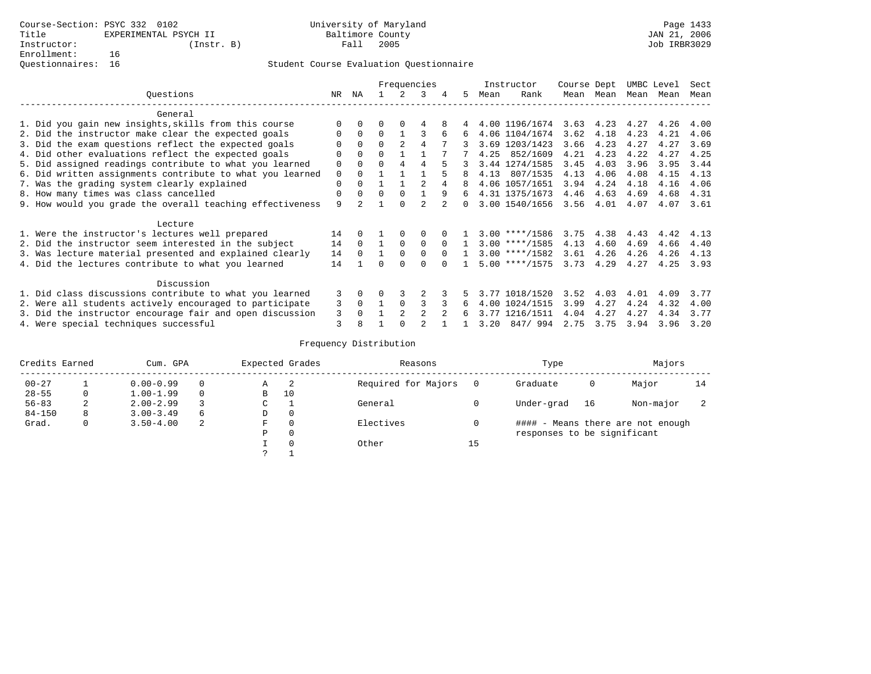|                                                           |             |          |          |               | Frequencies |          |          |      | Instructor               | Course Dept |           | UMBC Level |      | Sect |
|-----------------------------------------------------------|-------------|----------|----------|---------------|-------------|----------|----------|------|--------------------------|-------------|-----------|------------|------|------|
| Ouestions                                                 | NR          | ΝA       |          |               | 3           | 4        | 5.       | Mean | Rank                     |             | Mean Mean | Mean       | Mean | Mean |
| General                                                   |             |          |          |               |             |          |          |      |                          |             |           |            |      |      |
| 1. Did you gain new insights, skills from this course     | $\Omega$    | $\Omega$ |          |               |             |          |          |      | 4.00 1196/1674 3.63 4.23 |             |           | 4.27       | 4.26 | 4.00 |
| 2. Did the instructor make clear the expected goals       | 0           | $\Omega$ | $\Omega$ |               |             | 6        | 6        |      | 4.06 1104/1674           | 3.62        | 4.18      | 4.23       | 4.21 | 4.06 |
| 3. Did the exam questions reflect the expected goals      | $\Omega$    | $\Omega$ | $\Omega$ |               |             |          |          |      | 3.69 1203/1423           | 3.66        | 4.23      | 4.27       | 4.27 | 3.69 |
| 4. Did other evaluations reflect the expected goals       | 0           | $\Omega$ | $\Omega$ |               |             |          |          | 4.25 | 852/1609                 | 4.21        | 4.23      | 4.22       | 4.27 | 4.25 |
| 5. Did assigned readings contribute to what you learned   | $\mathbf 0$ | $\Omega$ | $\Omega$ | 4             | 4           |          |          |      | 3.44 1274/1585           | 3.45        | 4.03      | 3.96       | 3.95 | 3.44 |
| 6. Did written assignments contribute to what you learned | $\mathbf 0$ | $\Omega$ |          |               |             |          |          | 4.13 | 807/1535                 | 4.13        | 4.06      | 4.08       | 4.15 | 4.13 |
| 7. Was the grading system clearly explained               | $\Omega$    | $\Omega$ |          |               |             | 4        | 8        |      | 4.06 1057/1651           | 3.94        | 4.24      | 4.18       | 4.16 | 4.06 |
| 8. How many times was class cancelled                     | 0           | $\Omega$ | $\Omega$ | $\Omega$      |             | 9        | 6        |      | 4.31 1375/1673           | 4.46        | 4.63      | 4.69       | 4.68 | 4.31 |
| 9. How would you grade the overall teaching effectiveness | 9           |          |          |               |             |          | $\Omega$ |      | 3.00 1540/1656           | $3.56$ 4.01 |           | 4.07       | 4.07 | 3.61 |
| Lecture                                                   |             |          |          |               |             |          |          |      |                          |             |           |            |      |      |
| 1. Were the instructor's lectures well prepared           | 14          | $\Omega$ |          | $\Omega$      | 0           |          |          |      | $3.00$ ****/1586         | 3.75        | 4.38      | 4.43       | 4.42 | 4.13 |
| 2. Did the instructor seem interested in the subject      | 14          | $\Omega$ |          | $\Omega$      | $\Omega$    | $\Omega$ |          |      | $3.00$ ****/1585         | 4.13        | 4.60      | 4.69       | 4.66 | 4.40 |
| 3. Was lecture material presented and explained clearly   | 14          | $\Omega$ |          | $\Omega$      | $\Omega$    | $\Omega$ |          |      | $3.00$ ****/1582         | 3.61        | 4.26      | 4.26       | 4.26 | 4.13 |
| 4. Did the lectures contribute to what you learned        | 14          |          | 0        | $\cap$        | $\cap$      |          |          |      | $5.00$ ****/1575         | 3.73 4.29   |           | 4.27       | 4.25 | 3.93 |
| Discussion                                                |             |          |          |               |             |          |          |      |                          |             |           |            |      |      |
| 1. Did class discussions contribute to what you learned   | 3           | $\Omega$ | $\Omega$ | 3             |             |          | 5.       |      | 3.77 1018/1520           | 3.52        | 4.03      | 4.01       | 4.09 | 3.77 |
| 2. Were all students actively encouraged to participate   | 3           | $\Omega$ |          | $\Omega$      | 3           |          | 6        |      | 4.00 1024/1515           | 3.99        | 4.27      | 4.24       | 4.32 | 4.00 |
| 3. Did the instructor encourage fair and open discussion  | 3           | $\cap$   |          | $\mathcal{D}$ |             |          |          | 3.77 | 1216/1511                | 4.04        | 4.27      | 4.27       | 4.34 | 3.77 |
| 4. Were special techniques successful                     | 3           | 8        |          | $\cap$        |             |          |          | 3.20 | 847/994                  | 2.75        | 3.75      | 3.94       | 3.96 | 3.20 |

| Credits Earned |          | Cum. GPA      |          |   | Expected Grades            | Reasons             |    | Type                        |    | Majors                            |                          |
|----------------|----------|---------------|----------|---|----------------------------|---------------------|----|-----------------------------|----|-----------------------------------|--------------------------|
| $00 - 27$      |          | $0.00 - 0.99$ | $\Omega$ | Α | $\overline{\phantom{0}}^2$ | Required for Majors |    | Graduate                    | 0  | Major                             | 14                       |
| $28 - 55$      | $\Omega$ | $1.00 - 1.99$ | $\Omega$ | в | 10                         |                     |    |                             |    |                                   |                          |
| $56 - 83$      | ∠        | $2.00 - 2.99$ |          | C |                            | General             |    | Under-grad                  | 16 | Non-major                         | $\overline{\phantom{a}}$ |
| $84 - 150$     | 8        | $3.00 - 3.49$ | 6        | D | $\mathbf 0$                |                     |    |                             |    |                                   |                          |
| Grad.          | $\Omega$ | $3.50 - 4.00$ | 2        | F | $\Omega$                   | Electives           |    |                             |    | #### - Means there are not enough |                          |
|                |          |               |          | P | $\Omega$                   |                     |    | responses to be significant |    |                                   |                          |
|                |          |               |          |   | $\Omega$                   | Other               | 15 |                             |    |                                   |                          |
|                |          |               |          |   |                            |                     |    |                             |    |                                   |                          |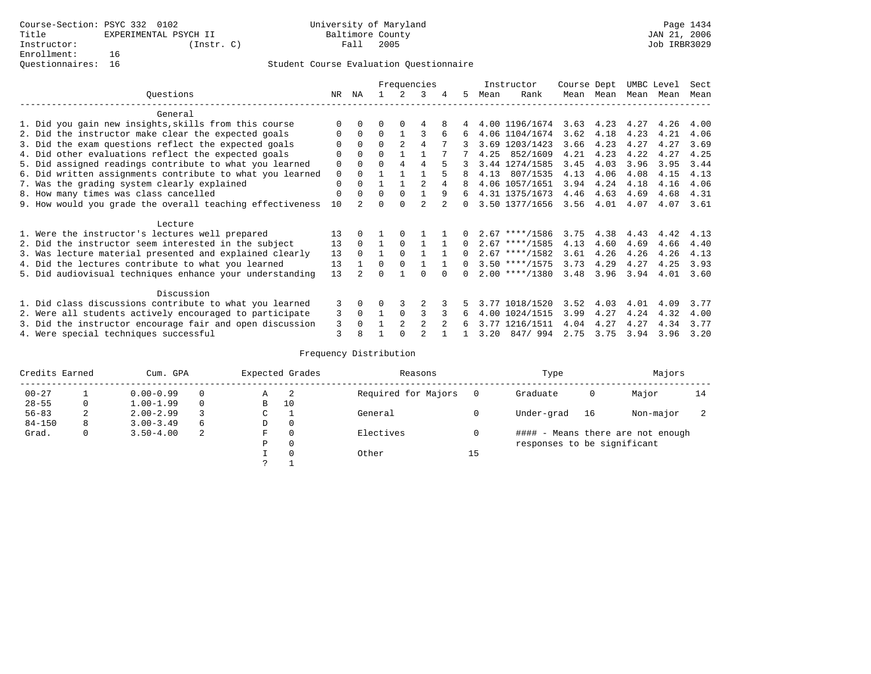|                                                           |          |                |          |                | Frequencies    |               |          |      | Instructor       | Course Dept |      | UMBC Level |      | Sect |
|-----------------------------------------------------------|----------|----------------|----------|----------------|----------------|---------------|----------|------|------------------|-------------|------|------------|------|------|
| Ouestions                                                 | NR       | ΝA             |          |                | 3              | 4             | 5.       | Mean | Rank             | Mean        | Mean | Mean       | Mean | Mean |
| General                                                   |          |                |          |                |                |               |          |      |                  |             |      |            |      |      |
| 1. Did you gain new insights, skills from this course     |          |                |          |                | 4              |               |          |      | 4.00 1196/1674   | 3.63        | 4.23 | 4.27       | 4.26 | 4.00 |
| 2. Did the instructor make clear the expected goals       | 0        | $\Omega$       | 0        |                | 3              | 6             | 6        |      | 4.06 1104/1674   | 3.62        | 4.18 | 4.23       | 4.21 | 4.06 |
| 3. Did the exam questions reflect the expected goals      | O        | $\Omega$       | $\Omega$ | $\mathfrak{D}$ | $\overline{4}$ |               |          |      | 3.69 1203/1423   | 3.66        | 4.23 | 4.27       | 4.27 | 3.69 |
| 4. Did other evaluations reflect the expected goals       | 0        | $\Omega$       | $\Omega$ |                |                |               |          | 4.25 | 852/1609         | 4.21        | 4.23 | 4.22       | 4.27 | 4.25 |
| 5. Did assigned readings contribute to what you learned   | 0        |                | $\Omega$ | 4              | 4              | 5             |          |      | 3.44 1274/1585   | 3.45        | 4.03 | 3.96       | 3.95 | 3.44 |
| 6. Did written assignments contribute to what you learned | 0        |                |          |                |                |               | 8        | 4.13 | 807/1535         | 4.13        | 4.06 | 4.08       | 4.15 | 4.13 |
| 7. Was the grading system clearly explained               | 0        | $\cap$         |          |                | 2              | 4             |          |      | 4.06 1057/1651   | 3.94        | 4.24 | 4.18       | 4.16 | 4.06 |
| 8. How many times was class cancelled                     | $\Omega$ |                | $\Omega$ | $\Omega$       |                | 9             | ნ.       |      | 4.31 1375/1673   | 4.46        | 4.63 | 4.69       | 4.68 | 4.31 |
| 9. How would you grade the overall teaching effectiveness | 10       | $\mathfrak{D}$ | U        |                | $\overline{2}$ | 2             |          |      | 3.50 1377/1656   | 3.56        | 4.01 | 4.07       | 4.07 | 3.61 |
| Lecture                                                   |          |                |          |                |                |               |          |      |                  |             |      |            |      |      |
| 1. Were the instructor's lectures well prepared           | 13       |                |          |                |                |               |          |      | $2.67$ ****/1586 | 3.75        | 4.38 | 4.43       | 4.42 | 4.13 |
| 2. Did the instructor seem interested in the subject      | 13       | $\Omega$       |          | $\Omega$       |                |               | $\Omega$ |      | $2.67$ ****/1585 | 4.13        | 4.60 | 4.69       | 4.66 | 4.40 |
| 3. Was lecture material presented and explained clearly   | 13       | $\Omega$       |          | $\Omega$       |                |               | $\Omega$ |      | $2.67$ ****/1582 | 3.61        | 4.26 | 4.26       | 4.26 | 4.13 |
| 4. Did the lectures contribute to what you learned        | 13       |                | $\Omega$ | $\Omega$       |                |               | $\Omega$ |      | $3.50$ ****/1575 | 3.73        | 4.29 | 4.27       | 4.25 | 3.93 |
| 5. Did audiovisual techniques enhance your understanding  | 13       |                |          |                |                |               |          |      | $2.00$ ****/1380 | 3.48        | 3.96 | 3.94       | 4.01 | 3.60 |
| Discussion                                                |          |                |          |                |                |               |          |      |                  |             |      |            |      |      |
| 1. Did class discussions contribute to what you learned   | 3        | $\Omega$       | 0        |                |                |               | 5.       |      | 3.77 1018/1520   | 3.52        | 4.03 | 4.01       | 4.09 | 3.77 |
| 2. Were all students actively encouraged to participate   | 3        | $\Omega$       |          | $\Omega$       |                |               | 6.       |      | 4.00 1024/1515   | 3.99        | 4.27 | 4.24       | 4.32 | 4.00 |
| 3. Did the instructor encourage fair and open discussion  | 3        | $\Omega$       |          | $\mathfrak{D}$ | $\mathfrak{D}$ | $\mathcal{L}$ |          |      | 3.77 1216/1511   | 4.04        | 4.27 | 4.27       | 4.34 | 3.77 |
| 4. Were special techniques successful                     | 3        |                |          |                |                |               |          | 3.20 | 847/994          | 2.75        | 3.75 | 3.94       | 3.96 | 3.20 |

| Credits Earned |   | Cum. GPA      |          |             | Expected Grades | Reasons             |          | Type                        |    | Majors                            |    |
|----------------|---|---------------|----------|-------------|-----------------|---------------------|----------|-----------------------------|----|-----------------------------------|----|
| $00 - 27$      |   | $0.00 - 0.99$ |          | А           | -2              | Required for Majors | $\Omega$ | Graduate                    | 0  | Major                             | 14 |
| $28 - 55$      | 0 | $1.00 - 1.99$ |          | B           | 10              |                     |          |                             |    |                                   |    |
| $56 - 83$      | 2 | $2.00 - 2.99$ |          | $\sim$<br>◡ |                 | General             |          | Under-grad                  | 16 | Non-major                         |    |
| $84 - 150$     | 8 | $3.00 - 3.49$ | $\sigma$ | D           | 0               |                     |          |                             |    |                                   |    |
| Grad.          | 0 | $3.50 - 4.00$ | 2        | F           | 0               | Electives           | 0        |                             |    | #### - Means there are not enough |    |
|                |   |               |          | Ρ           | 0               |                     |          | responses to be significant |    |                                   |    |
|                |   |               |          |             | $\Omega$        | Other               | 15       |                             |    |                                   |    |
|                |   |               |          | C           |                 |                     |          |                             |    |                                   |    |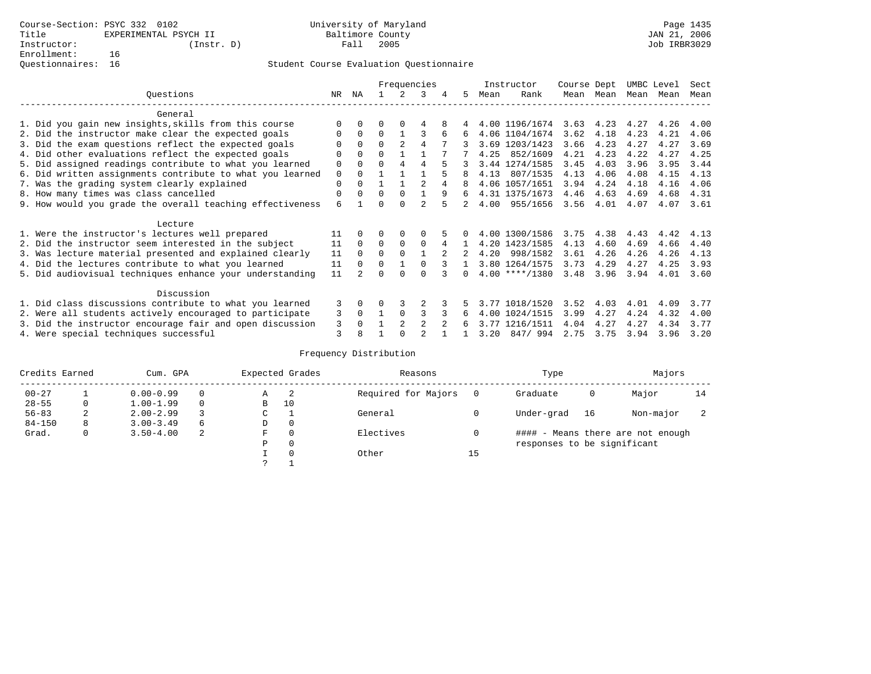|                                                           |    |          |          |                | Frequencies    |   |    |      | Instructor       | Course Dept |           |      | UMBC Level | Sect |
|-----------------------------------------------------------|----|----------|----------|----------------|----------------|---|----|------|------------------|-------------|-----------|------|------------|------|
| Ouestions                                                 | NR | ΝA       |          |                | 3              | 4 | 5. | Mean | Rank             |             | Mean Mean |      | Mean Mean  | Mean |
| General                                                   |    |          |          |                |                |   |    |      |                  |             |           |      |            |      |
| 1. Did you gain new insights, skills from this course     |    |          |          |                |                |   |    |      | 4.00 1196/1674   | 3.63        | 4.23      | 4.27 | 4.26       | 4.00 |
| 2. Did the instructor make clear the expected goals       |    | $\Omega$ | $\Omega$ |                |                |   | 6  |      | 4.06 1104/1674   | 3.62        | 4.18      | 4.23 | 4.21       | 4.06 |
| 3. Did the exam questions reflect the expected goals      |    | $\Omega$ | $\Omega$ | $\mathfrak{D}$ | 4              |   |    |      | 3.69 1203/1423   | 3.66        | 4.23      | 4.27 | 4.27       | 3.69 |
| 4. Did other evaluations reflect the expected goals       | O  | $\Omega$ | U        |                |                |   |    | 4.25 | 852/1609         | 4.21        | 4.23      | 4.22 | 4.27       | 4.25 |
| 5. Did assigned readings contribute to what you learned   | 0  | $\Omega$ | 0        | 4              | 4              |   |    |      | 3.44 1274/1585   | 3.45        | 4.03      | 3.96 | 3.95       | 3.44 |
| 6. Did written assignments contribute to what you learned | 0  | $\Omega$ |          |                |                |   |    | 4.13 | 807/1535         | 4.13        | 4.06      | 4.08 | 4.15       | 4.13 |
| 7. Was the grading system clearly explained               | 0  | $\Omega$ |          |                | $\mathcal{D}$  | 4 |    |      | 4.06 1057/1651   | 3.94        | 4.24      | 4.18 | 4.16       | 4.06 |
| 8. How many times was class cancelled                     | 0  | $\Omega$ | U        | $\Omega$       |                | 9 | 6  |      | 4.31 1375/1673   | 4.46        | 4.63      | 4.69 | 4.68       | 4.31 |
| 9. How would you grade the overall teaching effectiveness | 6  |          |          |                |                |   |    | 4.00 | 955/1656         | 3.56        | 4.01      | 4.07 | 4.07       | 3.61 |
| Lecture                                                   |    |          |          |                |                |   |    |      |                  |             |           |      |            |      |
| 1. Were the instructor's lectures well prepared           | 11 |          |          | $\Omega$       |                |   |    |      | 4.00 1300/1586   | 3.75        | 4.38      | 4.43 | 4.42       | 4.13 |
| 2. Did the instructor seem interested in the subject      | 11 | $\Omega$ | $\Omega$ | $\mathbf 0$    | $\Omega$       | 4 |    |      | 4.20 1423/1585   | 4.13        | 4.60      | 4.69 | 4.66       | 4.40 |
| 3. Was lecture material presented and explained clearly   | 11 | $\Omega$ | $\Omega$ | $\Omega$       |                |   |    | 4.20 | 998/1582         | 3.61        | 4.26      | 4.26 | 4.26       | 4.13 |
| 4. Did the lectures contribute to what you learned        | 11 | $\Omega$ | 0        |                | <sup>0</sup>   |   |    |      | 3.80 1264/1575   | 3.73        | 4.29      | 4.27 | 4.25       | 3.93 |
| 5. Did audiovisual techniques enhance your understanding  | 11 |          |          |                |                |   |    |      | $4.00$ ****/1380 | 3.48        | 3.96      | 3.94 | 4.01       | 3.60 |
| Discussion                                                |    |          |          |                |                |   |    |      |                  |             |           |      |            |      |
| 1. Did class discussions contribute to what you learned   | 3  | $\Omega$ | U        |                |                |   |    |      | 3.77 1018/1520   | 3.52        | 4.03      | 4.01 | 4.09       | 3.77 |
| 2. Were all students actively encouraged to participate   | 3  | $\Omega$ |          | $\Omega$       | 3              |   | 6  | 4.00 | 1024/1515        | 3.99        | 4.27      | 4.24 | 4.32       | 4.00 |
| 3. Did the instructor encourage fair and open discussion  | 3  |          |          | $\mathfrak{D}$ | $\overline{2}$ |   |    | 3.77 | 1216/1511        | 4.04        | 4.27      | 4.27 | 4.34       | 3.77 |
| 4. Were special techniques successful                     | 3  | 8        |          |                |                |   |    | 3.20 | 847/994          | 2.75        | 3.75      | 3.94 | 3.96       | 3.20 |

| Credits Earned |   | Cum. GPA      |   |   | Expected Grades | Reasons             |    | Type                        |    | Majors                            |    |
|----------------|---|---------------|---|---|-----------------|---------------------|----|-----------------------------|----|-----------------------------------|----|
| $00 - 27$      |   | $0.00 - 0.99$ |   | Α | -2              | Required for Majors |    | Graduate                    | 0  | Major                             | 14 |
| $28 - 55$      | 0 | $1.00 - 1.99$ |   | B | 10              |                     |    |                             |    |                                   |    |
| $56 - 83$      | 2 | $2.00 - 2.99$ |   | ◡ |                 | General             |    | Under-grad                  | 16 | Non-major                         |    |
| $84 - 150$     | 8 | $3.00 - 3.49$ | 6 | D | 0               |                     |    |                             |    |                                   |    |
| Grad.          | 0 | $3.50 - 4.00$ | 2 | F | 0               | Electives           |    |                             |    | #### - Means there are not enough |    |
|                |   |               |   | Ρ | 0               |                     |    | responses to be significant |    |                                   |    |
|                |   |               |   |   | $\Omega$        | Other               | 15 |                             |    |                                   |    |
|                |   |               |   | っ |                 |                     |    |                             |    |                                   |    |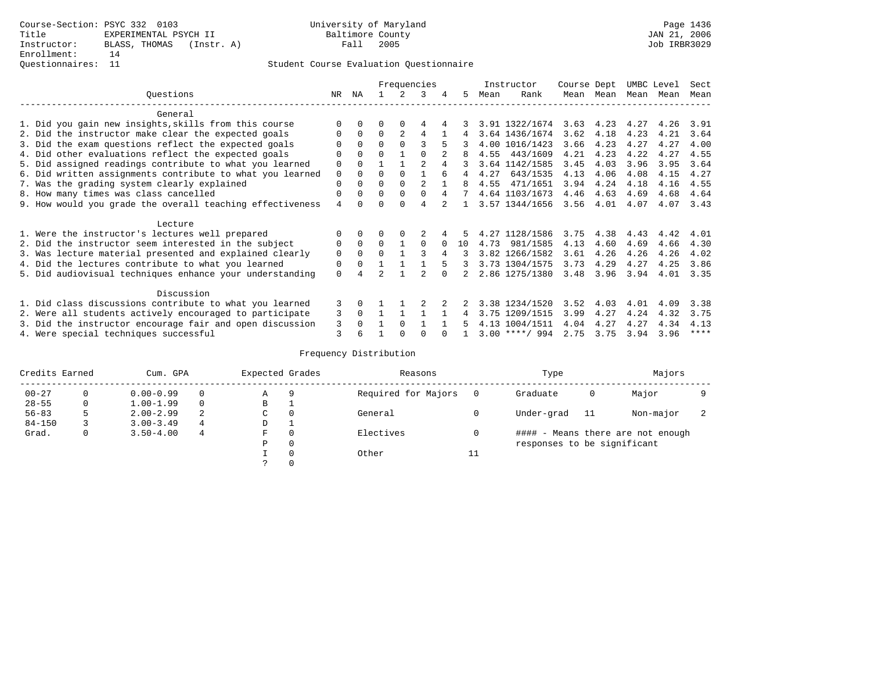#### Questionnaires: 11 Student Course Evaluation Questionnaire

|                                                           |          |          |                |                | Frequencies    |          |          |      | Instructor       | Course Dept |      | UMBC Level |      | Sect |
|-----------------------------------------------------------|----------|----------|----------------|----------------|----------------|----------|----------|------|------------------|-------------|------|------------|------|------|
| Ouestions                                                 | NR.      | ΝA       |                |                | 3              | 4        | 5        | Mean | Rank             | Mean        | Mean | Mean       | Mean | Mean |
| General                                                   |          |          |                |                |                |          |          |      |                  |             |      |            |      |      |
| 1. Did you gain new insights, skills from this course     |          | $\Omega$ | U              | $\Omega$       | 4              |          |          |      | 3.91 1322/1674   | 3.63        | 4.23 | 4.27       | 4.26 | 3.91 |
| 2. Did the instructor make clear the expected goals       | 0        | $\Omega$ | $\Omega$       | $\overline{2}$ | 4              |          | 4        |      | 3.64 1436/1674   | 3.62        | 4.18 | 4.23       | 4.21 | 3.64 |
| 3. Did the exam questions reflect the expected goals      | O        | $\Omega$ | $\Omega$       | $\Omega$       | ς              |          |          |      | 4.00 1016/1423   | 3.66        | 4.23 | 4.27       | 4.27 | 4.00 |
| 4. Did other evaluations reflect the expected goals       | $\Omega$ | $\Omega$ | 0              |                | <sup>0</sup>   |          | 8        | 4.55 | 443/1609         | 4.21        | 4.23 | 4.22       | 4.27 | 4.55 |
| 5. Did assigned readings contribute to what you learned   | 0        | $\Omega$ |                |                | $\mathfrak{D}$ | 4        |          |      | 3.64 1142/1585   | 3.45        | 4.03 | 3.96       | 3.95 | 3.64 |
| 6. Did written assignments contribute to what you learned | 0        | $\Omega$ | $\Omega$       | $\Omega$       |                |          | 4        | 4.27 | 643/1535         | 4.13        | 4.06 | 4.08       | 4.15 | 4.27 |
| 7. Was the grading system clearly explained               | $\Omega$ | $\Omega$ | 0              | $\Omega$       | 2              |          | 8        | 4.55 | 471/1651         | 3.94        | 4.24 | 4.18       | 4.16 | 4.55 |
| 8. How many times was class cancelled                     | $\Omega$ | $\Omega$ | $\Omega$       | $\Omega$       | $\Omega$       | 4        | 7        |      | 4.64 1103/1673   | 4.46        | 4.63 | 4.69       | 4.68 | 4.64 |
| 9. How would you grade the overall teaching effectiveness | 4        |          |                | $\Omega$       | 4              |          |          |      | 3.57 1344/1656   | 3.56        | 4.01 | 4.07       | 4.07 | 3.43 |
| Lecture                                                   |          |          |                |                |                |          |          |      |                  |             |      |            |      |      |
| 1. Were the instructor's lectures well prepared           |          | $\Omega$ |                | $\Omega$       |                |          |          |      | 4.27 1128/1586   | 3.75        | 4.38 | 4.43       | 4.42 | 4.01 |
| 2. Did the instructor seem interested in the subject      | 0        | $\Omega$ | $\Omega$       | $\mathbf{1}$   | 0              | $\Omega$ | $10^{-}$ | 4.73 | 981/1585         | 4.13        | 4.60 | 4.69       | 4.66 | 4.30 |
| 3. Was lecture material presented and explained clearly   | $\Omega$ | $\Omega$ | $\Omega$       |                |                | 4        |          |      | 3.82 1266/1582   | 3.61        | 4.26 | 4.26       | 4.26 | 4.02 |
| 4. Did the lectures contribute to what you learned        | $\Omega$ | $\Omega$ |                |                |                | 5        | 3        |      | 3.73 1304/1575   | 3.73        | 4.29 | 4.27       | 4.25 | 3.86 |
| 5. Did audiovisual techniques enhance your understanding  | $\Omega$ |          | $\mathfrak{D}$ |                |                |          |          |      | 2.86 1275/1380   | 3.48        | 3.96 | 3.94       | 4.01 | 3.35 |
| Discussion                                                |          |          |                |                |                |          |          |      |                  |             |      |            |      |      |
| 1. Did class discussions contribute to what you learned   | 3        | $\Omega$ |                |                |                |          | 2        |      | 3.38 1234/1520   | 3.52        | 4.03 | 4.01       | 4.09 | 3.38 |
| 2. Were all students actively encouraged to participate   | 3        | $\Omega$ |                |                |                |          | 4        |      | 3.75 1209/1515   | 3.99        | 4.27 | 4.24       | 4.32 | 3.75 |
| 3. Did the instructor encourage fair and open discussion  | 3        | $\cap$   |                | $\Omega$       |                |          | 5        |      | 4.13 1004/1511   | 4.04        | 4.27 | 4.27       | 4.34 | 4.13 |
| 4. Were special techniques successful                     | 3        |          |                | $\cap$         | U              |          |          |      | $3.00$ ****/ 994 | 2.75        | 3.75 | 3.94       | 3.96 | **** |

| Credits Earned |          | Cum. GPA      |   | Expected Grades |          | Reasons             |          | Type                        |     | Majors                            |  |
|----------------|----------|---------------|---|-----------------|----------|---------------------|----------|-----------------------------|-----|-----------------------------------|--|
| $00 - 27$      | $\Omega$ | $0.00 - 0.99$ |   | Α               | 9        | Required for Majors | $\Omega$ | Graduate                    | 0   | Major                             |  |
| $28 - 55$      | 0        | $1.00 - 1.99$ |   | В               |          |                     |          |                             |     |                                   |  |
| $56 - 83$      | 5        | $2.00 - 2.99$ | 2 | $\sim$<br>◡     | 0        | General             |          | Under-grad                  | -11 | Non-major                         |  |
| $84 - 150$     |          | $3.00 - 3.49$ | 4 | D               | <b>.</b> |                     |          |                             |     |                                   |  |
| Grad.          | 0        | $3.50 - 4.00$ | 4 | F               | 0        | Electives           | 0        |                             |     | #### - Means there are not enough |  |
|                |          |               |   | Ρ               | 0        |                     |          | responses to be significant |     |                                   |  |
|                |          |               |   |                 | $\Omega$ | Other               | ⊥⊥       |                             |     |                                   |  |
|                |          |               |   |                 |          |                     |          |                             |     |                                   |  |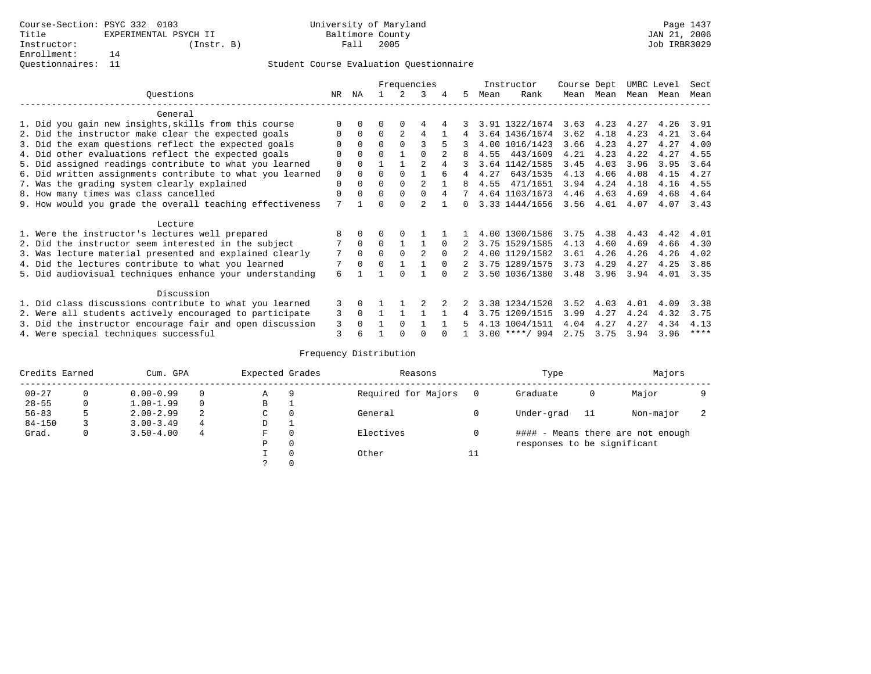|                                                           |             |          |          |          | Frequencies   |          |              |      | Instructor       | Course Dept |           | UMBC Level |      | Sect |
|-----------------------------------------------------------|-------------|----------|----------|----------|---------------|----------|--------------|------|------------------|-------------|-----------|------------|------|------|
| Ouestions                                                 | NR.         | ΝA       |          |          | 3             | 4        | 5.           | Mean | Rank             |             | Mean Mean | Mean       | Mean | Mean |
| General                                                   |             |          |          |          |               |          |              |      |                  |             |           |            |      |      |
| 1. Did you gain new insights, skills from this course     |             | $\Omega$ | 0        | $\Omega$ | 4             |          |              |      | 3.91 1322/1674   | 3.63        | 4.23      | 4.27       | 4.26 | 3.91 |
| 2. Did the instructor make clear the expected goals       | O           | $\Omega$ | $\Omega$ | 2        | 4             |          |              |      | 3.64 1436/1674   | 3.62        | 4.18      | 4.23       | 4.21 | 3.64 |
| 3. Did the exam questions reflect the expected goals      |             | $\Omega$ | $\Omega$ | $\Omega$ |               |          |              |      | 4.00 1016/1423   | 3.66        | 4.23      | 4.27       | 4.27 | 4.00 |
| 4. Did other evaluations reflect the expected goals       | O           | $\Omega$ | $\Omega$ |          | $\cap$        |          |              | 4.55 | 443/1609         | 4.21        | 4.23      | 4.22       | 4.27 | 4.55 |
| 5. Did assigned readings contribute to what you learned   | $\mathbf 0$ | $\Omega$ |          |          | $\mathcal{D}$ |          |              |      | 3.64 1142/1585   | 3.45        | 4.03      | 3.96       | 3.95 | 3.64 |
| 6. Did written assignments contribute to what you learned | $\mathbf 0$ | $\Omega$ | 0        | $\Omega$ |               |          |              | 4.27 | 643/1535         | 4.13        | 4.06      | 4.08       | 4.15 | 4.27 |
| 7. Was the grading system clearly explained               | $\Omega$    | $\Omega$ | 0        | $\Omega$ |               |          | 8            | 4.55 | 471/1651         | 3.94        | 4.24      | 4.18       | 4.16 | 4.55 |
| 8. How many times was class cancelled                     | $\Omega$    | $\Omega$ | $\Omega$ | $\Omega$ | $\Omega$      |          |              |      | 4.64 1103/1673   | 4.46        | 4.63      | 4.69       | 4.68 | 4.64 |
| 9. How would you grade the overall teaching effectiveness | 7           |          | U        | ∩        |               |          | <sup>n</sup> |      | 3.33 1444/1656   | 3.56        | 4.01      | 4.07       | 4.07 | 3.43 |
| Lecture                                                   |             |          |          |          |               |          |              |      |                  |             |           |            |      |      |
| 1. Were the instructor's lectures well prepared           |             |          |          |          |               |          |              |      | 4.00 1300/1586   | 3.75        | 4.38      | 4.43       | 4.42 | 4.01 |
| 2. Did the instructor seem interested in the subject      |             | $\Omega$ | $\Omega$ |          |               | $\Omega$ |              |      | 3.75 1529/1585   | 4.13        | 4.60      | 4.69       | 4.66 | 4.30 |
| 3. Was lecture material presented and explained clearly   | 7           | $\Omega$ | $\Omega$ | $\Omega$ | 2             | $\Omega$ |              |      | 4.00 1129/1582   | 3.61        | 4.26      | 4.26       | 4.26 | 4.02 |
| 4. Did the lectures contribute to what you learned        |             | $\Omega$ | $\Omega$ |          |               | $\Omega$ |              |      | 3.75 1289/1575   | 3.73        | 4.29      | 4.27       | 4.25 | 3.86 |
| 5. Did audiovisual techniques enhance your understanding  | 6           |          |          |          |               |          |              |      | 3.50 1036/1380   | 3.48        | 3.96      | 3.94       | 4.01 | 3.35 |
| Discussion                                                |             |          |          |          |               |          |              |      |                  |             |           |            |      |      |
| 1. Did class discussions contribute to what you learned   | 3           | 0        |          |          |               |          |              |      | 3.38 1234/1520   | 3.52        | 4.03      | 4.01       | 4.09 | 3.38 |
| 2. Were all students actively encouraged to participate   | 3           | $\Omega$ |          |          |               |          | 4            |      | 3.75 1209/1515   | 3.99        | 4.27      | 4.24       | 4.32 | 3.75 |
| 3. Did the instructor encourage fair and open discussion  | 3           | $\Omega$ |          | $\Omega$ |               |          |              |      | 4.13 1004/1511   | 4.04        | 4.27      | 4.27       | 4.34 | 4.13 |
| 4. Were special techniques successful                     | 3           |          |          |          |               |          |              |      | $3.00$ ****/ 994 | 2.75        | 3.75      | 3.94       | 3.96 | **** |

| Credits Earned |          | Cum. GPA      |   | Expected Grades |          | Reasons             |          | Type                        |     | Majors                            |  |
|----------------|----------|---------------|---|-----------------|----------|---------------------|----------|-----------------------------|-----|-----------------------------------|--|
| $00 - 27$      | $\Omega$ | $0.00 - 0.99$ |   | Α               | 9        | Required for Majors | $\Omega$ | Graduate                    | 0   | Major                             |  |
| $28 - 55$      | 0        | $1.00 - 1.99$ |   | В               |          |                     |          |                             |     |                                   |  |
| $56 - 83$      | 5        | $2.00 - 2.99$ | 2 | $\sim$<br>◡     | 0        | General             |          | Under-grad                  | -11 | Non-major                         |  |
| $84 - 150$     |          | $3.00 - 3.49$ | 4 | D               | <b>.</b> |                     |          |                             |     |                                   |  |
| Grad.          | 0        | $3.50 - 4.00$ | 4 | F               | 0        | Electives           | 0        |                             |     | #### - Means there are not enough |  |
|                |          |               |   | Ρ               | 0        |                     |          | responses to be significant |     |                                   |  |
|                |          |               |   |                 | $\Omega$ | Other               | ⊥⊥       |                             |     |                                   |  |
|                |          |               |   |                 |          |                     |          |                             |     |                                   |  |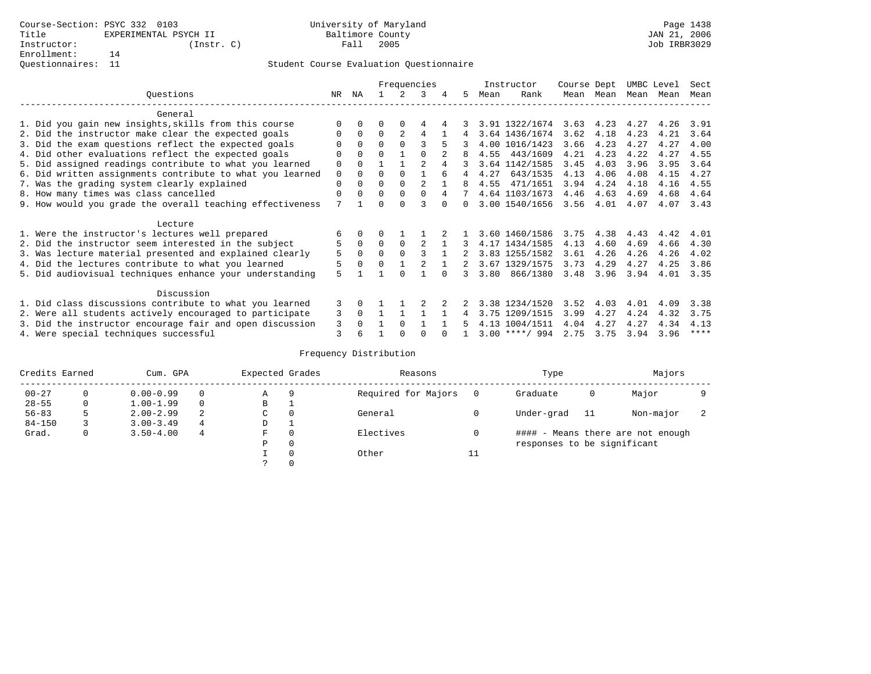|                                                           |             |          |          |               | Frequencies    |   |             |      | Instructor       | Course Dept |                   | UMBC Level |      | Sect        |
|-----------------------------------------------------------|-------------|----------|----------|---------------|----------------|---|-------------|------|------------------|-------------|-------------------|------------|------|-------------|
| Ouestions                                                 | NR          | ΝA       |          | $\mathcal{L}$ | 3              | 4 | 5.          | Mean | Rank             |             | Mean Mean         | Mean Mean  |      | Mean        |
| General                                                   |             |          |          |               |                |   |             |      |                  |             |                   |            |      |             |
| 1. Did you gain new insights, skills from this course     |             | $\Omega$ | 0        | $\Omega$      | 4              |   |             |      | 3.91 1322/1674   |             | $3.63 \quad 4.23$ | 4.27       | 4.26 | 3.91        |
| 2. Did the instructor make clear the expected goals       | 0           | $\Omega$ | $\Omega$ | 2             | 4              |   | 4           |      | 3.64 1436/1674   | 3.62        | 4.18              | 4.23       | 4.21 | 3.64        |
| 3. Did the exam questions reflect the expected goals      |             | $\Omega$ | $\Omega$ | $\Omega$      | ς              | 5 |             |      | 4.00 1016/1423   | 3.66        | 4.23              | 4.27       | 4.27 | 4.00        |
| 4. Did other evaluations reflect the expected goals       |             | $\Omega$ | U        |               |                |   |             | 4.55 | 443/1609         | 4.21        | 4.23              | 4.22       | 4.27 | 4.55        |
| 5. Did assigned readings contribute to what you learned   | 0           | $\Omega$ |          |               | $\mathfrak{D}$ |   |             |      | 3.64 1142/1585   | 3.45        | 4.03              | 3.96       | 3.95 | 3.64        |
| 6. Did written assignments contribute to what you learned | $\mathbf 0$ | $\Omega$ | U        | $\Omega$      |                | 6 | 4           | 4.27 | 643/1535         | 4.13        | 4.06              | 4.08       | 4.15 | 4.27        |
| 7. Was the grading system clearly explained               | 0           | $\Omega$ | O        | $\Omega$      | 2              |   | 8           | 4.55 | 471/1651         | 3.94        | 4.24              | 4.18       | 4.16 | 4.55        |
| 8. How many times was class cancelled                     | U           | $\Omega$ | $\Omega$ | $\Omega$      | $\Omega$       | 4 | $7^{\circ}$ |      | 4.64 1103/1673   | 4.46        | 4.63              | 4.69       | 4.68 | 4.64        |
| 9. How would you grade the overall teaching effectiveness | 7           |          |          | <sup>n</sup>  |                |   | $\Omega$    |      | 3.00 1540/1656   | 3.56        | 4.01              | 4.07       | 4.07 | 3.43        |
| Lecture                                                   |             |          |          |               |                |   |             |      |                  |             |                   |            |      |             |
| 1. Were the instructor's lectures well prepared           | 6           |          |          |               |                |   |             |      | 3.60 1460/1586   | 3.75        | 4.38              | 4.43       | 4.42 | 4.01        |
| 2. Did the instructor seem interested in the subject      | 5           | $\Omega$ | $\Omega$ | $\Omega$      | 2              |   | 3           |      | 4.17 1434/1585   | 4.13        | 4.60              | 4.69       | 4.66 | 4.30        |
| 3. Was lecture material presented and explained clearly   | 5           | $\Omega$ | 0        | $\Omega$      |                |   | 2           |      | 3.83 1255/1582   | 3.61        | 4.26              | 4.26       | 4.26 | 4.02        |
| 4. Did the lectures contribute to what you learned        | 5           | $\Omega$ | $\Omega$ |               |                |   | 2           |      | 3.67 1329/1575   | 3.73        | 4.29              | 4.27       | 4.25 | 3.86        |
| 5. Did audiovisual techniques enhance your understanding  | 5           |          |          |               |                |   |             | 3.80 | 866/1380         | 3.48        | 3.96              | 3.94       | 4.01 | 3.35        |
| Discussion                                                |             |          |          |               |                |   |             |      |                  |             |                   |            |      |             |
| 1. Did class discussions contribute to what you learned   | 3           | $\Omega$ |          |               |                |   |             |      | 3.38 1234/1520   | 3.52        | 4.03              | 4.01       | 4.09 | 3.38        |
| 2. Were all students actively encouraged to participate   | 3           | $\Omega$ |          |               |                |   | 4           |      | 3.75 1209/1515   | 3.99        | 4.27              | 4.24       | 4.32 | 3.75        |
| 3. Did the instructor encourage fair and open discussion  | 3           |          |          | $\Omega$      |                |   |             |      | 4.13 1004/1511   | 4.04        | 4.27              | 4.27       | 4.34 | 4.13        |
| 4. Were special techniques successful                     | 3           | 6        |          |               |                |   |             |      | $3.00$ ****/ 994 | 2.75        | 3.75              | 3.94       | 3.96 | $***$ * * * |

| Credits Earned |   | Cum. GPA      |          | Expected Grades |              | Reasons             |          | Type                        |     | Majors                            |  |
|----------------|---|---------------|----------|-----------------|--------------|---------------------|----------|-----------------------------|-----|-----------------------------------|--|
| $00 - 27$      | 0 | $0.00 - 0.99$ | $\Omega$ | Α               | 9            | Required for Majors | - 0      | Graduate                    | 0   | Major                             |  |
| $28 - 55$      | 0 | $1.00 - 1.99$ | $\Omega$ | В               | ᅩ            |                     |          |                             |     |                                   |  |
| $56 - 83$      |   | $2.00 - 2.99$ | 2        | C               | 0            | General             |          | Under-grad                  | -11 | Non-major                         |  |
| $84 - 150$     |   | $3.00 - 3.49$ | 4        | D               | ᅩ            |                     |          |                             |     |                                   |  |
| Grad.          | 0 | $3.50 - 4.00$ | 4        | F               | $\mathbf{0}$ | Electives           | $\Omega$ |                             |     | #### - Means there are not enough |  |
|                |   |               |          | Ρ               | $\mathbf{0}$ |                     |          | responses to be significant |     |                                   |  |
|                |   |               |          |                 | 0            | Other               | 11       |                             |     |                                   |  |
|                |   |               |          |                 | 0            |                     |          |                             |     |                                   |  |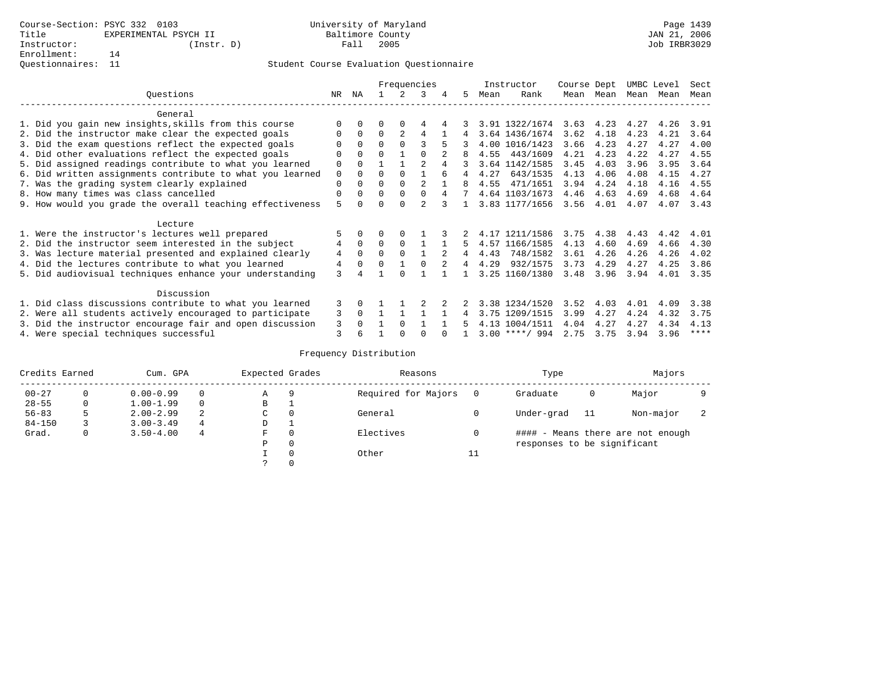|                                                           |             |              |          |               | Frequencies    |   |             |      | Instructor       | Course Dept |                   | UMBC Level |      | Sect        |
|-----------------------------------------------------------|-------------|--------------|----------|---------------|----------------|---|-------------|------|------------------|-------------|-------------------|------------|------|-------------|
| Ouestions                                                 | NR          | ΝA           |          | $\mathcal{L}$ | 3              | 4 | 5.          | Mean | Rank             |             | Mean Mean         | Mean Mean  |      | Mean        |
| General                                                   |             |              |          |               |                |   |             |      |                  |             |                   |            |      |             |
| 1. Did you gain new insights, skills from this course     |             | $\Omega$     | 0        | $\Omega$      | 4              |   |             |      | 3.91 1322/1674   |             | $3.63 \quad 4.23$ | 4.27       | 4.26 | 3.91        |
| 2. Did the instructor make clear the expected goals       | 0           | $\Omega$     | $\Omega$ | 2             | 4              |   | 4           |      | 3.64 1436/1674   | 3.62        | 4.18              | 4.23       | 4.21 | 3.64        |
| 3. Did the exam questions reflect the expected goals      |             | $\Omega$     | $\Omega$ | $\Omega$      | ς              | 5 |             |      | 4.00 1016/1423   | 3.66        | 4.23              | 4.27       | 4.27 | 4.00        |
| 4. Did other evaluations reflect the expected goals       |             | $\Omega$     | U        |               |                |   |             | 4.55 | 443/1609         | 4.21        | 4.23              | 4.22       | 4.27 | 4.55        |
| 5. Did assigned readings contribute to what you learned   | 0           | $\Omega$     |          |               | $\mathfrak{D}$ |   |             |      | 3.64 1142/1585   | 3.45        | 4.03              | 3.96       | 3.95 | 3.64        |
| 6. Did written assignments contribute to what you learned | $\mathbf 0$ | $\Omega$     | U        | $\Omega$      |                | 6 | 4           | 4.27 | 643/1535         | 4.13        | 4.06              | 4.08       | 4.15 | 4.27        |
| 7. Was the grading system clearly explained               | 0           | $\Omega$     | O        | $\Omega$      | 2              |   | 8           | 4.55 | 471/1651         | 3.94        | 4.24              | 4.18       | 4.16 | 4.55        |
| 8. How many times was class cancelled                     | 0           | $\Omega$     | $\Omega$ | $\Omega$      | $\Omega$       | 4 | $7^{\circ}$ |      | 4.64 1103/1673   | 4.46        | 4.63              | 4.69       | 4.68 | 4.64        |
| 9. How would you grade the overall teaching effectiveness | 5           | <sup>n</sup> |          | $\cap$        | $\mathfrak{D}$ |   |             |      | 3.83 1177/1656   | 3.56        | 4.01              | 4.07       | 4.07 | 3.43        |
| Lecture                                                   |             |              |          |               |                |   |             |      |                  |             |                   |            |      |             |
| 1. Were the instructor's lectures well prepared           | 5           |              |          |               |                |   |             |      | 4.17 1211/1586   | 3.75        | 4.38              | 4.43       | 4.42 | 4.01        |
| 2. Did the instructor seem interested in the subject      | 4           | $\Omega$     | $\Omega$ | $\Omega$      |                |   | 5           |      | 4.57 1166/1585   | 4.13        | 4.60              | 4.69       | 4.66 | 4.30        |
| 3. Was lecture material presented and explained clearly   | 4           | $\Omega$     | 0        | $\Omega$      |                | 2 | 4           | 4.43 | 748/1582         | 3.61        | 4.26              | 4.26       | 4.26 | 4.02        |
| 4. Did the lectures contribute to what you learned        | 4           | $\Omega$     | $\Omega$ |               |                | 2 | 4           | 4.29 | 932/1575         | 3.73        | 4.29              | 4.27       | 4.25 | 3.86        |
| 5. Did audiovisual techniques enhance your understanding  | 3           |              |          |               |                |   |             |      | 3.25 1160/1380   | 3.48        | 3.96              | 3.94       | 4.01 | 3.35        |
| Discussion                                                |             |              |          |               |                |   |             |      |                  |             |                   |            |      |             |
| 1. Did class discussions contribute to what you learned   | 3           | $\Omega$     |          |               |                |   |             |      | 3.38 1234/1520   | 3.52        | 4.03              | 4.01       | 4.09 | 3.38        |
| 2. Were all students actively encouraged to participate   | 3           | $\Omega$     |          |               |                |   | 4           |      | 3.75 1209/1515   | 3.99        | 4.27              | 4.24       | 4.32 | 3.75        |
| 3. Did the instructor encourage fair and open discussion  | 3           |              |          | $\Omega$      |                |   |             |      | 4.13 1004/1511   | 4.04        | 4.27              | 4.27       | 4.34 | 4.13        |
| 4. Were special techniques successful                     | 3           | 6            |          |               |                |   |             |      | $3.00$ ****/ 994 | 2.75        | 3.75              | 3.94       | 3.96 | $***$ * * * |

| Credits Earned |          | Cum. GPA      |   | Expected Grades |          | Reasons             |          | Type                        |     | Majors                            |  |
|----------------|----------|---------------|---|-----------------|----------|---------------------|----------|-----------------------------|-----|-----------------------------------|--|
| $00 - 27$      | $\Omega$ | $0.00 - 0.99$ |   | Α               | 9        | Required for Majors | $\Omega$ | Graduate                    | 0   | Major                             |  |
| $28 - 55$      | 0        | $1.00 - 1.99$ |   | В               |          |                     |          |                             |     |                                   |  |
| $56 - 83$      | 5        | $2.00 - 2.99$ | 2 | $\sim$<br>◡     | 0        | General             |          | Under-grad                  | -11 | Non-major                         |  |
| $84 - 150$     |          | $3.00 - 3.49$ | 4 | D               | <b>.</b> |                     |          |                             |     |                                   |  |
| Grad.          | 0        | $3.50 - 4.00$ | 4 | F               | 0        | Electives           | 0        |                             |     | #### - Means there are not enough |  |
|                |          |               |   | Ρ               | 0        |                     |          | responses to be significant |     |                                   |  |
|                |          |               |   |                 | $\Omega$ | Other               | ⊥⊥       |                             |     |                                   |  |
|                |          |               |   |                 |          |                     |          |                             |     |                                   |  |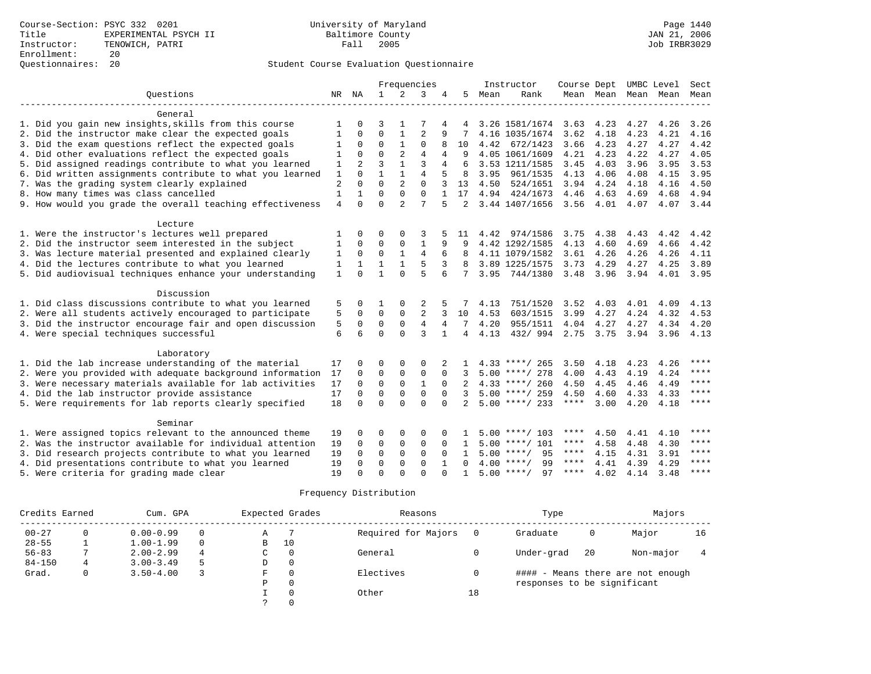|                                                                     |              |                |                |                | Frequencies    |              |                |      | Instructor         | Course Dept |              |              | UMBC Level               | Sect        |
|---------------------------------------------------------------------|--------------|----------------|----------------|----------------|----------------|--------------|----------------|------|--------------------|-------------|--------------|--------------|--------------------------|-------------|
| Ouestions                                                           |              | NR NA          | $\mathbf{1}$   | 2              | 3              | 4            | 5              | Mean | Rank               |             |              |              | Mean Mean Mean Mean Mean |             |
|                                                                     |              |                |                |                |                |              |                |      |                    |             |              |              |                          |             |
| General                                                             |              |                |                |                |                |              |                |      |                    |             |              |              |                          |             |
| 1. Did you gain new insights, skills from this course               |              |                | 3              |                |                |              |                |      | 3.26 1581/1674     | 3.63        | 4.23         | 4.27         | 4.26                     | 3.26        |
| 2. Did the instructor make clear the expected goals                 | 1            | $\Omega$       | $\Omega$       |                | $\overline{2}$ |              |                |      | 4.16 1035/1674     | 3.62        | 4.18         | 4.23         | 4.21                     | 4.16        |
| 3. Did the exam questions reflect the expected goals                |              | 0              | 0              |                | 0              |              | 10             |      | 4.42 672/1423      | 3.66        | 4.23         | 4.27         | 4.27                     | 4.42        |
| 4. Did other evaluations reflect the expected goals                 | 1            | $\Omega$       | $\Omega$       | 2              | $\overline{4}$ | 4            | 9              |      | 4.05 1061/1609     | 4.21        | 4.23         | 4.22         | 4.27                     | 4.05        |
| 5. Did assigned readings contribute to what you learned             | $\mathbf{1}$ | $\overline{a}$ | $\overline{3}$ | $\mathbf{1}$   | 3              | 4            | 6              |      | 3.53 1211/1585     | 3.45        | 4.03         | 3.96         | 3.95                     | 3.53        |
| 6. Did written assignments contribute to what you learned           | $1\,$        | $\Omega$       | $\mathbf{1}$   | $\mathbf{1}$   | $\overline{4}$ |              | 8              | 3.95 | 961/1535           | 4.13        | 4.06         | 4.08         | 4.15                     | 3.95        |
| 7. Was the grading system clearly explained                         | 2            | $\Omega$       | $\Omega$       | 2              | $\Omega$       | 3            | 13             | 4.50 | 524/1651           | 3.94        | 4.24         | 4.18         | 4.16                     | 4.50        |
| 8. How many times was class cancelled                               |              |                | $\Omega$       | $\Omega$       | $\Omega$       |              | 17             |      | 4.94 424/1673      | 4.46        | 4.63         | 4.69         | 4.68                     | 4.94        |
| 9. How would you grade the overall teaching effectiveness           | 4            | $\Omega$       | $\Omega$       | $\overline{a}$ | 7              | 5            | 2              |      | 3.44 1407/1656     |             | $3.56$ 4.01  | 4.07         | 4.07 3.44                |             |
| Lecture                                                             |              |                |                |                |                |              |                |      |                    |             |              |              |                          |             |
| 1. Were the instructor's lectures well prepared                     |              | $\Omega$       | 0              | 0              | 3              |              | 11             | 4.42 | 974/1586           | 3.75        | 4.38         | 4.43         | 4.42                     | 4.42        |
| 2. Did the instructor seem interested in the subject                | 1            | 0              | 0              | 0              | $\mathbf{1}$   | 9            | 9              |      | 4.42 1292/1585     | 4.13        | 4.60         | 4.69         | 4.66                     | 4.42        |
| 3. Was lecture material presented and explained clearly             | 1            | $\mathbf 0$    | $\mathbf 0$    | $\mathbf{1}$   | $\overline{4}$ | 6            | 8              |      | 4.11 1079/1582     | 3.61        | 4.26         | 4.26         | 4.26                     | 4.11        |
| 4. Did the lectures contribute to what you learned                  | 1            | $\mathbf{1}$   | $\mathbf{1}$   | $\mathbf{1}$   | 5              | 3            | 8              |      | 3.89 1225/1575     | 3.73        | 4.29         | 4.27         | 4.25                     | 3.89        |
| 5. Did audiovisual techniques enhance your understanding            | $\mathbf{1}$ | $\Omega$       |                | $\Omega$       | 5              | 6            | 7              |      | 3.95 744/1380      | 3.48        | 3.96         | 3.94         | 4.01                     | 3.95        |
|                                                                     |              |                |                |                |                |              |                |      |                    |             |              |              |                          |             |
| Discussion                                                          |              |                |                |                |                |              |                |      |                    |             |              |              |                          |             |
| 1. Did class discussions contribute to what you learned             | 5            | $\Omega$       |                | $\Omega$       | 2              |              |                | 4.13 | 751/1520           | 3.52        | 4.03         | 4.01         | 4.09                     | 4.13        |
| 2. Were all students actively encouraged to participate             | 5            | $\Omega$       | 0              | 0              | 2              |              | 10             | 4.53 | 603/1515           | 3.99        | 4.27         | 4.24         | 4.32                     | 4.53        |
| 3. Did the instructor encourage fair and open discussion            | 5            | 0              | $\mathbf 0$    | $\mathbf{0}$   | $\overline{4}$ | 4            |                | 4.20 | 955/1511 4.04 4.27 |             |              | 4.27         | 4.34                     | 4.20        |
| 4. Were special techniques successful                               | 6            | 6              | $\Omega$       | $\Omega$       | ζ              | $\mathbf{1}$ | $\overline{4}$ | 4.13 | 432/994            | 2.75        | 3.75         | 3.94         | 3.96 4.13                |             |
|                                                                     |              |                |                |                |                |              |                |      |                    |             |              |              |                          |             |
| Laboratory<br>1. Did the lab increase understanding of the material | 17           |                | $\Omega$       | $\Omega$       | $\Omega$       |              |                |      | $4.33$ ****/ 265   | 3.50        |              |              |                          | ****        |
| 2. Were you provided with adequate background information           | 17           | $\Omega$       | 0              | $\mathbf 0$    | $\Omega$       | $\Omega$     |                |      | $5.00$ ****/ 278   | 4.00        | 4.18<br>4.43 | 4.23<br>4.19 | 4.26<br>4.24             | ****        |
| 3. Were necessary materials available for lab activities            | 17           | $\Omega$       | $\Omega$       | $\Omega$       | $\mathbf{1}$   | $\Omega$     | $2^{1}$        |      | $4.33$ ****/ 260   | 4.50        | 4.45         | 4.46         | 4.49                     | $***$       |
| 4. Did the lab instructor provide assistance                        | 17           | $\Omega$       | $\Omega$       | $\Omega$       | $\Omega$       | $\Omega$     | 3              |      | $5.00$ ****/ 259   | 4.50        | 4.60         | 4.33         | 4.33                     | $***$ *     |
| 5. Were requirements for lab reports clearly specified              | 18           | $\Omega$       | $\Omega$       | $\Omega$       | $\Omega$       | $\Omega$     |                |      | $5.00$ ****/ 233   | $***$ * * * | 3.00         | 4.20         | 4.18                     | $* * * * *$ |
|                                                                     |              |                |                |                |                |              |                |      |                    |             |              |              |                          |             |
| Seminar                                                             |              |                |                |                |                |              |                |      |                    |             |              |              |                          |             |
| 1. Were assigned topics relevant to the announced theme             | 19           | $\Omega$       | 0              | $\mathbf 0$    | 0              |              |                |      | $5.00$ ****/ 103   | ****        | 4.50         | 4.41         | 4.10                     | ****        |
| 2. Was the instructor available for individual attention            | 19           | 0              | $\mathbf 0$    | $\mathbf{0}$   | $\mathbf 0$    | $\Omega$     | 1              |      | $5.00$ ****/ 101   | $***$ * *   | 4.58         | 4.48         | 4.30                     | ****        |
| 3. Did research projects contribute to what you learned             | 19           | $\Omega$       | $\Omega$       | $\Omega$       | $\Omega$       | $\Omega$     | $\mathbf{1}$   |      | $5.00$ ****/<br>95 | ****        | 4.15         | 4.31         | 3.91                     | ****        |
| 4. Did presentations contribute to what you learned                 | 19           | $\Omega$       | $\Omega$       | $\Omega$       | $\Omega$       |              | $\Omega$       |      | $4.00$ ****/<br>99 | ****        | 4.41         | 4.39         | 4.29                     | ****        |
| 5. Were criteria for grading made clear                             | 19           | $\cap$         | $\Omega$       | $\Omega$       | $\cap$         |              | $\mathbf{1}$   |      | $5.00$ ****/<br>97 | ****        | 4.02         | 4.14         | 3.48                     | $* * * *$   |

| Credits Earned |   | Cum. GPA      |             |   | Expected Grades | Reasons             |    | Type                        |     | Majors                            |    |
|----------------|---|---------------|-------------|---|-----------------|---------------------|----|-----------------------------|-----|-----------------------------------|----|
| $00 - 27$      |   | $0.00 - 0.99$ |             | Α |                 | Required for Majors |    | Graduate                    | 0   | Major                             | 16 |
| $28 - 55$      |   | $1.00 - 1.99$ | $\Omega$    | B | 10              |                     |    |                             |     |                                   |    |
| $56 - 83$      |   | $2.00 - 2.99$ | 0<br>4<br>C |   |                 | General             |    | Under-grad                  | -20 | Non-major                         |    |
| $84 - 150$     | 4 | $3.00 - 3.49$ | 5<br>0<br>D |   |                 |                     |    |                             |     |                                   |    |
| Grad.          |   | $3.50 - 4.00$ |             | F | $\Omega$        | Electives           |    |                             |     | #### - Means there are not enough |    |
|                |   |               |             | Ρ | $\Omega$        |                     |    | responses to be significant |     |                                   |    |
|                |   |               |             |   | $\Omega$        | Other               | 18 |                             |     |                                   |    |
|                |   |               |             |   |                 |                     |    |                             |     |                                   |    |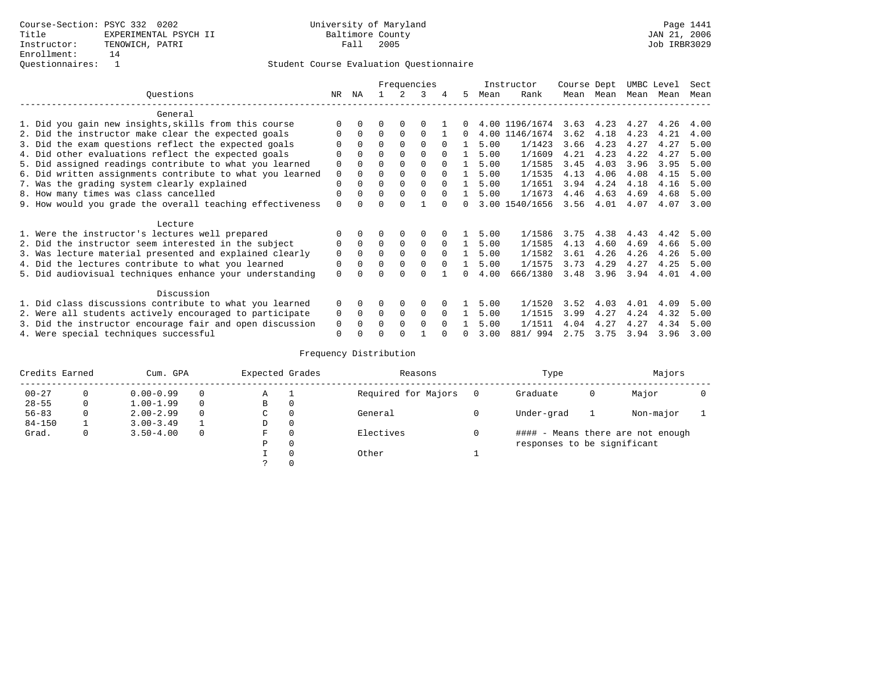|                                                           |          |              |          |          | Frequencies |          |   |      | Instructor     | Course Dept |      |           | UMBC Level | Sect |
|-----------------------------------------------------------|----------|--------------|----------|----------|-------------|----------|---|------|----------------|-------------|------|-----------|------------|------|
| Ouestions                                                 | NR       | ΝA           |          |          | २           | 4        | 5 | Mean | Rank           | Mean        | Mean | Mean Mean |            | Mean |
| General                                                   |          |              |          |          |             |          |   |      |                |             |      |           |            |      |
| 1. Did you gain new insights, skills from this course     |          | <sup>0</sup> | 0        | $\Omega$ |             |          |   |      | 4.00 1196/1674 | 3.63        | 4.23 | 4.27      | 4.26       | 4.00 |
| 2. Did the instructor make clear the expected goals       |          | $\Omega$     | 0        | $\Omega$ | $\Omega$    |          | 0 | 4.00 | 1146/1674      | 3.62        | 4.18 | 4.23      | 4.21       | 4.00 |
| 3. Did the exam questions reflect the expected goals      |          | $\Omega$     | $\Omega$ | $\Omega$ | $\Omega$    | $\Omega$ |   | 5.00 | 1/1423         | 3.66        | 4.23 | 4.27      | 4.27       | 5.00 |
| 4. Did other evaluations reflect the expected goals       | 0        | $\Omega$     | $\Omega$ | $\Omega$ | $\Omega$    | $\Omega$ |   | 5.00 | 1/1609         | 4.21        | 4.23 | 4.22      | 4.27       | 5.00 |
| 5. Did assigned readings contribute to what you learned   | 0        | $\Omega$     |          | $\Omega$ | $\Omega$    |          |   | 5.00 | 1/1585         | 3.45        | 4.03 | 3.96      | 3.95       | 5.00 |
| 6. Did written assignments contribute to what you learned | 0        | 0            | U        | $\Omega$ | 0           | $\Omega$ |   | 5.00 | 1/1535         | 4.13        | 4.06 | 4.08      | 4.15       | 5.00 |
| 7. Was the grading system clearly explained               | 0        | 0            | U        | $\Omega$ | $\Omega$    |          |   | 5.00 | 1/1651         | 3.94        | 4.24 | 4.18      | 4.16       | 5.00 |
| 8. How many times was class cancelled                     | 0        | <sup>0</sup> | 0        | $\Omega$ | $\Omega$    | $\Omega$ |   | 5.00 | 1/1673         | 4.46        | 4.63 | 4.69      | 4.68       | 5.00 |
| 9. How would you grade the overall teaching effectiveness | $\Omega$ |              |          |          |             |          |   |      | 3.00 1540/1656 | 3.56        | 4.01 | 4.07      | 4.07       | 3.00 |
| Lecture                                                   |          |              |          |          |             |          |   |      |                |             |      |           |            |      |
| 1. Were the instructor's lectures well prepared           |          |              |          |          |             |          |   | 5.00 | 1/1586         | 3.75        | 4.38 | 4.43      | 4.42       | 5.00 |
| 2. Did the instructor seem interested in the subject      | 0        | $\Omega$     | 0        | 0        | 0           | $\Omega$ |   | 5.00 | 1/1585         | 4.13        | 4.60 | 4.69      | 4.66       | 5.00 |
| 3. Was lecture material presented and explained clearly   | 0        | $\Omega$     | U        | $\Omega$ | $\Omega$    | $\Omega$ |   | 5.00 | 1/1582         | 3.61        | 4.26 | 4.26      | 4.26       | 5.00 |
| 4. Did the lectures contribute to what you learned        | 0        | $\Omega$     | 0        | $\Omega$ | $\Omega$    | $\Omega$ |   | 5.00 | 1/1575         | 3.73        | 4.29 | 4.27      | 4.25       | 5.00 |
| 5. Did audiovisual techniques enhance your understanding  | $\Omega$ |              |          |          |             |          |   | 4.00 | 666/1380       | 3.48        | 3.96 | 3.94      | 4.01       | 4.00 |
| Discussion                                                |          |              |          |          |             |          |   |      |                |             |      |           |            |      |
| 1. Did class discussions contribute to what you learned   | 0        | 0            | 0        | $\Omega$ | $\Omega$    |          |   | 5.00 | 1/1520         | 3.52        | 4.03 | 4.01      | 4.09       | 5.00 |
| 2. Were all students actively encouraged to participate   | 0        | $\Omega$     | 0        | 0        | 0           | $\Omega$ |   | 5.00 | 1/1515         | 3.99        | 4.27 | 4.24      | 4.32       | 5.00 |
| 3. Did the instructor encourage fair and open discussion  | 0        |              |          | $\Omega$ | 0           | $\Omega$ |   | 5.00 | 1/1511         | 4.04        | 4.27 | 4.27      | 4.34       | 5.00 |
| 4. Were special techniques successful                     | 0        |              |          |          |             |          |   | 3.00 | 881/ 994       | 2.75        | 3.75 | 3.94      | 3.96       | 3.00 |

| Credits Earned |   | Cum. GPA      |              | Expected Grades |          | Reasons             | Type                        |   | Majors                            |  |
|----------------|---|---------------|--------------|-----------------|----------|---------------------|-----------------------------|---|-----------------------------------|--|
| $00 - 27$      |   | $0.00 - 0.99$ | $\Omega$     | Α               |          | Required for Majors | Graduate                    | 0 | Major                             |  |
| $28 - 55$      | 0 | $1.00 - 1.99$ | $\Omega$     | В               | 0        |                     |                             |   |                                   |  |
| $56 - 83$      | 0 | $2.00 - 2.99$ | $\Omega$     | 0<br>С          |          | General             | Under-grad                  |   | Non-major                         |  |
| $84 - 150$     |   | $3.00 - 3.49$ |              | D               | 0        |                     |                             |   |                                   |  |
| Grad.          | 0 | $3.50 - 4.00$ | $\mathbf{0}$ | F               | 0        | Electives           |                             |   | #### - Means there are not enough |  |
|                |   |               |              | Ρ               | 0        |                     | responses to be significant |   |                                   |  |
|                |   |               |              |                 | $\Omega$ | Other               |                             |   |                                   |  |
|                |   |               |              | っ               | 0        |                     |                             |   |                                   |  |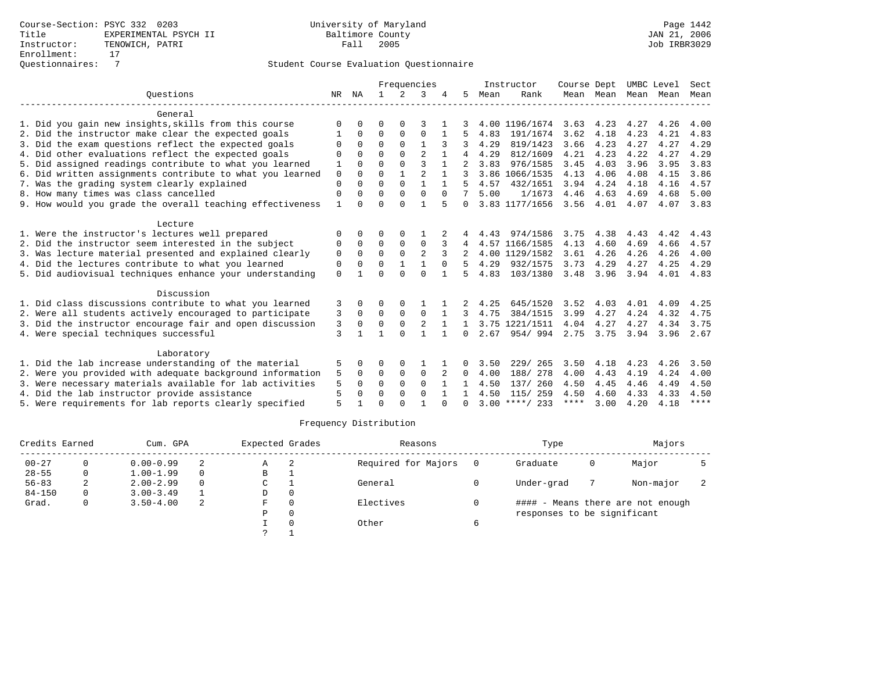|                                                           |          |              | Frequencies  |               |                |              |              | Instructor | Course Dept      |      | UMBC Level |      | Sect |             |
|-----------------------------------------------------------|----------|--------------|--------------|---------------|----------------|--------------|--------------|------------|------------------|------|------------|------|------|-------------|
| Ouestions                                                 | NR       | ΝA           | $\mathbf{1}$ | $\mathcal{L}$ | 3              |              | 5.           | Mean       | Rank             |      | Mean Mean  | Mean | Mean | Mean        |
| General                                                   |          |              |              |               |                |              |              |            |                  |      |            |      |      |             |
| 1. Did you gain new insights, skills from this course     | $\Omega$ | U            | 0            | O             | 3              |              |              |            | 4.00 1196/1674   | 3.63 | 4.23       | 4.27 | 4.26 | 4.00        |
| 2. Did the instructor make clear the expected goals       |          | $\Omega$     | $\Omega$     | $\Omega$      | $\Omega$       |              |              | 4.83       | 191/1674         | 3.62 | 4.18       | 4.23 | 4.21 | 4.83        |
| 3. Did the exam questions reflect the expected goals      | ∩        | 0            | $\Omega$     | $\Omega$      |                |              |              | 4.29       | 819/1423         | 3.66 | 4.23       | 4.27 | 4.27 | 4.29        |
| 4. Did other evaluations reflect the expected goals       | $\Omega$ |              | $\Omega$     | $\Omega$      | $\mathfrak{D}$ |              |              | 4.29       | 812/1609         | 4.21 | 4.23       | 4.22 | 4.27 | 4.29        |
| 5. Did assigned readings contribute to what you learned   |          | 0            | $\Omega$     | $\Omega$      | $\mathbf{3}$   |              |              | 3.83       | 976/1585         | 3.45 | 4.03       | 3.96 | 3.95 | 3.83        |
| 6. Did written assignments contribute to what you learned | $\Omega$ | $\cap$       | $\cap$       | $\mathbf{1}$  | $\mathfrak{D}$ | $\mathbf{1}$ |              |            | 3.86 1066/1535   | 4.13 | 4.06       | 4.08 | 4.15 | 3.86        |
| 7. Was the grading system clearly explained               | $\Omega$ |              | $\Omega$     | $\Omega$      | $\mathbf{1}$   |              |              | 4.57       | 432/1651         | 3.94 | 4.24       | 4.18 | 4.16 | 4.57        |
| 8. How many times was class cancelled                     | 0        | <sup>0</sup> | $\Omega$     | $\Omega$      | $\Omega$       | $\Omega$     |              | 5.00       | 1/1673           | 4.46 | 4.63       | 4.69 | 4.68 | 5.00        |
| 9. How would you grade the overall teaching effectiveness | 1        |              | $\Omega$     | $\Omega$      | 1              | 5            | 0            |            | 3.83 1177/1656   | 3.56 | 4.01       | 4.07 | 4.07 | 3.83        |
| Lecture                                                   |          |              |              |               |                |              |              |            |                  |      |            |      |      |             |
| 1. Were the instructor's lectures well prepared           | $\Omega$ |              | 0            | $\Omega$      |                |              |              | 4.43       | 974/1586         | 3.75 | 4.38       | 4.43 | 4.42 | 4.43        |
| 2. Did the instructor seem interested in the subject      | 0        | $\Omega$     | $\Omega$     | 0             | $\Omega$       | 3            | 4            |            | 4.57 1166/1585   | 4.13 | 4.60       | 4.69 | 4.66 | 4.57        |
| 3. Was lecture material presented and explained clearly   | 0        | $\Omega$     | $\Omega$     | $\Omega$      | $\overline{a}$ | 3            |              |            | 4.00 1129/1582   | 3.61 | 4.26       | 4.26 | 4.26 | 4.00        |
| 4. Did the lectures contribute to what you learned        | 0        | 0            | $\Omega$     |               |                | $\Omega$     |              | 4.29       | 932/1575         | 3.73 | 4.29       | 4.27 | 4.25 | 4.29        |
| 5. Did audiovisual techniques enhance your understanding  | $\Omega$ |              | $\Omega$     | $\cap$        | $\Omega$       |              | 5            | 4.83       | 103/1380         | 3.48 | 3.96       | 3.94 | 4.01 | 4.83        |
| Discussion                                                |          |              |              |               |                |              |              |            |                  |      |            |      |      |             |
| 1. Did class discussions contribute to what you learned   | 3        | 0            | 0            | O             |                |              |              | 4.25       | 645/1520         | 3.52 | 4.03       | 4.01 | 4.09 | 4.25        |
| 2. Were all students actively encouraged to participate   | 3        | 0            | 0            | 0             | $\mathbf 0$    |              |              | 4.75       | 384/1515         | 3.99 | 4.27       | 4.24 | 4.32 | 4.75        |
| 3. Did the instructor encourage fair and open discussion  | 3        | $\Omega$     | $\Omega$     | $\mathbf 0$   | 2              |              |              |            | 3.75 1221/1511   | 4.04 | 4.27       | 4.27 | 4.34 | 3.75        |
| 4. Were special techniques successful                     | 3        |              | 1            | $\cap$        | $\mathbf{1}$   | $\mathbf{1}$ | 0            | 2.67       | 954/994          | 2.75 | 3.75       | 3.94 | 3.96 | 2.67        |
| Laboratory                                                |          |              |              |               |                |              |              |            |                  |      |            |      |      |             |
| 1. Did the lab increase understanding of the material     | 5        | 0            | 0            | 0             |                |              | 0            | 3.50       | 229/<br>265      | 3.50 | 4.18       | 4.23 | 4.26 | 3.50        |
| 2. Were you provided with adequate background information | 5        | 0            | $\Omega$     | $\Omega$      | $\mathbf 0$    |              | 0            | 4.00       | 188/ 278         | 4.00 | 4.43       | 4.19 | 4.24 | 4.00        |
| 3. Were necessary materials available for lab activities  | 5        | 0            | $\Omega$     | $\Omega$      | $\Omega$       |              |              | 4.50       | 137/ 260         | 4.50 | 4.45       | 4.46 | 4.49 | 4.50        |
| 4. Did the lab instructor provide assistance              | 5        | 0            | $\Omega$     | $\Omega$      | $\Omega$       |              |              | 4.50       | 115/ 259         | 4.50 | 4.60       | 4.33 | 4.33 | 4.50        |
| 5. Were requirements for lab reports clearly specified    | 5        |              | ∩            | ∩             |                | ∩            | <sup>n</sup> |            | $3.00$ ****/ 233 | **** | 3.00       | 4.20 | 4.18 | $***$ * * * |

| Credits Earned |   | Cum. GPA      |          | Expected Grades |          | Reasons             | Type                        |   | Majors                            |  |
|----------------|---|---------------|----------|-----------------|----------|---------------------|-----------------------------|---|-----------------------------------|--|
| $00 - 27$      |   | $0.00 - 0.99$ |          | Α               | - 2      | Required for Majors | Graduate                    | 0 | Major                             |  |
| $28 - 55$      | 0 | $1.00 - 1.99$ | $\Omega$ | B               |          |                     |                             |   |                                   |  |
| $56 - 83$      | 2 | $2.00 - 2.99$ | $\Omega$ | C               |          | General             | Under-grad                  |   | Non-major                         |  |
| $84 - 150$     | 0 | $3.00 - 3.49$ |          | D               | $\Omega$ |                     |                             |   |                                   |  |
| Grad.          |   | $3.50 - 4.00$ | 2        | F.              |          | Electives           |                             |   | #### - Means there are not enough |  |
|                |   |               |          | P               | $\Omega$ |                     | responses to be significant |   |                                   |  |
|                |   |               |          |                 |          | Other               |                             |   |                                   |  |
|                |   |               |          |                 |          |                     |                             |   |                                   |  |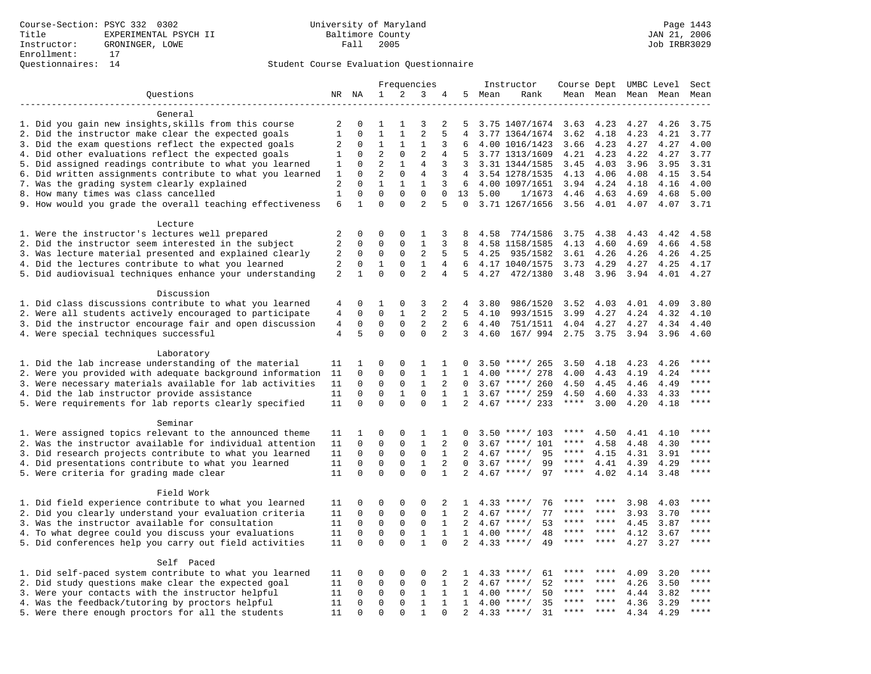|                                                                                                               |                     | Frequencies                |                             |                         |                   | Instructor     | Course Dept UMBC Level |      |                            |              | Sect         |                     |              |              |
|---------------------------------------------------------------------------------------------------------------|---------------------|----------------------------|-----------------------------|-------------------------|-------------------|----------------|------------------------|------|----------------------------|--------------|--------------|---------------------|--------------|--------------|
| Questions                                                                                                     |                     | NR NA                      | $\mathbf 1$                 | 2                       | 3                 | 4              | 5                      | Mean | Rank                       |              |              | Mean Mean Mean Mean |              | Mean         |
|                                                                                                               |                     |                            |                             |                         |                   |                |                        |      |                            |              |              |                     |              |              |
| General                                                                                                       |                     |                            |                             |                         |                   |                |                        |      |                            |              |              |                     |              |              |
| 1. Did you gain new insights, skills from this course                                                         | 2                   | 0                          | 1                           | 1                       | 3                 | 2              | 5                      |      | 3.75 1407/1674             | 3.63         | 4.23         | 4.27                | 4.26         | 3.75         |
| 2. Did the instructor make clear the expected goals                                                           | $\mathbf{1}$        | $\Omega$                   | $\mathbf{1}$                | $\mathbf{1}$            | $\overline{2}$    | 5              | $\overline{4}$         |      | 3.77 1364/1674             | 3.62         | 4.18         | 4.23                | 4.21         | 3.77         |
| 3. Did the exam questions reflect the expected goals                                                          | 2                   | $\Omega$                   | $\mathbf 1$                 | $\mathbf{1}$            | 1                 | 3              | 6                      |      | 4.00 1016/1423             | 3.66         | 4.23         | 4.27                | 4.27         | 4.00         |
| 4. Did other evaluations reflect the expected goals                                                           | 1                   | $\mathbf 0$                | $\overline{2}$              | $\mathbf 0$             | $\overline{2}$    | 4              | 5                      |      | 3.77 1313/1609             | 4.21         | 4.23         | 4.22                | 4.27         | 3.77         |
| 5. Did assigned readings contribute to what you learned                                                       | 1                   | 0                          | 2                           | $\mathbf{1}$            | $\overline{4}$    | 3              | 3                      |      | 3.31 1344/1585             | 3.45         | 4.03         | 3.96                | 3.95         | 3.31         |
| 6. Did written assignments contribute to what you learned                                                     | 1                   | $\Omega$                   | $\overline{2}$              | $\mathbf 0$             | 4                 | 3              | 4                      |      | 3.54 1278/1535             | 4.13         | 4.06         | 4.08                | 4.15         | 3.54         |
| 7. Was the grading system clearly explained                                                                   | 2                   | $\Omega$                   | $\mathbf{1}$                | $\mathbf{1}$            | $\mathbf{1}$      | 3              | 6                      |      | 4.00 1097/1651             | 3.94         | 4.24         | 4.18                | 4.16         | 4.00         |
| 8. How many times was class cancelled                                                                         | $\mathbf{1}$        | $\mathbf 0$                | $\Omega$                    | $\Omega$                | $\Omega$          | $\Omega$       | 13                     | 5.00 | 1/1673                     | 4.46         | 4.63         | 4.69                | 4.68         | 5.00         |
| 9. How would you grade the overall teaching effectiveness                                                     | 6                   | $\mathbf{1}$               | $\Omega$                    | $\Omega$                | $\overline{2}$    | 5              | $\Omega$               |      | 3.71 1267/1656             | 3.56         | 4.01         | 4.07                | 4.07         | 3.71         |
|                                                                                                               |                     |                            |                             |                         |                   |                |                        |      |                            |              |              |                     |              |              |
| Lecture                                                                                                       |                     |                            |                             |                         |                   |                |                        |      |                            |              |              |                     |              |              |
| 1. Were the instructor's lectures well prepared                                                               | 2<br>$\overline{a}$ | $\mathbf 0$<br>$\mathbf 0$ | $\mathbf 0$<br>$\mathbf{0}$ | $\mathbf 0$<br>$\Omega$ | 1<br>$\mathbf{1}$ | 3<br>3         | 8                      | 4.58 | 774/1586                   | 3.75         | 4.38         | 4.43                | 4.42         | 4.58         |
| 2. Did the instructor seem interested in the subject                                                          | 2                   | 0                          | $\mathbf 0$                 | $\mathsf{O}$            | $\mathbf{2}$      | 5              | 8<br>5                 | 4.25 | 4.58 1158/1585             | 4.13         | 4.60<br>4.26 | 4.69                | 4.66         | 4.58<br>4.25 |
| 3. Was lecture material presented and explained clearly<br>4. Did the lectures contribute to what you learned | $\overline{a}$      | $\mathbf 0$                | $\mathbf{1}$                | $\mathbf 0$             | $\mathbf{1}$      | $\overline{4}$ | 6                      |      | 935/1582<br>4.17 1040/1575 | 3.61<br>3.73 | 4.29         | 4.26<br>4.27        | 4.26<br>4.25 | 4.17         |
|                                                                                                               | $\overline{a}$      | $\mathbf{1}$               | $\Omega$                    | $\mathbf 0$             | $\overline{a}$    | 4              | 5                      | 4.27 | 472/1380                   | 3.48         |              |                     | 4.01         | 4.27         |
| 5. Did audiovisual techniques enhance your understanding                                                      |                     |                            |                             |                         |                   |                |                        |      |                            |              | 3.96         | 3.94                |              |              |
| Discussion                                                                                                    |                     |                            |                             |                         |                   |                |                        |      |                            |              |              |                     |              |              |
| 1. Did class discussions contribute to what you learned                                                       | 4                   | $\Omega$                   | 1                           | $\Omega$                | 3                 | 2              | 4                      | 3.80 | 986/1520                   | 3.52         | 4.03         | 4.01                | 4.09         | 3.80         |
| 2. Were all students actively encouraged to participate                                                       | 4                   | $\mathbf 0$                | $\mathbf 0$                 | $\mathbf{1}$            | 2                 | 2              | 5                      | 4.10 | 993/1515                   | 3.99         | 4.27         | 4.24                | 4.32         | 4.10         |
| 3. Did the instructor encourage fair and open discussion                                                      | 4                   | $\mathbf 0$                | $\mathbf 0$                 | $\mathbf 0$             | $\overline{a}$    | 2              | 6                      | 4.40 | 751/1511                   | 4.04         | 4.27         | 4.27                | 4.34         | 4.40         |
| 4. Were special techniques successful                                                                         | $\overline{4}$      | 5                          | $\Omega$                    | $\Omega$                | $\Omega$          | $\overline{2}$ | 3                      | 4.60 | 167/ 994 2.75              |              | 3.75         | 3.94                | 3.96         | 4.60         |
|                                                                                                               |                     |                            |                             |                         |                   |                |                        |      |                            |              |              |                     |              |              |
| Laboratory                                                                                                    |                     |                            |                             |                         |                   |                |                        |      |                            |              |              |                     |              |              |
| 1. Did the lab increase understanding of the material                                                         | 11                  | 1                          | 0                           | $\Omega$                | 1                 | 1              | $\Omega$               |      | $3.50$ ****/ 265           | 3.50         | 4.18         | 4.23                | 4.26         |              |
| 2. Were you provided with adequate background information                                                     | 11                  | $\mathbf 0$                | $\mathbf{0}$                | $\mathbf 0$             | $\mathbf{1}$      | $\mathbf{1}$   | $\mathbf{1}$           |      | $4.00$ ****/ 278           | 4.00         | 4.43         | 4.19                | 4.24         | ****         |
| 3. Were necessary materials available for lab activities                                                      | 11                  | 0                          | $\mathbf{0}$                | $\mathbf 0$             | 1                 | 2              | $\Omega$               |      | $3.67$ ****/ 260           | 4.50         | 4.45         | 4.46                | 4.49         | $***$        |
| 4. Did the lab instructor provide assistance                                                                  | 11                  | $\mathbf 0$                | $\mathbf 0$                 | 1                       | $\mathbf 0$       | $\mathbf{1}$   | $\mathbf{1}$           |      | $3.67$ ****/ 259           | 4.50         | 4.60         | 4.33                | 4.33         | $***$        |
| 5. Were requirements for lab reports clearly specified                                                        | 11                  | $\Omega$                   | $\Omega$                    | $\Omega$                | $\Omega$          | $\mathbf{1}$   | 2                      |      | $4.67$ ****/ 233           | $***$ * * *  | 3.00         | 4.20                | 4.18         | ****         |
|                                                                                                               |                     |                            |                             |                         |                   |                |                        |      |                            |              |              |                     |              |              |
| Seminar                                                                                                       |                     |                            |                             |                         |                   |                |                        |      |                            |              |              |                     |              |              |
| 1. Were assigned topics relevant to the announced theme                                                       | 11                  | 1                          | $\mathbf 0$                 | $\mathsf 0$             | $\mathbf{1}$      | 1              | 0                      |      | $3.50$ ****/ 103           | ****         | 4.50         | 4.41                | 4.10         | $***$ * * *  |
| 2. Was the instructor available for individual attention                                                      | 11                  | 0                          | $\mathbf 0$                 | $\mathbf 0$             | $\mathbf{1}$      | 2              | $\Omega$               | 3.67 | ****/ 101                  | ****         | 4.58         | 4.48                | 4.30         | ****         |
| 3. Did research projects contribute to what you learned                                                       | 11                  | $\mathbf 0$                | $\mathbf 0$                 | $\mathbf 0$             | $\mathbf 0$       | $\mathbf{1}$   | 2                      | 4.67 | ****/<br>95                | $***$ * * *  | 4.15         | 4.31                | 3.91         | $***$        |
| 4. Did presentations contribute to what you learned                                                           | 11                  | $\Omega$                   | $\mathbf{0}$                | $\Omega$                | $\mathbf{1}$      | 2              | $\Omega$               | 3.67 | $***$ /<br>99              | $***$ * * *  | 4.41         | 4.39                | 4.29         | $***$ * * *  |
| 5. Were criteria for grading made clear                                                                       | 11                  | $\Omega$                   | $\Omega$                    | $\Omega$                | $\Omega$          | $\mathbf{1}$   | $\overline{2}$         |      | $4.67$ ****/<br>97         | ****         | 4.02         | 4.14                | 3.48         | ****         |
|                                                                                                               |                     |                            |                             |                         |                   |                |                        |      |                            |              |              |                     |              |              |
| Field Work                                                                                                    |                     |                            |                             |                         |                   |                |                        |      |                            |              |              |                     |              |              |
| 1. Did field experience contribute to what you learned                                                        | 11                  | 0                          | $\mathbf 0$                 | $\mathbf 0$             | 0                 | 2              | 1                      |      | 76<br>$4.33$ ****/         | ****         |              | 3.98                | 4.03         | * * * *      |
| 2. Did you clearly understand your evaluation criteria                                                        | 11                  | $\mathbf 0$                | $\mathbf 0$                 | $\mathbf 0$             | $\mathbf 0$       | $\mathbf{1}$   | 2                      |      | 77<br>$4.67$ ****/         | ****         | ****         | 3.93                | 3.70         | ****         |
| 3. Was the instructor available for consultation                                                              | 11                  | $\mathbf 0$                | $\mathbf 0$                 | $\mathbf 0$             | $\mathbf 0$       | $\mathbf{1}$   | 2                      |      | $4.67$ ****/<br>53         | ****         | $***$ *      | 4.45                | 3.87         | ****         |
| 4. To what degree could you discuss your evaluations                                                          | 11                  | $\mathbf 0$                | $\mathbf 0$                 | $\mathbf 0$             | $\mathbf{1}$      | $\mathbf{1}$   | $\mathbf{1}$           |      | $4.00$ ****/<br>48         | $***$ * * *  | $***$ *      | 4.12                | 3.67         | $***$        |
| 5. Did conferences help you carry out field activities                                                        | 11                  | $\Omega$                   | $\mathbf 0$                 | $\Omega$                | $\mathbf{1}$      | $\Omega$       |                        | 4.33 | $***$ /<br>49              | $***$ * * *  | $***$        | 4.27                | 3.27         | $***$        |
|                                                                                                               |                     |                            |                             |                         |                   |                |                        |      |                            |              |              |                     |              |              |
| Self Paced                                                                                                    |                     |                            |                             |                         |                   |                |                        |      |                            | ****         | ****         |                     |              | ****         |
| 1. Did self-paced system contribute to what you learned                                                       | 11                  | 0                          | $\mathbf 0$                 | $\mathbf 0$             | 0                 | 2              | 1                      |      | $4.33$ ****/<br>61         | ****         | $***$ *      | 4.09                | 3.20         | ****         |
| 2. Did study questions make clear the expected goal                                                           | 11                  | $\Omega$                   | $\mathsf 0$                 | $\mathsf{O}$            | $\Omega$          | $\mathbf{1}$   | $\overline{2}$         |      | $4.67$ ****/<br>52         | ****         | ****         | 4.26                | 3.50         | $***$        |
| 3. Were your contacts with the instructor helpful                                                             | 11                  | $\mathsf{O}\xspace$        | $\mathsf 0$                 | $\mathsf{O}\xspace$     | $\mathbf{1}$      | $\mathbf{1}$   | 1                      | 4.00 | 50<br>$***$ /              | ****         | ****         | 4.44                | 3.82         | ****         |
| 4. Was the feedback/tutoring by proctors helpful                                                              | 11                  | 0                          | $\mathbf 0$                 | $\mathbf 0$<br>$\Omega$ | $\mathbf{1}$      | $\mathbf{1}$   | 1                      | 4.00 | $***/$<br>35               | $***$ * * *  | ****         | 4.36                | 3.29         | ****         |
| 5. Were there enough proctors for all the students                                                            | 11                  | $\Omega$                   | $\Omega$                    |                         | $\mathbf{1}$      | $\Omega$       | 2                      |      | $4.33$ ****/<br>31         |              |              | 4.34                | 4.29         |              |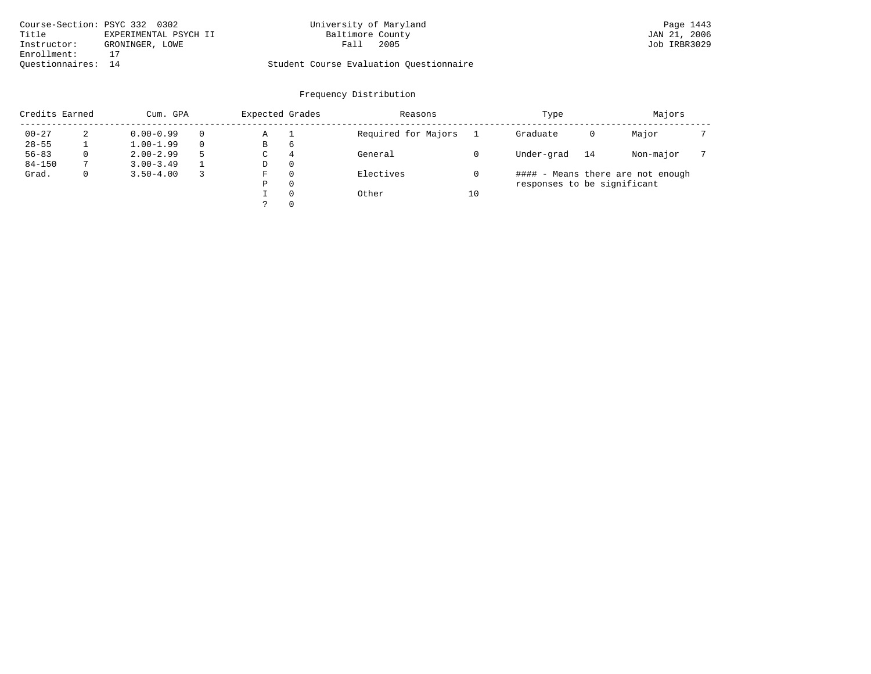| Course-Section: PSYC 332 0302 |                       | University of Maryland                  |      | Page 1443    |
|-------------------------------|-----------------------|-----------------------------------------|------|--------------|
| Title                         | EXPERIMENTAL PSYCH II | Baltimore County                        |      | JAN 21, 2006 |
| Instructor:                   | GRONINGER, LOWE       | Fall                                    | 2005 | Job IRBR3029 |
| Enrollment:                   |                       |                                         |      |              |
| Ouestionnaires: 14            |                       | Student Course Evaluation Ouestionnaire |      |              |

| Credits Earned |   | Cum. GPA      | Expected Grades   |          | Reasons             |    | Type                        |    | Majors                            |  |
|----------------|---|---------------|-------------------|----------|---------------------|----|-----------------------------|----|-----------------------------------|--|
| $00 - 27$      | 2 | $0.00 - 0.99$ | Α                 |          | Required for Majors |    | Graduate                    | 0  | Major                             |  |
| $28 - 55$      |   | $1.00 - 1.99$ | В                 | 6        |                     |    |                             |    |                                   |  |
| $56 - 83$      | 0 | $2.00 - 2.99$ | General<br>4<br>C |          |                     |    | Under-grad                  | 14 | Non-major                         |  |
| $84 - 150$     |   | $3.00 - 3.49$ | D                 | 0        |                     |    |                             |    |                                   |  |
| Grad.          | 0 | $3.50 - 4.00$ | F                 | 0        | Electives           |    |                             |    | #### - Means there are not enough |  |
|                |   |               | Ρ                 | 0        |                     |    | responses to be significant |    |                                   |  |
|                |   |               |                   | $\Omega$ | Other               | 10 |                             |    |                                   |  |
|                |   |               |                   | 0        |                     |    |                             |    |                                   |  |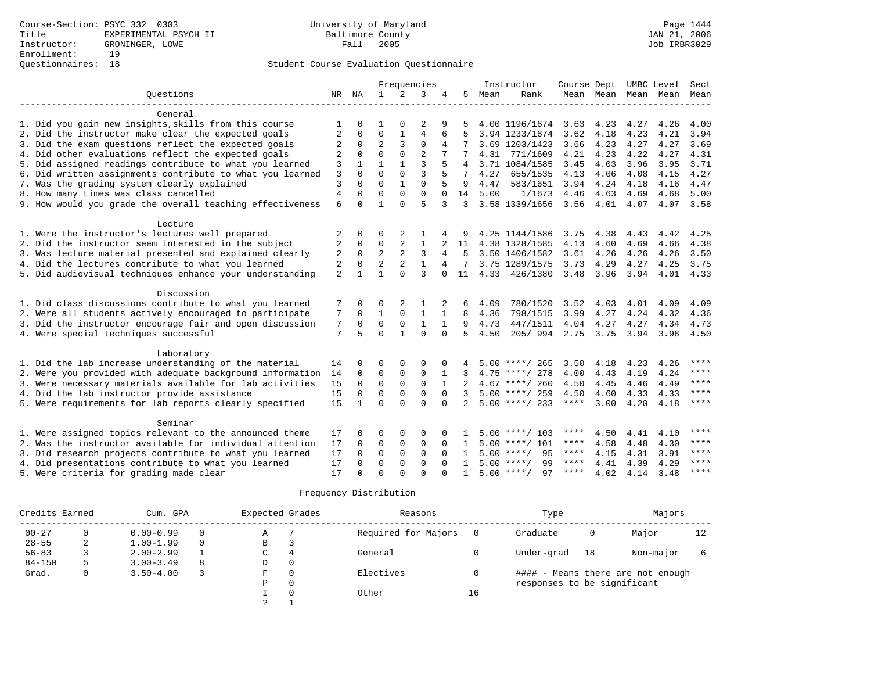|                                                           |                |                      |                      | Frequencies    |                      |                |              |      | Instructor                           | Course Dept UMBC Level |                |      |                          | Sect        |
|-----------------------------------------------------------|----------------|----------------------|----------------------|----------------|----------------------|----------------|--------------|------|--------------------------------------|------------------------|----------------|------|--------------------------|-------------|
| Ouestions                                                 |                | NR NA                | $\mathbf{1}$         | 2              | 3                    | 4              | 5            | Mean | Rank                                 |                        |                |      | Mean Mean Mean Mean Mean |             |
|                                                           |                |                      |                      |                |                      |                |              |      |                                      |                        |                |      |                          |             |
| General                                                   |                |                      |                      |                |                      |                |              |      |                                      |                        |                |      |                          |             |
| 1. Did you gain new insights, skills from this course     |                |                      |                      |                | 2                    | 9              |              |      | 4.00 1196/1674                       | 3.63                   | 4.23           | 4.27 | 4.26                     | 4.00        |
| 2. Did the instructor make clear the expected goals       | 2              | 0                    | $\mathbf 0$          | 1              | $\overline{4}$       | 6              |              |      | 3.94 1233/1674                       | 3.62                   | 4.18           | 4.23 | 4.21                     | 3.94        |
| 3. Did the exam questions reflect the expected goals      | 2              | $\mathbf 0$          | $\overline{2}$       | $\overline{3}$ | $\mathbf 0$          |                |              |      | 3.69 1203/1423                       | 3.66                   | 4.23           | 4.27 | 4.27                     | 3.69        |
| 4. Did other evaluations reflect the expected goals       | 2              | $\Omega$             | $\Omega$             | $\Omega$       | $\overline{2}$       |                |              |      | 4.31 771/1609                        | 4.21                   | 4.23           | 4.22 | 4.27                     | 4.31        |
| 5. Did assigned readings contribute to what you learned   | 3              | $\mathbf{1}$         | $\mathbf{1}$         | $\mathbf{1}$   | 3                    |                | 4            |      | 3.71 1084/1585                       | 3.45                   | 4.03           | 3.96 | 3.95                     | 3.71        |
| 6. Did written assignments contribute to what you learned | 3              | $\Omega$             | $\Omega$             | $\Omega$       | 3                    | 5              | 7            | 4.27 | 655/1535                             | 4.13                   | 4.06           | 4.08 | 4.15                     | 4.27        |
| 7. Was the grading system clearly explained               | 3              | $\Omega$             | $\Omega$             |                | $\Omega$             |                | 9            | 4.47 | 583/1651                             | 3.94                   | 4.24           | 4.18 | 4.16                     | 4.47        |
| 8. How many times was class cancelled                     | $\overline{4}$ | $\Omega$             | $\Omega$             | $\Omega$       | $\Omega$             | $\Omega$       | 14           | 5.00 | 1/1673                               | 4.46                   | 4.63           | 4.69 | 4.68                     | 5.00        |
| 9. How would you grade the overall teaching effectiveness | 6              | $\cap$               | $\mathbf{1}$         | $\cap$         | 5                    | 3              | 3            |      | 3.58 1339/1656                       |                        | $3.56$ 4.01    | 4.07 | 4.07 3.58                |             |
|                                                           |                |                      |                      |                |                      |                |              |      |                                      |                        |                |      |                          |             |
| Lecture                                                   |                |                      |                      |                |                      |                |              |      |                                      |                        |                |      |                          |             |
| 1. Were the instructor's lectures well prepared           | 2              | 0                    | 0                    | 2              |                      |                | 9            |      | 4.25 1144/1586                       | 3.75                   | 4.38           | 4.43 | 4.42                     | 4.25        |
| 2. Did the instructor seem interested in the subject      | 2              | $\mathbf 0$          | 0                    | 2              | 1                    |                | 11           |      | 4.38 1328/1585                       | 4.13                   | 4.60           | 4.69 | 4.66                     | 4.38        |
| 3. Was lecture material presented and explained clearly   | 2              | $\mathbf{0}$         | 2                    | $\overline{2}$ | 3                    | 4              | -5           |      | 3.50 1406/1582                       | 3.61                   | 4.26           | 4.26 | 4.26                     | 3.50        |
| 4. Did the lectures contribute to what you learned        | 2              | $\Omega$             | $\overline{a}$       | $\overline{2}$ | $\mathbf{1}$         | $\overline{4}$ | 7            |      | 3.75 1289/1575                       | 3.73                   | 4.29           | 4.27 | 4.25                     | 3.75        |
| 5. Did audiovisual techniques enhance your understanding  | 2              |                      |                      | $\Omega$       | ζ                    | $\Omega$       | 11           |      | 4.33 426/1380                        |                        | 3.48 3.96 3.94 |      | 4.01                     | 4.33        |
| Discussion                                                |                |                      |                      |                |                      |                |              |      |                                      |                        |                |      |                          |             |
| 1. Did class discussions contribute to what you learned   | 7              | $\Omega$             | 0                    | 2              |                      |                | 6            | 4.09 | 780/1520                             | 3.52                   | 4.03           | 4.01 | 4.09                     | 4.09        |
| 2. Were all students actively encouraged to participate   | 7              | $\Omega$             | $\mathbf{1}$         | $\Omega$       | $\mathbf{1}$         |                | 8            | 4.36 | 798/1515                             | 3.99                   | 4.27           | 4.24 | 4.32                     | 4.36        |
| 3. Did the instructor encourage fair and open discussion  | 7              | $\Omega$             | $\mathbf 0$          | $\mathbf 0$    | $\mathbf{1}$         | $\mathbf{1}$   | 9            | 4.73 | 447/1511                             | 4.04                   | 4.27           | 4.27 | 4.34                     | 4.73        |
| 4. Were special techniques successful                     | 7              | 5                    | $\Omega$             | $\mathbf{1}$   | $\Omega$             | $\Omega$       | 5            | 4.50 | 205/994                              | 2.75 3.75              |                | 3.94 | 3.96                     | 4.50        |
|                                                           |                |                      |                      |                |                      |                |              |      |                                      |                        |                |      |                          |             |
| Laboratory                                                |                |                      |                      |                |                      |                |              |      |                                      |                        |                |      |                          |             |
| 1. Did the lab increase understanding of the material     | 14             |                      | $\Omega$             | $\Omega$       | $\Omega$             |                |              |      | $5.00$ ****/ 265                     | 3.50                   | 4.18           | 4.23 | 4.26                     | ****        |
| 2. Were you provided with adequate background information | 14             | $\Omega$             | $\mathbf 0$          | 0              | $\mathbf 0$          |                |              |      | $4.75$ ****/ 278                     | 4.00                   | 4.43           | 4.19 | 4.24                     | ****        |
| 3. Were necessary materials available for lab activities  | 15             | $\Omega$             | $\Omega$             | $\mathbf 0$    | $\mathbf 0$          |                | $2^{\circ}$  |      | $4.67$ ****/ 260                     | 4.50                   | 4.45           | 4.46 | 4.49                     | $***$ * * * |
| 4. Did the lab instructor provide assistance              | 15             | $\Omega$             | $\Omega$             | $\mathbf 0$    | $\mathbf 0$          | $\Omega$       | 3            |      | $5.00$ ****/ 259                     | 4.50                   | 4.60           | 4.33 | 4.33                     | $***$ *     |
| 5. Were requirements for lab reports clearly specified    | 15             | $\mathbf{1}$         | $\Omega$             | $\cap$         | $\Omega$             | $\Omega$       |              |      | $2, 5.00$ ****/ 233                  | $***$ * * *            | 3.00           | 4.20 | 4.18                     | $***$ *     |
| Seminar                                                   |                |                      |                      |                |                      |                |              |      |                                      |                        |                |      |                          |             |
|                                                           |                |                      |                      |                |                      |                |              |      |                                      | ****                   |                |      |                          | ****        |
| 1. Were assigned topics relevant to the announced theme   | 17<br>17       | $\Omega$<br>$\Omega$ | 0<br>$\mathbf 0$     | 0              | 0                    | $\Omega$       | $\mathbf{1}$ |      | $5.00$ ****/ 103<br>$5.00$ ****/ 101 | ****                   | 4.50           | 4.41 | 4.10                     | ****        |
| 2. Was the instructor available for individual attention  |                | $\Omega$             |                      | 0              | 0                    |                |              |      | $5.00$ ****/<br>95                   | ****                   | 4.58           | 4.48 | 4.30                     | ****        |
| 3. Did research projects contribute to what you learned   | 17             |                      | $\Omega$<br>$\Omega$ | $\Omega$       | $\Omega$             | $\Omega$       | $\mathbf{1}$ |      | $5.00$ ****/<br>99                   | ****                   | 4.15           | 4.31 | 3.91                     | $***$ * * * |
| 4. Did presentations contribute to what you learned       | 17             | $\Omega$             |                      | $\Omega$       | $\Omega$<br>$\Omega$ |                | $\mathbf{1}$ |      | $5.00$ ****/<br>97                   | ****                   | 4.41<br>4.02   | 4.39 | 4.29<br>3.48             | $* * * *$   |
| 5. Were criteria for grading made clear                   | 17             | $\Omega$             | $\Omega$             | $\Omega$       |                      |                | $\mathbf{1}$ |      |                                      |                        |                | 4.14 |                          |             |

| Credits Earned |   | Cum. GPA      |          | Expected Grades |          | Reasons             |    | Type                        |    | Majors                            |    |
|----------------|---|---------------|----------|-----------------|----------|---------------------|----|-----------------------------|----|-----------------------------------|----|
| $00 - 27$      |   | $0.00 - 0.99$ | $\Omega$ | А               |          | Required for Majors |    | Graduate                    | 0  | Major                             | 12 |
| $28 - 55$      | 2 | $1.00 - 1.99$ | $\Omega$ | В               | 3        |                     |    |                             |    |                                   |    |
| $56 - 83$      |   | $2.00 - 2.99$ |          | C               | 4        | General             |    | Under-grad                  | 18 | Non-major                         |    |
| $84 - 150$     |   | $3.00 - 3.49$ | 8        | D               | 0        |                     |    |                             |    |                                   |    |
| Grad.          |   | $3.50 - 4.00$ |          | F               | 0        | Electives           |    |                             |    | #### - Means there are not enough |    |
|                |   |               |          | P               | 0        |                     |    | responses to be significant |    |                                   |    |
|                |   |               |          |                 | $\Omega$ | Other               | 16 |                             |    |                                   |    |
|                |   |               |          |                 |          |                     |    |                             |    |                                   |    |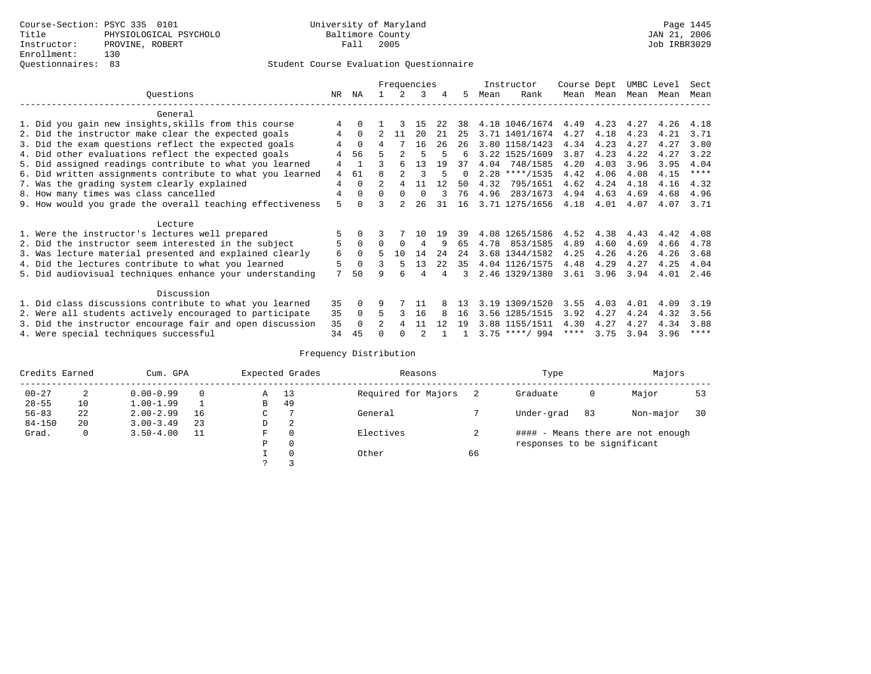# Questionnaires: 83 Student Course Evaluation Questionnaire

|                                                           |    |                |          |               | Frequencies |      |          |      | Instructor       | Course Dept |           | UMBC Level |      | Sect        |
|-----------------------------------------------------------|----|----------------|----------|---------------|-------------|------|----------|------|------------------|-------------|-----------|------------|------|-------------|
| Ouestions                                                 | NR | ΝA             |          | $\mathcal{L}$ | 3           | 4    | 5.       | Mean | Rank             |             | Mean Mean | Mean Mean  |      | Mean        |
| General                                                   |    |                |          |               |             |      |          |      |                  |             |           |            |      |             |
| 1. Did you gain new insights, skills from this course     | 4  |                |          |               | 15          | 22   | 38       |      | 4.18 1046/1674   | 4.49        | 4.23      | 4.27       | 4.26 | 4.18        |
| 2. Did the instructor make clear the expected goals       | 4  | $\Omega$       |          | 11            | 20          | 21   | 25       |      | 3.71 1401/1674   | 4.27        | 4.18      | 4.23       | 4.21 | 3.71        |
| 3. Did the exam questions reflect the expected goals      |    | $\Omega$       | 4        |               | 16          | 26   | 26       |      | 3.80 1158/1423   | 4.34        | 4.23      | 4.27       | 4.27 | 3.80        |
| 4. Did other evaluations reflect the expected goals       | 4  | 56             |          |               |             |      | 6        |      | 3.22 1525/1609   | 3.87        | 4.23      | 4.22       | 4.27 | 3.22        |
| 5. Did assigned readings contribute to what you learned   | 4  | $\overline{1}$ |          | 6             | 13          | 19   | 37       | 4.04 | 748/1585         | 4.20        | 4.03      | 3.96       | 3.95 | 4.04        |
| 6. Did written assignments contribute to what you learned | 4  | 61             | R        |               |             | 5    | $\Omega$ |      | $2.28$ ****/1535 | 4.42        | 4.06      | 4.08       | 4.15 | $***$ * * * |
| 7. Was the grading system clearly explained               | 4  | $\Omega$       |          | 4             | 11          | 12   | 50       | 4.32 | 795/1651         | 4.62        | 4.24      | 4.18       | 4.16 | 4.32        |
| 8. How many times was class cancelled                     | 4  | $\Omega$       | $\Omega$ | $\Omega$      | $\Omega$    |      | 76       | 4.96 | 283/1673         | 4.94        | 4.63      | 4.69       | 4.68 | 4.96        |
| 9. How would you grade the overall teaching effectiveness | 5  |                | ς        |               | 26          | 31   | 16       |      | 3.71 1275/1656   | 4.18        | 4.01      | 4.07       | 4.07 | 3.71        |
| Lecture                                                   |    |                |          |               |             |      |          |      |                  |             |           |            |      |             |
| 1. Were the instructor's lectures well prepared           | 5  |                |          |               | 1 N         | 19   | 39       |      | 4.08 1265/1586   | 4.52        | 4.38      | 4.43       | 4.42 | 4.08        |
| 2. Did the instructor seem interested in the subject      | 5  | $\Omega$       | $\Omega$ | $\Omega$      | 4           | 9    | 65       | 4.78 | 853/1585         | 4.89        | 4.60      | 4.69       | 4.66 | 4.78        |
| 3. Was lecture material presented and explained clearly   | 6  | $\Omega$       |          | 10            | 14          | 24   | 24       |      | 3.68 1344/1582   | 4.25        | 4.26      | 4.26       | 4.26 | 3.68        |
| 4. Did the lectures contribute to what you learned        | 5  | $\Omega$       |          | 5             | 13          | 2.2. | 35       |      | 4.04 1126/1575   | 4.48        | 4.29      | 4.27       | 4.25 | 4.04        |
| 5. Did audiovisual techniques enhance your understanding  | 7  | 50             | a        |               | 4           | 4    | ર        |      | 2.46 1329/1380   | 3.61        | 3.96      | 3.94       | 4.01 | 2.46        |
| Discussion                                                |    |                |          |               |             |      |          |      |                  |             |           |            |      |             |
| 1. Did class discussions contribute to what you learned   | 35 | $\Omega$       | 9        |               | 11          |      | 1 3      |      | 3.19 1309/1520   | 3.55        | 4.03      | 4.01       | 4.09 | 3.19        |
| 2. Were all students actively encouraged to participate   | 35 | $\Omega$       | 5        | 3             | 16          | 8    | 16       |      | 3.56 1285/1515   | 3.92        | 4.27      | 4.24       | 4.32 | 3.56        |
| 3. Did the instructor encourage fair and open discussion  | 35 | $\Omega$       |          | 4             | 11          | 12   | 19       |      | 3.88 1155/1511   | 4.30        | 4.27      | 4.27       | 4.34 | 3.88        |
| 4. Were special techniques successful                     | 34 | 45             |          |               |             |      |          |      | $3.75$ ****/ 994 | ****        | 3.75      | 3.94       | 3.96 | $***$ * * * |

| Credits Earned |    | Cum. GPA      |    |               | Expected Grades | Reasons             |    | Type                        |    | Majors                            |    |
|----------------|----|---------------|----|---------------|-----------------|---------------------|----|-----------------------------|----|-----------------------------------|----|
| $00 - 27$      | 2  | $0.00 - 0.99$ |    | A             | 13              | Required for Majors |    | Graduate                    | 0  | Major                             | 53 |
| $28 - 55$      | 10 | $1.00 - 1.99$ |    | В             | 49              |                     |    |                             |    |                                   |    |
| $56 - 83$      | 22 | $2.00 - 2.99$ | 16 | $\sim$<br>◡   |                 | General             |    | Under-grad                  | 83 | Non-major                         | 30 |
| $84 - 150$     | 20 | $3.00 - 3.49$ | 23 | D             | -2              |                     |    |                             |    |                                   |    |
| Grad.          | 0  | $3.50 - 4.00$ | 11 | F             | 0               | Electives           |    |                             |    | #### - Means there are not enough |    |
|                |    |               |    | Ρ             | 0               |                     |    | responses to be significant |    |                                   |    |
|                |    |               |    |               | 0               | Other               | 66 |                             |    |                                   |    |
|                |    |               |    | $\mathcal{L}$ |                 |                     |    |                             |    |                                   |    |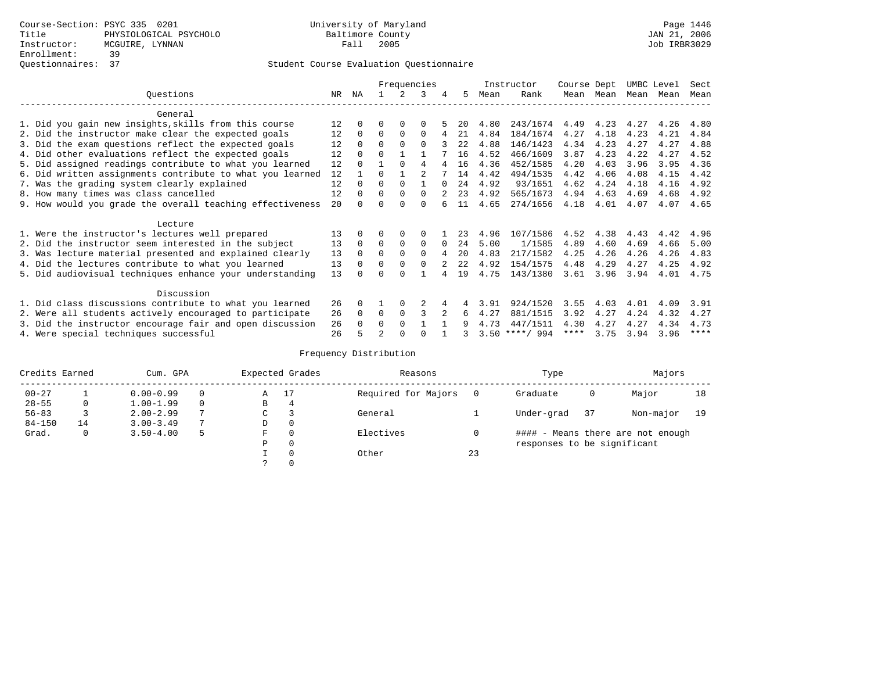|                                                           |     |          |                |             | Frequencies  |          |      |      | Instructor       | Course Dept |           | UMBC Level |      | Sect |
|-----------------------------------------------------------|-----|----------|----------------|-------------|--------------|----------|------|------|------------------|-------------|-----------|------------|------|------|
| Ouestions                                                 | NR. | ΝA       |                |             | 3            | 4        | 5.   | Mean | Rank             |             | Mean Mean | Mean Mean  |      | Mean |
| General                                                   |     |          |                |             |              |          |      |      |                  |             |           |            |      |      |
| 1. Did you gain new insights, skills from this course     | 12  | $\Omega$ | 0              | $\Omega$    | $\Omega$     |          | 20   | 4.80 | 243/1674         | 4.49        | 4.23      | 4.27       | 4.26 | 4.80 |
| 2. Did the instructor make clear the expected goals       | 12  | $\Omega$ | $\Omega$       | $\Omega$    | $\Omega$     |          | 21   | 4.84 | 184/1674         | 4.27        | 4.18      | 4.23       | 4.21 | 4.84 |
| 3. Did the exam questions reflect the expected goals      | 12  | $\Omega$ | $\Omega$       | $\Omega$    | $\Omega$     |          | 2.2. | 4.88 | 146/1423         | 4.34        | 4.23      | 4.27       | 4.27 | 4.88 |
| 4. Did other evaluations reflect the expected goals       | 12  | $\Omega$ | $\Omega$       |             |              |          | 16   | 4.52 | 466/1609         | 3.87        | 4.23      | 4.22       | 4.27 | 4.52 |
| 5. Did assigned readings contribute to what you learned   | 12  | $\Omega$ |                | $\Omega$    | 4            |          | 16   | 4.36 | 452/1585         | 4.20        | 4.03      | 3.96       | 3.95 | 4.36 |
| 6. Did written assignments contribute to what you learned | 12  |          | 0              |             |              |          | 14   | 4.42 | 494/1535         | 4.42        | 4.06      | 4.08       | 4.15 | 4.42 |
| 7. Was the grading system clearly explained               | 12  | $\Omega$ | $\Omega$       | $\Omega$    |              |          | 24   | 4.92 | 93/1651          | 4.62        | 4.24      | 4.18       | 4.16 | 4.92 |
| 8. How many times was class cancelled                     | 12  | $\Omega$ | $\Omega$       | $\Omega$    | 0            |          | 23   | 4.92 | 565/1673         | 4.94        | 4.63      | 4.69       | 4.68 | 4.92 |
| 9. How would you grade the overall teaching effectiveness | 20  |          | U              | $\cap$      | U            |          | 11   | 4.65 | 274/1656         | 4.18        | 4.01      | 4.07       | 4.07 | 4.65 |
| Lecture                                                   |     |          |                |             |              |          |      |      |                  |             |           |            |      |      |
| 1. Were the instructor's lectures well prepared           | 13  |          |                | $\Omega$    |              |          | 23   | 4.96 | 107/1586         | 4.52        | 4.38      | 4.43       | 4.42 | 4.96 |
| 2. Did the instructor seem interested in the subject      | 13  | $\Omega$ | $\Omega$       | $\Omega$    | $\Omega$     | $\Omega$ | 24   | 5.00 | 1/1585           | 4.89        | 4.60      | 4.69       | 4.66 | 5.00 |
| 3. Was lecture material presented and explained clearly   | 13  | $\Omega$ | $\Omega$       | $\Omega$    | $\Omega$     |          | 20   | 4.83 | 217/1582         | 4.25        | 4.26      | 4.26       | 4.26 | 4.83 |
| 4. Did the lectures contribute to what you learned        | 13  | $\Omega$ | 0              | $\Omega$    | <sup>0</sup> |          | 22   | 4.92 | 154/1575         | 4.48        | 4.29      | 4.27       | 4.25 | 4.92 |
| 5. Did audiovisual techniques enhance your understanding  | 13  |          |                | U           |              |          | 19   | 4.75 | 143/1380         | 3.61        | 3.96      | 3.94       | 4.01 | 4.75 |
| Discussion                                                |     |          |                |             |              |          |      |      |                  |             |           |            |      |      |
| 1. Did class discussions contribute to what you learned   | 26  | $\Omega$ |                | $\Omega$    |              |          |      | 3.91 | 924/1520         | 3.55        | 4.03      | 4.01       | 4.09 | 3.91 |
| 2. Were all students actively encouraged to participate   | 26  | $\Omega$ | 0              | $\mathbf 0$ | 3            |          | 6    | 4.27 | 881/1515         | 3.92        | 4.27      | 4.24       | 4.32 | 4.27 |
| 3. Did the instructor encourage fair and open discussion  | 26  |          | 0              | $\Omega$    |              |          |      | 4.73 | 447/1511         | 4.30        | 4.27      | 4.27       | 4.34 | 4.73 |
| 4. Were special techniques successful                     | 26  |          | $\mathfrak{D}$ |             |              |          |      |      | $3.50$ ****/ 994 | ****        | 3.75      | 3.94       | 3.96 | **** |

| Credits Earned |    | Cum. GPA      |               |    | Expected Grades | Reasons             |    | Type                        |     | Majors                            |    |
|----------------|----|---------------|---------------|----|-----------------|---------------------|----|-----------------------------|-----|-----------------------------------|----|
| $00 - 27$      |    | $0.00 - 0.99$ |               | Α  | 17              | Required for Majors |    | Graduate                    | 0   | Major                             | 18 |
| $28 - 55$      | 0  | $1.00 - 1.99$ | $\Omega$      | В  | 4               |                     |    |                             |     |                                   |    |
| $56 - 83$      |    | $2.00 - 2.99$ |               | C. |                 | General             |    | Under-grad                  | -37 | Non-major                         | 19 |
| $84 - 150$     | 14 | $3.00 - 3.49$ | $\mathcal{L}$ | D  | 0               |                     |    |                             |     |                                   |    |
| Grad.          | 0  | $3.50 - 4.00$ |               | F  | $\Omega$        | Electives           |    |                             |     | #### - Means there are not enough |    |
|                |    |               |               | Ρ  | 0               |                     |    | responses to be significant |     |                                   |    |
|                |    |               |               |    | $\Omega$        | Other               | 23 |                             |     |                                   |    |
|                |    |               |               |    |                 |                     |    |                             |     |                                   |    |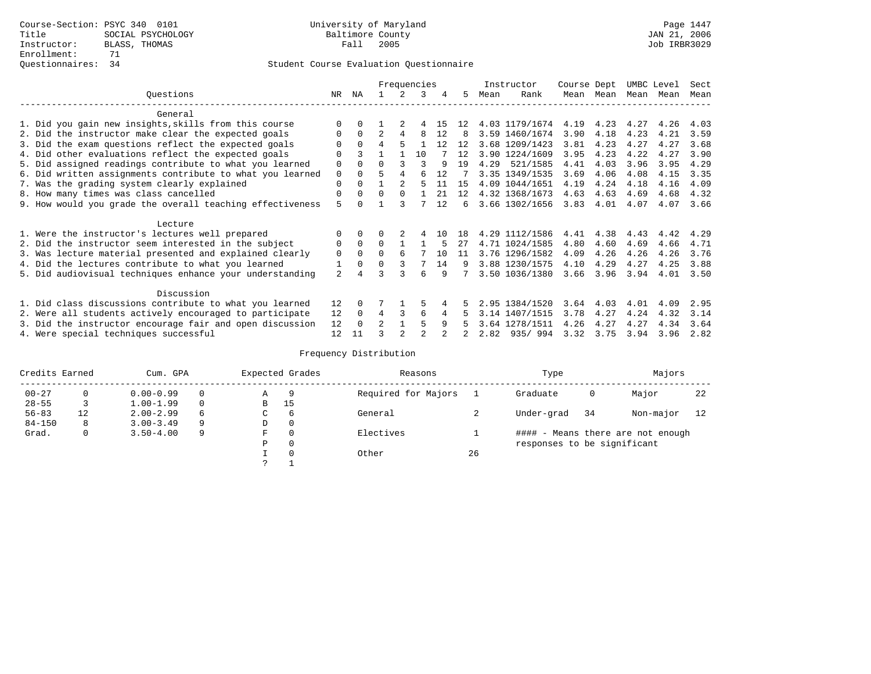|                                                           |             |          |                |          | Frequencies |    |    |      | Instructor     | Course Dept |      | UMBC Level |      | Sect |
|-----------------------------------------------------------|-------------|----------|----------------|----------|-------------|----|----|------|----------------|-------------|------|------------|------|------|
| Ouestions                                                 | NR.         | ΝA       |                | 2.       | 3           | 4  | 5  | Mean | Rank           | Mean        | Mean | Mean       | Mean | Mean |
| General                                                   |             |          |                |          |             |    |    |      |                |             |      |            |      |      |
| 1. Did you gain new insights, skills from this course     | $\Omega$    |          |                |          |             | 15 | 12 |      | 4.03 1179/1674 | 4.19        | 4.23 | 4.27       | 4.26 | 4.03 |
| 2. Did the instructor make clear the expected goals       | 0           | $\Omega$ | $\overline{a}$ | 4        | 8           | 12 | 8  |      | 3.59 1460/1674 | 3.90        | 4.18 | 4.23       | 4.21 | 3.59 |
| 3. Did the exam questions reflect the expected goals      | $\Omega$    | $\Omega$ | 4              | 5        |             | 12 | 12 |      | 3.68 1209/1423 | 3.81        | 4.23 | 4.27       | 4.27 | 3.68 |
| 4. Did other evaluations reflect the expected goals       | $\Omega$    |          |                |          | 10          |    | 12 |      | 3.90 1224/1609 | 3.95        | 4.23 | 4.22       | 4.27 | 3.90 |
| 5. Did assigned readings contribute to what you learned   | 0           |          |                |          | ς           | 9  | 19 | 4.29 | 521/1585       | 4.41        | 4.03 | 3.96       | 3.95 | 4.29 |
| 6. Did written assignments contribute to what you learned | $\mathbf 0$ | $\Omega$ | 5              | 4        | 6           | 12 |    |      | 3.35 1349/1535 | 3.69        | 4.06 | 4.08       | 4.15 | 3.35 |
| 7. Was the grading system clearly explained               | $\Omega$    | $\cap$   |                |          |             | 11 | 15 |      | 4.09 1044/1651 | 4.19        | 4.24 | 4.18       | 4.16 | 4.09 |
| 8. How many times was class cancelled                     | $\Omega$    | $\Omega$ | $\Omega$       | $\Omega$ |             | 21 | 12 |      | 4.32 1368/1673 | 4.63        | 4.63 | 4.69       | 4.68 | 4.32 |
| 9. How would you grade the overall teaching effectiveness | 5           |          |                |          |             | 12 | 6  |      | 3.66 1302/1656 | 3.83        | 4.01 | 4.07       | 4.07 | 3.66 |
| Lecture                                                   |             |          |                |          |             |    |    |      |                |             |      |            |      |      |
| 1. Were the instructor's lectures well prepared           |             | $\Omega$ |                |          | 4           | 10 | 18 |      | 4.29 1112/1586 | 4.41        | 4.38 | 4.43       | 4.42 | 4.29 |
| 2. Did the instructor seem interested in the subject      | 0           | $\Omega$ | $\Omega$       |          |             | 5  | 27 |      | 4.71 1024/1585 | 4.80        | 4.60 | 4.69       | 4.66 | 4.71 |
| 3. Was lecture material presented and explained clearly   | $\Omega$    | $\Omega$ | $\Omega$       | 6        |             | 10 | 11 |      | 3.76 1296/1582 | 4.09        | 4.26 | 4.26       | 4.26 | 3.76 |
| 4. Did the lectures contribute to what you learned        | 1           | $\Omega$ | $\Omega$       | 3        | 7           | 14 | 9  |      | 3.88 1230/1575 | 4.10        | 4.29 | 4.27       | 4.25 | 3.88 |
| 5. Did audiovisual techniques enhance your understanding  | 2           |          |                | ς        | 6           | 9  |    |      | 3.50 1036/1380 | 3.66        | 3.96 | 3.94       | 4.01 | 3.50 |
| Discussion                                                |             |          |                |          |             |    |    |      |                |             |      |            |      |      |
| 1. Did class discussions contribute to what you learned   | 12          | $\Omega$ |                |          |             | 4  | 5  |      | 2.95 1384/1520 | 3.64        | 4.03 | 4.01       | 4.09 | 2.95 |
| 2. Were all students actively encouraged to participate   | 12          | $\Omega$ | 4              | 3        | 6           | 4  | 5  |      | 3.14 1407/1515 | 3.78        | 4.27 | 4.24       | 4.32 | 3.14 |
| 3. Did the instructor encourage fair and open discussion  | 12          | $\Omega$ | $\mathfrak{D}$ |          | 5           | 9  | 5. |      | 3.64 1278/1511 | 4.26        | 4.27 | 4.27       | 4.34 | 3.64 |
| 4. Were special techniques successful                     | 12          | 11       |                |          |             |    |    | 2.82 | 935/994        | 3.32        | 3.75 | 3.94       | 3.96 | 2.82 |

| Credits Earned |          | Cum. GPA      |              |             | Expected Grades | Reasons             |    | Type                        |      | Majors                            |    |
|----------------|----------|---------------|--------------|-------------|-----------------|---------------------|----|-----------------------------|------|-----------------------------------|----|
| $00 - 27$      | $\Omega$ | $0.00 - 0.99$ |              | Α           | 9               | Required for Majors |    | Graduate                    | 0    | Major                             | 22 |
| $28 - 55$      | 3        | $1.00 - 1.99$ |              | B           | 15              |                     |    |                             |      |                                   |    |
| $56 - 83$      | 12       | $2.00 - 2.99$ | <sub>6</sub> | $\sim$<br>◡ | 6               | General             |    | Under-grad                  | - 34 | Non-major                         | 12 |
| $84 - 150$     | 8        | $3.00 - 3.49$ | 9            | D           | 0               |                     |    |                             |      |                                   |    |
| Grad.          | 0        | $3.50 - 4.00$ | 9            | F           | 0               | Electives           |    |                             |      | #### - Means there are not enough |    |
|                |          |               |              | Ρ           | 0               |                     |    | responses to be significant |      |                                   |    |
|                |          |               |              |             | $\Omega$        | Other               | 26 |                             |      |                                   |    |
|                |          |               |              | C           |                 |                     |    |                             |      |                                   |    |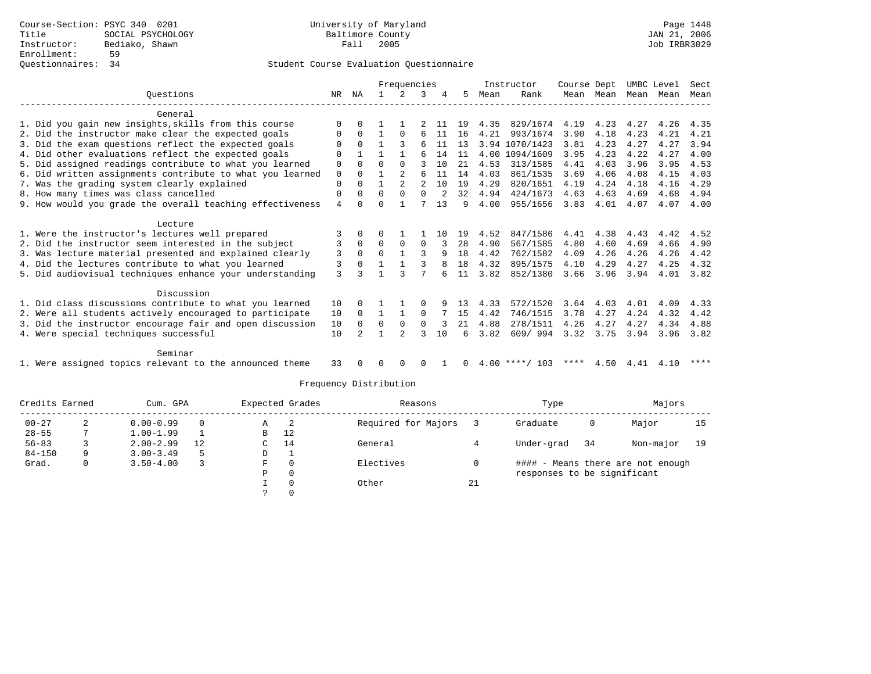|                                                           |          |             |          | Frequencies    |          |    |    |      | Instructor       | Course Dept |           |      | UMBC Level | Sect |
|-----------------------------------------------------------|----------|-------------|----------|----------------|----------|----|----|------|------------------|-------------|-----------|------|------------|------|
| Ouestions                                                 | NR       | ΝA          |          |                |          |    | 5  | Mean | Rank             |             | Mean Mean |      | Mean Mean  | Mean |
| General                                                   |          |             |          |                |          |    |    |      |                  |             |           |      |            |      |
| 1. Did you gain new insights, skills from this course     | $\Omega$ |             |          |                |          | 11 | 19 | 4.35 | 829/1674         | 4.19        | 4.23      | 4.27 | 4.26       | 4.35 |
| 2. Did the instructor make clear the expected goals       | 0        | $\Omega$    |          | $\Omega$       | 6        | 11 | 16 | 4.21 | 993/1674         | 3.90        | 4.18      | 4.23 | 4.21       | 4.21 |
| 3. Did the exam questions reflect the expected goals      | 0        | $\Omega$    |          |                | 6        | 11 | 13 |      | 3.94 1070/1423   | 3.81        | 4.23      | 4.27 | 4.27       | 3.94 |
| 4. Did other evaluations reflect the expected goals       | $\Omega$ |             |          |                | б        | 14 | 11 |      | 4.00 1094/1609   | 3.95        | 4.23      | 4.22 | 4.27       | 4.00 |
| 5. Did assigned readings contribute to what you learned   | 0        | $\Omega$    | U        | $\Omega$       |          | 10 | 21 | 4.53 | 313/1585         | 4.41        | 4.03      | 3.96 | 3.95       | 4.53 |
| 6. Did written assignments contribute to what you learned | 0        | $\Omega$    |          | 2              | 6        | 11 | 14 | 4.03 | 861/1535         | 3.69        | 4.06      | 4.08 | 4.15       | 4.03 |
| 7. Was the grading system clearly explained               | 0        | $\Omega$    |          | $\overline{2}$ | 2        | 10 | 19 | 4.29 | 820/1651         | 4.19        | 4.24      | 4.18 | 4.16       | 4.29 |
| 8. How many times was class cancelled                     | 0        | $\Omega$    | $\Omega$ | $\Omega$       | $\Omega$ |    | 32 | 4.94 | 424/1673         | 4.63        | 4.63      | 4.69 | 4.68       | 4.94 |
| 9. How would you grade the overall teaching effectiveness | 4        | U           | U        |                |          | 13 | 9  | 4.00 | 955/1656         | 3.83        | 4.01      | 4.07 | 4.07       | 4.00 |
| Lecture                                                   |          |             |          |                |          |    |    |      |                  |             |           |      |            |      |
| 1. Were the instructor's lectures well prepared           |          | $\Omega$    | 0        |                |          | 10 | 19 | 4.52 | 847/1586         | 4.41        | 4.38      | 4.43 | 4.42       | 4.52 |
| 2. Did the instructor seem interested in the subject      | 3        | $\Omega$    | $\Omega$ | $\Omega$       | $\Omega$ | 3  | 28 | 4.90 | 567/1585         | 4.80        | 4.60      | 4.69 | 4.66       | 4.90 |
| 3. Was lecture material presented and explained clearly   | 3        | $\Omega$    | $\Omega$ | $\mathbf{1}$   | ς        | 9  | 18 | 4.42 | 762/1582         | 4.09        | 4.26      | 4.26 | 4.26       | 4.42 |
| 4. Did the lectures contribute to what you learned        | 3        | $\mathbf 0$ |          |                |          | 8  | 18 | 4.32 | 895/1575         | 4.10        | 4.29      | 4.27 | 4.25       | 4.32 |
| 5. Did audiovisual techniques enhance your understanding  | 3        |             |          |                |          |    | 11 | 3.82 | 852/1380         | 3.66        | 3.96      | 3.94 | 4.01       | 3.82 |
| Discussion                                                |          |             |          |                |          |    |    |      |                  |             |           |      |            |      |
| 1. Did class discussions contribute to what you learned   | 10       | $\Omega$    |          |                | $\Omega$ | 9  | 13 | 4.33 | 572/1520         | 3.64        | 4.03      | 4.01 | 4.09       | 4.33 |
| 2. Were all students actively encouraged to participate   | 10       | $\Omega$    | 1        | $\mathbf{1}$   | $\Omega$ |    | 15 | 4.42 | 746/1515         | 3.78        | 4.27      | 4.24 | 4.32       | 4.42 |
| 3. Did the instructor encourage fair and open discussion  | 10       | $\Omega$    | 0        | $\Omega$       | $\Omega$ |    | 21 | 4.88 | 278/1511         | 4.26        | 4.27      | 4.27 | 4.34       | 4.88 |
| 4. Were special techniques successful                     | 10       |             |          | っ              |          | 10 | 6  | 3.82 | 609/994          | 3.32        | 3.75      | 3.94 | 3.96       | 3.82 |
| Seminar                                                   |          |             |          |                |          |    |    |      |                  |             |           |      |            |      |
| 1. Were assigned topics relevant to the announced theme   | 33       |             | U        | <sup>0</sup>   | O        |    | 0  |      | $4.00$ ****/ 103 | ****        | 4.50      | 4.41 | 4.10       | **** |

| Credits Earned |    | Cum. GPA      |          | Expected Grades |          | Reasons             |    | Type                        |    | Majors                            |    |
|----------------|----|---------------|----------|-----------------|----------|---------------------|----|-----------------------------|----|-----------------------------------|----|
| $00 - 27$      | z. | $0.00 - 0.99$ | $\Omega$ | Α               | -2       | Required for Majors |    | Graduate                    | 0  | Major                             | 15 |
| $28 - 55$      |    | $1.00 - 1.99$ |          | B               | 12       |                     |    |                             |    |                                   |    |
| $56 - 83$      |    | $2.00 - 2.99$ | 12       | C.              | 14       | General             |    | Under-grad                  | 34 | Non-major                         | 19 |
| $84 - 150$     | Q  | $3.00 - 3.49$ | 5        | D               |          |                     |    |                             |    |                                   |    |
| Grad.          |    | $3.50 - 4.00$ |          | F               | $\Omega$ | Electives           |    |                             |    | #### - Means there are not enough |    |
|                |    |               |          | Р               | 0        |                     |    | responses to be significant |    |                                   |    |
|                |    |               |          |                 | 0        | Other               | 21 |                             |    |                                   |    |
|                |    |               |          |                 |          |                     |    |                             |    |                                   |    |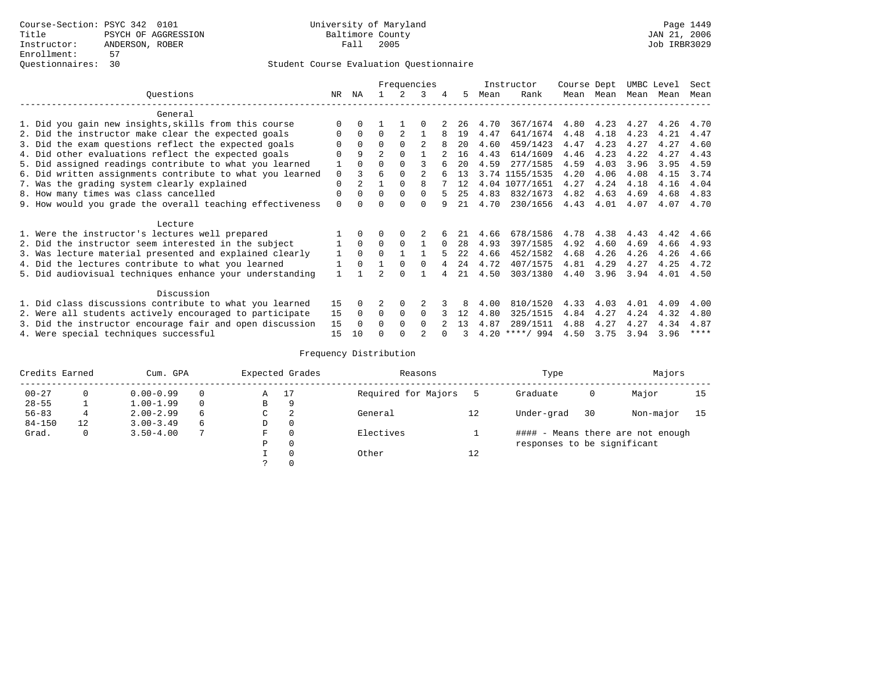|                                                           |             |              |                |             | Frequencies    |          |      |      | Instructor       | Course Dept |           | UMBC Level |      | Sect |
|-----------------------------------------------------------|-------------|--------------|----------------|-------------|----------------|----------|------|------|------------------|-------------|-----------|------------|------|------|
| Ouestions                                                 | NR.         | ΝA           |                |             | 3              | 4        | 5.   | Mean | Rank             |             | Mean Mean | Mean       | Mean | Mean |
| General                                                   |             |              |                |             |                |          |      |      |                  |             |           |            |      |      |
| 1. Did you gain new insights, skills from this course     |             | 0            |                |             |                |          | 26   | 4.70 | 367/1674         | 4.80        | 4.23      | 4.27       | 4.26 | 4.70 |
| 2. Did the instructor make clear the expected goals       | O           | $\Omega$     | $\Omega$       |             |                |          | 19   | 4.47 | 641/1674         | 4.48        | 4.18      | 4.23       | 4.21 | 4.47 |
| 3. Did the exam questions reflect the expected goals      |             | $\Omega$     | $\Omega$       | $\Omega$    |                |          | 20   | 4.60 | 459/1423         | 4.47        | 4.23      | 4.27       | 4.27 | 4.60 |
| 4. Did other evaluations reflect the expected goals       | O           | 9            | $\overline{2}$ | $\Omega$    |                |          | 16   | 4.43 | 614/1609         | 4.46        | 4.23      | 4.22       | 4.27 | 4.43 |
| 5. Did assigned readings contribute to what you learned   |             | $\Omega$     | 0              | $\Omega$    | ς              |          | 20   | 4.59 | 277/1585         | 4.59        | 4.03      | 3.96       | 3.95 | 4.59 |
| 6. Did written assignments contribute to what you learned | $\mathbf 0$ | ζ            | 6              | $\Omega$    | $\mathfrak{D}$ |          | 13   |      | 3.74 1155/1535   | 4.20        | 4.06      | 4.08       | 4.15 | 3.74 |
| 7. Was the grading system clearly explained               | $\mathbf 0$ |              |                | $\Omega$    | 8              |          | 12   |      | 4.04 1077/1651   | 4.27        | 4.24      | 4.18       | 4.16 | 4.04 |
| 8. How many times was class cancelled                     | 0           | $\Omega$     | $\Omega$       | $\Omega$    | $\Omega$       |          | 25   | 4.83 | 832/1673         | 4.82        | 4.63      | 4.69       | 4.68 | 4.83 |
| 9. How would you grade the overall teaching effectiveness | $\Omega$    | <sup>n</sup> | ∩              | ∩           | $\cap$         |          | 21   | 4.70 | 230/1656         | 4.43        | 4.01      | 4.07       | 4.07 | 4.70 |
| Lecture                                                   |             |              |                |             |                |          |      |      |                  |             |           |            |      |      |
| 1. Were the instructor's lectures well prepared           |             |              |                | $\Omega$    |                |          |      | 4.66 | 678/1586         | 4.78        | 4.38      | 4.43       | 4.42 | 4.66 |
| 2. Did the instructor seem interested in the subject      |             | $\Omega$     | $\Omega$       | $\Omega$    |                | $\Omega$ | 28   | 4.93 | 397/1585         | 4.92        | 4.60      | 4.69       | 4.66 | 4.93 |
| 3. Was lecture material presented and explained clearly   | 1           | $\Omega$     | $\Omega$       |             |                |          | 2.2. | 4.66 | 452/1582         | 4.68        | 4.26      | 4.26       | 4.26 | 4.66 |
| 4. Did the lectures contribute to what you learned        |             | $\Omega$     |                | $\Omega$    | $\Omega$       |          | 24   | 4.72 | 407/1575         | 4.81        | 4.29      | 4.27       | 4.25 | 4.72 |
| 5. Did audiovisual techniques enhance your understanding  |             |              |                | $\cap$      |                |          | 2.1  | 4.50 | 303/1380         | 4.40        | 3.96      | 3.94       | 4.01 | 4.50 |
| Discussion                                                |             |              |                |             |                |          |      |      |                  |             |           |            |      |      |
| 1. Did class discussions contribute to what you learned   | 15          | 0            |                | $\Omega$    |                |          | 8    | 4.00 | 810/1520         | 4.33        | 4.03      | 4.01       | 4.09 | 4.00 |
| 2. Were all students actively encouraged to participate   | 15          | $\Omega$     | $\Omega$       | $\mathbf 0$ | $\Omega$       |          | 12   | 4.80 | 325/1515         | 4.84        | 4.27      | 4.24       | 4.32 | 4.80 |
| 3. Did the instructor encourage fair and open discussion  | 15          | $\Omega$     | 0              | $\Omega$    | $\Omega$       |          | 13   | 4.87 | 289/1511         | 4.88        | 4.27      | 4.27       | 4.34 | 4.87 |
| 4. Were special techniques successful                     | 15          | 10           |                |             |                |          |      |      | $4.20$ ****/ 994 | 4.50        | 3.75      | 3.94       | 3.96 | **** |

| Credits Earned |              | Cum. GPA      |          |               | Expected Grades | Reasons             |    | Type                        |    | Majors                            |    |
|----------------|--------------|---------------|----------|---------------|-----------------|---------------------|----|-----------------------------|----|-----------------------------------|----|
| $00 - 27$      | $\Omega$     | $0.00 - 0.99$ |          | Α             | 17              | Required for Majors |    | Graduate                    | 0  | Major                             | 15 |
| $28 - 55$      |              | $1.00 - 1.99$ | $\Omega$ | В             | 9               |                     |    |                             |    |                                   |    |
| $56 - 83$      | 4            | $2.00 - 2.99$ | 6        | C             | 2               | General             | 12 | Under-grad                  | 30 | Non-major                         | 15 |
| $84 - 150$     | 12           | $3.00 - 3.49$ | 6        | D             | 0               |                     |    |                             |    |                                   |    |
| Grad.          | $\mathbf{0}$ | $3.50 - 4.00$ |          | F             | $\Omega$        | Electives           |    |                             |    | #### - Means there are not enough |    |
|                |              |               |          | P             | $\Omega$        |                     |    | responses to be significant |    |                                   |    |
|                |              |               |          |               | $\Omega$        | Other               | 12 |                             |    |                                   |    |
|                |              |               |          | $\mathcal{L}$ | $\Omega$        |                     |    |                             |    |                                   |    |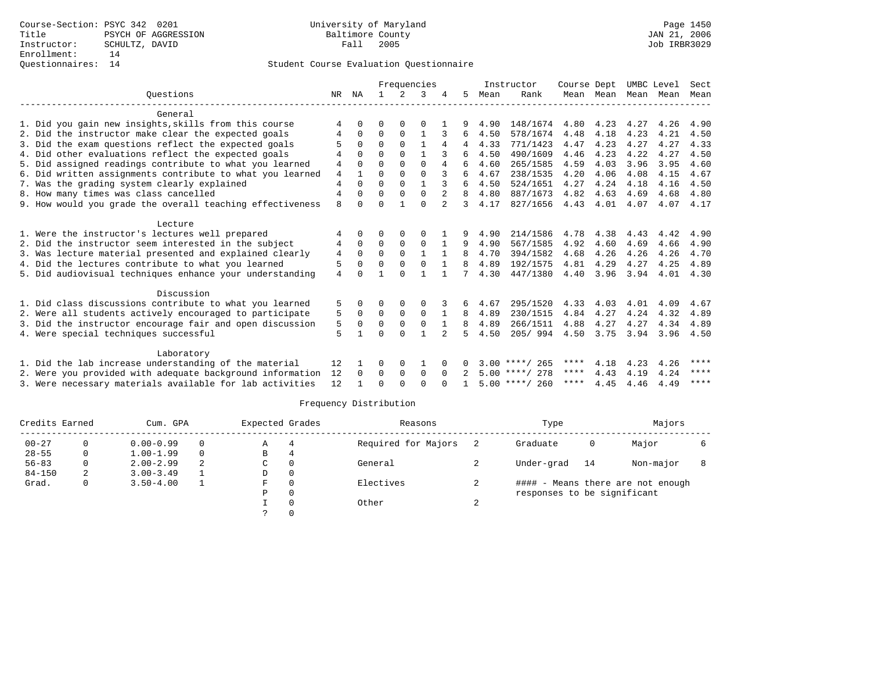|                                                                     |     |              |          |             | Frequencies  |                |   |      | Instructor       | Course Dept |           |           | UMBC Level | Sect        |
|---------------------------------------------------------------------|-----|--------------|----------|-------------|--------------|----------------|---|------|------------------|-------------|-----------|-----------|------------|-------------|
| Ouestions                                                           | NR. | ΝA           |          | 2           | 3            |                | 5 | Mean | Rank             |             | Mean Mean | Mean Mean |            | Mean        |
| General                                                             |     |              |          |             |              |                |   |      |                  |             |           |           |            |             |
| 1. Did you gain new insights, skills from this course               |     |              | U        | O           | O            |                |   | 4.90 | 148/1674         | 4.80        | 4.23      | 4.27      | 4.26       | 4.90        |
| 2. Did the instructor make clear the expected goals                 |     | $\Omega$     | $\Omega$ | $\Omega$    |              |                | 6 | 4.50 | 578/1674         | 4.48        | 4.18      | 4.23      | 4.21       | 4.50        |
| 3. Did the exam questions reflect the expected goals                |     | $\Omega$     | $\Omega$ | $\Omega$    | -1           | 4              | 4 | 4.33 | 771/1423         | 4.47        | 4.23      | 4.27      | 4.27       | 4.33        |
| 4. Did other evaluations reflect the expected goals                 |     | $\Omega$     | 0        | $\Omega$    |              |                | 6 | 4.50 | 490/1609         | 4.46        | 4.23      | 4.22      | 4.27       | 4.50        |
| 5. Did assigned readings contribute to what you learned             | 4   | $\Omega$     | $\Omega$ | $\Omega$    | $\Omega$     | 4              | 6 | 4.60 | 265/1585         | 4.59        | 4.03      | 3.96      | 3.95       | 4.60        |
| 6. Did written assignments contribute to what you learned           | 4   | $\mathbf{1}$ | 0        | $\Omega$    | $\Omega$     |                | 6 | 4.67 | 238/1535         | 4.20        | 4.06      | 4.08      | 4.15       | 4.67        |
| 7. Was the grading system clearly explained                         | 4   | $\Omega$     | $\Omega$ | $\Omega$    |              |                | 6 | 4.50 | 524/1651         | 4.27        | 4.24      | 4.18      | 4.16       | 4.50        |
| 8. How many times was class cancelled                               | 4   | $\Omega$     | 0        | $\Omega$    | $\Omega$     |                | 8 | 4.80 | 887/1673         | 4.82        | 4.63      | 4.69      | 4.68       | 4.80        |
| 9. How would you grade the overall teaching effectiveness           | 8   | $\Omega$     | U        | -1          | $\Omega$     | $\overline{a}$ |   | 4.17 | 827/1656         | 4.43        | 4.01      | 4.07      | 4.07       | 4.17        |
| Lecture                                                             |     |              |          |             |              |                |   |      |                  |             |           |           |            |             |
| 1. Were the instructor's lectures well prepared                     |     | 0            | O        | 0           | O            |                |   | 4.90 | 214/1586         | 4.78        | 4.38      | 4.43      | 4.42       | 4.90        |
| 2. Did the instructor seem interested in the subject                | 4   | $\Omega$     | 0        | $\mathbf 0$ | 0            |                | 9 | 4.90 | 567/1585         | 4.92        | 4.60      | 4.69      | 4.66       | 4.90        |
| 3. Was lecture material presented and explained clearly             | 4   | 0            | 0        | $\mathbf 0$ | $\mathbf{1}$ | -1             | 8 | 4.70 | 394/1582         | 4.68        | 4.26      | 4.26      | 4.26       | 4.70        |
| 4. Did the lectures contribute to what you learned                  | 5   | $\Omega$     | 0        | $\Omega$    | $\Omega$     |                | 8 | 4.89 | 192/1575         | 4.81        | 4.29      | 4.27      | 4.25       | 4.89        |
| 5. Did audiovisual techniques enhance your understanding            | 4   |              |          | U           |              |                |   | 4.30 | 447/1380         | 4.40        | 3.96      | 3.94      | 4.01       | 4.30        |
| Discussion                                                          |     |              |          |             |              |                |   |      |                  |             |           |           |            |             |
| 1. Did class discussions contribute to what you learned             | 5   | $\Omega$     | 0        | $\Omega$    | 0            |                | 6 | 4.67 | 295/1520         | 4.33        | 4.03      | 4.01      | 4.09       | 4.67        |
| 2. Were all students actively encouraged to participate             | 5   | $\Omega$     | $\Omega$ | $\mathbf 0$ | $\Omega$     |                | 8 | 4.89 | 230/1515         | 4.84        | 4.27      | 4.24      | 4.32       | 4.89        |
| 3. Did the instructor encourage fair and open discussion            | 5   | $\Omega$     | $\Omega$ | $\Omega$    | $\Omega$     |                |   | 4.89 | 266/1511         | 4.88        | 4.27      | 4.27      | 4.34       | 4.89        |
| 4. Were special techniques successful                               | 5   |              | U        | $\cap$      |              | $\mathfrak{D}$ |   | 4.50 | 205/994          | 4.50        | 3.75      | 3.94      | 3.96       | 4.50        |
|                                                                     |     |              |          |             |              |                |   |      |                  |             |           |           |            |             |
| Laboratory<br>1. Did the lab increase understanding of the material | 12  |              | 0        | 0           |              |                |   |      | $3.00$ ****/ 265 | ****        | 4.18      | 4.23      | 4.26       | ****        |
| 2. Were you provided with adequate background information           | 12  | $\Omega$     | $\Omega$ | $\mathbf 0$ | $\Omega$     | $\Omega$       |   |      | $5.00$ ****/ 278 | ****        | 4.43      | 4.19      | 4.24       | $***$ * * * |
| 3. Were necessary materials available for lab activities            | 12  |              | U        | $\cap$      | $\Omega$     |                |   |      | $5.00$ ****/ 260 | ****        | 4.45      | 4.46      | 4.49       | $***$ * * * |
|                                                                     |     |              |          |             |              |                |   |      |                  |             |           |           |            |             |

| Credits Earned |   | Cum. GPA      |          | Expected Grades |          | Reasons             |    | Type                        |    | Majors                            |  |
|----------------|---|---------------|----------|-----------------|----------|---------------------|----|-----------------------------|----|-----------------------------------|--|
| $00 - 27$      | 0 | $0.00 - 0.99$ | $\Omega$ | Α               |          | Required for Majors |    | Graduate                    | 0  | Major                             |  |
| $28 - 55$      | 0 | $1.00 - 1.99$ | $\Omega$ | В               | 4        |                     |    |                             |    |                                   |  |
| $56 - 83$      | 0 | $2.00 - 2.99$ | 2        | C               | $\Omega$ | General             |    | Under-grad                  | 14 | Non-major                         |  |
| $84 - 150$     | 2 | $3.00 - 3.49$ |          | D               | $\Omega$ |                     |    |                             |    |                                   |  |
| Grad.          | 0 | $3.50 - 4.00$ |          | F.              | $\Omega$ | Electives           | z. |                             |    | #### - Means there are not enough |  |
|                |   |               |          | Ρ               | $\Omega$ |                     |    | responses to be significant |    |                                   |  |
|                |   |               |          |                 |          | Other               |    |                             |    |                                   |  |
|                |   |               |          |                 |          |                     |    |                             |    |                                   |  |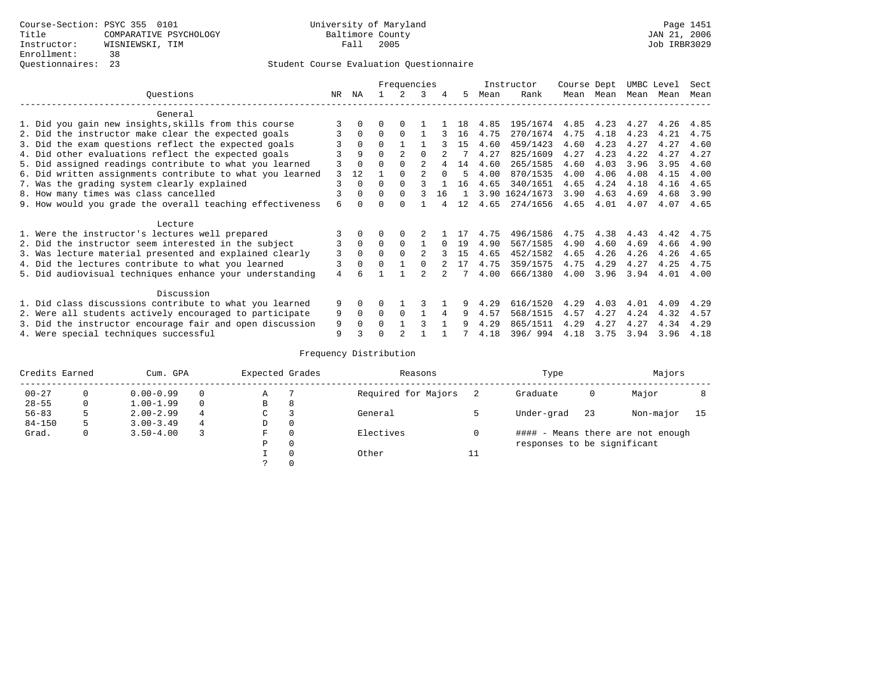|                                                           |     |              |          | Frequencies    |                |          |    |      | Instructor     | Course Dept |      | UMBC Level |      | Sect |
|-----------------------------------------------------------|-----|--------------|----------|----------------|----------------|----------|----|------|----------------|-------------|------|------------|------|------|
| Ouestions                                                 | NR. | ΝA           |          |                | 3              | 4        | 5  | Mean | Rank           | Mean        | Mean | Mean       | Mean | Mean |
| General                                                   |     |              |          |                |                |          |    |      |                |             |      |            |      |      |
| 1. Did you gain new insights, skills from this course     |     | 0            | U        | $\Omega$       |                |          | 18 | 4.85 | 195/1674       | 4.85        | 4.23 | 4.27       | 4.26 | 4.85 |
| 2. Did the instructor make clear the expected goals       | 3   | $\Omega$     | $\Omega$ | $\Omega$       |                |          | 16 | 4.75 | 270/1674       | 4.75        | 4.18 | 4.23       | 4.21 | 4.75 |
| 3. Did the exam questions reflect the expected goals      |     | $\Omega$     | $\Omega$ |                |                |          | 15 | 4.60 | 459/1423       | 4.60        | 4.23 | 4.27       | 4.27 | 4.60 |
| 4. Did other evaluations reflect the expected goals       |     | 9            |          | $\mathfrak{D}$ |                |          |    | 4.27 | 825/1609       | 4.27        | 4.23 | 4.22       | 4.27 | 4.27 |
| 5. Did assigned readings contribute to what you learned   |     | $\Omega$     |          | $\Omega$       | $\mathfrak{D}$ |          | 14 | 4.60 | 265/1585       | 4.60        | 4.03 | 3.96       | 3.95 | 4.60 |
| 6. Did written assignments contribute to what you learned |     | 12           |          |                |                | $\Omega$ | 5  | 4.00 | 870/1535       | 4.00        | 4.06 | 4.08       | 4.15 | 4.00 |
| 7. Was the grading system clearly explained               | 3   | 0            |          | $\Omega$       |                |          | 16 | 4.65 | 340/1651       | 4.65        | 4.24 | 4.18       | 4.16 | 4.65 |
| 8. How many times was class cancelled                     | 3   | <sup>0</sup> | 0        | $\Omega$       |                | 16       |    |      | 3.90 1624/1673 | 3.90        | 4.63 | 4.69       | 4.68 | 3.90 |
| 9. How would you grade the overall teaching effectiveness | 6   | <sup>n</sup> |          | <sup>n</sup>   |                |          | 12 | 4.65 | 274/1656       | 4.65        | 4.01 | 4.07       | 4.07 | 4.65 |
| Lecture                                                   |     |              |          |                |                |          |    |      |                |             |      |            |      |      |
| 1. Were the instructor's lectures well prepared           |     |              |          |                |                |          |    | 4.75 | 496/1586       | 4.75        | 4.38 | 4.43       | 4.42 | 4.75 |
| 2. Did the instructor seem interested in the subject      | 3   | $\mathbf 0$  | $\Omega$ | $\Omega$       |                |          | 19 | 4.90 | 567/1585       | 4.90        | 4.60 | 4.69       | 4.66 | 4.90 |
| 3. Was lecture material presented and explained clearly   | 3   | $\Omega$     | O        |                |                |          | 15 | 4.65 | 452/1582       | 4.65        | 4.26 | 4.26       | 4.26 | 4.65 |
| 4. Did the lectures contribute to what you learned        | 3   | 0            | U        |                |                |          | 17 | 4.75 | 359/1575       | 4.75        | 4.29 | 4.27       | 4.25 | 4.75 |
| 5. Did audiovisual techniques enhance your understanding  | 4   |              |          |                | $\mathfrak{D}$ |          |    | 4.00 | 666/1380       | 4.00        | 3.96 | 3.94       | 4.01 | 4.00 |
| Discussion                                                |     |              |          |                |                |          |    |      |                |             |      |            |      |      |
| 1. Did class discussions contribute to what you learned   | 9   | <sup>0</sup> |          |                |                |          |    | 4.29 | 616/1520       | 4.29        | 4.03 | 4.01       | 4.09 | 4.29 |
| 2. Were all students actively encouraged to participate   | 9   | 0            | 0        | $\Omega$       |                | 4        | 9  | 4.57 | 568/1515       | 4.57        | 4.27 | 4.24       | 4.32 | 4.57 |
| 3. Did the instructor encourage fair and open discussion  | 9   |              |          |                | 3              |          | q  | 4.29 | 865/1511       | 4.29        | 4.27 | 4.27       | 4.34 | 4.29 |
| 4. Were special techniques successful                     | 9   |              |          |                |                |          |    | 4.18 | 396/994        | 4.18        | 3.75 | 3.94       | 3.96 | 4.18 |

| Credits Earned |          | Cum. GPA      |          | Expected Grades |          | Reasons             |    | Type                        |    | Majors                            |    |
|----------------|----------|---------------|----------|-----------------|----------|---------------------|----|-----------------------------|----|-----------------------------------|----|
| $00 - 27$      | $\Omega$ | $0.00 - 0.99$ |          | Α               |          | Required for Majors |    | Graduate                    | 0  | Major                             |    |
| $28 - 55$      | 0        | $1.00 - 1.99$ | $\Omega$ | В               | 8        |                     |    |                             |    |                                   |    |
| $56 - 83$      | 5        | $2.00 - 2.99$ | 4        | $\sim$<br>J     |          | General             |    | Under-grad                  | 23 | Non-major                         | 15 |
| $84 - 150$     | 5        | $3.00 - 3.49$ | 4        | D               | 0        |                     |    |                             |    |                                   |    |
| Grad.          | 0        | $3.50 - 4.00$ |          | F               | 0        | Electives           | 0  |                             |    | #### - Means there are not enough |    |
|                |          |               |          | Ρ               | 0        |                     |    | responses to be significant |    |                                   |    |
|                |          |               |          |                 | $\Omega$ | Other               | ⊥⊥ |                             |    |                                   |    |
|                |          |               |          |                 |          |                     |    |                             |    |                                   |    |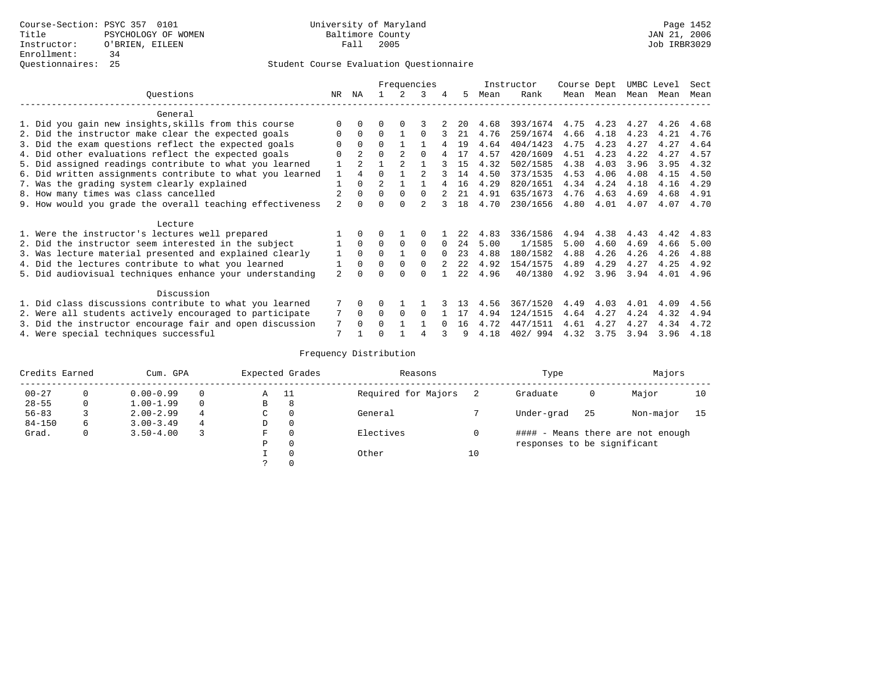|                                                           |                |                |                |                | Frequencies |          |                  |      | Instructor | Course Dept |           | UMBC Level |      | Sect |
|-----------------------------------------------------------|----------------|----------------|----------------|----------------|-------------|----------|------------------|------|------------|-------------|-----------|------------|------|------|
| Ouestions                                                 | NR.            | ΝA             |                |                | 3           | 4        | 5.               | Mean | Rank       |             | Mean Mean | Mean       | Mean | Mean |
| General                                                   |                |                |                |                |             |          |                  |      |            |             |           |            |      |      |
| 1. Did you gain new insights, skills from this course     |                | $\Omega$       | 0              | $\Omega$       |             |          | 20               | 4.68 | 393/1674   | 4.75        | 4.23      | 4.27       | 4.26 | 4.68 |
| 2. Did the instructor make clear the expected goals       | O              | $\Omega$       | $\Omega$       |                | $\Omega$    |          | 21               | 4.76 | 259/1674   | 4.66        | 4.18      | 4.23       | 4.21 | 4.76 |
| 3. Did the exam questions reflect the expected goals      |                | $\Omega$       | $\Omega$       |                |             |          | 19               | 4.64 | 404/1423   | 4.75        | 4.23      | 4.27       | 4.27 | 4.64 |
| 4. Did other evaluations reflect the expected goals       | O              | $\mathfrak{D}$ | $\Omega$       |                | $\Omega$    |          | 17               | 4.57 | 420/1609   | 4.51        | 4.23      | 4.22       | 4.27 | 4.57 |
| 5. Did assigned readings contribute to what you learned   |                | $\mathfrak{D}$ |                | $\mathfrak{D}$ |             |          | 15               | 4.32 | 502/1585   | 4.38        | 4.03      | 3.96       | 3.95 | 4.32 |
| 6. Did written assignments contribute to what you learned | $\mathbf{1}$   | $\overline{4}$ | $\Omega$       |                |             |          | 14               | 4.50 | 373/1535   | 4.53        | 4.06      | 4.08       | 4.15 | 4.50 |
| 7. Was the grading system clearly explained               |                | $\Omega$       | $\overline{2}$ |                |             |          | 16               | 4.29 | 820/1651   | 4.34        | 4.24      | 4.18       | 4.16 | 4.29 |
| 8. How many times was class cancelled                     |                | $\Omega$       | $\Omega$       | $\Omega$       | $\Omega$    |          | 21               | 4.91 | 635/1673   | 4.76        | 4.63      | 4.69       | 4.68 | 4.91 |
| 9. How would you grade the overall teaching effectiveness | $\mathfrak{D}$ | $\cap$         | ∩              | $\cap$         |             |          | 18               | 4.70 | 230/1656   | 4.80        | 4.01      | 4.07       | 4.07 | 4.70 |
| Lecture                                                   |                |                |                |                |             |          |                  |      |            |             |           |            |      |      |
| 1. Were the instructor's lectures well prepared           |                |                |                |                |             |          | 22               | 4.83 | 336/1586   | 4.94        | 4.38      | 4.43       | 4.42 | 4.83 |
| 2. Did the instructor seem interested in the subject      |                | $\Omega$       | $\Omega$       | $\Omega$       | $\Omega$    | $\Omega$ | 24               | 5.00 | 1/1585     | 5.00        | 4.60      | 4.69       | 4.66 | 5.00 |
| 3. Was lecture material presented and explained clearly   | 1              | $\Omega$       | $\Omega$       |                | $\Omega$    | $\Omega$ | 23               | 4.88 | 180/1582   | 4.88        | 4.26      | 4.26       | 4.26 | 4.88 |
| 4. Did the lectures contribute to what you learned        |                | $\Omega$       | $\Omega$       | $\Omega$       | $\Omega$    |          | 2.2 <sub>1</sub> | 4.92 | 154/1575   | 4.89        | 4.29      | 4.27       | 4.25 | 4.92 |
| 5. Did audiovisual techniques enhance your understanding  | $\overline{a}$ |                |                |                | $\cap$      |          | 2.2.             | 4.96 | 40/1380    | 4.92        | 3.96      | 3.94       | 4.01 | 4.96 |
| Discussion                                                |                |                |                |                |             |          |                  |      |            |             |           |            |      |      |
| 1. Did class discussions contribute to what you learned   |                | $\Omega$       | 0              |                |             |          | 1 २              | 4.56 | 367/1520   | 4.49        | 4.03      | 4.01       | 4.09 | 4.56 |
| 2. Were all students actively encouraged to participate   |                | $\Omega$       | $\Omega$       | $\Omega$       | $\Omega$    |          |                  | 4.94 | 124/1515   | 4.64        | 4.27      | 4.24       | 4.32 | 4.94 |
| 3. Did the instructor encourage fair and open discussion  | 7              | $\Omega$       | O              |                |             |          | 16               | 4.72 | 447/1511   | 4.61        | 4.27      | 4.27       | 4.34 | 4.72 |
| 4. Were special techniques successful                     | 7              |                |                |                |             |          | q                | 4.18 | 402/994    | 4.32        | 3.75      | 3.94       | 3.96 | 4.18 |

| Credits Earned |   | Cum. GPA      |          |    | Expected Grades | Reasons             |    | Type                        |     | Majors                            |    |
|----------------|---|---------------|----------|----|-----------------|---------------------|----|-----------------------------|-----|-----------------------------------|----|
| $00 - 27$      |   | $0.00 - 0.99$ |          | Α  | - 11            | Required for Majors |    | Graduate                    | 0   | Major                             | 10 |
| $28 - 55$      | 0 | $1.00 - 1.99$ | $\Omega$ | В  | 8               |                     |    |                             |     |                                   |    |
| $56 - 83$      |   | $2.00 - 2.99$ | 4        | C. | $\Omega$        | General             |    | Under-grad                  | -25 | Non-major                         | 15 |
| $84 - 150$     | 6 | $3.00 - 3.49$ | 4        | D  | 0               |                     |    |                             |     |                                   |    |
| Grad.          | 0 | $3.50 - 4.00$ |          | F  | $\Omega$        | Electives           |    |                             |     | #### - Means there are not enough |    |
|                |   |               |          | Ρ  | 0               |                     |    | responses to be significant |     |                                   |    |
|                |   |               |          |    | $\Omega$        | Other               | 10 |                             |     |                                   |    |
|                |   |               |          |    |                 |                     |    |                             |     |                                   |    |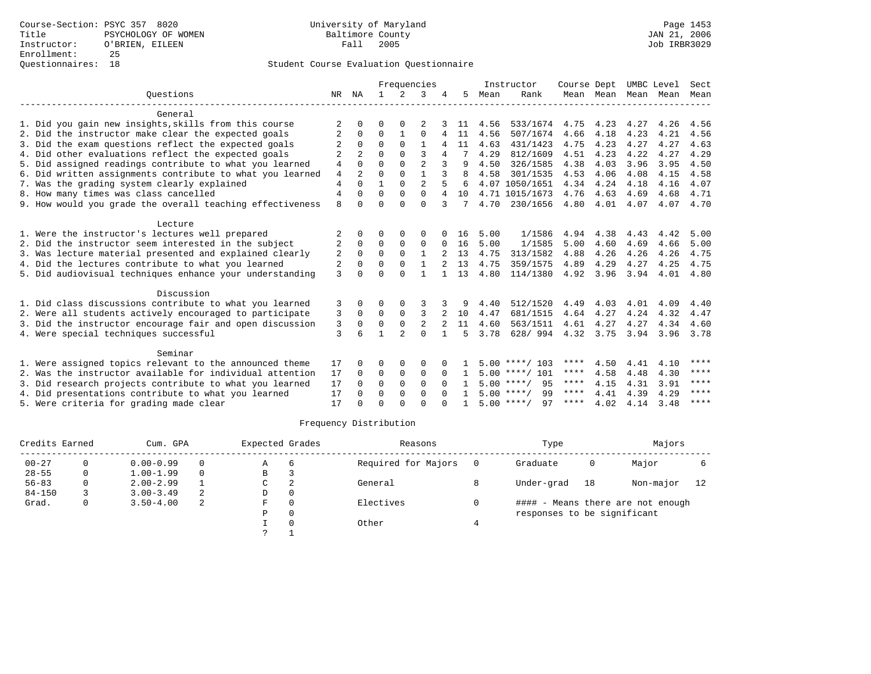|                                                           |                |                |              |                | Frequencies    |              |      |      | Instructor         | Course Dept |           | UMBC Level |      | Sect |
|-----------------------------------------------------------|----------------|----------------|--------------|----------------|----------------|--------------|------|------|--------------------|-------------|-----------|------------|------|------|
| Ouestions                                                 | NR             | ΝA             | $\mathbf{1}$ | $2^{1}$        | ζ              |              | 5.   | Mean | Rank               |             | Mean Mean | Mean       | Mean | Mean |
| General                                                   |                |                |              |                |                |              |      |      |                    |             |           |            |      |      |
| 1. Did you gain new insights, skills from this course     | 2              | $\Omega$       | $\Omega$     | $\Omega$       |                |              | -11- | 4.56 | 533/1674           | 4.75        | 4.23      | 4.27       | 4.26 | 4.56 |
| 2. Did the instructor make clear the expected goals       | 2              | $\Omega$       | $\Omega$     |                | $\Omega$       | 4            | 11   | 4.56 | 507/1674           | 4.66        | 4.18      | 4.23       | 4.21 | 4.56 |
| 3. Did the exam questions reflect the expected goals      |                | $\Omega$       | $\Omega$     | $\Omega$       | $\mathbf{1}$   |              | 11   | 4.63 | 431/1423           | 4.75        | 4.23      | 4.27       | 4.27 | 4.63 |
| 4. Did other evaluations reflect the expected goals       | $\overline{2}$ |                | $\Omega$     | $\Omega$       | ζ              | 4            |      | 4.29 | 812/1609           | 4.51        | 4.23      | 4.22       | 4.27 | 4.29 |
| 5. Did assigned readings contribute to what you learned   | $\overline{4}$ | $\Omega$       | $\Omega$     | $\Omega$       | $\overline{2}$ |              | 9    | 4.50 | 326/1585           | 4.38        | 4.03      | 3.96       | 3.95 | 4.50 |
| 6. Did written assignments contribute to what you learned | $\overline{4}$ | $\overline{a}$ | $\Omega$     | $\Omega$       |                | 3            | R    | 4.58 | 301/1535           | 4.53        | 4.06      | 4.08       | 4.15 | 4.58 |
| 7. Was the grading system clearly explained               | $\overline{4}$ | $\cap$         |              | $\Omega$       | $\overline{a}$ |              | 6    |      | 4.07 1050/1651     | 4.34        | 4.24      | 4.18       | 4.16 | 4.07 |
| 8. How many times was class cancelled                     | $\overline{4}$ |                | $\Omega$     | $\Omega$       | $\Omega$       | 4            | 10   |      | 4.71 1015/1673     | 4.76        | 4.63      | 4.69       | 4.68 | 4.71 |
| 9. How would you grade the overall teaching effectiveness | 8              | $\cap$         | $\Omega$     | $\cap$         | $\Omega$       | 3            | 7    | 4.70 | 230/1656           | 4.80        | 4.01      | 4.07       | 4.07 | 4.70 |
| Lecture                                                   |                |                |              |                |                |              |      |      |                    |             |           |            |      |      |
| 1. Were the instructor's lectures well prepared           |                |                | ∩            |                | $\Omega$       |              | 16   | 5.00 | 1/1586             | 4.94        | 4.38      | 4.43       | 4.42 | 5.00 |
| 2. Did the instructor seem interested in the subject      | 2              | $\Omega$       | $\Omega$     | $\Omega$       | $\Omega$       | <sup>0</sup> | 16   | 5.00 | 1/1585             | 5.00        | 4.60      | 4.69       | 4.66 | 5.00 |
| 3. Was lecture material presented and explained clearly   | 2              | 0              | $\mathbf 0$  | $\mathbf 0$    | 1              |              | 13   | 4.75 | 313/1582           | 4.88        | 4.26      | 4.26       | 4.26 | 4.75 |
| 4. Did the lectures contribute to what you learned        | 2              | $\Omega$       | $\Omega$     | $\Omega$       | $\mathbf{1}$   |              | 13   | 4.75 | 359/1575           | 4.89        | 4.29      | 4.27       | 4.25 | 4.75 |
| 5. Did audiovisual techniques enhance your understanding  | 3              | $\cap$         | $\Omega$     | $\Omega$       |                |              | 13   | 4.80 | 114/1380           | 4.92        | 3.96      | 3.94       | 4.01 | 4.80 |
| Discussion                                                |                |                |              |                |                |              |      |      |                    |             |           |            |      |      |
| 1. Did class discussions contribute to what you learned   | 3              | <sup>0</sup>   | $\Omega$     | 0              | 3              | 3            | 9    | 4.40 | 512/1520           | 4.49        | 4.03      | 4.01       | 4.09 | 4.40 |
| 2. Were all students actively encouraged to participate   | 3              | $\Omega$       | $\Omega$     | $\Omega$       | 3              |              | 10   | 4.47 | 681/1515           | 4.64        | 4.27      | 4.24       | 4.32 | 4.47 |
| 3. Did the instructor encourage fair and open discussion  | 3              | $\Omega$       | $\Omega$     | $\Omega$       | $\overline{2}$ |              | 11   | 4.60 | 563/1511           | 4.61        | 4.27      | 4.27       | 4.34 | 4.60 |
| 4. Were special techniques successful                     | 3              |                |              | $\mathfrak{D}$ | $\Omega$       |              | 5    | 3.78 | 628/994            |             | 4.32 3.75 | 3.94       | 3.96 | 3.78 |
| Seminar                                                   |                |                |              |                |                |              |      |      |                    |             |           |            |      |      |
| 1. Were assigned topics relevant to the announced theme   | 17             |                | $\Omega$     |                | $\Omega$       |              |      |      | $5.00$ ****/ 103   | ****        | 4.50      | 4.41       | 4.10 | **** |
| 2. Was the instructor available for individual attention  | 17             | $\Omega$       | $\Omega$     | $\Omega$       | $\Omega$       | $\Omega$     | 1.   |      | $5.00$ ****/ 101   | ****        | 4.58      | 4.48       | 4.30 | **** |
| 3. Did research projects contribute to what you learned   | 17             | $\Omega$       | $\Omega$     | $\Omega$       | $\Omega$       | $\Omega$     |      |      | $5.00$ ****/ 95    | $***$ * *   | 4.15      | 4.31       | 3.91 | **** |
| 4. Did presentations contribute to what you learned       | 17             | $\cap$         | $\Omega$     | $\Omega$       | $\Omega$       |              |      |      | $5.00$ ****/<br>99 | $***$ * *   | 4.41      | 4.39       | 4.29 | **** |
| 5. Were criteria for grading made clear                   | 17             |                | $\cap$       | $\cap$         | $\cap$         |              |      |      | $5.00$ ****/<br>97 | ****        | 4.02      | 4.14       | 3.48 | **** |

| Credits Earned |   | Cum. GPA      |          | Expected Grades |          | Reasons             | Type                        |    | Majors                            |    |
|----------------|---|---------------|----------|-----------------|----------|---------------------|-----------------------------|----|-----------------------------------|----|
| $00 - 27$      |   | $0.00 - 0.99$ |          | $\mathbb{A}$    | -6       | Required for Majors | Graduate                    | 0  | Major                             |    |
| $28 - 55$      | 0 | $1.00 - 1.99$ | $\Omega$ | B               |          |                     |                             |    |                                   |    |
| $56 - 83$      |   | $2.00 - 2.99$ |          | C               | 2        | General             | Under-grad                  | 18 | Non-major                         | 12 |
| $84 - 150$     |   | $3.00 - 3.49$ | 2        | D               | $\Omega$ |                     |                             |    |                                   |    |
| Grad.          | 0 | $3.50 - 4.00$ | 2        | F               | $\Omega$ | Electives           |                             |    | #### - Means there are not enough |    |
|                |   |               |          | P               | $\Omega$ |                     | responses to be significant |    |                                   |    |
|                |   |               |          |                 |          | Other               |                             |    |                                   |    |
|                |   |               |          |                 |          |                     |                             |    |                                   |    |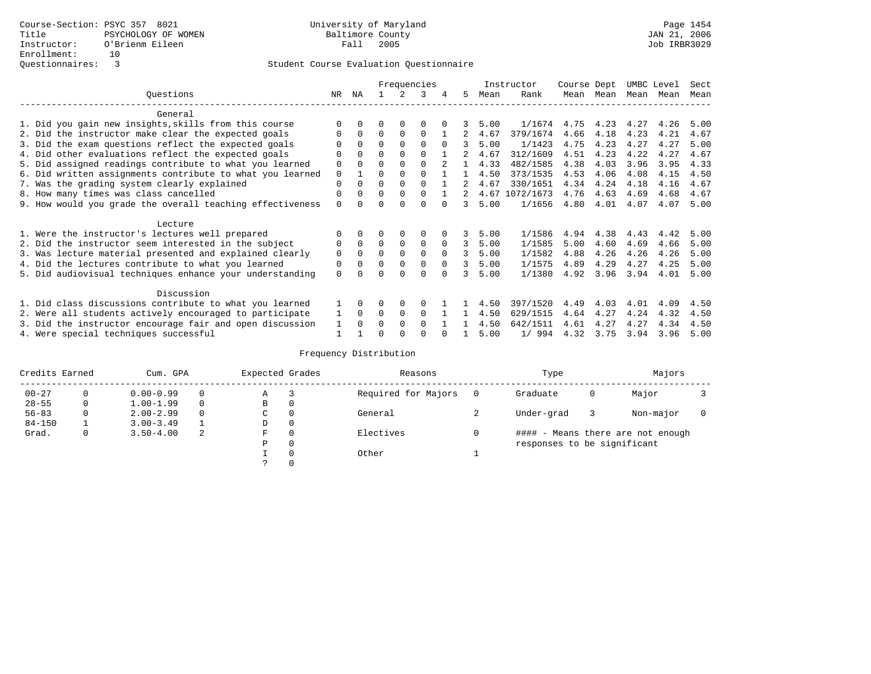|                                                           |             |              |          |             | Frequencies |          |    |      | Instructor     | Course Dept |      | UMBC Level |      | Sect |
|-----------------------------------------------------------|-------------|--------------|----------|-------------|-------------|----------|----|------|----------------|-------------|------|------------|------|------|
| Ouestions                                                 | NR.         | ΝA           |          |             | 3           |          | 5. | Mean | Rank           | Mean        | Mean | Mean       | Mean | Mean |
| General                                                   |             |              |          |             |             |          |    |      |                |             |      |            |      |      |
| 1. Did you gain new insights, skills from this course     |             | $\Omega$     | O        | $\Omega$    | O           |          |    | 5.00 | 1/1674         | 4.75        | 4.23 | 4.27       | 4.26 | 5.00 |
| 2. Did the instructor make clear the expected goals       | O           | $\Omega$     | $\Omega$ | $\Omega$    | $\Omega$    |          |    | 4.67 | 379/1674       | 4.66        | 4.18 | 4.23       | 4.21 | 4.67 |
| 3. Did the exam questions reflect the expected goals      |             | $\Omega$     | 0        | $\Omega$    | $\Omega$    | $\Omega$ | 3  | 5.00 | 1/1423         | 4.75        | 4.23 | 4.27       | 4.27 | 5.00 |
| 4. Did other evaluations reflect the expected goals       | O           | $\Omega$     | $\Omega$ | $\Omega$    | $\Omega$    |          |    | 4.67 | 312/1609       | 4.51        | 4.23 | 4.22       | 4.27 | 4.67 |
| 5. Did assigned readings contribute to what you learned   | $\mathbf 0$ |              | $\Omega$ |             | $\Omega$    |          |    | 4.33 | 482/1585       | 4.38        | 4.03 | 3.96       | 3.95 | 4.33 |
| 6. Did written assignments contribute to what you learned | $\mathbf 0$ |              | $\Omega$ |             |             |          |    | 4.50 | 373/1535       | 4.53        | 4.06 | 4.08       | 4.15 | 4.50 |
| 7. Was the grading system clearly explained               | $\Omega$    | $\Omega$     | $\Omega$ | $\Omega$    | $\Omega$    |          |    | 4.67 | 330/1651       | 4.34        | 4.24 | 4.18       | 4.16 | 4.67 |
| 8. How many times was class cancelled                     | 0           | $\Omega$     | $\Omega$ | $\Omega$    | $\Omega$    |          | 2  |      | 4.67 1072/1673 | 4.76        | 4.63 | 4.69       | 4.68 | 4.67 |
| 9. How would you grade the overall teaching effectiveness | $\Omega$    | <sup>n</sup> | U        | ∩           | U           |          | 3  | 5.00 | 1/1656         | 4.80        | 4.01 | 4.07       | 4.07 | 5.00 |
| Lecture                                                   |             |              |          |             |             |          |    |      |                |             |      |            |      |      |
| 1. Were the instructor's lectures well prepared           |             |              |          |             | 0           |          |    | 5.00 | 1/1586         | 4.94        | 4.38 | 4.43       | 4.42 | 5.00 |
| 2. Did the instructor seem interested in the subject      | 0           | $\Omega$     | $\Omega$ | $\mathbf 0$ | $\mathbf 0$ | $\Omega$ | 3  | 5.00 | 1/1585         | 5.00        | 4.60 | 4.69       | 4.66 | 5.00 |
| 3. Was lecture material presented and explained clearly   | $\mathbf 0$ | $\Omega$     | $\Omega$ | $\Omega$    | $\Omega$    | $\Omega$ | 3  | 5.00 | 1/1582         | 4.88        | 4.26 | 4.26       | 4.26 | 5.00 |
| 4. Did the lectures contribute to what you learned        | 0           | $\Omega$     | $\Omega$ | $\mathbf 0$ | $\mathbf 0$ | $\Omega$ | 3  | 5.00 | 1/1575         | 4.89        | 4.29 | 4.27       | 4.25 | 5.00 |
| 5. Did audiovisual techniques enhance your understanding  | $\Omega$    |              |          |             | $\Omega$    |          |    | 5.00 | 1/1380         | 4.92        | 3.96 | 3.94       | 4.01 | 5.00 |
| Discussion                                                |             |              |          |             |             |          |    |      |                |             |      |            |      |      |
| 1. Did class discussions contribute to what you learned   |             | $\Omega$     | O        | $\Omega$    | $\Omega$    |          |    | 4.50 | 397/1520       | 4.49        | 4.03 | 4.01       | 4.09 | 4.50 |
| 2. Were all students actively encouraged to participate   |             | $\Omega$     | $\Omega$ | 0           | $\Omega$    |          |    | 4.50 | 629/1515       | 4.64        | 4.27 | 4.24       | 4.32 | 4.50 |
| 3. Did the instructor encourage fair and open discussion  | 1           | $\Omega$     | 0        | $\Omega$    | $\Omega$    |          |    | 4.50 | 642/1511       | 4.61        | 4.27 | 4.27       | 4.34 | 4.50 |
| 4. Were special techniques successful                     |             |              |          |             |             |          |    | 5.00 | 1/994          | 4.32        | 3.75 | 3.94       | 3.96 | 5.00 |

| Credits Earned |          | Cum. GPA      |   | Expected Grades |          | Reasons             | Type                        |   | Majors                            |  |
|----------------|----------|---------------|---|-----------------|----------|---------------------|-----------------------------|---|-----------------------------------|--|
| $00 - 27$      | 0        | $0.00 - 0.99$ |   | Α               |          | Required for Majors | Graduate                    | 0 | Major                             |  |
| $28 - 55$      | 0        | $1.00 - 1.99$ |   | B               | 0        |                     |                             |   |                                   |  |
| $56 - 83$      | $\Omega$ | $2.00 - 2.99$ |   | C               | 0        | General             | Under-grad                  |   | Non-major                         |  |
| $84 - 150$     |          | $3.00 - 3.49$ |   | D               | 0        |                     |                             |   |                                   |  |
| Grad.          | 0        | $3.50 - 4.00$ | 2 | F               | 0        | Electives           |                             |   | #### - Means there are not enough |  |
|                |          |               |   | Ρ               | 0        |                     | responses to be significant |   |                                   |  |
|                |          |               |   |                 | $\Omega$ | Other               |                             |   |                                   |  |
|                |          |               |   |                 |          |                     |                             |   |                                   |  |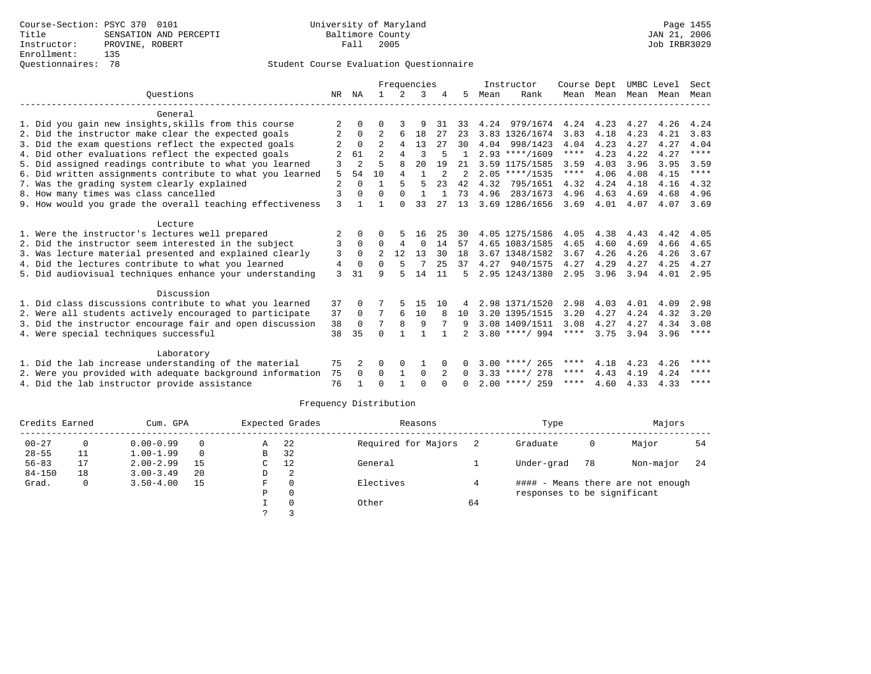# Questionnaires: 78 Student Course Evaluation Questionnaire

|                                                           |                |                |              |              | Frequencies    |                |              |      | Instructor       | Course Dept         |           | UMBC Level |      | Sect                |
|-----------------------------------------------------------|----------------|----------------|--------------|--------------|----------------|----------------|--------------|------|------------------|---------------------|-----------|------------|------|---------------------|
| Ouestions                                                 | NR.            | ΝA             |              | 2            | 3              |                | 5            | Mean | Rank             |                     | Mean Mean | Mean       | Mean | Mean                |
|                                                           |                |                |              |              |                |                |              |      |                  |                     |           |            |      |                     |
| General                                                   |                |                |              |              |                |                |              |      |                  |                     |           |            |      |                     |
| 1. Did you gain new insights, skills from this course     |                | $\Omega$       |              |              | 9              | 31             | 33           |      | 4.24 979/1674    | 4.24                | 4.23      | 4.27       | 4.26 | 4.24                |
| 2. Did the instructor make clear the expected goals       |                | $\Omega$       | 2            | 6            | 18             | 27             | 23           |      | 3.83 1326/1674   | 3.83                | 4.18      | 4.23       | 4.21 | 3.83                |
| 3. Did the exam questions reflect the expected goals      | $\overline{a}$ | $\Omega$       |              | 4            | 13             | 27             | 30           |      | 4.04 998/1423    | 4.04<br>$***$ * * * | 4.23      | 4.27       | 4.27 | 4.04<br>$* * * * *$ |
| 4. Did other evaluations reflect the expected goals       |                | 61             |              | 4            | 3              | 5              |              |      | $2.93$ ****/1609 |                     | 4.23      | 4.22       | 4.27 |                     |
| 5. Did assigned readings contribute to what you learned   | 3              | $\overline{a}$ | 5            |              | 20             | 19             | 21           |      | 3.59 1175/1585   | 3.59                | 4.03      | 3.96       | 3.95 | 3.59                |
| 6. Did written assignments contribute to what you learned | 5              | 54             | 10           | 4            | $\overline{1}$ | 2              | 2            |      | $2.05$ ****/1535 | $***$ * * *         | 4.06      | 4.08       | 4.15 | ****                |
| 7. Was the grading system clearly explained               | $\overline{2}$ | $\Omega$       | $\mathbf{1}$ | 5            | 5              | 23             | 42           | 4.32 | 795/1651         | 4.32                | 4.24      | 4.18       | 4.16 | 4.32                |
| 8. How many times was class cancelled                     | 3              | $\Omega$       | $\Omega$     | $\Omega$     | $\mathbf{1}$   | $\overline{1}$ | 73           | 4.96 | 283/1673         | 4.96                | 4.63      | 4.69       | 4.68 | 4.96                |
| 9. How would you grade the overall teaching effectiveness | $\mathbf{3}$   |                |              | $\Omega$     | 33             | 27             | 13           |      | 3.69 1286/1656   | 3.69                | 4.01      | 4.07       | 4.07 | 3.69                |
| Lecture                                                   |                |                |              |              |                |                |              |      |                  |                     |           |            |      |                     |
| 1. Were the instructor's lectures well prepared           | 2              | $\Omega$       | 0            |              | 16             | -25            | 30           |      | 4.05 1275/1586   | 4.05                | 4.38      | 4.43       | 4.42 | 4.05                |
| 2. Did the instructor seem interested in the subject      |                | $\Omega$       | $\Omega$     | 4            | $\mathbf 0$    | 14             | 57           |      | 4.65 1083/1585   | 4.65                | 4.60      | 4.69       | 4.66 | 4.65                |
| 3. Was lecture material presented and explained clearly   | 3              | $\Omega$       | 2            | 12           | 13             | 30             | 18           |      | 3.67 1348/1582   | 3.67                | 4.26      | 4.26       | 4.26 | 3.67                |
| 4. Did the lectures contribute to what you learned        | 4              | $\Omega$       | $\Omega$     | 5            |                | 25             | 37           | 4.27 | 940/1575         | 4.27                | 4.29      | 4.27       | 4.25 | 4.27                |
| 5. Did audiovisual techniques enhance your understanding  | 3              | 31             | q            |              | 14             | 11             |              |      | 2.95 1243/1380   | 2.95                | 3.96      | 3.94       | 4.01 | 2.95                |
|                                                           |                |                |              |              |                |                |              |      |                  |                     |           |            |      |                     |
| Discussion                                                |                |                |              |              |                |                |              |      |                  |                     |           |            |      |                     |
| 1. Did class discussions contribute to what you learned   | 37             |                |              |              | 15             | 10             | 4            |      | 2.98 1371/1520   | 2.98                | 4.03      | 4.01       | 4.09 | 2.98                |
| 2. Were all students actively encouraged to participate   | 37             | $\Omega$       |              | 6            | 10             | 8              | 10           |      | 3.20 1395/1515   | 3.20                | 4.27      | 4.24       | 4.32 | 3.20                |
| 3. Did the instructor encourage fair and open discussion  | 38             | $\Omega$       |              |              | 9              |                | 9            |      | 3.08 1409/1511   | 3.08                | 4.27      | 4.27       | 4.34 | 3.08                |
| 4. Were special techniques successful                     | 38             | 35             | $\cap$       | $\mathbf{1}$ |                |                |              |      | $3.80$ ****/ 994 | ****                | 3.75      | 3.94       | 3.96 | $***$ * * *         |
|                                                           |                |                |              |              |                |                |              |      |                  |                     |           |            |      |                     |
| Laboratory                                                |                |                |              |              |                |                |              |      |                  |                     |           |            |      |                     |
| 1. Did the lab increase understanding of the material     | 75             | 2              | $\Omega$     | 0            |                | $\Omega$       | 0            |      | $3.00$ ****/ 265 | ****                | 4.18      | 4.23       | 4.26 | $***$ * * *         |
| 2. Were you provided with adequate background information | 75             | $\Omega$       | $\Omega$     | $\mathbf{1}$ | $\Omega$       | 2              | $\Omega$     |      | $3.33$ ****/ 278 | ****                | 4.43      | 4.19       | 4.24 | $* * * * *$         |
| 4. Did the lab instructor provide assistance              | 76             |                | U            | $\mathbf{1}$ | $\Omega$       |                | <sup>n</sup> |      | $2.00$ ****/ 259 | ****                | 4.60      | 4.33       | 4.33 | $***$ * * *         |

| Credits Earned |              | Cum. GPA      |          |    | Expected Grades | Reasons             |    | Type                        |    | Majors                            |     |
|----------------|--------------|---------------|----------|----|-----------------|---------------------|----|-----------------------------|----|-----------------------------------|-----|
| $00 - 27$      | 0            | $0.00 - 0.99$ | 0        | Α  | -22             | Required for Majors |    | Graduate                    | 0  | Major                             | 54  |
| $28 - 55$      |              | $1.00 - 1.99$ | $\Omega$ | В  | 32              |                     |    |                             |    |                                   |     |
| $56 - 83$      | 17           | $2.00 - 2.99$ | 15       | C  | 12              | General             |    | Under-grad                  | 78 | Non-major                         | -24 |
| $84 - 150$     | 18           | $3.00 - 3.49$ | 20       | D  | 2               |                     |    |                             |    |                                   |     |
| Grad.          | $\mathbf{0}$ | $3.50 - 4.00$ | 15       | F. | $\Omega$        | Electives           |    |                             |    | #### - Means there are not enough |     |
|                |              |               |          | Ρ  | $\Omega$        |                     |    | responses to be significant |    |                                   |     |
|                |              |               |          |    | $\Omega$        | Other               | 64 |                             |    |                                   |     |
|                |              |               |          |    |                 |                     |    |                             |    |                                   |     |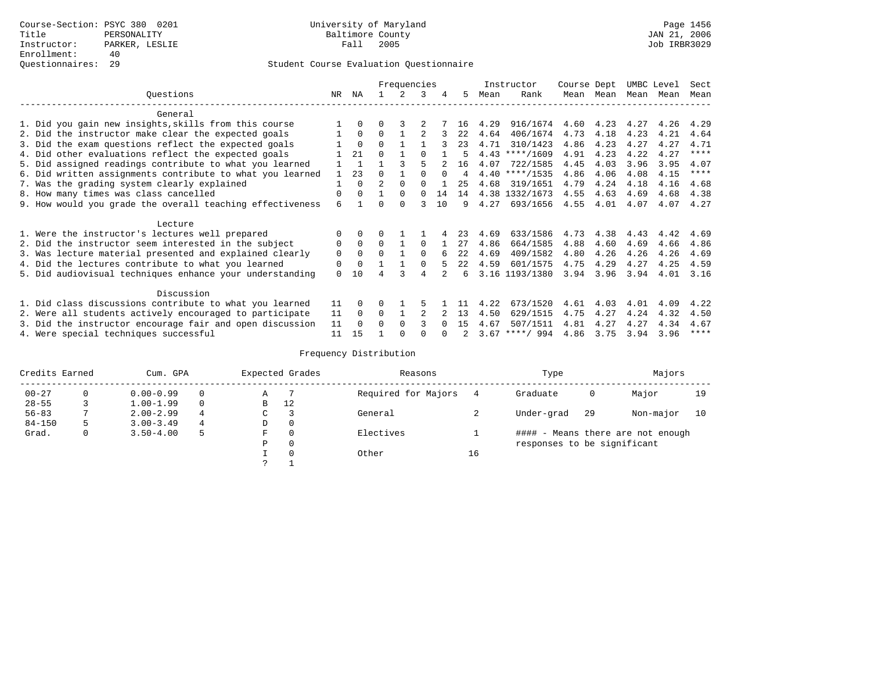|                                                           |              |              |          | Frequencies |          |          |      |      | Instructor       | Course Dept |      | UMBC Level |      | Sect        |
|-----------------------------------------------------------|--------------|--------------|----------|-------------|----------|----------|------|------|------------------|-------------|------|------------|------|-------------|
| Ouestions                                                 | NR.          | ΝA           |          |             | 3        | 4        | 5.   | Mean | Rank             | Mean        | Mean | Mean       | Mean | Mean        |
| General                                                   |              |              |          |             |          |          |      |      |                  |             |      |            |      |             |
| 1. Did you gain new insights, skills from this course     |              | $\Omega$     | O        |             |          |          | 16   | 4.29 | 916/1674         | 4.60        | 4.23 | 4.27       | 4.26 | 4.29        |
| 2. Did the instructor make clear the expected goals       |              | $\Omega$     | $\Omega$ |             |          |          | 22   | 4.64 | 406/1674         | 4.73        | 4.18 | 4.23       | 4.21 | 4.64        |
| 3. Did the exam questions reflect the expected goals      |              | $\Omega$     | $\Omega$ |             |          |          | 23   | 4.71 | 310/1423         | 4.86        | 4.23 | 4.27       | 4.27 | 4.71        |
| 4. Did other evaluations reflect the expected goals       |              | 21           | $\Omega$ |             |          |          | 5    |      | $4.43$ ****/1609 | 4.91        | 4.23 | 4.22       | 4.27 | ****        |
| 5. Did assigned readings contribute to what you learned   |              | $\mathbf{1}$ |          |             |          |          | 16   | 4.07 | 722/1585         | 4.45        | 4.03 | 3.96       | 3.95 | 4.07        |
| 6. Did written assignments contribute to what you learned | $\mathbf{1}$ | 23           | $\Omega$ |             |          | $\Omega$ | 4    |      | $4.40$ ****/1535 | 4.86        | 4.06 | 4.08       | 4.15 | $* * * * *$ |
| 7. Was the grading system clearly explained               |              | $\Omega$     |          | $\Omega$    |          |          | 25   | 4.68 | 319/1651         | 4.79        | 4.24 | 4.18       | 4.16 | 4.68        |
| 8. How many times was class cancelled                     | 0            | $\Omega$     |          | $\Omega$    | $\Omega$ | 14       | 14   |      | 4.38 1332/1673   | 4.55        | 4.63 | 4.69       | 4.68 | 4.38        |
| 9. How would you grade the overall teaching effectiveness | 6            |              | U        | $\cap$      | ς        | 10       | 9    | 4.27 | 693/1656         | 4.55        | 4.01 | 4.07       | 4.07 | 4.27        |
|                                                           |              |              |          |             |          |          |      |      |                  |             |      |            |      |             |
| Lecture                                                   |              |              |          |             |          |          |      |      |                  |             |      |            |      |             |
| 1. Were the instructor's lectures well prepared           | 0            |              |          |             |          |          | 23   | 4.69 | 633/1586         | 4.73        | 4.38 | 4.43       | 4.42 | 4.69        |
| 2. Did the instructor seem interested in the subject      | 0            | $\Omega$     | $\Omega$ |             | $\Omega$ |          | 27   | 4.86 | 664/1585         | 4.88        | 4.60 | 4.69       | 4.66 | 4.86        |
| 3. Was lecture material presented and explained clearly   | $\mathbf 0$  | $\Omega$     | $\cap$   |             | $\Omega$ |          | 22.2 | 4.69 | 409/1582         | 4.80        | 4.26 | 4.26       | 4.26 | 4.69        |
| 4. Did the lectures contribute to what you learned        | 0            | $\Omega$     |          |             | $\Omega$ |          | 22   | 4.59 | 601/1575         | 4.75        | 4.29 | 4.27       | 4.25 | 4.59        |
| 5. Did audiovisual techniques enhance your understanding  | $\Omega$     | 10           |          |             | 4        |          | 6    |      | 3.16 1193/1380   | 3.94        | 3.96 | 3.94       | 4.01 | 3.16        |
|                                                           |              |              |          |             |          |          |      |      |                  |             |      |            |      |             |
| Discussion                                                |              |              |          |             |          |          |      |      |                  |             |      |            |      |             |
| 1. Did class discussions contribute to what you learned   | 11           | $\Omega$     | U        |             |          |          |      | 4.22 | 673/1520         | 4.61        | 4.03 | 4.01       | 4.09 | 4.22        |
| 2. Were all students actively encouraged to participate   | 11           | $\Omega$     | $\Omega$ |             |          |          | 13   | 4.50 | 629/1515         | 4.75        | 4.27 | 4.24       | 4.32 | 4.50        |
| 3. Did the instructor encourage fair and open discussion  | 11           | $\Omega$     | 0        | $\Omega$    |          |          | 15   | 4.67 | 507/1511         | 4.81        | 4.27 | 4.27       | 4.34 | 4.67        |
| 4. Were special techniques successful                     | 11           | 15           |          |             |          |          |      | 3.67 | $***/994$        | 4.86        | 3.75 | 3.94       | 3.96 | ****        |

| Credits Earned |          | Cum. GPA      |   |             | Expected Grades | Reasons             |    | Type                        |     | Majors                            |    |
|----------------|----------|---------------|---|-------------|-----------------|---------------------|----|-----------------------------|-----|-----------------------------------|----|
| $00 - 27$      | $\Omega$ | $0.00 - 0.99$ |   | Α           |                 | Required for Majors | 4  | Graduate                    | 0   | Major                             | 19 |
| $28 - 55$      | 3        | $1.00 - 1.99$ |   | B           | 12              |                     |    |                             |     |                                   |    |
| $56 - 83$      |          | $2.00 - 2.99$ | 4 | $\sim$<br>◡ |                 | General             |    | Under-grad                  | -29 | Non-major                         | 10 |
| $84 - 150$     | 5        | $3.00 - 3.49$ | 4 | D           | 0               |                     |    |                             |     |                                   |    |
| Grad.          | 0        | $3.50 - 4.00$ | 5 | F           | 0               | Electives           |    |                             |     | #### - Means there are not enough |    |
|                |          |               |   | Ρ           | 0               |                     |    | responses to be significant |     |                                   |    |
|                |          |               |   |             | $\Omega$        | Other               | 16 |                             |     |                                   |    |
|                |          |               |   | C           |                 |                     |    |                             |     |                                   |    |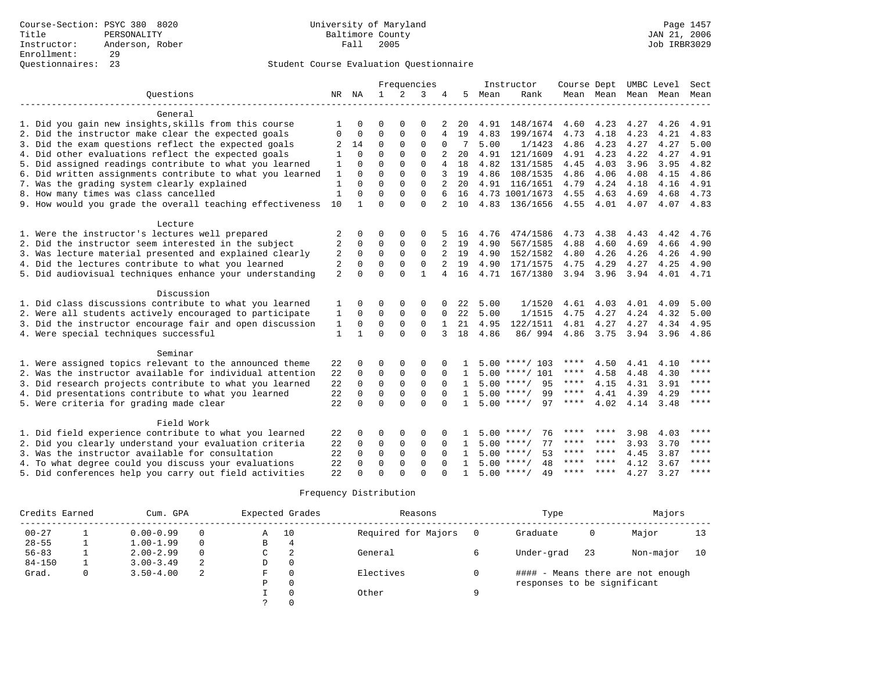|                                                                                                                     |                |                      |             | Frequencies |             |                |              |      | Instructor         | Course Dept |      | UMBC Level          |           | Sect        |
|---------------------------------------------------------------------------------------------------------------------|----------------|----------------------|-------------|-------------|-------------|----------------|--------------|------|--------------------|-------------|------|---------------------|-----------|-------------|
| Ouestions                                                                                                           |                | NR NA                | 1           | 2           | 3           | 4              | 5            | Mean | Rank               |             |      | Mean Mean Mean Mean |           | Mean        |
|                                                                                                                     |                |                      |             |             |             |                |              |      |                    |             |      |                     |           |             |
| General                                                                                                             |                |                      |             |             |             |                |              |      |                    |             |      |                     |           |             |
| 1. Did you gain new insights, skills from this course                                                               | 1              | O                    | O           | $\Omega$    | $\Omega$    | 2              | 20           | 4.91 | 148/1674           | 4.60        | 4.23 | 4.27                | 4.26      | 4.91        |
| 2. Did the instructor make clear the expected goals                                                                 | $\Omega$       | $\Omega$             | $\Omega$    | $\Omega$    | $\mathbf 0$ | 4              | 19           | 4.83 | 199/1674           | 4.73        | 4.18 | 4.23                | 4.21      | 4.83        |
| 3. Did the exam questions reflect the expected goals                                                                | 2              | 14                   | $\mathbf 0$ | $\Omega$    | $\mathbf 0$ | 0              | 7            | 5.00 | 1/1423             | 4.86        | 4.23 | 4.27                | 4.27      | 5.00        |
| 4. Did other evaluations reflect the expected goals                                                                 | 1              | $\Omega$             | $\Omega$    | $\cap$      | $\Omega$    |                | 20           | 4.91 | 121/1609           | 4.91        | 4.23 | 4.22                | 4.27      | 4.91        |
| 5. Did assigned readings contribute to what you learned                                                             | $\mathbf{1}$   | $\Omega$             | $\Omega$    | $\Omega$    | $\Omega$    | $\overline{4}$ | 18           | 4.82 | 131/1585           | 4.45        | 4.03 | 3.96                | 3.95      | 4.82        |
| 6. Did written assignments contribute to what you learned                                                           | 1              | $\Omega$             | $\Omega$    | $\Omega$    | $\Omega$    | 3              | 19           | 4.86 | 108/1535           | 4.86        | 4.06 | 4.08                | 4.15      | 4.86        |
| 7. Was the grading system clearly explained                                                                         | 1              | $\Omega$             | $\Omega$    | $\Omega$    | $\Omega$    |                | 20           |      | 4.91 116/1651      | 4.79        | 4.24 | 4.18                | 4.16      | 4.91        |
| 8. How many times was class cancelled                                                                               | $\mathbf{1}$   | $\Omega$             | $\Omega$    | 0           | $\Omega$    |                | 16           |      | 4.73 1001/1673     | 4.55        | 4.63 | 4.69                | 4.68      | 4.73        |
| 9. How would you grade the overall teaching effectiveness                                                           | 10             | $\mathbf{1}$         | $\Omega$    | $\Omega$    | $\Omega$    | 2              | 10           |      | 4.83 136/1656      | 4.55        | 4.01 | 4.07                | 4.07      | 4.83        |
|                                                                                                                     |                |                      |             |             |             |                |              |      |                    |             |      |                     |           |             |
| Lecture                                                                                                             |                |                      |             |             |             |                |              |      |                    |             |      |                     |           |             |
| 1. Were the instructor's lectures well prepared                                                                     | 2              | 0                    | 0           | $\Omega$    | $\Omega$    |                | 16           | 4.76 | 474/1586           | 4.73        | 4.38 | 4.43                | 4.42      | 4.76        |
| 2. Did the instructor seem interested in the subject                                                                | $\overline{2}$ | 0                    | 0           | 0           | $\mathbf 0$ | 2              | 19           | 4.90 | 567/1585           | 4.88        | 4.60 | 4.69                | 4.66      | 4.90        |
| 3. Was lecture material presented and explained clearly                                                             | 2              | $\mathbf 0$          | $\mathbf 0$ | $\mathbf 0$ | $\mathbf 0$ | 2              | 19           | 4.90 | 152/1582           | 4.80        | 4.26 | 4.26                | 4.26      | 4.90        |
| 4. Did the lectures contribute to what you learned                                                                  | 2              | $\Omega$             | $\Omega$    | $\Omega$    | $\Omega$    |                | 19           | 4.90 | 171/1575           | 4.75        | 4.29 | 4.27                | 4.25      | 4.90        |
| 5. Did audiovisual techniques enhance your understanding                                                            | $\overline{2}$ | $\Omega$             | $\Omega$    | $\Omega$    | 1           | 4              | 16           | 4.71 | 167/1380           | 3.94        | 3.96 | 3.94                | 4.01 4.71 |             |
|                                                                                                                     |                |                      |             |             |             |                |              |      |                    |             |      |                     |           |             |
| Discussion                                                                                                          |                |                      |             |             |             |                |              |      |                    |             |      |                     |           |             |
| 1. Did class discussions contribute to what you learned                                                             | 1              | 0                    | 0           | $\Omega$    | $\Omega$    |                | 22           | 5.00 | 1/1520             | 4.61        | 4.03 | 4.01                | 4.09      | 5.00        |
| 2. Were all students actively encouraged to participate                                                             | 1              | 0                    | 0           | $\Omega$    | $\mathbf 0$ | $\mathbf 0$    | 22           | 5.00 | 1/1515             | 4.75        | 4.27 | 4.24                | 4.32      | 5.00        |
| 3. Did the instructor encourage fair and open discussion                                                            | 1              | 0                    | 0           | $\Omega$    | $\Omega$    | 1              | 21           | 4.95 | 122/1511           | 4.81        | 4.27 | 4.27                | 4.34      | 4.95        |
| 4. Were special techniques successful                                                                               | 1              | 1                    | $\Omega$    | $\Omega$    | $\Omega$    | 3              | 18           | 4.86 | 86/ 994            | 4.86        | 3.75 | 3.94                | 3.96      | 4.86        |
|                                                                                                                     |                |                      |             |             |             |                |              |      |                    |             |      |                     |           |             |
| Seminar                                                                                                             |                | $\Omega$             | $\Omega$    | $\Omega$    | $\Omega$    |                |              |      | $5.00$ ****/ 103   | ****        | 4.50 |                     | 4.10      | ****        |
| 1. Were assigned topics relevant to the announced theme<br>2. Was the instructor available for individual attention | 22<br>22       | $\Omega$             | $\mathbf 0$ | 0           | $\mathbf 0$ | $\Omega$       | 1            |      | $5.00$ ****/ 101   | ****        | 4.58 | 4.41<br>4.48        | 4.30      | ****        |
|                                                                                                                     | 22             | $\mathbf 0$          | $\mathbf 0$ | 0           | $\mathbf 0$ | $\Omega$       | $\mathbf{1}$ |      | $5.00$ ****/<br>95 | ****        | 4.15 | 4.31                | 3.91      | $***$ * * * |
| 3. Did research projects contribute to what you learned                                                             |                |                      | $\mathbf 0$ | $\Omega$    | $\Omega$    | $\Omega$       | $\mathbf{1}$ |      | $5.00$ ****/<br>99 | $***$ * *   | 4.41 | 4.39                | 4.29      | ****        |
| 4. Did presentations contribute to what you learned                                                                 | 22             | $\Omega$<br>$\Omega$ | $\Omega$    | $\cap$      | $\Omega$    | $\cap$         | $\mathbf{1}$ |      | $5.00$ ****/<br>97 | $***$ * * * |      |                     |           | $***$ * * * |
| 5. Were criteria for grading made clear                                                                             | 22             |                      |             |             |             |                |              |      |                    |             | 4.02 | 4.14                | 3.48      |             |
| Field Work                                                                                                          |                |                      |             |             |             |                |              |      |                    |             |      |                     |           |             |
| 1. Did field experience contribute to what you learned                                                              | 22             | 0                    | 0           | $\Omega$    | $\Omega$    | <sup>0</sup>   |              |      | $5.00$ ****/<br>76 |             |      | 3.98                | 4.03      | ****        |
| 2. Did you clearly understand your evaluation criteria                                                              | 22             | $\Omega$             | $\mathbf 0$ | $\mathbf 0$ | $\mathbf 0$ | $\Omega$       | -1.          |      | $5.00$ ****/<br>77 | ****        | **** | 3.93                | 3.70      | $***$ *     |
| 3. Was the instructor available for consultation                                                                    | 22             | $\Omega$             | $\mathbf 0$ | $\mathbf 0$ | $\mathbf 0$ | $\Omega$       |              |      | $5.00$ ****/<br>53 | ****        | **** | 4.45                | 3.87      | $***$ * * * |
| 4. To what degree could you discuss your evaluations                                                                | 22             | $\Omega$             | $\Omega$    | $\Omega$    | $\Omega$    | $\Omega$       | $\mathbf{1}$ | 5.00 | $***$ /<br>48      | ****        | **** | 4.12                | 3.67      | $* * * * *$ |
| 5. Did conferences help you carry out field activities                                                              | 22             | U                    | $\Omega$    | $\cap$      | $\Omega$    |                | 1.           |      | $5.00$ ****/<br>49 | ****        | **** | 4.27                | 3.27      | $***$ * * * |
|                                                                                                                     |                |                      |             |             |             |                |              |      |                    |             |      |                     |           |             |

| Credits Earned | Cum. GPA      |          |   | Expected Grades | Reasons             |          | Type                        |    | Majors                            |    |
|----------------|---------------|----------|---|-----------------|---------------------|----------|-----------------------------|----|-----------------------------------|----|
| $00 - 27$      | $0.00 - 0.99$ |          | A | 10              | Required for Majors |          | Graduate                    | 0  | Major                             | 13 |
| $28 - 55$      | $1.00 - 1.99$ | $\Omega$ | В | 4               |                     |          |                             |    |                                   |    |
| $56 - 83$      | $2.00 - 2.99$ | $\Omega$ | C | 2               | General             |          | Under-grad                  | 23 | Non-major                         | 10 |
| $84 - 150$     | $3.00 - 3.49$ | 2        | D | $\Omega$        |                     |          |                             |    |                                   |    |
| Grad.          | $3.50 - 4.00$ | 2        | F | $\Omega$        | Electives           |          |                             |    | #### - Means there are not enough |    |
|                |               |          | Ρ | $\Omega$        |                     |          | responses to be significant |    |                                   |    |
|                |               |          |   | $\Omega$        | Other               | $\Omega$ |                             |    |                                   |    |
|                |               |          |   | $\Omega$        |                     |          |                             |    |                                   |    |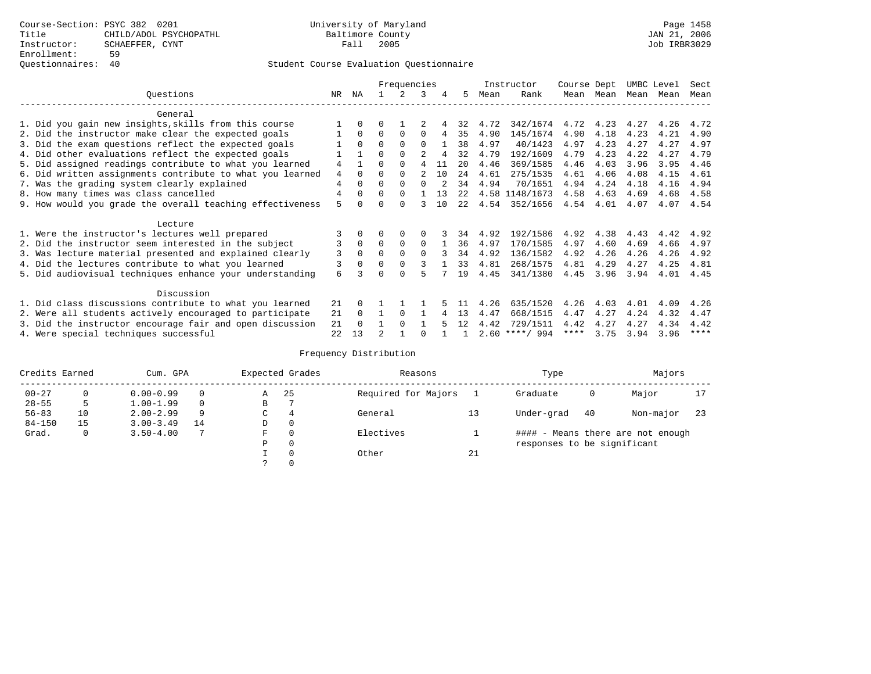|                                                           |      |             |          | Frequencies  |                |     |     |      | Instructor       | Course Dept |      | UMBC Level |      | Sect        |
|-----------------------------------------------------------|------|-------------|----------|--------------|----------------|-----|-----|------|------------------|-------------|------|------------|------|-------------|
| Ouestions                                                 | NR.  | ΝA          |          |              | 3              | 4   | 5   | Mean | Rank             | Mean        | Mean | Mean       | Mean | Mean        |
| General                                                   |      |             |          |              |                |     |     |      |                  |             |      |            |      |             |
| 1. Did you gain new insights, skills from this course     |      | 0           |          |              |                |     | 32  | 4.72 | 342/1674         | 4.72        | 4.23 | 4.27       | 4.26 | 4.72        |
| 2. Did the instructor make clear the expected goals       |      | $\Omega$    | $\Omega$ | $\Omega$     | $\Omega$       | 4   | 35  | 4.90 | 145/1674         | 4.90        | 4.18 | 4.23       | 4.21 | 4.90        |
| 3. Did the exam questions reflect the expected goals      |      | $\Omega$    | $\Omega$ | $\Omega$     | $\Omega$       |     | 38  | 4.97 | 40/1423          | 4.97        | 4.23 | 4.27       | 4.27 | 4.97        |
| 4. Did other evaluations reflect the expected goals       |      |             | 0        | $\Omega$     | 2              |     | 32  | 4.79 | 192/1609         | 4.79        | 4.23 | 4.22       | 4.27 | 4.79        |
| 5. Did assigned readings contribute to what you learned   | 4    |             | U        | $\Omega$     |                | 11  | 20  | 4.46 | 369/1585         | 4.46        | 4.03 | 3.96       | 3.95 | 4.46        |
| 6. Did written assignments contribute to what you learned | 4    | $\Omega$    | U        | <sup>0</sup> | $\mathfrak{D}$ | 1 O | 2.4 | 4.61 | 275/1535         | 4.61        | 4.06 | 4.08       | 4.15 | 4.61        |
| 7. Was the grading system clearly explained               | 4    |             | U        | <sup>0</sup> |                |     | 34  | 4.94 | 70/1651          | 4.94        | 4.24 | 4.18       | 4.16 | 4.94        |
| 8. How many times was class cancelled                     | 4    | $\Omega$    | 0        | $\Omega$     |                | 13  | 2.2 |      | 4.58 1148/1673   | 4.58        | 4.63 | 4.69       | 4.68 | 4.58        |
| 9. How would you grade the overall teaching effectiveness | 5    |             |          |              |                | 1 O | 2.2 | 4.54 | 352/1656         | 4.54        | 4.01 | 4.07       | 4.07 | 4.54        |
| Lecture                                                   |      |             |          |              |                |     |     |      |                  |             |      |            |      |             |
| 1. Were the instructor's lectures well prepared           |      |             |          |              |                |     | 34  | 4.92 | 192/1586         | 4.92        | 4.38 | 4.43       | 4.42 | 4.92        |
| 2. Did the instructor seem interested in the subject      | 3    | $\mathbf 0$ | $\Omega$ | $\Omega$     | $\Omega$       |     | 36  | 4.97 | 170/1585         | 4.97        | 4.60 | 4.69       | 4.66 | 4.97        |
| 3. Was lecture material presented and explained clearly   | 3    | $\Omega$    | 0        | $\Omega$     | $\Omega$       |     | 34  | 4.92 | 136/1582         | 4.92        | 4.26 | 4.26       | 4.26 | 4.92        |
| 4. Did the lectures contribute to what you learned        | 3    | $\Omega$    | U        | $\Omega$     | 3              |     | 33  | 4.81 | 268/1575         | 4.81        | 4.29 | 4.27       | 4.25 | 4.81        |
|                                                           | 6    |             |          |              | 5              |     | 19  | 4.45 | 341/1380         | 4.45        | 3.96 | 3.94       | 4.01 | 4.45        |
| 5. Did audiovisual techniques enhance your understanding  |      |             |          |              |                |     |     |      |                  |             |      |            |      |             |
| Discussion                                                |      |             |          |              |                |     |     |      |                  |             |      |            |      |             |
| 1. Did class discussions contribute to what you learned   | 21   | 0           |          |              |                |     |     | 4.26 | 635/1520         | 4.26        | 4.03 | 4.01       | 4.09 | 4.26        |
| 2. Were all students actively encouraged to participate   | 21   | $\Omega$    |          | $\Omega$     |                |     | 13  | 4.47 | 668/1515         | 4.47        | 4.27 | 4.24       | 4.32 | 4.47        |
| 3. Did the instructor encourage fair and open discussion  | 21   |             |          | <sup>0</sup> |                |     | 12  | 4.42 | 729/1511         | 4.42        | 4.27 | 4.27       | 4.34 | 4.42        |
| 4. Were special techniques successful                     | 2.2. | 13          |          |              |                |     |     |      | $2.60$ ****/ 994 | ****        | 3.75 | 3.94       | 3.96 | $***$ * * * |

| Credits Earned |          | Cum. GPA      |    |               | Expected Grades | Reasons             |    | Type                        |    | Majors                            |     |
|----------------|----------|---------------|----|---------------|-----------------|---------------------|----|-----------------------------|----|-----------------------------------|-----|
| $00 - 27$      | $\Omega$ | $0.00 - 0.99$ |    | Α             | 25              | Required for Majors |    | Graduate                    | 0  | Major                             | 17  |
| $28 - 55$      | 5        | $1.00 - 1.99$ |    | В             |                 |                     |    |                             |    |                                   |     |
| $56 - 83$      | 10       | $2.00 - 2.99$ | 9  | $\sim$<br>◡   | 4               | General             |    | Under-grad                  | 40 | Non-major                         | -23 |
| $84 - 150$     | 15       | $3.00 - 3.49$ | 14 | D             | 0               |                     |    |                             |    |                                   |     |
| Grad.          | 0        | $3.50 - 4.00$ |    | F             | 0               | Electives           |    |                             |    | #### - Means there are not enough |     |
|                |          |               |    | Ρ             | 0               |                     |    | responses to be significant |    |                                   |     |
|                |          |               |    |               | 0               | Other               | 21 |                             |    |                                   |     |
|                |          |               |    | $\mathcal{L}$ |                 |                     |    |                             |    |                                   |     |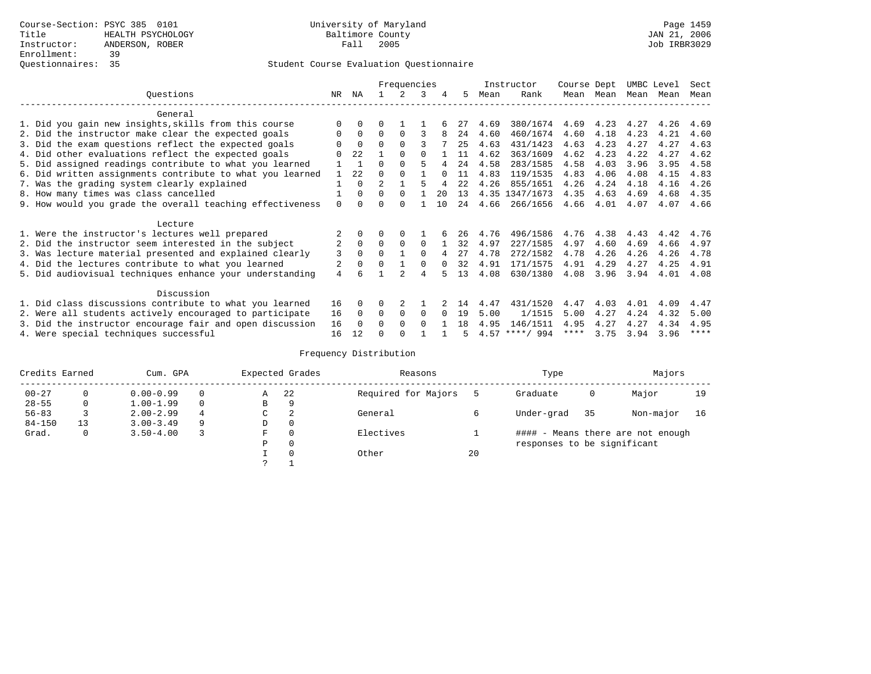|                                                           |                | Frequencies  |                |          |          |        |      | Instructor | Course Dept      |      | UMBC Level |           | Sect |      |
|-----------------------------------------------------------|----------------|--------------|----------------|----------|----------|--------|------|------------|------------------|------|------------|-----------|------|------|
| Ouestions                                                 | NR.            | ΝA           |                |          | 3        | 4      | 5.   | Mean       | Rank             |      | Mean Mean  | Mean Mean |      | Mean |
| General                                                   |                |              |                |          |          |        |      |            |                  |      |            |           |      |      |
| 1. Did you gain new insights, skills from this course     |                | $\Omega$     |                |          |          |        |      | 4.69       | 380/1674         | 4.69 | 4.23       | 4.27      | 4.26 | 4.69 |
| 2. Did the instructor make clear the expected goals       | O              | $\Omega$     | 0              | $\Omega$ |          |        | 24   | 4.60       | 460/1674         | 4.60 | 4.18       | 4.23      | 4.21 | 4.60 |
| 3. Did the exam questions reflect the expected goals      |                | $\Omega$     | $\Omega$       | $\Omega$ | ς        |        | 25   | 4.63       | 431/1423         | 4.63 | 4.23       | 4.27      | 4.27 | 4.63 |
| 4. Did other evaluations reflect the expected goals       |                | 2.2.         |                | $\Omega$ | $\cap$   |        | 11   | 4.62       | 363/1609         | 4.62 | 4.23       | 4.22      | 4.27 | 4.62 |
| 5. Did assigned readings contribute to what you learned   |                |              | $\Omega$       |          |          |        | 24   | 4.58       | 283/1585         | 4.58 | 4.03       | 3.96      | 3.95 | 4.58 |
| 6. Did written assignments contribute to what you learned |                | 22           | O              |          |          | $\cap$ | 11   | 4.83       | 119/1535         | 4.83 | 4.06       | 4.08      | 4.15 | 4.83 |
| 7. Was the grading system clearly explained               |                | $\Omega$     | $\mathfrak{D}$ |          |          |        | 2.2. | 4.26       | 855/1651         | 4.26 | 4.24       | 4.18      | 4.16 | 4.26 |
| 8. How many times was class cancelled                     |                | $\Omega$     | 0              | $\Omega$ |          | 20     | 13   |            | 4.35 1347/1673   | 4.35 | 4.63       | 4.69      | 4.68 | 4.35 |
| 9. How would you grade the overall teaching effectiveness | $\Omega$       | <sup>n</sup> |                |          |          | 10     | 24   | 4.66       | 266/1656         | 4.66 | 4.01       | 4.07      | 4.07 | 4.66 |
| Lecture                                                   |                |              |                |          |          |        |      |            |                  |      |            |           |      |      |
| 1. Were the instructor's lectures well prepared           |                |              |                | $\Omega$ |          |        | 26   | 4.76       | 496/1586         | 4.76 | 4.38       | 4.43      | 4.42 | 4.76 |
| 2. Did the instructor seem interested in the subject      | 2              | $\Omega$     | $\Omega$       | $\Omega$ | $\Omega$ |        | 32   | 4.97       | 227/1585         | 4.97 | 4.60       | 4.69      | 4.66 | 4.97 |
| 3. Was lecture material presented and explained clearly   | 3              | $\Omega$     | $\Omega$       |          | $\Omega$ |        | 27   | 4.78       | 272/1582         | 4.78 | 4.26       | 4.26      | 4.26 | 4.78 |
| 4. Did the lectures contribute to what you learned        | 2              | 0            | $\Omega$       |          | $\Omega$ |        | 32   | 4.91       | 171/1575         | 4.91 | 4.29       | 4.27      | 4.25 | 4.91 |
| 5. Did audiovisual techniques enhance your understanding  | $\overline{4}$ |              |                |          | 4        |        | 13   | 4.08       | 630/1380         | 4.08 | 3.96       | 3.94      | 4.01 | 4.08 |
| Discussion                                                |                |              |                |          |          |        |      |            |                  |      |            |           |      |      |
| 1. Did class discussions contribute to what you learned   | 16             | 0            | U              |          |          |        | 14   | 4.47       | 431/1520         | 4.47 | 4.03       | 4.01      | 4.09 | 4.47 |
| 2. Were all students actively encouraged to participate   | 16             | $\Omega$     | $\Omega$       | $\Omega$ | $\Omega$ |        | 19   | 5.00       | 1/1515           | 5.00 | 4.27       | 4.24      | 4.32 | 5.00 |
| 3. Did the instructor encourage fair and open discussion  | 16             | $\Omega$     | 0              | $\Omega$ | $\Omega$ |        | 1 R  | 4.95       | 146/1511         | 4.95 | 4.27       | 4.27      | 4.34 | 4.95 |
| 4. Were special techniques successful                     | 16             | 12           |                |          |          |        |      |            | $4.57$ ****/ 994 | **** | 3.75       | 3.94      | 3.96 | **** |

| Credits Earned |          | Cum. GPA      |   |   | Expected Grades | Reasons             |    | Type                        |    | Majors                            |    |
|----------------|----------|---------------|---|---|-----------------|---------------------|----|-----------------------------|----|-----------------------------------|----|
| $00 - 27$      | $\Omega$ | $0.00 - 0.99$ |   | Α | 22              | Required for Majors |    | Graduate                    | 0  | Major                             | 19 |
| $28 - 55$      | 0        | $1.00 - 1.99$ |   | B | 9               |                     |    |                             |    |                                   |    |
| $56 - 83$      |          | $2.00 - 2.99$ | 4 | C | 2               | General             |    | Under-grad                  | 35 | Non-major                         | 16 |
| $84 - 150$     | 13       | $3.00 - 3.49$ | 9 | D | 0               |                     |    |                             |    |                                   |    |
| Grad.          | 0        | $3.50 - 4.00$ |   | F | 0               | Electives           |    |                             |    | #### - Means there are not enough |    |
|                |          |               |   | Ρ | 0               |                     |    | responses to be significant |    |                                   |    |
|                |          |               |   |   | $\Omega$        | Other               | 20 |                             |    |                                   |    |
|                |          |               |   | っ |                 |                     |    |                             |    |                                   |    |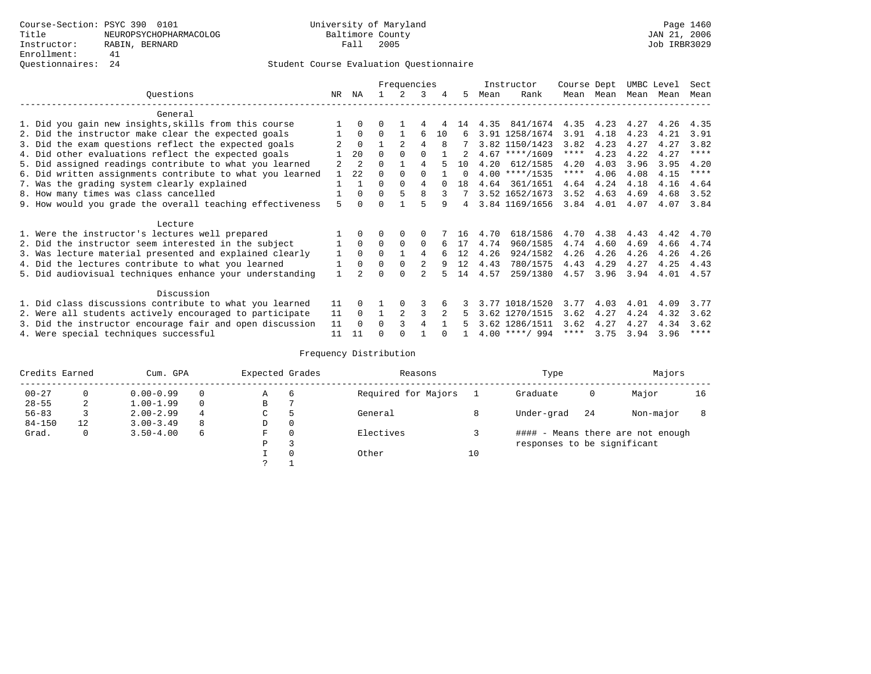|                                                           |                |                |          | Frequencies    |              |    |          |      | Instructor       | Course Dept |           | UMBC Level |           | Sect        |
|-----------------------------------------------------------|----------------|----------------|----------|----------------|--------------|----|----------|------|------------------|-------------|-----------|------------|-----------|-------------|
| Ouestions                                                 | NR             | ΝA             |          | 2.             | 3            | 4  | 5.       | Mean | Rank             |             | Mean Mean |            | Mean Mean | Mean        |
| General                                                   |                |                |          |                |              |    |          |      |                  |             |           |            |           |             |
| 1. Did you gain new insights, skills from this course     |                | $\Omega$       | O        |                | 4            |    | 14       | 4.35 | 841/1674         | 4.35        | 4.23      | 4.27       | 4.26      | 4.35        |
| 2. Did the instructor make clear the expected goals       |                | $\Omega$       | $\Omega$ |                | 6            | 10 | 6        |      | 3.91 1258/1674   | 3.91        | 4.18      | 4.23       | 4.21      | 3.91        |
| 3. Did the exam questions reflect the expected goals      |                | $\Omega$       |          | $\mathfrak{D}$ | 4            | 8  |          |      | 3.82 1150/1423   | 3.82        | 4.23      | 4.27       | 4.27      | 3.82        |
| 4. Did other evaluations reflect the expected goals       |                | 20             | $\Omega$ | $\Omega$       | O            |    |          |      | $4.67$ ****/1609 | $***$ * *   | 4.23      | 4.22       | 4.27      | $***$ * * * |
| 5. Did assigned readings contribute to what you learned   | $\overline{a}$ | $\overline{2}$ | 0        |                | 4            |    | 10       | 4.20 | 612/1585         | 4.20        | 4.03      | 3.96       | 3.95      | 4.20        |
| 6. Did written assignments contribute to what you learned |                | 2.2            | 0        | $\Omega$       | <sup>0</sup> |    | $\Omega$ |      | $4.00$ ****/1535 | $***$ * *   | 4.06      | 4.08       | 4.15      | $***$ * * * |
| 7. Was the grading system clearly explained               |                |                | 0        | $\Omega$       | 4            |    | 18       |      | 4.64 361/1651    | 4.64        | 4.24      | 4.18       | 4.16      | 4.64        |
| 8. How many times was class cancelled                     |                | $\Omega$       | $\Omega$ | 5              | 8            |    |          |      | 3.52 1652/1673   | 3.52        | 4.63      | 4.69       | 4.68      | 3.52        |
| 9. How would you grade the overall teaching effectiveness | 5              | $\cap$         |          |                |              | 9  | 4        |      | 3.84 1169/1656   | 3.84        | 4.01      | 4.07       | 4.07      | 3.84        |
| Lecture                                                   |                |                |          |                |              |    |          |      |                  |             |           |            |           |             |
| 1. Were the instructor's lectures well prepared           |                |                |          | $\Omega$       | $\Omega$     |    | 16       | 4.70 | 618/1586         | 4.70        | 4.38      | 4.43       | 4.42      | 4.70        |
| 2. Did the instructor seem interested in the subject      |                | $\Omega$       | $\Omega$ | $\Omega$       | $\Omega$     |    | 17       | 4.74 | 960/1585         | 4.74        | 4.60      | 4.69       | 4.66      | 4.74        |
| 3. Was lecture material presented and explained clearly   | 1              | $\Omega$       | $\Omega$ |                | 4            |    | 12       | 4.26 | 924/1582         | 4.26        | 4.26      | 4.26       | 4.26      | 4.26        |
| 4. Did the lectures contribute to what you learned        |                | $\Omega$       | $\Omega$ | $\Omega$       | 2            | 9  | 12       | 4.43 | 780/1575         | 4.43        | 4.29      | 4.27       | 4.25      | 4.43        |
| 5. Did audiovisual techniques enhance your understanding  |                |                |          | $\cap$         |              |    | 14       | 4.57 | 259/1380         | 4.57        | 3.96      | 3.94       | 4.01      | 4.57        |
| Discussion                                                |                |                |          |                |              |    |          |      |                  |             |           |            |           |             |
| 1. Did class discussions contribute to what you learned   | 11             | $\Omega$       |          | $\Omega$       | 3            |    |          |      | 3.77 1018/1520   | 3.77        | 4.03      | 4.01       | 4.09      | 3.77        |
| 2. Were all students actively encouraged to participate   | 11             | $\Omega$       |          | 2              | 3            |    | 5        |      | 3.62 1270/1515   | 3.62        | 4.27      | 4.24       | 4.32      | 3.62        |
| 3. Did the instructor encourage fair and open discussion  | 11             | $\Omega$       | $\Omega$ |                | 4            |    |          |      | 3.62 1286/1511   | 3.62        | 4.27      | 4.27       | 4.34      | 3.62        |
| 4. Were special techniques successful                     | 11             | 11             |          |                |              |    |          |      | $4.00$ ****/ 994 | ****        | 3.75      | 3.94       | 3.96      | $***$ * * * |

| Credits Earned |    | Cum. GPA      |          | Expected Grades |          | Reasons             |    | Type                        |     | Majors                            |    |
|----------------|----|---------------|----------|-----------------|----------|---------------------|----|-----------------------------|-----|-----------------------------------|----|
| $00 - 27$      |    | $0.00 - 0.99$ |          | Α               | 6        | Required for Majors |    | Graduate                    | 0   | Major                             | 16 |
| $28 - 55$      | 2  | $1.00 - 1.99$ | $\Omega$ | В               |          |                     |    |                             |     |                                   |    |
| $56 - 83$      |    | $2.00 - 2.99$ | 4        | C               |          | General             |    | Under-grad                  | -24 | Non-major                         |    |
| $84 - 150$     | 12 | $3.00 - 3.49$ | 8        | D               | 0        |                     |    |                             |     |                                   |    |
| Grad.          | 0  | $3.50 - 4.00$ | 6        | F               | $\Omega$ | Electives           |    |                             |     | #### - Means there are not enough |    |
|                |    |               |          | Ρ               | 3        |                     |    | responses to be significant |     |                                   |    |
|                |    |               |          |                 | $\Omega$ | Other               | 10 |                             |     |                                   |    |
|                |    |               |          |                 |          |                     |    |                             |     |                                   |    |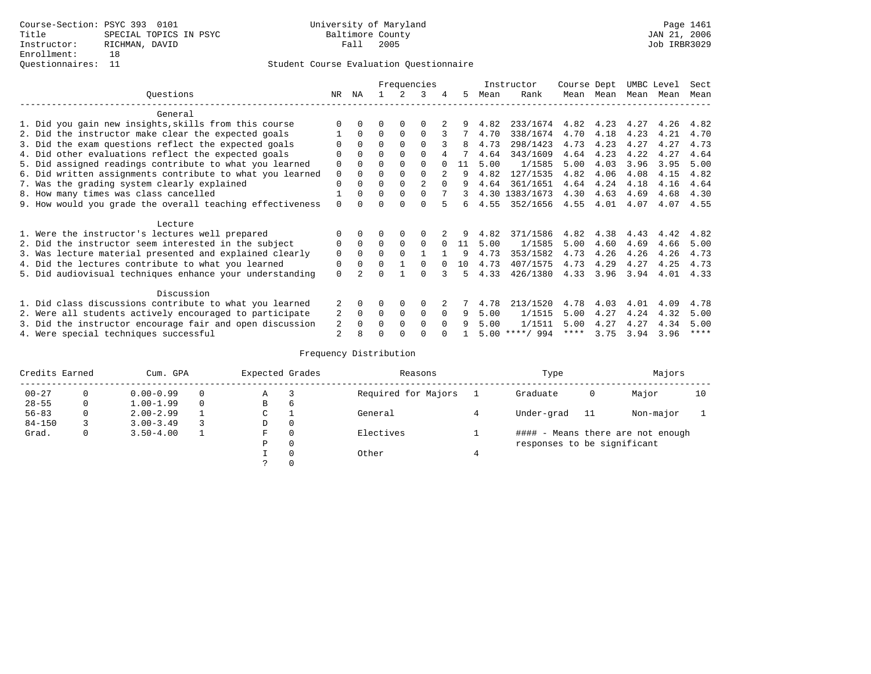|                                                           |             |              |              |          | Frequencies  |          |    |      | Instructor       | Course Dept |      | UMBC Level |      | Sect        |
|-----------------------------------------------------------|-------------|--------------|--------------|----------|--------------|----------|----|------|------------------|-------------|------|------------|------|-------------|
| Ouestions                                                 | NR.         | ΝA           |              |          | 3            | 4        | 5  | Mean | Rank             | Mean        | Mean | Mean       | Mean | Mean        |
| General                                                   |             |              |              |          |              |          |    |      |                  |             |      |            |      |             |
| 1. Did you gain new insights, skills from this course     |             | <sup>0</sup> | 0            | $\Omega$ |              |          |    | 4.82 | 233/1674         | 4.82        | 4.23 | 4.27       | 4.26 | 4.82        |
| 2. Did the instructor make clear the expected goals       |             | $\Omega$     | $\Omega$     | 0        | $\Omega$     |          | 7  | 4.70 | 338/1674         | 4.70        | 4.18 | 4.23       | 4.21 | 4.70        |
| 3. Did the exam questions reflect the expected goals      |             | $\Omega$     | $\Omega$     | $\Omega$ | $\Omega$     |          | 8  | 4.73 | 298/1423         | 4.73        | 4.23 | 4.27       | 4.27 | 4.73        |
| 4. Did other evaluations reflect the expected goals       | O           | $\Omega$     | $\Omega$     | $\Omega$ | $\Omega$     |          |    | 4.64 | 343/1609         | 4.64        | 4.23 | 4.22       | 4.27 | 4.64        |
| 5. Did assigned readings contribute to what you learned   | 0           | <sup>0</sup> | U            | $\Omega$ | 0            |          | 11 | 5.00 | 1/1585           | 5.00        | 4.03 | 3.96       | 3.95 | 5.00        |
| 6. Did written assignments contribute to what you learned | $\mathbf 0$ | $\Omega$     | U            | $\Omega$ | 0            |          | 9  | 4.82 | 127/1535         | 4.82        | 4.06 | 4.08       | 4.15 | 4.82        |
| 7. Was the grading system clearly explained               | 0           |              |              | $\Omega$ | 2            |          |    | 4.64 | 361/1651         | 4.64        | 4.24 | 4.18       | 4.16 | 4.64        |
| 8. How many times was class cancelled                     |             | 0            | <sup>0</sup> | $\Omega$ | 0            |          |    |      | 4.30 1383/1673   | 4.30        | 4.63 | 4.69       | 4.68 | 4.30        |
| 9. How would you grade the overall teaching effectiveness | $\Omega$    |              |              |          | U            |          | б. | 4.55 | 352/1656         | 4.55        | 4.01 | 4.07       | 4.07 | 4.55        |
| Lecture                                                   |             |              |              |          |              |          |    |      |                  |             |      |            |      |             |
| 1. Were the instructor's lectures well prepared           |             |              |              |          |              |          |    | 4.82 | 371/1586         | 4.82        | 4.38 | 4.43       | 4.42 | 4.82        |
| 2. Did the instructor seem interested in the subject      | 0           | $\Omega$     | $\Omega$     | $\Omega$ | $\Omega$     |          | 11 | 5.00 | 1/1585           | 5.00        | 4.60 | 4.69       | 4.66 | 5.00        |
| 3. Was lecture material presented and explained clearly   | 0           | $\Omega$     | 0            | $\Omega$ |              |          | 9  | 4.73 | 353/1582         | 4.73        | 4.26 | 4.26       | 4.26 | 4.73        |
| 4. Did the lectures contribute to what you learned        | 0           | 0            | 0            |          | <sup>n</sup> |          | 10 | 4.73 | 407/1575         | 4.73        | 4.29 | 4.27       | 4.25 | 4.73        |
| 5. Did audiovisual techniques enhance your understanding  | 0           |              |              |          |              |          | 5  | 4.33 | 426/1380         | 4.33        | 3.96 | 3.94       | 4.01 | 4.33        |
| Discussion                                                |             |              |              |          |              |          |    |      |                  |             |      |            |      |             |
| 1. Did class discussions contribute to what you learned   |             | $\Omega$     | U            | $\Omega$ | $\Omega$     |          |    | 4.78 | 213/1520         | 4.78        | 4.03 | 4.01       | 4.09 | 4.78        |
| 2. Were all students actively encouraged to participate   | 2           | $\mathbf 0$  | 0            | 0        | 0            | $\Omega$ | 9  | 5.00 | 1/1515           | 5.00        | 4.27 | 4.24       | 4.32 | 5.00        |
| 3. Did the instructor encourage fair and open discussion  | 2           |              |              | $\Omega$ | 0            | $\Omega$ | q  | 5.00 | 1/1511           | 5.00        | 4.27 | 4.27       | 4.34 | 5.00        |
| 4. Were special techniques successful                     | 2           |              |              |          |              |          |    |      | $5.00$ ****/ 994 | ****        | 3.75 | 3.94       | 3.96 | $***$ * * * |

| Credits Earned |   | Cum. GPA      | Expected Grades |   | Reasons             | Type                        |     | Majors                            |    |
|----------------|---|---------------|-----------------|---|---------------------|-----------------------------|-----|-----------------------------------|----|
| $00 - 27$      | 0 | $0.00 - 0.99$ | Α               |   | Required for Majors | Graduate                    | 0   | Major                             | 10 |
| $28 - 55$      | 0 | $1.00 - 1.99$ | В               | 6 |                     |                             |     |                                   |    |
| $56 - 83$      | 0 | $2.00 - 2.99$ | $\sim$<br>◡     |   | General             | Under-grad                  | -11 | Non-major                         |    |
| $84 - 150$     |   | $3.00 - 3.49$ | D               | 0 |                     |                             |     |                                   |    |
| Grad.          | 0 | $3.50 - 4.00$ | F               |   | Electives           |                             |     | #### - Means there are not enough |    |
|                |   |               | Ρ               | 0 |                     | responses to be significant |     |                                   |    |
|                |   |               |                 | 0 | Other               |                             |     |                                   |    |
|                |   |               | C.              |   |                     |                             |     |                                   |    |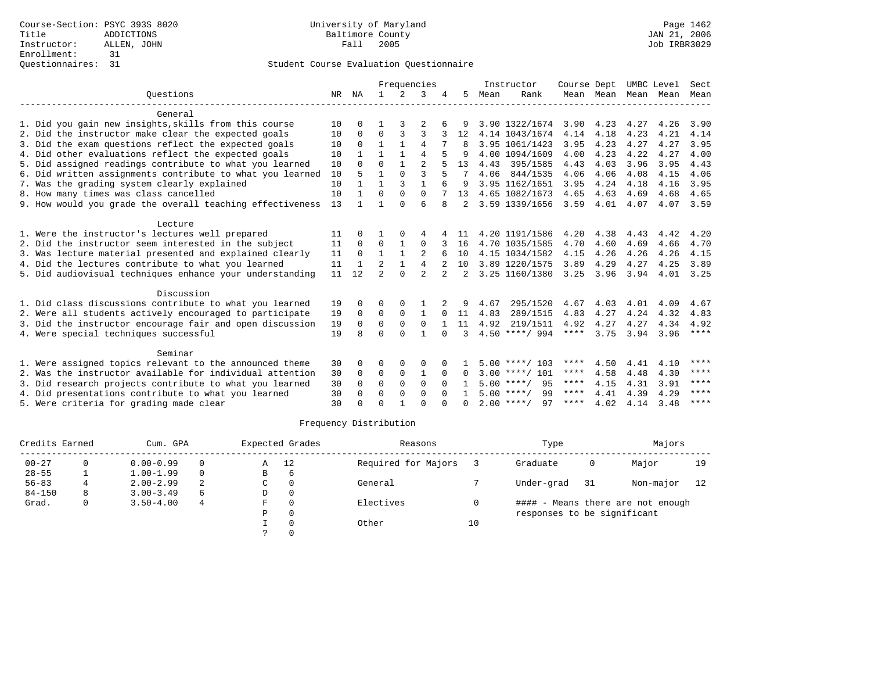|                                                           |    |              |                |               | Frequencies    |                |              |      | Instructor         | Course Dept |           | UMBC Level |      | Sect |
|-----------------------------------------------------------|----|--------------|----------------|---------------|----------------|----------------|--------------|------|--------------------|-------------|-----------|------------|------|------|
| Ouestions                                                 | NR | ΝA           | $\mathbf{1}$   | $\mathcal{L}$ | 3              |                | 5.           | Mean | Rank               |             | Mean Mean | Mean       | Mean | Mean |
| General                                                   |    |              |                |               |                |                |              |      |                    |             |           |            |      |      |
| 1. Did you gain new insights, skills from this course     | 10 | 0            |                |               |                |                |              |      | 3.90 1322/1674     | 3.90        | 4.23      | 4.27       | 4.26 | 3.90 |
| 2. Did the instructor make clear the expected goals       | 10 | $\Omega$     | $\Omega$       | 3             | 3              |                | 12           |      | 4.14 1043/1674     | 4.14        | 4.18      | 4.23       | 4.21 | 4.14 |
| 3. Did the exam questions reflect the expected goals      | 10 | $\Omega$     | 1              |               | 4              |                |              |      | 3.95 1061/1423     | 3.95        | 4.23      | 4.27       | 4.27 | 3.95 |
| 4. Did other evaluations reflect the expected goals       | 10 |              | 1              | 1             | $\overline{4}$ |                |              |      | 4.00 1094/1609     | 4.00        | 4.23      | 4.22       | 4.27 | 4.00 |
| 5. Did assigned readings contribute to what you learned   | 10 | <sup>0</sup> | $\Omega$       | $\mathbf{1}$  | $\overline{2}$ |                | 13           | 4.43 | 395/1585           | 4.43        | 4.03      | 3.96       | 3.95 | 4.43 |
| 6. Did written assignments contribute to what you learned | 10 | 5            | 1              | $\Omega$      | $\mathbf{3}$   |                |              | 4.06 | 844/1535           | 4.06        | 4.06      | 4.08       | 4.15 | 4.06 |
| 7. Was the grading system clearly explained               | 10 |              | 1              | 3             | 1              |                |              |      | 3.95 1162/1651     | 3.95        | 4.24      | 4.18       | 4.16 | 3.95 |
| 8. How many times was class cancelled                     | 10 |              | $\Omega$       | $\Omega$      | $\Omega$       |                | 13           |      | 4.65 1082/1673     | 4.65        | 4.63      | 4.69       | 4.68 | 4.65 |
| 9. How would you grade the overall teaching effectiveness | 13 |              |                | $\cap$        | 6              | 8              |              |      | 3.59 1339/1656     | 3.59        | 4.01      | 4.07       | 4.07 | 3.59 |
| Lecture                                                   |    |              |                |               |                |                |              |      |                    |             |           |            |      |      |
| 1. Were the instructor's lectures well prepared           | 11 | <sup>0</sup> |                | $\Omega$      | 4              |                | 11           |      | 4.20 1191/1586     | 4.20        | 4.38      | 4.43       | 4.42 | 4.20 |
| 2. Did the instructor seem interested in the subject      | 11 | $\Omega$     | 0              |               | $\Omega$       |                | 16           |      | 4.70 1035/1585     | 4.70        | 4.60      | 4.69       | 4.66 | 4.70 |
| 3. Was lecture material presented and explained clearly   | 11 | $\Omega$     | $\mathbf{1}$   |               | $\overline{2}$ |                | 10           |      | 4.15 1034/1582     | 4.15        | 4.26      | 4.26       | 4.26 | 4.15 |
| 4. Did the lectures contribute to what you learned        | 11 |              | $\overline{a}$ | 1             | 4              |                | 10           |      | 3.89 1220/1575     | 3.89        | 4.29      | 4.27       | 4.25 | 3.89 |
| 5. Did audiovisual techniques enhance your understanding  | 11 | 12           | $\mathfrak{D}$ | $\cap$        | $\mathfrak{D}$ | $\overline{2}$ | 2            |      | 3.25 1160/1380     | 3.25        | 3.96      | 3.94       | 4.01 | 3.25 |
| Discussion                                                |    |              |                |               |                |                |              |      |                    |             |           |            |      |      |
| 1. Did class discussions contribute to what you learned   | 19 | <sup>0</sup> | O              | $\Omega$      |                |                | 9            | 4.67 | 295/1520           | 4.67        | 4.03      | 4.01       | 4.09 | 4.67 |
| 2. Were all students actively encouraged to participate   | 19 | $\Omega$     | $\Omega$       | $\Omega$      | $\mathbf{1}$   | 0              | 11           | 4.83 | 289/1515           | 4.83        | 4.27      | 4.24       | 4.32 | 4.83 |
| 3. Did the instructor encourage fair and open discussion  | 19 | $\Omega$     | $\Omega$       | $\Omega$      | $\Omega$       |                | 11           | 4.92 | 219/1511           | 4.92        | 4.27      | 4.27       | 4.34 | 4.92 |
| 4. Were special techniques successful                     | 19 | R            | $\Omega$       | $\Omega$      | 1              | $\Omega$       | २            |      | $4.50$ ****/ 994   | ****        | 3.75      | 3.94       | 3.96 | **** |
| Seminar                                                   |    |              |                |               |                |                |              |      |                    |             |           |            |      |      |
| 1. Were assigned topics relevant to the announced theme   | 30 | 0            | 0              | 0             | $\Omega$       |                |              |      | $5.00$ ****/ 103   | ****        | 4.50      | 4.41       | 4.10 | **** |
| 2. Was the instructor available for individual attention  | 30 | 0            | $\mathbf 0$    | $\mathbf 0$   | 1              | $\Omega$       | $\Omega$     |      | $3.00$ ****/ 101   | $***$ * * * | 4.58      | 4.48       | 4.30 | **** |
| 3. Did research projects contribute to what you learned   | 30 | $\Omega$     | $\Omega$       | $\Omega$      | $\Omega$       | $\Omega$       |              |      | 95<br>$5.00$ ****/ | ****        | 4.15      | 4.31       | 3.91 | **** |
| 4. Did presentations contribute to what you learned       | 30 | 0            | $\Omega$       | $\Omega$      | $\Omega$       | $\Omega$       |              |      | 99<br>$5.00$ ****/ | ****        | 4.41      | 4.39       | 4.29 | **** |
| 5. Were criteria for grading made clear                   | 30 |              | $\Omega$       |               | $\Omega$       |                | <sup>n</sup> |      | $2.00$ ****/<br>97 | ****        | 4.02      | 4.14       | 3.48 | **** |

| Credits Earned |    | Cum. GPA      |          |   | Expected Grades | Reasons             |    | Type                        |     | Majors                            |    |
|----------------|----|---------------|----------|---|-----------------|---------------------|----|-----------------------------|-----|-----------------------------------|----|
| $00 - 27$      |    | $0.00 - 0.99$ | $\Omega$ | Α | 12              | Required for Majors |    | Graduate                    | 0   | Major                             | 19 |
| $28 - 55$      |    | $1.00 - 1.99$ | $\Omega$ | В | 6               |                     |    |                             |     |                                   |    |
| $56 - 83$      |    | $2.00 - 2.99$ | 2        | C |                 | General             |    | Under-grad                  | -31 | Non-major                         | 12 |
| $84 - 150$     | 8. | $3.00 - 3.49$ | 6        | D |                 |                     |    |                             |     |                                   |    |
| Grad.          | 0  | $3.50 - 4.00$ | 4        | F |                 | Electives           |    |                             |     | #### - Means there are not enough |    |
|                |    |               |          | D |                 |                     |    | responses to be significant |     |                                   |    |
|                |    |               |          |   |                 | Other               | 10 |                             |     |                                   |    |
|                |    |               |          |   |                 |                     |    |                             |     |                                   |    |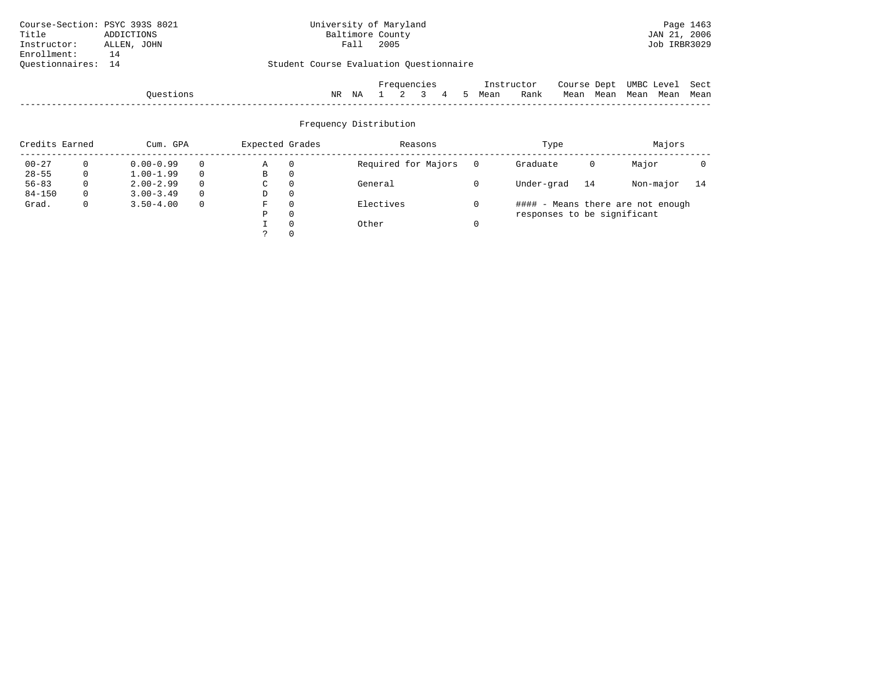| Course-Section: PSYC 393S 8021 |             |           |                                         | University of Maryland |                  |      |             |   |   |      |            |                             |      |      |              | Page 1463 |
|--------------------------------|-------------|-----------|-----------------------------------------|------------------------|------------------|------|-------------|---|---|------|------------|-----------------------------|------|------|--------------|-----------|
| Title                          | ADDICTIONS  |           |                                         |                        | Baltimore County |      |             |   |   |      |            |                             |      |      | JAN 21, 2006 |           |
| Instructor:                    | ALLEN, JOHN |           |                                         |                        | Fall             | 2005 |             |   |   |      |            |                             |      |      | Job IRBR3029 |           |
| Enrollment:                    | 14          |           |                                         |                        |                  |      |             |   |   |      |            |                             |      |      |              |           |
| Ouestionnaires:                | 14          |           | Student Course Evaluation Questionnaire |                        |                  |      |             |   |   |      |            |                             |      |      |              |           |
|                                |             |           |                                         |                        |                  |      | Frequencies |   |   |      | Instructor | Course Dept UMBC Level Sect |      |      |              |           |
|                                |             | Ouestions |                                         | NR                     | ΝA               |      |             | 4 | 5 | Mean | Rank       | Mean                        | Mean | Mean |              | Mean Mean |
|                                |             |           |                                         |                        |                  |      |             |   |   |      |            |                             |      |      |              |           |

| Credits Earned |          | Cum. GPA      |          | Expected Grades |          | Reasons             |   | Type                        |    | Majors                            |      |
|----------------|----------|---------------|----------|-----------------|----------|---------------------|---|-----------------------------|----|-----------------------------------|------|
| $00 - 27$      | $\Omega$ | $0.00 - 0.99$ |          | Α               | $\Omega$ | Required for Majors |   | Graduate                    | 0  | Major                             |      |
| $28 - 55$      | 0        | $1.00 - 1.99$ | $\Omega$ | B               | 0        |                     |   |                             |    |                                   |      |
| $56 - 83$      | 0        | $2.00 - 2.99$ |          | C               | 0        | General             |   | Under-grad                  | 14 | Non-major                         | - 14 |
| $84 - 150$     | 0        | $3.00 - 3.49$ |          | D               | 0        |                     |   |                             |    |                                   |      |
| Grad.          | 0        | $3.50 - 4.00$ | $\Omega$ | F               | 0        | Electives           | 0 |                             |    | #### - Means there are not enough |      |
|                |          |               |          | Р               | 0        |                     |   | responses to be significant |    |                                   |      |
|                |          |               |          |                 | $\Omega$ | Other               |   |                             |    |                                   |      |
|                |          |               |          |                 |          |                     |   |                             |    |                                   |      |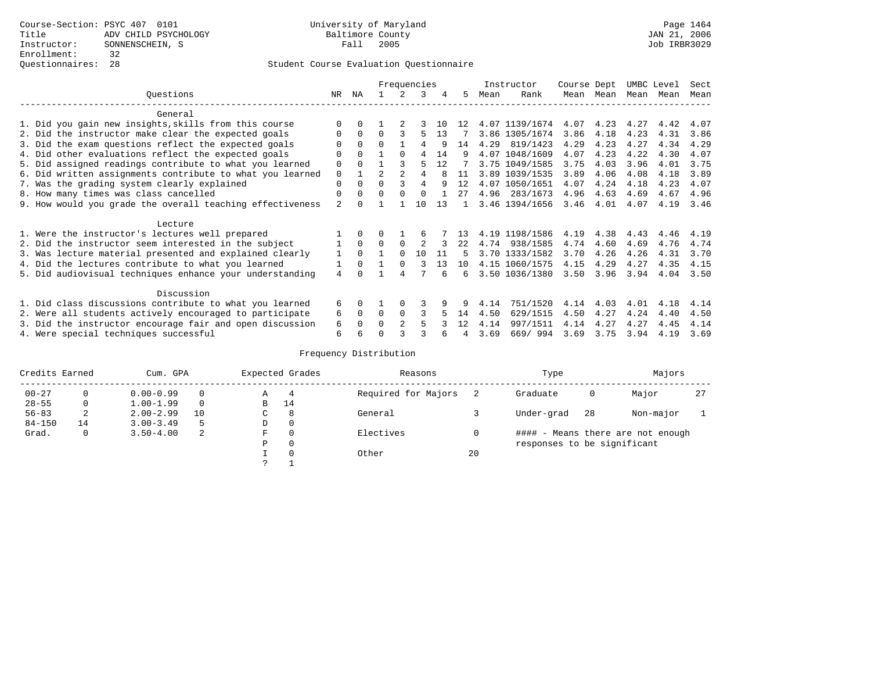|                                                           |             |          |               |          | Frequencies    |    |    |      | Instructor     | Course Dept |           | UMBC Level |      | Sect |
|-----------------------------------------------------------|-------------|----------|---------------|----------|----------------|----|----|------|----------------|-------------|-----------|------------|------|------|
| Ouestions                                                 | NR.         | ΝA       |               |          | ર              |    | 5. | Mean | Rank           |             | Mean Mean | Mean       | Mean | Mean |
| General                                                   |             |          |               |          |                |    |    |      |                |             |           |            |      |      |
| 1. Did you gain new insights, skills from this course     |             |          |               |          |                | 10 | 12 |      | 4.07 1139/1674 | 4.07        | 4.23      | 4.27       | 4.42 | 4.07 |
| 2. Did the instructor make clear the expected goals       | O           | $\Omega$ | $\Omega$      |          |                | 13 |    |      | 3.86 1305/1674 | 3.86        | 4.18      | 4.23       | 4.31 | 3.86 |
| 3. Did the exam questions reflect the expected goals      | O           | $\Omega$ | $\Omega$      |          |                | 9  | 14 | 4.29 | 819/1423       | 4.29        | 4.23      | 4.27       | 4.34 | 4.29 |
| 4. Did other evaluations reflect the expected goals       | O           | $\Omega$ |               | $\Omega$ | 4              | 14 | 9  |      | 4.07 1048/1609 | 4.07        | 4.23      | 4.22       | 4.30 | 4.07 |
| 5. Did assigned readings contribute to what you learned   | $\mathbf 0$ | $\Omega$ |               |          |                | 12 |    |      | 3.75 1049/1585 | 3.75        | 4.03      | 3.96       | 4.01 | 3.75 |
| 6. Did written assignments contribute to what you learned | $\Omega$    |          | $\mathcal{D}$ |          |                | 8  | 11 |      | 3.89 1039/1535 | 3.89        | 4.06      | 4.08       | 4.18 | 3.89 |
| 7. Was the grading system clearly explained               | $\Omega$    | $\Omega$ | $\cap$        |          | 4              | q  | 12 |      | 4.07 1050/1651 | 4.07        | 4.24      | 4.18       | 4.23 | 4.07 |
| 8. How many times was class cancelled                     | 0           | $\Omega$ | $\Omega$      | $\Omega$ | $\cap$         |    | 27 | 4.96 | 283/1673       | 4.96        | 4.63      | 4.69       | 4.67 | 4.96 |
| 9. How would you grade the overall teaching effectiveness | 2           |          |               |          | 10             | 13 |    |      | 3.46 1394/1656 | 3.46        | 4.01      | 4.07       | 4.19 | 3.46 |
| Lecture                                                   |             |          |               |          |                |    |    |      |                |             |           |            |      |      |
| 1. Were the instructor's lectures well prepared           |             |          |               |          | 6              |    | 13 |      | 4.19 1198/1586 | 4.19        | 4.38      | 4.43       | 4.46 | 4.19 |
| 2. Did the instructor seem interested in the subject      |             | $\Omega$ | $\Omega$      | $\Omega$ | $\mathfrak{D}$ |    | 22 | 4.74 | 938/1585       | 4.74        | 4.60      | 4.69       | 4.76 | 4.74 |
| 3. Was lecture material presented and explained clearly   | 1           | $\Omega$ |               | $\Omega$ | 10             | 11 | 5. |      | 3.70 1333/1582 | 3.70        | 4.26      | 4.26       | 4.31 | 3.70 |
| 4. Did the lectures contribute to what you learned        |             | $\Omega$ |               | $\Omega$ |                | 13 | 10 |      | 4.15 1060/1575 | 4.15        | 4.29      | 4.27       | 4.35 | 4.15 |
| 5. Did audiovisual techniques enhance your understanding  | 4           |          |               |          |                |    | б. |      | 3.50 1036/1380 | 3.50        | 3.96      | 3.94       | 4.04 | 3.50 |
| Discussion                                                |             |          |               |          |                |    |    |      |                |             |           |            |      |      |
| 1. Did class discussions contribute to what you learned   | 6           | 0        |               |          |                |    |    | 4.14 | 751/1520       | 4.14        | 4.03      | 4.01       | 4.18 | 4.14 |
| 2. Were all students actively encouraged to participate   | 6           | $\Omega$ | $\Omega$      | $\Omega$ |                |    | 14 | 4.50 | 629/1515       | 4.50        | 4.27      | 4.24       | 4.40 | 4.50 |
| 3. Did the instructor encourage fair and open discussion  | 6           | $\Omega$ | 0             |          |                |    | 12 | 4.14 | 997/1511       | 4.14        | 4.27      | 4.27       | 4.45 | 4.14 |
| 4. Were special techniques successful                     | 6           |          |               |          |                |    |    | 3.69 | 669/994        | 3.69        | 3.75      | 3.94       | 4.19 | 3.69 |

| Credits Earned |          | Cum. GPA      |    |             | Expected Grades | Reasons             |    | Type                        |     | Majors                            |    |
|----------------|----------|---------------|----|-------------|-----------------|---------------------|----|-----------------------------|-----|-----------------------------------|----|
| $00 - 27$      | $\Omega$ | $0.00 - 0.99$ |    | Α           | 4               | Required for Majors |    | Graduate                    | 0   | Major                             | 27 |
| $28 - 55$      | 0        | $1.00 - 1.99$ |    | B           | 14              |                     |    |                             |     |                                   |    |
| $56 - 83$      | 2        | $2.00 - 2.99$ | 10 | $\sim$<br>◡ | 8               | General             |    | Under-grad                  | -28 | Non-major                         |    |
| $84 - 150$     | 14       | $3.00 - 3.49$ | .5 | D           | 0               |                     |    |                             |     |                                   |    |
| Grad.          | 0        | $3.50 - 4.00$ | 2  | F           | 0               | Electives           | 0  |                             |     | #### - Means there are not enough |    |
|                |          |               |    | Ρ           | 0               |                     |    | responses to be significant |     |                                   |    |
|                |          |               |    |             | $\Omega$        | Other               | 20 |                             |     |                                   |    |
|                |          |               |    | C           |                 |                     |    |                             |     |                                   |    |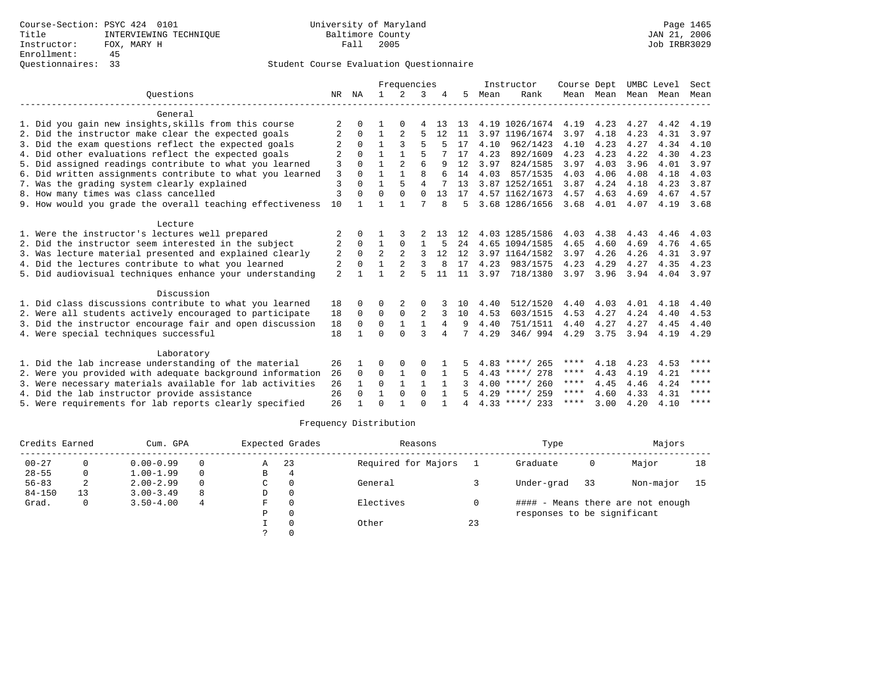|                                                           |                |             |                | Frequencies    |                |                |    |      | Instructor       | Course Dept |           | UMBC Level |      | Sect |
|-----------------------------------------------------------|----------------|-------------|----------------|----------------|----------------|----------------|----|------|------------------|-------------|-----------|------------|------|------|
| Ouestions                                                 | NR             | ΝA          | $\mathbf{1}$   | $\mathfrak{D}$ | 3              |                | 5  | Mean | Rank             |             | Mean Mean | Mean       | Mean | Mean |
| General                                                   |                |             |                |                |                |                |    |      |                  |             |           |            |      |      |
| 1. Did you gain new insights, skills from this course     | 2              | 0           |                | O              | 4              | 13             | 13 |      | 4.19 1026/1674   | 4.19        | 4.23      | 4.27       | 4.42 | 4.19 |
| 2. Did the instructor make clear the expected goals       |                | $\Omega$    | $\mathbf{1}$   | $\overline{2}$ | 5              | 12             | 11 |      | 3.97 1196/1674   | 3.97        | 4.18      | 4.23       | 4.31 | 3.97 |
| 3. Did the exam questions reflect the expected goals      |                | $\Omega$    |                |                | 5              |                | 17 | 4.10 | 962/1423         | 4.10        | 4.23      | 4.27       | 4.34 | 4.10 |
| 4. Did other evaluations reflect the expected goals       |                | $\Omega$    | $\mathbf{1}$   | 1              | 5              |                | 17 | 4.23 | 892/1609         | 4.23        | 4.23      | 4.22       | 4.30 | 4.23 |
| 5. Did assigned readings contribute to what you learned   | 3              | $\Omega$    |                | 2              | 6              | q              | 12 | 3.97 | 824/1585         | 3.97        | 4.03      | 3.96       | 4.01 | 3.97 |
| 6. Did written assignments contribute to what you learned | 3              | $\Omega$    | $\mathbf{1}$   | $\mathbf{1}$   | $\mathsf{R}$   |                | 14 | 4.03 | 857/1535         | 4.03        | 4.06      | 4.08       | 4.18 | 4.03 |
| 7. Was the grading system clearly explained               | 3              | $\Omega$    |                | 5              | $\overline{4}$ |                | 13 |      | 3.87 1252/1651   | 3.87        | 4.24      | 4.18       | 4.23 | 3.87 |
| 8. How many times was class cancelled                     | 3              | $\Omega$    | $\Omega$       | $\Omega$       | $\Omega$       | 13             | 17 |      | 4.57 1162/1673   | 4.57        | 4.63      | 4.69       | 4.67 | 4.57 |
| 9. How would you grade the overall teaching effectiveness | 10             |             |                |                |                | 8              | 5  |      | 3.68 1286/1656   | 3.68        | 4.01      | 4.07       | 4.19 | 3.68 |
| Lecture                                                   |                |             |                |                |                |                |    |      |                  |             |           |            |      |      |
| 1. Were the instructor's lectures well prepared           | 2              | $\Omega$    |                |                |                | 13             | 12 |      | 4.03 1285/1586   | 4.03        | 4.38      | 4.43       | 4.46 | 4.03 |
| 2. Did the instructor seem interested in the subject      | 2              | $\Omega$    | $\mathbf{1}$   | $\Omega$       |                |                | 24 |      | 4.65 1094/1585   | 4.65        | 4.60      | 4.69       | 4.76 | 4.65 |
| 3. Was lecture material presented and explained clearly   | 2              | $\Omega$    | $\overline{a}$ | $\mathfrak{D}$ | 3              | 12             | 12 |      | 3.97 1164/1582   | 3.97        | 4.26      | 4.26       | 4.31 | 3.97 |
| 4. Did the lectures contribute to what you learned        | 2              | $\Omega$    |                |                | 3              | 8              | 17 | 4.23 | 983/1575         | 4.23        | 4.29      | 4.27       | 4.35 | 4.23 |
| 5. Did audiovisual techniques enhance your understanding  | $\overline{a}$ |             |                |                |                | 11             | 11 | 3.97 | 718/1380         | 3.97        | 3.96      | 3.94       | 4.04 | 3.97 |
| Discussion                                                |                |             |                |                |                |                |    |      |                  |             |           |            |      |      |
| 1. Did class discussions contribute to what you learned   | 18             | $\Omega$    | 0              | 2              |                |                | 10 | 4.40 | 512/1520         | 4.40        | 4.03      | 4.01       | 4.18 | 4.40 |
| 2. Were all students actively encouraged to participate   | 18             | $\Omega$    | $\Omega$       | $\Omega$       | 2              | 3              | 10 | 4.53 | 603/1515         | 4.53        | 4.27      | 4.24       | 4.40 | 4.53 |
| 3. Did the instructor encourage fair and open discussion  | 18             | $\mathbf 0$ | 0              | $\mathbf{1}$   | $\mathbf{1}$   | $\overline{4}$ | 9  | 4.40 | 751/1511         | 4.40        | 4.27      | 4.27       | 4.45 | 4.40 |
| 4. Were special techniques successful                     | 18             | 1           | $\Omega$       | $\cap$         | 3              | 4              | 7  | 4.29 | 346/994          | 4.29        | 3.75      | 3.94       | 4.19 | 4.29 |
| Laboratory                                                |                |             |                |                |                |                |    |      |                  |             |           |            |      |      |
| 1. Did the lab increase understanding of the material     | 26             |             | O              | $\Omega$       | 0              |                |    |      | $4.83$ ****/ 265 | ****        | 4.18      | 4.23       | 4.53 | **** |
| 2. Were you provided with adequate background information | 26             | $\Omega$    | $\Omega$       | 1              | 0              | 1              |    |      | $4.43$ ****/ 278 | ****        | 4.43      | 4.19       | 4.21 | **** |
| 3. Were necessary materials available for lab activities  | 26             |             | $\Omega$       | $\mathbf{1}$   | $\mathbf{1}$   |                |    |      | $4.00$ ****/ 260 | ****        | 4.45      | 4.46       | 4.24 | **** |
| 4. Did the lab instructor provide assistance              | 26             | $\Omega$    | $\mathbf{1}$   | $\Omega$       | $\Omega$       | $\mathbf{1}$   |    |      | $4.29$ ****/ 259 | ****        | 4.60      | 4.33       | 4.31 | **** |
| 5. Were requirements for lab reports clearly specified    | 26             |             | $\Omega$       |                | $\cap$         |                |    |      | $4.33$ ****/ 233 | ****        | 3.00      | 4.20       | 4.10 | **** |

| Credits Earned |    | Cum. GPA      |          | Expected Grades |     | Reasons             |    | Type                        |    | Majors                            |    |
|----------------|----|---------------|----------|-----------------|-----|---------------------|----|-----------------------------|----|-----------------------------------|----|
| $00 - 27$      |    | $0.00 - 0.99$ | $\Omega$ | Α               | -23 | Required for Majors |    | Graduate                    | 0  | Major                             | 18 |
| $28 - 55$      | 0  | $1.00 - 1.99$ | $\Omega$ | В               |     |                     |    |                             |    |                                   |    |
| $56 - 83$      | 2  | $2.00 - 2.99$ | $\Omega$ | C               |     | General             |    | Under-grad                  | 33 | Non-major                         | 15 |
| $84 - 150$     | 13 | $3.00 - 3.49$ | 8        | D               |     |                     |    |                             |    |                                   |    |
| Grad.          | 0  | $3.50 - 4.00$ | 4        | F               |     | Electives           |    |                             |    | #### - Means there are not enough |    |
|                |    |               |          | P               |     |                     |    | responses to be significant |    |                                   |    |
|                |    |               |          |                 |     | Other               | 23 |                             |    |                                   |    |
|                |    |               |          |                 |     |                     |    |                             |    |                                   |    |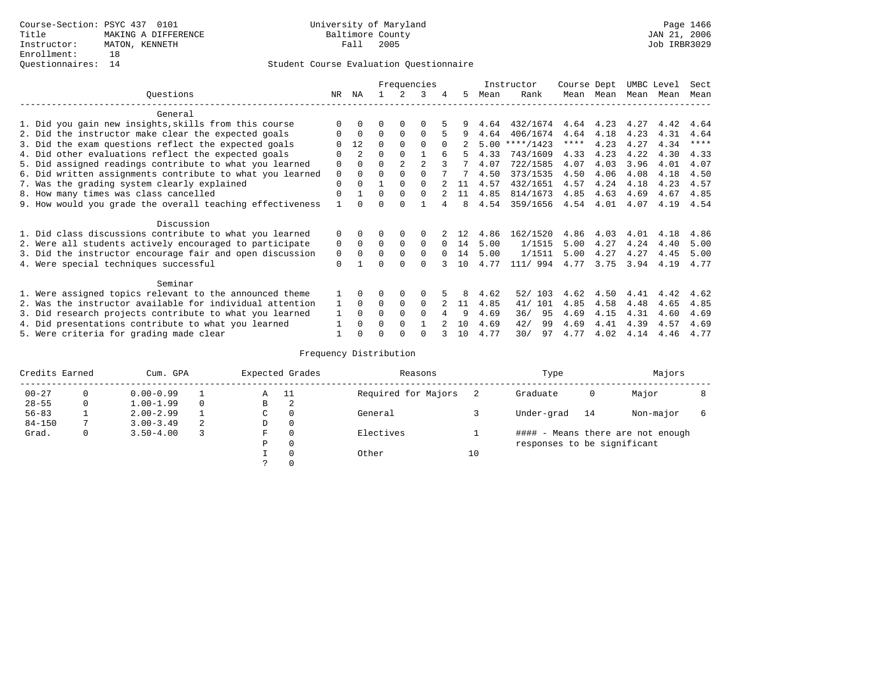|                                                           |             |             |          |             | Frequencies |          |     |      | Instructor | Course Dept |      | UMBC Level |      | Sect        |
|-----------------------------------------------------------|-------------|-------------|----------|-------------|-------------|----------|-----|------|------------|-------------|------|------------|------|-------------|
| Ouestions                                                 | NR.         | ΝA          |          |             | 3           | 4        | 5.  | Mean | Rank       | Mean        | Mean | Mean Mean  |      | Mean        |
| General                                                   |             |             |          |             |             |          |     |      |            |             |      |            |      |             |
| 1. Did you gain new insights, skills from this course     |             |             |          |             |             |          |     | 4.64 | 432/1674   | 4.64        | 4.23 | 4.27       | 4.42 | 4.64        |
| 2. Did the instructor make clear the expected goals       |             | $\Omega$    | $\Omega$ | $\Omega$    | $\Omega$    |          |     | 4.64 | 406/1674   | 4.64        | 4.18 | 4.23       | 4.31 | 4.64        |
| 3. Did the exam questions reflect the expected goals      |             | 12          | $\Omega$ | $\Omega$    | $\Omega$    | $\Omega$ |     | 5.00 | ****/1423  | ****        | 4.23 | 4.27       | 4.34 | $***$ * * * |
| 4. Did other evaluations reflect the expected goals       | $\Omega$    | 2           | $\Omega$ | $\Omega$    |             |          |     | 4.33 | 743/1609   | 4.33        | 4.23 | 4.22       | 4.30 | 4.33        |
| 5. Did assigned readings contribute to what you learned   | $\mathbf 0$ | $\Omega$    | $\Omega$ |             |             |          |     | 4.07 | 722/1585   | 4.07        | 4.03 | 3.96       | 4.01 | 4.07        |
| 6. Did written assignments contribute to what you learned | 0           | $\Omega$    | 0        | $\Omega$    |             |          |     | 4.50 | 373/1535   | 4.50        | 4.06 | 4.08       | 4.18 | 4.50        |
| 7. Was the grading system clearly explained               | $\Omega$    | $\Omega$    |          | $\Omega$    | $\Omega$    |          | 11  | 4.57 | 432/1651   | 4.57        | 4.24 | 4.18       | 4.23 | 4.57        |
| 8. How many times was class cancelled                     | $\Omega$    |             | $\Omega$ | $\Omega$    | $\cap$      |          | 11  | 4.85 | 814/1673   | 4.85        | 4.63 | 4.69       | 4.67 | 4.85        |
| 9. How would you grade the overall teaching effectiveness |             | $\Omega$    | U        | $\cap$      |             |          | 8   | 4.54 | 359/1656   | 4.54        | 4.01 | 4.07       | 4.19 | 4.54        |
| Discussion                                                |             |             |          |             |             |          |     |      |            |             |      |            |      |             |
| 1. Did class discussions contribute to what you learned   | 0           |             |          |             |             |          | 12  | 4.86 | 162/1520   | 4.86        | 4.03 | 4.01       | 4.18 | 4.86        |
| 2. Were all students actively encouraged to participate   | 0           | $\mathbf 0$ | $\Omega$ | $\Omega$    | $\Omega$    | $\Omega$ | 14  | 5.00 | 1/1515     | 5.00        | 4.27 | 4.24       | 4.40 | 5.00        |
| 3. Did the instructor encourage fair and open discussion  | 0           | $\Omega$    |          | $\Omega$    | $\Omega$    |          | 14  | 5.00 | 1/1511     | 5.00        | 4.27 | 4.27       | 4.45 | 5.00        |
| 4. Were special techniques successful                     | $\Omega$    |             | ∩        | $\cap$      | $\cap$      |          | 1 O | 4.77 | 111/ 994   | 4.77        | 3.75 | 3.94       | 4.19 | 4.77        |
| Seminar                                                   |             |             |          |             |             |          |     |      |            |             |      |            |      |             |
| 1. Were assigned topics relevant to the announced theme   |             | $\Omega$    |          | $\Omega$    | $\Omega$    |          | 8   | 4.62 | 103<br>52/ | 4.62        | 4.50 | 4.41       | 4.42 | 4.62        |
| 2. Was the instructor available for individual attention  | 1           | $\Omega$    | $\Omega$ | $\mathbf 0$ | $\Omega$    |          | 11  | 4.85 | 101<br>41/ | 4.85        | 4.58 | 4.48       | 4.65 | 4.85        |
| 3. Did research projects contribute to what you learned   |             | $\Omega$    | O        | $\Omega$    | $\Omega$    |          | 9   | 4.69 | 95<br>36/  | 4.69        | 4.15 | 4.31       | 4.60 | 4.69        |
| 4. Did presentations contribute to what you learned       |             |             |          | $\Omega$    |             |          | 10  | 4.69 | 42/<br>99  | 4.69        | 4.41 | 4.39       | 4.57 | 4.69        |
| 5. Were criteria for grading made clear                   |             |             |          | ∩           |             |          | 10  | 4.77 | 30/<br>97  | 4.77        | 4.02 | 4.14       | 4.46 | 4.77        |

| Credits Earned |   | Cum. GPA      |   |               | Expected Grades | Reasons             |    | Type                        |    | Majors                            |  |
|----------------|---|---------------|---|---------------|-----------------|---------------------|----|-----------------------------|----|-----------------------------------|--|
| $00 - 27$      | 0 | $0.00 - 0.99$ |   | Α             | - 11            | Required for Majors |    | Graduate                    | 0  | Major                             |  |
| $28 - 55$      | 0 | $1.00 - 1.99$ |   | В             | 2               |                     |    |                             |    |                                   |  |
| $56 - 83$      |   | $2.00 - 2.99$ |   | $\sim$<br>◡   | 0               | General             |    | Under-grad                  | 14 | Non-major                         |  |
| $84 - 150$     |   | $3.00 - 3.49$ | 2 | D             | 0               |                     |    |                             |    |                                   |  |
| Grad.          | 0 | $3.50 - 4.00$ |   | F             | 0               | Electives           |    |                             |    | #### - Means there are not enough |  |
|                |   |               |   | Ρ             | 0               |                     |    | responses to be significant |    |                                   |  |
|                |   |               |   |               | $\Omega$        | Other               | 10 |                             |    |                                   |  |
|                |   |               |   | $\mathcal{L}$ |                 |                     |    |                             |    |                                   |  |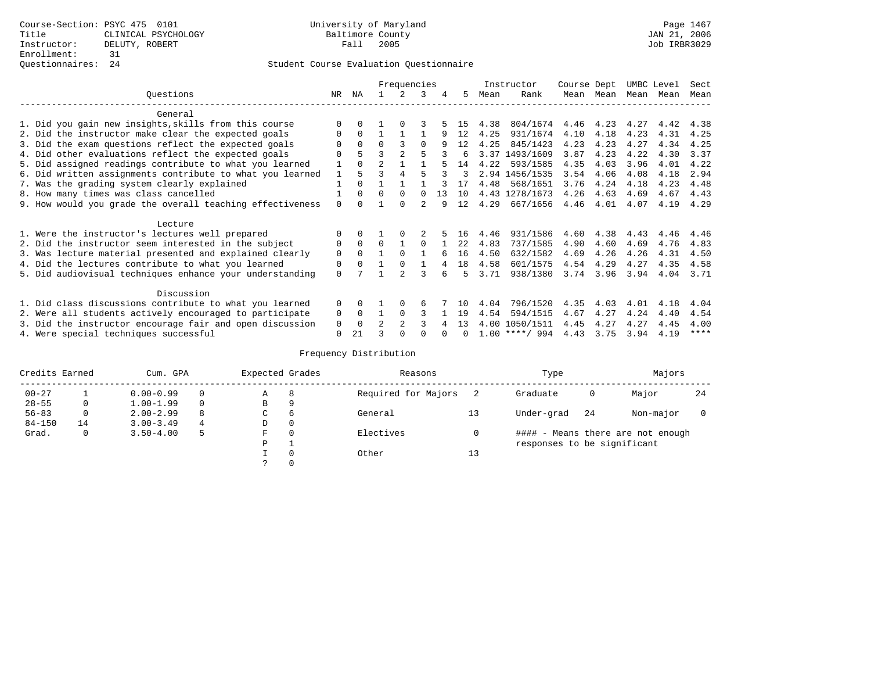|                                                           |              |          |                | Frequencies    |          |    |      |      | Instructor       | Course Dept |           | UMBC Level |      | Sect        |
|-----------------------------------------------------------|--------------|----------|----------------|----------------|----------|----|------|------|------------------|-------------|-----------|------------|------|-------------|
| Ouestions                                                 | NR.          | ΝA       |                |                | 3        | 4  | 5.   | Mean | Rank             |             | Mean Mean | Mean       | Mean | Mean        |
| General                                                   |              |          |                |                |          |    |      |      |                  |             |           |            |      |             |
| 1. Did you gain new insights, skills from this course     |              |          |                |                |          |    | 15   | 4.38 | 804/1674         | 4.46        | 4.23      | 4.27       | 4.42 | 4.38        |
| 2. Did the instructor make clear the expected goals       | O            | $\Omega$ |                |                |          | 9  | 12   | 4.25 | 931/1674         | 4.10        | 4.18      | 4.23       | 4.31 | 4.25        |
| 3. Did the exam questions reflect the expected goals      |              | $\Omega$ | $\Omega$       |                | $\Omega$ | q  | 12   | 4.25 | 845/1423         | 4.23        | 4.23      | 4.27       | 4.34 | 4.25        |
| 4. Did other evaluations reflect the expected goals       | O            |          | ζ              |                |          |    | б.   |      | 3.37 1493/1609   | 3.87        | 4.23      | 4.22       | 4.30 | 3.37        |
| 5. Did assigned readings contribute to what you learned   |              | $\Omega$ | $\mathfrak{D}$ |                |          |    | 14   | 4.22 | 593/1585         | 4.35        | 4.03      | 3.96       | 4.01 | 4.22        |
| 6. Did written assignments contribute to what you learned | $\mathbf{1}$ | 5        |                | $\overline{4}$ |          |    | 3    |      | 2.94 1456/1535   | 3.54        | 4.06      | 4.08       | 4.18 | 2.94        |
| 7. Was the grading system clearly explained               |              | $\Omega$ |                |                |          |    |      | 4.48 | 568/1651         | 3.76        | 4.24      | 4.18       | 4.23 | 4.48        |
| 8. How many times was class cancelled                     |              | $\Omega$ | $\Omega$       | $\Omega$       |          | 13 | 10   |      | 4.43 1278/1673   | 4.26        | 4.63      | 4.69       | 4.67 | 4.43        |
| 9. How would you grade the overall teaching effectiveness | $\Omega$     | $\cap$   |                | $\cap$         |          | q  | 12   | 4.29 | 667/1656         | 4.46        | 4.01      | 4.07       | 4.19 | 4.29        |
| Lecture                                                   |              |          |                |                |          |    |      |      |                  |             |           |            |      |             |
| 1. Were the instructor's lectures well prepared           | $\Omega$     |          |                |                |          |    | 16   | 4.46 | 931/1586         | 4.60        | 4.38      | 4.43       | 4.46 | 4.46        |
| 2. Did the instructor seem interested in the subject      | 0            | $\Omega$ | $\Omega$       |                | $\Omega$ |    | 2.2. | 4.83 | 737/1585         | 4.90        | 4.60      | 4.69       | 4.76 | 4.83        |
| 3. Was lecture material presented and explained clearly   | 0            | $\Omega$ |                | $\Omega$       |          |    | 16   | 4.50 | 632/1582         | 4.69        | 4.26      | 4.26       | 4.31 | 4.50        |
| 4. Did the lectures contribute to what you learned        | 0            | $\Omega$ |                | $\Omega$       |          |    | 18   | 4.58 | 601/1575         | 4.54        | 4.29      | 4.27       | 4.35 | 4.58        |
| 5. Did audiovisual techniques enhance your understanding  | $\Omega$     |          |                | $\mathcal{D}$  |          |    | Б.   | 3.71 | 938/1380         | 3.74        | 3.96      | 3.94       | 4.04 | 3.71        |
| Discussion                                                |              |          |                |                |          |    |      |      |                  |             |           |            |      |             |
| 1. Did class discussions contribute to what you learned   | $\Omega$     | $\Omega$ |                | $\Omega$       | 6        |    | 1 N  | 4.04 | 796/1520         | 4.35        | 4.03      | 4.01       | 4.18 | 4.04        |
| 2. Were all students actively encouraged to participate   | 0            | $\Omega$ |                | $\Omega$       |          |    | 19   | 4.54 | 594/1515         | 4.67        | 4.27      | 4.24       | 4.40 | 4.54        |
| 3. Did the instructor encourage fair and open discussion  | 0            | $\Omega$ | $\mathcal{D}$  |                |          |    | 13   | 4.00 | 1050/1511        | 4.45        | 4.27      | 4.27       | 4.45 | 4.00        |
| 4. Were special techniques successful                     | $\Omega$     | 21       |                |                |          |    |      |      | $1.00$ ****/ 994 | 4.43        | 3.75      | 3.94       | 4.19 | $***$ * * * |

| Credits Earned |    | Cum. GPA      |   | Expected Grades |             | Reasons             |    | Type                        |    | Majors                            |    |
|----------------|----|---------------|---|-----------------|-------------|---------------------|----|-----------------------------|----|-----------------------------------|----|
| $00 - 27$      |    | $0.00 - 0.99$ |   | Α               | 8           | Required for Majors |    | Graduate                    | 0  | Major                             | 24 |
| $28 - 55$      | 0  | $1.00 - 1.99$ |   | B               | -9          |                     |    |                             |    |                                   |    |
| $56 - 83$      | 0  | $2.00 - 2.99$ | 8 | $\sim$<br>◡     | 6           | General             |    | Under-grad                  | 24 | Non-major                         |    |
| $84 - 150$     | 14 | $3.00 - 3.49$ | 4 | D               | 0           |                     |    |                             |    |                                   |    |
| Grad.          | 0  | $3.50 - 4.00$ | 5 | F               | 0           | Electives           |    |                             |    | #### - Means there are not enough |    |
|                |    |               |   | P               |             |                     |    | responses to be significant |    |                                   |    |
|                |    |               |   |                 | $\mathbf 0$ | Other               | 13 |                             |    |                                   |    |
|                |    |               |   | $\mathcal{L}$   |             |                     |    |                             |    |                                   |    |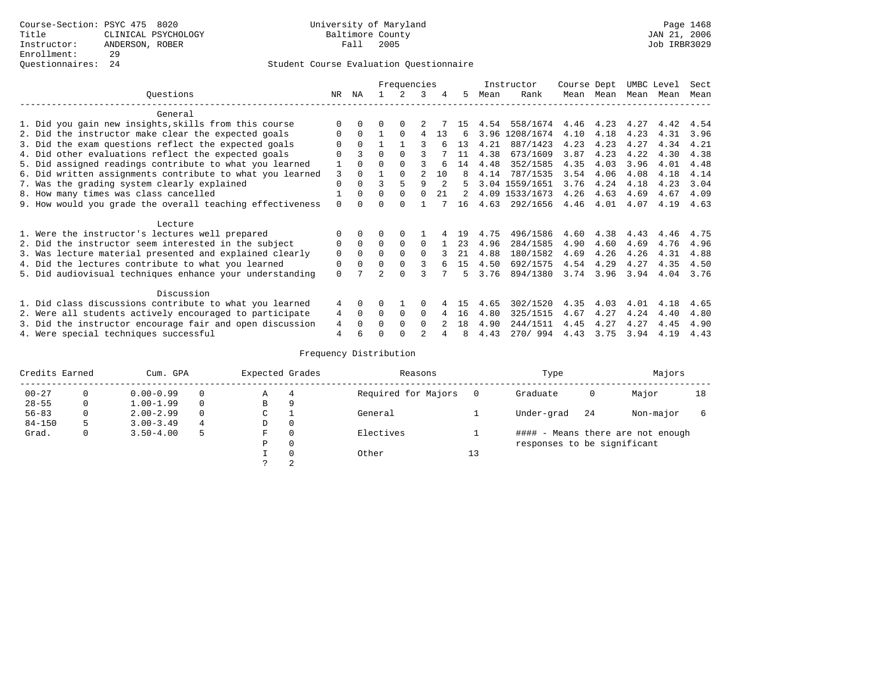|                                                           |          |              |          | Frequencies  |                |    |    |      | Instructor     | Course Dept |           | UMBC Level |      | Sect |
|-----------------------------------------------------------|----------|--------------|----------|--------------|----------------|----|----|------|----------------|-------------|-----------|------------|------|------|
| Ouestions                                                 | NR       | ΝA           |          | 2            | 3              | 4  | 5  | Mean | Rank           |             | Mean Mean | Mean       | Mean | Mean |
| General                                                   |          |              |          |              |                |    |    |      |                |             |           |            |      |      |
| 1. Did you gain new insights, skills from this course     |          | 0            | 0        | $\Omega$     |                |    | 15 | 4.54 | 558/1674       | 4.46        | 4.23      | 4.27       | 4.42 | 4.54 |
| 2. Did the instructor make clear the expected goals       | 0        | $\Omega$     |          | $\Omega$     | 4              | 13 | 6  |      | 3.96 1208/1674 | 4.10        | 4.18      | 4.23       | 4.31 | 3.96 |
| 3. Did the exam questions reflect the expected goals      |          | $\Omega$     |          |              |                |    | 13 | 4.21 | 887/1423       | 4.23        | 4.23      | 4.27       | 4.34 | 4.21 |
| 4. Did other evaluations reflect the expected goals       |          |              | 0        | $\Omega$     |                |    | 11 | 4.38 | 673/1609       | 3.87        | 4.23      | 4.22       | 4.30 | 4.38 |
| 5. Did assigned readings contribute to what you learned   |          | 0            | U        | $\Omega$     |                |    | 14 | 4.48 | 352/1585       | 4.35        | 4.03      | 3.96       | 4.01 | 4.48 |
| 6. Did written assignments contribute to what you learned | 3        |              |          | $\Omega$     | $\mathfrak{D}$ | 10 | 8  | 4.14 | 787/1535       | 3.54        | 4.06      | 4.08       | 4.18 | 4.14 |
| 7. Was the grading system clearly explained               | 0        | $\Omega$     | ς        | 5            | q              | 2  | 5  |      | 3.04 1559/1651 | 3.76        | 4.24      | 4.18       | 4.23 | 3.04 |
| 8. How many times was class cancelled                     |          | $\Omega$     | $\Omega$ | $\Omega$     | $\Omega$       | 21 | 2  |      | 4.09 1533/1673 | 4.26        | 4.63      | 4.69       | 4.67 | 4.09 |
| 9. How would you grade the overall teaching effectiveness | 0        | <sup>n</sup> | U        | <sup>n</sup> |                |    | 16 | 4.63 | 292/1656       | 4.46        | 4.01      | 4.07       | 4.19 | 4.63 |
| Lecture                                                   |          |              |          |              |                |    |    |      |                |             |           |            |      |      |
| 1. Were the instructor's lectures well prepared           |          | $\Omega$     |          |              |                |    | 19 | 4.75 | 496/1586       | 4.60        | 4.38      | 4.43       | 4.46 | 4.75 |
| 2. Did the instructor seem interested in the subject      | 0        | $\Omega$     | $\Omega$ | $\Omega$     | 0              |    | 23 | 4.96 | 284/1585       | 4.90        | 4.60      | 4.69       | 4.76 | 4.96 |
| 3. Was lecture material presented and explained clearly   | 0        | $\Omega$     | 0        | $\Omega$     | $\Omega$       |    | 21 | 4.88 | 180/1582       | 4.69        | 4.26      | 4.26       | 4.31 | 4.88 |
| 4. Did the lectures contribute to what you learned        | 0        | $\Omega$     | 0        | $\Omega$     | 3              |    | 15 | 4.50 | 692/1575       | 4.54        | 4.29      | 4.27       | 4.35 | 4.50 |
| 5. Did audiovisual techniques enhance your understanding  | $\Omega$ |              |          | $\cap$       |                |    | 5  | 3.76 | 894/1380       | 3.74 3.96   |           | 3.94       | 4.04 | 3.76 |
| Discussion                                                |          |              |          |              |                |    |    |      |                |             |           |            |      |      |
| 1. Did class discussions contribute to what you learned   | 4        | $\Omega$     | 0        |              |                |    | 15 | 4.65 | 302/1520       | 4.35        | 4.03      | 4.01       | 4.18 | 4.65 |
| 2. Were all students actively encouraged to participate   | 4        | $\Omega$     | 0        | $\mathbf 0$  | 0              | 4  | 16 | 4.80 | 325/1515       | 4.67        | 4.27      | 4.24       | 4.40 | 4.80 |
| 3. Did the instructor encourage fair and open discussion  | 4        |              |          | $\Omega$     | $\Omega$       |    | 18 | 4.90 | 244/1511       | 4.45        | 4.27      | 4.27       | 4.45 | 4.90 |
| 4. Were special techniques successful                     | 4        | 6            |          |              |                |    | 8  | 4.43 | 270/994        | 4.43        | 3.75      | 3.94       | 4.19 | 4.43 |

| Credits Earned |   | Cum. GPA      |   | Expected Grades |          | Reasons             |    | Type                        |    | Majors                            |    |
|----------------|---|---------------|---|-----------------|----------|---------------------|----|-----------------------------|----|-----------------------------------|----|
| $00 - 27$      | 0 | $0.00 - 0.99$ |   | Α               | 4        | Required for Majors |    | Graduate                    | 0  | Major                             | 18 |
| $28 - 55$      | 0 | $1.00 - 1.99$ |   | B               | 9        |                     |    |                             |    |                                   |    |
| $56 - 83$      | 0 | $2.00 - 2.99$ |   | ◡               |          | General             |    | Under-grad                  | 24 | Non-major                         |    |
| $84 - 150$     | 5 | $3.00 - 3.49$ | 4 | D               | 0        |                     |    |                             |    |                                   |    |
| Grad.          | 0 | $3.50 - 4.00$ | 5 | F               | 0        | Electives           |    |                             |    | #### - Means there are not enough |    |
|                |   |               |   | Ρ               | 0        |                     |    | responses to be significant |    |                                   |    |
|                |   |               |   |                 | $\Omega$ | Other               | 13 |                             |    |                                   |    |
|                |   |               |   |                 | 2        |                     |    |                             |    |                                   |    |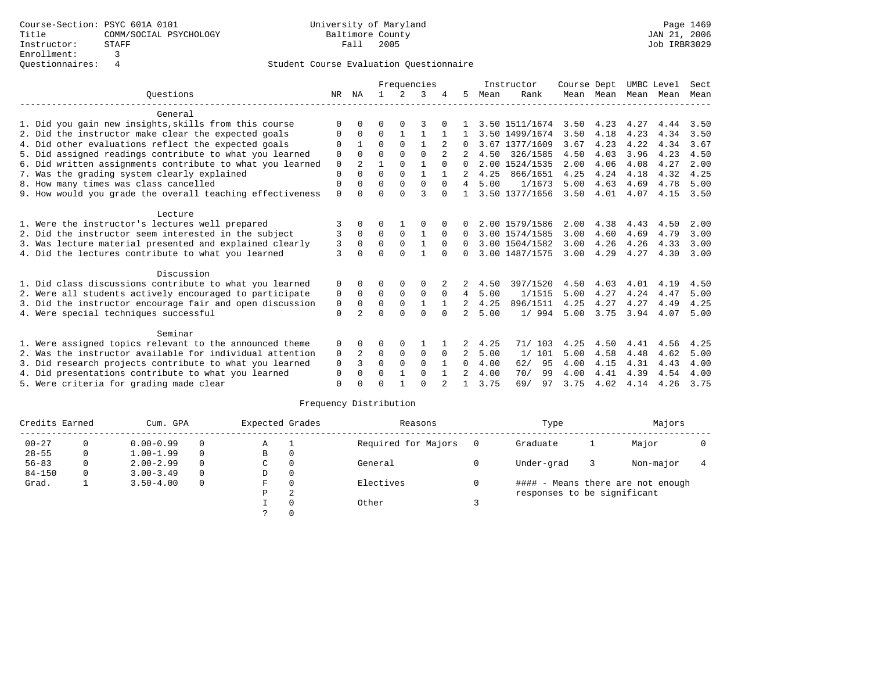|                                                           |             |                |              |              | Frequencies  |              |                |      | Instructor     | Course Dept       |      |                     | UMBC Level | Sect |
|-----------------------------------------------------------|-------------|----------------|--------------|--------------|--------------|--------------|----------------|------|----------------|-------------------|------|---------------------|------------|------|
| Ouestions                                                 | NR          | ΝA             | $\mathbf{1}$ | $2^{1}$      | 3            |              | 5.             | Mean | Rank           |                   |      | Mean Mean Mean Mean |            | Mean |
| General                                                   |             |                |              |              |              |              |                |      |                |                   |      |                     |            |      |
| 1. Did you gain new insights, skills from this course     | $\Omega$    | $\Omega$       | U            |              |              |              |                |      | 3.50 1511/1674 | 3.50              | 4.23 | 4.27                | 4.44       | 3.50 |
| 2. Did the instructor make clear the expected goals       | 0           | $\Omega$       | $\Omega$     | 1            |              |              |                |      | 3.50 1499/1674 | 3.50              | 4.18 | 4.23                | 4.34       | 3.50 |
| 4. Did other evaluations reflect the expected goals       | O           |                | U            | $\Omega$     |              |              | 0              |      | 3.67 1377/1609 | 3.67              | 4.23 | 4.22                | 4.34       | 3.67 |
| 5. Did assigned readings contribute to what you learned   | $\Omega$    | $\Omega$       | $\Omega$     | $\Omega$     | $\Omega$     |              |                |      | 4.50 326/1585  | 4.50              | 4.03 | 3.96                | 4.23       | 4.50 |
| 6. Did written assignments contribute to what you learned | $\mathbf 0$ | 2              |              | $\Omega$     |              | $\Omega$     | $\Omega$       |      | 2.00 1524/1535 | 2.00              | 4.06 | 4.08                | 4.27       | 2.00 |
| 7. Was the grading system clearly explained               | 0           | $\Omega$       | $\Omega$     | $\Omega$     | $\mathbf{1}$ | $\mathbf{1}$ |                | 4.25 | 866/1651       | 4.25              | 4.24 | 4.18                | 4.32       | 4.25 |
| 8. How many times was class cancelled                     | 0           | $\Omega$       | $\Omega$     | $\Omega$     | $\Omega$     | $\Omega$     | 4              | 5.00 | 1/1673         | 5.00              | 4.63 | 4.69                | 4.78       | 5.00 |
| 9. How would you grade the overall teaching effectiveness | $\Omega$    | $\Omega$       | U            | $\cap$       | ς            | $\Omega$     |                |      | 3.50 1377/1656 | $3.50 \quad 4.01$ |      | 4.07                | 4.15       | 3.50 |
| Lecture                                                   |             |                |              |              |              |              |                |      |                |                   |      |                     |            |      |
| 1. Were the instructor's lectures well prepared           | 3           | 0              | 0            |              | 0            |              | 0              |      | 2.00 1579/1586 | 2.00              | 4.38 | 4.43                | 4.50       | 2.00 |
| 2. Did the instructor seem interested in the subject      | 3           | $\Omega$       | $\Omega$     | $\Omega$     | $\mathbf{1}$ | $\Omega$     | $\Omega$       |      | 3.00 1574/1585 | 3.00              | 4.60 | 4.69                | 4.79       | 3.00 |
| 3. Was lecture material presented and explained clearly   | 3           | $\Omega$       | $\Omega$     | $\Omega$     |              | $\Omega$     | $\Omega$       |      | 3.00 1504/1582 | 3.00              | 4.26 | 4.26                | 4.33       | 3.00 |
| 4. Did the lectures contribute to what you learned        | 3           | $\Omega$       | U            | $\cap$       |              | $\Omega$     | $\Omega$       |      | 3.00 1487/1575 | 3.00              | 4.29 | 4.27                | 4.30       | 3.00 |
| Discussion                                                |             |                |              |              |              |              |                |      |                |                   |      |                     |            |      |
| 1. Did class discussions contribute to what you learned   | $\Omega$    | $\Omega$       | 0            | $\Omega$     | 0            |              | 2              | 4.50 | 397/1520       | 4.50              | 4.03 | 4.01                | 4.19       | 4.50 |
| 2. Were all students actively encouraged to participate   | $\Omega$    | $\Omega$       | $\Omega$     | $\Omega$     | $\Omega$     | $\Omega$     | 4              | 5.00 | 1/1515         | 5.00              | 4.27 | 4.24                | 4.47       | 5.00 |
| 3. Did the instructor encourage fair and open discussion  | $\mathbf 0$ | $\Omega$       | $\Omega$     | $\mathbf 0$  |              |              |                | 4.25 | 896/1511       | 4.25              | 4.27 | 4.27                | 4.49       | 4.25 |
| 4. Were special techniques successful                     | 0           | $\mathfrak{D}$ | U            | $\cap$       | $\Omega$     | $\Omega$     |                | 5.00 | 1/994          | 5.00              | 3.75 | 3.94                | 4.07       | 5.00 |
| Seminar                                                   |             |                |              |              |              |              |                |      |                |                   |      |                     |            |      |
| 1. Were assigned topics relevant to the announced theme   | 0           | $\Omega$       | O            | $\Omega$     |              |              | 2              | 4.25 | 71/103         | 4.25              | 4.50 | 4.41                | 4.56       | 4.25 |
| 2. Was the instructor available for individual attention  | 0           | 2              | $\Omega$     | $\Omega$     | $\Omega$     | $\Omega$     | 2              | 5.00 | 1/101          | 5.00              | 4.58 | 4.48                | 4.62       | 5.00 |
| 3. Did research projects contribute to what you learned   | $\Omega$    | 3              | $\Omega$     | $\Omega$     | $\Omega$     |              | $\Omega$       | 4.00 | 95<br>62/      | 4.00              | 4.15 | 4.31                | 4.43       | 4.00 |
| 4. Did presentations contribute to what you learned       | 0           | $\Omega$       | $\Omega$     | $\mathbf{1}$ | $\Omega$     | $\mathbf{1}$ | $\mathfrak{D}$ | 4.00 | 99<br>70/      | 4.00              | 4.41 | 4.39                | 4.54       | 4.00 |
| 5. Were criteria for grading made clear                   | O           |                |              |              | $\cap$       |              |                | 3.75 | 69/<br>97      | 3.75              | 4.02 | 4.14                | 4.26       | 3.75 |

| Credits Earned |   | Cum. GPA      |          | Expected Grades |          | Reasons             |     | Type                        | Majors                            |  |
|----------------|---|---------------|----------|-----------------|----------|---------------------|-----|-----------------------------|-----------------------------------|--|
| $00 - 27$      | 0 | $0.00 - 0.99$ | 0        | Α               |          | Required for Majors | - 0 | Graduate                    | Major                             |  |
| $28 - 55$      | 0 | $1.00 - 1.99$ | $\Omega$ | B               | 0        |                     |     |                             |                                   |  |
| $56 - 83$      | 0 | $2.00 - 2.99$ | $\Omega$ | C               | $\Omega$ | General             |     | Under-grad                  | Non-major                         |  |
| $84 - 150$     | 0 | $3.00 - 3.49$ | 0        | D               | 0        |                     |     |                             |                                   |  |
| Grad.          |   | $3.50 - 4.00$ | $\Omega$ | F.              | $\Omega$ | Electives           |     |                             | #### - Means there are not enough |  |
|                |   |               |          | D               |          |                     |     | responses to be significant |                                   |  |
|                |   |               |          |                 |          | Other               |     |                             |                                   |  |
|                |   |               |          |                 |          |                     |     |                             |                                   |  |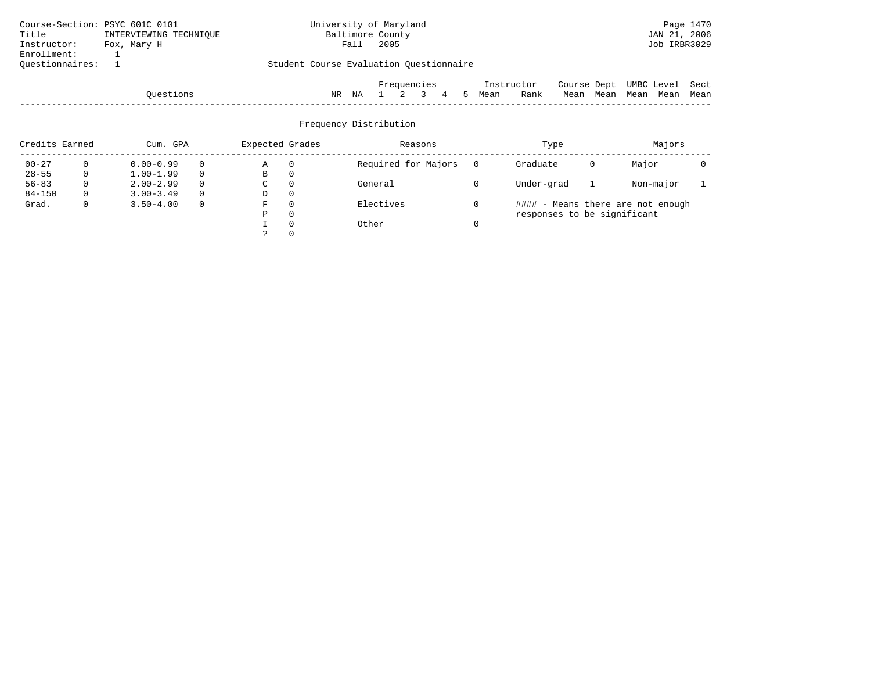| Course-Section: PSYC 601C 0101 |                        | University of Maryland                  |                  |      |             |  |            |      |             |      |      |                 | Page 1470 |
|--------------------------------|------------------------|-----------------------------------------|------------------|------|-------------|--|------------|------|-------------|------|------|-----------------|-----------|
| Title                          | INTERVIEWING TECHNIOUE |                                         | Baltimore County |      |             |  |            |      |             |      |      | JAN 21, 2006    |           |
| Instructor:                    | Fox, Mary H            |                                         | Fall             | 2005 |             |  |            |      |             |      |      | Job IRBR3029    |           |
| Enrollment:                    |                        |                                         |                  |      |             |  |            |      |             |      |      |                 |           |
| Ouestionnaires:                |                        | Student Course Evaluation Questionnaire |                  |      |             |  |            |      |             |      |      |                 |           |
|                                |                        |                                         |                  |      |             |  |            |      |             |      |      |                 |           |
|                                |                        |                                         |                  |      | Frequencies |  | Instructor |      | Course Dept |      |      | UMBC Level Sect |           |
|                                | Ouestions              | ΝR                                      | ΝA               |      |             |  | Mean       | Rank | Mean        | Mean | Mean | Mean            | Mean      |

| $\sim$ $\sim$<br>111e.S | .<br>TALC <sup>1</sup> | Na |  |  | ucan | ⊣∽∽<br>waiin | чеaт. | ucan | real. | real | mean |
|-------------------------|------------------------|----|--|--|------|--------------|-------|------|-------|------|------|
|                         |                        |    |  |  |      |              |       |      |       |      |      |

| Credits Earned |              | Cum. GPA      |          | Expected Grades |          | Reasons             | Type                        |   | Majors                            |  |
|----------------|--------------|---------------|----------|-----------------|----------|---------------------|-----------------------------|---|-----------------------------------|--|
| $00 - 27$      |              | $0.00 - 0.99$ |          | Α               | $\Omega$ | Required for Majors | Graduate                    | 0 | Major                             |  |
| $28 - 55$      | 0            | $1.00 - 1.99$ |          | В               | 0        |                     |                             |   |                                   |  |
| $56 - 83$      | 0            | $2.00 - 2.99$ |          | С               | $\Omega$ | General             | Under-grad                  |   | Non-major                         |  |
| $84 - 150$     | 0            | $3.00 - 3.49$ |          | D               | 0        |                     |                             |   |                                   |  |
| Grad.          | $\mathbf{0}$ | $3.50 - 4.00$ | $\Omega$ | F               | $\Omega$ | Electives           |                             |   | #### - Means there are not enough |  |
|                |              |               |          | P               | $\Omega$ |                     | responses to be significant |   |                                   |  |
|                |              |               |          |                 | $\Omega$ | Other               |                             |   |                                   |  |
|                |              |               |          |                 |          |                     |                             |   |                                   |  |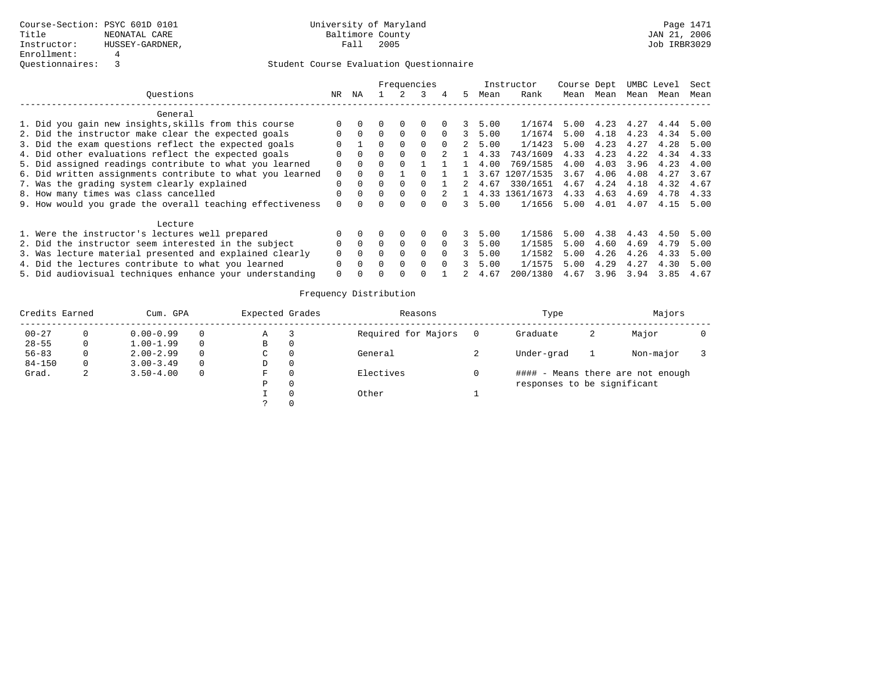|                                                           |          |          |              |              | Frequencies  |          |    |      | Instructor     | Course Dept |      |      | UMBC Level | Sect |
|-----------------------------------------------------------|----------|----------|--------------|--------------|--------------|----------|----|------|----------------|-------------|------|------|------------|------|
| Ouestions                                                 | NR.      | ΝA       |              |              |              | 4        | 5  | Mean | Rank           | Mean        | Mean | Mean | Mean       | Mean |
| General                                                   |          |          |              |              |              |          |    |      |                |             |      |      |            |      |
| 1. Did you gain new insights, skills from this course     |          |          |              | $\Omega$     |              |          |    | 5.00 | 1/1674         | 5.00        | 4.23 | 4.27 | 4.44       | 5.00 |
| 2. Did the instructor make clear the expected goals       |          | $\Omega$ |              | $\Omega$     | $\Omega$     | $\Omega$ |    | 5.00 | 1/1674         | 5.00        | 4.18 | 4.23 | 4.34       | 5.00 |
| 3. Did the exam questions reflect the expected goals      |          |          |              | $\Omega$     | $\Omega$     | $\Omega$ | 2  | 5.00 | 1/1423         | 5.00        | 4.23 | 4.27 | 4.28       | 5.00 |
| 4. Did other evaluations reflect the expected goals       |          | $\Omega$ | 0            | $\Omega$     |              |          |    | 4.33 | 743/1609       | 4.33        | 4.23 | 4.22 | 4.34       | 4.33 |
| 5. Did assigned readings contribute to what you learned   | 0        | $\Omega$ | <sup>0</sup> | <sup>0</sup> |              |          |    | 4.00 | 769/1585       | 4.00        | 4.03 | 3.96 | 4.23       | 4.00 |
| 6. Did written assignments contribute to what you learned | $\Omega$ |          |              |              |              |          |    | 3.67 | 1207/1535      | 3.67        | 4.06 | 4.08 | 4.27       | 3.67 |
| 7. Was the grading system clearly explained               |          | $\Omega$ |              | $\Omega$     |              |          | 2  | 4.67 | 330/1651       | 4.67        | 4.24 | 4.18 | 4.32       | 4.67 |
| 8. How many times was class cancelled                     |          | $\Omega$ | 0            | $\Omega$     | 0            |          |    |      | 4.33 1361/1673 | 4.33        | 4.63 | 4.69 | 4.78       | 4.33 |
| 9. How would you grade the overall teaching effectiveness |          |          |              |              |              |          |    | 5.00 | 1/1656         | 5.00        | 4.01 | 4.07 | 4.15       | 5.00 |
| Lecture                                                   |          |          |              |              |              |          |    |      |                |             |      |      |            |      |
| 1. Were the instructor's lectures well prepared           |          |          |              | $\Omega$     | <sup>0</sup> | $\Omega$ | 3. | 5.00 | 1/1586         | 5.00        | 4.38 | 4.43 | 4.50       | 5.00 |
| 2. Did the instructor seem interested in the subject      |          | $\Omega$ | <sup>0</sup> | $\Omega$     | $\Omega$     | $\Omega$ | ર  | 5.00 | 1/1585         | 5.00        | 4.60 | 4.69 | 4.79       | 5.00 |
| 3. Was lecture material presented and explained clearly   |          | $\Omega$ | U            | $\Omega$     | $\Omega$     | $\Omega$ |    | 5.00 | 1/1582         | 5.00        | 4.26 | 4.26 | 4.33       | 5.00 |
| 4. Did the lectures contribute to what you learned        |          | $\Omega$ | 0            | $\Omega$     | $\Omega$     | $\Omega$ |    | 5.00 | 1/1575         | 5.00        | 4.29 | 4.27 | 4.30       | 5.00 |
| 5. Did audiovisual techniques enhance your understanding  | 0        |          |              | <sup>0</sup> |              |          |    | 4.67 | 200/1380       | 4.67        | 3.96 | 3.94 | 3.85       | 4.67 |

| Credits Earned |   | Cum. GPA      |          | Expected Grades | Reasons             | Type                        |   | Majors                            |  |
|----------------|---|---------------|----------|-----------------|---------------------|-----------------------------|---|-----------------------------------|--|
| $00 - 27$      |   | $0.00 - 0.99$ | 0        | Α               | Required for Majors | Graduate                    | 2 | Major                             |  |
| $28 - 55$      |   | $1.00 - 1.99$ | $\Omega$ | в               |                     |                             |   |                                   |  |
| $56 - 83$      |   | $2.00 - 2.99$ | $\Omega$ | C               | General             | Under-grad                  |   | Non-major                         |  |
| $84 - 150$     | 0 | $3.00 - 3.49$ | $\Omega$ | D               |                     |                             |   |                                   |  |
| Grad.          | 4 | $3.50 - 4.00$ | $\Omega$ | F.              | Electives           |                             |   | #### - Means there are not enough |  |
|                |   |               |          | Ρ               |                     | responses to be significant |   |                                   |  |
|                |   |               |          |                 | Other               |                             |   |                                   |  |
|                |   |               |          |                 |                     |                             |   |                                   |  |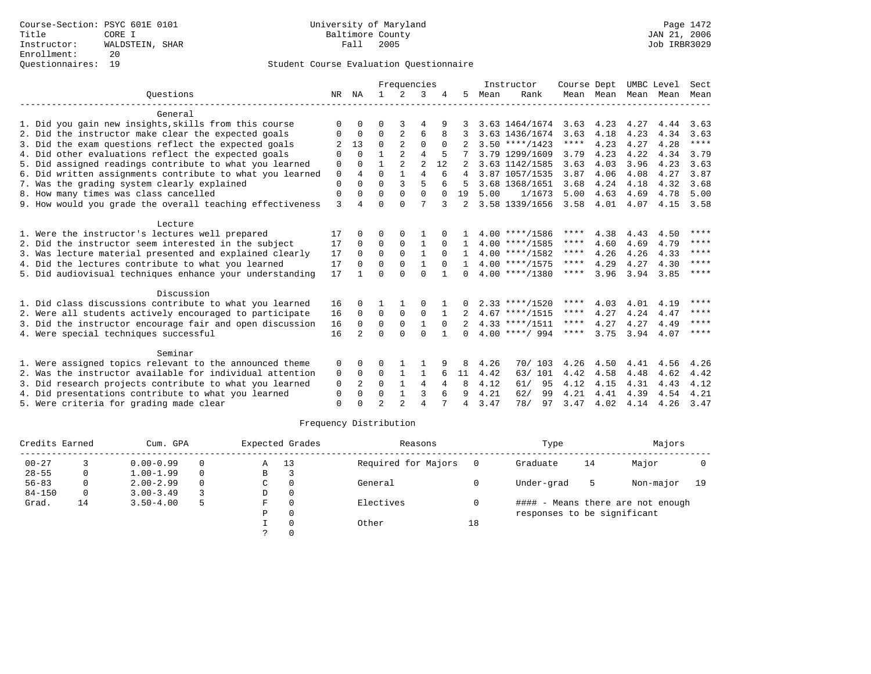|                                                           |             |                |                | Frequencies    |                |          |          |      | Instructor       | Course Dept |           | UMBC Level |      | Sect        |
|-----------------------------------------------------------|-------------|----------------|----------------|----------------|----------------|----------|----------|------|------------------|-------------|-----------|------------|------|-------------|
| Ouestions                                                 | NR          | ΝA             | $\mathbf{1}$   | 2              | 3              |          | .5       | Mean | Rank             |             | Mean Mean | Mean       | Mean | Mean        |
| General                                                   |             |                |                |                |                |          |          |      |                  |             |           |            |      |             |
| 1. Did you gain new insights, skills from this course     | $\Omega$    |                | ∩              | 3              |                |          |          |      | 3.63 1464/1674   | 3.63        | 4.23      | 4.27       | 4.44 | 3.63        |
| 2. Did the instructor make clear the expected goals       | 0           | $\Omega$       | 0              | 2              | 6              | 8        |          |      | 3.63 1436/1674   | 3.63        | 4.18      | 4.23       | 4.34 | 3.63        |
| 3. Did the exam questions reflect the expected goals      |             | 13             | $\Omega$       | $\overline{2}$ | $\Omega$       | $\Omega$ |          |      | $3.50$ ****/1423 | $***$ * * * | 4.23      | 4.27       | 4.28 | $***$ * * * |
| 4. Did other evaluations reflect the expected goals       | $\Omega$    | $\cap$         |                | $\overline{2}$ | 4              |          |          |      | 3.79 1299/1609   | 3.79        | 4.23      | 4.22       | 4.34 | 3.79        |
| 5. Did assigned readings contribute to what you learned   | 0           | $\Omega$       |                | 2              | $\overline{2}$ | 12       |          |      | 3.63 1142/1585   | 3.63        | 4.03      | 3.96       | 4.23 | 3.63        |
| 6. Did written assignments contribute to what you learned | $\mathbf 0$ | 4              | $\Omega$       |                | $\overline{4}$ | 6        | 4        |      | 3.87 1057/1535   | 3.87        | 4.06      | 4.08       | 4.27 | 3.87        |
| 7. Was the grading system clearly explained               | $\Omega$    | $\Omega$       | $\Omega$       | 3              | 5              |          |          |      | 3.68 1368/1651   | 3.68        | 4.24      | 4.18       | 4.32 | 3.68        |
| 8. How many times was class cancelled                     | $\mathbf 0$ | $\Omega$       | $\Omega$       | $\Omega$       | $\Omega$       | $\Omega$ | 19       | 5.00 | 1/1673           | 5.00        | 4.63      | 4.69       | 4.78 | 5.00        |
| 9. How would you grade the overall teaching effectiveness | 3           | 4              | $\Omega$       | $\Omega$       | 7              |          |          |      | 3.58 1339/1656   | 3.58        | 4.01      | 4.07       | 4.15 | 3.58        |
| Lecture                                                   |             |                |                |                |                |          |          |      |                  |             |           |            |      |             |
| 1. Were the instructor's lectures well prepared           | 17          |                | $\Omega$       | $\Omega$       |                |          |          |      | $4.00$ ****/1586 | ****        | 4.38      | 4.43       | 4.50 | ****        |
| 2. Did the instructor seem interested in the subject      | 17          | $\Omega$       | $\Omega$       | $\Omega$       | $\mathbf{1}$   | 0        |          |      | $4.00$ ****/1585 | ****        | 4.60      | 4.69       | 4.79 | ****        |
| 3. Was lecture material presented and explained clearly   | 17          | $\Omega$       | $\Omega$       | $\Omega$       |                | $\Omega$ |          |      | $4.00$ ****/1582 | ****        | 4.26      | 4.26       | 4.33 | ****        |
| 4. Did the lectures contribute to what you learned        | 17          | $\Omega$       | $\Omega$       | $\Omega$       |                | $\Omega$ |          |      | $4.00$ ****/1575 | ****        | 4.29      | 4.27       | 4.30 | ****        |
| 5. Did audiovisual techniques enhance your understanding  | 17          |                | $\Omega$       | $\cap$         | $\Omega$       |          | $\Omega$ |      | $4.00$ ****/1380 | ****        | 3.96      | 3.94       | 3.85 | ****        |
| Discussion                                                |             |                |                |                |                |          |          |      |                  |             |           |            |      |             |
| 1. Did class discussions contribute to what you learned   | 16          | $\Omega$       |                |                | $\Omega$       |          |          |      | $2.33$ ****/1520 | ****        | 4.03      | 4.01       | 4.19 | ****        |
| 2. Were all students actively encouraged to participate   | 16          | $\Omega$       | $\Omega$       | $\Omega$       | $\Omega$       |          |          |      | $4.67$ ****/1515 | ****        | 4.27      | 4.24       | 4.47 | ****        |
| 3. Did the instructor encourage fair and open discussion  | 16          | $\Omega$       | $\Omega$       | $\Omega$       | $\mathbf{1}$   | $\Omega$ |          |      | $4.33$ ****/1511 | ****        | 4.27      | 4.27       | 4.49 | ****        |
| 4. Were special techniques successful                     | 16          | $\overline{2}$ | $\Omega$       | $\Omega$       | $\Omega$       |          | $\cap$   |      | $4.00$ ****/ 994 | ****        | 3.75      | 3.94       | 4.07 | ****        |
| Seminar                                                   |             |                |                |                |                |          |          |      |                  |             |           |            |      |             |
| 1. Were assigned topics relevant to the announced theme   | 0           | $\Omega$       | $\Omega$       |                |                |          | 8        | 4.26 | 70/ 103          | 4.26        | 4.50      | 4.41       | 4.56 | 4.26        |
| 2. Was the instructor available for individual attention  | 0           | 0              | 0              |                | 1              | 6        | 11       | 4.42 | 63/ 101          | 4.42        | 4.58      | 4.48       | 4.62 | 4.42        |
| 3. Did research projects contribute to what you learned   | 0           | 2              | $\Omega$       | $\mathbf{1}$   | 4              | 4        | 8        | 4.12 | 61/<br>95        | 4.12        | 4.15      | 4.31       | 4.43 | 4.12        |
| 4. Did presentations contribute to what you learned       | 0           | $\Omega$       | $\Omega$       |                | 3              | 6        | 9        | 4.21 | 62/<br>99        | 4.21        | 4.41      | 4.39       | 4.54 | 4.21        |
| 5. Were criteria for grading made clear                   | $\Omega$    |                | $\mathfrak{D}$ | $\mathfrak{D}$ | $\overline{4}$ |          | 4        | 3.47 | 78/<br>97        | 3.47        | 4.02      | 4.14       | 4.26 | 3.47        |

| Credits Earned |    | Cum. GPA      |          | Expected Grades   |          | Reasons             |    | Type                        |    | Majors                            |      |
|----------------|----|---------------|----------|-------------------|----------|---------------------|----|-----------------------------|----|-----------------------------------|------|
| $00 - 27$      |    | $0.00 - 0.99$ | $\Omega$ | 13<br>$\mathbb A$ |          | Required for Majors |    | Graduate                    | 14 | Major                             |      |
| $28 - 55$      | 0  | $1.00 - 1.99$ | $\Omega$ | B                 |          |                     |    |                             |    |                                   |      |
| $56 - 83$      |    | $2.00 - 2.99$ | $\Omega$ | C                 |          | General             |    | Under-grad                  | 5  | Non-major                         | - 19 |
| $84 - 150$     | 0  | $3.00 - 3.49$ |          | D                 | $\Omega$ |                     |    |                             |    |                                   |      |
| Grad.          | 14 | $3.50 - 4.00$ | 5        | F                 |          | Electives           |    |                             |    | #### - Means there are not enough |      |
|                |    |               |          | Ρ                 |          |                     |    | responses to be significant |    |                                   |      |
|                |    |               |          |                   |          | Other               | 18 |                             |    |                                   |      |
|                |    |               |          |                   |          |                     |    |                             |    |                                   |      |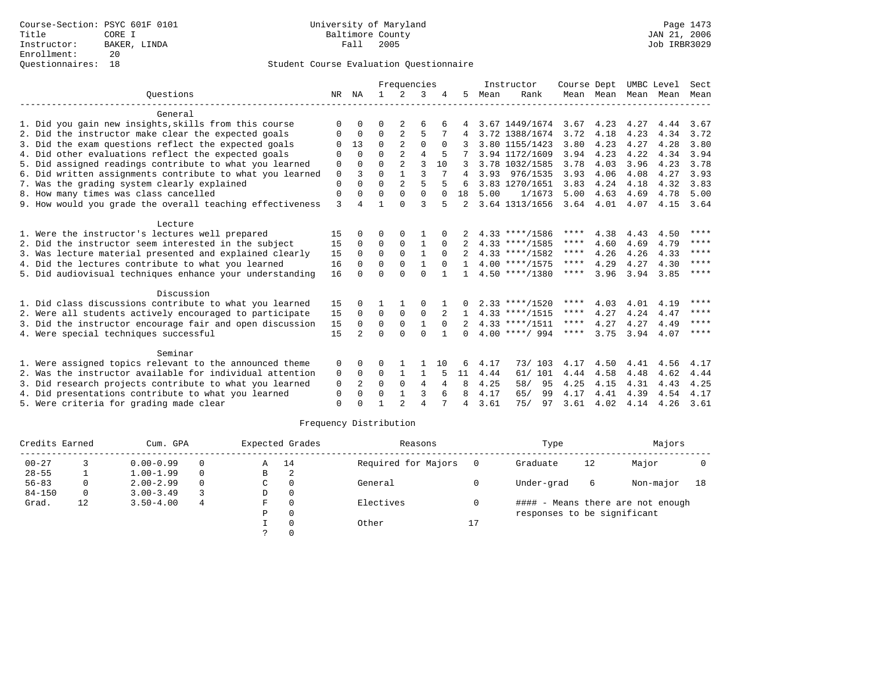|                                                           |             |                |              | Frequencies    |                |          |              |      | Instructor       | Course Dept |             | UMBC Level |      | Sect        |
|-----------------------------------------------------------|-------------|----------------|--------------|----------------|----------------|----------|--------------|------|------------------|-------------|-------------|------------|------|-------------|
| Ouestions                                                 | NR          | NA             | $\mathbf{1}$ | 2              | 3              |          | .5           | Mean | Rank             |             | Mean Mean   | Mean       | Mean | Mean        |
| General                                                   |             |                |              |                |                |          |              |      |                  |             |             |            |      |             |
| 1. Did you gain new insights, skills from this course     | ∩           |                | $\Omega$     | 2              | 6              |          |              |      | 3.67 1449/1674   | 3.67        | 4.23        | 4.27       | 4.44 | 3.67        |
| 2. Did the instructor make clear the expected goals       | 0           | $\Omega$       | 0            | $\overline{2}$ | 5              |          |              |      | 3.72 1388/1674   | 3.72        | 4.18        | 4.23       | 4.34 | 3.72        |
| 3. Did the exam questions reflect the expected goals      |             | 13             | $\Omega$     | $\mathfrak{D}$ | 0              |          |              |      | 3.80 1155/1423   | 3.80        | 4.23        | 4.27       | 4.28 | 3.80        |
| 4. Did other evaluations reflect the expected goals       | $\Omega$    | $\Omega$       | $\Omega$     | $\overline{2}$ | 4              |          |              |      | 3.94 1172/1609   | 3.94        | 4.23        | 4.22       | 4.34 | 3.94        |
| 5. Did assigned readings contribute to what you learned   | 0           | $\Omega$       | $\Omega$     | 2              | 3              | 10       |              |      | 3.78 1032/1585   | 3.78        | 4.03        | 3.96       | 4.23 | 3.78        |
| 6. Did written assignments contribute to what you learned | $\mathbf 0$ | 3              | $\Omega$     |                | 3              |          | 4            |      | 3.93 976/1535    | 3.93        | 4.06        | 4.08       | 4.27 | 3.93        |
| 7. Was the grading system clearly explained               | $\Omega$    | $\Omega$       | $\Omega$     | $\overline{2}$ | 5              |          |              |      | 3.83 1270/1651   | 3.83        | 4.24        | 4.18       | 4.32 | 3.83        |
| 8. How many times was class cancelled                     | 0           | $\Omega$       | $\Omega$     | $\Omega$       | $\Omega$       | $\Omega$ | 18           | 5.00 | 1/1673           | 5.00        | 4.63        | 4.69       | 4.78 | 5.00        |
| 9. How would you grade the overall teaching effectiveness | 3           |                |              | $\Omega$       | 3              |          |              |      | 3.64 1313/1656   |             | $3.64$ 4.01 | 4.07       | 4.15 | 3.64        |
| Lecture                                                   |             |                |              |                |                |          |              |      |                  |             |             |            |      |             |
| 1. Were the instructor's lectures well prepared           | 15          |                | $\Omega$     | $\Omega$       |                |          |              |      | $4.33$ ****/1586 | ****        | 4.38        | 4.43       | 4.50 | ****        |
| 2. Did the instructor seem interested in the subject      | 15          | $\Omega$       | $\Omega$     | $\Omega$       |                |          |              |      | $4.33$ ****/1585 | ****        | 4.60        | 4.69       | 4.79 | $***$ * * * |
| 3. Was lecture material presented and explained clearly   | 15          | $\Omega$       | $\Omega$     | $\Omega$       | 1              | $\Omega$ |              |      | $4.33$ ****/1582 | ****        | 4.26        | 4.26       | 4.33 | ****        |
| 4. Did the lectures contribute to what you learned        | 16          | $\Omega$       | $\Omega$     | $\Omega$       |                |          |              |      | $4.00$ ****/1575 | ****        | 4.29        | 4.27       | 4.30 | ****        |
| 5. Did audiovisual techniques enhance your understanding  | 16          |                | $\cap$       | $\cap$         | $\Omega$       |          | $\mathbf{1}$ |      | $4.50$ ****/1380 | ****        | 3.96        | 3.94       | 3.85 | $***$ * * * |
| Discussion                                                |             |                |              |                |                |          |              |      |                  |             |             |            |      |             |
| 1. Did class discussions contribute to what you learned   | 15          |                |              |                | $\Omega$       |          |              |      | $2.33$ ****/1520 | ****        | 4.03        | 4.01       | 4.19 | ****        |
| 2. Were all students actively encouraged to participate   | 15          | $\Omega$       | $\Omega$     | $\Omega$       | $\Omega$       | 2        | -1.          |      | $4.33$ ****/1515 | ****        | 4.27        | 4.24       | 4.47 | ****        |
| 3. Did the instructor encourage fair and open discussion  | 15          | $\Omega$       | 0            | $\Omega$       | $\mathbf{1}$   | $\Omega$ |              |      | $4.33$ ****/1511 | ****        | 4.27        | 4.27       | 4.49 | ****        |
| 4. Were special techniques successful                     | 15          | $\overline{a}$ | $\Omega$     | $\Omega$       | $\Omega$       |          | $\cap$       |      | $4.00$ ****/ 994 | ****        | 3.75        | 3.94       | 4.07 | ****        |
| Seminar                                                   |             |                |              |                |                |          |              |      |                  |             |             |            |      |             |
| 1. Were assigned topics relevant to the announced theme   | 0           |                |              |                |                | 10       | 6            | 4.17 | 73/ 103          | 4.17        | 4.50        | 4.41       | 4.56 | 4.17        |
| 2. Was the instructor available for individual attention  | 0           | $\Omega$       | 0            |                | 1              |          | 11           | 4.44 | 61/101           | 4.44        | 4.58        | 4.48       | 4.62 | 4.44        |
| 3. Did research projects contribute to what you learned   | $\mathbf 0$ | 2              | $\Omega$     | $\Omega$       | 4              | 4        | 8            | 4.25 | 58/<br>95        | 4.25        | 4.15        | 4.31       | 4.43 | 4.25        |
| 4. Did presentations contribute to what you learned       | 0           | $\Omega$       | $\Omega$     |                | 3              |          | 8            | 4.17 | 65/<br>99        | 4.17        | 4.41        | 4.39       | 4.54 | 4.17        |
| 5. Were criteria for grading made clear                   | $\Omega$    |                |              |                | $\overline{4}$ |          | 4            | 3.61 | 75/<br>97        | 3.61        | 4.02        | 4.14       | 4.26 | 3.61        |

| Credits Earned | Cum. GPA |               |          | Expected Grades |          | Reasons             |    | Type                        |    | Majors                            |    |
|----------------|----------|---------------|----------|-----------------|----------|---------------------|----|-----------------------------|----|-----------------------------------|----|
| $00 - 27$      |          | $0.00 - 0.99$ | $\Omega$ | A               | 14       | Required for Majors |    | Graduate                    | 12 | Major                             |    |
| $28 - 55$      |          | $1.00 - 1.99$ | $\Omega$ | B               | 2        |                     |    |                             |    |                                   |    |
| $56 - 83$      |          | $2.00 - 2.99$ | $\Omega$ | C               |          | General             |    | Under-grad                  | 6  | Non-major                         | 18 |
| $84 - 150$     | 0        | $3.00 - 3.49$ |          | D               | $\Omega$ |                     |    |                             |    |                                   |    |
| Grad.          | 12       | $3.50 - 4.00$ | 4        | F               |          | Electives           |    |                             |    | #### - Means there are not enough |    |
|                |          |               |          | Ρ               |          |                     |    | responses to be significant |    |                                   |    |
|                |          |               |          |                 |          | Other               | 17 |                             |    |                                   |    |
|                |          |               |          |                 |          |                     |    |                             |    |                                   |    |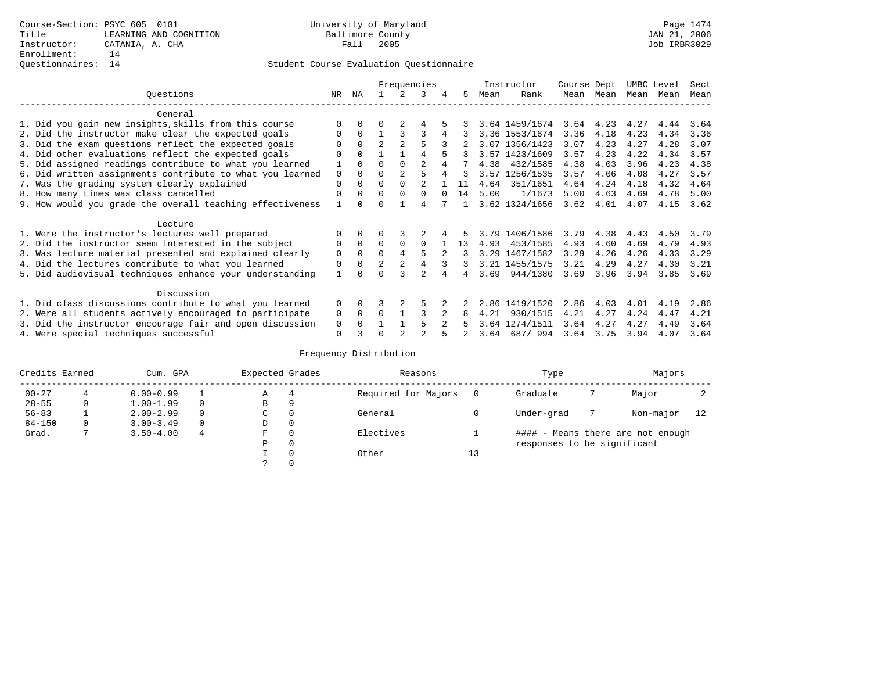# Questionnaires: 14 Student Course Evaluation Questionnaire

|                                                           |                                                           |              |              | Frequencies    |                | Instructor     |          | Course Dept |      | UMBC Level     |      | Sect        |      |      |      |
|-----------------------------------------------------------|-----------------------------------------------------------|--------------|--------------|----------------|----------------|----------------|----------|-------------|------|----------------|------|-------------|------|------|------|
|                                                           | Ouestions                                                 | NR           | ΝA           |                | $\mathcal{L}$  | 3              | 4        | 5           | Mean | Rank           |      | Mean Mean   | Mean | Mean | Mean |
|                                                           | General                                                   |              |              |                |                |                |          |             |      |                |      |             |      |      |      |
|                                                           | 1. Did you gain new insights, skills from this course     |              | $\Omega$     | U              |                |                |          |             |      | 3.64 1459/1674 |      | $3.64$ 4.23 | 4.27 | 4.44 | 3.64 |
|                                                           | 2. Did the instructor make clear the expected goals       | <sup>0</sup> | $\Omega$     |                |                | 3              |          | 3           |      | 3.36 1553/1674 | 3.36 | 4.18        | 4.23 | 4.34 | 3.36 |
|                                                           | 3. Did the exam questions reflect the expected goals      |              | $\Omega$     | $\overline{2}$ | $\mathfrak{D}$ | 5              |          |             |      | 3.07 1356/1423 | 3.07 | 4.23        | 4.27 | 4.28 | 3.07 |
|                                                           | 4. Did other evaluations reflect the expected goals       |              | $\Omega$     |                |                | 4              |          |             |      | 3.57 1423/1609 | 3.57 | 4.23        | 4.22 | 4.34 | 3.57 |
|                                                           | 5. Did assigned readings contribute to what you learned   |              |              | 0              | $\Omega$       | $\overline{a}$ |          |             | 4.38 | 432/1585       | 4.38 | 4.03        | 3.96 | 4.23 | 4.38 |
|                                                           | 6. Did written assignments contribute to what you learned |              |              | 0              | 2              |                |          | 3           |      | 3.57 1256/1535 | 3.57 | 4.06        | 4.08 | 4.27 | 3.57 |
| 7. Was the grading system clearly explained               |                                                           |              | $\Omega$     | 0              | $\Omega$       | $\mathfrak{D}$ |          | 11          | 4.64 | 351/1651       | 4.64 | 4.24        | 4.18 | 4.32 | 4.64 |
| 8. How many times was class cancelled                     |                                                           | 0            | $\Omega$     | $\Omega$       | $\Omega$       | $\Omega$       | $\Omega$ | 14          | 5.00 | 1/1673         | 5.00 | 4.63        | 4.69 | 4.78 | 5.00 |
| 9. How would you grade the overall teaching effectiveness |                                                           |              | <sup>n</sup> |                |                |                |          |             |      | 3.62 1324/1656 | 3.62 | 4.01        | 4.07 | 4.15 | 3.62 |
|                                                           | Lecture                                                   |              |              |                |                |                |          |             |      |                |      |             |      |      |      |
|                                                           | 1. Were the instructor's lectures well prepared           |              | $\Omega$     |                |                |                |          |             |      | 3.79 1406/1586 | 3.79 | 4.38        | 4.43 | 4.50 | 3.79 |
|                                                           | 2. Did the instructor seem interested in the subject      | 0            | $\Omega$     | $\Omega$       | $\Omega$       | $\Omega$       |          | 13          | 4.93 | 453/1585       | 4.93 | 4.60        | 4.69 | 4.79 | 4.93 |
|                                                           | 3. Was lecture material presented and explained clearly   | 0            | $\mathbf 0$  | 0              |                | 5              |          |             |      | 3.29 1467/1582 | 3.29 | 4.26        | 4.26 | 4.33 | 3.29 |
|                                                           | 4. Did the lectures contribute to what you learned        | 0            | $\Omega$     | $\overline{2}$ | $\overline{2}$ |                |          | 3           |      | 3.21 1455/1575 | 3.21 | 4.29        | 4.27 | 4.30 | 3.21 |
|                                                           | 5. Did audiovisual techniques enhance your understanding  |              |              |                |                |                |          |             | 3.69 | 944/1380       | 3.69 | 3.96        | 3.94 | 3.85 | 3.69 |
| Discussion                                                |                                                           |              |              |                |                |                |          |             |      |                |      |             |      |      |      |
|                                                           | 1. Did class discussions contribute to what you learned   | $\Omega$     | $\Omega$     |                |                | 5              |          |             |      | 2.86 1419/1520 | 2.86 | 4.03        | 4.01 | 4.19 | 2.86 |
|                                                           | 2. Were all students actively encouraged to participate   |              | $\Omega$     | $\Omega$       |                |                |          |             | 4.21 | 930/1515       | 4.21 | 4.27        | 4.24 | 4.47 | 4.21 |
|                                                           | 3. Did the instructor encourage fair and open discussion  |              | 0            |                |                |                |          |             |      | 3.64 1274/1511 | 3.64 | 4.27        | 4.27 | 4.49 | 3.64 |
|                                                           | 4. Were special techniques successful                     | 0            |              |                |                |                |          |             | 3.64 | 687/994        | 3.64 | 3.75        | 3.94 | 4.07 | 3.64 |

| Credits Earned |   | Cum. GPA      | Expected Grades |             | Reasons  |                     | Type | Majors                      |                                   |    |
|----------------|---|---------------|-----------------|-------------|----------|---------------------|------|-----------------------------|-----------------------------------|----|
| $00 - 27$      |   | $0.00 - 0.99$ |                 | А           | 4        | Required for Majors | 0    | Graduate                    | Major                             |    |
| $28 - 55$      | 0 | $1.00 - 1.99$ |                 | В           | 9        |                     |      |                             |                                   |    |
| $56 - 83$      |   | $2.00 - 2.99$ |                 | $\sim$<br>◡ | 0        | General             |      | Under-grad                  | Non-major                         | 12 |
| $84 - 150$     | 0 | $3.00 - 3.49$ | $\Omega$        | D           | 0        |                     |      |                             |                                   |    |
| Grad.          |   | $3.50 - 4.00$ | 4               | F           | 0        | Electives           |      |                             | #### - Means there are not enough |    |
|                |   |               |                 | Ρ           | 0        |                     |      | responses to be significant |                                   |    |
|                |   |               |                 |             | $\Omega$ | Other               | 13   |                             |                                   |    |
|                |   |               |                 |             |          |                     |      |                             |                                   |    |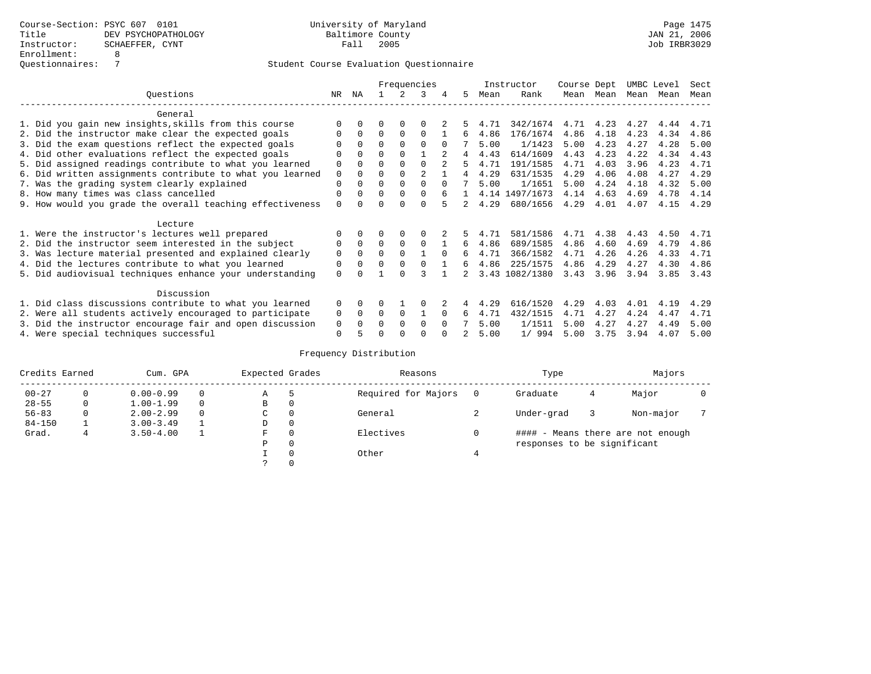|                                                           |               |              |          |          | Frequencies    |          |    |      | Instructor     | Course Dept |      | UMBC Level |      | Sect |
|-----------------------------------------------------------|---------------|--------------|----------|----------|----------------|----------|----|------|----------------|-------------|------|------------|------|------|
| Ouestions                                                 | NR.           | ΝA           |          |          | 3              |          | 5. | Mean | Rank           | Mean        | Mean | Mean       | Mean | Mean |
| General                                                   |               |              |          |          |                |          |    |      |                |             |      |            |      |      |
| 1. Did you gain new insights, skills from this course     |               | $\Omega$     | O        | $\Omega$ | O              |          |    | 4.71 | 342/1674       | 4.71        | 4.23 | 4.27       | 4.44 | 4.71 |
| 2. Did the instructor make clear the expected goals       | O             | $\Omega$     | $\Omega$ | $\Omega$ | $\Omega$       |          | 6  | 4.86 | 176/1674       | 4.86        | 4.18 | 4.23       | 4.34 | 4.86 |
| 3. Did the exam questions reflect the expected goals      |               | $\Omega$     | $\Omega$ | $\Omega$ | $\Omega$       | $\Omega$ |    | 5.00 | 1/1423         | 5.00        | 4.23 | 4.27       | 4.28 | 5.00 |
| 4. Did other evaluations reflect the expected goals       |               | $\Omega$     | $\Omega$ | $\Omega$ |                |          | 4  | 4.43 | 614/1609       | 4.43        | 4.23 | 4.22       | 4.34 | 4.43 |
| 5. Did assigned readings contribute to what you learned   |               |              | $\Omega$ |          | $\Omega$       |          |    | 4.71 | 191/1585       | 4.71        | 4.03 | 3.96       | 4.23 | 4.71 |
| 6. Did written assignments contribute to what you learned | $\mathbf 0$   | $\Omega$     |          |          | $\mathfrak{D}$ |          | 4  | 4.29 | 631/1535       | 4.29        | 4.06 | 4.08       | 4.27 | 4.29 |
| 7. Was the grading system clearly explained               | $\Omega$      | $\Omega$     | $\Omega$ | $\Omega$ | $\Omega$       |          |    | 5.00 | 1/1651         | 5.00        | 4.24 | 4.18       | 4.32 | 5.00 |
| 8. How many times was class cancelled                     |               | $\Omega$     | $\Omega$ | $\Omega$ | $\Omega$       |          |    |      | 4.14 1497/1673 | 4.14        | 4.63 | 4.69       | 4.78 | 4.14 |
| 9. How would you grade the overall teaching effectiveness |               | <sup>n</sup> | U        | ∩        | $\cap$         |          | 2  | 4.29 | 680/1656       | 4.29        | 4.01 | 4.07       | 4.15 | 4.29 |
| Lecture                                                   |               |              |          |          |                |          |    |      |                |             |      |            |      |      |
| 1. Were the instructor's lectures well prepared           |               |              |          |          |                |          | 5. | 4.71 | 581/1586       | 4.71        | 4.38 | 4.43       | 4.50 | 4.71 |
| 2. Did the instructor seem interested in the subject      | 0             | $\Omega$     | $\Omega$ | $\Omega$ | $\Omega$       |          | 6  | 4.86 | 689/1585       | 4.86        | 4.60 | 4.69       | 4.79 | 4.86 |
| 3. Was lecture material presented and explained clearly   | $\mathbf 0$   | $\Omega$     | $\Omega$ | $\Omega$ |                | $\Omega$ | б. | 4.71 | 366/1582       | 4.71        | 4.26 | 4.26       | 4.33 | 4.71 |
| 4. Did the lectures contribute to what you learned        | 0             | $\Omega$     | $\Omega$ | $\Omega$ |                |          | б. | 4.86 | 225/1575       | 4.86        | 4.29 | 4.27       | 4.30 | 4.86 |
| 5. Did audiovisual techniques enhance your understanding  | $\Omega$      |              |          |          |                |          |    |      | 3.43 1082/1380 | 3.43        | 3.96 | 3.94       | 3.85 | 3.43 |
|                                                           |               |              |          |          |                |          |    |      |                |             |      |            |      |      |
| Discussion                                                |               |              |          |          |                |          |    |      |                |             |      |            |      |      |
| 1. Did class discussions contribute to what you learned   | $\Omega$<br>0 | $\Omega$     | U        |          | O              |          |    | 4.29 | 616/1520       | 4.29        | 4.03 | 4.01       | 4.19 | 4.29 |
| 2. Were all students actively encouraged to participate   |               | $\Omega$     | $\Omega$ | $\Omega$ |                | $\Omega$ | 6  | 4.71 | 432/1515       | 4.71        | 4.27 | 4.24       | 4.47 | 4.71 |
| 3. Did the instructor encourage fair and open discussion  |               | $\Omega$     | 0        | $\Omega$ | $\Omega$       | $\Omega$ |    | 5.00 | 1/1511         | 5.00        | 4.27 | 4.27       | 4.49 | 5.00 |
| 4. Were special techniques successful                     | $\Omega$      |              |          |          |                |          |    | 5.00 | 1/994          | 5.00        | 3.75 | 3.94       | 4.07 | 5.00 |

| Credits Earned |          | Cum. GPA      | Expected Grades |             | Reasons  |                     | Type     |                             | Majors |                                   |  |
|----------------|----------|---------------|-----------------|-------------|----------|---------------------|----------|-----------------------------|--------|-----------------------------------|--|
| $00 - 27$      | $\Omega$ | $0.00 - 0.99$ |                 | Α           | 5        | Required for Majors | $\Omega$ | Graduate                    | 4      | Major                             |  |
| $28 - 55$      | 0        | $1.00 - 1.99$ |                 | В           | 0        |                     |          |                             |        |                                   |  |
| $56 - 83$      | 0        | $2.00 - 2.99$ |                 | $\sim$<br>◡ | 0        | General             |          | Under-grad                  |        | Non-major                         |  |
| $84 - 150$     |          | $3.00 - 3.49$ |                 | D           | 0        |                     |          |                             |        |                                   |  |
| Grad.          |          | $3.50 - 4.00$ |                 | F           | 0        | Electives           | 0        |                             |        | #### - Means there are not enough |  |
|                |          |               |                 | Ρ           | 0        |                     |          | responses to be significant |        |                                   |  |
|                |          |               |                 |             | $\Omega$ | Other               |          |                             |        |                                   |  |
|                |          |               |                 |             |          |                     |          |                             |        |                                   |  |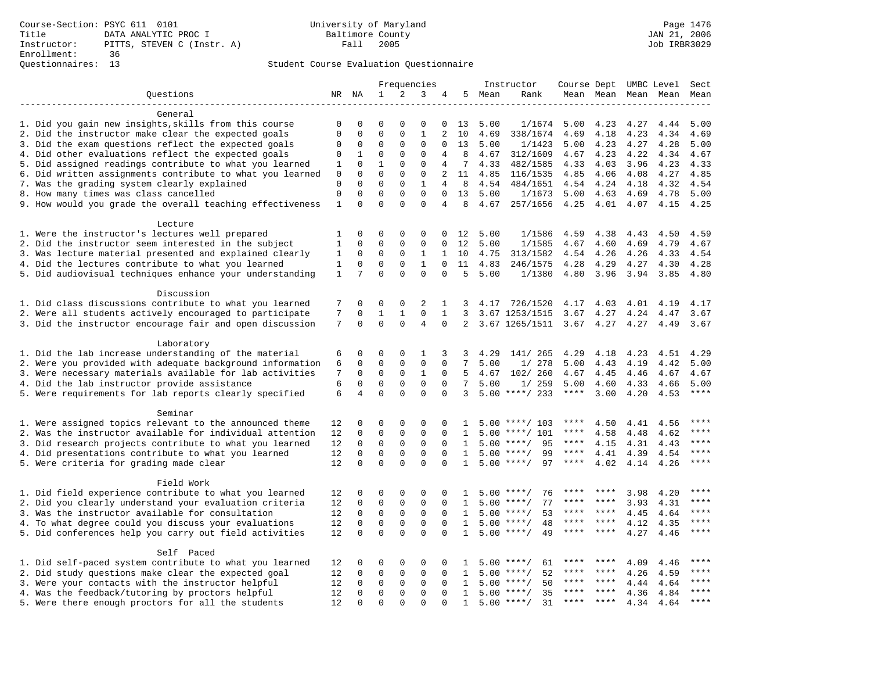|                                                           |              |               |                         |               | Frequencies             |                         |                   |      | Instructor               |             |           |      | Course Dept UMBC Level Sect |             |
|-----------------------------------------------------------|--------------|---------------|-------------------------|---------------|-------------------------|-------------------------|-------------------|------|--------------------------|-------------|-----------|------|-----------------------------|-------------|
| Questions                                                 |              | NR NA         | $\mathbf{1}$            | 2             | 3                       | 4                       | 5                 | Mean | Rank                     |             |           |      | Mean Mean Mean Mean         | Mean        |
|                                                           |              |               |                         |               |                         |                         |                   |      |                          |             |           |      |                             |             |
| General                                                   |              |               |                         |               |                         |                         |                   |      |                          |             |           |      |                             |             |
| 1. Did you gain new insights, skills from this course     | $\mathbf 0$  | $\Omega$      | $\Omega$                | $\Omega$      | $\Omega$                | 0                       | 13                | 5.00 | 1/1674                   | 5.00        | 4.23      | 4.27 | 4.44                        | 5.00        |
| 2. Did the instructor make clear the expected goals       | $\Omega$     | 0             | $\Omega$                | $\Omega$      | $\mathbf{1}$            | $\overline{2}$          | 10                | 4.69 | 338/1674                 | 4.69        | 4.18      | 4.23 | 4.34                        | 4.69        |
| 3. Did the exam questions reflect the expected goals      | $\Omega$     | 0             | $\Omega$                | 0             | $\mathbf 0$             | 0                       | 13                | 5.00 | 1/1423                   | 5.00        | 4.23      | 4.27 | 4.28                        | 5.00        |
| 4. Did other evaluations reflect the expected goals       | 0            | 1             | $\Omega$                | $\Omega$      | $\mathbf 0$             | 4                       | 8                 | 4.67 | 312/1609                 | 4.67        | 4.23      | 4.22 | 4.34                        | 4.67        |
| 5. Did assigned readings contribute to what you learned   | 1            | $\mathbf 0$   | $\mathbf{1}$            | 0             | $\mathbf 0$             | 4                       | 7                 | 4.33 | 482/1585                 | 4.33        | 4.03      | 3.96 | 4.23                        | 4.33        |
| 6. Did written assignments contribute to what you learned | 0            | $\Omega$      | $\Omega$                | $\Omega$      | $\Omega$                | 2                       | 11                | 4.85 | 116/1535                 | 4.85        | 4.06      | 4.08 | 4.27                        | 4.85        |
| 7. Was the grading system clearly explained               | $\mathbf 0$  | 0             | $\mathbf{0}$            | 0             | $\mathbf{1}$            | 4                       | 8                 | 4.54 | 484/1651                 | 4.54        | 4.24      | 4.18 | 4.32                        | 4.54        |
| 8. How many times was class cancelled                     | $\Omega$     | 0             | $\Omega$                | 0             | $\mathbf 0$             | $\Omega$                | 13                | 5.00 | 1/1673                   | 5.00        | 4.63      | 4.69 | 4.78                        | 5.00        |
| 9. How would you grade the overall teaching effectiveness | $1\,$        | $\Omega$      | $\Omega$                | $\Omega$      | $\Omega$                | 4                       | 8                 | 4.67 | 257/1656                 | 4.25        | 4.01      | 4.07 | 4.15                        | 4.25        |
| Lecture                                                   |              |               |                         |               |                         |                         |                   |      |                          |             |           |      |                             |             |
| 1. Were the instructor's lectures well prepared           | 1            | 0             | $\mathbf 0$             | $\mathbf 0$   | $\mathbf 0$             | $\Omega$                | 12                | 5.00 | 1/1586                   | 4.59        | 4.38      | 4.43 | 4.50                        | 4.59        |
| 2. Did the instructor seem interested in the subject      | $\mathbf{1}$ | 0             | $\Omega$                | 0             | $\mathbf 0$             | $\mathbf 0$             | 12                | 5.00 | 1/1585                   | 4.67        | 4.60      | 4.69 | 4.79                        | 4.67        |
| 3. Was lecture material presented and explained clearly   | 1            | $\mathbf 0$   | $\mathbf 0$             | 0             | $\mathbf{1}$            | $\mathbf{1}$            | 10                | 4.75 | 313/1582                 | 4.54        | 4.26      | 4.26 | 4.33                        | 4.54        |
| 4. Did the lectures contribute to what you learned        | $\mathbf{1}$ | 0             | $\Omega$                | $\mathbf 0$   | $\mathbf{1}$            | $\Omega$                | 11                | 4.83 | 246/1575                 | 4.28        | 4.29      | 4.27 | 4.30                        | 4.28        |
| 5. Did audiovisual techniques enhance your understanding  | $\mathbf{1}$ | 7             | $\Omega$                | $\Omega$      | $\mathbf 0$             | $\mathbf 0$             | 5                 | 5.00 | 1/1380                   | 4.80        | 3.96      | 3.94 | 3.85                        | 4.80        |
| Discussion                                                |              |               |                         |               |                         |                         |                   |      |                          |             |           |      |                             |             |
| 1. Did class discussions contribute to what you learned   | 7            | 0             | 0                       | $\mathsf 0$   | 2                       | 1                       | 3                 | 4.17 | 726/1520                 | 4.17        | 4.03      | 4.01 | 4.19                        | 4.17        |
| 2. Were all students actively encouraged to participate   | 7            | 0             | $\mathbf{1}$            | $\mathbf{1}$  | $\mathbf 0$             | $\mathbf{1}$            | 3                 |      | 3.67 1253/1515           | 3.67        | 4.27      | 4.24 | 4.47                        | 3.67        |
| 3. Did the instructor encourage fair and open discussion  | 7            | $\Omega$      | 0                       | $\Omega$      | $\overline{4}$          | $\Omega$                | $\overline{a}$    |      | 3.67 1265/1511           | 3.67        | 4.27      | 4.27 | 4.49                        | 3.67        |
|                                                           |              |               |                         |               |                         |                         |                   |      |                          |             |           |      |                             |             |
| Laboratory                                                |              |               |                         |               |                         |                         |                   |      |                          |             |           |      |                             |             |
| 1. Did the lab increase understanding of the material     | 6            | 0             | $\Omega$                | $\Omega$      | 1                       | 3                       | 3                 | 4.29 | 141/ 265                 | 4.29        | 4.18      | 4.23 | 4.51                        | 4.29        |
| 2. Were you provided with adequate background information | 6            | $\mathbf 0$   | $\Omega$                | 0             | $\mathbf 0$             | $\mathbf 0$             | 7                 | 5.00 | 1/278                    | 5.00        | 4.43      | 4.19 | 4.42                        | 5.00        |
| 3. Were necessary materials available for lab activities  | 7            | 0             | $\mathbf 0$             | 0             | $\mathbf{1}$            | $\mathbf 0$             | 5                 | 4.67 | 102/ 260                 | 4.67        | 4.45      | 4.46 | 4.67                        | 4.67        |
| 4. Did the lab instructor provide assistance              | 6            | $\mathbf 0$   | $\mathbf 0$             | $\mathbf 0$   | $\mathbf 0$             | $\Omega$                | 7                 | 5.00 | 1/259                    | 5.00        | 4.60      | 4.33 | 4.66                        | 5.00        |
| 5. Were requirements for lab reports clearly specified    | 6            | 4             | $\mathbf 0$             | $\Omega$      | $\mathbf 0$             | $\Omega$                | 3                 |      | $5.00$ ****/ 233         | $***$ * * * | 3.00      | 4.20 | 4.53                        | ****        |
| Seminar                                                   |              |               |                         |               |                         |                         |                   |      |                          |             |           |      |                             |             |
| 1. Were assigned topics relevant to the announced theme   | 12           | 0             | 0                       | 0             | 0                       | $\mathbf 0$             | 1                 |      | $5.00$ ****/ 103         | ****        | 4.50      | 4.41 | 4.56                        |             |
| 2. Was the instructor available for individual attention  | 12           | 0             | $\Omega$                | 0             | $\Omega$                | $\Omega$                | $\mathbf{1}$      | 5.00 | $***/101$                | ****        | 4.58      | 4.48 | 4.62                        | ****        |
| 3. Did research projects contribute to what you learned   | 12           | $\mathbf 0$   | $\mathbf 0$             | 0             | $\mathsf 0$             | $\mathbf 0$             | $\mathbf{1}$      |      | 95<br>$5.00$ ****/       | $***$ * * * | 4.15      | 4.31 | 4.43                        | $***$       |
| 4. Did presentations contribute to what you learned       | 12           | $\Omega$      | $\mathbf 0$             | $\Omega$      | $\Omega$                | $\Omega$                | 1                 |      | 99<br>$5.00$ ****/       | $***$ * * * | 4.41      | 4.39 | 4.54                        | $***$ * * * |
| 5. Were criteria for grading made clear                   | 12           | $\Omega$      | $\Omega$                | $\Omega$      | $\Omega$                | $\Omega$                | $\mathbf{1}$      |      | $5.00$ ****/<br>97       | $***$ * * * | 4.02      | 4.14 | 4.26                        | $***$       |
| Field Work                                                |              |               |                         |               |                         |                         |                   |      |                          |             |           |      |                             |             |
| 1. Did field experience contribute to what you learned    | 12           | 0             | 0                       | 0             | 0                       | 0                       |                   |      | 76<br>$5.00$ ****/       | ****        | ****      | 3.98 | 4.20                        | $***$ * * * |
| 2. Did you clearly understand your evaluation criteria    | 12           | 0             | $\mathbf 0$             | 0             | $\mathbf 0$             | $\Omega$                | $\mathbf{1}$      |      | $5.00$ ****/<br>77       | $***$ * *   | $***$ *   | 3.93 | 4.31                        | $***$       |
| 3. Was the instructor available for consultation          | 12           | $\mathbf 0$   | $\mathbf 0$             | $\mathsf 0$   | $\mathsf 0$             | $\Omega$                | $\mathbf{1}$      |      | $5.00$ ****/<br>53       | ****        | $***$ *   | 4.45 | 4.64                        | ****        |
| 4. To what degree could you discuss your evaluations      | 12           | $\Omega$      | $\Omega$                | $\Omega$      | $\Omega$                | $\Omega$                | $\mathbf{1}$      | 5.00 | $* * * * /$<br>48        | ****        | ****      | 4.12 | 4.35                        | ****        |
| 5. Did conferences help you carry out field activities    | 12           | $\Omega$      | $\mathbf 0$             | $\Omega$      | $\Omega$                | $\Omega$                | $\mathbf{1}$      | 5.00 | 49<br>$***$ /            |             | ****      | 4.27 | 4.46                        | $***$       |
|                                                           |              |               |                         |               |                         |                         |                   |      |                          |             |           |      |                             |             |
| Self Paced                                                |              |               | $\Omega$                | 0             |                         | 0                       |                   |      | $5.00$ ****/             |             |           |      |                             | * * * *     |
| 1. Did self-paced system contribute to what you learned   | 12           | 0<br>$\Omega$ | $\mathbf 0$             | $\mathbf 0$   | 0<br>$\mathbf 0$        | $\Omega$                | 1<br>$\mathbf{1}$ |      | 61<br>52<br>$***$ /      | ****        | ****      | 4.09 | 4.46                        | ****        |
| 2. Did study questions make clear the expected goal       | 12           |               |                         |               |                         |                         |                   | 5.00 |                          | ****        | ****      | 4.26 | 4.59                        | ****        |
| 3. Were your contacts with the instructor helpful         | 12           | 0             | $\mathbf 0$             | $\mathbf 0$   | $\mathbf 0$             | $\mathbf 0$             | 1                 | 5.00 | 50<br>$***$ /<br>$***$ / |             | ****      | 4.44 | 4.64                        | ****        |
| 4. Was the feedback/tutoring by proctors helpful          | 12           | 0<br>$\Omega$ | $\mathbf 0$<br>$\Omega$ | 0<br>$\Omega$ | $\mathbf 0$<br>$\Omega$ | $\mathbf 0$<br>$\Omega$ | 1                 | 5.00 | 35<br>$5.00$ ****/<br>31 | ****        | $* * * *$ | 4.36 | 4.84                        | $***$       |
| 5. Were there enough proctors for all the students        | 12           |               |                         |               |                         |                         | $\mathbf{1}$      |      |                          |             |           | 4.34 | 4.64                        |             |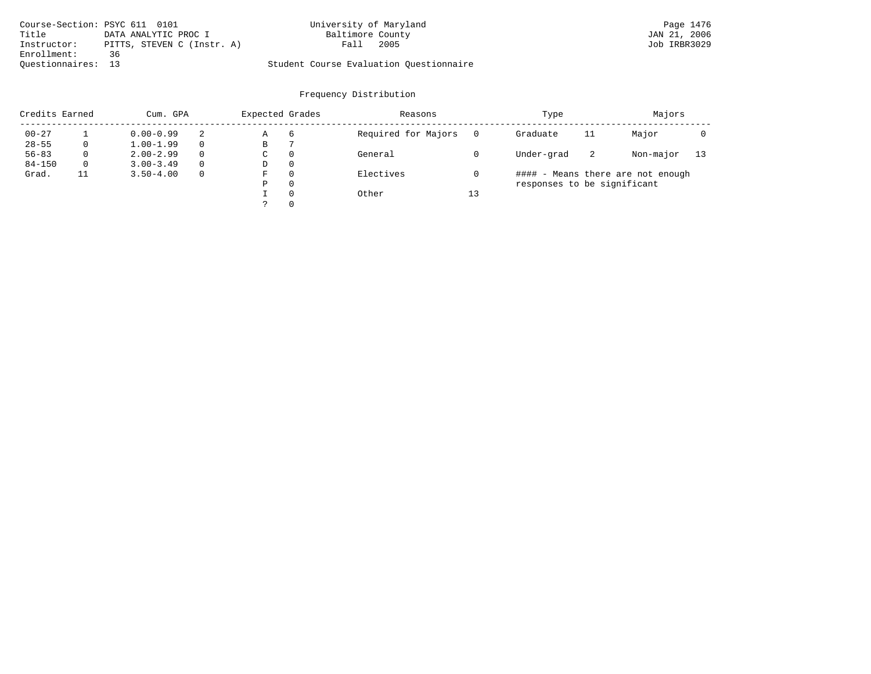| Course-Section: PSYC 611 0101 |                            | University of Maryland                  | Page 1476    |
|-------------------------------|----------------------------|-----------------------------------------|--------------|
| Title                         | DATA ANALYTIC PROC I       | Baltimore County                        | JAN 21, 2006 |
| Instructor:                   | PITTS, STEVEN C (Instr. A) | 2005<br>Fall                            | Job IRBR3029 |
| Enrollment:                   | 36                         |                                         |              |
| Ouestionnaires: 13            |                            | Student Course Evaluation Ouestionnaire |              |

| Credits Earned |    | Cum. GPA      |          |             | Expected Grades | Reasons             |    | Type                        |    | Majors                            |    |
|----------------|----|---------------|----------|-------------|-----------------|---------------------|----|-----------------------------|----|-----------------------------------|----|
| $00 - 27$      |    | $0.00 - 0.99$ | 2        | Α           | 6               | Required for Majors |    | Graduate                    | 11 | Major                             |    |
| $28 - 55$      | 0  | $1.00 - 1.99$ |          | В           |                 |                     |    |                             |    |                                   |    |
| $56 - 83$      | 0  | $2.00 - 2.99$ | $\Omega$ | $\sim$<br>◡ | 0               | General             |    | Under-grad                  | -2 | Non-major                         | 13 |
| $84 - 150$     | 0  | $3.00 - 3.49$ |          | D           | 0               |                     |    |                             |    |                                   |    |
| Grad.          | 11 | $3.50 - 4.00$ |          | F           | 0               | Electives           |    |                             |    | #### - Means there are not enough |    |
|                |    |               |          | Ρ           | 0               |                     |    | responses to be significant |    |                                   |    |
|                |    |               |          |             | $\Omega$        | Other               | 13 |                             |    |                                   |    |
|                |    |               |          | っ           | 0               |                     |    |                             |    |                                   |    |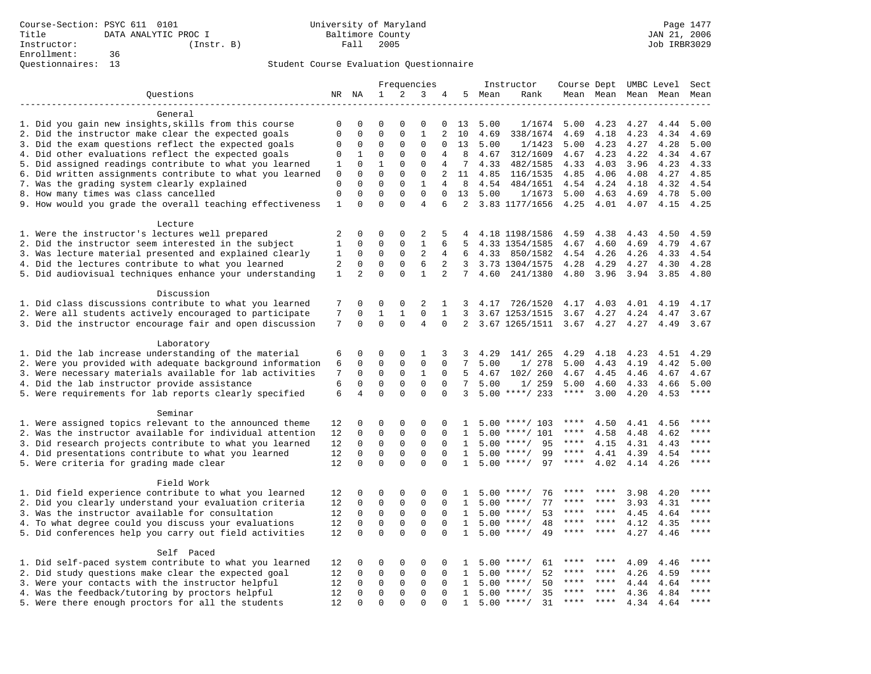| 2<br>Questions<br>NR NA<br>$\mathbf{1}$<br>3<br>5 Mean<br>4<br>Rank<br>Mean Mean Mean Mean<br>Mean<br>General<br>1. Did you gain new insights, skills from this course<br>0<br>$\Omega$<br>$\Omega$<br>$\Omega$<br>$\Omega$<br>13<br>5.00<br>1/1674<br>5.00<br>4.23<br>4.27<br>4.44<br>5.00<br>0<br>2. Did the instructor make clear the expected goals<br>$\mathbf 0$<br>$\mathbf 0$<br>$\Omega$<br>$\mathbf{0}$<br>$\mathbf{1}$<br>2<br>4.69<br>10<br>4.69<br>338/1674<br>4.69<br>4.18<br>4.23<br>4.34<br>3. Did the exam questions reflect the expected goals<br>0<br>0<br>0<br>13<br>1/1423<br>5.00<br>4.23<br>5.00<br>0<br>0<br>0<br>5.00<br>4.27<br>4.28<br>4. Did other evaluations reflect the expected goals<br>$\Omega$<br>$\mathbf{0}$<br>$\mathbf 0$<br>4.34<br>0<br>1<br>4<br>8<br>4.67<br>312/1609<br>4.67<br>4.23<br>4.22<br>4.67<br>5. Did assigned readings contribute to what you learned<br>$\mathbf 0$<br>$\mathbf{1}$<br>$\mathbf{0}$<br>$\mathbf 0$<br>7<br>4.03<br>4.33<br>4<br>4.33<br>482/1585<br>4.33<br>3.96<br>4.23<br>1<br>6. Did written assignments contribute to what you learned<br>$\Omega$<br>$\Omega$<br>$\Omega$<br>$\Omega$<br>$\overline{a}$<br>11<br>4.85<br>116/1535<br>4.85<br>4.06<br>4.08<br>4.27<br>4.85<br>$\mathbf 0$<br>$\mathbf{1}$<br>7. Was the grading system clearly explained<br>$\mathbf 0$<br>$\mathbf 0$<br>$\mathbf 0$<br>$\Omega$<br>8<br>484/1651<br>4.24<br>4<br>4.54<br>4.54<br>4.18<br>4.32<br>4.54<br>8. How many times was class cancelled<br>$\mathsf 0$<br>$\Omega$<br>$\Omega$<br>13<br>0<br>$\Omega$<br>$\Omega$<br>5.00<br>1/1673<br>5.00<br>4.63<br>4.69<br>4.78<br>5.00<br>$\Omega$<br>$\Omega$<br>9. How would you grade the overall teaching effectiveness<br>$\mathbf{1}$<br>$\Omega$<br>$\overline{4}$<br>6<br>2<br>3.83 1177/1656<br>4.25<br>4.01<br>4.07<br>4.15<br>4.25<br>Lecture<br>1. Were the instructor's lectures well prepared<br>2<br>0<br>0<br>$\Omega$<br>2<br>5<br>4.18 1198/1586<br>4.59<br>4.38<br>4.50<br>4<br>4.43<br>4.59<br>2. Did the instructor seem interested in the subject<br>$\mathsf 0$<br>$\mathsf 0$<br>$\mathsf 0$<br>$1\,$<br>1<br>6<br>5<br>4.33 1354/1585<br>4.67<br>4.60<br>4.69<br>4.79<br>4.67<br>$\overline{2}$<br>3. Was lecture material presented and explained clearly<br>$\mathbf 0$<br>$\mathbf 0$<br>$\mathbf 0$<br>4.26<br>4.54<br>1<br>4<br>6<br>4.33<br>850/1582<br>4.54<br>4.26<br>4.33<br>4. Did the lectures contribute to what you learned<br>$\mathsf 0$<br>$\mathbf 0$<br>$\mathsf 0$<br>6<br>2<br>2<br>3<br>3.73 1304/1575<br>4.28<br>4.29<br>4.30<br>4.28<br>4.27<br>5. Did audiovisual techniques enhance your understanding<br>$\overline{2}$<br>$\Omega$<br>$\Omega$<br>$\mathbf{1}$<br>$\mathbf{1}$<br>$\overline{2}$<br>$7^{\circ}$<br>4.60<br>241/1380<br>4.80<br>3.96<br>3.94<br>3.85<br>4.80<br>Discussion<br>1. Did class discussions contribute to what you learned<br>$\mathbf 0$<br>$\overline{2}$<br>7<br>0<br>0<br>1<br>726/1520<br>4.17<br>4.03<br>4.01<br>4.17<br>3<br>4.17<br>4.19<br>2. Were all students actively encouraged to participate<br>7<br>$\mathbf{1}$<br>$\mathbf 0$<br>0<br>1<br>1<br>3<br>3.67 1253/1515<br>3.67<br>4.27<br>4.24<br>4.47<br>3.67<br>7<br>$\Omega$<br>$\Omega$<br>$\overline{4}$<br>3. Did the instructor encourage fair and open discussion<br>$\Omega$<br>$\Omega$<br>$\overline{2}$<br>3.67 1265/1511<br>3.67<br>4.27<br>4.27<br>4.49<br>3.67<br>Laboratory<br>1. Did the lab increase understanding of the material<br>$\mathbf{0}$<br>6<br>0<br>$\Omega$<br>1<br>3<br>4.29<br>141/ 265<br>4.29<br>4.18<br>4.23<br>4.51<br>3<br>4.29<br>2. Were you provided with adequate background information<br>$\mathbf 0$<br>0<br>0<br>0<br>0<br>7<br>5.00<br>1/278<br>5.00<br>4.43<br>4.19<br>4.42<br>5.00<br>6<br>7<br>3. Were necessary materials available for lab activities<br>$\mathbf 0$<br>$\mathbf 0$<br>$\mathbf 0$<br>$\mathbf{1}$<br>5<br>102/ 260<br>$\Omega$<br>4.67<br>4.67<br>4.45<br>4.46<br>4.67<br>4.67<br>4. Did the lab instructor provide assistance<br>6<br>$\mathbf 0$<br>$\mathbf 0$<br>$\mathbf 0$<br>7<br>0<br>0<br>5.00<br>1/259<br>5.00<br>5.00<br>4.60<br>4.33<br>4.66<br>5. Were requirements for lab reports clearly specified<br>6<br>$\overline{4}$<br>$\mathbf 0$<br>$\Omega$<br>$\Omega$<br>$5.00$ ****/ 233<br>$***$ * * *<br>$***$<br>$\Omega$<br>3<br>3.00<br>4.20<br>4.53<br>Seminar<br>1. Were assigned topics relevant to the announced theme<br>****<br>12<br>0<br>0<br>0<br>0<br>$\Omega$<br>$5.00$ ****/ 103<br>4.50<br>4.41<br>4.56<br>$\mathbf{1}$<br>$***$<br>2. Was the instructor available for individual attention<br>12<br>$\mathbf 0$<br>$\mathbf{0}$<br>0<br>0<br>0<br>$5.00$ ****/ 101<br>****<br>4.58<br>4.48<br>4.62<br>1<br>****<br>3. Did research projects contribute to what you learned<br>12<br>0<br>0<br>0<br>0<br>$\Omega$<br>$5.00$ ****/<br>95<br>****<br>4.15<br>4.31<br>4.43<br>$\mathbf{1}$<br>$\mathbf 0$<br>$\mathbf 0$<br>$***$<br>4. Did presentations contribute to what you learned<br>$\mathbf 0$<br>$\mathbf 0$<br>$\Omega$<br>5.00<br>$***$ /<br>99<br>$***$ * * *<br>4.41<br>4.39<br>4.54<br>12<br>$\mathbf{1}$<br>$\mathbf 0$<br>$\Omega$<br>5. Were criteria for grading made clear<br>$\mathbf 0$<br>$\Omega$<br>$5.00$ ****/<br>97<br>4.02<br>$***$<br>12<br>$\Omega$<br>$\mathbf{1}$<br>****<br>4.14<br>4.26<br>Field Work<br>1. Did field experience contribute to what you learned<br>12<br>0<br>0<br>0<br>$5.00$ ****/<br>76<br>3.98<br>****<br>0<br>$\Omega$<br>4.20<br>1<br>****<br>****<br>2. Did you clearly understand your evaluation criteria<br>$\mathbf 0$<br>$\mathbf 0$<br>$\mathbf 0$<br>$\mathbf 0$<br>77<br>3.93<br>****<br>12<br>$\Omega$<br>5.00<br>$***$ /<br>****<br>****<br>4.31<br>$\mathbf{1}$<br>3. Was the instructor available for consultation<br>$\mathbf 0$<br>$\mathbf 0$<br>$\mathbf 0$<br>5.00<br>53<br>****<br>12<br>0<br>$\Omega$<br>$***/$<br>****<br>****<br>4.45<br>4.64<br>$\mathbf{1}$<br>$\mathbf 0$<br>$\mathbf 0$<br>$\mathbf 0$<br>$\mathbf 0$<br>$***$<br>4. To what degree could you discuss your evaluations<br>12<br>$\Omega$<br>5.00<br>48<br>$***$ *<br>4.12<br>4.35<br>1<br>$***$ /<br>****<br>$\mathbf 0$<br>$\Omega$<br>5. Did conferences help you carry out field activities<br>12<br>$\Omega$<br>$\Omega$<br>5.00<br>49<br>4.27<br>$***$<br>$\Omega$<br>$\mathbf{1}$<br>$* * * * /$<br>4.46<br>Self Paced<br>1. Did self-paced system contribute to what you learned<br>4.09<br>****<br>12<br>0<br>$\Omega$<br>0<br>$\Omega$<br>0<br>5.00<br>$***$ /<br>61<br>4.46<br>-1.<br>$\mathbf 0$<br>2. Did study questions make clear the expected goal<br>12<br>$\mathbf 0$<br>$\mathbf 0$<br>$\mathbf{0}$<br>$\mathbf 0$<br>52<br>4.26<br>****<br>$\mathbf{1}$<br>5.00<br>****<br>4.59<br>$***/$<br>****<br>3. Were your contacts with the instructor helpful<br>$\mathbf 0$<br>50<br>****<br>12<br>0<br>0<br>0<br>0<br>5.00<br>$***/$<br>****<br>****<br>4.44<br>$\mathbf{1}$<br>4.64<br>$\mathsf 0$<br>$\Omega$<br>****<br>4. Was the feedback/tutoring by proctors helpful<br>12<br>$\Omega$<br>$\Omega$<br>$5.00$ ****/<br>35<br>****<br>****<br>4.36<br>4.84<br>$\Omega$<br>1<br>$\Omega$<br>$\Omega$<br>$\Omega$<br>$5.00$ ****/<br>31<br>$***$ * * *<br>$***$ *<br>$***$<br>5. Were there enough proctors for all the students<br>12<br>$\Omega$<br>$\Omega$<br>4.34<br>4.64<br>$\mathbf{1}$ |  |  |  | Frequencies |  | Instructor | Course Dept UMBC Level Sect |  |  |
|----------------------------------------------------------------------------------------------------------------------------------------------------------------------------------------------------------------------------------------------------------------------------------------------------------------------------------------------------------------------------------------------------------------------------------------------------------------------------------------------------------------------------------------------------------------------------------------------------------------------------------------------------------------------------------------------------------------------------------------------------------------------------------------------------------------------------------------------------------------------------------------------------------------------------------------------------------------------------------------------------------------------------------------------------------------------------------------------------------------------------------------------------------------------------------------------------------------------------------------------------------------------------------------------------------------------------------------------------------------------------------------------------------------------------------------------------------------------------------------------------------------------------------------------------------------------------------------------------------------------------------------------------------------------------------------------------------------------------------------------------------------------------------------------------------------------------------------------------------------------------------------------------------------------------------------------------------------------------------------------------------------------------------------------------------------------------------------------------------------------------------------------------------------------------------------------------------------------------------------------------------------------------------------------------------------------------------------------------------------------------------------------------------------------------------------------------------------------------------------------------------------------------------------------------------------------------------------------------------------------------------------------------------------------------------------------------------------------------------------------------------------------------------------------------------------------------------------------------------------------------------------------------------------------------------------------------------------------------------------------------------------------------------------------------------------------------------------------------------------------------------------------------------------------------------------------------------------------------------------------------------------------------------------------------------------------------------------------------------------------------------------------------------------------------------------------------------------------------------------------------------------------------------------------------------------------------------------------------------------------------------------------------------------------------------------------------------------------------------------------------------------------------------------------------------------------------------------------------------------------------------------------------------------------------------------------------------------------------------------------------------------------------------------------------------------------------------------------------------------------------------------------------------------------------------------------------------------------------------------------------------------------------------------------------------------------------------------------------------------------------------------------------------------------------------------------------------------------------------------------------------------------------------------------------------------------------------------------------------------------------------------------------------------------------------------------------------------------------------------------------------------------------------------------------------------------------------------------------------------------------------------------------------------------------------------------------------------------------------------------------------------------------------------------------------------------------------------------------------------------------------------------------------------------------------------------------------------------------------------------------------------------------------------------------------------------------------------------------------------------------------------------------------------------------------------------------------------------------------------------------------------------------------------------------------------------------------------------------------------------------------------------------------------------------------------------------------------------------------------------------------------------------------------------------------------------------------------------------------------------------------------------------------------------------------------------------------------------------------------------------------------------------------------------------------------------------------------------------------------------------------------------------------------------------------------------------------------------------------------------------------------------------------------------------------------------------------------------------------------------------------------------------------------------------------------------------------------------------------------------------------------------------------------------------------------------------------------------------------------------------------------------------------------------------------------------------------------------------------------------------------------------------------------------------------------------------------------------------------------------------------------------------------------------------------------------------------------------------------------------------------------------------------------------------------------------------------------------------------------------------------------------------------------------------------------------------------------------------------------------------------------------------------------------------------------------------------------------------------------------------------------------------------------------------|--|--|--|-------------|--|------------|-----------------------------|--|--|
|                                                                                                                                                                                                                                                                                                                                                                                                                                                                                                                                                                                                                                                                                                                                                                                                                                                                                                                                                                                                                                                                                                                                                                                                                                                                                                                                                                                                                                                                                                                                                                                                                                                                                                                                                                                                                                                                                                                                                                                                                                                                                                                                                                                                                                                                                                                                                                                                                                                                                                                                                                                                                                                                                                                                                                                                                                                                                                                                                                                                                                                                                                                                                                                                                                                                                                                                                                                                                                                                                                                                                                                                                                                                                                                                                                                                                                                                                                                                                                                                                                                                                                                                                                                                                                                                                                                                                                                                                                                                                                                                                                                                                                                                                                                                                                                                                                                                                                                                                                                                                                                                                                                                                                                                                                                                                                                                                                                                                                                                                                                                                                                                                                                                                                                                                                                                                                                                                                                                                                                                                                                                                                                                                                                                                                                                                                                                                                                                                                                                                                                                                                                                                                                                                                                                                                                                                                                                                                                                                                                                                                                                                                                                                                                                                                                                                                                                                                                                                            |  |  |  |             |  |            |                             |  |  |
|                                                                                                                                                                                                                                                                                                                                                                                                                                                                                                                                                                                                                                                                                                                                                                                                                                                                                                                                                                                                                                                                                                                                                                                                                                                                                                                                                                                                                                                                                                                                                                                                                                                                                                                                                                                                                                                                                                                                                                                                                                                                                                                                                                                                                                                                                                                                                                                                                                                                                                                                                                                                                                                                                                                                                                                                                                                                                                                                                                                                                                                                                                                                                                                                                                                                                                                                                                                                                                                                                                                                                                                                                                                                                                                                                                                                                                                                                                                                                                                                                                                                                                                                                                                                                                                                                                                                                                                                                                                                                                                                                                                                                                                                                                                                                                                                                                                                                                                                                                                                                                                                                                                                                                                                                                                                                                                                                                                                                                                                                                                                                                                                                                                                                                                                                                                                                                                                                                                                                                                                                                                                                                                                                                                                                                                                                                                                                                                                                                                                                                                                                                                                                                                                                                                                                                                                                                                                                                                                                                                                                                                                                                                                                                                                                                                                                                                                                                                                                            |  |  |  |             |  |            |                             |  |  |
|                                                                                                                                                                                                                                                                                                                                                                                                                                                                                                                                                                                                                                                                                                                                                                                                                                                                                                                                                                                                                                                                                                                                                                                                                                                                                                                                                                                                                                                                                                                                                                                                                                                                                                                                                                                                                                                                                                                                                                                                                                                                                                                                                                                                                                                                                                                                                                                                                                                                                                                                                                                                                                                                                                                                                                                                                                                                                                                                                                                                                                                                                                                                                                                                                                                                                                                                                                                                                                                                                                                                                                                                                                                                                                                                                                                                                                                                                                                                                                                                                                                                                                                                                                                                                                                                                                                                                                                                                                                                                                                                                                                                                                                                                                                                                                                                                                                                                                                                                                                                                                                                                                                                                                                                                                                                                                                                                                                                                                                                                                                                                                                                                                                                                                                                                                                                                                                                                                                                                                                                                                                                                                                                                                                                                                                                                                                                                                                                                                                                                                                                                                                                                                                                                                                                                                                                                                                                                                                                                                                                                                                                                                                                                                                                                                                                                                                                                                                                                            |  |  |  |             |  |            |                             |  |  |
|                                                                                                                                                                                                                                                                                                                                                                                                                                                                                                                                                                                                                                                                                                                                                                                                                                                                                                                                                                                                                                                                                                                                                                                                                                                                                                                                                                                                                                                                                                                                                                                                                                                                                                                                                                                                                                                                                                                                                                                                                                                                                                                                                                                                                                                                                                                                                                                                                                                                                                                                                                                                                                                                                                                                                                                                                                                                                                                                                                                                                                                                                                                                                                                                                                                                                                                                                                                                                                                                                                                                                                                                                                                                                                                                                                                                                                                                                                                                                                                                                                                                                                                                                                                                                                                                                                                                                                                                                                                                                                                                                                                                                                                                                                                                                                                                                                                                                                                                                                                                                                                                                                                                                                                                                                                                                                                                                                                                                                                                                                                                                                                                                                                                                                                                                                                                                                                                                                                                                                                                                                                                                                                                                                                                                                                                                                                                                                                                                                                                                                                                                                                                                                                                                                                                                                                                                                                                                                                                                                                                                                                                                                                                                                                                                                                                                                                                                                                                                            |  |  |  |             |  |            |                             |  |  |
|                                                                                                                                                                                                                                                                                                                                                                                                                                                                                                                                                                                                                                                                                                                                                                                                                                                                                                                                                                                                                                                                                                                                                                                                                                                                                                                                                                                                                                                                                                                                                                                                                                                                                                                                                                                                                                                                                                                                                                                                                                                                                                                                                                                                                                                                                                                                                                                                                                                                                                                                                                                                                                                                                                                                                                                                                                                                                                                                                                                                                                                                                                                                                                                                                                                                                                                                                                                                                                                                                                                                                                                                                                                                                                                                                                                                                                                                                                                                                                                                                                                                                                                                                                                                                                                                                                                                                                                                                                                                                                                                                                                                                                                                                                                                                                                                                                                                                                                                                                                                                                                                                                                                                                                                                                                                                                                                                                                                                                                                                                                                                                                                                                                                                                                                                                                                                                                                                                                                                                                                                                                                                                                                                                                                                                                                                                                                                                                                                                                                                                                                                                                                                                                                                                                                                                                                                                                                                                                                                                                                                                                                                                                                                                                                                                                                                                                                                                                                                            |  |  |  |             |  |            |                             |  |  |
|                                                                                                                                                                                                                                                                                                                                                                                                                                                                                                                                                                                                                                                                                                                                                                                                                                                                                                                                                                                                                                                                                                                                                                                                                                                                                                                                                                                                                                                                                                                                                                                                                                                                                                                                                                                                                                                                                                                                                                                                                                                                                                                                                                                                                                                                                                                                                                                                                                                                                                                                                                                                                                                                                                                                                                                                                                                                                                                                                                                                                                                                                                                                                                                                                                                                                                                                                                                                                                                                                                                                                                                                                                                                                                                                                                                                                                                                                                                                                                                                                                                                                                                                                                                                                                                                                                                                                                                                                                                                                                                                                                                                                                                                                                                                                                                                                                                                                                                                                                                                                                                                                                                                                                                                                                                                                                                                                                                                                                                                                                                                                                                                                                                                                                                                                                                                                                                                                                                                                                                                                                                                                                                                                                                                                                                                                                                                                                                                                                                                                                                                                                                                                                                                                                                                                                                                                                                                                                                                                                                                                                                                                                                                                                                                                                                                                                                                                                                                                            |  |  |  |             |  |            |                             |  |  |
|                                                                                                                                                                                                                                                                                                                                                                                                                                                                                                                                                                                                                                                                                                                                                                                                                                                                                                                                                                                                                                                                                                                                                                                                                                                                                                                                                                                                                                                                                                                                                                                                                                                                                                                                                                                                                                                                                                                                                                                                                                                                                                                                                                                                                                                                                                                                                                                                                                                                                                                                                                                                                                                                                                                                                                                                                                                                                                                                                                                                                                                                                                                                                                                                                                                                                                                                                                                                                                                                                                                                                                                                                                                                                                                                                                                                                                                                                                                                                                                                                                                                                                                                                                                                                                                                                                                                                                                                                                                                                                                                                                                                                                                                                                                                                                                                                                                                                                                                                                                                                                                                                                                                                                                                                                                                                                                                                                                                                                                                                                                                                                                                                                                                                                                                                                                                                                                                                                                                                                                                                                                                                                                                                                                                                                                                                                                                                                                                                                                                                                                                                                                                                                                                                                                                                                                                                                                                                                                                                                                                                                                                                                                                                                                                                                                                                                                                                                                                                            |  |  |  |             |  |            |                             |  |  |
|                                                                                                                                                                                                                                                                                                                                                                                                                                                                                                                                                                                                                                                                                                                                                                                                                                                                                                                                                                                                                                                                                                                                                                                                                                                                                                                                                                                                                                                                                                                                                                                                                                                                                                                                                                                                                                                                                                                                                                                                                                                                                                                                                                                                                                                                                                                                                                                                                                                                                                                                                                                                                                                                                                                                                                                                                                                                                                                                                                                                                                                                                                                                                                                                                                                                                                                                                                                                                                                                                                                                                                                                                                                                                                                                                                                                                                                                                                                                                                                                                                                                                                                                                                                                                                                                                                                                                                                                                                                                                                                                                                                                                                                                                                                                                                                                                                                                                                                                                                                                                                                                                                                                                                                                                                                                                                                                                                                                                                                                                                                                                                                                                                                                                                                                                                                                                                                                                                                                                                                                                                                                                                                                                                                                                                                                                                                                                                                                                                                                                                                                                                                                                                                                                                                                                                                                                                                                                                                                                                                                                                                                                                                                                                                                                                                                                                                                                                                                                            |  |  |  |             |  |            |                             |  |  |
|                                                                                                                                                                                                                                                                                                                                                                                                                                                                                                                                                                                                                                                                                                                                                                                                                                                                                                                                                                                                                                                                                                                                                                                                                                                                                                                                                                                                                                                                                                                                                                                                                                                                                                                                                                                                                                                                                                                                                                                                                                                                                                                                                                                                                                                                                                                                                                                                                                                                                                                                                                                                                                                                                                                                                                                                                                                                                                                                                                                                                                                                                                                                                                                                                                                                                                                                                                                                                                                                                                                                                                                                                                                                                                                                                                                                                                                                                                                                                                                                                                                                                                                                                                                                                                                                                                                                                                                                                                                                                                                                                                                                                                                                                                                                                                                                                                                                                                                                                                                                                                                                                                                                                                                                                                                                                                                                                                                                                                                                                                                                                                                                                                                                                                                                                                                                                                                                                                                                                                                                                                                                                                                                                                                                                                                                                                                                                                                                                                                                                                                                                                                                                                                                                                                                                                                                                                                                                                                                                                                                                                                                                                                                                                                                                                                                                                                                                                                                                            |  |  |  |             |  |            |                             |  |  |
|                                                                                                                                                                                                                                                                                                                                                                                                                                                                                                                                                                                                                                                                                                                                                                                                                                                                                                                                                                                                                                                                                                                                                                                                                                                                                                                                                                                                                                                                                                                                                                                                                                                                                                                                                                                                                                                                                                                                                                                                                                                                                                                                                                                                                                                                                                                                                                                                                                                                                                                                                                                                                                                                                                                                                                                                                                                                                                                                                                                                                                                                                                                                                                                                                                                                                                                                                                                                                                                                                                                                                                                                                                                                                                                                                                                                                                                                                                                                                                                                                                                                                                                                                                                                                                                                                                                                                                                                                                                                                                                                                                                                                                                                                                                                                                                                                                                                                                                                                                                                                                                                                                                                                                                                                                                                                                                                                                                                                                                                                                                                                                                                                                                                                                                                                                                                                                                                                                                                                                                                                                                                                                                                                                                                                                                                                                                                                                                                                                                                                                                                                                                                                                                                                                                                                                                                                                                                                                                                                                                                                                                                                                                                                                                                                                                                                                                                                                                                                            |  |  |  |             |  |            |                             |  |  |
|                                                                                                                                                                                                                                                                                                                                                                                                                                                                                                                                                                                                                                                                                                                                                                                                                                                                                                                                                                                                                                                                                                                                                                                                                                                                                                                                                                                                                                                                                                                                                                                                                                                                                                                                                                                                                                                                                                                                                                                                                                                                                                                                                                                                                                                                                                                                                                                                                                                                                                                                                                                                                                                                                                                                                                                                                                                                                                                                                                                                                                                                                                                                                                                                                                                                                                                                                                                                                                                                                                                                                                                                                                                                                                                                                                                                                                                                                                                                                                                                                                                                                                                                                                                                                                                                                                                                                                                                                                                                                                                                                                                                                                                                                                                                                                                                                                                                                                                                                                                                                                                                                                                                                                                                                                                                                                                                                                                                                                                                                                                                                                                                                                                                                                                                                                                                                                                                                                                                                                                                                                                                                                                                                                                                                                                                                                                                                                                                                                                                                                                                                                                                                                                                                                                                                                                                                                                                                                                                                                                                                                                                                                                                                                                                                                                                                                                                                                                                                            |  |  |  |             |  |            |                             |  |  |
|                                                                                                                                                                                                                                                                                                                                                                                                                                                                                                                                                                                                                                                                                                                                                                                                                                                                                                                                                                                                                                                                                                                                                                                                                                                                                                                                                                                                                                                                                                                                                                                                                                                                                                                                                                                                                                                                                                                                                                                                                                                                                                                                                                                                                                                                                                                                                                                                                                                                                                                                                                                                                                                                                                                                                                                                                                                                                                                                                                                                                                                                                                                                                                                                                                                                                                                                                                                                                                                                                                                                                                                                                                                                                                                                                                                                                                                                                                                                                                                                                                                                                                                                                                                                                                                                                                                                                                                                                                                                                                                                                                                                                                                                                                                                                                                                                                                                                                                                                                                                                                                                                                                                                                                                                                                                                                                                                                                                                                                                                                                                                                                                                                                                                                                                                                                                                                                                                                                                                                                                                                                                                                                                                                                                                                                                                                                                                                                                                                                                                                                                                                                                                                                                                                                                                                                                                                                                                                                                                                                                                                                                                                                                                                                                                                                                                                                                                                                                                            |  |  |  |             |  |            |                             |  |  |
|                                                                                                                                                                                                                                                                                                                                                                                                                                                                                                                                                                                                                                                                                                                                                                                                                                                                                                                                                                                                                                                                                                                                                                                                                                                                                                                                                                                                                                                                                                                                                                                                                                                                                                                                                                                                                                                                                                                                                                                                                                                                                                                                                                                                                                                                                                                                                                                                                                                                                                                                                                                                                                                                                                                                                                                                                                                                                                                                                                                                                                                                                                                                                                                                                                                                                                                                                                                                                                                                                                                                                                                                                                                                                                                                                                                                                                                                                                                                                                                                                                                                                                                                                                                                                                                                                                                                                                                                                                                                                                                                                                                                                                                                                                                                                                                                                                                                                                                                                                                                                                                                                                                                                                                                                                                                                                                                                                                                                                                                                                                                                                                                                                                                                                                                                                                                                                                                                                                                                                                                                                                                                                                                                                                                                                                                                                                                                                                                                                                                                                                                                                                                                                                                                                                                                                                                                                                                                                                                                                                                                                                                                                                                                                                                                                                                                                                                                                                                                            |  |  |  |             |  |            |                             |  |  |
|                                                                                                                                                                                                                                                                                                                                                                                                                                                                                                                                                                                                                                                                                                                                                                                                                                                                                                                                                                                                                                                                                                                                                                                                                                                                                                                                                                                                                                                                                                                                                                                                                                                                                                                                                                                                                                                                                                                                                                                                                                                                                                                                                                                                                                                                                                                                                                                                                                                                                                                                                                                                                                                                                                                                                                                                                                                                                                                                                                                                                                                                                                                                                                                                                                                                                                                                                                                                                                                                                                                                                                                                                                                                                                                                                                                                                                                                                                                                                                                                                                                                                                                                                                                                                                                                                                                                                                                                                                                                                                                                                                                                                                                                                                                                                                                                                                                                                                                                                                                                                                                                                                                                                                                                                                                                                                                                                                                                                                                                                                                                                                                                                                                                                                                                                                                                                                                                                                                                                                                                                                                                                                                                                                                                                                                                                                                                                                                                                                                                                                                                                                                                                                                                                                                                                                                                                                                                                                                                                                                                                                                                                                                                                                                                                                                                                                                                                                                                                            |  |  |  |             |  |            |                             |  |  |
|                                                                                                                                                                                                                                                                                                                                                                                                                                                                                                                                                                                                                                                                                                                                                                                                                                                                                                                                                                                                                                                                                                                                                                                                                                                                                                                                                                                                                                                                                                                                                                                                                                                                                                                                                                                                                                                                                                                                                                                                                                                                                                                                                                                                                                                                                                                                                                                                                                                                                                                                                                                                                                                                                                                                                                                                                                                                                                                                                                                                                                                                                                                                                                                                                                                                                                                                                                                                                                                                                                                                                                                                                                                                                                                                                                                                                                                                                                                                                                                                                                                                                                                                                                                                                                                                                                                                                                                                                                                                                                                                                                                                                                                                                                                                                                                                                                                                                                                                                                                                                                                                                                                                                                                                                                                                                                                                                                                                                                                                                                                                                                                                                                                                                                                                                                                                                                                                                                                                                                                                                                                                                                                                                                                                                                                                                                                                                                                                                                                                                                                                                                                                                                                                                                                                                                                                                                                                                                                                                                                                                                                                                                                                                                                                                                                                                                                                                                                                                            |  |  |  |             |  |            |                             |  |  |
|                                                                                                                                                                                                                                                                                                                                                                                                                                                                                                                                                                                                                                                                                                                                                                                                                                                                                                                                                                                                                                                                                                                                                                                                                                                                                                                                                                                                                                                                                                                                                                                                                                                                                                                                                                                                                                                                                                                                                                                                                                                                                                                                                                                                                                                                                                                                                                                                                                                                                                                                                                                                                                                                                                                                                                                                                                                                                                                                                                                                                                                                                                                                                                                                                                                                                                                                                                                                                                                                                                                                                                                                                                                                                                                                                                                                                                                                                                                                                                                                                                                                                                                                                                                                                                                                                                                                                                                                                                                                                                                                                                                                                                                                                                                                                                                                                                                                                                                                                                                                                                                                                                                                                                                                                                                                                                                                                                                                                                                                                                                                                                                                                                                                                                                                                                                                                                                                                                                                                                                                                                                                                                                                                                                                                                                                                                                                                                                                                                                                                                                                                                                                                                                                                                                                                                                                                                                                                                                                                                                                                                                                                                                                                                                                                                                                                                                                                                                                                            |  |  |  |             |  |            |                             |  |  |
|                                                                                                                                                                                                                                                                                                                                                                                                                                                                                                                                                                                                                                                                                                                                                                                                                                                                                                                                                                                                                                                                                                                                                                                                                                                                                                                                                                                                                                                                                                                                                                                                                                                                                                                                                                                                                                                                                                                                                                                                                                                                                                                                                                                                                                                                                                                                                                                                                                                                                                                                                                                                                                                                                                                                                                                                                                                                                                                                                                                                                                                                                                                                                                                                                                                                                                                                                                                                                                                                                                                                                                                                                                                                                                                                                                                                                                                                                                                                                                                                                                                                                                                                                                                                                                                                                                                                                                                                                                                                                                                                                                                                                                                                                                                                                                                                                                                                                                                                                                                                                                                                                                                                                                                                                                                                                                                                                                                                                                                                                                                                                                                                                                                                                                                                                                                                                                                                                                                                                                                                                                                                                                                                                                                                                                                                                                                                                                                                                                                                                                                                                                                                                                                                                                                                                                                                                                                                                                                                                                                                                                                                                                                                                                                                                                                                                                                                                                                                                            |  |  |  |             |  |            |                             |  |  |
|                                                                                                                                                                                                                                                                                                                                                                                                                                                                                                                                                                                                                                                                                                                                                                                                                                                                                                                                                                                                                                                                                                                                                                                                                                                                                                                                                                                                                                                                                                                                                                                                                                                                                                                                                                                                                                                                                                                                                                                                                                                                                                                                                                                                                                                                                                                                                                                                                                                                                                                                                                                                                                                                                                                                                                                                                                                                                                                                                                                                                                                                                                                                                                                                                                                                                                                                                                                                                                                                                                                                                                                                                                                                                                                                                                                                                                                                                                                                                                                                                                                                                                                                                                                                                                                                                                                                                                                                                                                                                                                                                                                                                                                                                                                                                                                                                                                                                                                                                                                                                                                                                                                                                                                                                                                                                                                                                                                                                                                                                                                                                                                                                                                                                                                                                                                                                                                                                                                                                                                                                                                                                                                                                                                                                                                                                                                                                                                                                                                                                                                                                                                                                                                                                                                                                                                                                                                                                                                                                                                                                                                                                                                                                                                                                                                                                                                                                                                                                            |  |  |  |             |  |            |                             |  |  |
|                                                                                                                                                                                                                                                                                                                                                                                                                                                                                                                                                                                                                                                                                                                                                                                                                                                                                                                                                                                                                                                                                                                                                                                                                                                                                                                                                                                                                                                                                                                                                                                                                                                                                                                                                                                                                                                                                                                                                                                                                                                                                                                                                                                                                                                                                                                                                                                                                                                                                                                                                                                                                                                                                                                                                                                                                                                                                                                                                                                                                                                                                                                                                                                                                                                                                                                                                                                                                                                                                                                                                                                                                                                                                                                                                                                                                                                                                                                                                                                                                                                                                                                                                                                                                                                                                                                                                                                                                                                                                                                                                                                                                                                                                                                                                                                                                                                                                                                                                                                                                                                                                                                                                                                                                                                                                                                                                                                                                                                                                                                                                                                                                                                                                                                                                                                                                                                                                                                                                                                                                                                                                                                                                                                                                                                                                                                                                                                                                                                                                                                                                                                                                                                                                                                                                                                                                                                                                                                                                                                                                                                                                                                                                                                                                                                                                                                                                                                                                            |  |  |  |             |  |            |                             |  |  |
|                                                                                                                                                                                                                                                                                                                                                                                                                                                                                                                                                                                                                                                                                                                                                                                                                                                                                                                                                                                                                                                                                                                                                                                                                                                                                                                                                                                                                                                                                                                                                                                                                                                                                                                                                                                                                                                                                                                                                                                                                                                                                                                                                                                                                                                                                                                                                                                                                                                                                                                                                                                                                                                                                                                                                                                                                                                                                                                                                                                                                                                                                                                                                                                                                                                                                                                                                                                                                                                                                                                                                                                                                                                                                                                                                                                                                                                                                                                                                                                                                                                                                                                                                                                                                                                                                                                                                                                                                                                                                                                                                                                                                                                                                                                                                                                                                                                                                                                                                                                                                                                                                                                                                                                                                                                                                                                                                                                                                                                                                                                                                                                                                                                                                                                                                                                                                                                                                                                                                                                                                                                                                                                                                                                                                                                                                                                                                                                                                                                                                                                                                                                                                                                                                                                                                                                                                                                                                                                                                                                                                                                                                                                                                                                                                                                                                                                                                                                                                            |  |  |  |             |  |            |                             |  |  |
|                                                                                                                                                                                                                                                                                                                                                                                                                                                                                                                                                                                                                                                                                                                                                                                                                                                                                                                                                                                                                                                                                                                                                                                                                                                                                                                                                                                                                                                                                                                                                                                                                                                                                                                                                                                                                                                                                                                                                                                                                                                                                                                                                                                                                                                                                                                                                                                                                                                                                                                                                                                                                                                                                                                                                                                                                                                                                                                                                                                                                                                                                                                                                                                                                                                                                                                                                                                                                                                                                                                                                                                                                                                                                                                                                                                                                                                                                                                                                                                                                                                                                                                                                                                                                                                                                                                                                                                                                                                                                                                                                                                                                                                                                                                                                                                                                                                                                                                                                                                                                                                                                                                                                                                                                                                                                                                                                                                                                                                                                                                                                                                                                                                                                                                                                                                                                                                                                                                                                                                                                                                                                                                                                                                                                                                                                                                                                                                                                                                                                                                                                                                                                                                                                                                                                                                                                                                                                                                                                                                                                                                                                                                                                                                                                                                                                                                                                                                                                            |  |  |  |             |  |            |                             |  |  |
|                                                                                                                                                                                                                                                                                                                                                                                                                                                                                                                                                                                                                                                                                                                                                                                                                                                                                                                                                                                                                                                                                                                                                                                                                                                                                                                                                                                                                                                                                                                                                                                                                                                                                                                                                                                                                                                                                                                                                                                                                                                                                                                                                                                                                                                                                                                                                                                                                                                                                                                                                                                                                                                                                                                                                                                                                                                                                                                                                                                                                                                                                                                                                                                                                                                                                                                                                                                                                                                                                                                                                                                                                                                                                                                                                                                                                                                                                                                                                                                                                                                                                                                                                                                                                                                                                                                                                                                                                                                                                                                                                                                                                                                                                                                                                                                                                                                                                                                                                                                                                                                                                                                                                                                                                                                                                                                                                                                                                                                                                                                                                                                                                                                                                                                                                                                                                                                                                                                                                                                                                                                                                                                                                                                                                                                                                                                                                                                                                                                                                                                                                                                                                                                                                                                                                                                                                                                                                                                                                                                                                                                                                                                                                                                                                                                                                                                                                                                                                            |  |  |  |             |  |            |                             |  |  |
|                                                                                                                                                                                                                                                                                                                                                                                                                                                                                                                                                                                                                                                                                                                                                                                                                                                                                                                                                                                                                                                                                                                                                                                                                                                                                                                                                                                                                                                                                                                                                                                                                                                                                                                                                                                                                                                                                                                                                                                                                                                                                                                                                                                                                                                                                                                                                                                                                                                                                                                                                                                                                                                                                                                                                                                                                                                                                                                                                                                                                                                                                                                                                                                                                                                                                                                                                                                                                                                                                                                                                                                                                                                                                                                                                                                                                                                                                                                                                                                                                                                                                                                                                                                                                                                                                                                                                                                                                                                                                                                                                                                                                                                                                                                                                                                                                                                                                                                                                                                                                                                                                                                                                                                                                                                                                                                                                                                                                                                                                                                                                                                                                                                                                                                                                                                                                                                                                                                                                                                                                                                                                                                                                                                                                                                                                                                                                                                                                                                                                                                                                                                                                                                                                                                                                                                                                                                                                                                                                                                                                                                                                                                                                                                                                                                                                                                                                                                                                            |  |  |  |             |  |            |                             |  |  |
|                                                                                                                                                                                                                                                                                                                                                                                                                                                                                                                                                                                                                                                                                                                                                                                                                                                                                                                                                                                                                                                                                                                                                                                                                                                                                                                                                                                                                                                                                                                                                                                                                                                                                                                                                                                                                                                                                                                                                                                                                                                                                                                                                                                                                                                                                                                                                                                                                                                                                                                                                                                                                                                                                                                                                                                                                                                                                                                                                                                                                                                                                                                                                                                                                                                                                                                                                                                                                                                                                                                                                                                                                                                                                                                                                                                                                                                                                                                                                                                                                                                                                                                                                                                                                                                                                                                                                                                                                                                                                                                                                                                                                                                                                                                                                                                                                                                                                                                                                                                                                                                                                                                                                                                                                                                                                                                                                                                                                                                                                                                                                                                                                                                                                                                                                                                                                                                                                                                                                                                                                                                                                                                                                                                                                                                                                                                                                                                                                                                                                                                                                                                                                                                                                                                                                                                                                                                                                                                                                                                                                                                                                                                                                                                                                                                                                                                                                                                                                            |  |  |  |             |  |            |                             |  |  |
|                                                                                                                                                                                                                                                                                                                                                                                                                                                                                                                                                                                                                                                                                                                                                                                                                                                                                                                                                                                                                                                                                                                                                                                                                                                                                                                                                                                                                                                                                                                                                                                                                                                                                                                                                                                                                                                                                                                                                                                                                                                                                                                                                                                                                                                                                                                                                                                                                                                                                                                                                                                                                                                                                                                                                                                                                                                                                                                                                                                                                                                                                                                                                                                                                                                                                                                                                                                                                                                                                                                                                                                                                                                                                                                                                                                                                                                                                                                                                                                                                                                                                                                                                                                                                                                                                                                                                                                                                                                                                                                                                                                                                                                                                                                                                                                                                                                                                                                                                                                                                                                                                                                                                                                                                                                                                                                                                                                                                                                                                                                                                                                                                                                                                                                                                                                                                                                                                                                                                                                                                                                                                                                                                                                                                                                                                                                                                                                                                                                                                                                                                                                                                                                                                                                                                                                                                                                                                                                                                                                                                                                                                                                                                                                                                                                                                                                                                                                                                            |  |  |  |             |  |            |                             |  |  |
|                                                                                                                                                                                                                                                                                                                                                                                                                                                                                                                                                                                                                                                                                                                                                                                                                                                                                                                                                                                                                                                                                                                                                                                                                                                                                                                                                                                                                                                                                                                                                                                                                                                                                                                                                                                                                                                                                                                                                                                                                                                                                                                                                                                                                                                                                                                                                                                                                                                                                                                                                                                                                                                                                                                                                                                                                                                                                                                                                                                                                                                                                                                                                                                                                                                                                                                                                                                                                                                                                                                                                                                                                                                                                                                                                                                                                                                                                                                                                                                                                                                                                                                                                                                                                                                                                                                                                                                                                                                                                                                                                                                                                                                                                                                                                                                                                                                                                                                                                                                                                                                                                                                                                                                                                                                                                                                                                                                                                                                                                                                                                                                                                                                                                                                                                                                                                                                                                                                                                                                                                                                                                                                                                                                                                                                                                                                                                                                                                                                                                                                                                                                                                                                                                                                                                                                                                                                                                                                                                                                                                                                                                                                                                                                                                                                                                                                                                                                                                            |  |  |  |             |  |            |                             |  |  |
|                                                                                                                                                                                                                                                                                                                                                                                                                                                                                                                                                                                                                                                                                                                                                                                                                                                                                                                                                                                                                                                                                                                                                                                                                                                                                                                                                                                                                                                                                                                                                                                                                                                                                                                                                                                                                                                                                                                                                                                                                                                                                                                                                                                                                                                                                                                                                                                                                                                                                                                                                                                                                                                                                                                                                                                                                                                                                                                                                                                                                                                                                                                                                                                                                                                                                                                                                                                                                                                                                                                                                                                                                                                                                                                                                                                                                                                                                                                                                                                                                                                                                                                                                                                                                                                                                                                                                                                                                                                                                                                                                                                                                                                                                                                                                                                                                                                                                                                                                                                                                                                                                                                                                                                                                                                                                                                                                                                                                                                                                                                                                                                                                                                                                                                                                                                                                                                                                                                                                                                                                                                                                                                                                                                                                                                                                                                                                                                                                                                                                                                                                                                                                                                                                                                                                                                                                                                                                                                                                                                                                                                                                                                                                                                                                                                                                                                                                                                                                            |  |  |  |             |  |            |                             |  |  |
|                                                                                                                                                                                                                                                                                                                                                                                                                                                                                                                                                                                                                                                                                                                                                                                                                                                                                                                                                                                                                                                                                                                                                                                                                                                                                                                                                                                                                                                                                                                                                                                                                                                                                                                                                                                                                                                                                                                                                                                                                                                                                                                                                                                                                                                                                                                                                                                                                                                                                                                                                                                                                                                                                                                                                                                                                                                                                                                                                                                                                                                                                                                                                                                                                                                                                                                                                                                                                                                                                                                                                                                                                                                                                                                                                                                                                                                                                                                                                                                                                                                                                                                                                                                                                                                                                                                                                                                                                                                                                                                                                                                                                                                                                                                                                                                                                                                                                                                                                                                                                                                                                                                                                                                                                                                                                                                                                                                                                                                                                                                                                                                                                                                                                                                                                                                                                                                                                                                                                                                                                                                                                                                                                                                                                                                                                                                                                                                                                                                                                                                                                                                                                                                                                                                                                                                                                                                                                                                                                                                                                                                                                                                                                                                                                                                                                                                                                                                                                            |  |  |  |             |  |            |                             |  |  |
|                                                                                                                                                                                                                                                                                                                                                                                                                                                                                                                                                                                                                                                                                                                                                                                                                                                                                                                                                                                                                                                                                                                                                                                                                                                                                                                                                                                                                                                                                                                                                                                                                                                                                                                                                                                                                                                                                                                                                                                                                                                                                                                                                                                                                                                                                                                                                                                                                                                                                                                                                                                                                                                                                                                                                                                                                                                                                                                                                                                                                                                                                                                                                                                                                                                                                                                                                                                                                                                                                                                                                                                                                                                                                                                                                                                                                                                                                                                                                                                                                                                                                                                                                                                                                                                                                                                                                                                                                                                                                                                                                                                                                                                                                                                                                                                                                                                                                                                                                                                                                                                                                                                                                                                                                                                                                                                                                                                                                                                                                                                                                                                                                                                                                                                                                                                                                                                                                                                                                                                                                                                                                                                                                                                                                                                                                                                                                                                                                                                                                                                                                                                                                                                                                                                                                                                                                                                                                                                                                                                                                                                                                                                                                                                                                                                                                                                                                                                                                            |  |  |  |             |  |            |                             |  |  |
|                                                                                                                                                                                                                                                                                                                                                                                                                                                                                                                                                                                                                                                                                                                                                                                                                                                                                                                                                                                                                                                                                                                                                                                                                                                                                                                                                                                                                                                                                                                                                                                                                                                                                                                                                                                                                                                                                                                                                                                                                                                                                                                                                                                                                                                                                                                                                                                                                                                                                                                                                                                                                                                                                                                                                                                                                                                                                                                                                                                                                                                                                                                                                                                                                                                                                                                                                                                                                                                                                                                                                                                                                                                                                                                                                                                                                                                                                                                                                                                                                                                                                                                                                                                                                                                                                                                                                                                                                                                                                                                                                                                                                                                                                                                                                                                                                                                                                                                                                                                                                                                                                                                                                                                                                                                                                                                                                                                                                                                                                                                                                                                                                                                                                                                                                                                                                                                                                                                                                                                                                                                                                                                                                                                                                                                                                                                                                                                                                                                                                                                                                                                                                                                                                                                                                                                                                                                                                                                                                                                                                                                                                                                                                                                                                                                                                                                                                                                                                            |  |  |  |             |  |            |                             |  |  |
|                                                                                                                                                                                                                                                                                                                                                                                                                                                                                                                                                                                                                                                                                                                                                                                                                                                                                                                                                                                                                                                                                                                                                                                                                                                                                                                                                                                                                                                                                                                                                                                                                                                                                                                                                                                                                                                                                                                                                                                                                                                                                                                                                                                                                                                                                                                                                                                                                                                                                                                                                                                                                                                                                                                                                                                                                                                                                                                                                                                                                                                                                                                                                                                                                                                                                                                                                                                                                                                                                                                                                                                                                                                                                                                                                                                                                                                                                                                                                                                                                                                                                                                                                                                                                                                                                                                                                                                                                                                                                                                                                                                                                                                                                                                                                                                                                                                                                                                                                                                                                                                                                                                                                                                                                                                                                                                                                                                                                                                                                                                                                                                                                                                                                                                                                                                                                                                                                                                                                                                                                                                                                                                                                                                                                                                                                                                                                                                                                                                                                                                                                                                                                                                                                                                                                                                                                                                                                                                                                                                                                                                                                                                                                                                                                                                                                                                                                                                                                            |  |  |  |             |  |            |                             |  |  |
|                                                                                                                                                                                                                                                                                                                                                                                                                                                                                                                                                                                                                                                                                                                                                                                                                                                                                                                                                                                                                                                                                                                                                                                                                                                                                                                                                                                                                                                                                                                                                                                                                                                                                                                                                                                                                                                                                                                                                                                                                                                                                                                                                                                                                                                                                                                                                                                                                                                                                                                                                                                                                                                                                                                                                                                                                                                                                                                                                                                                                                                                                                                                                                                                                                                                                                                                                                                                                                                                                                                                                                                                                                                                                                                                                                                                                                                                                                                                                                                                                                                                                                                                                                                                                                                                                                                                                                                                                                                                                                                                                                                                                                                                                                                                                                                                                                                                                                                                                                                                                                                                                                                                                                                                                                                                                                                                                                                                                                                                                                                                                                                                                                                                                                                                                                                                                                                                                                                                                                                                                                                                                                                                                                                                                                                                                                                                                                                                                                                                                                                                                                                                                                                                                                                                                                                                                                                                                                                                                                                                                                                                                                                                                                                                                                                                                                                                                                                                                            |  |  |  |             |  |            |                             |  |  |
|                                                                                                                                                                                                                                                                                                                                                                                                                                                                                                                                                                                                                                                                                                                                                                                                                                                                                                                                                                                                                                                                                                                                                                                                                                                                                                                                                                                                                                                                                                                                                                                                                                                                                                                                                                                                                                                                                                                                                                                                                                                                                                                                                                                                                                                                                                                                                                                                                                                                                                                                                                                                                                                                                                                                                                                                                                                                                                                                                                                                                                                                                                                                                                                                                                                                                                                                                                                                                                                                                                                                                                                                                                                                                                                                                                                                                                                                                                                                                                                                                                                                                                                                                                                                                                                                                                                                                                                                                                                                                                                                                                                                                                                                                                                                                                                                                                                                                                                                                                                                                                                                                                                                                                                                                                                                                                                                                                                                                                                                                                                                                                                                                                                                                                                                                                                                                                                                                                                                                                                                                                                                                                                                                                                                                                                                                                                                                                                                                                                                                                                                                                                                                                                                                                                                                                                                                                                                                                                                                                                                                                                                                                                                                                                                                                                                                                                                                                                                                            |  |  |  |             |  |            |                             |  |  |
|                                                                                                                                                                                                                                                                                                                                                                                                                                                                                                                                                                                                                                                                                                                                                                                                                                                                                                                                                                                                                                                                                                                                                                                                                                                                                                                                                                                                                                                                                                                                                                                                                                                                                                                                                                                                                                                                                                                                                                                                                                                                                                                                                                                                                                                                                                                                                                                                                                                                                                                                                                                                                                                                                                                                                                                                                                                                                                                                                                                                                                                                                                                                                                                                                                                                                                                                                                                                                                                                                                                                                                                                                                                                                                                                                                                                                                                                                                                                                                                                                                                                                                                                                                                                                                                                                                                                                                                                                                                                                                                                                                                                                                                                                                                                                                                                                                                                                                                                                                                                                                                                                                                                                                                                                                                                                                                                                                                                                                                                                                                                                                                                                                                                                                                                                                                                                                                                                                                                                                                                                                                                                                                                                                                                                                                                                                                                                                                                                                                                                                                                                                                                                                                                                                                                                                                                                                                                                                                                                                                                                                                                                                                                                                                                                                                                                                                                                                                                                            |  |  |  |             |  |            |                             |  |  |
|                                                                                                                                                                                                                                                                                                                                                                                                                                                                                                                                                                                                                                                                                                                                                                                                                                                                                                                                                                                                                                                                                                                                                                                                                                                                                                                                                                                                                                                                                                                                                                                                                                                                                                                                                                                                                                                                                                                                                                                                                                                                                                                                                                                                                                                                                                                                                                                                                                                                                                                                                                                                                                                                                                                                                                                                                                                                                                                                                                                                                                                                                                                                                                                                                                                                                                                                                                                                                                                                                                                                                                                                                                                                                                                                                                                                                                                                                                                                                                                                                                                                                                                                                                                                                                                                                                                                                                                                                                                                                                                                                                                                                                                                                                                                                                                                                                                                                                                                                                                                                                                                                                                                                                                                                                                                                                                                                                                                                                                                                                                                                                                                                                                                                                                                                                                                                                                                                                                                                                                                                                                                                                                                                                                                                                                                                                                                                                                                                                                                                                                                                                                                                                                                                                                                                                                                                                                                                                                                                                                                                                                                                                                                                                                                                                                                                                                                                                                                                            |  |  |  |             |  |            |                             |  |  |
|                                                                                                                                                                                                                                                                                                                                                                                                                                                                                                                                                                                                                                                                                                                                                                                                                                                                                                                                                                                                                                                                                                                                                                                                                                                                                                                                                                                                                                                                                                                                                                                                                                                                                                                                                                                                                                                                                                                                                                                                                                                                                                                                                                                                                                                                                                                                                                                                                                                                                                                                                                                                                                                                                                                                                                                                                                                                                                                                                                                                                                                                                                                                                                                                                                                                                                                                                                                                                                                                                                                                                                                                                                                                                                                                                                                                                                                                                                                                                                                                                                                                                                                                                                                                                                                                                                                                                                                                                                                                                                                                                                                                                                                                                                                                                                                                                                                                                                                                                                                                                                                                                                                                                                                                                                                                                                                                                                                                                                                                                                                                                                                                                                                                                                                                                                                                                                                                                                                                                                                                                                                                                                                                                                                                                                                                                                                                                                                                                                                                                                                                                                                                                                                                                                                                                                                                                                                                                                                                                                                                                                                                                                                                                                                                                                                                                                                                                                                                                            |  |  |  |             |  |            |                             |  |  |
|                                                                                                                                                                                                                                                                                                                                                                                                                                                                                                                                                                                                                                                                                                                                                                                                                                                                                                                                                                                                                                                                                                                                                                                                                                                                                                                                                                                                                                                                                                                                                                                                                                                                                                                                                                                                                                                                                                                                                                                                                                                                                                                                                                                                                                                                                                                                                                                                                                                                                                                                                                                                                                                                                                                                                                                                                                                                                                                                                                                                                                                                                                                                                                                                                                                                                                                                                                                                                                                                                                                                                                                                                                                                                                                                                                                                                                                                                                                                                                                                                                                                                                                                                                                                                                                                                                                                                                                                                                                                                                                                                                                                                                                                                                                                                                                                                                                                                                                                                                                                                                                                                                                                                                                                                                                                                                                                                                                                                                                                                                                                                                                                                                                                                                                                                                                                                                                                                                                                                                                                                                                                                                                                                                                                                                                                                                                                                                                                                                                                                                                                                                                                                                                                                                                                                                                                                                                                                                                                                                                                                                                                                                                                                                                                                                                                                                                                                                                                                            |  |  |  |             |  |            |                             |  |  |
|                                                                                                                                                                                                                                                                                                                                                                                                                                                                                                                                                                                                                                                                                                                                                                                                                                                                                                                                                                                                                                                                                                                                                                                                                                                                                                                                                                                                                                                                                                                                                                                                                                                                                                                                                                                                                                                                                                                                                                                                                                                                                                                                                                                                                                                                                                                                                                                                                                                                                                                                                                                                                                                                                                                                                                                                                                                                                                                                                                                                                                                                                                                                                                                                                                                                                                                                                                                                                                                                                                                                                                                                                                                                                                                                                                                                                                                                                                                                                                                                                                                                                                                                                                                                                                                                                                                                                                                                                                                                                                                                                                                                                                                                                                                                                                                                                                                                                                                                                                                                                                                                                                                                                                                                                                                                                                                                                                                                                                                                                                                                                                                                                                                                                                                                                                                                                                                                                                                                                                                                                                                                                                                                                                                                                                                                                                                                                                                                                                                                                                                                                                                                                                                                                                                                                                                                                                                                                                                                                                                                                                                                                                                                                                                                                                                                                                                                                                                                                            |  |  |  |             |  |            |                             |  |  |
|                                                                                                                                                                                                                                                                                                                                                                                                                                                                                                                                                                                                                                                                                                                                                                                                                                                                                                                                                                                                                                                                                                                                                                                                                                                                                                                                                                                                                                                                                                                                                                                                                                                                                                                                                                                                                                                                                                                                                                                                                                                                                                                                                                                                                                                                                                                                                                                                                                                                                                                                                                                                                                                                                                                                                                                                                                                                                                                                                                                                                                                                                                                                                                                                                                                                                                                                                                                                                                                                                                                                                                                                                                                                                                                                                                                                                                                                                                                                                                                                                                                                                                                                                                                                                                                                                                                                                                                                                                                                                                                                                                                                                                                                                                                                                                                                                                                                                                                                                                                                                                                                                                                                                                                                                                                                                                                                                                                                                                                                                                                                                                                                                                                                                                                                                                                                                                                                                                                                                                                                                                                                                                                                                                                                                                                                                                                                                                                                                                                                                                                                                                                                                                                                                                                                                                                                                                                                                                                                                                                                                                                                                                                                                                                                                                                                                                                                                                                                                            |  |  |  |             |  |            |                             |  |  |
|                                                                                                                                                                                                                                                                                                                                                                                                                                                                                                                                                                                                                                                                                                                                                                                                                                                                                                                                                                                                                                                                                                                                                                                                                                                                                                                                                                                                                                                                                                                                                                                                                                                                                                                                                                                                                                                                                                                                                                                                                                                                                                                                                                                                                                                                                                                                                                                                                                                                                                                                                                                                                                                                                                                                                                                                                                                                                                                                                                                                                                                                                                                                                                                                                                                                                                                                                                                                                                                                                                                                                                                                                                                                                                                                                                                                                                                                                                                                                                                                                                                                                                                                                                                                                                                                                                                                                                                                                                                                                                                                                                                                                                                                                                                                                                                                                                                                                                                                                                                                                                                                                                                                                                                                                                                                                                                                                                                                                                                                                                                                                                                                                                                                                                                                                                                                                                                                                                                                                                                                                                                                                                                                                                                                                                                                                                                                                                                                                                                                                                                                                                                                                                                                                                                                                                                                                                                                                                                                                                                                                                                                                                                                                                                                                                                                                                                                                                                                                            |  |  |  |             |  |            |                             |  |  |
|                                                                                                                                                                                                                                                                                                                                                                                                                                                                                                                                                                                                                                                                                                                                                                                                                                                                                                                                                                                                                                                                                                                                                                                                                                                                                                                                                                                                                                                                                                                                                                                                                                                                                                                                                                                                                                                                                                                                                                                                                                                                                                                                                                                                                                                                                                                                                                                                                                                                                                                                                                                                                                                                                                                                                                                                                                                                                                                                                                                                                                                                                                                                                                                                                                                                                                                                                                                                                                                                                                                                                                                                                                                                                                                                                                                                                                                                                                                                                                                                                                                                                                                                                                                                                                                                                                                                                                                                                                                                                                                                                                                                                                                                                                                                                                                                                                                                                                                                                                                                                                                                                                                                                                                                                                                                                                                                                                                                                                                                                                                                                                                                                                                                                                                                                                                                                                                                                                                                                                                                                                                                                                                                                                                                                                                                                                                                                                                                                                                                                                                                                                                                                                                                                                                                                                                                                                                                                                                                                                                                                                                                                                                                                                                                                                                                                                                                                                                                                            |  |  |  |             |  |            |                             |  |  |
|                                                                                                                                                                                                                                                                                                                                                                                                                                                                                                                                                                                                                                                                                                                                                                                                                                                                                                                                                                                                                                                                                                                                                                                                                                                                                                                                                                                                                                                                                                                                                                                                                                                                                                                                                                                                                                                                                                                                                                                                                                                                                                                                                                                                                                                                                                                                                                                                                                                                                                                                                                                                                                                                                                                                                                                                                                                                                                                                                                                                                                                                                                                                                                                                                                                                                                                                                                                                                                                                                                                                                                                                                                                                                                                                                                                                                                                                                                                                                                                                                                                                                                                                                                                                                                                                                                                                                                                                                                                                                                                                                                                                                                                                                                                                                                                                                                                                                                                                                                                                                                                                                                                                                                                                                                                                                                                                                                                                                                                                                                                                                                                                                                                                                                                                                                                                                                                                                                                                                                                                                                                                                                                                                                                                                                                                                                                                                                                                                                                                                                                                                                                                                                                                                                                                                                                                                                                                                                                                                                                                                                                                                                                                                                                                                                                                                                                                                                                                                            |  |  |  |             |  |            |                             |  |  |
|                                                                                                                                                                                                                                                                                                                                                                                                                                                                                                                                                                                                                                                                                                                                                                                                                                                                                                                                                                                                                                                                                                                                                                                                                                                                                                                                                                                                                                                                                                                                                                                                                                                                                                                                                                                                                                                                                                                                                                                                                                                                                                                                                                                                                                                                                                                                                                                                                                                                                                                                                                                                                                                                                                                                                                                                                                                                                                                                                                                                                                                                                                                                                                                                                                                                                                                                                                                                                                                                                                                                                                                                                                                                                                                                                                                                                                                                                                                                                                                                                                                                                                                                                                                                                                                                                                                                                                                                                                                                                                                                                                                                                                                                                                                                                                                                                                                                                                                                                                                                                                                                                                                                                                                                                                                                                                                                                                                                                                                                                                                                                                                                                                                                                                                                                                                                                                                                                                                                                                                                                                                                                                                                                                                                                                                                                                                                                                                                                                                                                                                                                                                                                                                                                                                                                                                                                                                                                                                                                                                                                                                                                                                                                                                                                                                                                                                                                                                                                            |  |  |  |             |  |            |                             |  |  |
|                                                                                                                                                                                                                                                                                                                                                                                                                                                                                                                                                                                                                                                                                                                                                                                                                                                                                                                                                                                                                                                                                                                                                                                                                                                                                                                                                                                                                                                                                                                                                                                                                                                                                                                                                                                                                                                                                                                                                                                                                                                                                                                                                                                                                                                                                                                                                                                                                                                                                                                                                                                                                                                                                                                                                                                                                                                                                                                                                                                                                                                                                                                                                                                                                                                                                                                                                                                                                                                                                                                                                                                                                                                                                                                                                                                                                                                                                                                                                                                                                                                                                                                                                                                                                                                                                                                                                                                                                                                                                                                                                                                                                                                                                                                                                                                                                                                                                                                                                                                                                                                                                                                                                                                                                                                                                                                                                                                                                                                                                                                                                                                                                                                                                                                                                                                                                                                                                                                                                                                                                                                                                                                                                                                                                                                                                                                                                                                                                                                                                                                                                                                                                                                                                                                                                                                                                                                                                                                                                                                                                                                                                                                                                                                                                                                                                                                                                                                                                            |  |  |  |             |  |            |                             |  |  |
|                                                                                                                                                                                                                                                                                                                                                                                                                                                                                                                                                                                                                                                                                                                                                                                                                                                                                                                                                                                                                                                                                                                                                                                                                                                                                                                                                                                                                                                                                                                                                                                                                                                                                                                                                                                                                                                                                                                                                                                                                                                                                                                                                                                                                                                                                                                                                                                                                                                                                                                                                                                                                                                                                                                                                                                                                                                                                                                                                                                                                                                                                                                                                                                                                                                                                                                                                                                                                                                                                                                                                                                                                                                                                                                                                                                                                                                                                                                                                                                                                                                                                                                                                                                                                                                                                                                                                                                                                                                                                                                                                                                                                                                                                                                                                                                                                                                                                                                                                                                                                                                                                                                                                                                                                                                                                                                                                                                                                                                                                                                                                                                                                                                                                                                                                                                                                                                                                                                                                                                                                                                                                                                                                                                                                                                                                                                                                                                                                                                                                                                                                                                                                                                                                                                                                                                                                                                                                                                                                                                                                                                                                                                                                                                                                                                                                                                                                                                                                            |  |  |  |             |  |            |                             |  |  |
|                                                                                                                                                                                                                                                                                                                                                                                                                                                                                                                                                                                                                                                                                                                                                                                                                                                                                                                                                                                                                                                                                                                                                                                                                                                                                                                                                                                                                                                                                                                                                                                                                                                                                                                                                                                                                                                                                                                                                                                                                                                                                                                                                                                                                                                                                                                                                                                                                                                                                                                                                                                                                                                                                                                                                                                                                                                                                                                                                                                                                                                                                                                                                                                                                                                                                                                                                                                                                                                                                                                                                                                                                                                                                                                                                                                                                                                                                                                                                                                                                                                                                                                                                                                                                                                                                                                                                                                                                                                                                                                                                                                                                                                                                                                                                                                                                                                                                                                                                                                                                                                                                                                                                                                                                                                                                                                                                                                                                                                                                                                                                                                                                                                                                                                                                                                                                                                                                                                                                                                                                                                                                                                                                                                                                                                                                                                                                                                                                                                                                                                                                                                                                                                                                                                                                                                                                                                                                                                                                                                                                                                                                                                                                                                                                                                                                                                                                                                                                            |  |  |  |             |  |            |                             |  |  |
|                                                                                                                                                                                                                                                                                                                                                                                                                                                                                                                                                                                                                                                                                                                                                                                                                                                                                                                                                                                                                                                                                                                                                                                                                                                                                                                                                                                                                                                                                                                                                                                                                                                                                                                                                                                                                                                                                                                                                                                                                                                                                                                                                                                                                                                                                                                                                                                                                                                                                                                                                                                                                                                                                                                                                                                                                                                                                                                                                                                                                                                                                                                                                                                                                                                                                                                                                                                                                                                                                                                                                                                                                                                                                                                                                                                                                                                                                                                                                                                                                                                                                                                                                                                                                                                                                                                                                                                                                                                                                                                                                                                                                                                                                                                                                                                                                                                                                                                                                                                                                                                                                                                                                                                                                                                                                                                                                                                                                                                                                                                                                                                                                                                                                                                                                                                                                                                                                                                                                                                                                                                                                                                                                                                                                                                                                                                                                                                                                                                                                                                                                                                                                                                                                                                                                                                                                                                                                                                                                                                                                                                                                                                                                                                                                                                                                                                                                                                                                            |  |  |  |             |  |            |                             |  |  |
|                                                                                                                                                                                                                                                                                                                                                                                                                                                                                                                                                                                                                                                                                                                                                                                                                                                                                                                                                                                                                                                                                                                                                                                                                                                                                                                                                                                                                                                                                                                                                                                                                                                                                                                                                                                                                                                                                                                                                                                                                                                                                                                                                                                                                                                                                                                                                                                                                                                                                                                                                                                                                                                                                                                                                                                                                                                                                                                                                                                                                                                                                                                                                                                                                                                                                                                                                                                                                                                                                                                                                                                                                                                                                                                                                                                                                                                                                                                                                                                                                                                                                                                                                                                                                                                                                                                                                                                                                                                                                                                                                                                                                                                                                                                                                                                                                                                                                                                                                                                                                                                                                                                                                                                                                                                                                                                                                                                                                                                                                                                                                                                                                                                                                                                                                                                                                                                                                                                                                                                                                                                                                                                                                                                                                                                                                                                                                                                                                                                                                                                                                                                                                                                                                                                                                                                                                                                                                                                                                                                                                                                                                                                                                                                                                                                                                                                                                                                                                            |  |  |  |             |  |            |                             |  |  |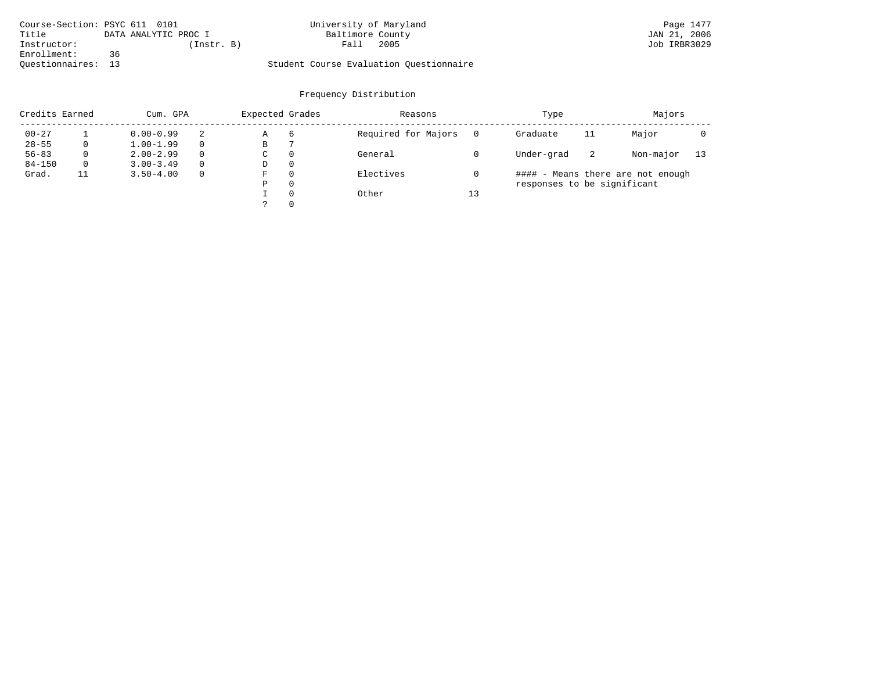| Course-Section: PSYC 611 0101 |                      | University of Maryland                  | Page 1477    |
|-------------------------------|----------------------|-----------------------------------------|--------------|
| Title                         | DATA ANALYTIC PROC I | Baltimore County                        | JAN 21, 2006 |
| Instructor:                   | (Instr. B)           | 2005<br>Fall                            | Job IRBR3029 |
| Enrollment:                   | 36                   |                                         |              |
| Ouestionnaires:               | 13                   | Student Course Evaluation Ouestionnaire |              |

| Credits Earned |    | Cum. GPA      |          |             | Expected Grades | Reasons             |    | Type                        |    | Majors                            |    |
|----------------|----|---------------|----------|-------------|-----------------|---------------------|----|-----------------------------|----|-----------------------------------|----|
| $00 - 27$      |    | $0.00 - 0.99$ | 2        | Α           | 6               | Required for Majors |    | Graduate                    | 11 | Major                             |    |
| $28 - 55$      | 0  | $1.00 - 1.99$ |          | В           |                 |                     |    |                             |    |                                   |    |
| $56 - 83$      | 0  | $2.00 - 2.99$ | $\Omega$ | $\sim$<br>◡ | 0               | General             |    | Under-grad                  | -2 | Non-major                         | 13 |
| $84 - 150$     | 0  | $3.00 - 3.49$ |          | D           | 0               |                     |    |                             |    |                                   |    |
| Grad.          | 11 | $3.50 - 4.00$ |          | F           | 0               | Electives           |    |                             |    | #### - Means there are not enough |    |
|                |    |               |          | Ρ           | 0               |                     |    | responses to be significant |    |                                   |    |
|                |    |               |          |             | $\Omega$        | Other               | 13 |                             |    |                                   |    |
|                |    |               |          | っ           | 0               |                     |    |                             |    |                                   |    |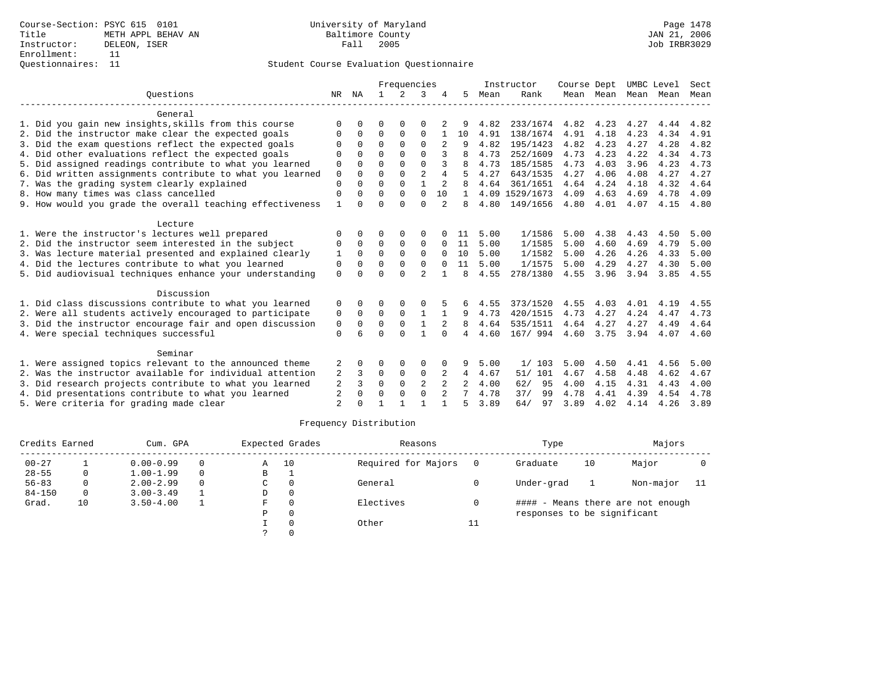|                                                           |                |          |              | Frequencies   |                |                |              |      | Instructor     | Course Dept |           | UMBC Level |      | Sect |
|-----------------------------------------------------------|----------------|----------|--------------|---------------|----------------|----------------|--------------|------|----------------|-------------|-----------|------------|------|------|
| Ouestions                                                 | NR             | ΝA       | $\mathbf{1}$ | $\mathcal{L}$ | 3              |                | 5.           | Mean | Rank           |             | Mean Mean | Mean       | Mean | Mean |
| General                                                   |                |          |              |               |                |                |              |      |                |             |           |            |      |      |
| 1. Did you gain new insights, skills from this course     | $\Omega$       | U        | O            | $\Omega$      | $\Omega$       |                |              | 4.82 | 233/1674       | 4.82        | 4.23      | 4.27       | 4.44 | 4.82 |
| 2. Did the instructor make clear the expected goals       | $\Omega$       | 0        | $\Omega$     | 0             | $\mathbf 0$    |                | 10           | 4.91 | 138/1674       | 4.91        | 4.18      | 4.23       | 4.34 | 4.91 |
| 3. Did the exam questions reflect the expected goals      | $\Omega$       | $\Omega$ | $\Omega$     | $\Omega$      | $\Omega$       |                |              | 4.82 | 195/1423       | 4.82        | 4.23      | 4.27       | 4.28 | 4.82 |
| 4. Did other evaluations reflect the expected goals       | $\Omega$       | U        | $\Omega$     | $\Omega$      | $\Omega$       |                |              | 4.73 | 252/1609       | 4.73        | 4.23      | 4.22       | 4.34 | 4.73 |
| 5. Did assigned readings contribute to what you learned   | 0              | 0        | $\Omega$     | $\Omega$      | $\Omega$       | 3              |              | 4.73 | 185/1585       | 4.73        | 4.03      | 3.96       | 4.23 | 4.73 |
| 6. Did written assignments contribute to what you learned | $\mathbf 0$    | $\Omega$ | $\Omega$     | $\Omega$      | $\overline{a}$ | 4              | 5            | 4.27 | 643/1535       | 4.27        | 4.06      | 4.08       | 4.27 | 4.27 |
| 7. Was the grading system clearly explained               | $\Omega$       |          | $\Omega$     | $\Omega$      | $\mathbf{1}$   |                |              | 4.64 | 361/1651       | 4.64        | 4.24      | 4.18       | 4.32 | 4.64 |
| 8. How many times was class cancelled                     | 0              | 0        | $\Omega$     | $\Omega$      | $\Omega$       | 10             | $\mathbf{1}$ |      | 4.09 1529/1673 | 4.09        | 4.63      | 4.69       | 4.78 | 4.09 |
| 9. How would you grade the overall teaching effectiveness |                | $\Omega$ | $\Omega$     | $\Omega$      | $\Omega$       |                | 8            | 4.80 | 149/1656       | 4.80        | 4.01      | 4.07       | 4.15 | 4.80 |
| Lecture                                                   |                |          |              |               |                |                |              |      |                |             |           |            |      |      |
| 1. Were the instructor's lectures well prepared           | $\Omega$       |          | 0            | $\Omega$      | $\Omega$       |                | 11           | 5.00 | 1/1586         | 5.00        | 4.38      | 4.43       | 4.50 | 5.00 |
| 2. Did the instructor seem interested in the subject      | 0              | $\Omega$ | 0            | 0             | $\mathbf 0$    | $\Omega$       | 11           | 5.00 | 1/1585         | 5.00        | 4.60      | 4.69       | 4.79 | 5.00 |
| 3. Was lecture material presented and explained clearly   | 1              | $\Omega$ | $\Omega$     | $\Omega$      | $\Omega$       | $\Omega$       | 10           | 5.00 | 1/1582         | 5.00        | 4.26      | 4.26       | 4.33 | 5.00 |
| 4. Did the lectures contribute to what you learned        | $\Omega$       | $\Omega$ | $\Omega$     | $\Omega$      | $\mathbf 0$    | $\Omega$       | 11           | 5.00 | 1/1575         | 5.00        | 4.29      | 4.27       | 4.30 | 5.00 |
| 5. Did audiovisual techniques enhance your understanding  | $\Omega$       |          | $\Omega$     | $\cap$        | $\mathfrak{D}$ |                | 8            | 4.55 | 278/1380       | 4.55        | 3.96      | 3.94       | 3.85 | 4.55 |
| Discussion                                                |                |          |              |               |                |                |              |      |                |             |           |            |      |      |
| 1. Did class discussions contribute to what you learned   | 0              | 0        | 0            |               | 0              |                |              | 4.55 | 373/1520       | 4.55        | 4.03      | 4.01       | 4.19 | 4.55 |
| 2. Were all students actively encouraged to participate   | 0              | $\Omega$ | $\Omega$     | $\Omega$      | $\mathbf{1}$   | 1              | 9            | 4.73 | 420/1515       | 4.73        | 4.27      | 4.24       | 4.47 | 4.73 |
| 3. Did the instructor encourage fair and open discussion  | 0              | $\Omega$ | $\mathbf 0$  | $\mathbf 0$   | $\mathbf{1}$   |                | 8            | 4.64 | 535/1511       | 4.64        | 4.27      | 4.27       | 4.49 | 4.64 |
| 4. Were special techniques successful                     | $\Omega$       |          | $\Omega$     | $\Omega$      | 1              | $\Omega$       | 4            | 4.60 | 167/ 994       | 4.60        | 3.75      | 3.94       | 4.07 | 4.60 |
| Seminar                                                   |                |          |              |               |                |                |              |      |                |             |           |            |      |      |
| 1. Were assigned topics relevant to the announced theme   | 2              | O        | 0            | 0             | 0              |                | 9            | 5.00 | 1/103          | 5.00        | 4.50      | 4.41       | 4.56 | 5.00 |
| 2. Was the instructor available for individual attention  | 2              | 3        | 0            | $\mathbf 0$   | $\mathbf 0$    | 2              | $4^{\circ}$  | 4.67 | 51/ 101        | 4.67        | 4.58      | 4.48       | 4.62 | 4.67 |
| 3. Did research projects contribute to what you learned   | 2              | 3        | $\Omega$     | $\Omega$      | 2              |                |              | 4.00 | 62/<br>95      | 4.00        | 4.15      | 4.31       | 4.43 | 4.00 |
| 4. Did presentations contribute to what you learned       | 2              | $\Omega$ | $\Omega$     | $\Omega$      | $\Omega$       | $\overline{2}$ | 7            | 4.78 | 37/<br>99      | 4.78        | 4.41      | 4.39       | 4.54 | 4.78 |
| 5. Were criteria for grading made clear                   | $\overline{2}$ |          |              |               |                |                | 5            | 3.89 | 64/<br>97      | 3.89        | 4.02      | 4.14       | 4.26 | 3.89 |

| Credits Earned |    | Cum. GPA      |          | Expected Grades |          | Reasons             |    | Type                        |    | Majors                            |      |
|----------------|----|---------------|----------|-----------------|----------|---------------------|----|-----------------------------|----|-----------------------------------|------|
| $00 - 27$      |    | $0.00 - 0.99$ | $\Omega$ | Α               | 10       | Required for Majors |    | Graduate                    | 10 | Major                             |      |
| $28 - 55$      | 0  | $1.00 - 1.99$ | $\Omega$ | B               |          |                     |    |                             |    |                                   |      |
| $56 - 83$      |    | $2.00 - 2.99$ | $\Omega$ | C               |          | General             |    | Under-grad                  |    | Non-major                         | - 11 |
| $84 - 150$     | 0  | $3.00 - 3.49$ |          | D               | $\Omega$ |                     |    |                             |    |                                   |      |
| Grad.          | 10 | $3.50 - 4.00$ |          | F               |          | Electives           |    |                             |    | #### - Means there are not enough |      |
|                |    |               |          | Ρ               |          |                     |    | responses to be significant |    |                                   |      |
|                |    |               |          |                 |          | Other               | 11 |                             |    |                                   |      |
|                |    |               |          |                 |          |                     |    |                             |    |                                   |      |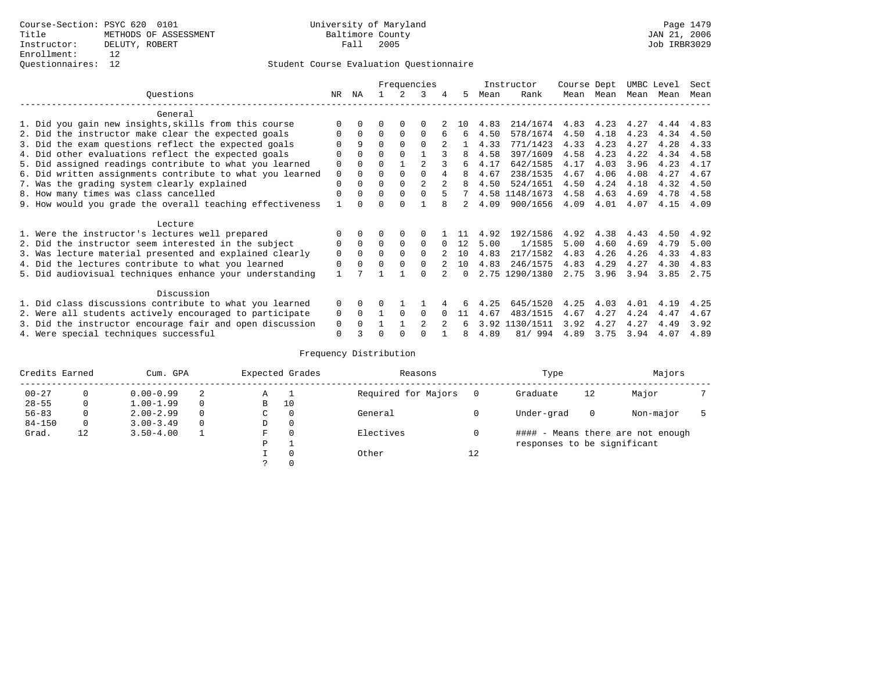# Questionnaires: 12 Student Course Evaluation Questionnaire

|                                                           |              |          |          |          | Frequencies  |              |               |      | Instructor     | Course Dept |      | UMBC Level |      | Sect |
|-----------------------------------------------------------|--------------|----------|----------|----------|--------------|--------------|---------------|------|----------------|-------------|------|------------|------|------|
| Ouestions                                                 | NR           | ΝA       |          |          |              | 4            | 5             | Mean | Rank           | Mean        | Mean | Mean       | Mean | Mean |
| General                                                   |              |          |          |          |              |              |               |      |                |             |      |            |      |      |
| 1. Did you gain new insights, skills from this course     |              |          |          |          |              |              | 1 N           | 4.83 | 214/1674       | 4.83        | 4.23 | 4.27       | 4.44 | 4.83 |
| 2. Did the instructor make clear the expected goals       |              | $\Omega$ | $\Omega$ | $\Omega$ | $\Omega$     |              | 6             | 4.50 | 578/1674       | 4.50        | 4.18 | 4.23       | 4.34 | 4.50 |
| 3. Did the exam questions reflect the expected goals      |              | 9        | $\Omega$ | $\Omega$ | $\Omega$     |              |               | 4.33 | 771/1423       | 4.33        | 4.23 | 4.27       | 4.28 | 4.33 |
| 4. Did other evaluations reflect the expected goals       | 0            | $\Omega$ | $\Omega$ | $\Omega$ |              |              | 8             | 4.58 | 397/1609       | 4.58        | 4.23 | 4.22       | 4.34 | 4.58 |
| 5. Did assigned readings contribute to what you learned   | $\mathbf 0$  |          |          |          |              |              | б.            | 4.17 | 642/1585       | 4.17        | 4.03 | 3.96       | 4.23 | 4.17 |
| 6. Did written assignments contribute to what you learned | 0            | $\Omega$ | O        | $\Omega$ |              |              | 8             | 4.67 | 238/1535       | 4.67        | 4.06 | 4.08       | 4.27 | 4.67 |
| 7. Was the grading system clearly explained               | $\Omega$     |          | O        | $\Omega$ |              |              |               | 4.50 | 524/1651       | 4.50        | 4.24 | 4.18       | 4.32 | 4.50 |
| 8. How many times was class cancelled                     | $\Omega$     | $\Omega$ | 0        | $\Omega$ | <sup>n</sup> |              |               |      | 4.58 1148/1673 | 4.58        | 4.63 | 4.69       | 4.78 | 4.58 |
| 9. How would you grade the overall teaching effectiveness |              |          |          |          |              |              | $\mathcal{L}$ | 4.09 | 900/1656       | 4.09        | 4.01 | 4.07       | 4.15 | 4.09 |
| Lecture                                                   |              |          |          |          |              |              |               |      |                |             |      |            |      |      |
| 1. Were the instructor's lectures well prepared           |              |          |          |          |              |              |               | 4.92 | 192/1586       | 4.92        | 4.38 | 4.43       | 4.50 | 4.92 |
| 2. Did the instructor seem interested in the subject      | 0            | $\Omega$ | $\Omega$ | $\Omega$ | $\Omega$     | <sup>0</sup> | 12            | 5.00 | 1/1585         | 5.00        | 4.60 | 4.69       | 4.79 | 5.00 |
| 3. Was lecture material presented and explained clearly   | 0            | $\Omega$ |          |          | $\Omega$     |              | 1 N           | 4.83 | 217/1582       | 4.83        | 4.26 | 4.26       | 4.33 | 4.83 |
| 4. Did the lectures contribute to what you learned        | 0            | $\Omega$ |          |          |              |              | 10            | 4.83 | 246/1575       | 4.83        | 4.29 | 4.27       | 4.30 | 4.83 |
| 5. Did audiovisual techniques enhance your understanding  | $\mathbf{1}$ |          |          |          | $\cap$       |              | <sup>n</sup>  |      | 2.75 1290/1380 | 2.75        | 3.96 | 3.94       | 3.85 | 2.75 |
| Discussion                                                |              |          |          |          |              |              |               |      |                |             |      |            |      |      |
| 1. Did class discussions contribute to what you learned   | $\Omega$     | 0        |          |          |              |              |               | 4.25 | 645/1520       | 4.25        | 4.03 | 4.01       | 4.19 | 4.25 |
| 2. Were all students actively encouraged to participate   | 0            | $\Omega$ |          | $\Omega$ | $\Omega$     |              | 11            | 4.67 | 483/1515       | 4.67        | 4.27 | 4.24       | 4.47 | 4.67 |
| 3. Did the instructor encourage fair and open discussion  | 0            |          |          |          |              |              |               |      | 3.92 1130/1511 | 3.92        | 4.27 | 4.27       | 4.49 | 3.92 |
| 4. Were special techniques successful                     | $\Omega$     |          |          |          |              |              | 8             | 4.89 | 81/994         | 4.89        | 3.75 | 3.94       | 4.07 | 4.89 |

| Credits Earned |          | Cum. GPA      |          |             | Expected Grades | Reasons             |          | Type                        |          | Majors                            |  |
|----------------|----------|---------------|----------|-------------|-----------------|---------------------|----------|-----------------------------|----------|-----------------------------------|--|
| $00 - 27$      | $\Omega$ | $0.00 - 0.99$ | 2        | Α           |                 | Required for Majors | $\Omega$ | Graduate                    | 12       | Major                             |  |
| $28 - 55$      | 0        | $1.00 - 1.99$ |          | B           | 10              |                     |          |                             |          |                                   |  |
| $56 - 83$      | 0        | $2.00 - 2.99$ |          | $\sim$<br>◡ | 0               | General             |          | Under-grad                  | $\Omega$ | Non-major                         |  |
| $84 - 150$     | 0        | $3.00 - 3.49$ | $\Omega$ | D           | 0               |                     |          |                             |          |                                   |  |
| Grad.          | 12       | $3.50 - 4.00$ |          | F           | 0               | Electives           | 0        |                             |          | #### - Means there are not enough |  |
|                |          |               |          | Ρ           |                 |                     |          | responses to be significant |          |                                   |  |
|                |          |               |          |             | $\Omega$        | Other               | 12       |                             |          |                                   |  |
|                |          |               |          |             |                 |                     |          |                             |          |                                   |  |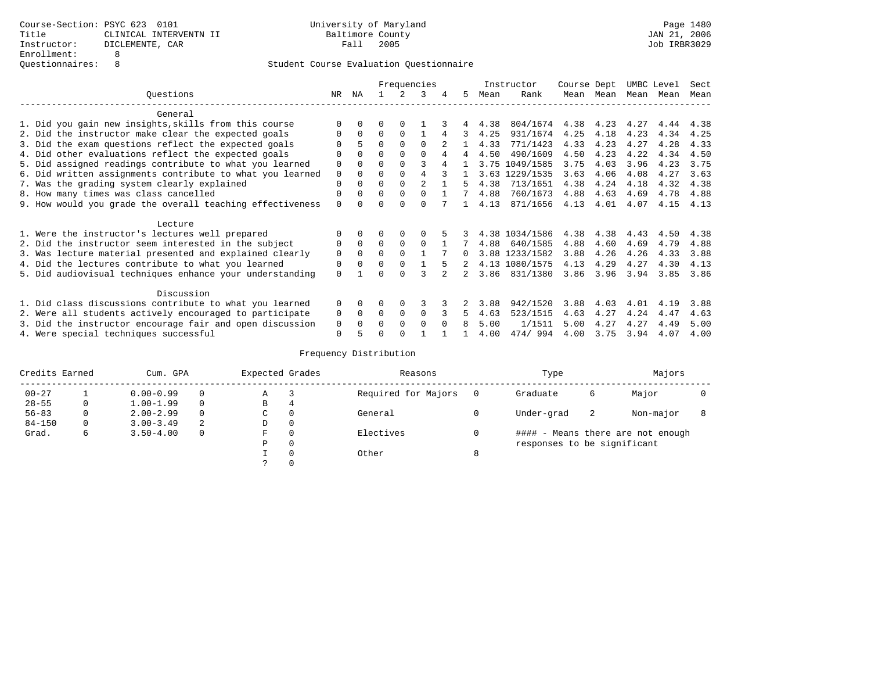|                                                           |          |          |          |             | Frequencies    |   |   |      | Instructor     | Course Dept |      | UMBC Level |      | Sect |
|-----------------------------------------------------------|----------|----------|----------|-------------|----------------|---|---|------|----------------|-------------|------|------------|------|------|
| Ouestions                                                 | NR.      | ΝA       |          |             | 3              | 4 | 5 | Mean | Rank           | Mean        | Mean | Mean       | Mean | Mean |
| General                                                   |          |          |          |             |                |   |   |      |                |             |      |            |      |      |
| 1. Did you gain new insights, skills from this course     |          | 0        | U        | $\Omega$    |                |   |   | 4.38 | 804/1674       | 4.38        | 4.23 | 4.27       | 4.44 | 4.38 |
| 2. Did the instructor make clear the expected goals       |          | $\Omega$ | $\Omega$ | $\Omega$    |                |   | 3 | 4.25 | 931/1674       | 4.25        | 4.18 | 4.23       | 4.34 | 4.25 |
| 3. Did the exam questions reflect the expected goals      |          | 5        | $\Omega$ | $\Omega$    | $\Omega$       |   |   | 4.33 | 771/1423       | 4.33        | 4.23 | 4.27       | 4.28 | 4.33 |
| 4. Did other evaluations reflect the expected goals       | O        | $\Omega$ | 0        | $\Omega$    |                |   | 4 | 4.50 | 490/1609       | 4.50        | 4.23 | 4.22       | 4.34 | 4.50 |
| 5. Did assigned readings contribute to what you learned   | 0        | 0        |          | $\Omega$    | 3              |   |   | 3.75 | 1049/1585      | 3.75        | 4.03 | 3.96       | 4.23 | 3.75 |
| 6. Did written assignments contribute to what you learned | 0        | $\Omega$ | U        | $\Omega$    |                |   |   | 3.63 | 1229/1535      | 3.63        | 4.06 | 4.08       | 4.27 | 3.63 |
| 7. Was the grading system clearly explained               | 0        |          | U        | $\Omega$    | $\mathfrak{D}$ |   |   | 4.38 | 713/1651       | 4.38        | 4.24 | 4.18       | 4.32 | 4.38 |
| 8. How many times was class cancelled                     | 0        | $\Omega$ | $\Omega$ | $\Omega$    | $\Omega$       |   |   | 4.88 | 760/1673       | 4.88        | 4.63 | 4.69       | 4.78 | 4.88 |
| 9. How would you grade the overall teaching effectiveness | $\Omega$ |          |          | $\cap$      | U              |   |   | 4.13 | 871/1656       | 4.13        | 4.01 | 4.07       | 4.15 | 4.13 |
|                                                           |          |          |          |             |                |   |   |      |                |             |      |            |      |      |
| Lecture                                                   |          |          |          |             |                |   |   |      |                |             |      |            |      |      |
| 1. Were the instructor's lectures well prepared           |          |          |          |             |                |   |   |      | 4.38 1034/1586 | 4.38        | 4.38 | 4.43       | 4.50 | 4.38 |
| 2. Did the instructor seem interested in the subject      | 0        | $\Omega$ | $\Omega$ | $\Omega$    | 0              |   |   | 4.88 | 640/1585       | 4.88        | 4.60 | 4.69       | 4.79 | 4.88 |
| 3. Was lecture material presented and explained clearly   | 0        | $\Omega$ | $\Omega$ | $\Omega$    |                |   | 0 |      | 3.88 1233/1582 | 3.88        | 4.26 | 4.26       | 4.33 | 3.88 |
| 4. Did the lectures contribute to what you learned        | 0        | $\Omega$ | 0        | $\Omega$    |                |   |   |      | 4.13 1080/1575 | 4.13        | 4.29 | 4.27       | 4.30 | 4.13 |
| 5. Did audiovisual techniques enhance your understanding  | $\Omega$ |          |          |             |                |   |   | 3.86 | 831/1380       | 3.86        | 3.96 | 3.94       | 3.85 | 3.86 |
|                                                           |          |          |          |             |                |   |   |      |                |             |      |            |      |      |
| Discussion                                                |          |          |          |             |                |   |   |      |                |             |      |            |      |      |
| 1. Did class discussions contribute to what you learned   | $\Omega$ | $\Omega$ | 0        | $\Omega$    | 3              |   |   | 3.88 | 942/1520       | 3.88        | 4.03 | 4.01       | 4.19 | 3.88 |
| 2. Were all students actively encouraged to participate   | 0        | $\Omega$ | 0        | $\mathbf 0$ | 0              |   | 5 | 4.63 | 523/1515       | 4.63        | 4.27 | 4.24       | 4.47 | 4.63 |
| 3. Did the instructor encourage fair and open discussion  | 0        | 0        | U        | $\Omega$    | $\Omega$       |   | 8 | 5.00 | 1/1511         | 5.00        | 4.27 | 4.27       | 4.49 | 5.00 |
| 4. Were special techniques successful                     | 0        |          |          |             |                |   |   | 4.00 | 474/994        | 4.00        | 3.75 | 3.94       | 4.07 | 4.00 |

| Credits Earned |          | Cum. GPA      |   | Expected Grades |          | Reasons             |   | Type                        |    | Majors                            |  |
|----------------|----------|---------------|---|-----------------|----------|---------------------|---|-----------------------------|----|-----------------------------------|--|
| $00 - 27$      |          | $0.00 - 0.99$ |   | Α               |          | Required for Majors |   | Graduate                    | 6  | Major                             |  |
| $28 - 55$      | 0        | $1.00 - 1.99$ |   | B               | 4        |                     |   |                             |    |                                   |  |
| $56 - 83$      | $\Omega$ | $2.00 - 2.99$ |   | C               | 0        | General             |   | Under-grad                  | -2 | Non-major                         |  |
| $84 - 150$     | 0        | $3.00 - 3.49$ | 2 | D               | 0        |                     |   |                             |    |                                   |  |
| Grad.          | 6        | $3.50 - 4.00$ |   | F               | 0        | Electives           |   |                             |    | #### - Means there are not enough |  |
|                |          |               |   | Ρ               | 0        |                     |   | responses to be significant |    |                                   |  |
|                |          |               |   |                 | $\Omega$ | Other               | 8 |                             |    |                                   |  |
|                |          |               |   |                 |          |                     |   |                             |    |                                   |  |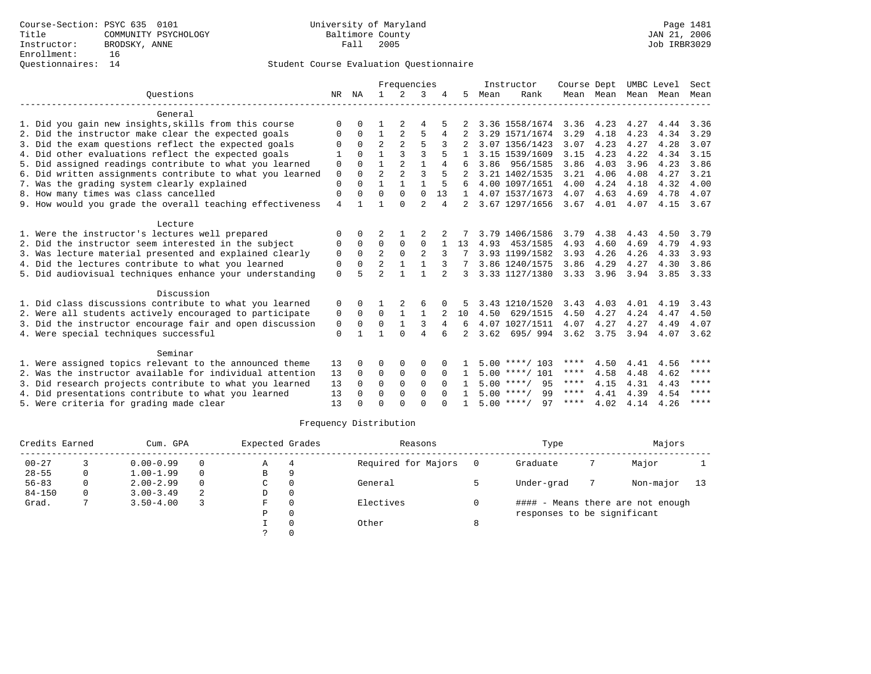|                                                           |                |              |                | Frequencies    |                |          |                |      | Instructor         | Course Dept |           |      | UMBC Level | Sect |
|-----------------------------------------------------------|----------------|--------------|----------------|----------------|----------------|----------|----------------|------|--------------------|-------------|-----------|------|------------|------|
| Ouestions                                                 | NR NA          |              | $\mathbf{1}$   | $2^{\circ}$    | 3              |          | 5              | Mean | Rank               |             | Mean Mean | Mean | Mean       | Mean |
| General                                                   |                |              |                |                |                |          |                |      |                    |             |           |      |            |      |
| 1. Did you gain new insights, skills from this course     | O              |              |                | 2              | 4              |          |                |      | 3.36 1558/1674     | 3.36        | 4.23      | 4.27 | 4.44       | 3.36 |
| 2. Did the instructor make clear the expected goals       | 0              | 0            | 1              | 2              | 5              | 4        |                |      | 3.29 1571/1674     | 3.29        | 4.18      | 4.23 | 4.34       | 3.29 |
| 3. Did the exam questions reflect the expected goals      | O              | $\Omega$     | $\overline{2}$ | $\mathfrak{D}$ | 5              |          |                |      | 3.07 1356/1423     | 3.07        | 4.23      | 4.27 | 4.28       | 3.07 |
| 4. Did other evaluations reflect the expected goals       | 1              | $\Omega$     | 1              | 3              | ζ              | 5        |                |      | 3.15 1539/1609     | 3.15        | 4.23      | 4.22 | 4.34       | 3.15 |
| 5. Did assigned readings contribute to what you learned   | $\Omega$       | 0            | 1              | $\mathfrak{D}$ | $\mathbf{1}$   | 4        |                | 3.86 | 956/1585           | 3.86        | 4.03      | 3.96 | 4.23       | 3.86 |
| 6. Did written assignments contribute to what you learned | $\mathbf 0$    | $\Omega$     | $\overline{a}$ | $\mathfrak{D}$ | $\mathbf{3}$   |          |                |      | 3.21 1402/1535     | 3.21        | 4.06      | 4.08 | 4.27       | 3.21 |
| 7. Was the grading system clearly explained               | $\Omega$       | <sup>0</sup> | 1              |                |                | 5        |                |      | 4.00 1097/1651     | 4.00        | 4.24      | 4.18 | 4.32       | 4.00 |
| 8. How many times was class cancelled                     | $\mathbf 0$    | <sup>0</sup> | $\Omega$       | $\Omega$       | $\Omega$       | 13       | $\mathbf{1}$   |      | 4.07 1537/1673     | 4.07        | 4.63      | 4.69 | 4.78       | 4.07 |
| 9. How would you grade the overall teaching effectiveness | $\overline{4}$ |              |                | $\cap$         | $\overline{a}$ | 4        |                |      | 3.67 1297/1656     | 3.67        | 4.01      | 4.07 | 4.15       | 3.67 |
| Lecture                                                   |                |              |                |                |                |          |                |      |                    |             |           |      |            |      |
| 1. Were the instructor's lectures well prepared           | ∩              | 0            | 2              |                |                |          |                |      | 3.79 1406/1586     | 3.79        | 4.38      | 4.43 | 4.50       | 3.79 |
| 2. Did the instructor seem interested in the subject      | 0              | $\Omega$     | 0              | 0              | $\mathbf 0$    |          | 13             | 4.93 | 453/1585           | 4.93        | 4.60      | 4.69 | 4.79       | 4.93 |
| 3. Was lecture material presented and explained clearly   | 0              | $\Omega$     | $\overline{a}$ | $\Omega$       | $\overline{a}$ |          |                |      | 3.93 1199/1582     | 3.93        | 4.26      | 4.26 | 4.33       | 3.93 |
| 4. Did the lectures contribute to what you learned        | 0              | $\Omega$     | $\overline{a}$ | $\mathbf{1}$   | $\mathbf{1}$   | 3        |                |      | 3.86 1240/1575     | 3.86        | 4.29      | 4.27 | 4.30       | 3.86 |
| 5. Did audiovisual techniques enhance your understanding  | $\Omega$       | 5            | $\overline{a}$ |                |                |          | 3              |      | 3.33 1127/1380     | 3.33        | 3.96      | 3.94 | 3.85       | 3.33 |
| Discussion                                                |                |              |                |                |                |          |                |      |                    |             |           |      |            |      |
| 1. Did class discussions contribute to what you learned   | 0              |              |                |                | 6              | 0        |                |      | 3.43 1210/1520     | 3.43        | 4.03      | 4.01 | 4.19       | 3.43 |
| 2. Were all students actively encouraged to participate   | 0              | 0            | $\Omega$       | 1              | 1              |          | 10             | 4.50 | 629/1515           | 4.50        | 4.27      | 4.24 | 4.47       | 4.50 |
| 3. Did the instructor encourage fair and open discussion  | 0              | $\Omega$     | $\Omega$       | $\mathbf{1}$   | 3              | 4        | 6              |      | 4.07 1027/1511     | 4.07        | 4.27      | 4.27 | 4.49       | 4.07 |
| 4. Were special techniques successful                     | $\mathbf{0}$   |              | 1              | $\cap$         | $\overline{4}$ | 6        | $\overline{2}$ | 3.62 | 695/994            | 3.62        | 3.75      | 3.94 | 4.07       | 3.62 |
| Seminar                                                   |                |              |                |                |                |          |                |      |                    |             |           |      |            |      |
| 1. Were assigned topics relevant to the announced theme   | 13             | <sup>0</sup> | O              | $\Omega$       | $\Omega$       |          |                |      | $5.00$ ****/ 103   | ****        | 4.50      | 4.41 | 4.56       | **** |
| 2. Was the instructor available for individual attention  | 13             | $\Omega$     | 0              | $\mathbf 0$    | $\mathbf 0$    | $\Omega$ |                |      | $5.00$ ****/ 101   | ****        | 4.58      | 4.48 | 4.62       | **** |
| 3. Did research projects contribute to what you learned   | 13             | $\Omega$     | $\Omega$       | $\mathbf 0$    | $\Omega$       | $\Omega$ |                |      | $5.00$ ****/<br>95 | ****        | 4.15      | 4.31 | 4.43       | **** |
| 4. Did presentations contribute to what you learned       | 13             | <sup>0</sup> | 0              | 0              | $\Omega$       | $\Omega$ |                |      | $5.00$ ****/<br>99 | ****        | 4.41      | 4.39 | 4.54       | **** |
| 5. Were criteria for grading made clear                   | 13             |              | $\Omega$       | $\cap$         | $\cap$         |          |                |      | $5.00$ ****/<br>97 | ****        | 4.02      | 4.14 | 4.26       | **** |

| Credits Earned |   | Cum. GPA      |          | Expected Grades |   | Reasons             |              | Type                        | Majors                            |      |
|----------------|---|---------------|----------|-----------------|---|---------------------|--------------|-----------------------------|-----------------------------------|------|
| $00 - 27$      |   | $0.00 - 0.99$ | $\Omega$ | Α               |   | Required for Majors |              | Graduate                    | Major                             |      |
| $28 - 55$      | 0 | $1.00 - 1.99$ | $\Omega$ | В               | 9 |                     |              |                             |                                   |      |
| $56 - 83$      |   | $2.00 - 2.99$ | $\Omega$ | C               |   | General             |              | Under-grad                  | Non-major                         | - 13 |
| $84 - 150$     | 0 | $3.00 - 3.49$ | 2        | D               |   |                     |              |                             |                                   |      |
| Grad.          |   | $3.50 - 4.00$ |          | F               |   | Electives           |              |                             | #### - Means there are not enough |      |
|                |   |               |          | P               |   |                     |              | responses to be significant |                                   |      |
|                |   |               |          |                 |   | Other               | $\circ$<br>õ |                             |                                   |      |
|                |   |               |          |                 |   |                     |              |                             |                                   |      |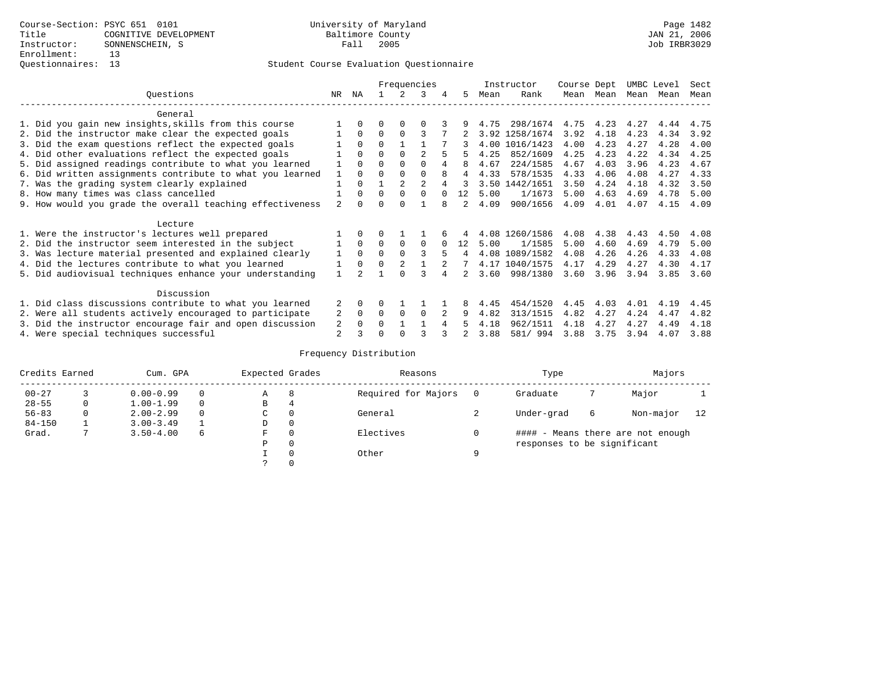|                                                           |                |          |          |             | Frequencies    |   |               |      | Instructor     | Course Dept |      | UMBC Level |      | Sect |
|-----------------------------------------------------------|----------------|----------|----------|-------------|----------------|---|---------------|------|----------------|-------------|------|------------|------|------|
| Questions                                                 | NR.            | ΝA       |          |             | 3              | 4 | 5.            | Mean | Rank           | Mean        | Mean | Mean       | Mean | Mean |
| General                                                   |                |          |          |             |                |   |               |      |                |             |      |            |      |      |
| 1. Did you gain new insights, skills from this course     |                | $\Omega$ | O        | $\Omega$    | O              |   |               | 4.75 | 298/1674       | 4.75        | 4.23 | 4.27       | 4.44 | 4.75 |
| 2. Did the instructor make clear the expected goals       |                | $\Omega$ | $\Omega$ | $\Omega$    | 3              |   |               |      | 3.92 1258/1674 | 3.92        | 4.18 | 4.23       | 4.34 | 3.92 |
| 3. Did the exam questions reflect the expected goals      |                | $\Omega$ | $\Omega$ |             |                |   |               |      | 4.00 1016/1423 | 4.00        | 4.23 | 4.27       | 4.28 | 4.00 |
| 4. Did other evaluations reflect the expected goals       |                | $\Omega$ | O        | $\Omega$    |                |   |               | 4.25 | 852/1609       | 4.25        | 4.23 | 4.22       | 4.34 | 4.25 |
| 5. Did assigned readings contribute to what you learned   |                | $\Omega$ | O        | $\Omega$    | $\Omega$       |   | 8             | 4.67 | 224/1585       | 4.67        | 4.03 | 3.96       | 4.23 | 4.67 |
| 6. Did written assignments contribute to what you learned |                | $\Omega$ |          |             | $\Omega$       | 8 | 4             | 4.33 | 578/1535       | 4.33        | 4.06 | 4.08       | 4.27 | 4.33 |
| 7. Was the grading system clearly explained               |                | $\Omega$ |          |             | $\mathfrak{D}$ |   |               |      | 3.50 1442/1651 | 3.50        | 4.24 | 4.18       | 4.32 | 3.50 |
| 8. How many times was class cancelled                     |                | $\Omega$ | $\Omega$ | $\Omega$    | 0              |   | 12            | 5.00 | 1/1673         | 5.00        | 4.63 | 4.69       | 4.78 | 5.00 |
| 9. How would you grade the overall teaching effectiveness | 2              |          |          | U           |                | R | $\mathcal{L}$ | 4.09 | 900/1656       | 4.09        | 4.01 | 4.07       | 4.15 | 4.09 |
| Lecture                                                   |                |          |          |             |                |   |               |      |                |             |      |            |      |      |
| 1. Were the instructor's lectures well prepared           |                |          |          |             |                |   |               |      | 4.08 1260/1586 | 4.08        | 4.38 | 4.43       | 4.50 | 4.08 |
| 2. Did the instructor seem interested in the subject      |                | $\Omega$ | $\Omega$ | $\mathbf 0$ | $\Omega$       |   | 12.           | 5.00 | 1/1585         | 5.00        | 4.60 | 4.69       | 4.79 | 5.00 |
| 3. Was lecture material presented and explained clearly   |                | $\Omega$ | $\Omega$ |             | ζ              | 5 | 4             |      | 4.08 1089/1582 | 4.08        | 4.26 | 4.26       | 4.33 | 4.08 |
| 4. Did the lectures contribute to what you learned        |                | $\Omega$ | $\Omega$ |             |                |   |               |      | 4.17 1040/1575 | 4.17        | 4.29 | 4.27       | 4.30 | 4.17 |
| 5. Did audiovisual techniques enhance your understanding  |                |          |          | U           |                |   |               | 3.60 | 998/1380       | 3.60        | 3.96 | 3.94       | 3.85 | 3.60 |
| Discussion                                                |                |          |          |             |                |   |               |      |                |             |      |            |      |      |
| 1. Did class discussions contribute to what you learned   |                | $\Omega$ | U        |             |                |   |               | 4.45 | 454/1520       | 4.45        | 4.03 | 4.01       | 4.19 | 4.45 |
| 2. Were all students actively encouraged to participate   | 2              | $\Omega$ | 0        | $\Omega$    | $\Omega$       |   | 9             | 4.82 | 313/1515       | 4.82        | 4.27 | 4.24       | 4.47 | 4.82 |
| 3. Did the instructor encourage fair and open discussion  | 2              | $\Omega$ | U        |             |                |   |               | 4.18 | 962/1511       | 4.18        | 4.27 | 4.27       | 4.49 | 4.18 |
| 4. Were special techniques successful                     | $\overline{a}$ |          |          |             |                |   |               | 3.88 | 581/ 994       | 3.88        | 3.75 | 3.94       | 4.07 | 3.88 |

| Credits Earned |   | Cum. GPA      |   | Expected Grades |          | Reasons             |   | Type                        |   | Majors                            |    |
|----------------|---|---------------|---|-----------------|----------|---------------------|---|-----------------------------|---|-----------------------------------|----|
| $00 - 27$      |   | $0.00 - 0.99$ |   | А               | 8        | Required for Majors | 0 | Graduate                    |   | Major                             |    |
| $28 - 55$      | 0 | $1.00 - 1.99$ |   | В               | 4        |                     |   |                             |   |                                   |    |
| $56 - 83$      | 0 | $2.00 - 2.99$ |   | $\sim$<br>◡     | 0        | General             |   | Under-grad                  | 6 | Non-major                         | 12 |
| $84 - 150$     |   | $3.00 - 3.49$ |   | D               | 0        |                     |   |                             |   |                                   |    |
| Grad.          |   | $3.50 - 4.00$ | 6 | F               | 0        | Electives           | 0 |                             |   | #### - Means there are not enough |    |
|                |   |               |   | Ρ               | 0        |                     |   | responses to be significant |   |                                   |    |
|                |   |               |   |                 | $\Omega$ | Other               | Q |                             |   |                                   |    |
|                |   |               |   |                 |          |                     |   |                             |   |                                   |    |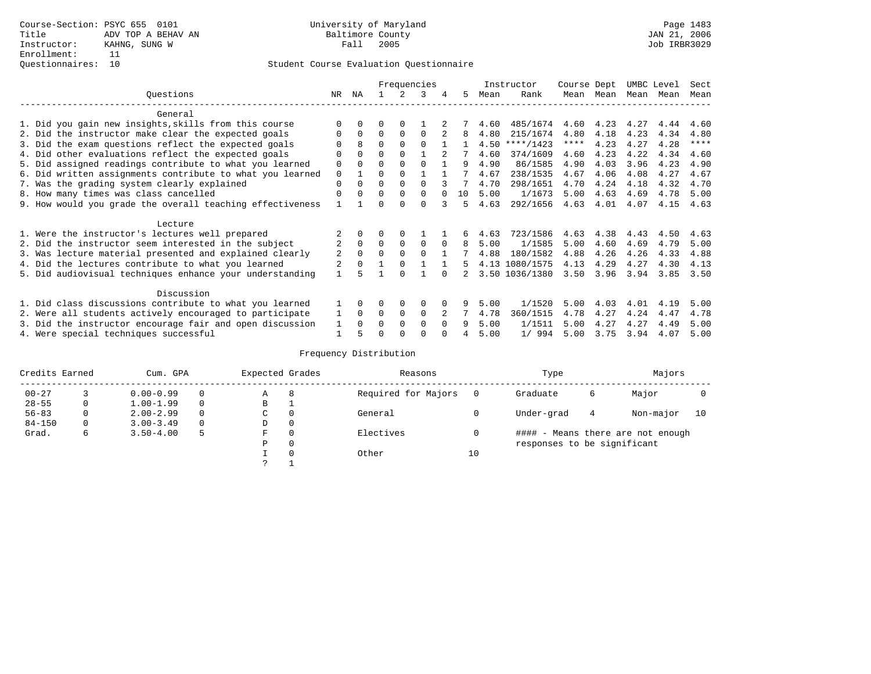|                                                           |             |          |          |             | Frequencies |          |    |      | Instructor     | Course Dept |           | UMBC Level |      | Sect        |
|-----------------------------------------------------------|-------------|----------|----------|-------------|-------------|----------|----|------|----------------|-------------|-----------|------------|------|-------------|
| Ouestions                                                 | NR.         | ΝA       |          |             | 3           | 4        | 5. | Mean | Rank           |             | Mean Mean | Mean       | Mean | Mean        |
| General                                                   |             |          |          |             |             |          |    |      |                |             |           |            |      |             |
| 1. Did you gain new insights, skills from this course     |             | $\Omega$ | 0        | $\Omega$    |             |          |    | 4.60 | 485/1674       | 4.60        | 4.23      | 4.27       | 4.44 | 4.60        |
| 2. Did the instructor make clear the expected goals       | O           | $\Omega$ | $\Omega$ | $\Omega$    | $\Omega$    |          | 8  | 4.80 | 215/1674       | 4.80        | 4.18      | 4.23       | 4.34 | 4.80        |
| 3. Did the exam questions reflect the expected goals      |             | 8        | $\Omega$ | $\Omega$    | $\Omega$    |          |    | 4.50 | ****/1423      | $***$ * *   | 4.23      | 4.27       | 4.28 | $***$ * * * |
| 4. Did other evaluations reflect the expected goals       | O           | $\Omega$ | $\Omega$ | $\Omega$    |             |          |    | 4.60 | 374/1609       | 4.60        | 4.23      | 4.22       | 4.34 | 4.60        |
| 5. Did assigned readings contribute to what you learned   | $\mathbf 0$ | $\Omega$ | $\Omega$ | $\Omega$    | $\Omega$    |          | 9  | 4.90 | 86/1585        | 4.90        | 4.03      | 3.96       | 4.23 | 4.90        |
| 6. Did written assignments contribute to what you learned | $\mathbf 0$ |          | 0        | $\Omega$    |             |          |    | 4.67 | 238/1535       | 4.67        | 4.06      | 4.08       | 4.27 | 4.67        |
| 7. Was the grading system clearly explained               | $\Omega$    | $\Omega$ | 0        | $\Omega$    | $\cap$      |          |    | 4.70 | 298/1651       | 4.70        | 4.24      | 4.18       | 4.32 | 4.70        |
| 8. How many times was class cancelled                     | $\Omega$    | $\Omega$ | $\Omega$ | $\Omega$    | $\Omega$    |          | 10 | 5.00 | 1/1673         | 5.00        | 4.63      | 4.69       | 4.78 | 5.00        |
| 9. How would you grade the overall teaching effectiveness |             |          | ∩        | ∩           | $\cap$      | ર        | 5  | 4.63 | 292/1656       | 4.63        | 4.01      | 4.07       | 4.15 | 4.63        |
| Lecture                                                   |             |          |          |             |             |          |    |      |                |             |           |            |      |             |
| 1. Were the instructor's lectures well prepared           |             |          |          | $\Omega$    |             |          | 6  | 4.63 | 723/1586       | 4.63        | 4.38      | 4.43       | 4.50 | 4.63        |
| 2. Did the instructor seem interested in the subject      | 2           | $\Omega$ | $\Omega$ | $\Omega$    | $\Omega$    | $\Omega$ | 8  | 5.00 | 1/1585         | 5.00        | 4.60      | 4.69       | 4.79 | 5.00        |
| 3. Was lecture material presented and explained clearly   | 2           | $\Omega$ | $\Omega$ | $\Omega$    | $\Omega$    |          |    | 4.88 | 180/1582       | 4.88        | 4.26      | 4.26       | 4.33 | 4.88        |
| 4. Did the lectures contribute to what you learned        |             | $\Omega$ |          | $\Omega$    |             |          | 5  |      | 4.13 1080/1575 | 4.13        | 4.29      | 4.27       | 4.30 | 4.13        |
| 5. Did audiovisual techniques enhance your understanding  |             |          |          | $\cap$      |             |          |    |      | 3.50 1036/1380 | 3.50        | 3.96      | 3.94       | 3.85 | 3.50        |
| Discussion                                                |             |          |          |             |             |          |    |      |                |             |           |            |      |             |
| 1. Did class discussions contribute to what you learned   |             | $\Omega$ | 0        | $\Omega$    | $\Omega$    |          |    | 5.00 | 1/1520         | 5.00        | 4.03      | 4.01       | 4.19 | 5.00        |
| 2. Were all students actively encouraged to participate   |             | $\Omega$ | $\Omega$ | $\mathbf 0$ | $\Omega$    |          |    | 4.78 | 360/1515       | 4.78        | 4.27      | 4.24       | 4.47 | 4.78        |
| 3. Did the instructor encourage fair and open discussion  | 1           | $\Omega$ | 0        | $\Omega$    | $\Omega$    | $\Omega$ |    | 5.00 | 1/1511         | 5.00        | 4.27      | 4.27       | 4.49 | 5.00        |
| 4. Were special techniques successful                     |             |          |          |             |             |          |    | 5.00 | 1/994          | 5.00        | 3.75      | 3.94       | 4.07 | 5.00        |

| Credits Earned |          | Cum. GPA      |   | Expected Grades |          | Reasons             |    | Type                        |   | Majors                            |    |
|----------------|----------|---------------|---|-----------------|----------|---------------------|----|-----------------------------|---|-----------------------------------|----|
| $00 - 27$      |          | $0.00 - 0.99$ |   | Α               | 8        | Required for Majors |    | Graduate                    | 6 | Major                             |    |
| $28 - 55$      | 0        | $1.00 - 1.99$ |   | B               | л.       |                     |    |                             |   |                                   |    |
| $56 - 83$      | $\Omega$ | $2.00 - 2.99$ |   | C               | 0        | General             |    | Under-grad                  | 4 | Non-major                         | 10 |
| $84 - 150$     | 0        | $3.00 - 3.49$ |   | D               | 0        |                     |    |                             |   |                                   |    |
| Grad.          | 6        | $3.50 - 4.00$ | 5 | F               | 0        | Electives           |    |                             |   | #### - Means there are not enough |    |
|                |          |               |   | Ρ               | 0        |                     |    | responses to be significant |   |                                   |    |
|                |          |               |   |                 | $\Omega$ | Other               | 10 |                             |   |                                   |    |
|                |          |               |   | っ               |          |                     |    |                             |   |                                   |    |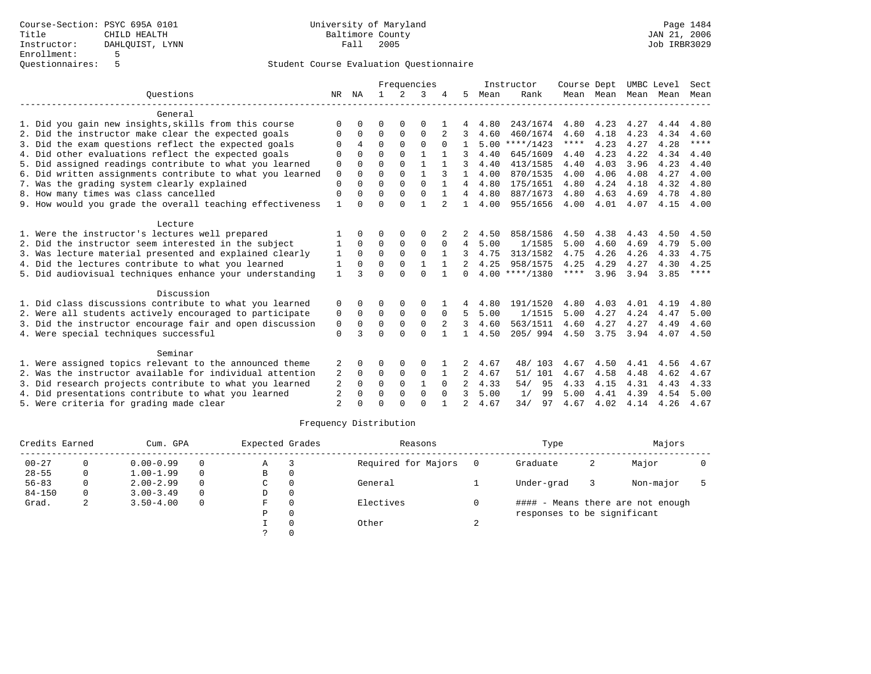|                                                                                                                                                                                  |                                                                                                                                            |              |          |               |               |              |        | Instructor                           |                                                                              |                                                  |                                                     |                                                   | Sect                                       |
|----------------------------------------------------------------------------------------------------------------------------------------------------------------------------------|--------------------------------------------------------------------------------------------------------------------------------------------|--------------|----------|---------------|---------------|--------------|--------|--------------------------------------|------------------------------------------------------------------------------|--------------------------------------------------|-----------------------------------------------------|---------------------------------------------------|--------------------------------------------|
| NR.                                                                                                                                                                              | NA                                                                                                                                         | $\mathbf{1}$ | $2^{1}$  | 3             |               | .5           | Mean   | Rank                                 |                                                                              |                                                  | Mean                                                | Mean                                              | Mean                                       |
|                                                                                                                                                                                  |                                                                                                                                            |              |          |               |               |              |        |                                      |                                                                              |                                                  |                                                     |                                                   |                                            |
| $\Omega$                                                                                                                                                                         |                                                                                                                                            | ∩            |          | O             |               |              | 4.80   |                                      | 4.80                                                                         | 4.23                                             | 4.27                                                | 4.44                                              | 4.80                                       |
| 0                                                                                                                                                                                | $\Omega$                                                                                                                                   | $\Omega$     | $\Omega$ | $\Omega$      | 2             | 3            | 4.60   | 460/1674                             | 4.60                                                                         | 4.18                                             | 4.23                                                | 4.34                                              | 4.60                                       |
| $\Omega$                                                                                                                                                                         | 4                                                                                                                                          | $\Omega$     | $\Omega$ | $\Omega$      |               |              |        |                                      | $***$ * * *                                                                  | 4.23                                             | 4.27                                                | 4.28                                              | $***$ * * *                                |
| $\Omega$                                                                                                                                                                         |                                                                                                                                            | $\Omega$     | $\Omega$ |               |               | 3            | 4.40   | 645/1609                             | 4.40                                                                         | 4.23                                             | 4.22                                                | 4.34                                              | 4.40                                       |
| 0                                                                                                                                                                                | $\Omega$                                                                                                                                   | $\Omega$     | $\Omega$ | $\mathbf{1}$  |               | 3            | 4.40   | 413/1585                             | 4.40                                                                         | 4.03                                             | 3.96                                                | 4.23                                              | 4.40                                       |
| $\Omega$                                                                                                                                                                         | $\Omega$                                                                                                                                   | $\Omega$     | $\Omega$ | $\mathbf{1}$  | 3             | $\mathbf{1}$ | 4.00   | 870/1535                             | 4.00                                                                         | 4.06                                             | 4.08                                                | 4.27                                              | 4.00                                       |
| $\Omega$                                                                                                                                                                         | $\Omega$                                                                                                                                   | $\Omega$     | $\Omega$ | $\Omega$      |               | 4            | 4.80   | 175/1651                             | 4.80                                                                         | 4.24                                             | 4.18                                                | 4.32                                              | 4.80                                       |
| $\mathbf 0$                                                                                                                                                                      | $\Omega$                                                                                                                                   | $\Omega$     | $\Omega$ | $\Omega$      |               | 4            | 4.80   | 887/1673                             | 4.80                                                                         | 4.63                                             | 4.69                                                | 4.78                                              | 4.80                                       |
| $\mathbf{1}$                                                                                                                                                                     |                                                                                                                                            | $\Omega$     | $\Omega$ |               |               | $\mathbf{1}$ |        | 955/1656                             |                                                                              |                                                  |                                                     | 4.15                                              | 4.00                                       |
|                                                                                                                                                                                  |                                                                                                                                            |              |          |               |               |              |        |                                      |                                                                              |                                                  |                                                     |                                                   |                                            |
|                                                                                                                                                                                  |                                                                                                                                            | $\Omega$     | $\Omega$ | $\Omega$      |               | 2            | 4.50   | 858/1586                             | 4.50                                                                         | 4.38                                             | 4.43                                                | 4.50                                              | 4.50                                       |
|                                                                                                                                                                                  | $\Omega$                                                                                                                                   | $\Omega$     | $\Omega$ | $\Omega$      | $\Omega$      | 4            | 5.00   | 1/1585                               | 5.00                                                                         | 4.60                                             | 4.69                                                | 4.79                                              | 5.00                                       |
| 1                                                                                                                                                                                | $\Omega$                                                                                                                                   | $\Omega$     | $\Omega$ | $\Omega$      |               | 3            | 4.75   | 313/1582                             | 4.75                                                                         | 4.26                                             | 4.26                                                | 4.33                                              | 4.75                                       |
| 1                                                                                                                                                                                | $\Omega$                                                                                                                                   | $\Omega$     | $\Omega$ |               |               |              | 4.25   | 958/1575                             | 4.25                                                                         | 4.29                                             | 4.27                                                | 4.30                                              | 4.25                                       |
| $\mathbf{1}$                                                                                                                                                                     | २                                                                                                                                          | $\Omega$     | $\cap$   | $\Omega$      |               | $\Omega$     |        |                                      | ****                                                                         | 3.96                                             | 3.94                                                | 3.85                                              | $***$ * * *                                |
|                                                                                                                                                                                  |                                                                                                                                            |              |          |               |               |              |        |                                      |                                                                              |                                                  |                                                     |                                                   |                                            |
| 0                                                                                                                                                                                |                                                                                                                                            | $\Omega$     | $\Omega$ | $\Omega$      |               |              | 4.80   | 191/1520                             | 4.80                                                                         | 4.03                                             | 4.01                                                | 4.19                                              | 4.80                                       |
| 0                                                                                                                                                                                | $\Omega$                                                                                                                                   | $\Omega$     | $\Omega$ | $\Omega$      | $\Omega$      | 5            | 5.00   | 1/1515                               | 5.00                                                                         | 4.27                                             | 4.24                                                | 4.47                                              | 5.00                                       |
| 0                                                                                                                                                                                | $\Omega$                                                                                                                                   | $\Omega$     | $\Omega$ | $\Omega$      | 2             | 3            | 4.60   | 563/1511                             | 4.60                                                                         | 4.27                                             | 4.27                                                | 4.49                                              | 4.60                                       |
| $\Omega$                                                                                                                                                                         | 3                                                                                                                                          | $\Omega$     | $\Omega$ | $\Omega$      |               |              | 4.50   | 205/994                              | 4.50                                                                         | 3.75                                             | 3.94                                                | 4.07                                              | 4.50                                       |
|                                                                                                                                                                                  |                                                                                                                                            |              |          |               |               |              |        |                                      |                                                                              |                                                  |                                                     |                                                   |                                            |
|                                                                                                                                                                                  |                                                                                                                                            | $\Omega$     |          |               |               |              |        |                                      |                                                                              |                                                  |                                                     |                                                   | 4.67                                       |
|                                                                                                                                                                                  |                                                                                                                                            |              |          |               |               |              |        |                                      |                                                                              |                                                  |                                                     |                                                   | 4.67                                       |
|                                                                                                                                                                                  | $\Omega$                                                                                                                                   | $\Omega$     | $\Omega$ | $\mathbf{1}$  | $\Omega$      |              |        |                                      |                                                                              |                                                  |                                                     |                                                   | 4.33                                       |
|                                                                                                                                                                                  |                                                                                                                                            | $\Omega$     | $\Omega$ | $\Omega$      | $\Omega$      | २            |        | 99                                   |                                                                              |                                                  |                                                     |                                                   | 5.00                                       |
| $\overline{2}$                                                                                                                                                                   |                                                                                                                                            | $\Omega$     | $\cap$   | $\cap$        |               |              | 4.67   | 34/<br>97                            | 4.67                                                                         | 4.02                                             | 4.14                                                | 4.26                                              | 4.67                                       |
| 5. Did audiovisual techniques enhance your understanding<br>3. Did the instructor encourage fair and open discussion<br>2. Was the instructor available for individual attention | 6. Did written assignments contribute to what you learned<br>9. How would you grade the overall teaching effectiveness<br>2<br>2<br>2<br>2 | $\mathbf 0$  | 0        | $\Omega$<br>0 | $\Omega$<br>0 | Frequencies  | 2<br>2 | 4.00<br>4.67<br>4.67<br>4.33<br>5.00 | $5.00$ ****/1423<br>$4.00$ ****/1380<br>48/ 103<br>51/101<br>54/<br>95<br>1/ | 243/1674<br>4.00<br>4.67<br>4.67<br>4.33<br>5.00 | Course Dept<br>4.01<br>4.50<br>4.58<br>4.15<br>4.41 | Mean Mean<br>4.07<br>4.41<br>4.48<br>4.31<br>4.39 | UMBC Level<br>4.56<br>4.62<br>4.43<br>4.54 |

| Credits Earned |   | Cum. GPA      |          | Expected Grades |          | Reasons             | Type                        | Majors |                                   |  |
|----------------|---|---------------|----------|-----------------|----------|---------------------|-----------------------------|--------|-----------------------------------|--|
| $00 - 27$      |   | $0.00 - 0.99$ | $\Omega$ | A               |          | Required for Majors | Graduate                    | 2      | Major                             |  |
| $28 - 55$      | 0 | $1.00 - 1.99$ | $\Omega$ | B               |          |                     |                             |        |                                   |  |
| $56 - 83$      |   | $2.00 - 2.99$ | $\Omega$ | C               |          | General             | Under-grad                  |        | Non-major                         |  |
| $84 - 150$     |   | $3.00 - 3.49$ | $\Omega$ | D               | $\Omega$ |                     |                             |        |                                   |  |
| Grad.          | 4 | $3.50 - 4.00$ | 0        | F               |          | Electives           |                             |        | #### - Means there are not enough |  |
|                |   |               |          | Ρ               |          |                     | responses to be significant |        |                                   |  |
|                |   |               |          |                 |          | Other               |                             |        |                                   |  |
|                |   |               |          |                 |          |                     |                             |        |                                   |  |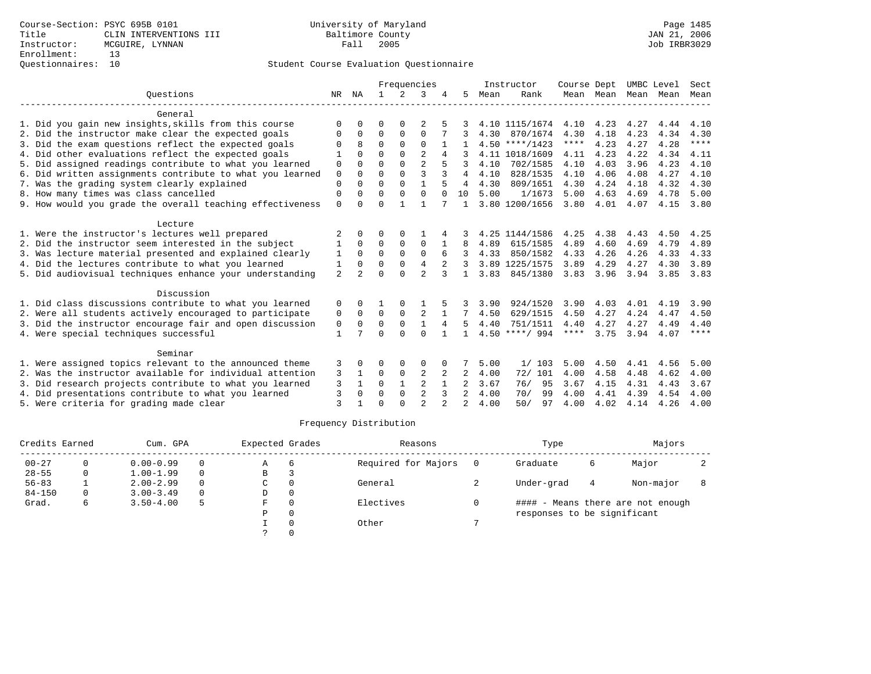|                                                           |                |                | Frequencies  |               |                |          |                | Instructor | Course Dept      |             | UMBC Level |      | Sect |             |
|-----------------------------------------------------------|----------------|----------------|--------------|---------------|----------------|----------|----------------|------------|------------------|-------------|------------|------|------|-------------|
| Ouestions                                                 | NR             | ΝA             | $\mathbf{1}$ | $\mathcal{L}$ | 3              |          | 5.             | Mean       | Rank             |             | Mean Mean  | Mean | Mean | Mean        |
| General                                                   |                |                |              |               |                |          |                |            |                  |             |            |      |      |             |
| 1. Did you gain new insights, skills from this course     | $\Omega$       |                | O            | $\Omega$      |                |          |                |            | 4.10 1115/1674   | 4.10        | 4.23       | 4.27 | 4.44 | 4.10        |
| 2. Did the instructor make clear the expected goals       | 0              | $\Omega$       | $\Omega$     | 0             | $\Omega$       |          |                | 4.30       | 870/1674         | 4.30        | 4.18       | 4.23 | 4.34 | 4.30        |
| 3. Did the exam questions reflect the expected goals      | $\Omega$       | 8              | $\Omega$     | $\Omega$      | $\Omega$       |          |                |            | $4.50$ ****/1423 | $***$ * * * | 4.23       | 4.27 | 4.28 | $***$ * * * |
| 4. Did other evaluations reflect the expected goals       | 1              | <sup>0</sup>   | $\Omega$     | $\Omega$      | $\mathfrak{D}$ |          |                |            | 4.11 1018/1609   | 4.11        | 4.23       | 4.22 | 4.34 | 4.11        |
| 5. Did assigned readings contribute to what you learned   | 0              | O              | $\Omega$     | 0             | $\overline{a}$ |          | 3              | 4.10       | 702/1585         | 4.10        | 4.03       | 3.96 | 4.23 | 4.10        |
| 6. Did written assignments contribute to what you learned | $\mathbf 0$    | $\Omega$       | $\Omega$     | $\Omega$      | 3              | 3        | 4              | 4.10       | 828/1535         | 4.10        | 4.06       | 4.08 | 4.27 | 4.10        |
| 7. Was the grading system clearly explained               | $\Omega$       | $\Omega$       | $\Omega$     | $\Omega$      | $\mathbf{1}$   |          | 4              | 4.30       | 809/1651         | 4.30        | 4.24       | 4.18 | 4.32 | 4.30        |
| 8. How many times was class cancelled                     | $\mathbf 0$    | 0              | $\Omega$     | $\Omega$      | $\Omega$       | $\Omega$ | 10             | 5.00       | 1/1673           | 5.00        | 4.63       | 4.69 | 4.78 | 5.00        |
| 9. How would you grade the overall teaching effectiveness | $\mathbf{0}$   | $\Omega$       | $\Omega$     |               | $\mathbf{1}$   |          |                |            | 3.80 1200/1656   | 3.80        | 4.01       | 4.07 | 4.15 | 3.80        |
| Lecture                                                   |                |                |              |               |                |          |                |            |                  |             |            |      |      |             |
| 1. Were the instructor's lectures well prepared           | 2              | <sup>0</sup>   | O            | $\Omega$      |                |          |                |            | 4.25 1144/1586   | 4.25        | 4.38       | 4.43 | 4.50 | 4.25        |
| 2. Did the instructor seem interested in the subject      |                | $\Omega$       | $\Omega$     | 0             | $\Omega$       |          | 8              | 4.89       | 615/1585         | 4.89        | 4.60       | 4.69 | 4.79 | 4.89        |
| 3. Was lecture material presented and explained clearly   | 1              | $\Omega$       | $\Omega$     | $\Omega$      | $\Omega$       | 6        | 3              | 4.33       | 850/1582         | 4.33        | 4.26       | 4.26 | 4.33 | 4.33        |
| 4. Did the lectures contribute to what you learned        | 1              | $\Omega$       | $\Omega$     | 0             | 4              |          |                |            | 3.89 1225/1575   | 3.89        | 4.29       | 4.27 | 4.30 | 3.89        |
| 5. Did audiovisual techniques enhance your understanding  | $\overline{a}$ | $\overline{2}$ | $\Omega$     | $\Omega$      | $\mathfrak{D}$ | 3        | $\mathbf{1}$   | 3.83       | 845/1380         | 3.83        | 3.96       | 3.94 | 3.85 | 3.83        |
| Discussion                                                |                |                |              |               |                |          |                |            |                  |             |            |      |      |             |
| 1. Did class discussions contribute to what you learned   | 0              | <sup>0</sup>   |              | $\Omega$      |                |          |                | 3.90       | 924/1520         | 3.90        | 4.03       | 4.01 | 4.19 | 3.90        |
| 2. Were all students actively encouraged to participate   | 0              | $\Omega$       | $\Omega$     | $\Omega$      | $\overline{2}$ |          |                | 4.50       | 629/1515         | 4.50        | 4.27       | 4.24 | 4.47 | 4.50        |
| 3. Did the instructor encourage fair and open discussion  | 0              | $\Omega$       | $\Omega$     | $\Omega$      | $\mathbf{1}$   | 4        | 5.             | 4.40       | 751/1511         | 4.40        | 4.27       | 4.27 | 4.49 | 4.40        |
| 4. Were special techniques successful                     | 1              |                | $\Omega$     | $\cap$        | $\Omega$       |          |                |            | $4.50$ ****/ 994 | ****        | 3.75       | 3.94 | 4.07 | ****        |
| Seminar                                                   |                |                |              |               |                |          |                |            |                  |             |            |      |      |             |
| 1. Were assigned topics relevant to the announced theme   | 3              | <sup>0</sup>   | O            | $\Omega$      | $\Omega$       |          |                | 5.00       | 1/103            | 5.00        | 4.50       | 4.41 | 4.56 | 5.00        |
| 2. Was the instructor available for individual attention  | 3              |                | 0            | $\mathbf 0$   | 2              | 2        | 2              | 4.00       | 72/ 101          | 4.00        | 4.58       | 4.48 | 4.62 | 4.00        |
| 3. Did research projects contribute to what you learned   | 3              | $\mathbf{1}$   | $\Omega$     | $\mathbf{1}$  | 2              |          |                | 3.67       | 95<br>76/        | 3.67        | 4.15       | 4.31 | 4.43 | 3.67        |
| 4. Did presentations contribute to what you learned       | $\overline{3}$ | <sup>0</sup>   | $\Omega$     | 0             | $\overline{2}$ | 3        | $\overline{2}$ | 4.00       | 99<br>70/        | 4.00        | 4.41       | 4.39 | 4.54 | 4.00        |
| 5. Were criteria for grading made clear                   | ζ              |                | $\Omega$     | $\Omega$      | $\mathfrak{D}$ |          | $\mathfrak{D}$ | 4.00       | 50/<br>97        | 4.00        | 4.02       | 4.14 | 4.26 | 4.00        |

| Credits Earned |   | Cum. GPA      | Expected Grades |    | Reasons  |                     | Type | Majors                      |   |                                   |  |
|----------------|---|---------------|-----------------|----|----------|---------------------|------|-----------------------------|---|-----------------------------------|--|
| $00 - 27$      |   | $0.00 - 0.99$ |                 | A  | 6        | Required for Majors |      | Graduate                    | 6 | Major                             |  |
| $28 - 55$      | 0 | $1.00 - 1.99$ |                 | В  |          |                     |      |                             |   |                                   |  |
| $56 - 83$      |   | $2.00 - 2.99$ | 0               | C. | 0        | General             | ∠    | Under-grad                  | 4 | Non-major                         |  |
| $84 - 150$     |   | $3.00 - 3.49$ |                 | D  | 0        |                     |      |                             |   |                                   |  |
| Grad.          | ь | $3.50 - 4.00$ | 5               | F  | $\Omega$ | Electives           |      |                             |   | #### - Means there are not enough |  |
|                |   |               |                 | Ρ  | 0        |                     |      | responses to be significant |   |                                   |  |
|                |   |               |                 |    | $\Omega$ | Other               |      |                             |   |                                   |  |
|                |   |               |                 |    |          |                     |      |                             |   |                                   |  |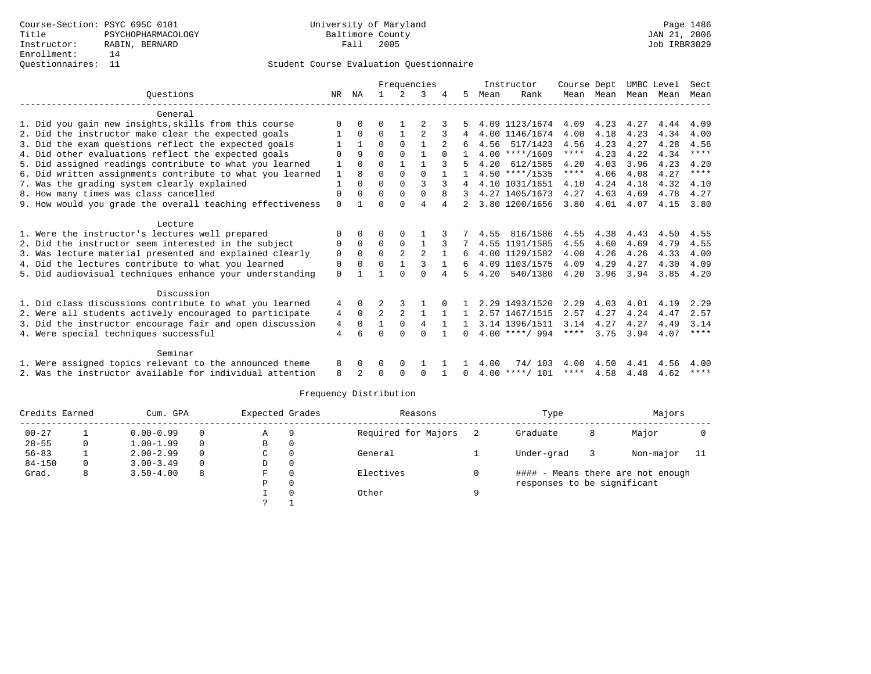|                                                           |              |              | Frequencies |              |              |              |              |      | Instructor       | Course Dept |           | UMBC Level |      | Sect    |
|-----------------------------------------------------------|--------------|--------------|-------------|--------------|--------------|--------------|--------------|------|------------------|-------------|-----------|------------|------|---------|
| Ouestions                                                 | NR.          | ΝA           |             | 2            | 3            |              | 5            | Mean | Rank             |             | Mean Mean | Mean Mean  |      | Mean    |
|                                                           |              |              |             |              |              |              |              |      |                  |             |           |            |      |         |
| General                                                   |              |              |             |              |              |              |              |      |                  |             |           |            |      |         |
| 1. Did you gain new insights, skills from this course     |              |              |             |              |              |              |              |      | 4.09 1123/1674   | 4.09        | 4.23      | 4.27       | 4.44 | 4.09    |
| 2. Did the instructor make clear the expected goals       |              | $\Omega$     | U           |              |              | 3            |              |      | 4.00 1146/1674   | 4.00        | 4.18      | 4.23       | 4.34 | 4.00    |
| 3. Did the exam questions reflect the expected goals      |              | $\mathbf{1}$ | 0           | $\Omega$     |              |              | 6            |      | 4.56 517/1423    | 4.56        | 4.23      | 4.27       | 4.28 | 4.56    |
| 4. Did other evaluations reflect the expected goals       |              | 9            | $\Omega$    | $\Omega$     |              |              |              |      | $4.00$ ****/1609 | $***$ * *   | 4.23      | 4.22       | 4.34 | ****    |
| 5. Did assigned readings contribute to what you learned   |              | $\Omega$     | $\Omega$    |              |              |              |              | 4.20 | 612/1585         | 4.20        | 4.03      | 3.96       | 4.23 | 4.20    |
| 6. Did written assignments contribute to what you learned | $\mathbf{1}$ |              | 0           | $\Omega$     | $\Omega$     |              |              |      | $4.50$ ****/1535 | $***$ * *   | 4.06      | 4.08       | 4.27 | $***$   |
| 7. Was the grading system clearly explained               |              | $\Omega$     | 0           | $\Omega$     | 3            |              | 4            |      | 4.10 1031/1651   | 4.10        | 4.24      | 4.18       | 4.32 | 4.10    |
| 8. How many times was class cancelled                     | 0            | $\Omega$     | 0           | $\Omega$     | $\Omega$     | 8            |              |      | 4.27 1405/1673   | 4.27        | 4.63      | 4.69       | 4.78 | 4.27    |
| 9. How would you grade the overall teaching effectiveness | $\Omega$     |              | U           | <sup>0</sup> | 4            |              |              |      | 3.80 1200/1656   | 3.80        | 4.01      | 4.07       | 4.15 | 3.80    |
| Lecture                                                   |              |              |             |              |              |              |              |      |                  |             |           |            |      |         |
| 1. Were the instructor's lectures well prepared           | O            | $\Omega$     | U           | $\Omega$     |              |              |              | 4.55 | 816/1586         | 4.55        | 4.38      | 4.43       | 4.50 | 4.55    |
| 2. Did the instructor seem interested in the subject      | 0            | $\Omega$     | $\Omega$    | $\Omega$     | -1           |              |              |      | 4.55 1191/1585   | 4.55        | 4.60      | 4.69       | 4.79 | 4.55    |
| 3. Was lecture material presented and explained clearly   | 0            | $\Omega$     | $\Omega$    | 2            | 2            |              | 6            |      | 4.00 1129/1582   | 4.00        | 4.26      | 4.26       | 4.33 | 4.00    |
| 4. Did the lectures contribute to what you learned        | 0            | $\Omega$     | 0           |              |              |              | 6            |      | 4.09 1103/1575   | 4.09        | 4.29      | 4.27       | 4.30 | 4.09    |
|                                                           |              |              |             |              | $\cap$       |              | 5            | 4.20 | 540/1380         | 4.20        | 3.96      | 3.94       | 3.85 |         |
| 5. Did audiovisual techniques enhance your understanding  | 0            |              |             |              |              |              |              |      |                  |             |           |            |      | 4.20    |
| Discussion                                                |              |              |             |              |              |              |              |      |                  |             |           |            |      |         |
| 1. Did class discussions contribute to what you learned   | 4            | $\Omega$     |             |              |              |              |              |      | 2.29 1493/1520   | 2.29        | 4.03      | 4.01       | 4.19 | 2.29    |
| 2. Were all students actively encouraged to participate   | 4            | $\mathbf 0$  | 2           | 2            |              | -1           | $\mathbf{1}$ |      | 2.57 1467/1515   | 2.57        | 4.27      | 4.24       | 4.47 | 2.57    |
| 3. Did the instructor encourage fair and open discussion  | 4            | $\Omega$     |             | $\Omega$     | 4            | $\mathbf{1}$ | $\mathbf{1}$ |      | 3.14 1396/1511   | 3.14        | 4.27      | 4.27       | 4.49 | 3.14    |
| 4. Were special techniques successful                     | 4            | б            |             | $\cap$       | <sup>n</sup> |              | $\Omega$     |      | $4.00$ ****/ 994 | ****        | 3.75      | 3.94       | 4.07 | ****    |
|                                                           |              |              |             |              |              |              |              |      |                  |             |           |            |      |         |
| Seminar                                                   |              |              |             |              |              |              |              |      |                  |             |           |            |      |         |
| 1. Were assigned topics relevant to the announced theme   | 8            | 0            |             | 0            |              |              |              | 4.00 | 74/ 103          | 4.00        | 4.50      | 4.41       | 4.56 | 4.00    |
| 2. Was the instructor available for individual attention  | 8            |              |             | <sup>0</sup> | $\Omega$     |              |              |      | $4.00$ ****/ 101 | ****        | 4.58      | 4.48       | 4.62 | * * * * |
|                                                           |              |              |             |              |              |              |              |      |                  |             |           |            |      |         |

| Credits Earned |   | Cum. GPA      | Expected Grades |   | Reasons  |                     | Type | Majors                      |   |                                   |     |
|----------------|---|---------------|-----------------|---|----------|---------------------|------|-----------------------------|---|-----------------------------------|-----|
| $00 - 27$      |   | $0.00 - 0.99$ | 0               | Α | 9        | Required for Majors |      | Graduate                    | 8 | Major                             |     |
| $28 - 55$      |   | $1.00 - 1.99$ | $\Omega$        | В | 0        |                     |      |                             |   |                                   |     |
| $56 - 83$      |   | $2.00 - 2.99$ | $\Omega$        | C |          | General             |      | Under-grad                  |   | Non-major                         | -11 |
| $84 - 150$     |   | $3.00 - 3.49$ | $\Omega$        | D | $\Omega$ |                     |      |                             |   |                                   |     |
| Grad.          | 8 | $3.50 - 4.00$ | 8               | F |          | Electives           |      |                             |   | #### - Means there are not enough |     |
|                |   |               |                 | Ρ | $\Omega$ |                     |      | responses to be significant |   |                                   |     |
|                |   |               |                 |   |          | Other               | a    |                             |   |                                   |     |
|                |   |               |                 |   |          |                     |      |                             |   |                                   |     |